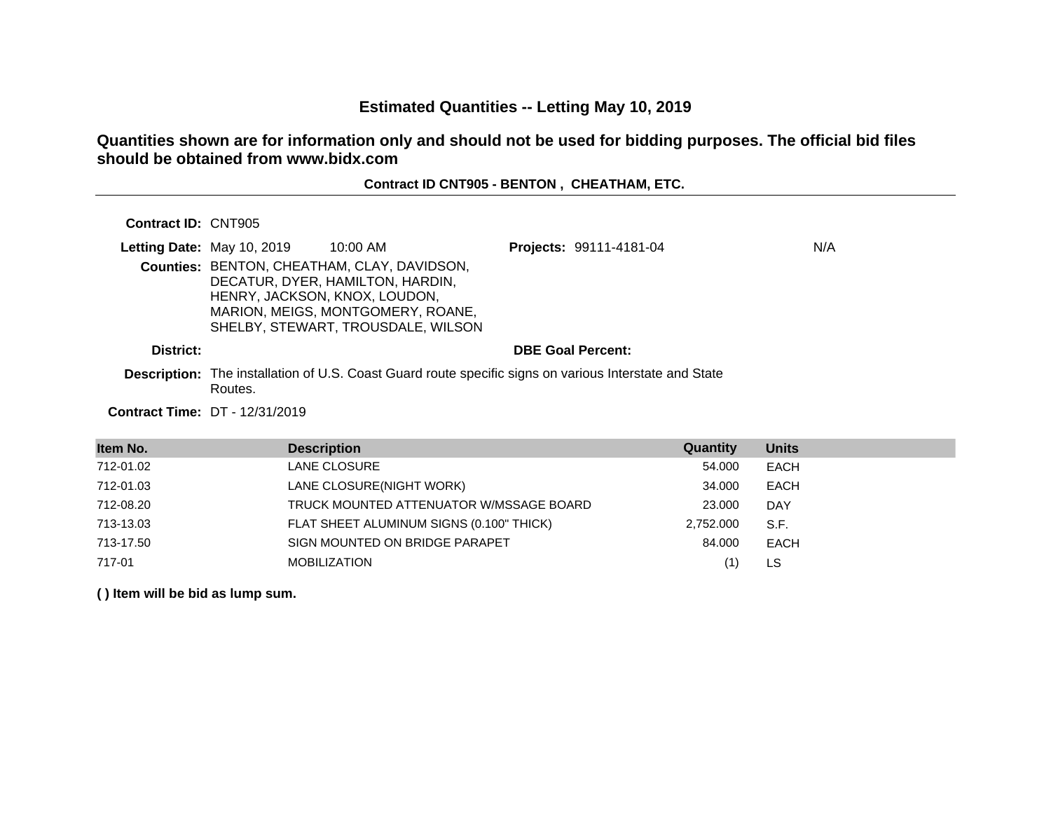# **Estimated Quantities -- Letting May 10, 2019**

# **Quantities shown are for information only and should not be used for bidding purposes. The official bid files should be obtained from www.bidx.com**

# **Contract ID CNT905 - BENTON , CHEATHAM, ETC.**

### **Contract ID:** CNT905

|           | <b>Letting Date: May 10, 2019</b> | 10:00 AM                                                                                                                                                   | Projects: 99111-4181-04  | N/A |
|-----------|-----------------------------------|------------------------------------------------------------------------------------------------------------------------------------------------------------|--------------------------|-----|
|           | HENRY, JACKSON, KNOX, LOUDON,     | Counties: BENTON, CHEATHAM, CLAY, DAVIDSON,<br>DECATUR, DYER, HAMILTON, HARDIN,<br>MARION, MEIGS, MONTGOMERY, ROANE,<br>SHELBY, STEWART, TROUSDALE, WILSON |                          |     |
| District: |                                   |                                                                                                                                                            | <b>DBE Goal Percent:</b> |     |
|           | $D$ - $\cdots$                    | <b>Description:</b> The installation of U.S. Coast Guard route specific signs on various Interstate and State                                              |                          |     |

Routes.

#### **Contract Time:** DT - 12/31/2019

| Item No.  | <b>Description</b>                       | Quantity  | <b>Units</b> |
|-----------|------------------------------------------|-----------|--------------|
| 712-01.02 | LANE CLOSURE                             | 54.000    | EACH         |
| 712-01.03 | LANE CLOSURE(NIGHT WORK)                 | 34.000    | <b>EACH</b>  |
| 712-08.20 | TRUCK MOUNTED ATTENUATOR W/MSSAGE BOARD  | 23,000    | <b>DAY</b>   |
| 713-13.03 | FLAT SHEET ALUMINUM SIGNS (0.100" THICK) | 2,752.000 | S.F.         |
| 713-17.50 | SIGN MOUNTED ON BRIDGE PARAPET           | 84.000    | EACH         |
| 717-01    | <b>MOBILIZATION</b>                      |           | LS.          |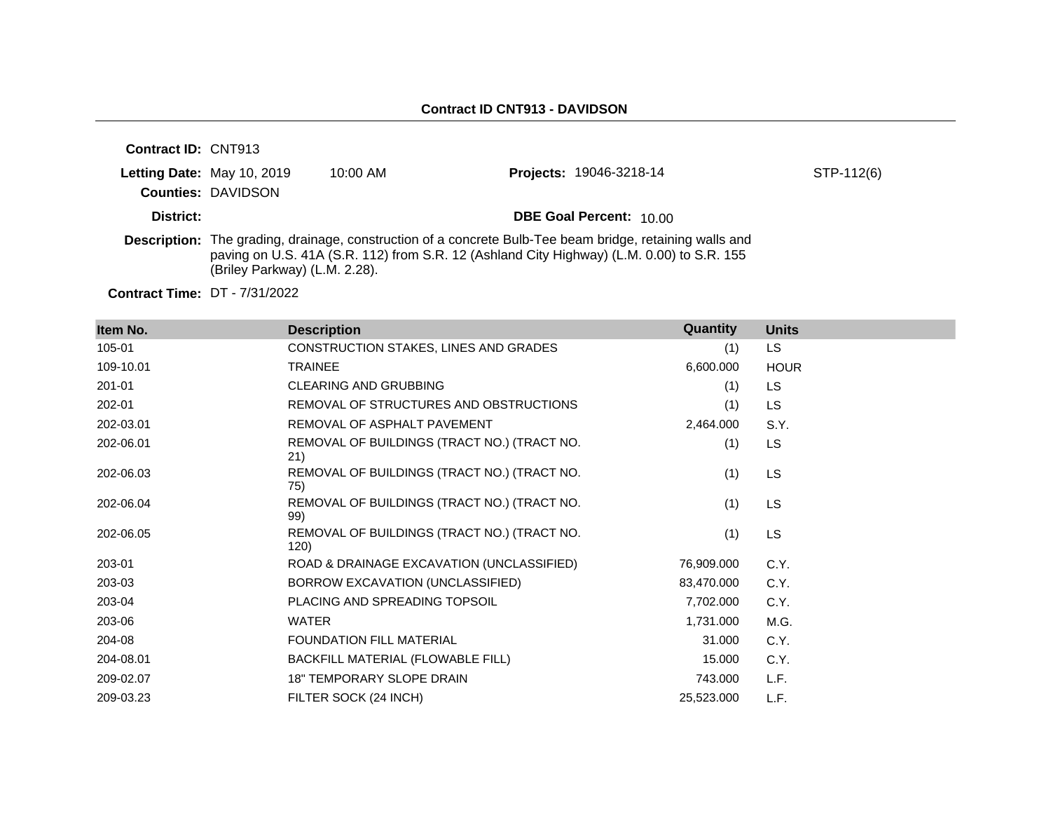| <b>Contract ID: CNT913</b> |                                                                |            |                                                                                                                                                                                                              |            |
|----------------------------|----------------------------------------------------------------|------------|--------------------------------------------------------------------------------------------------------------------------------------------------------------------------------------------------------------|------------|
|                            | <b>Letting Date: May 10, 2019</b><br><b>Counties: DAVIDSON</b> | $10:00$ AM | <b>Projects: 19046-3218-14</b>                                                                                                                                                                               | STP-112(6) |
| District:                  |                                                                |            | <b>DBE Goal Percent: 10.00</b>                                                                                                                                                                               |            |
|                            | (Briley Parkway) (L.M. 2.28).                                  |            | <b>Description:</b> The grading, drainage, construction of a concrete Bulb-Tee beam bridge, retaining walls and<br>paving on U.S. 41A (S.R. 112) from S.R. 12 (Ashland City Highway) (L.M. 0.00) to S.R. 155 |            |

**Contract Time:** DT - 7/31/2022

| Item No.  | <b>Description</b>                                  | Quantity   | <b>Units</b> |
|-----------|-----------------------------------------------------|------------|--------------|
| 105-01    | CONSTRUCTION STAKES, LINES AND GRADES               | (1)        | LS.          |
| 109-10.01 | <b>TRAINEE</b>                                      | 6,600.000  | <b>HOUR</b>  |
| 201-01    | <b>CLEARING AND GRUBBING</b>                        | (1)        | LS           |
| 202-01    | REMOVAL OF STRUCTURES AND OBSTRUCTIONS              | (1)        | LS           |
| 202-03.01 | REMOVAL OF ASPHALT PAVEMENT                         | 2,464.000  | S.Y.         |
| 202-06.01 | REMOVAL OF BUILDINGS (TRACT NO.) (TRACT NO.<br>21)  | (1)        | LS           |
| 202-06.03 | REMOVAL OF BUILDINGS (TRACT NO.) (TRACT NO.<br>75)  | (1)        | LS           |
| 202-06.04 | REMOVAL OF BUILDINGS (TRACT NO.) (TRACT NO.<br>99)  | (1)        | LS           |
| 202-06.05 | REMOVAL OF BUILDINGS (TRACT NO.) (TRACT NO.<br>120) | (1)        | LS           |
| 203-01    | ROAD & DRAINAGE EXCAVATION (UNCLASSIFIED)           | 76,909.000 | C.Y.         |
| 203-03    | BORROW EXCAVATION (UNCLASSIFIED)                    | 83,470.000 | C.Y.         |
| 203-04    | PLACING AND SPREADING TOPSOIL                       | 7,702.000  | C.Y.         |
| 203-06    | <b>WATER</b>                                        | 1,731.000  | M.G.         |
| 204-08    | FOUNDATION FILL MATERIAL                            | 31.000     | C.Y.         |
| 204-08.01 | BACKFILL MATERIAL (FLOWABLE FILL)                   | 15.000     | C.Y.         |
| 209-02.07 | <b>18" TEMPORARY SLOPE DRAIN</b>                    | 743.000    | L.F.         |
| 209-03.23 | FILTER SOCK (24 INCH)                               | 25,523.000 | L.F.         |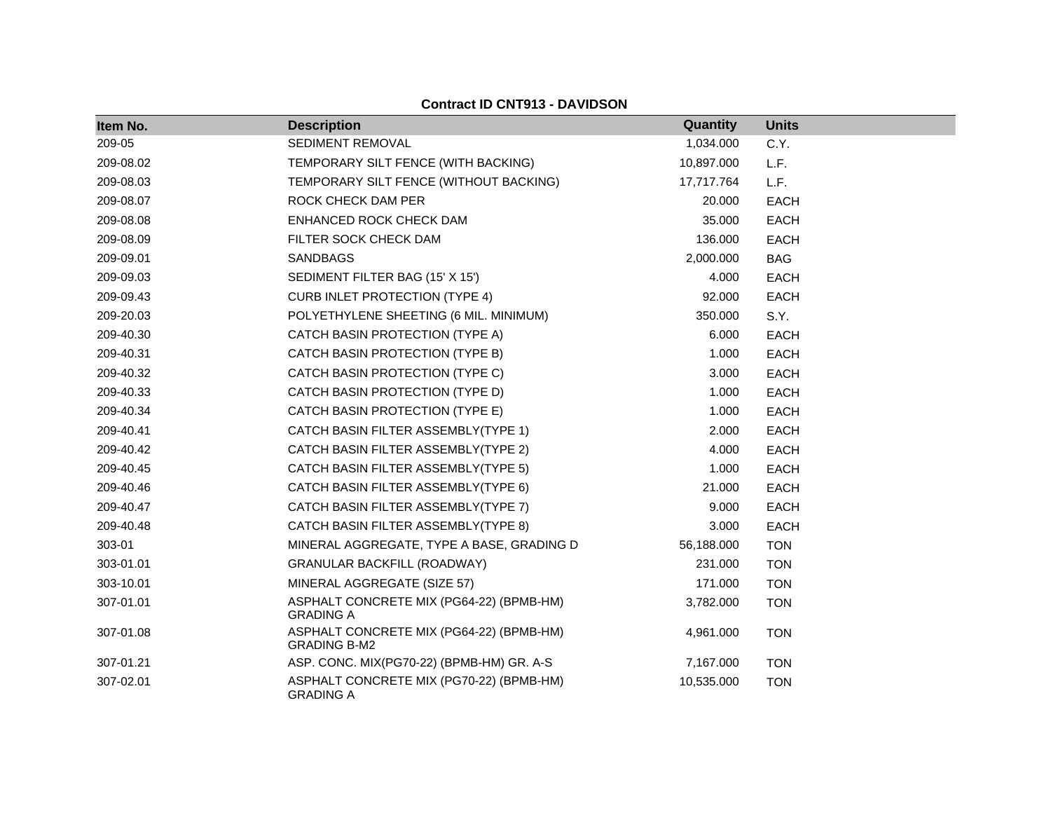| Item No.  | <b>Description</b>                                              | Quantity   | <b>Units</b> |
|-----------|-----------------------------------------------------------------|------------|--------------|
| 209-05    | SEDIMENT REMOVAL                                                | 1,034.000  | C.Y.         |
| 209-08.02 | TEMPORARY SILT FENCE (WITH BACKING)                             | 10,897.000 | L.F.         |
| 209-08.03 | TEMPORARY SILT FENCE (WITHOUT BACKING)                          | 17,717.764 | L.F.         |
| 209-08.07 | ROCK CHECK DAM PER                                              | 20.000     | <b>EACH</b>  |
| 209-08.08 | ENHANCED ROCK CHECK DAM                                         | 35.000     | <b>EACH</b>  |
| 209-08.09 | FILTER SOCK CHECK DAM                                           | 136.000    | <b>EACH</b>  |
| 209-09.01 | <b>SANDBAGS</b>                                                 | 2,000.000  | <b>BAG</b>   |
| 209-09.03 | SEDIMENT FILTER BAG (15' X 15')                                 | 4.000      | <b>EACH</b>  |
| 209-09.43 | <b>CURB INLET PROTECTION (TYPE 4)</b>                           | 92.000     | <b>EACH</b>  |
| 209-20.03 | POLYETHYLENE SHEETING (6 MIL. MINIMUM)                          | 350.000    | S.Y.         |
| 209-40.30 | CATCH BASIN PROTECTION (TYPE A)                                 | 6.000      | <b>EACH</b>  |
| 209-40.31 | CATCH BASIN PROTECTION (TYPE B)                                 | 1.000      | <b>EACH</b>  |
| 209-40.32 | CATCH BASIN PROTECTION (TYPE C)                                 | 3.000      | <b>EACH</b>  |
| 209-40.33 | CATCH BASIN PROTECTION (TYPE D)                                 | 1.000      | <b>EACH</b>  |
| 209-40.34 | CATCH BASIN PROTECTION (TYPE E)                                 | 1.000      | <b>EACH</b>  |
| 209-40.41 | CATCH BASIN FILTER ASSEMBLY(TYPE 1)                             | 2.000      | <b>EACH</b>  |
| 209-40.42 | CATCH BASIN FILTER ASSEMBLY(TYPE 2)                             | 4.000      | <b>EACH</b>  |
| 209-40.45 | CATCH BASIN FILTER ASSEMBLY(TYPE 5)                             | 1.000      | <b>EACH</b>  |
| 209-40.46 | CATCH BASIN FILTER ASSEMBLY(TYPE 6)                             | 21.000     | <b>EACH</b>  |
| 209-40.47 | CATCH BASIN FILTER ASSEMBLY(TYPE 7)                             | 9.000      | <b>EACH</b>  |
| 209-40.48 | CATCH BASIN FILTER ASSEMBLY(TYPE 8)                             | 3.000      | <b>EACH</b>  |
| 303-01    | MINERAL AGGREGATE, TYPE A BASE, GRADING D                       | 56,188.000 | <b>TON</b>   |
| 303-01.01 | <b>GRANULAR BACKFILL (ROADWAY)</b>                              | 231.000    | <b>TON</b>   |
| 303-10.01 | MINERAL AGGREGATE (SIZE 57)                                     | 171.000    | <b>TON</b>   |
| 307-01.01 | ASPHALT CONCRETE MIX (PG64-22) (BPMB-HM)<br><b>GRADING A</b>    | 3,782.000  | <b>TON</b>   |
| 307-01.08 | ASPHALT CONCRETE MIX (PG64-22) (BPMB-HM)<br><b>GRADING B-M2</b> | 4,961.000  | <b>TON</b>   |
| 307-01.21 | ASP. CONC. MIX(PG70-22) (BPMB-HM) GR. A-S                       | 7,167.000  | <b>TON</b>   |
| 307-02.01 | ASPHALT CONCRETE MIX (PG70-22) (BPMB-HM)<br><b>GRADING A</b>    | 10,535.000 | <b>TON</b>   |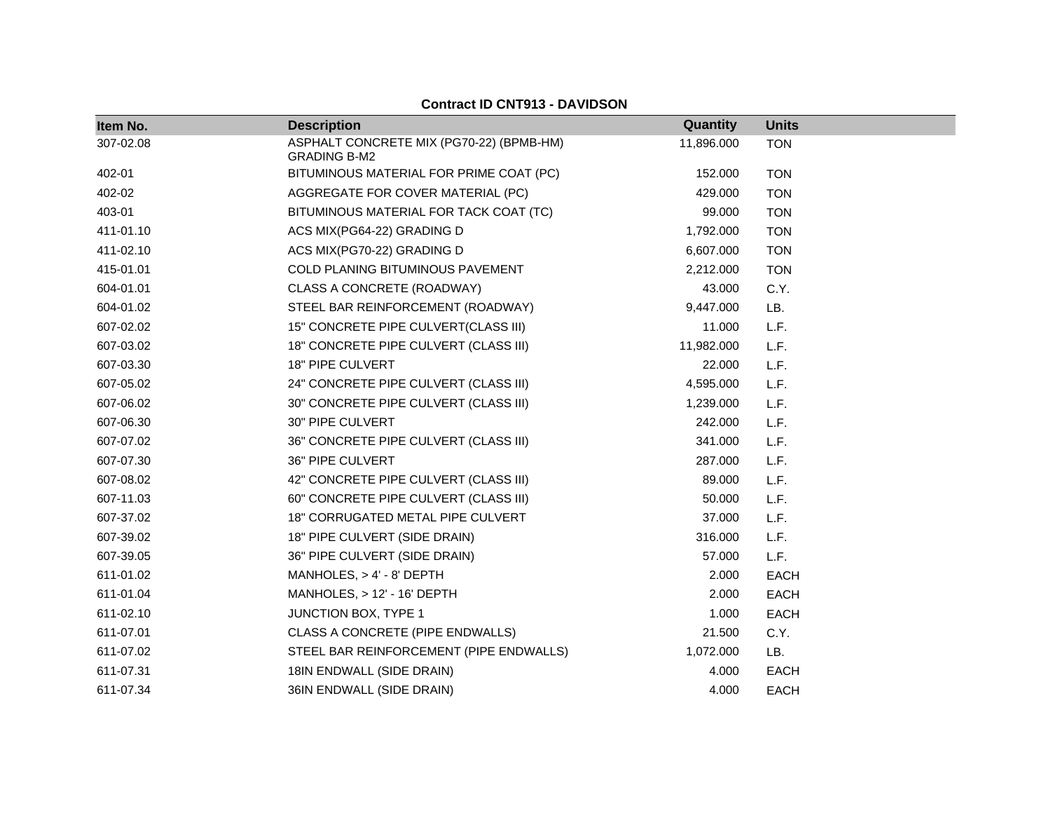| Item No.  | <b>Description</b>                                              | Quantity   | <b>Units</b> |
|-----------|-----------------------------------------------------------------|------------|--------------|
| 307-02.08 | ASPHALT CONCRETE MIX (PG70-22) (BPMB-HM)<br><b>GRADING B-M2</b> | 11,896.000 | <b>TON</b>   |
| 402-01    | BITUMINOUS MATERIAL FOR PRIME COAT (PC)                         | 152.000    | <b>TON</b>   |
| 402-02    | AGGREGATE FOR COVER MATERIAL (PC)                               | 429.000    | <b>TON</b>   |
| 403-01    | BITUMINOUS MATERIAL FOR TACK COAT (TC)                          | 99.000     | <b>TON</b>   |
| 411-01.10 | ACS MIX(PG64-22) GRADING D                                      | 1,792.000  | <b>TON</b>   |
| 411-02.10 | ACS MIX(PG70-22) GRADING D                                      | 6,607.000  | <b>TON</b>   |
| 415-01.01 | <b>COLD PLANING BITUMINOUS PAVEMENT</b>                         | 2,212.000  | <b>TON</b>   |
| 604-01.01 | <b>CLASS A CONCRETE (ROADWAY)</b>                               | 43.000     | C.Y.         |
| 604-01.02 | STEEL BAR REINFORCEMENT (ROADWAY)                               | 9,447.000  | LB.          |
| 607-02.02 | 15" CONCRETE PIPE CULVERT(CLASS III)                            | 11.000     | L.F.         |
| 607-03.02 | 18" CONCRETE PIPE CULVERT (CLASS III)                           | 11,982.000 | L.F.         |
| 607-03.30 | 18" PIPE CULVERT                                                | 22.000     | L.F.         |
| 607-05.02 | 24" CONCRETE PIPE CULVERT (CLASS III)                           | 4,595.000  | L.F.         |
| 607-06.02 | 30" CONCRETE PIPE CULVERT (CLASS III)                           | 1,239.000  | L.F.         |
| 607-06.30 | 30" PIPE CULVERT                                                | 242.000    | L.F.         |
| 607-07.02 | 36" CONCRETE PIPE CULVERT (CLASS III)                           | 341.000    | L.F.         |
| 607-07.30 | 36" PIPE CULVERT                                                | 287.000    | L.F.         |
| 607-08.02 | 42" CONCRETE PIPE CULVERT (CLASS III)                           | 89.000     | L.F.         |
| 607-11.03 | 60" CONCRETE PIPE CULVERT (CLASS III)                           | 50.000     | L.F.         |
| 607-37.02 | 18" CORRUGATED METAL PIPE CULVERT                               | 37.000     | L.F.         |
| 607-39.02 | 18" PIPE CULVERT (SIDE DRAIN)                                   | 316.000    | L.F.         |
| 607-39.05 | 36" PIPE CULVERT (SIDE DRAIN)                                   | 57.000     | L.F.         |
| 611-01.02 | MANHOLES, $> 4' - 8'$ DEPTH                                     | 2.000      | <b>EACH</b>  |
| 611-01.04 | MANHOLES, $> 12' - 16'$ DEPTH                                   | 2.000      | <b>EACH</b>  |
| 611-02.10 | JUNCTION BOX, TYPE 1                                            | 1.000      | <b>EACH</b>  |
| 611-07.01 | CLASS A CONCRETE (PIPE ENDWALLS)                                | 21.500     | C.Y.         |
| 611-07.02 | STEEL BAR REINFORCEMENT (PIPE ENDWALLS)                         | 1,072.000  | LB.          |
| 611-07.31 | 18IN ENDWALL (SIDE DRAIN)                                       | 4.000      | <b>EACH</b>  |
| 611-07.34 | 36IN ENDWALL (SIDE DRAIN)                                       | 4.000      | <b>EACH</b>  |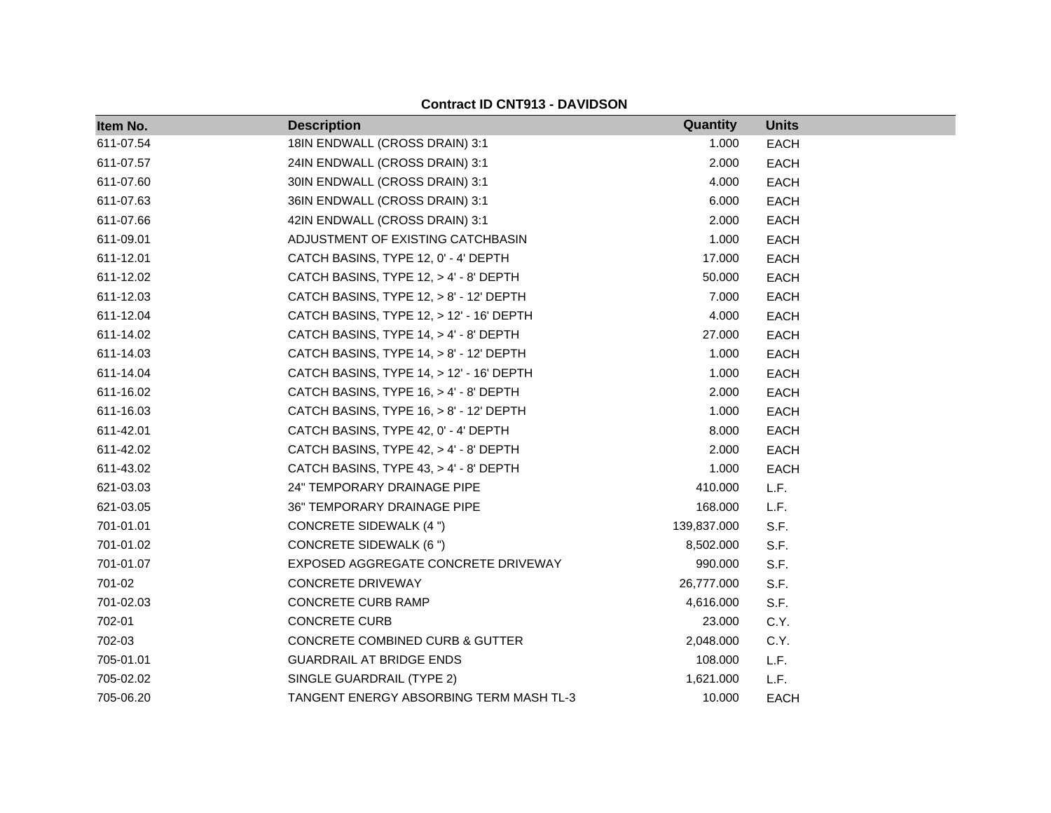| Item No.  | <b>Description</b>                        | Quantity    | <b>Units</b> |
|-----------|-------------------------------------------|-------------|--------------|
| 611-07.54 | 18IN ENDWALL (CROSS DRAIN) 3:1            | 1.000       | <b>EACH</b>  |
| 611-07.57 | 24IN ENDWALL (CROSS DRAIN) 3:1            | 2.000       | <b>EACH</b>  |
| 611-07.60 | 30IN ENDWALL (CROSS DRAIN) 3:1            | 4.000       | <b>EACH</b>  |
| 611-07.63 | 36IN ENDWALL (CROSS DRAIN) 3:1            | 6.000       | <b>EACH</b>  |
| 611-07.66 | 42IN ENDWALL (CROSS DRAIN) 3:1            | 2.000       | EACH         |
| 611-09.01 | ADJUSTMENT OF EXISTING CATCHBASIN         | 1.000       | EACH         |
| 611-12.01 | CATCH BASINS, TYPE 12, 0' - 4' DEPTH      | 17.000      | <b>EACH</b>  |
| 611-12.02 | CATCH BASINS, TYPE 12, > 4' - 8' DEPTH    | 50.000      | <b>EACH</b>  |
| 611-12.03 | CATCH BASINS, TYPE 12, > 8' - 12' DEPTH   | 7.000       | EACH         |
| 611-12.04 | CATCH BASINS, TYPE 12, > 12' - 16' DEPTH  | 4.000       | EACH         |
| 611-14.02 | CATCH BASINS, TYPE 14, > 4' - 8' DEPTH    | 27.000      | EACH         |
| 611-14.03 | CATCH BASINS, TYPE 14, > 8' - 12' DEPTH   | 1.000       | EACH         |
| 611-14.04 | CATCH BASINS, TYPE 14, > 12' - 16' DEPTH  | 1.000       | <b>EACH</b>  |
| 611-16.02 | CATCH BASINS, TYPE 16, > 4' - 8' DEPTH    | 2.000       | EACH         |
| 611-16.03 | CATCH BASINS, TYPE $16, > 8'$ - 12' DEPTH | 1.000       | <b>EACH</b>  |
| 611-42.01 | CATCH BASINS, TYPE 42, 0' - 4' DEPTH      | 8.000       | EACH         |
| 611-42.02 | CATCH BASINS, TYPE 42, > 4' - 8' DEPTH    | 2.000       | <b>EACH</b>  |
| 611-43.02 | CATCH BASINS, TYPE 43, > 4' - 8' DEPTH    | 1.000       | <b>EACH</b>  |
| 621-03.03 | 24" TEMPORARY DRAINAGE PIPE               | 410.000     | L.F.         |
| 621-03.05 | 36" TEMPORARY DRAINAGE PIPE               | 168.000     | L.F.         |
| 701-01.01 | <b>CONCRETE SIDEWALK (4 ")</b>            | 139,837.000 | S.F.         |
| 701-01.02 | <b>CONCRETE SIDEWALK (6 ")</b>            | 8,502.000   | S.F.         |
| 701-01.07 | EXPOSED AGGREGATE CONCRETE DRIVEWAY       | 990.000     | S.F.         |
| 701-02    | CONCRETE DRIVEWAY                         | 26,777.000  | S.F.         |
| 701-02.03 | <b>CONCRETE CURB RAMP</b>                 | 4,616.000   | S.F.         |
| 702-01    | <b>CONCRETE CURB</b>                      | 23.000      | C.Y.         |
| 702-03    | CONCRETE COMBINED CURB & GUTTER           | 2,048.000   | C.Y.         |
| 705-01.01 | <b>GUARDRAIL AT BRIDGE ENDS</b>           | 108.000     | L.F.         |
| 705-02.02 | SINGLE GUARDRAIL (TYPE 2)                 | 1,621.000   | L.F.         |
| 705-06.20 | TANGENT ENERGY ABSORBING TERM MASH TL-3   | 10.000      | <b>EACH</b>  |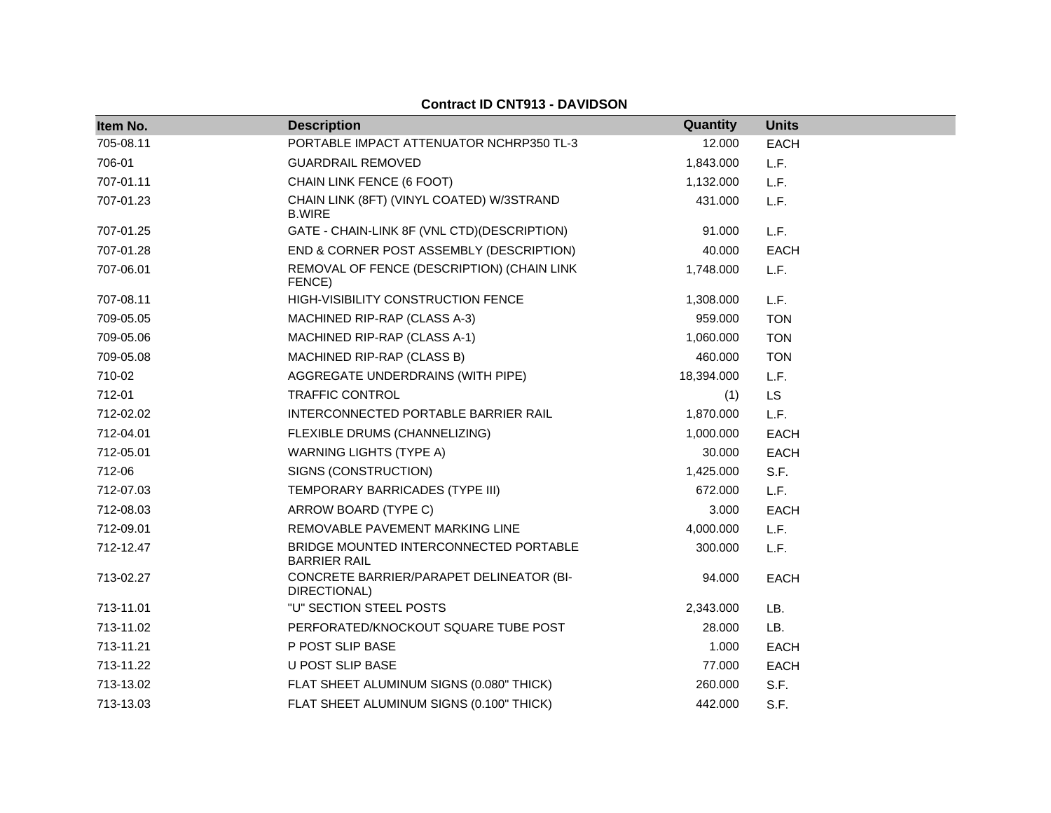| Item No.  | <b>Description</b>                                            | Quantity   | <b>Units</b> |
|-----------|---------------------------------------------------------------|------------|--------------|
| 705-08.11 | PORTABLE IMPACT ATTENUATOR NCHRP350 TL-3                      | 12.000     | <b>EACH</b>  |
| 706-01    | <b>GUARDRAIL REMOVED</b>                                      | 1,843.000  | L.F.         |
| 707-01.11 | CHAIN LINK FENCE (6 FOOT)                                     | 1,132.000  | L.F.         |
| 707-01.23 | CHAIN LINK (8FT) (VINYL COATED) W/3STRAND<br><b>B.WIRE</b>    | 431.000    | L.F.         |
| 707-01.25 | GATE - CHAIN-LINK 8F (VNL CTD)(DESCRIPTION)                   | 91.000     | L.F.         |
| 707-01.28 | END & CORNER POST ASSEMBLY (DESCRIPTION)                      | 40.000     | <b>EACH</b>  |
| 707-06.01 | REMOVAL OF FENCE (DESCRIPTION) (CHAIN LINK<br>FENCE)          | 1,748.000  | L.F.         |
| 707-08.11 | HIGH-VISIBILITY CONSTRUCTION FENCE                            | 1,308.000  | L.F.         |
| 709-05.05 | MACHINED RIP-RAP (CLASS A-3)                                  | 959.000    | <b>TON</b>   |
| 709-05.06 | MACHINED RIP-RAP (CLASS A-1)                                  | 1,060.000  | <b>TON</b>   |
| 709-05.08 | MACHINED RIP-RAP (CLASS B)                                    | 460.000    | <b>TON</b>   |
| 710-02    | AGGREGATE UNDERDRAINS (WITH PIPE)                             | 18,394.000 | L.F.         |
| 712-01    | <b>TRAFFIC CONTROL</b>                                        | (1)        | <b>LS</b>    |
| 712-02.02 | INTERCONNECTED PORTABLE BARRIER RAIL                          | 1,870.000  | L.F.         |
| 712-04.01 | FLEXIBLE DRUMS (CHANNELIZING)                                 | 1,000.000  | <b>EACH</b>  |
| 712-05.01 | <b>WARNING LIGHTS (TYPE A)</b>                                | 30.000     | <b>EACH</b>  |
| 712-06    | SIGNS (CONSTRUCTION)                                          | 1,425.000  | S.F.         |
| 712-07.03 | TEMPORARY BARRICADES (TYPE III)                               | 672.000    | L.F.         |
| 712-08.03 | ARROW BOARD (TYPE C)                                          | 3.000      | <b>EACH</b>  |
| 712-09.01 | REMOVABLE PAVEMENT MARKING LINE                               | 4,000.000  | L.F.         |
| 712-12.47 | BRIDGE MOUNTED INTERCONNECTED PORTABLE<br><b>BARRIER RAIL</b> | 300.000    | L.F.         |
| 713-02.27 | CONCRETE BARRIER/PARAPET DELINEATOR (BI-<br>DIRECTIONAL)      | 94.000     | <b>EACH</b>  |
| 713-11.01 | "U" SECTION STEEL POSTS                                       | 2,343.000  | LB.          |
| 713-11.02 | PERFORATED/KNOCKOUT SQUARE TUBE POST                          | 28,000     | LB.          |
| 713-11.21 | P POST SLIP BASE                                              | 1.000      | <b>EACH</b>  |
| 713-11.22 | U POST SLIP BASE                                              | 77.000     | <b>EACH</b>  |
| 713-13.02 | FLAT SHEET ALUMINUM SIGNS (0.080" THICK)                      | 260.000    | S.F.         |
| 713-13.03 | FLAT SHEET ALUMINUM SIGNS (0.100" THICK)                      | 442.000    | S.F.         |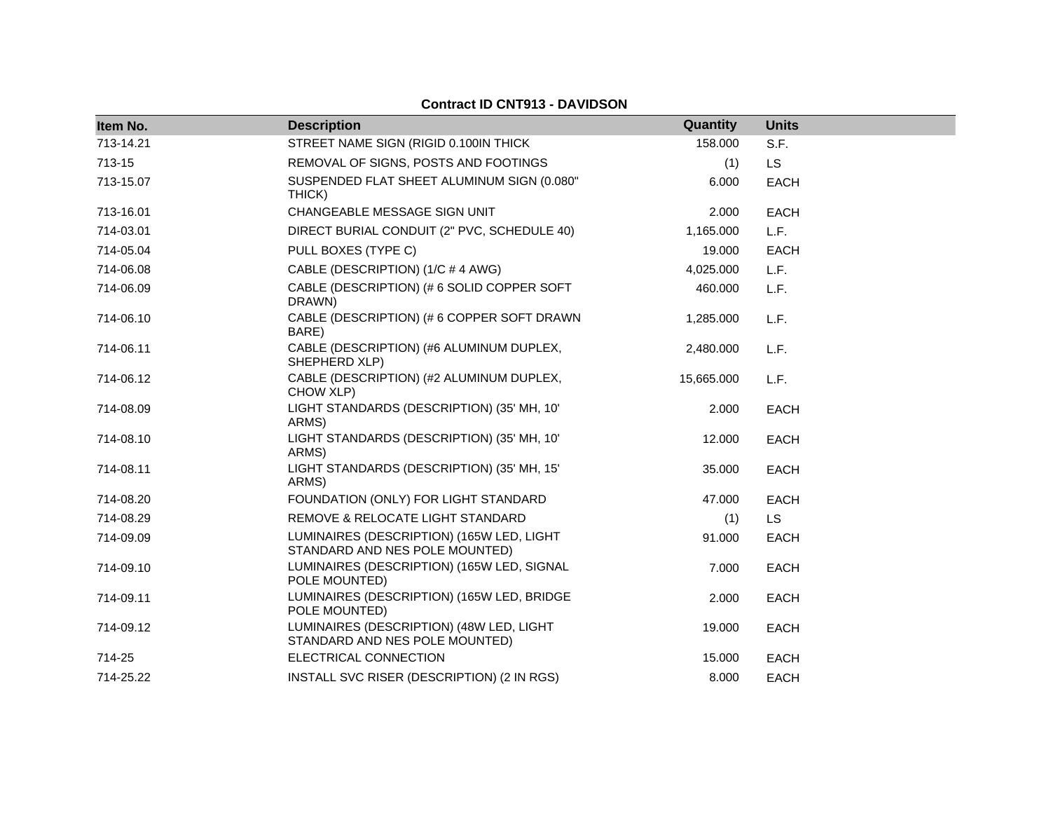| Item No.  | <b>Description</b>                                                          | Quantity   | <b>Units</b> |
|-----------|-----------------------------------------------------------------------------|------------|--------------|
| 713-14.21 | STREET NAME SIGN (RIGID 0.100IN THICK                                       | 158.000    | S.F.         |
| 713-15    | REMOVAL OF SIGNS, POSTS AND FOOTINGS                                        | (1)        | LS.          |
| 713-15.07 | SUSPENDED FLAT SHEET ALUMINUM SIGN (0.080"<br>THICK)                        | 6.000      | EACH         |
| 713-16.01 | CHANGEABLE MESSAGE SIGN UNIT                                                | 2.000      | <b>EACH</b>  |
| 714-03.01 | DIRECT BURIAL CONDUIT (2" PVC, SCHEDULE 40)                                 | 1,165.000  | L.F.         |
| 714-05.04 | PULL BOXES (TYPE C)                                                         | 19.000     | <b>EACH</b>  |
| 714-06.08 | CABLE (DESCRIPTION) (1/C # 4 AWG)                                           | 4,025.000  | L.F.         |
| 714-06.09 | CABLE (DESCRIPTION) (# 6 SOLID COPPER SOFT<br>DRAWN)                        | 460.000    | L.F.         |
| 714-06.10 | CABLE (DESCRIPTION) (# 6 COPPER SOFT DRAWN<br>BARE)                         | 1,285.000  | L.F.         |
| 714-06.11 | CABLE (DESCRIPTION) (#6 ALUMINUM DUPLEX,<br>SHEPHERD XLP)                   | 2,480.000  | L.F.         |
| 714-06.12 | CABLE (DESCRIPTION) (#2 ALUMINUM DUPLEX,<br>CHOW XLP)                       | 15,665.000 | L.F.         |
| 714-08.09 | LIGHT STANDARDS (DESCRIPTION) (35' MH, 10'<br>ARMS)                         | 2.000      | <b>EACH</b>  |
| 714-08.10 | LIGHT STANDARDS (DESCRIPTION) (35' MH, 10'<br>ARMS)                         | 12.000     | <b>EACH</b>  |
| 714-08.11 | LIGHT STANDARDS (DESCRIPTION) (35' MH, 15'<br>ARMS)                         | 35.000     | <b>EACH</b>  |
| 714-08.20 | FOUNDATION (ONLY) FOR LIGHT STANDARD                                        | 47.000     | <b>EACH</b>  |
| 714-08.29 | REMOVE & RELOCATE LIGHT STANDARD                                            | (1)        | <b>LS</b>    |
| 714-09.09 | LUMINAIRES (DESCRIPTION) (165W LED, LIGHT<br>STANDARD AND NES POLE MOUNTED) | 91.000     | <b>EACH</b>  |
| 714-09.10 | LUMINAIRES (DESCRIPTION) (165W LED, SIGNAL<br>POLE MOUNTED)                 | 7.000      | <b>EACH</b>  |
| 714-09.11 | LUMINAIRES (DESCRIPTION) (165W LED, BRIDGE<br>POLE MOUNTED)                 | 2.000      | <b>EACH</b>  |
| 714-09.12 | LUMINAIRES (DESCRIPTION) (48W LED, LIGHT<br>STANDARD AND NES POLE MOUNTED)  | 19.000     | <b>EACH</b>  |
| 714-25    | ELECTRICAL CONNECTION                                                       | 15.000     | <b>EACH</b>  |
| 714-25.22 | INSTALL SVC RISER (DESCRIPTION) (2 IN RGS)                                  | 8.000      | <b>EACH</b>  |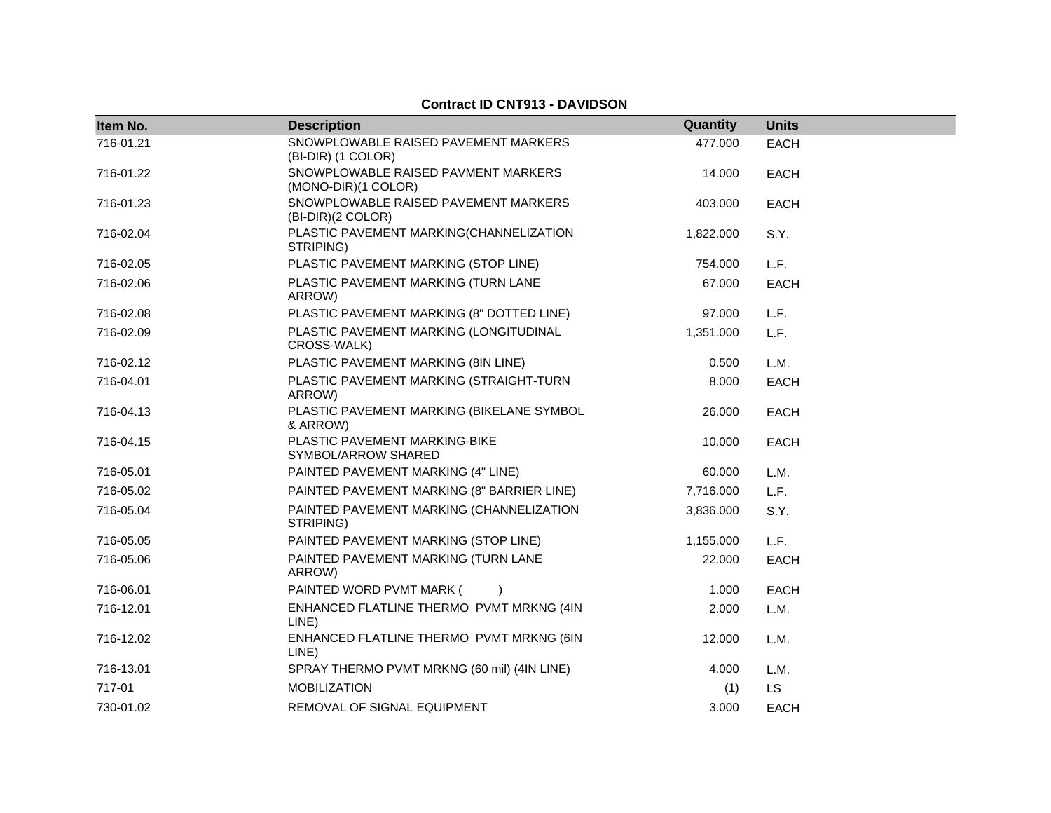| Item No.  | <b>Description</b>                                         | Quantity  | <b>Units</b> |
|-----------|------------------------------------------------------------|-----------|--------------|
| 716-01.21 | SNOWPLOWABLE RAISED PAVEMENT MARKERS<br>(BI-DIR) (1 COLOR) | 477.000   | <b>EACH</b>  |
| 716-01.22 | SNOWPLOWABLE RAISED PAVMENT MARKERS<br>(MONO-DIR)(1 COLOR) | 14.000    | <b>EACH</b>  |
| 716-01.23 | SNOWPLOWABLE RAISED PAVEMENT MARKERS<br>(BI-DIR)(2 COLOR)  | 403.000   | <b>EACH</b>  |
| 716-02.04 | PLASTIC PAVEMENT MARKING(CHANNELIZATION<br>STRIPING)       | 1,822.000 | S.Y.         |
| 716-02.05 | PLASTIC PAVEMENT MARKING (STOP LINE)                       | 754.000   | L.F.         |
| 716-02.06 | PLASTIC PAVEMENT MARKING (TURN LANE<br>ARROW)              | 67.000    | <b>EACH</b>  |
| 716-02.08 | PLASTIC PAVEMENT MARKING (8" DOTTED LINE)                  | 97.000    | L.F.         |
| 716-02.09 | PLASTIC PAVEMENT MARKING (LONGITUDINAL<br>CROSS-WALK)      | 1,351.000 | L.F.         |
| 716-02.12 | PLASTIC PAVEMENT MARKING (8IN LINE)                        | 0.500     | L.M.         |
| 716-04.01 | PLASTIC PAVEMENT MARKING (STRAIGHT-TURN<br>ARROW)          | 8.000     | EACH         |
| 716-04.13 | PLASTIC PAVEMENT MARKING (BIKELANE SYMBOL<br>& ARROW)      | 26.000    | EACH         |
| 716-04.15 | PLASTIC PAVEMENT MARKING-BIKE<br>SYMBOL/ARROW SHARED       | 10.000    | <b>EACH</b>  |
| 716-05.01 | PAINTED PAVEMENT MARKING (4" LINE)                         | 60.000    | L.M.         |
| 716-05.02 | PAINTED PAVEMENT MARKING (8" BARRIER LINE)                 | 7,716.000 | L.F.         |
| 716-05.04 | PAINTED PAVEMENT MARKING (CHANNELIZATION<br>STRIPING)      | 3,836.000 | S.Y.         |
| 716-05.05 | PAINTED PAVEMENT MARKING (STOP LINE)                       | 1,155.000 | L.F.         |
| 716-05.06 | PAINTED PAVEMENT MARKING (TURN LANE<br>ARROW)              | 22.000    | EACH         |
| 716-06.01 | PAINTED WORD PVMT MARK (                                   | 1.000     | <b>EACH</b>  |
| 716-12.01 | ENHANCED FLATLINE THERMO PVMT MRKNG (4IN<br>LINE)          | 2.000     | L.M.         |
| 716-12.02 | ENHANCED FLATLINE THERMO PVMT MRKNG (6IN<br>LINE)          | 12.000    | L.M.         |
| 716-13.01 | SPRAY THERMO PVMT MRKNG (60 mil) (4IN LINE)                | 4.000     | L.M.         |
| 717-01    | <b>MOBILIZATION</b>                                        | (1)       | <b>LS</b>    |
| 730-01.02 | REMOVAL OF SIGNAL EQUIPMENT                                | 3.000     | <b>EACH</b>  |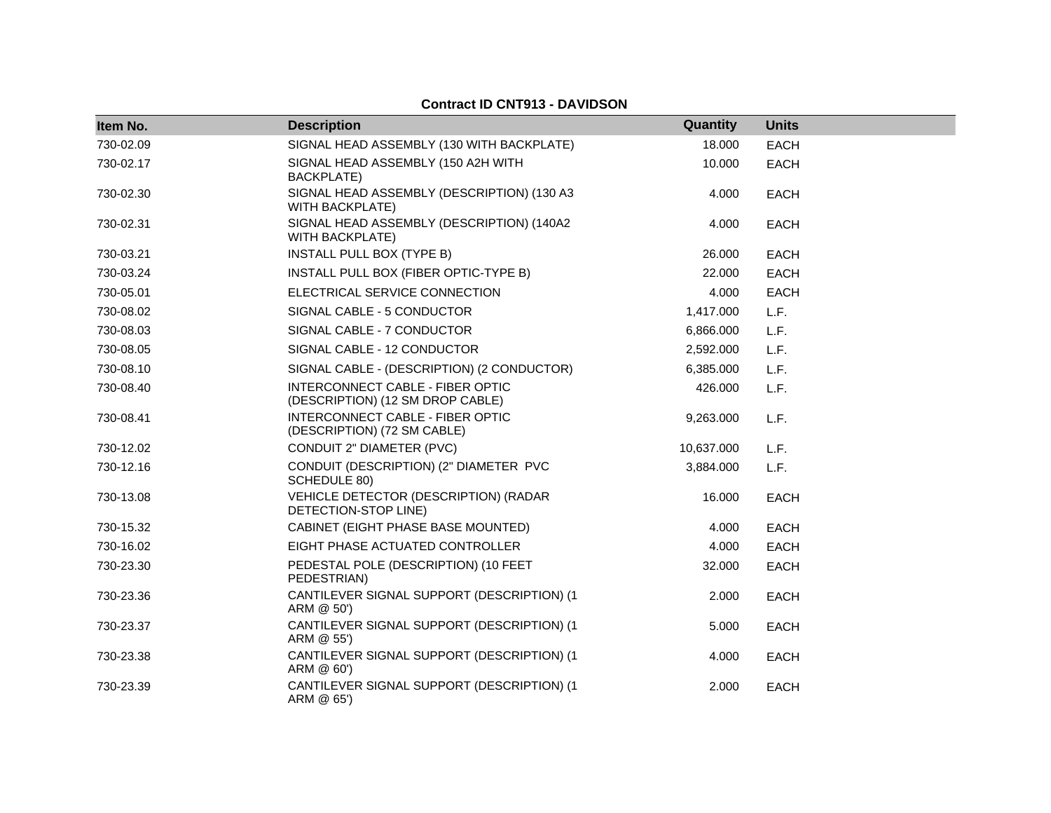| Item No.  | <b>Description</b>                                                   | Quantity   | <b>Units</b> |
|-----------|----------------------------------------------------------------------|------------|--------------|
| 730-02.09 | SIGNAL HEAD ASSEMBLY (130 WITH BACKPLATE)                            | 18.000     | <b>EACH</b>  |
| 730-02.17 | SIGNAL HEAD ASSEMBLY (150 A2H WITH<br><b>BACKPLATE)</b>              | 10.000     | <b>EACH</b>  |
| 730-02.30 | SIGNAL HEAD ASSEMBLY (DESCRIPTION) (130 A3<br><b>WITH BACKPLATE)</b> | 4.000      | <b>EACH</b>  |
| 730-02.31 | SIGNAL HEAD ASSEMBLY (DESCRIPTION) (140A2<br><b>WITH BACKPLATE)</b>  | 4.000      | <b>EACH</b>  |
| 730-03.21 | INSTALL PULL BOX (TYPE B)                                            | 26.000     | <b>EACH</b>  |
| 730-03.24 | INSTALL PULL BOX (FIBER OPTIC-TYPE B)                                | 22,000     | <b>EACH</b>  |
| 730-05.01 | ELECTRICAL SERVICE CONNECTION                                        | 4.000      | <b>EACH</b>  |
| 730-08.02 | SIGNAL CABLE - 5 CONDUCTOR                                           | 1,417.000  | L.F.         |
| 730-08.03 | SIGNAL CABLE - 7 CONDUCTOR                                           | 6,866.000  | L.F.         |
| 730-08.05 | SIGNAL CABLE - 12 CONDUCTOR                                          | 2,592.000  | L.F.         |
| 730-08.10 | SIGNAL CABLE - (DESCRIPTION) (2 CONDUCTOR)                           | 6,385.000  | L.F.         |
| 730-08.40 | INTERCONNECT CABLE - FIBER OPTIC<br>(DESCRIPTION) (12 SM DROP CABLE) | 426.000    | L.F.         |
| 730-08.41 | INTERCONNECT CABLE - FIBER OPTIC<br>(DESCRIPTION) (72 SM CABLE)      | 9,263.000  | L.F.         |
| 730-12.02 | CONDUIT 2" DIAMETER (PVC)                                            | 10,637.000 | L.F.         |
| 730-12.16 | CONDUIT (DESCRIPTION) (2" DIAMETER PVC<br>SCHEDULE 80)               | 3,884.000  | L.F.         |
| 730-13.08 | VEHICLE DETECTOR (DESCRIPTION) (RADAR<br>DETECTION-STOP LINE)        | 16.000     | <b>EACH</b>  |
| 730-15.32 | CABINET (EIGHT PHASE BASE MOUNTED)                                   | 4.000      | <b>EACH</b>  |
| 730-16.02 | EIGHT PHASE ACTUATED CONTROLLER                                      | 4.000      | <b>EACH</b>  |
| 730-23.30 | PEDESTAL POLE (DESCRIPTION) (10 FEET<br>PEDESTRIAN)                  | 32.000     | EACH         |
| 730-23.36 | CANTILEVER SIGNAL SUPPORT (DESCRIPTION) (1<br>ARM @ 50')             | 2.000      | <b>EACH</b>  |
| 730-23.37 | CANTILEVER SIGNAL SUPPORT (DESCRIPTION) (1<br>ARM @ 55')             | 5.000      | <b>EACH</b>  |
| 730-23.38 | CANTILEVER SIGNAL SUPPORT (DESCRIPTION) (1<br>ARM @ 60')             | 4.000      | <b>EACH</b>  |
| 730-23.39 | CANTILEVER SIGNAL SUPPORT (DESCRIPTION) (1<br>ARM @ 65')             | 2.000      | <b>EACH</b>  |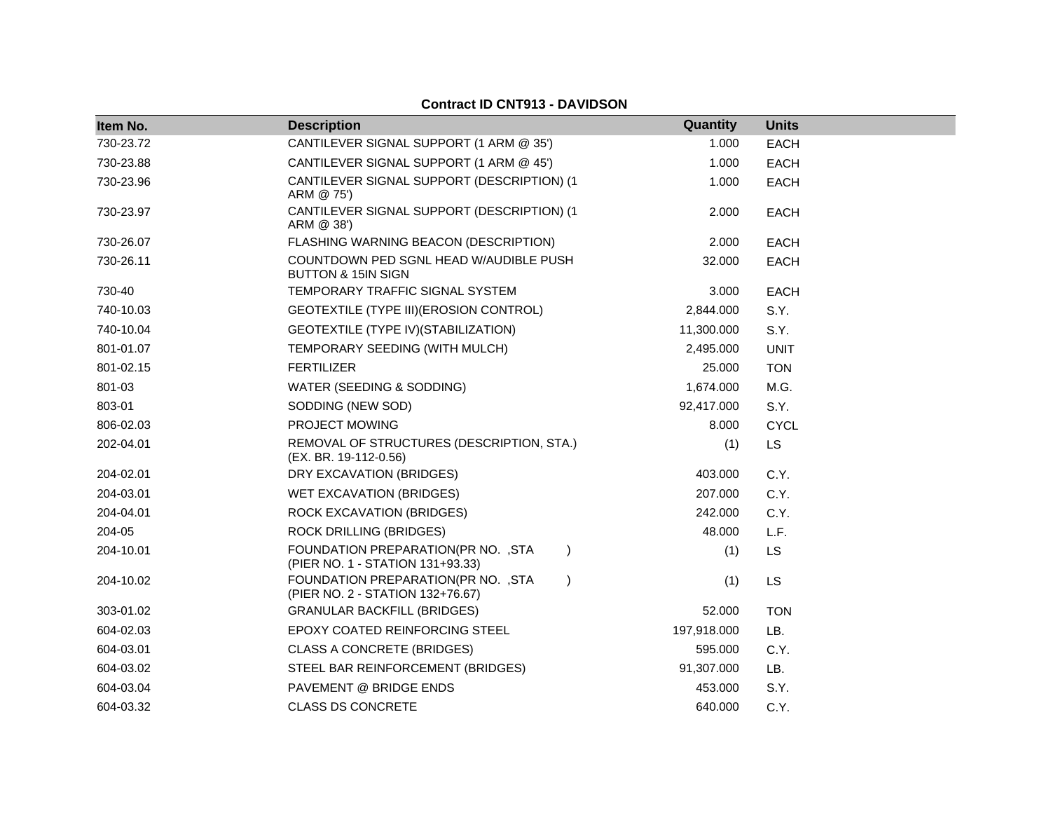| Item No.  | <b>Description</b>                                                                   | Quantity    | <b>Units</b> |
|-----------|--------------------------------------------------------------------------------------|-------------|--------------|
| 730-23.72 | CANTILEVER SIGNAL SUPPORT (1 ARM @ 35')                                              | 1.000       | <b>EACH</b>  |
| 730-23.88 | CANTILEVER SIGNAL SUPPORT (1 ARM @ 45')                                              | 1.000       | <b>EACH</b>  |
| 730-23.96 | CANTILEVER SIGNAL SUPPORT (DESCRIPTION) (1<br>ARM @ 75')                             | 1.000       | <b>EACH</b>  |
| 730-23.97 | CANTILEVER SIGNAL SUPPORT (DESCRIPTION) (1<br>ARM @ 38')                             | 2.000       | <b>EACH</b>  |
| 730-26.07 | FLASHING WARNING BEACON (DESCRIPTION)                                                | 2.000       | <b>EACH</b>  |
| 730-26.11 | COUNTDOWN PED SGNL HEAD W/AUDIBLE PUSH<br><b>BUTTON &amp; 15IN SIGN</b>              | 32,000      | <b>EACH</b>  |
| 730-40    | TEMPORARY TRAFFIC SIGNAL SYSTEM                                                      | 3.000       | <b>EACH</b>  |
| 740-10.03 | GEOTEXTILE (TYPE III) (EROSION CONTROL)                                              | 2,844.000   | S.Y.         |
| 740-10.04 | GEOTEXTILE (TYPE IV) (STABILIZATION)                                                 | 11,300.000  | S.Y.         |
| 801-01.07 | TEMPORARY SEEDING (WITH MULCH)                                                       | 2,495.000   | <b>UNIT</b>  |
| 801-02.15 | <b>FERTILIZER</b>                                                                    | 25.000      | <b>TON</b>   |
| 801-03    | WATER (SEEDING & SODDING)                                                            | 1,674.000   | M.G.         |
| 803-01    | SODDING (NEW SOD)                                                                    | 92,417.000  | S.Y.         |
| 806-02.03 | <b>PROJECT MOWING</b>                                                                | 8.000       | <b>CYCL</b>  |
| 202-04.01 | REMOVAL OF STRUCTURES (DESCRIPTION, STA.)<br>(EX. BR. 19-112-0.56)                   | (1)         | <b>LS</b>    |
| 204-02.01 | DRY EXCAVATION (BRIDGES)                                                             | 403.000     | C.Y.         |
| 204-03.01 | WET EXCAVATION (BRIDGES)                                                             | 207.000     | C.Y.         |
| 204-04.01 | ROCK EXCAVATION (BRIDGES)                                                            | 242.000     | C.Y.         |
| 204-05    | <b>ROCK DRILLING (BRIDGES)</b>                                                       | 48.000      | L.F.         |
| 204-10.01 | FOUNDATION PREPARATION(PR NO. , STA<br>$\lambda$<br>(PIER NO. 1 - STATION 131+93.33) | (1)         | LS           |
| 204-10.02 | FOUNDATION PREPARATION(PR NO. , STA<br>(PIER NO. 2 - STATION 132+76.67)              | (1)         | <b>LS</b>    |
| 303-01.02 | <b>GRANULAR BACKFILL (BRIDGES)</b>                                                   | 52.000      | <b>TON</b>   |
| 604-02.03 | EPOXY COATED REINFORCING STEEL                                                       | 197,918.000 | LB.          |
| 604-03.01 | <b>CLASS A CONCRETE (BRIDGES)</b>                                                    | 595.000     | C.Y.         |
| 604-03.02 | STEEL BAR REINFORCEMENT (BRIDGES)                                                    | 91,307.000  | LB.          |
| 604-03.04 | PAVEMENT @ BRIDGE ENDS                                                               | 453.000     | S.Y.         |
| 604-03.32 | <b>CLASS DS CONCRETE</b>                                                             | 640.000     | C.Y.         |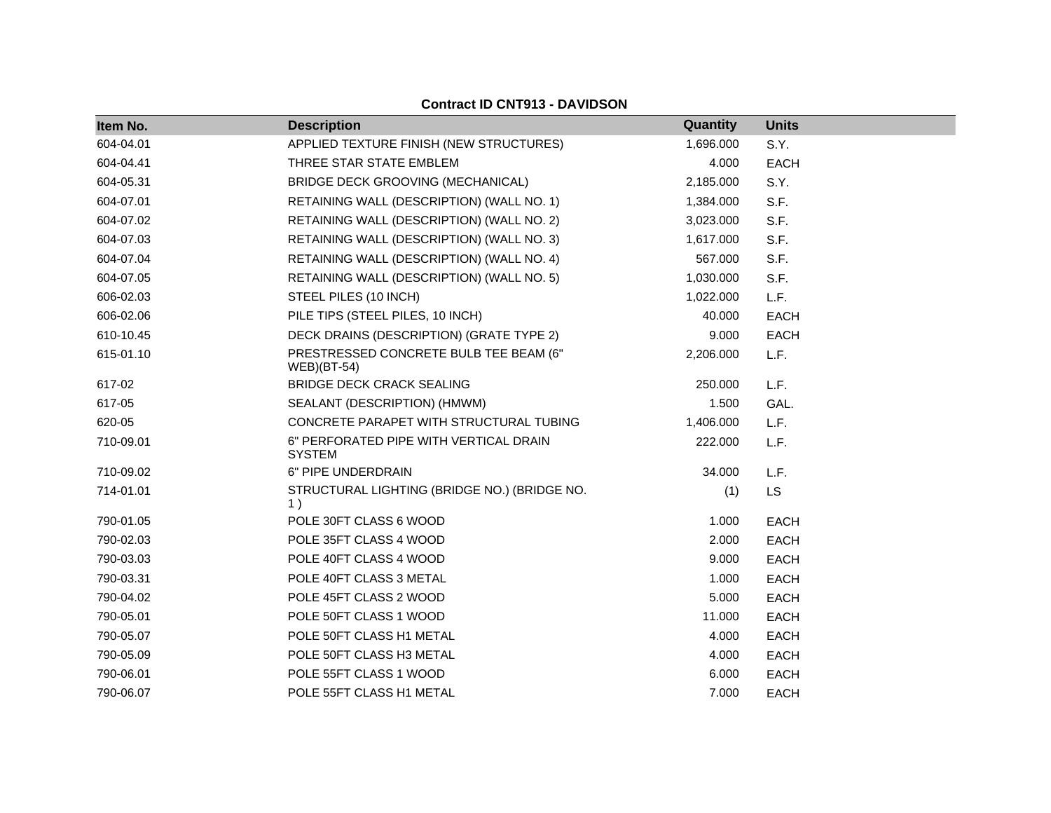### **Item No. Description Quantity Units** C.Y. 604-04.01 APPLIED TEXTURE FINISH (NEW STRUCTURES) 1,696.000 S.Y. 604-04.41 THREE STAR STATE EMBLEM 4.000 EACH 604-05.31 BRIDGE DECK GROOVING (MECHANICAL) 2,185.000 S.Y. 604-07.01 RETAINING WALL (DESCRIPTION) (WALL NO. 1) 1,384.000 S.F. 604-07.02 RETAINING WALL (DESCRIPTION) (WALL NO. 2) 3,023.000 S.F. 604-07.03 RETAINING WALL (DESCRIPTION) (WALL NO. 3) 1,617.000 S.F. 604-07.04 RETAINING WALL (DESCRIPTION) (WALL NO. 4) 567.000 S.F. 604-07.05 RETAINING WALL (DESCRIPTION) (WALL NO. 5) 1,030.000 S.F. 606-02.03 STEEL PILES (10 INCH) 1,022.000 L.F. 606-02.06 PILE TIPS (STEEL PILES, 10 INCH) 40.000 EACH 610-10.45 DECK DRAINS (DESCRIPTION) (GRATE TYPE 2) 9.000 EACH 615-01.10 PRESTRESSED CONCRETE BULB TEE BEAM (6" WEB)(BT-54) 2,206.000 L.F. 617-02 BRIDGE DECK CRACK SEALING 250.000 L.F. 617-05 SEALANT (DESCRIPTION) (HMWM) 1.500 GAL. 620-05 CONCRETE PARAPET WITH STRUCTURAL TUBING 1,406.000 L.F. 710-09.01 6" PERFORATED PIPE WITH VERTICAL DRAIN SYSTEM 222.000 L.F. 710-09.02 6" PIPE UNDERDRAIN 34.000 L.F. 714-01.01 STRUCTURAL LIGHTING (BRIDGE NO.) (BRIDGE NO. 1 ) (1) LS The set of the state of the state of the state of the state of the state of the state of the state of the state of the state of the state of the state of the state of the state of the state of the state of the state of the 790-02.03 POLE 35FT CLASS 4 WOOD 2.000 EACH 790-03.03 POLE 40FT CLASS 4 WOOD 9.000 EACH 790-03.31 POLE 40FT CLASS 3 METAL 1.000 EACH 790-04.02 POLE 45FT CLASS 2 WOOD 5.000 EACH 790-05.01 POLE 50FT CLASS 1 WOOD 11.000 EACH 790-05.07 POLE 50FT CLASS H1 METAL 4.000 EACH 790-05.09 POLE 50FT CLASS H3 METAL 4.000 EACH 790-06.01 POLE 55FT CLASS 1 WOOD 6.000 EACH 790-06.07 POLE 55FT CLASS H1 METAL 7.000 EACH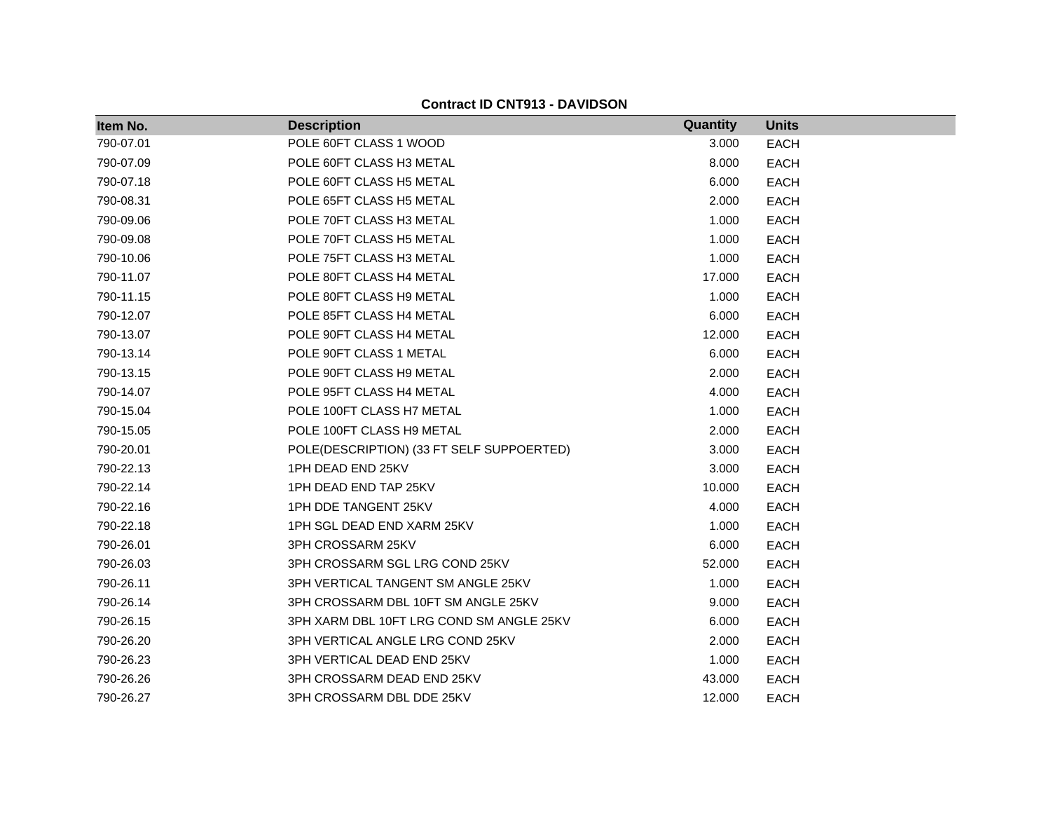| Item No.  | <b>Description</b>                        | Quantity | <b>Units</b> |
|-----------|-------------------------------------------|----------|--------------|
| 790-07.01 | POLE 60FT CLASS 1 WOOD                    | 3.000    | <b>EACH</b>  |
| 790-07.09 | POLE 60FT CLASS H3 METAL                  | 8.000    | <b>EACH</b>  |
| 790-07.18 | POLE 60FT CLASS H5 METAL                  | 6.000    | <b>EACH</b>  |
| 790-08.31 | POLE 65FT CLASS H5 METAL                  | 2.000    | <b>EACH</b>  |
| 790-09.06 | POLE 70FT CLASS H3 METAL                  | 1.000    | <b>EACH</b>  |
| 790-09.08 | POLE 70FT CLASS H5 METAL                  | 1.000    | <b>EACH</b>  |
| 790-10.06 | POLE 75FT CLASS H3 METAL                  | 1.000    | <b>EACH</b>  |
| 790-11.07 | POLE 80FT CLASS H4 METAL                  | 17.000   | <b>EACH</b>  |
| 790-11.15 | POLE 80FT CLASS H9 METAL                  | 1.000    | <b>EACH</b>  |
| 790-12.07 | POLE 85FT CLASS H4 METAL                  | 6.000    | <b>EACH</b>  |
| 790-13.07 | POLE 90FT CLASS H4 METAL                  | 12.000   | <b>EACH</b>  |
| 790-13.14 | POLE 90FT CLASS 1 METAL                   | 6.000    | <b>EACH</b>  |
| 790-13.15 | POLE 90FT CLASS H9 METAL                  | 2.000    | <b>EACH</b>  |
| 790-14.07 | POLE 95FT CLASS H4 METAL                  | 4.000    | <b>EACH</b>  |
| 790-15.04 | POLE 100FT CLASS H7 METAL                 | 1.000    | <b>EACH</b>  |
| 790-15.05 | POLE 100FT CLASS H9 METAL                 | 2.000    | <b>EACH</b>  |
| 790-20.01 | POLE(DESCRIPTION) (33 FT SELF SUPPOERTED) | 3.000    | <b>EACH</b>  |
| 790-22.13 | 1PH DEAD END 25KV                         | 3.000    | <b>EACH</b>  |
| 790-22.14 | 1PH DEAD END TAP 25KV                     | 10.000   | <b>EACH</b>  |
| 790-22.16 | 1PH DDE TANGENT 25KV                      | 4.000    | <b>EACH</b>  |
| 790-22.18 | 1PH SGL DEAD END XARM 25KV                | 1.000    | <b>EACH</b>  |
| 790-26.01 | 3PH CROSSARM 25KV                         | 6.000    | <b>EACH</b>  |
| 790-26.03 | 3PH CROSSARM SGL LRG COND 25KV            | 52.000   | <b>EACH</b>  |
| 790-26.11 | 3PH VERTICAL TANGENT SM ANGLE 25KV        | 1.000    | <b>EACH</b>  |
| 790-26.14 | 3PH CROSSARM DBL 10FT SM ANGLE 25KV       | 9.000    | <b>EACH</b>  |
| 790-26.15 | 3PH XARM DBL 10FT LRG COND SM ANGLE 25KV  | 6.000    | <b>EACH</b>  |
| 790-26.20 | 3PH VERTICAL ANGLE LRG COND 25KV          | 2.000    | <b>EACH</b>  |
| 790-26.23 | 3PH VERTICAL DEAD END 25KV                | 1.000    | <b>EACH</b>  |
| 790-26.26 | 3PH CROSSARM DEAD END 25KV                | 43.000   | <b>EACH</b>  |
| 790-26.27 | 3PH CROSSARM DBL DDE 25KV                 | 12.000   | <b>EACH</b>  |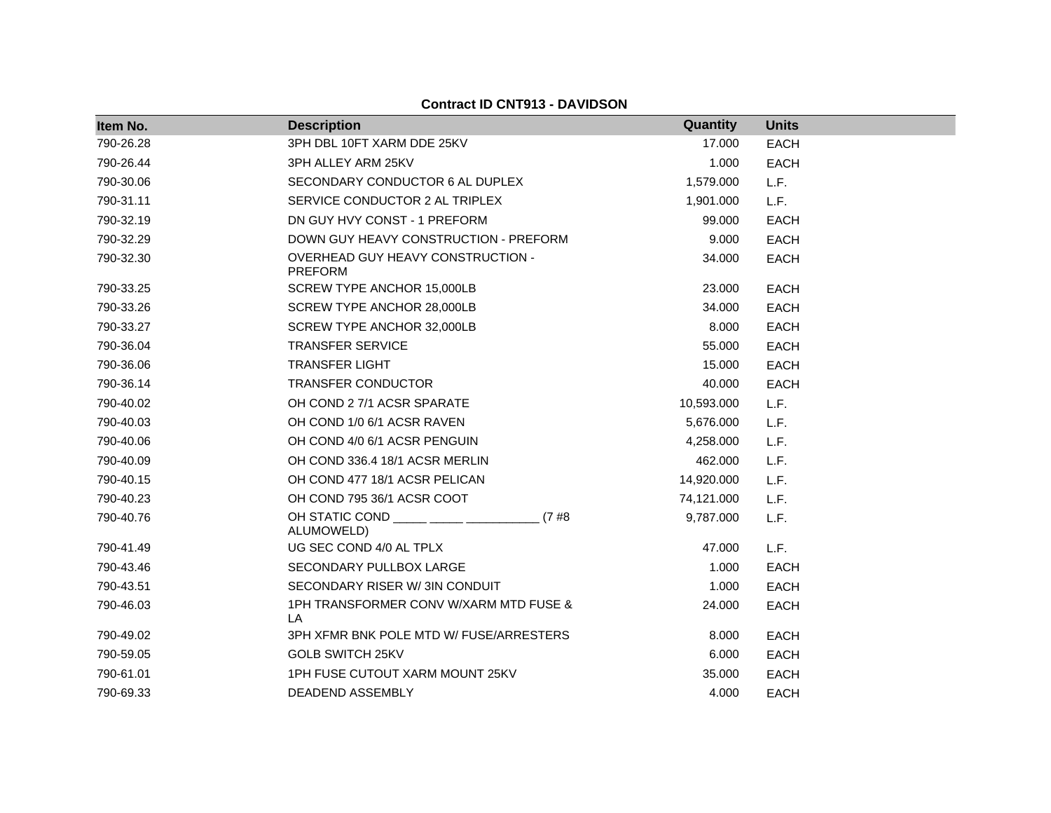| Item No.  | <b>Description</b>                                    | Quantity   | <b>Units</b> |
|-----------|-------------------------------------------------------|------------|--------------|
| 790-26.28 | 3PH DBL 10FT XARM DDE 25KV                            | 17.000     | <b>EACH</b>  |
| 790-26.44 | 3PH ALLEY ARM 25KV                                    | 1.000      | <b>EACH</b>  |
| 790-30.06 | SECONDARY CONDUCTOR 6 AL DUPLEX                       | 1,579.000  | L.F.         |
| 790-31.11 | SERVICE CONDUCTOR 2 AL TRIPLEX                        | 1,901.000  | L.F.         |
| 790-32.19 | DN GUY HVY CONST - 1 PREFORM                          | 99.000     | <b>EACH</b>  |
| 790-32.29 | DOWN GUY HEAVY CONSTRUCTION - PREFORM                 | 9.000      | <b>EACH</b>  |
| 790-32.30 | OVERHEAD GUY HEAVY CONSTRUCTION -<br><b>PREFORM</b>   | 34.000     | <b>EACH</b>  |
| 790-33.25 | SCREW TYPE ANCHOR 15,000LB                            | 23,000     | <b>EACH</b>  |
| 790-33.26 | SCREW TYPE ANCHOR 28,000LB                            | 34.000     | <b>EACH</b>  |
| 790-33.27 | SCREW TYPE ANCHOR 32,000LB                            | 8.000      | <b>EACH</b>  |
| 790-36.04 | <b>TRANSFER SERVICE</b>                               | 55.000     | <b>EACH</b>  |
| 790-36.06 | <b>TRANSFER LIGHT</b>                                 | 15.000     | <b>EACH</b>  |
| 790-36.14 | <b>TRANSFER CONDUCTOR</b>                             | 40.000     | <b>EACH</b>  |
| 790-40.02 | OH COND 2 7/1 ACSR SPARATE                            | 10,593.000 | L.F.         |
| 790-40.03 | OH COND 1/0 6/1 ACSR RAVEN                            | 5,676.000  | L.F.         |
| 790-40.06 | OH COND 4/0 6/1 ACSR PENGUIN                          | 4,258.000  | L.F.         |
| 790-40.09 | OH COND 336.4 18/1 ACSR MERLIN                        | 462.000    | L.F.         |
| 790-40.15 | OH COND 477 18/1 ACSR PELICAN                         | 14,920.000 | L.F.         |
| 790-40.23 | OH COND 795 36/1 ACSR COOT                            | 74,121.000 | L.F.         |
| 790-40.76 | OH STATIC COND _____ ____ ____<br>(7#8)<br>ALUMOWELD) | 9,787.000  | L.F.         |
| 790-41.49 | UG SEC COND 4/0 AL TPLX                               | 47.000     | L.F.         |
| 790-43.46 | SECONDARY PULLBOX LARGE                               | 1.000      | <b>EACH</b>  |
| 790-43.51 | SECONDARY RISER W/3IN CONDUIT                         | 1.000      | <b>EACH</b>  |
| 790-46.03 | 1PH TRANSFORMER CONV W/XARM MTD FUSE &<br>LA          | 24.000     | <b>EACH</b>  |
| 790-49.02 | 3PH XFMR BNK POLE MTD W/ FUSE/ARRESTERS               | 8.000      | <b>EACH</b>  |
| 790-59.05 | <b>GOLB SWITCH 25KV</b>                               | 6.000      | <b>EACH</b>  |
| 790-61.01 | 1PH FUSE CUTOUT XARM MOUNT 25KV                       | 35.000     | <b>EACH</b>  |
| 790-69.33 | DEADEND ASSEMBLY                                      | 4.000      | <b>EACH</b>  |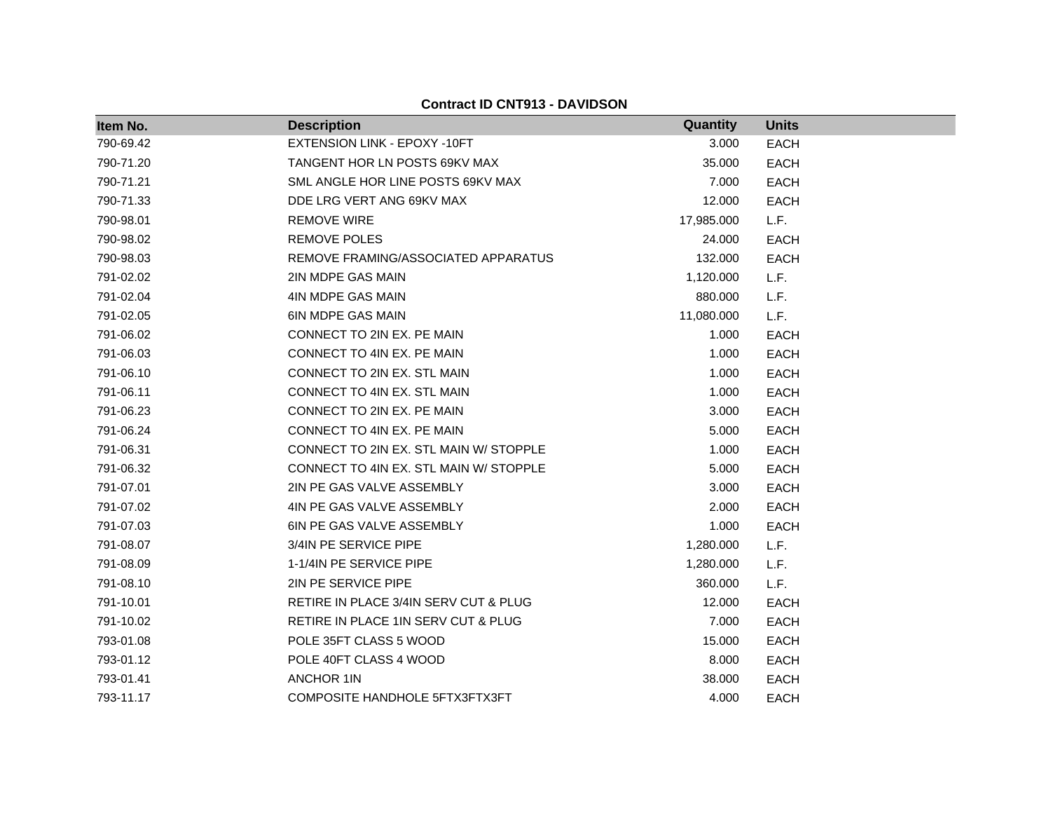| Item No.  | <b>Description</b>                     | Quantity   | <b>Units</b> |
|-----------|----------------------------------------|------------|--------------|
| 790-69.42 | EXTENSION LINK - EPOXY -10FT           | 3.000      | <b>EACH</b>  |
| 790-71.20 | TANGENT HOR LN POSTS 69KV MAX          | 35.000     | <b>EACH</b>  |
| 790-71.21 | SML ANGLE HOR LINE POSTS 69KV MAX      | 7.000      | <b>EACH</b>  |
| 790-71.33 | DDE LRG VERT ANG 69KV MAX              | 12.000     | <b>EACH</b>  |
| 790-98.01 | <b>REMOVE WIRE</b>                     | 17,985.000 | L.F.         |
| 790-98.02 | <b>REMOVE POLES</b>                    | 24.000     | <b>EACH</b>  |
| 790-98.03 | REMOVE FRAMING/ASSOCIATED APPARATUS    | 132.000    | <b>EACH</b>  |
| 791-02.02 | 2IN MDPE GAS MAIN                      | 1,120.000  | L.F.         |
| 791-02.04 | 4IN MDPE GAS MAIN                      | 880.000    | L.F.         |
| 791-02.05 | <b>6IN MDPE GAS MAIN</b>               | 11,080.000 | L.F.         |
| 791-06.02 | CONNECT TO 2IN EX. PE MAIN             | 1.000      | <b>EACH</b>  |
| 791-06.03 | CONNECT TO 4IN EX. PE MAIN             | 1.000      | <b>EACH</b>  |
| 791-06.10 | CONNECT TO 2IN EX. STL MAIN            | 1.000      | <b>EACH</b>  |
| 791-06.11 | CONNECT TO 4IN EX. STL MAIN            | 1.000      | <b>EACH</b>  |
| 791-06.23 | CONNECT TO 2IN EX. PE MAIN             | 3.000      | <b>EACH</b>  |
| 791-06.24 | CONNECT TO 4IN EX. PE MAIN             | 5.000      | <b>EACH</b>  |
| 791-06.31 | CONNECT TO 2IN EX. STL MAIN W/ STOPPLE | 1.000      | <b>EACH</b>  |
| 791-06.32 | CONNECT TO 4IN EX. STL MAIN W/ STOPPLE | 5.000      | <b>EACH</b>  |
| 791-07.01 | 2IN PE GAS VALVE ASSEMBLY              | 3.000      | <b>EACH</b>  |
| 791-07.02 | 4IN PE GAS VALVE ASSEMBLY              | 2.000      | <b>EACH</b>  |
| 791-07.03 | 6IN PE GAS VALVE ASSEMBLY              | 1.000      | <b>EACH</b>  |
| 791-08.07 | 3/4IN PE SERVICE PIPE                  | 1,280.000  | L.F.         |
| 791-08.09 | 1-1/4IN PE SERVICE PIPE                | 1,280.000  | L.F.         |
| 791-08.10 | 2IN PE SERVICE PIPE                    | 360.000    | L.F.         |
| 791-10.01 | RETIRE IN PLACE 3/4IN SERV CUT & PLUG  | 12.000     | <b>EACH</b>  |
| 791-10.02 | RETIRE IN PLACE 1IN SERV CUT & PLUG    | 7.000      | <b>EACH</b>  |
| 793-01.08 | POLE 35FT CLASS 5 WOOD                 | 15.000     | <b>EACH</b>  |
| 793-01.12 | POLE 40FT CLASS 4 WOOD                 | 8.000      | <b>EACH</b>  |
| 793-01.41 | ANCHOR 1IN                             | 38.000     | <b>EACH</b>  |
| 793-11.17 | COMPOSITE HANDHOLE 5FTX3FTX3FT         | 4.000      | <b>EACH</b>  |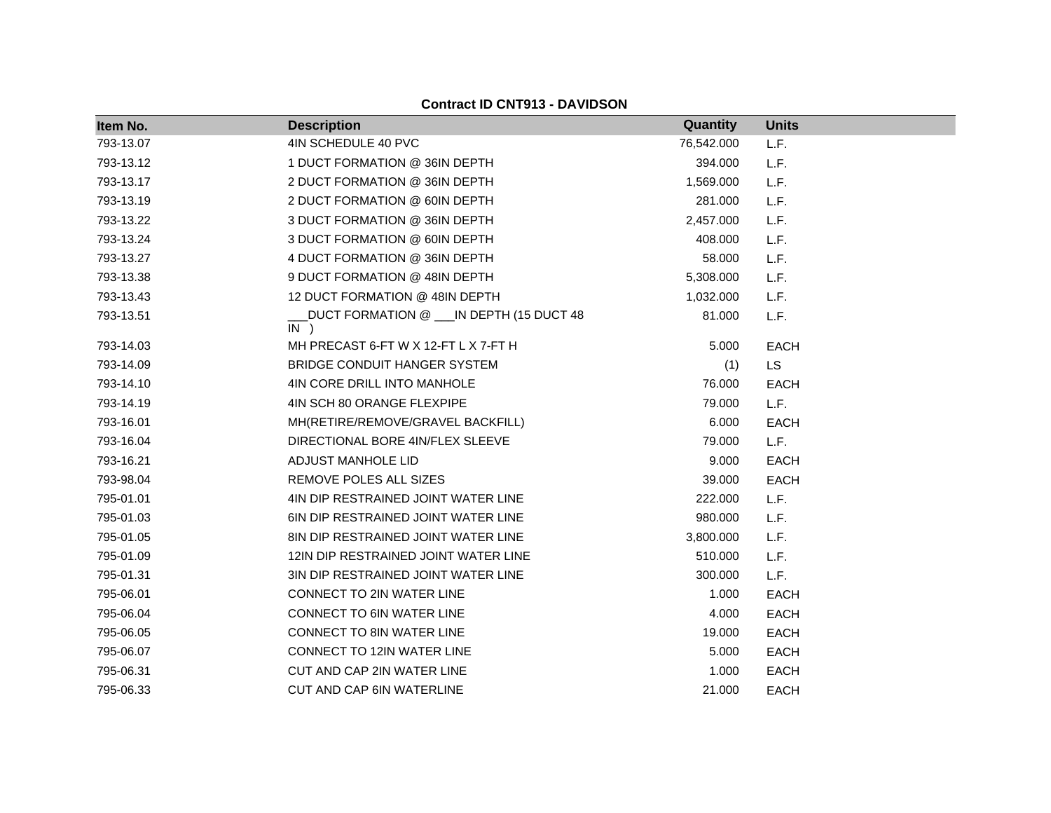| Item No.  | <b>Description</b>                                  | Quantity   | <b>Units</b> |
|-----------|-----------------------------------------------------|------------|--------------|
| 793-13.07 | 4IN SCHEDULE 40 PVC                                 | 76,542.000 | L.F.         |
| 793-13.12 | 1 DUCT FORMATION @ 36IN DEPTH                       | 394.000    | L.F.         |
| 793-13.17 | 2 DUCT FORMATION @ 36IN DEPTH                       | 1,569.000  | L.F.         |
| 793-13.19 | 2 DUCT FORMATION @ 60IN DEPTH                       | 281.000    | L.F.         |
| 793-13.22 | 3 DUCT FORMATION @ 36IN DEPTH                       | 2,457.000  | L.F.         |
| 793-13.24 | 3 DUCT FORMATION @ 60IN DEPTH                       | 408.000    | L.F.         |
| 793-13.27 | 4 DUCT FORMATION @ 36IN DEPTH                       | 58.000     | L.F.         |
| 793-13.38 | 9 DUCT FORMATION @ 48IN DEPTH                       | 5,308.000  | L.F.         |
| 793-13.43 | 12 DUCT FORMATION @ 48IN DEPTH                      | 1,032.000  | L.F.         |
| 793-13.51 | DUCT FORMATION @ ___ IN DEPTH (15 DUCT 48<br>$IN$ ) | 81.000     | L.F.         |
| 793-14.03 | MH PRECAST 6-FT W X 12-FT L X 7-FT H                | 5.000      | <b>EACH</b>  |
| 793-14.09 | <b>BRIDGE CONDUIT HANGER SYSTEM</b>                 | (1)        | <b>LS</b>    |
| 793-14.10 | 4IN CORE DRILL INTO MANHOLE                         | 76.000     | <b>EACH</b>  |
| 793-14.19 | 4IN SCH 80 ORANGE FLEXPIPE                          | 79.000     | L.F.         |
| 793-16.01 | MH(RETIRE/REMOVE/GRAVEL BACKFILL)                   | 6.000      | <b>EACH</b>  |
| 793-16.04 | DIRECTIONAL BORE 4IN/FLEX SLEEVE                    | 79.000     | L.F.         |
| 793-16.21 | <b>ADJUST MANHOLE LID</b>                           | 9.000      | <b>EACH</b>  |
| 793-98.04 | REMOVE POLES ALL SIZES                              | 39.000     | <b>EACH</b>  |
| 795-01.01 | 4IN DIP RESTRAINED JOINT WATER LINE                 | 222.000    | L.F.         |
| 795-01.03 | 6IN DIP RESTRAINED JOINT WATER LINE                 | 980.000    | L.F.         |
| 795-01.05 | 8IN DIP RESTRAINED JOINT WATER LINE                 | 3,800.000  | L.F.         |
| 795-01.09 | 12IN DIP RESTRAINED JOINT WATER LINE                | 510.000    | L.F.         |
| 795-01.31 | 3IN DIP RESTRAINED JOINT WATER LINE                 | 300.000    | L.F.         |
| 795-06.01 | CONNECT TO 2IN WATER LINE                           | 1.000      | <b>EACH</b>  |
| 795-06.04 | CONNECT TO 6IN WATER LINE                           | 4.000      | <b>EACH</b>  |
| 795-06.05 | <b>CONNECT TO 8IN WATER LINE</b>                    | 19.000     | <b>EACH</b>  |
| 795-06.07 | CONNECT TO 12IN WATER LINE                          | 5.000      | <b>EACH</b>  |
| 795-06.31 | CUT AND CAP 2IN WATER LINE                          | 1.000      | <b>EACH</b>  |
| 795-06.33 | <b>CUT AND CAP 6IN WATERLINE</b>                    | 21.000     | <b>EACH</b>  |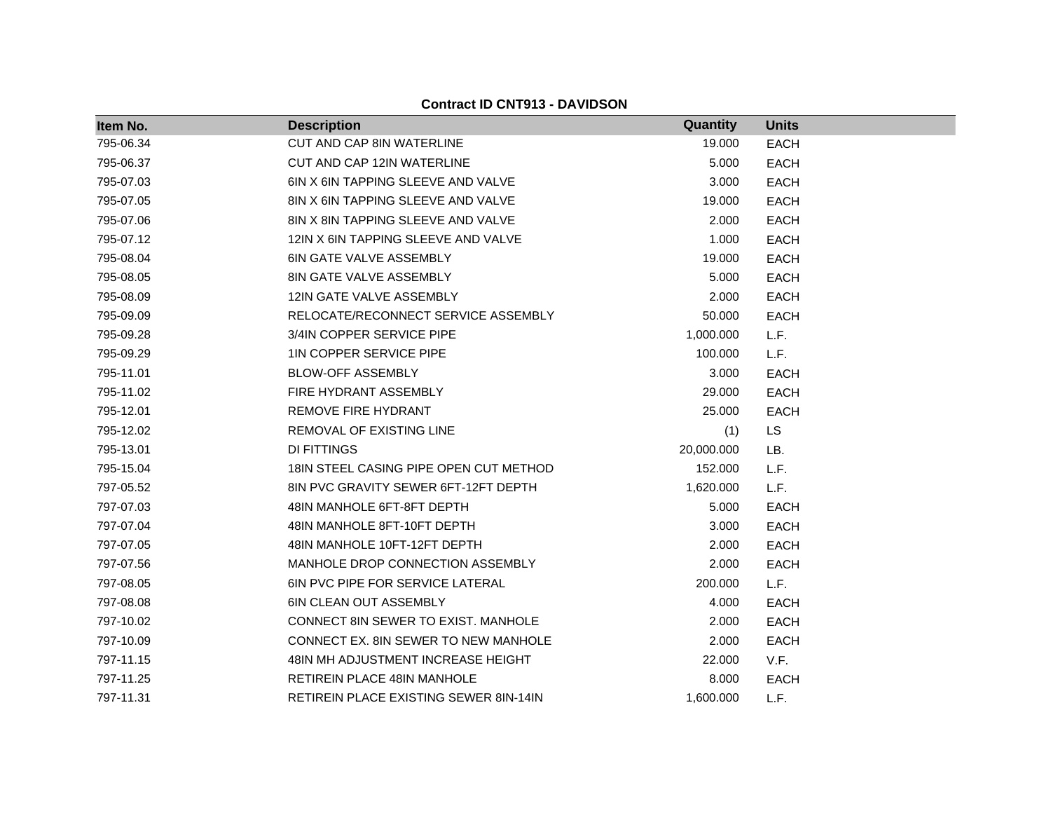| Item No.  | <b>Description</b>                            | Quantity   | <b>Units</b> |
|-----------|-----------------------------------------------|------------|--------------|
| 795-06.34 | <b>CUT AND CAP 8IN WATERLINE</b>              | 19.000     | <b>EACH</b>  |
| 795-06.37 | CUT AND CAP 12IN WATERLINE                    | 5.000      | <b>EACH</b>  |
| 795-07.03 | 6IN X 6IN TAPPING SLEEVE AND VALVE            | 3.000      | <b>EACH</b>  |
| 795-07.05 | 8IN X 6IN TAPPING SLEEVE AND VALVE            | 19.000     | <b>EACH</b>  |
| 795-07.06 | 8IN X 8IN TAPPING SLEEVE AND VALVE            | 2.000      | <b>EACH</b>  |
| 795-07.12 | 12IN X 6IN TAPPING SLEEVE AND VALVE           | 1.000      | <b>EACH</b>  |
| 795-08.04 | <b>6IN GATE VALVE ASSEMBLY</b>                | 19.000     | <b>EACH</b>  |
| 795-08.05 | <b>8IN GATE VALVE ASSEMBLY</b>                | 5.000      | <b>EACH</b>  |
| 795-08.09 | 12IN GATE VALVE ASSEMBLY                      | 2.000      | <b>EACH</b>  |
| 795-09.09 | RELOCATE/RECONNECT SERVICE ASSEMBLY           | 50.000     | <b>EACH</b>  |
| 795-09.28 | 3/4IN COPPER SERVICE PIPE                     | 1,000.000  | L.F.         |
| 795-09.29 | <b>1IN COPPER SERVICE PIPE</b>                | 100.000    | L.F.         |
| 795-11.01 | <b>BLOW-OFF ASSEMBLY</b>                      | 3.000      | <b>EACH</b>  |
| 795-11.02 | FIRE HYDRANT ASSEMBLY                         | 29.000     | <b>EACH</b>  |
| 795-12.01 | REMOVE FIRE HYDRANT                           | 25.000     | <b>EACH</b>  |
| 795-12.02 | REMOVAL OF EXISTING LINE                      | (1)        | LS           |
| 795-13.01 | DI FITTINGS                                   | 20,000.000 | LB.          |
| 795-15.04 | 18 IN STEEL CASING PIPE OPEN CUT METHOD       | 152.000    | L.F.         |
| 797-05.52 | 8IN PVC GRAVITY SEWER 6FT-12FT DEPTH          | 1,620.000  | L.F.         |
| 797-07.03 | 48IN MANHOLE 6FT-8FT DEPTH                    | 5.000      | <b>EACH</b>  |
| 797-07.04 | 48IN MANHOLE 8FT-10FT DEPTH                   | 3.000      | <b>EACH</b>  |
| 797-07.05 | 48IN MANHOLE 10FT-12FT DEPTH                  | 2.000      | <b>EACH</b>  |
| 797-07.56 | MANHOLE DROP CONNECTION ASSEMBLY              | 2.000      | <b>EACH</b>  |
| 797-08.05 | <b>6IN PVC PIPE FOR SERVICE LATERAL</b>       | 200.000    | L.F.         |
| 797-08.08 | <b>6IN CLEAN OUT ASSEMBLY</b>                 | 4.000      | <b>EACH</b>  |
| 797-10.02 | CONNECT 8IN SEWER TO EXIST. MANHOLE           | 2.000      | <b>EACH</b>  |
| 797-10.09 | CONNECT EX. 8IN SEWER TO NEW MANHOLE          | 2.000      | <b>EACH</b>  |
| 797-11.15 | 48IN MH ADJUSTMENT INCREASE HEIGHT            | 22.000     | V.F.         |
| 797-11.25 | RETIREIN PLACE 48IN MANHOLE                   | 8.000      | <b>EACH</b>  |
| 797-11.31 | <b>RETIREIN PLACE EXISTING SEWER 8IN-14IN</b> | 1,600.000  | L.F.         |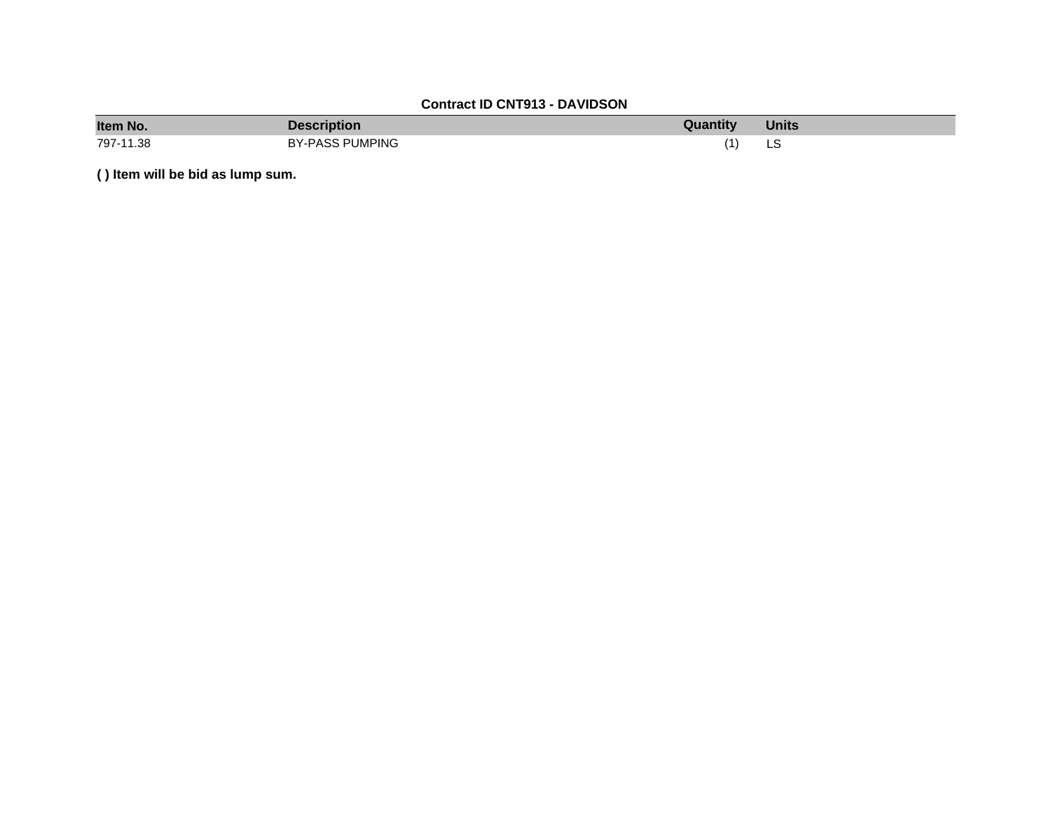| Item No.  | Description            | Quantity | <b>Units</b> |
|-----------|------------------------|----------|--------------|
| 797-11.38 | <b>BY-PASS PUMPING</b> |          | LS           |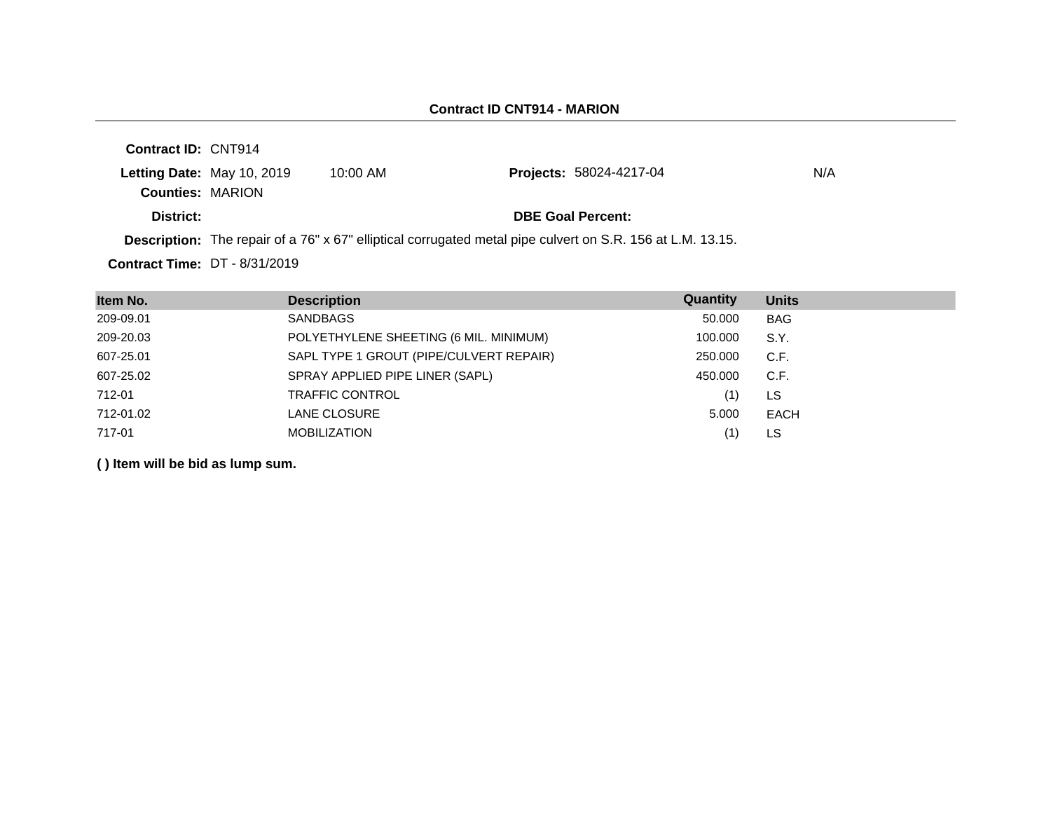| <b>Contract ID: CNT914</b>           |                                                                                                                   |                                |     |
|--------------------------------------|-------------------------------------------------------------------------------------------------------------------|--------------------------------|-----|
| <b>Letting Date: May 10, 2019</b>    | $10:00$ AM                                                                                                        | <b>Projects: 58024-4217-04</b> | N/A |
| <b>Counties: MARION</b>              |                                                                                                                   |                                |     |
| District:                            |                                                                                                                   | <b>DBE Goal Percent:</b>       |     |
|                                      | <b>Description:</b> The repair of a 76" x 67" elliptical corrugated metal pipe culvert on S.R. 156 at L.M. 13.15. |                                |     |
| <b>Contract Time: DT - 8/31/2019</b> |                                                                                                                   |                                |     |

| Item No.  | <b>Description</b>                      | Quantity | <b>Units</b> |
|-----------|-----------------------------------------|----------|--------------|
| 209-09.01 | SANDBAGS                                | 50.000   | <b>BAG</b>   |
| 209-20.03 | POLYETHYLENE SHEETING (6 MIL. MINIMUM)  | 100.000  | S.Y.         |
| 607-25.01 | SAPL TYPE 1 GROUT (PIPE/CULVERT REPAIR) | 250,000  | C.F.         |
| 607-25.02 | SPRAY APPLIED PIPE LINER (SAPL)         | 450.000  | C.F.         |
| 712-01    | <b>TRAFFIC CONTROL</b>                  | (1)      | LS           |
| 712-01.02 | LANE CLOSURE                            | 5.000    | <b>EACH</b>  |
| 717-01    | <b>MOBILIZATION</b>                     | (1       | LS           |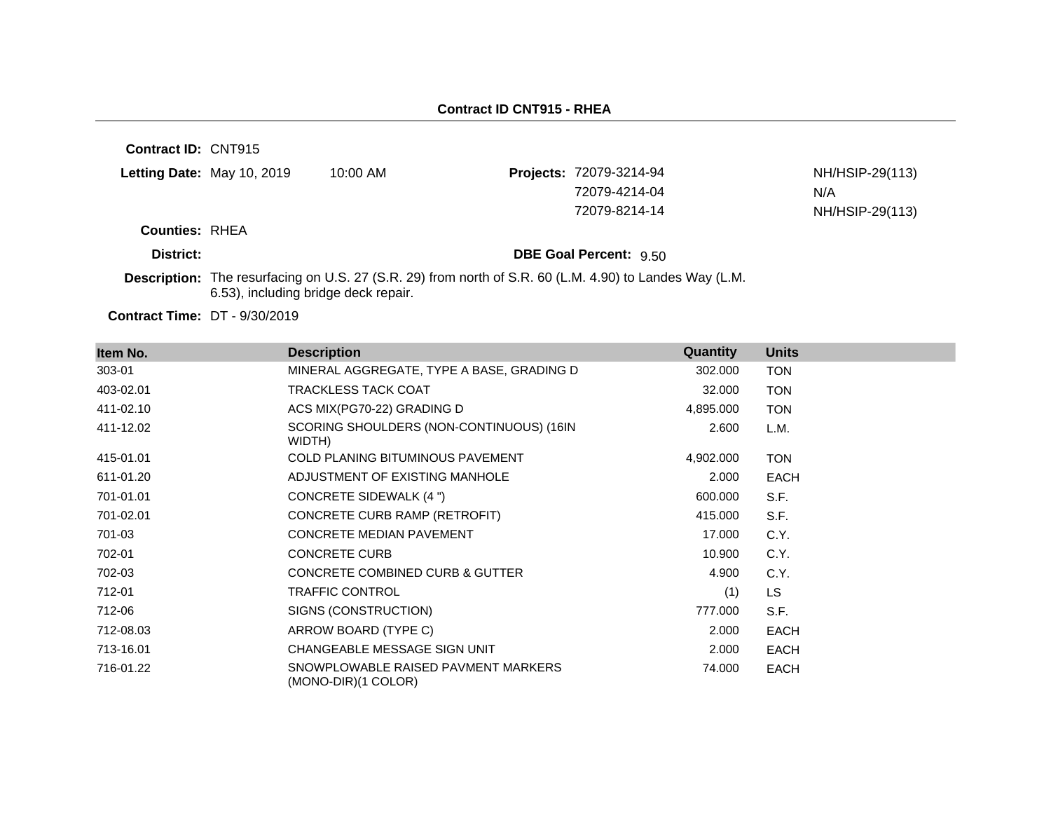**Contract ID:** CNT915 **Letting Date:** May 10, 2019 10:00 AM **Projects:** 72079-3214-94 **Counties:** RHEA **District: District: DBE Goal Percent:** 9.50 NH/HSIP-29(113) 72079-4214-04 N/A 72079-8214-14 NH/HSIP-29(113)

**Description:** The resurfacing on U.S. 27 (S.R. 29) from north of S.R. 60 (L.M. 4.90) to Landes Way (L.M. 6.53), including bridge deck repair.

**Contract Time:** DT - 9/30/2019

| Item No.  | <b>Description</b>                                         | Quantity  | <b>Units</b> |
|-----------|------------------------------------------------------------|-----------|--------------|
| 303-01    | MINERAL AGGREGATE, TYPE A BASE, GRADING D                  | 302.000   | <b>TON</b>   |
| 403-02.01 | <b>TRACKLESS TACK COAT</b>                                 | 32.000    | <b>TON</b>   |
| 411-02.10 | ACS MIX(PG70-22) GRADING D                                 | 4,895.000 | <b>TON</b>   |
| 411-12.02 | SCORING SHOULDERS (NON-CONTINUOUS) (16IN<br>WIDTH)         | 2.600     | L.M.         |
| 415-01.01 | COLD PLANING BITUMINOUS PAVEMENT                           | 4,902.000 | <b>TON</b>   |
| 611-01.20 | ADJUSTMENT OF EXISTING MANHOLE                             | 2.000     | <b>EACH</b>  |
| 701-01.01 | CONCRETE SIDEWALK (4 ")                                    | 600.000   | S.F.         |
| 701-02.01 | CONCRETE CURB RAMP (RETROFIT)                              | 415.000   | S.F.         |
| 701-03    | <b>CONCRETE MEDIAN PAVEMENT</b>                            | 17.000    | C.Y.         |
| 702-01    | <b>CONCRETE CURB</b>                                       | 10.900    | C.Y.         |
| 702-03    | <b>CONCRETE COMBINED CURB &amp; GUTTER</b>                 | 4.900     | C.Y.         |
| 712-01    | TRAFFIC CONTROL                                            | (1)       | <b>LS</b>    |
| 712-06    | SIGNS (CONSTRUCTION)                                       | 777.000   | S.F.         |
| 712-08.03 | ARROW BOARD (TYPE C)                                       | 2.000     | <b>EACH</b>  |
| 713-16.01 | CHANGEABLE MESSAGE SIGN UNIT                               | 2.000     | <b>EACH</b>  |
| 716-01.22 | SNOWPLOWABLE RAISED PAVMENT MARKERS<br>(MONO-DIR)(1 COLOR) | 74.000    | <b>EACH</b>  |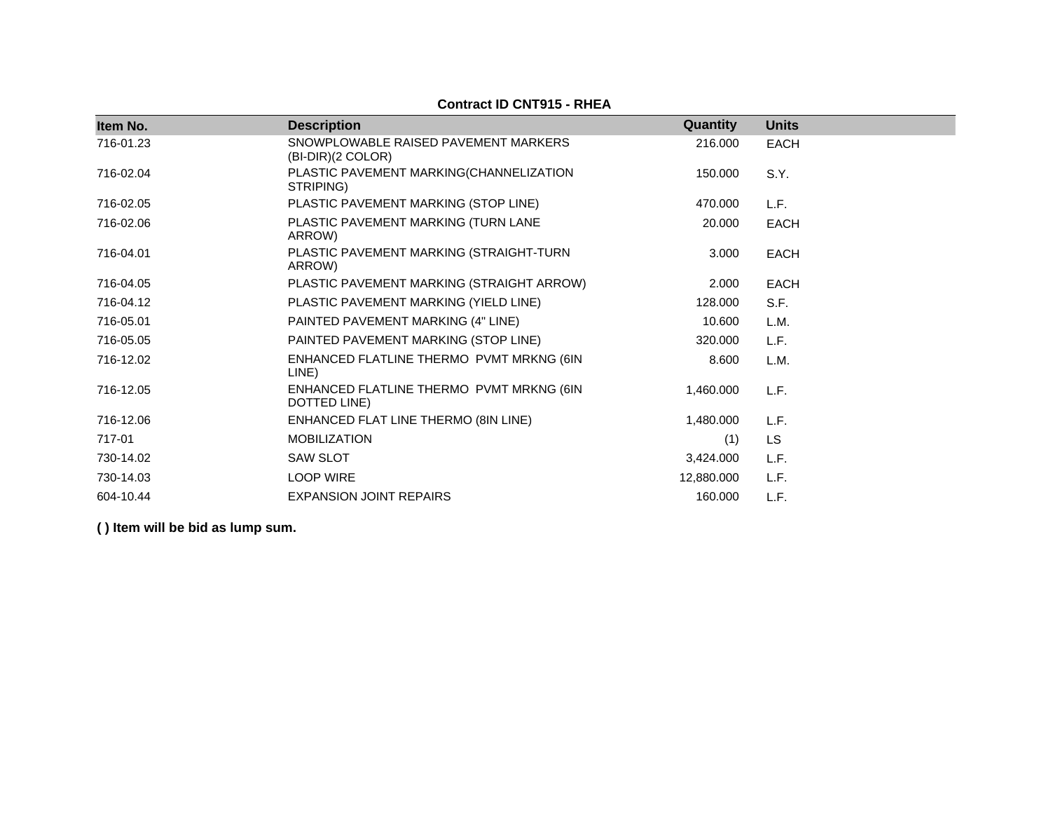| Item No.  | <b>Description</b>                                        | Quantity   | <b>Units</b> |
|-----------|-----------------------------------------------------------|------------|--------------|
| 716-01.23 | SNOWPLOWABLE RAISED PAVEMENT MARKERS<br>(BI-DIR)(2 COLOR) | 216.000    | <b>EACH</b>  |
| 716-02.04 | PLASTIC PAVEMENT MARKING(CHANNELIZATION<br>STRIPING)      | 150.000    | S.Y.         |
| 716-02.05 | PLASTIC PAVEMENT MARKING (STOP LINE)                      | 470.000    | L.F.         |
| 716-02.06 | PLASTIC PAVEMENT MARKING (TURN LANE<br>ARROW)             | 20.000     | <b>EACH</b>  |
| 716-04.01 | PLASTIC PAVEMENT MARKING (STRAIGHT-TURN<br>ARROW)         | 3.000      | <b>EACH</b>  |
| 716-04.05 | PLASTIC PAVEMENT MARKING (STRAIGHT ARROW)                 | 2.000      | <b>EACH</b>  |
| 716-04.12 | PLASTIC PAVEMENT MARKING (YIELD LINE)                     | 128.000    | S.F.         |
| 716-05.01 | PAINTED PAVEMENT MARKING (4" LINE)                        | 10.600     | L.M.         |
| 716-05.05 | PAINTED PAVEMENT MARKING (STOP LINE)                      | 320.000    | L.F.         |
| 716-12.02 | ENHANCED FLATLINE THERMO PVMT MRKNG (6IN<br>LINE)         | 8.600      | L.M.         |
| 716-12.05 | ENHANCED FLATLINE THERMO PVMT MRKNG (6IN<br>DOTTED LINE)  | 1,460.000  | L.F.         |
| 716-12.06 | ENHANCED FLAT LINE THERMO (8IN LINE)                      | 1,480.000  | L.F.         |
| 717-01    | <b>MOBILIZATION</b>                                       | (1)        | LS           |
| 730-14.02 | <b>SAW SLOT</b>                                           | 3,424.000  | L.F.         |
| 730-14.03 | <b>LOOP WIRE</b>                                          | 12,880.000 | L.F.         |
| 604-10.44 | <b>EXPANSION JOINT REPAIRS</b>                            | 160.000    | L.F.         |

**Contract ID CNT915 - RHEA**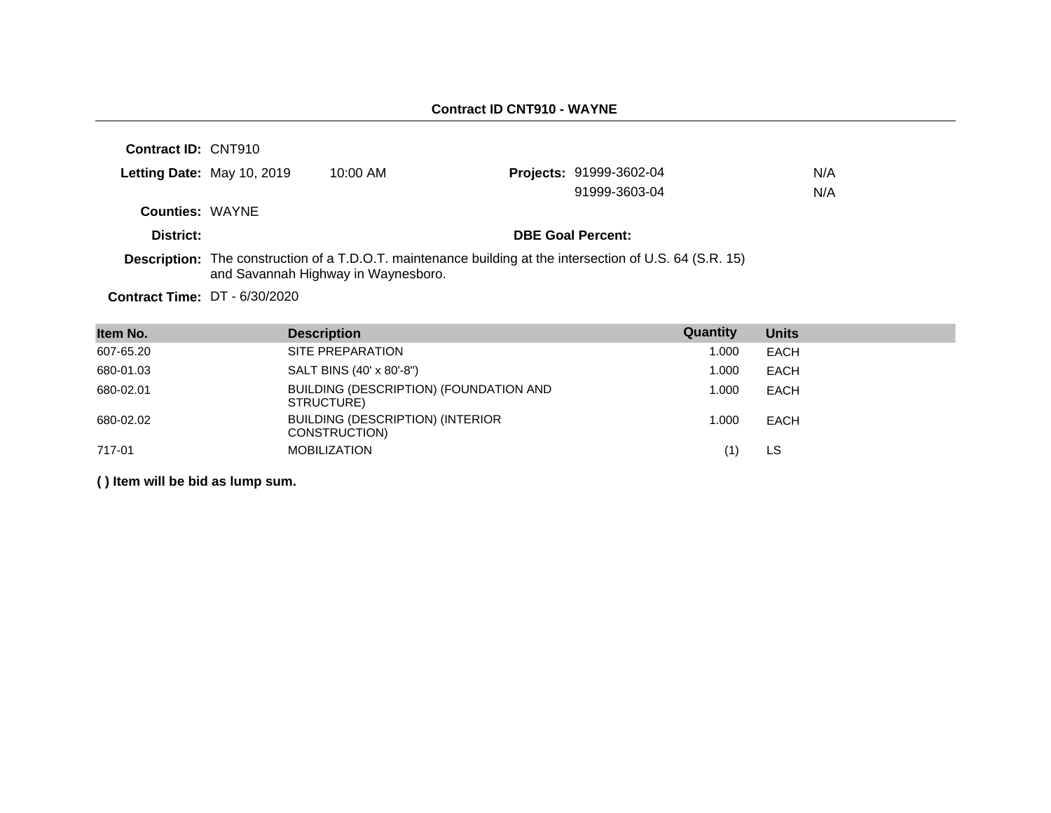# **Contract ID CNT910 - WAYNE**

| Contract ID: CNT910                  |                            |                                     |                                                                                                                  |     |
|--------------------------------------|----------------------------|-------------------------------------|------------------------------------------------------------------------------------------------------------------|-----|
|                                      | Letting Date: May 10, 2019 | $10:00$ AM                          | Projects: 91999-3602-04                                                                                          | N/A |
|                                      |                            |                                     | 91999-3603-04                                                                                                    | N/A |
| <b>Counties: WAYNE</b>               |                            |                                     |                                                                                                                  |     |
| District:                            |                            |                                     | <b>DBE Goal Percent:</b>                                                                                         |     |
|                                      |                            | and Savannah Highway in Waynesboro. | <b>Description:</b> The construction of a T.D.O.T. maintenance building at the intersection of U.S. 64 (S.R. 15) |     |
| <b>Contract Time: DT - 6/30/2020</b> |                            |                                     |                                                                                                                  |     |

| Item No.  | <b>Description</b>                                       | Quantity | <b>Units</b> |
|-----------|----------------------------------------------------------|----------|--------------|
| 607-65.20 | SITE PREPARATION                                         | 1.000    | <b>EACH</b>  |
| 680-01.03 | SALT BINS (40' x 80'-8")                                 | 1.000    | <b>EACH</b>  |
| 680-02.01 | BUILDING (DESCRIPTION) (FOUNDATION AND<br>STRUCTURE)     | 1.000    | <b>EACH</b>  |
| 680-02.02 | <b>BUILDING (DESCRIPTION) (INTERIOR</b><br>CONSTRUCTION) | 1.000    | <b>EACH</b>  |
| 717-01    | <b>MOBILIZATION</b>                                      | (1)      | LS.          |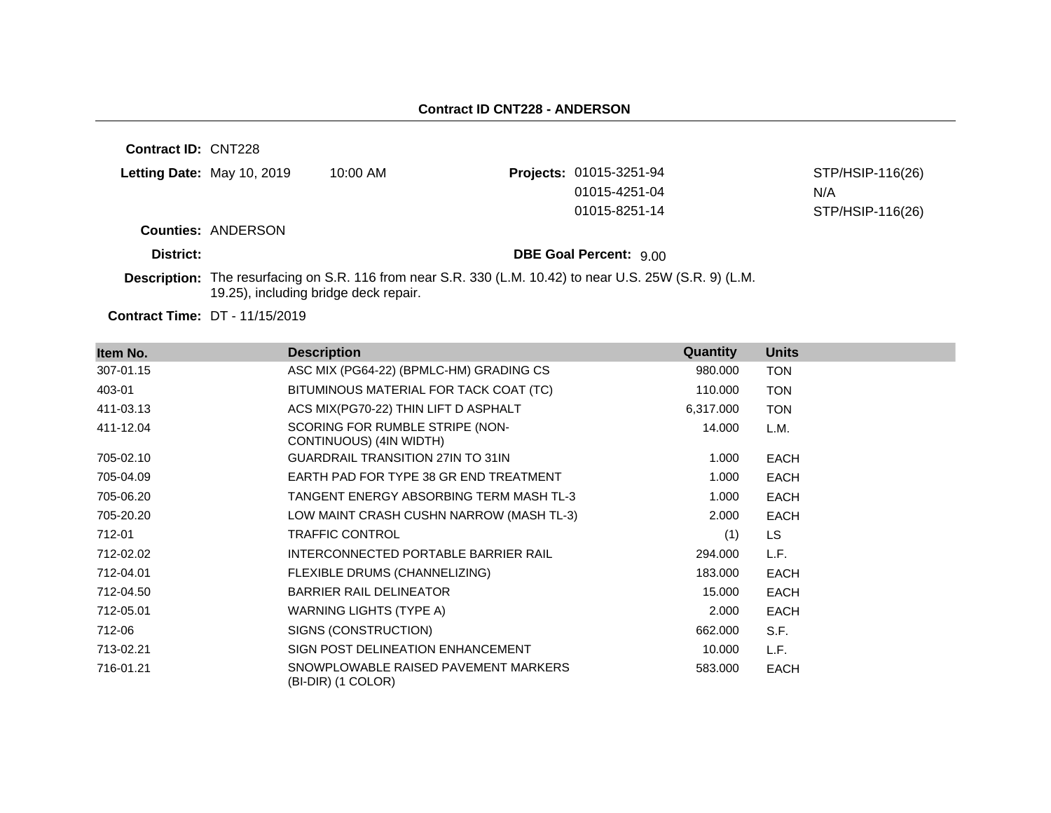**Contract ID:** CNT228 **Letting Date:** May 10, 2019 10:00 AM **Projects:** 01015-3251-94 **Counties:** ANDERSON **District: District: DBE Goal Percent:**  $9.00$ **Description:** The resurfacing on S.R. 116 from near S.R. 330 (L.M. 10.42) to near U.S. 25W (S.R. 9) (L.M. 19.25), including bridge deck repair. STP/HSIP-116(26) 01015-4251-04 N/A 01015-8251-14 STP/HSIP-116(26)

**Contract Time:** DT - 11/15/2019

| Item No.  | <b>Description</b>                                         | Quantity  | <b>Units</b> |
|-----------|------------------------------------------------------------|-----------|--------------|
| 307-01.15 | ASC MIX (PG64-22) (BPMLC-HM) GRADING CS                    | 980.000   | <b>TON</b>   |
| 403-01    | BITUMINOUS MATERIAL FOR TACK COAT (TC)                     | 110.000   | <b>TON</b>   |
| 411-03.13 | ACS MIX(PG70-22) THIN LIFT D ASPHALT                       | 6,317.000 | <b>TON</b>   |
| 411-12.04 | SCORING FOR RUMBLE STRIPE (NON-<br>CONTINUOUS) (4IN WIDTH) | 14.000    | L.M.         |
| 705-02.10 | <b>GUARDRAIL TRANSITION 27IN TO 31IN</b>                   | 1.000     | <b>EACH</b>  |
| 705-04.09 | EARTH PAD FOR TYPE 38 GR END TREATMENT                     | 1.000     | <b>EACH</b>  |
| 705-06.20 | TANGENT ENERGY ABSORBING TERM MASH TL-3                    | 1.000     | <b>EACH</b>  |
| 705-20.20 | LOW MAINT CRASH CUSHN NARROW (MASH TL-3)                   | 2.000     | <b>EACH</b>  |
| 712-01    | <b>TRAFFIC CONTROL</b>                                     | (1)       | LS.          |
| 712-02.02 | INTERCONNECTED PORTABLE BARRIER RAIL                       | 294.000   | L.F.         |
| 712-04.01 | FLEXIBLE DRUMS (CHANNELIZING)                              | 183.000   | <b>EACH</b>  |
| 712-04.50 | <b>BARRIER RAIL DELINEATOR</b>                             | 15.000    | <b>EACH</b>  |
| 712-05.01 | WARNING LIGHTS (TYPE A)                                    | 2.000     | <b>EACH</b>  |
| 712-06    | SIGNS (CONSTRUCTION)                                       | 662.000   | S.F.         |
| 713-02.21 | SIGN POST DELINEATION ENHANCEMENT                          | 10.000    | L.F.         |
| 716-01.21 | SNOWPLOWABLE RAISED PAVEMENT MARKERS<br>(BI-DIR) (1 COLOR) | 583.000   | <b>EACH</b>  |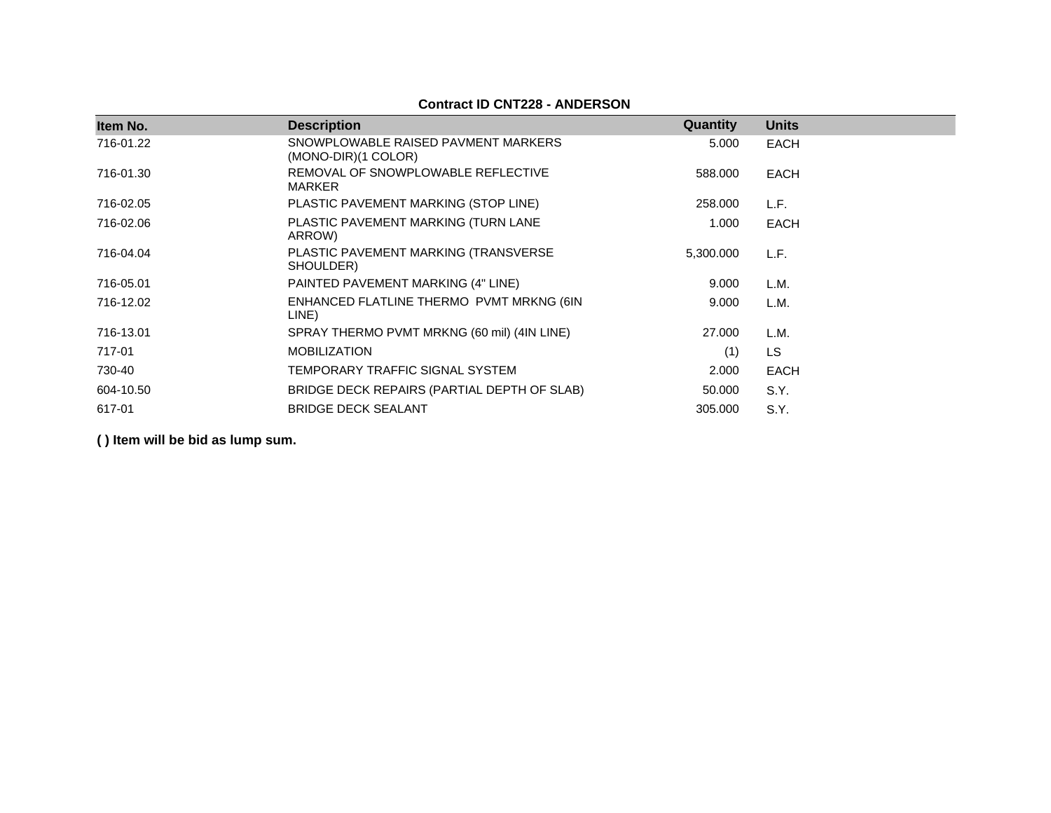# **Contract ID CNT228 - ANDERSON**

| Item No.  | <b>Description</b>                                         | Quantity  | <b>Units</b> |
|-----------|------------------------------------------------------------|-----------|--------------|
| 716-01.22 | SNOWPLOWABLE RAISED PAVMENT MARKERS<br>(MONO-DIR)(1 COLOR) | 5.000     | EACH         |
| 716-01.30 | REMOVAL OF SNOWPLOWABLE REFLECTIVE<br><b>MARKER</b>        | 588,000   | EACH         |
| 716-02.05 | PLASTIC PAVEMENT MARKING (STOP LINE)                       | 258.000   | L.F.         |
| 716-02.06 | PLASTIC PAVEMENT MARKING (TURN LANE<br>ARROW)              | 1.000     | EACH         |
| 716-04.04 | PLASTIC PAVEMENT MARKING (TRANSVERSE<br>SHOULDER)          | 5,300.000 | L.F.         |
| 716-05.01 | PAINTED PAVEMENT MARKING (4" LINE)                         | 9.000     | L.M.         |
| 716-12.02 | ENHANCED FLATLINE THERMO PVMT MRKNG (6IN<br>LINE)          | 9.000     | L.M.         |
| 716-13.01 | SPRAY THERMO PVMT MRKNG (60 mil) (4IN LINE)                | 27,000    | L.M.         |
| 717-01    | <b>MOBILIZATION</b>                                        | (1)       | <b>LS</b>    |
| 730-40    | TEMPORARY TRAFFIC SIGNAL SYSTEM                            | 2.000     | <b>EACH</b>  |
| 604-10.50 | BRIDGE DECK REPAIRS (PARTIAL DEPTH OF SLAB)                | 50.000    | S.Y.         |
| 617-01    | <b>BRIDGE DECK SEALANT</b>                                 | 305,000   | S.Y.         |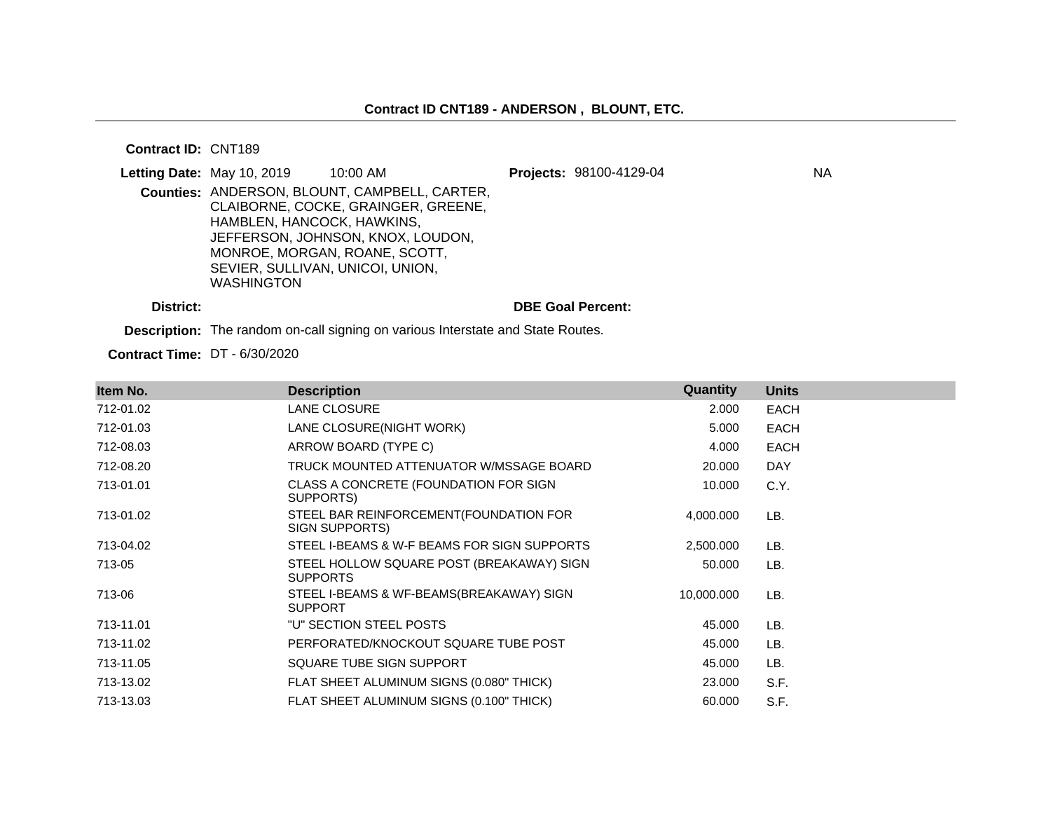**Contract ID:** CNT189

| Letting Date: May 10, 2019 |                                                                                     | $10:00$ AM                                                                                                                                                 | Projects: 98100-4129-04  | <b>NA</b> |
|----------------------------|-------------------------------------------------------------------------------------|------------------------------------------------------------------------------------------------------------------------------------------------------------|--------------------------|-----------|
|                            | HAMBLEN, HANCOCK, HAWKINS,<br>SEVIER, SULLIVAN, UNICOI, UNION,<br><b>WASHINGTON</b> | Counties: ANDERSON, BLOUNT, CAMPBELL, CARTER,<br>CLAIBORNE, COCKE, GRAINGER, GREENE,<br>JEFFERSON, JOHNSON, KNOX, LOUDON,<br>MONROE, MORGAN, ROANE, SCOTT, |                          |           |
| District:                  |                                                                                     |                                                                                                                                                            | <b>DBE Goal Percent:</b> |           |

**Description:** The random on-call signing on various Interstate and State Routes.

**Contract Time:** DT - 6/30/2020

| Item No.  | <b>Description</b>                                           | Quantity   | <b>Units</b> |
|-----------|--------------------------------------------------------------|------------|--------------|
| 712-01.02 | LANE CLOSURE                                                 | 2.000      | <b>EACH</b>  |
| 712-01.03 | LANE CLOSURE(NIGHT WORK)                                     | 5.000      | <b>EACH</b>  |
| 712-08.03 | ARROW BOARD (TYPE C)                                         | 4.000      | <b>EACH</b>  |
| 712-08.20 | TRUCK MOUNTED ATTENUATOR W/MSSAGE BOARD                      | 20.000     | <b>DAY</b>   |
| 713-01.01 | CLASS A CONCRETE (FOUNDATION FOR SIGN<br>SUPPORTS)           | 10.000     | C.Y.         |
| 713-01.02 | STEEL BAR REINFORCEMENT (FOUNDATION FOR<br>SIGN SUPPORTS)    | 4,000.000  | LB.          |
| 713-04.02 | STEEL I-BEAMS & W-F BEAMS FOR SIGN SUPPORTS                  | 2,500.000  | LB.          |
| 713-05    | STEEL HOLLOW SQUARE POST (BREAKAWAY) SIGN<br><b>SUPPORTS</b> | 50.000     | LB.          |
| 713-06    | STEEL I-BEAMS & WF-BEAMS(BREAKAWAY) SIGN<br><b>SUPPORT</b>   | 10,000.000 | LB.          |
| 713-11.01 | "U" SECTION STEEL POSTS                                      | 45.000     | LB.          |
| 713-11.02 | PERFORATED/KNOCKOUT SQUARE TUBE POST                         | 45.000     | LB.          |
| 713-11.05 | SQUARE TUBE SIGN SUPPORT                                     | 45.000     | LB.          |
| 713-13.02 | FLAT SHEET ALUMINUM SIGNS (0.080" THICK)                     | 23.000     | S.F.         |
| 713-13.03 | FLAT SHEET ALUMINUM SIGNS (0.100" THICK)                     | 60.000     | S.F.         |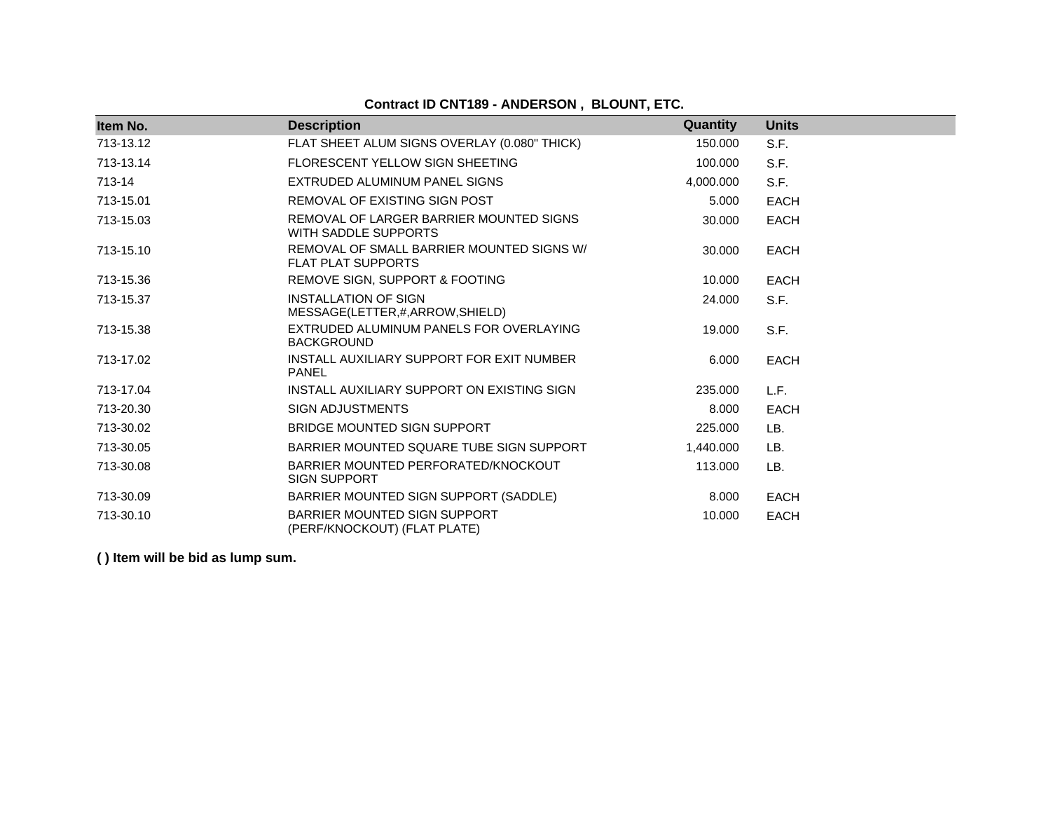# **Contract ID CNT189 - ANDERSON , BLOUNT, ETC.**

| Item No.  | <b>Description</b>                                                     | Quantity  | <b>Units</b> |
|-----------|------------------------------------------------------------------------|-----------|--------------|
| 713-13.12 | FLAT SHEET ALUM SIGNS OVERLAY (0.080" THICK)                           | 150,000   | S.F.         |
| 713-13.14 | FLORESCENT YELLOW SIGN SHEETING                                        | 100.000   | S.F.         |
| 713-14    | EXTRUDED ALUMINUM PANEL SIGNS                                          | 4.000.000 | S.F.         |
| 713-15.01 | REMOVAL OF EXISTING SIGN POST                                          | 5.000     | <b>EACH</b>  |
| 713-15.03 | REMOVAL OF LARGER BARRIER MOUNTED SIGNS<br>WITH SADDLE SUPPORTS        | 30.000    | <b>EACH</b>  |
| 713-15.10 | REMOVAL OF SMALL BARRIER MOUNTED SIGNS W/<br><b>FLAT PLAT SUPPORTS</b> | 30.000    | <b>EACH</b>  |
| 713-15.36 | REMOVE SIGN, SUPPORT & FOOTING                                         | 10.000    | <b>EACH</b>  |
| 713-15.37 | <b>INSTALLATION OF SIGN</b><br>MESSAGE(LETTER,#,ARROW,SHIELD)          | 24.000    | S.F.         |
| 713-15.38 | EXTRUDED ALUMINUM PANELS FOR OVERLAYING<br><b>BACKGROUND</b>           | 19.000    | S.F.         |
| 713-17.02 | INSTALL AUXILIARY SUPPORT FOR EXIT NUMBER<br><b>PANEL</b>              | 6.000     | <b>EACH</b>  |
| 713-17.04 | INSTALL AUXILIARY SUPPORT ON EXISTING SIGN                             | 235,000   | L.F.         |
| 713-20.30 | <b>SIGN ADJUSTMENTS</b>                                                | 8.000     | <b>EACH</b>  |
| 713-30.02 | <b>BRIDGE MOUNTED SIGN SUPPORT</b>                                     | 225.000   | LB.          |
| 713-30.05 | BARRIER MOUNTED SQUARE TUBE SIGN SUPPORT                               | 1,440.000 | LB.          |
| 713-30.08 | BARRIER MOUNTED PERFORATED/KNOCKOUT<br><b>SIGN SUPPORT</b>             | 113.000   | LB.          |
| 713-30.09 | BARRIER MOUNTED SIGN SUPPORT (SADDLE)                                  | 8.000     | <b>EACH</b>  |
| 713-30.10 | BARRIER MOUNTED SIGN SUPPORT<br>(PERF/KNOCKOUT) (FLAT PLATE)           | 10.000    | <b>EACH</b>  |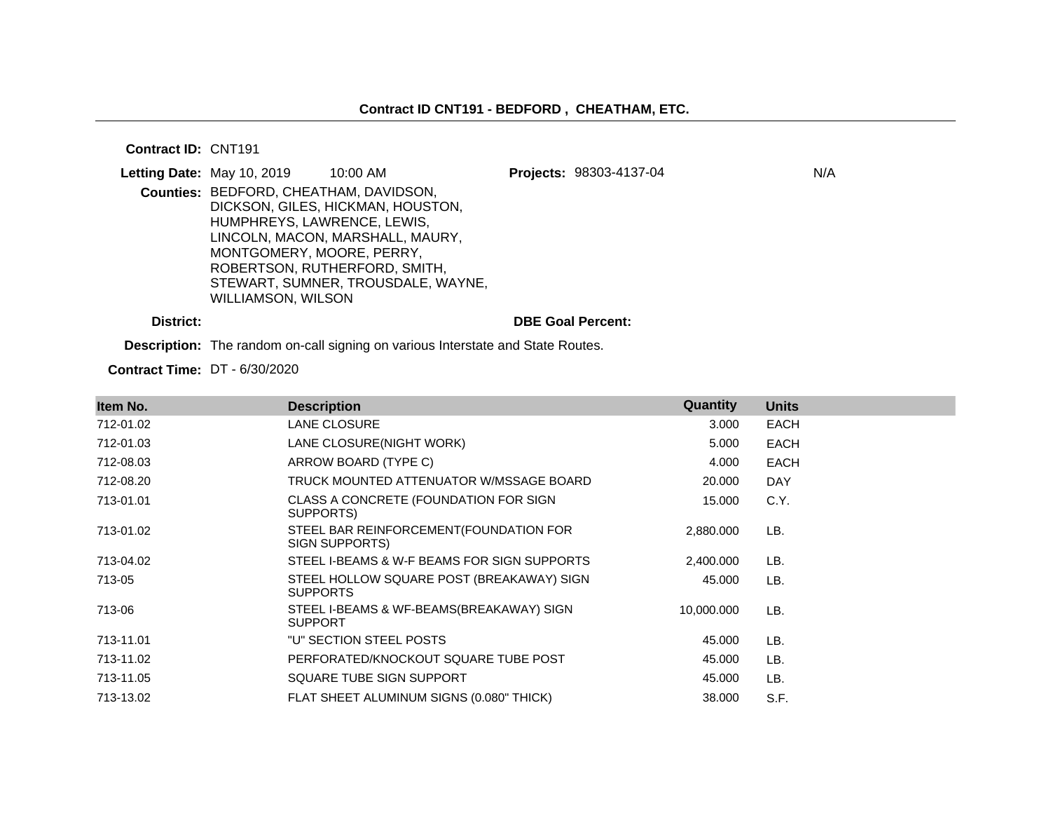#### **Contract ID:** CNT191

|           | Letting Date: May 10, 2019             | $10:00$ AM                         | Projects: 98303-4137-04  | N/A |
|-----------|----------------------------------------|------------------------------------|--------------------------|-----|
|           | Counties: BEDFORD, CHEATHAM, DAVIDSON, |                                    |                          |     |
|           |                                        | DICKSON, GILES, HICKMAN, HOUSTON,  |                          |     |
|           | HUMPHREYS, LAWRENCE, LEWIS,            |                                    |                          |     |
|           |                                        | LINCOLN, MACON, MARSHALL, MAURY,   |                          |     |
|           | MONTGOMERY, MOORE, PERRY,              |                                    |                          |     |
|           |                                        | ROBERTSON, RUTHERFORD, SMITH,      |                          |     |
|           |                                        | STEWART, SUMNER, TROUSDALE, WAYNE, |                          |     |
|           | WILLIAMSON, WILSON                     |                                    |                          |     |
| District: |                                        |                                    | <b>DBE Goal Percent:</b> |     |

**Description:** The random on-call signing on various Interstate and State Routes.

**Contract Time:** DT - 6/30/2020

| Item No.  | <b>Description</b>                                           | <b>Quantity</b> | <b>Units</b> |
|-----------|--------------------------------------------------------------|-----------------|--------------|
| 712-01.02 | <b>LANE CLOSURE</b>                                          | 3.000           | <b>EACH</b>  |
| 712-01.03 | LANE CLOSURE(NIGHT WORK)                                     | 5.000           | <b>EACH</b>  |
| 712-08.03 | ARROW BOARD (TYPE C)                                         | 4.000           | <b>EACH</b>  |
| 712-08.20 | TRUCK MOUNTED ATTENUATOR W/MSSAGE BOARD                      | 20.000          | <b>DAY</b>   |
| 713-01.01 | CLASS A CONCRETE (FOUNDATION FOR SIGN<br>SUPPORTS)           | 15.000          | C.Y.         |
| 713-01.02 | STEEL BAR REINFORCEMENT (FOUNDATION FOR<br>SIGN SUPPORTS)    | 2,880.000       | LB.          |
| 713-04.02 | STEEL I-BEAMS & W-F BEAMS FOR SIGN SUPPORTS                  | 2,400.000       | LB.          |
| 713-05    | STEEL HOLLOW SQUARE POST (BREAKAWAY) SIGN<br><b>SUPPORTS</b> | 45.000          | LB.          |
| 713-06    | STEEL I-BEAMS & WF-BEAMS(BREAKAWAY) SIGN<br><b>SUPPORT</b>   | 10,000.000      | LB.          |
| 713-11.01 | "U" SECTION STEEL POSTS                                      | 45.000          | LB.          |
| 713-11.02 | PERFORATED/KNOCKOUT SQUARE TUBE POST                         | 45.000          | LB.          |
| 713-11.05 | SQUARE TUBE SIGN SUPPORT                                     | 45.000          | LB.          |
| 713-13.02 | FLAT SHEET ALUMINUM SIGNS (0.080" THICK)                     | 38.000          | S.F.         |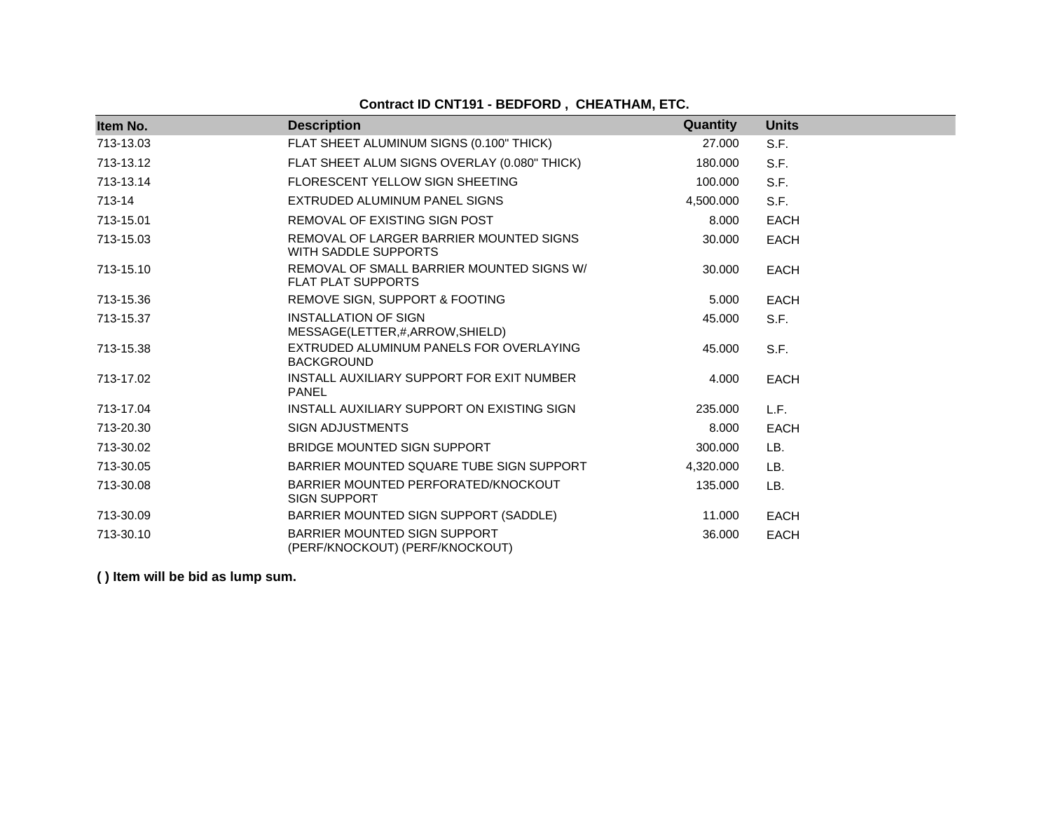# **Contract ID CNT191 - BEDFORD , CHEATHAM, ETC.**

| Item No.  | <b>Description</b>                                                     | <b>Quantity</b> | <b>Units</b> |
|-----------|------------------------------------------------------------------------|-----------------|--------------|
| 713-13.03 | FLAT SHEET ALUMINUM SIGNS (0.100" THICK)                               | 27.000          | S.F.         |
| 713-13.12 | FLAT SHEET ALUM SIGNS OVERLAY (0.080" THICK)                           | 180.000         | S.F.         |
| 713-13.14 | FLORESCENT YELLOW SIGN SHEETING                                        | 100.000         | S.F.         |
| 713-14    | EXTRUDED ALUMINUM PANEL SIGNS                                          | 4,500.000       | S.F.         |
| 713-15.01 | REMOVAL OF EXISTING SIGN POST                                          | 8.000           | <b>EACH</b>  |
| 713-15.03 | REMOVAL OF LARGER BARRIER MOUNTED SIGNS<br>WITH SADDLE SUPPORTS        | 30,000          | <b>EACH</b>  |
| 713-15.10 | REMOVAL OF SMALL BARRIER MOUNTED SIGNS W/<br><b>FLAT PLAT SUPPORTS</b> | 30.000          | <b>EACH</b>  |
| 713-15.36 | REMOVE SIGN, SUPPORT & FOOTING                                         | 5.000           | <b>EACH</b>  |
| 713-15.37 | <b>INSTALLATION OF SIGN</b><br>MESSAGE(LETTER,#,ARROW,SHIELD)          | 45.000          | S.F.         |
| 713-15.38 | EXTRUDED ALUMINUM PANELS FOR OVERLAYING<br><b>BACKGROUND</b>           | 45.000          | S.F.         |
| 713-17.02 | INSTALL AUXILIARY SUPPORT FOR EXIT NUMBER<br><b>PANEL</b>              | 4.000           | <b>EACH</b>  |
| 713-17.04 | INSTALL AUXILIARY SUPPORT ON EXISTING SIGN                             | 235.000         | L.F.         |
| 713-20.30 | <b>SIGN ADJUSTMENTS</b>                                                | 8.000           | EACH         |
| 713-30.02 | BRIDGE MOUNTED SIGN SUPPORT                                            | 300,000         | LB.          |
| 713-30.05 | BARRIER MOUNTED SQUARE TUBE SIGN SUPPORT                               | 4,320.000       | LB.          |
| 713-30.08 | BARRIER MOUNTED PERFORATED/KNOCKOUT<br><b>SIGN SUPPORT</b>             | 135.000         | LB.          |
| 713-30.09 | BARRIER MOUNTED SIGN SUPPORT (SADDLE)                                  | 11.000          | <b>EACH</b>  |
| 713-30.10 | BARRIER MOUNTED SIGN SUPPORT<br>(PERF/KNOCKOUT) (PERF/KNOCKOUT)        | 36.000          | <b>EACH</b>  |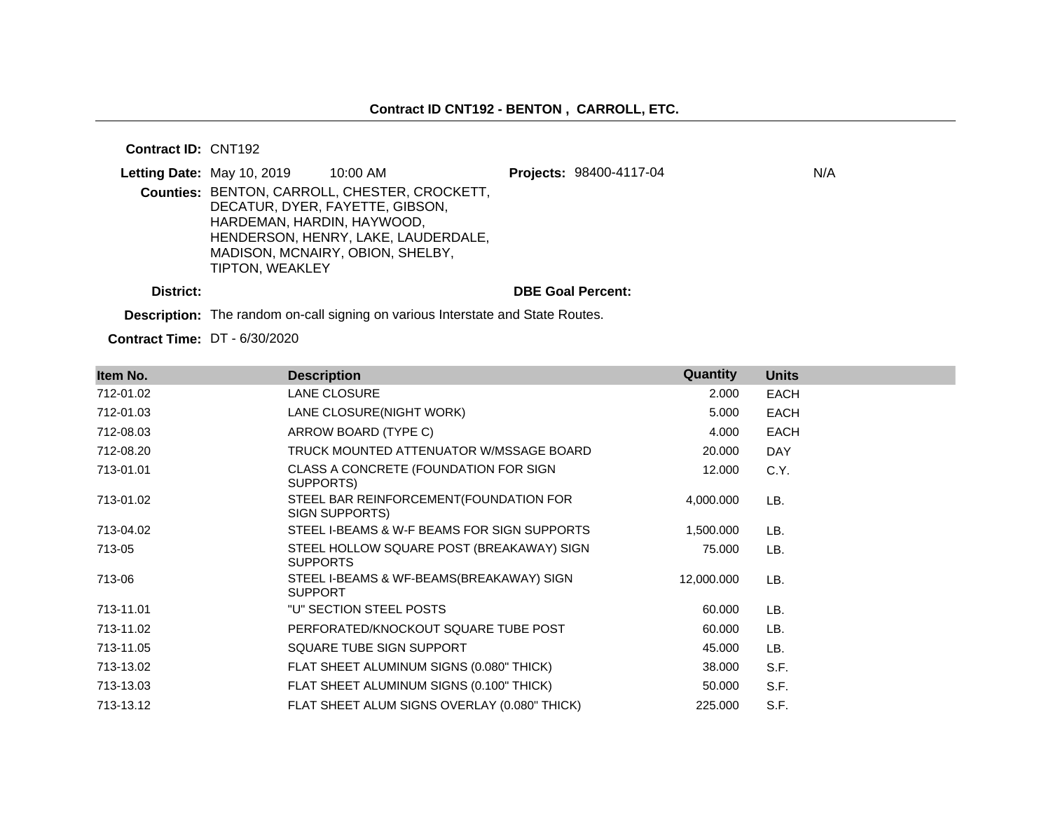#### **Contract ID:** CNT192

|           | Letting Date: May 10, 2019                    | 10:00 AM                                                                                                                                                    | Projects: 98400-4117-04  | N/A |
|-----------|-----------------------------------------------|-------------------------------------------------------------------------------------------------------------------------------------------------------------|--------------------------|-----|
|           | HARDEMAN, HARDIN, HAYWOOD,<br>TIPTON, WEAKLEY | Counties: BENTON, CARROLL, CHESTER, CROCKETT,<br>DECATUR, DYER, FAYETTE, GIBSON,<br>HENDERSON, HENRY, LAKE, LAUDERDALE,<br>MADISON, MCNAIRY, OBION, SHELBY, |                          |     |
| District: |                                               |                                                                                                                                                             | <b>DBE Goal Percent:</b> |     |

**Description:** The random on-call signing on various Interstate and State Routes.

**Contract Time:** DT - 6/30/2020

| Item No.  | <b>Description</b>                                           | Quantity   | <b>Units</b> |
|-----------|--------------------------------------------------------------|------------|--------------|
| 712-01.02 | LANE CLOSURE                                                 | 2.000      | <b>EACH</b>  |
| 712-01.03 | LANE CLOSURE(NIGHT WORK)                                     | 5.000      | <b>EACH</b>  |
| 712-08.03 | ARROW BOARD (TYPE C)                                         | 4.000      | <b>EACH</b>  |
| 712-08.20 | TRUCK MOUNTED ATTENUATOR W/MSSAGE BOARD                      | 20.000     | <b>DAY</b>   |
| 713-01.01 | CLASS A CONCRETE (FOUNDATION FOR SIGN<br>SUPPORTS)           | 12.000     | C.Y.         |
| 713-01.02 | STEEL BAR REINFORCEMENT(FOUNDATION FOR<br>SIGN SUPPORTS)     | 4,000.000  | LB.          |
| 713-04.02 | STEEL I-BEAMS & W-F BEAMS FOR SIGN SUPPORTS                  | 1,500.000  | LB.          |
| 713-05    | STEEL HOLLOW SQUARE POST (BREAKAWAY) SIGN<br><b>SUPPORTS</b> | 75.000     | LB.          |
| 713-06    | STEEL I-BEAMS & WF-BEAMS(BREAKAWAY) SIGN<br><b>SUPPORT</b>   | 12,000.000 | LB.          |
| 713-11.01 | "U" SECTION STEEL POSTS                                      | 60.000     | LB.          |
| 713-11.02 | PERFORATED/KNOCKOUT SQUARE TUBE POST                         | 60.000     | LB.          |
| 713-11.05 | SQUARE TUBE SIGN SUPPORT                                     | 45.000     | LB.          |
| 713-13.02 | FLAT SHEET ALUMINUM SIGNS (0.080" THICK)                     | 38.000     | S.F.         |
| 713-13.03 | FLAT SHEET ALUMINUM SIGNS (0.100" THICK)                     | 50.000     | S.F.         |
| 713-13.12 | FLAT SHEET ALUM SIGNS OVERLAY (0.080" THICK)                 | 225.000    | S.F.         |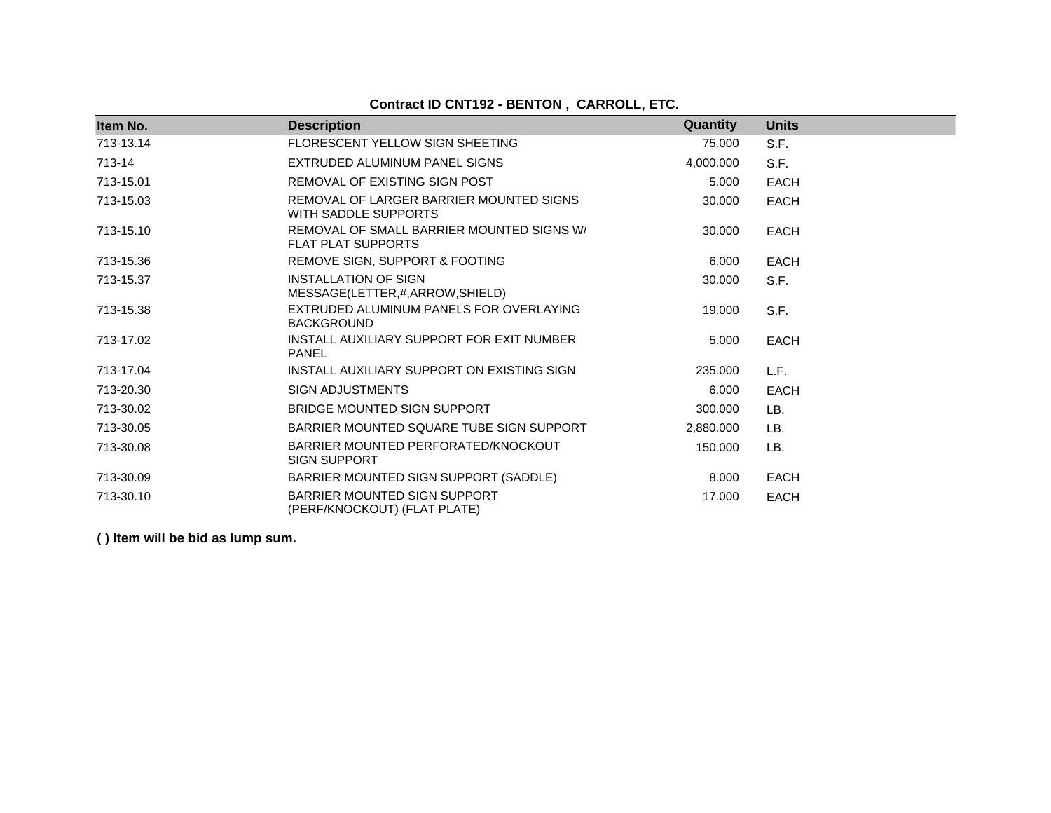# **Contract ID CNT192 - BENTON , CARROLL, ETC.**

| Item No.  | <b>Description</b>                                                     | Quantity  | <b>Units</b> |
|-----------|------------------------------------------------------------------------|-----------|--------------|
| 713-13.14 | FLORESCENT YELLOW SIGN SHEETING                                        | 75.000    | S.F.         |
| 713-14    | EXTRUDED ALUMINUM PANEL SIGNS                                          | 4,000.000 | S.F.         |
| 713-15.01 | REMOVAL OF EXISTING SIGN POST                                          | 5.000     | <b>EACH</b>  |
| 713-15.03 | REMOVAL OF LARGER BARRIER MOUNTED SIGNS<br>WITH SADDLE SUPPORTS        | 30,000    | <b>EACH</b>  |
| 713-15.10 | REMOVAL OF SMALL BARRIER MOUNTED SIGNS W/<br><b>FLAT PLAT SUPPORTS</b> | 30,000    | <b>EACH</b>  |
| 713-15.36 | REMOVE SIGN, SUPPORT & FOOTING                                         | 6.000     | <b>EACH</b>  |
| 713-15.37 | <b>INSTALLATION OF SIGN</b><br>MESSAGE(LETTER,#,ARROW,SHIELD)          | 30,000    | S.F.         |
| 713-15.38 | EXTRUDED ALUMINUM PANELS FOR OVERLAYING<br><b>BACKGROUND</b>           | 19.000    | S.F.         |
| 713-17.02 | INSTALL AUXILIARY SUPPORT FOR EXIT NUMBER<br><b>PANEL</b>              | 5.000     | <b>EACH</b>  |
| 713-17.04 | INSTALL AUXILIARY SUPPORT ON EXISTING SIGN                             | 235,000   | L.F.         |
| 713-20.30 | <b>SIGN ADJUSTMENTS</b>                                                | 6.000     | <b>EACH</b>  |
| 713-30.02 | BRIDGE MOUNTED SIGN SUPPORT                                            | 300.000   | LB.          |
| 713-30.05 | BARRIER MOUNTED SQUARE TUBE SIGN SUPPORT                               | 2.880.000 | LB.          |
| 713-30.08 | BARRIER MOUNTED PERFORATED/KNOCKOUT<br><b>SIGN SUPPORT</b>             | 150,000   | LB.          |
| 713-30.09 | BARRIER MOUNTED SIGN SUPPORT (SADDLE)                                  | 8.000     | <b>EACH</b>  |
| 713-30.10 | <b>BARRIER MOUNTED SIGN SUPPORT</b><br>(PERF/KNOCKOUT) (FLAT PLATE)    | 17.000    | <b>EACH</b>  |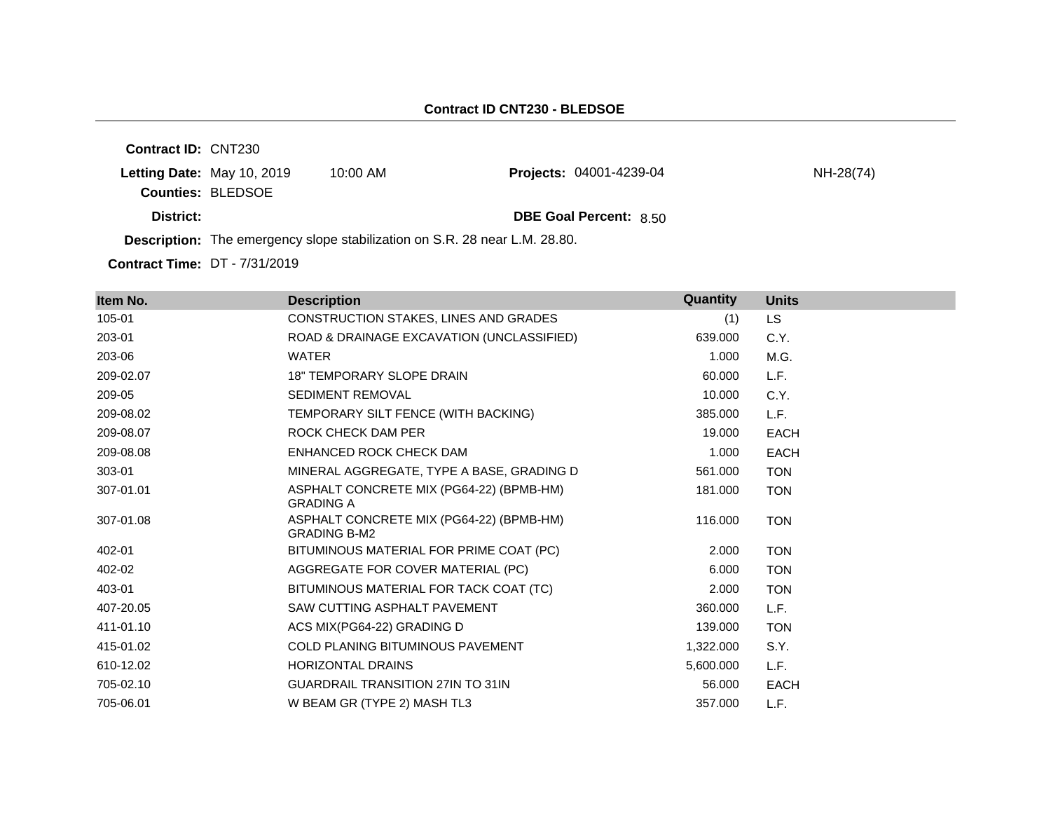**Contract ID:** CNT230 **Letting Date:** May 10, 2019 10:00 AM **Counties:** BLEDSOE **District: District: DBE Goal Percent:** 8.50 **Description:** The emergency slope stabilization on S.R. 28 near L.M. 28.80. **Projects:** 04001-4239-04 NH-28(74)

**Contract Time:** DT - 7/31/2019

| Item No.  | <b>Description</b>                                              | Quantity  | <b>Units</b> |
|-----------|-----------------------------------------------------------------|-----------|--------------|
| 105-01    | CONSTRUCTION STAKES, LINES AND GRADES                           | (1)       | LS.          |
| 203-01    | ROAD & DRAINAGE EXCAVATION (UNCLASSIFIED)                       | 639.000   | C.Y.         |
| 203-06    | <b>WATER</b>                                                    | 1.000     | M.G.         |
| 209-02.07 | <b>18" TEMPORARY SLOPE DRAIN</b>                                | 60.000    | L.F.         |
| 209-05    | <b>SEDIMENT REMOVAL</b>                                         | 10.000    | C.Y.         |
| 209-08.02 | TEMPORARY SILT FENCE (WITH BACKING)                             | 385.000   | L.F.         |
| 209-08.07 | ROCK CHECK DAM PER                                              | 19.000    | <b>EACH</b>  |
| 209-08.08 | ENHANCED ROCK CHECK DAM                                         | 1.000     | <b>EACH</b>  |
| 303-01    | MINERAL AGGREGATE, TYPE A BASE, GRADING D                       | 561.000   | <b>TON</b>   |
| 307-01.01 | ASPHALT CONCRETE MIX (PG64-22) (BPMB-HM)<br><b>GRADING A</b>    | 181.000   | <b>TON</b>   |
| 307-01.08 | ASPHALT CONCRETE MIX (PG64-22) (BPMB-HM)<br><b>GRADING B-M2</b> | 116.000   | <b>TON</b>   |
| 402-01    | BITUMINOUS MATERIAL FOR PRIME COAT (PC)                         | 2.000     | <b>TON</b>   |
| 402-02    | AGGREGATE FOR COVER MATERIAL (PC)                               | 6.000     | <b>TON</b>   |
| 403-01    | BITUMINOUS MATERIAL FOR TACK COAT (TC)                          | 2.000     | <b>TON</b>   |
| 407-20.05 | SAW CUTTING ASPHALT PAVEMENT                                    | 360.000   | L.F.         |
| 411-01.10 | ACS MIX(PG64-22) GRADING D                                      | 139.000   | <b>TON</b>   |
| 415-01.02 | <b>COLD PLANING BITUMINOUS PAVEMENT</b>                         | 1,322.000 | S.Y.         |
| 610-12.02 | <b>HORIZONTAL DRAINS</b>                                        | 5,600.000 | L.F.         |
| 705-02.10 | <b>GUARDRAIL TRANSITION 27IN TO 31IN</b>                        | 56,000    | <b>EACH</b>  |
| 705-06.01 | W BEAM GR (TYPE 2) MASH TL3                                     | 357.000   | L.F.         |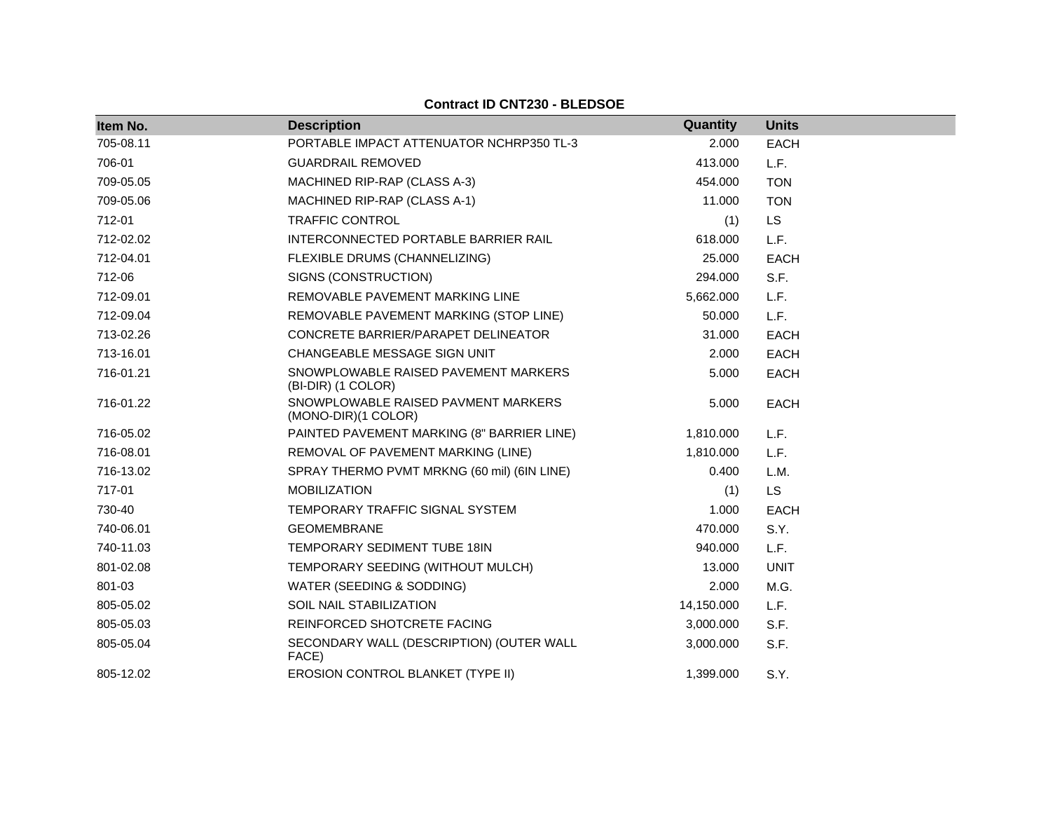| Item No.  | <b>Description</b>                                         | Quantity   | <b>Units</b> |
|-----------|------------------------------------------------------------|------------|--------------|
| 705-08.11 | PORTABLE IMPACT ATTENUATOR NCHRP350 TL-3                   | 2.000      | <b>EACH</b>  |
| 706-01    | <b>GUARDRAIL REMOVED</b>                                   | 413.000    | L.F.         |
| 709-05.05 | MACHINED RIP-RAP (CLASS A-3)                               | 454.000    | <b>TON</b>   |
| 709-05.06 | MACHINED RIP-RAP (CLASS A-1)                               | 11.000     | <b>TON</b>   |
| 712-01    | <b>TRAFFIC CONTROL</b>                                     | (1)        | <b>LS</b>    |
| 712-02.02 | INTERCONNECTED PORTABLE BARRIER RAIL                       | 618.000    | L.F.         |
| 712-04.01 | FLEXIBLE DRUMS (CHANNELIZING)                              | 25,000     | <b>EACH</b>  |
| 712-06    | SIGNS (CONSTRUCTION)                                       | 294.000    | S.F.         |
| 712-09.01 | REMOVABLE PAVEMENT MARKING LINE                            | 5,662.000  | L.F.         |
| 712-09.04 | REMOVABLE PAVEMENT MARKING (STOP LINE)                     | 50.000     | L.F.         |
| 713-02.26 | CONCRETE BARRIER/PARAPET DELINEATOR                        | 31.000     | <b>EACH</b>  |
| 713-16.01 | CHANGEABLE MESSAGE SIGN UNIT                               | 2.000      | <b>EACH</b>  |
| 716-01.21 | SNOWPLOWABLE RAISED PAVEMENT MARKERS<br>(BI-DIR) (1 COLOR) | 5.000      | <b>EACH</b>  |
| 716-01.22 | SNOWPLOWABLE RAISED PAVMENT MARKERS<br>(MONO-DIR)(1 COLOR) | 5.000      | EACH         |
| 716-05.02 | PAINTED PAVEMENT MARKING (8" BARRIER LINE)                 | 1,810.000  | L.F.         |
| 716-08.01 | REMOVAL OF PAVEMENT MARKING (LINE)                         | 1,810.000  | L.F.         |
| 716-13.02 | SPRAY THERMO PVMT MRKNG (60 mil) (6IN LINE)                | 0.400      | L.M.         |
| 717-01    | <b>MOBILIZATION</b>                                        | (1)        | <b>LS</b>    |
| 730-40    | TEMPORARY TRAFFIC SIGNAL SYSTEM                            | 1.000      | <b>EACH</b>  |
| 740-06.01 | <b>GEOMEMBRANE</b>                                         | 470.000    | S.Y.         |
| 740-11.03 | TEMPORARY SEDIMENT TUBE 18IN                               | 940.000    | L.F.         |
| 801-02.08 | TEMPORARY SEEDING (WITHOUT MULCH)                          | 13.000     | <b>UNIT</b>  |
| 801-03    | WATER (SEEDING & SODDING)                                  | 2.000      | M.G.         |
| 805-05.02 | SOIL NAIL STABILIZATION                                    | 14,150.000 | L.F.         |
| 805-05.03 | REINFORCED SHOTCRETE FACING                                | 3,000.000  | S.F.         |
| 805-05.04 | SECONDARY WALL (DESCRIPTION) (OUTER WALL<br>FACE)          | 3,000.000  | S.F.         |
| 805-12.02 | EROSION CONTROL BLANKET (TYPE II)                          | 1,399.000  | S.Y.         |

# **Contract ID CNT230 - BLEDSOE**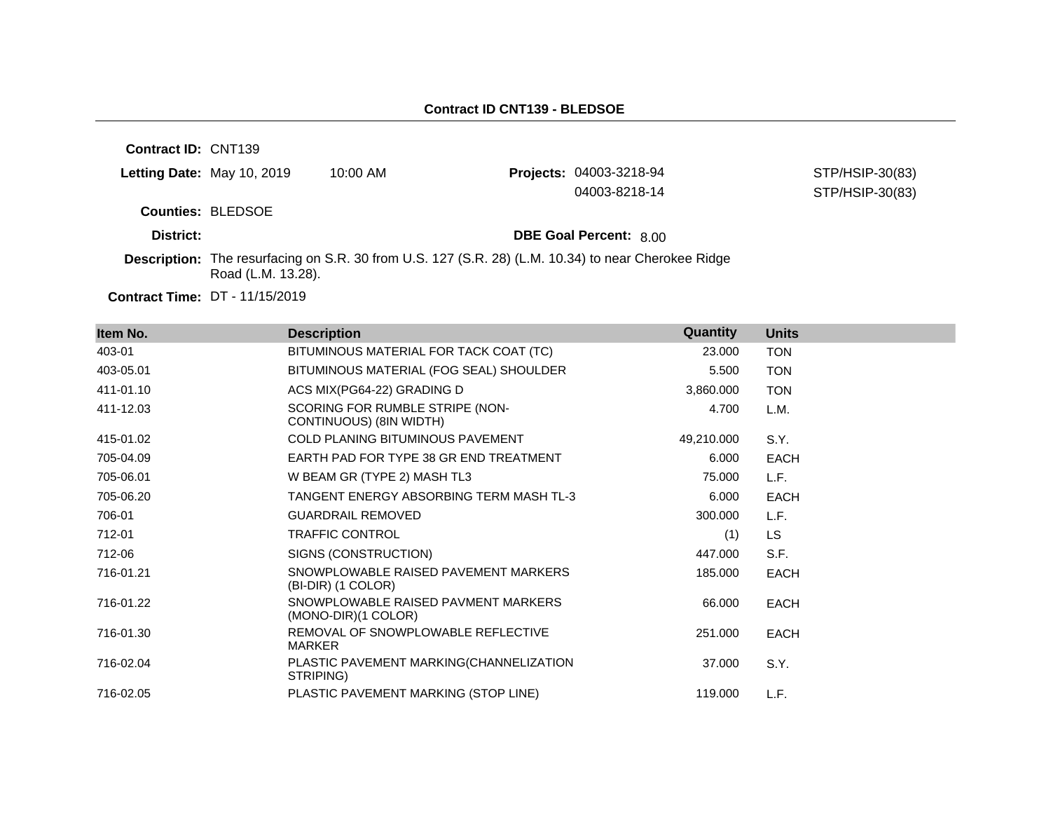**Contract ID:** CNT139

|           | Letting Date: May 10, 2019 | 10:00 AM | <b>Projects: 04003-3218-94</b><br>04003-8218-14 | STP/HSIP-30(83)<br>STP/HSIP-30(83) |
|-----------|----------------------------|----------|-------------------------------------------------|------------------------------------|
|           | <b>Counties: BLEDSOE</b>   |          |                                                 |                                    |
| District: |                            |          | <b>DBE Goal Percent: 8.00</b>                   |                                    |

**Description:** The resurfacing on S.R. 30 from U.S. 127 (S.R. 28) (L.M. 10.34) to near Cherokee Ridge Road (L.M. 13.28).

**Contract Time:** DT - 11/15/2019

| Item No.  | <b>Description</b>                                         | Quantity   | <b>Units</b> |
|-----------|------------------------------------------------------------|------------|--------------|
| 403-01    | BITUMINOUS MATERIAL FOR TACK COAT (TC)                     | 23.000     | <b>TON</b>   |
| 403-05.01 | BITUMINOUS MATERIAL (FOG SEAL) SHOULDER                    | 5.500      | <b>TON</b>   |
| 411-01.10 | ACS MIX(PG64-22) GRADING D                                 | 3,860.000  | <b>TON</b>   |
| 411-12.03 | SCORING FOR RUMBLE STRIPE (NON-<br>CONTINUOUS) (8IN WIDTH) | 4.700      | L.M.         |
| 415-01.02 | COLD PLANING BITUMINOUS PAVEMENT                           | 49,210.000 | S.Y.         |
| 705-04.09 | EARTH PAD FOR TYPE 38 GR END TREATMENT                     | 6.000      | <b>EACH</b>  |
| 705-06.01 | W BEAM GR (TYPE 2) MASH TL3                                | 75.000     | L.F.         |
| 705-06.20 | TANGENT ENERGY ABSORBING TERM MASH TL-3                    | 6.000      | <b>EACH</b>  |
| 706-01    | <b>GUARDRAIL REMOVED</b>                                   | 300.000    | L.F.         |
| 712-01    | <b>TRAFFIC CONTROL</b>                                     | (1)        | <b>LS</b>    |
| 712-06    | SIGNS (CONSTRUCTION)                                       | 447.000    | S.F.         |
| 716-01.21 | SNOWPLOWABLE RAISED PAVEMENT MARKERS<br>(BI-DIR) (1 COLOR) | 185.000    | <b>EACH</b>  |
| 716-01.22 | SNOWPLOWABLE RAISED PAVMENT MARKERS<br>(MONO-DIR)(1 COLOR) | 66.000     | <b>EACH</b>  |
| 716-01.30 | REMOVAL OF SNOWPLOWABLE REFLECTIVE<br><b>MARKER</b>        | 251.000    | <b>EACH</b>  |
| 716-02.04 | PLASTIC PAVEMENT MARKING(CHANNELIZATION<br>STRIPING)       | 37.000     | S.Y.         |
| 716-02.05 | PLASTIC PAVEMENT MARKING (STOP LINE)                       | 119.000    | L.F.         |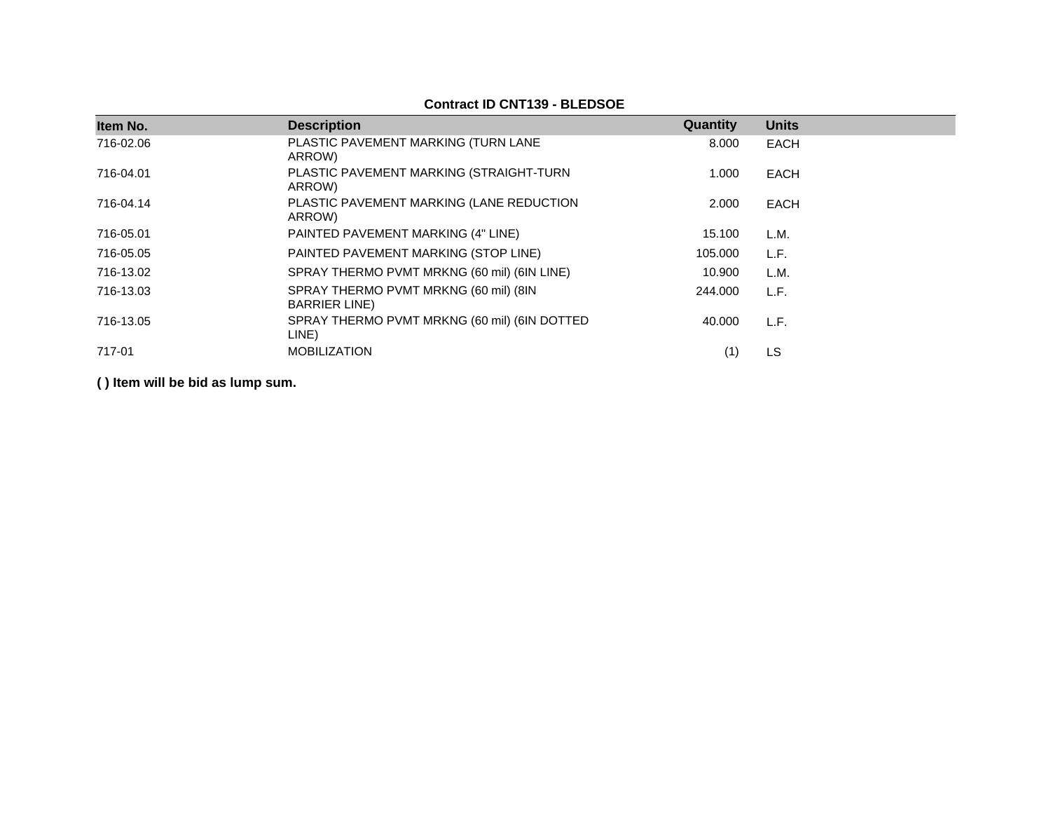| Item No.  | <b>Description</b>                                             | Quantity | <b>Units</b> |
|-----------|----------------------------------------------------------------|----------|--------------|
| 716-02.06 | PLASTIC PAVEMENT MARKING (TURN LANE<br>ARROW)                  | 8.000    | <b>EACH</b>  |
| 716-04.01 | PLASTIC PAVEMENT MARKING (STRAIGHT-TURN<br>ARROW)              | 1.000    | <b>EACH</b>  |
| 716-04.14 | PLASTIC PAVEMENT MARKING (LANE REDUCTION<br>ARROW)             | 2.000    | <b>EACH</b>  |
| 716-05.01 | PAINTED PAVEMENT MARKING (4" LINE)                             | 15.100   | L.M.         |
| 716-05.05 | PAINTED PAVEMENT MARKING (STOP LINE)                           | 105.000  | L.F.         |
| 716-13.02 | SPRAY THERMO PVMT MRKNG (60 mil) (6IN LINE)                    | 10.900   | L.M.         |
| 716-13.03 | SPRAY THERMO PVMT MRKNG (60 mil) (8IN<br><b>BARRIER LINE</b> ) | 244.000  | L.F.         |
| 716-13.05 | SPRAY THERMO PVMT MRKNG (60 mil) (6IN DOTTED<br>LINE)          | 40.000   | L.F.         |
| 717-01    | <b>MOBILIZATION</b>                                            | (1)      | LS           |

# **Contract ID CNT139 - BLEDSOE**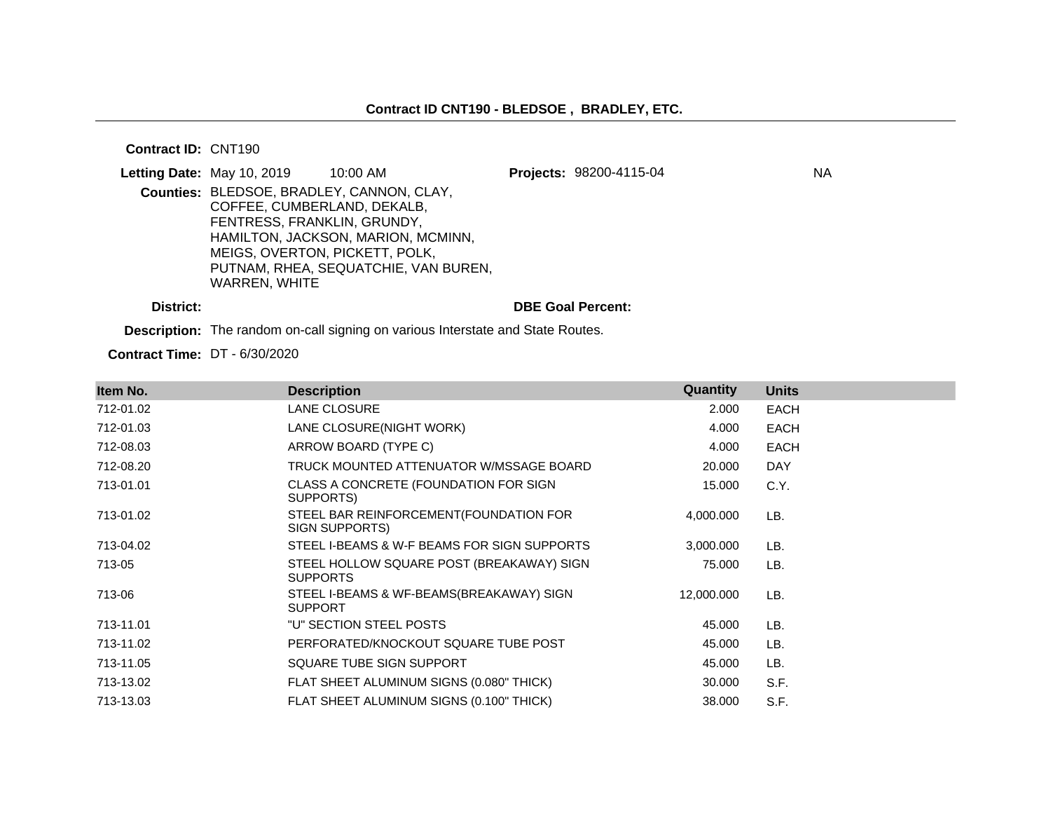#### **Contract ID:** CNT190

|           | <b>Letting Date: May 10, 2019</b>                                                                             | $10:00$ AM                                                                                                              | Projects: 98200-4115-04  | ΝA |
|-----------|---------------------------------------------------------------------------------------------------------------|-------------------------------------------------------------------------------------------------------------------------|--------------------------|----|
|           | COFFEE, CUMBERLAND, DEKALB,<br>FENTRESS, FRANKLIN, GRUNDY,<br>MEIGS, OVERTON, PICKETT, POLK,<br>WARREN, WHITE | Counties: BLEDSOE, BRADLEY, CANNON, CLAY,<br>HAMILTON, JACKSON, MARION, MCMINN,<br>PUTNAM, RHEA, SEQUATCHIE, VAN BUREN, |                          |    |
| District: |                                                                                                               |                                                                                                                         | <b>DBE Goal Percent:</b> |    |

**Description:** The random on-call signing on various Interstate and State Routes.

**Contract Time:** DT - 6/30/2020

| Item No.  | <b>Description</b>                                           | Quantity   | <b>Units</b> |
|-----------|--------------------------------------------------------------|------------|--------------|
| 712-01.02 | LANE CLOSURE                                                 | 2.000      | <b>EACH</b>  |
| 712-01.03 | LANE CLOSURE(NIGHT WORK)                                     | 4.000      | EACH         |
| 712-08.03 | ARROW BOARD (TYPE C)                                         | 4.000      | <b>EACH</b>  |
| 712-08.20 | TRUCK MOUNTED ATTENUATOR W/MSSAGE BOARD                      | 20.000     | <b>DAY</b>   |
| 713-01.01 | CLASS A CONCRETE (FOUNDATION FOR SIGN<br>SUPPORTS)           | 15.000     | C.Y.         |
| 713-01.02 | STEEL BAR REINFORCEMENT (FOUNDATION FOR<br>SIGN SUPPORTS)    | 4,000.000  | LB.          |
| 713-04.02 | STEEL I-BEAMS & W-F BEAMS FOR SIGN SUPPORTS                  | 3,000.000  | LB.          |
| 713-05    | STEEL HOLLOW SQUARE POST (BREAKAWAY) SIGN<br><b>SUPPORTS</b> | 75.000     | LB.          |
| 713-06    | STEEL I-BEAMS & WF-BEAMS(BREAKAWAY) SIGN<br><b>SUPPORT</b>   | 12,000.000 | LB.          |
| 713-11.01 | "U" SECTION STEEL POSTS                                      | 45.000     | LB.          |
| 713-11.02 | PERFORATED/KNOCKOUT SQUARE TUBE POST                         | 45.000     | LB.          |
| 713-11.05 | SQUARE TUBE SIGN SUPPORT                                     | 45.000     | LB.          |
| 713-13.02 | FLAT SHEET ALUMINUM SIGNS (0.080" THICK)                     | 30.000     | S.F.         |
| 713-13.03 | FLAT SHEET ALUMINUM SIGNS (0.100" THICK)                     | 38.000     | S.F.         |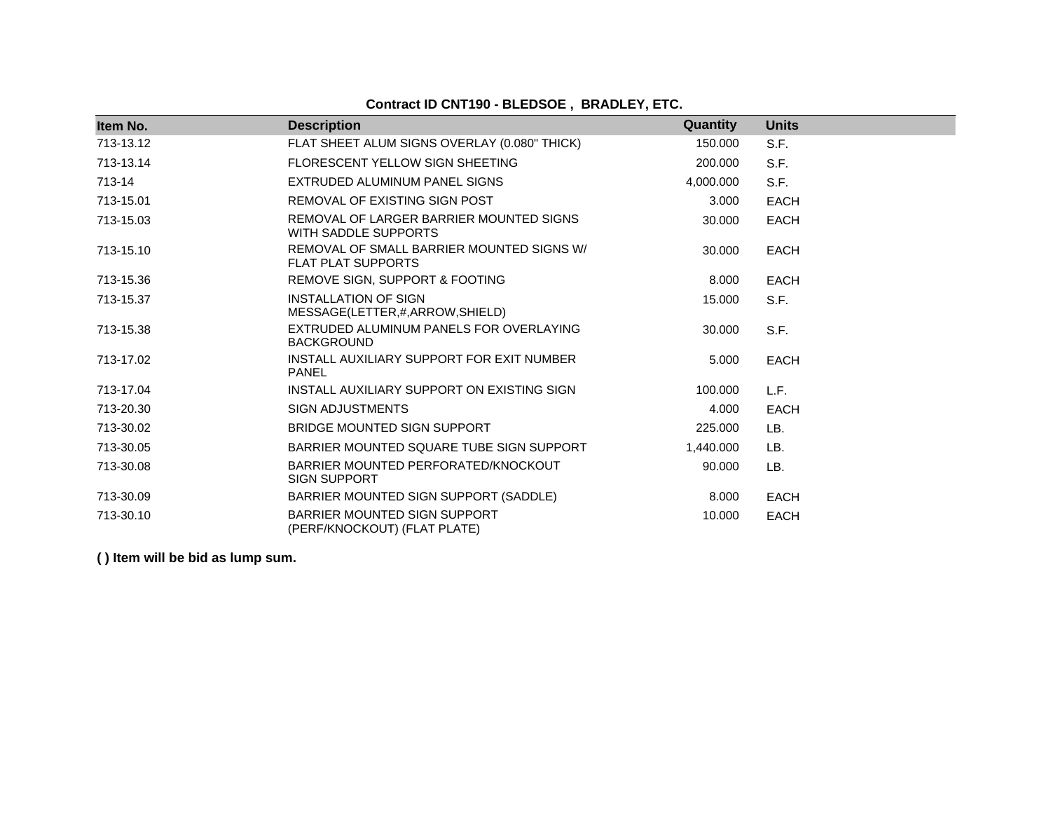# **Contract ID CNT190 - BLEDSOE , BRADLEY, ETC.**

| Item No.  | <b>Description</b>                                                     | Quantity  | <b>Units</b> |
|-----------|------------------------------------------------------------------------|-----------|--------------|
| 713-13.12 | FLAT SHEET ALUM SIGNS OVERLAY (0.080" THICK)                           | 150,000   | S.F.         |
| 713-13.14 | FLORESCENT YELLOW SIGN SHEETING                                        | 200,000   | S.F.         |
| 713-14    | EXTRUDED ALUMINUM PANEL SIGNS                                          | 4,000.000 | S.F.         |
| 713-15.01 | REMOVAL OF EXISTING SIGN POST                                          | 3.000     | <b>EACH</b>  |
| 713-15.03 | REMOVAL OF LARGER BARRIER MOUNTED SIGNS<br>WITH SADDLE SUPPORTS        | 30,000    | <b>EACH</b>  |
| 713-15.10 | REMOVAL OF SMALL BARRIER MOUNTED SIGNS W/<br><b>FLAT PLAT SUPPORTS</b> | 30,000    | <b>EACH</b>  |
| 713-15.36 | REMOVE SIGN, SUPPORT & FOOTING                                         | 8.000     | <b>EACH</b>  |
| 713-15.37 | <b>INSTALLATION OF SIGN</b><br>MESSAGE(LETTER,#,ARROW,SHIELD)          | 15.000    | S.F.         |
| 713-15.38 | EXTRUDED ALUMINUM PANELS FOR OVERLAYING<br><b>BACKGROUND</b>           | 30,000    | S.F.         |
| 713-17.02 | INSTALL AUXILIARY SUPPORT FOR EXIT NUMBER<br><b>PANEL</b>              | 5.000     | <b>EACH</b>  |
| 713-17.04 | INSTALL AUXILIARY SUPPORT ON EXISTING SIGN                             | 100.000   | L.F.         |
| 713-20.30 | <b>SIGN ADJUSTMENTS</b>                                                | 4.000     | <b>EACH</b>  |
| 713-30.02 | <b>BRIDGE MOUNTED SIGN SUPPORT</b>                                     | 225.000   | LB.          |
| 713-30.05 | BARRIER MOUNTED SQUARE TUBE SIGN SUPPORT                               | 1,440.000 | LB.          |
| 713-30.08 | BARRIER MOUNTED PERFORATED/KNOCKOUT<br><b>SIGN SUPPORT</b>             | 90.000    | LB.          |
| 713-30.09 | BARRIER MOUNTED SIGN SUPPORT (SADDLE)                                  | 8.000     | <b>EACH</b>  |
| 713-30.10 | BARRIER MOUNTED SIGN SUPPORT<br>(PERF/KNOCKOUT) (FLAT PLATE)           | 10.000    | <b>EACH</b>  |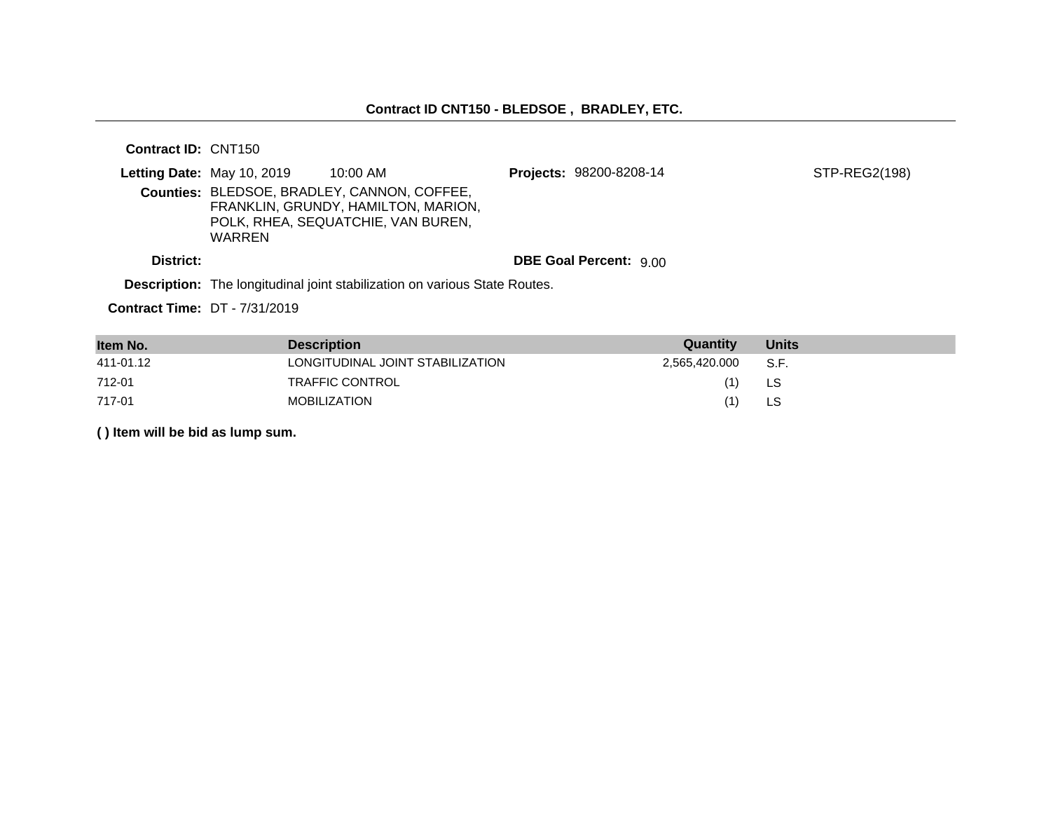# **Contract ID CNT150 - BLEDSOE , BRADLEY, ETC.**

**Contract ID:** CNT150

|                                                                            | <b>Letting Date: May 10, 2019</b> | $10:00$ AM                                                                                                               |  | <b>Projects: 98200-8208-14</b> | STP-REG2(198) |
|----------------------------------------------------------------------------|-----------------------------------|--------------------------------------------------------------------------------------------------------------------------|--|--------------------------------|---------------|
|                                                                            | WARREN                            | Counties: BLEDSOE, BRADLEY, CANNON, COFFEE,<br>FRANKLIN, GRUNDY, HAMILTON, MARION,<br>POLK, RHEA, SEQUATCHIE, VAN BUREN, |  |                                |               |
| District:                                                                  |                                   |                                                                                                                          |  | <b>DBE Goal Percent: 9.00</b>  |               |
| Description: The longitudinal joint stabilization on various State Routes. |                                   |                                                                                                                          |  |                                |               |

**Contract Time:** DT - 7/31/2019

| Item No.  | <b>Description</b>               | Quantity      | <b>Units</b> |
|-----------|----------------------------------|---------------|--------------|
| 411-01.12 | LONGITUDINAL JOINT STABILIZATION | 2,565,420.000 | S.F.         |
| 712-01    | TRAFFIC CONTROL                  | (1)           | LS           |
| 717-01    | <b>MOBILIZATION</b>              | (1)           | LS           |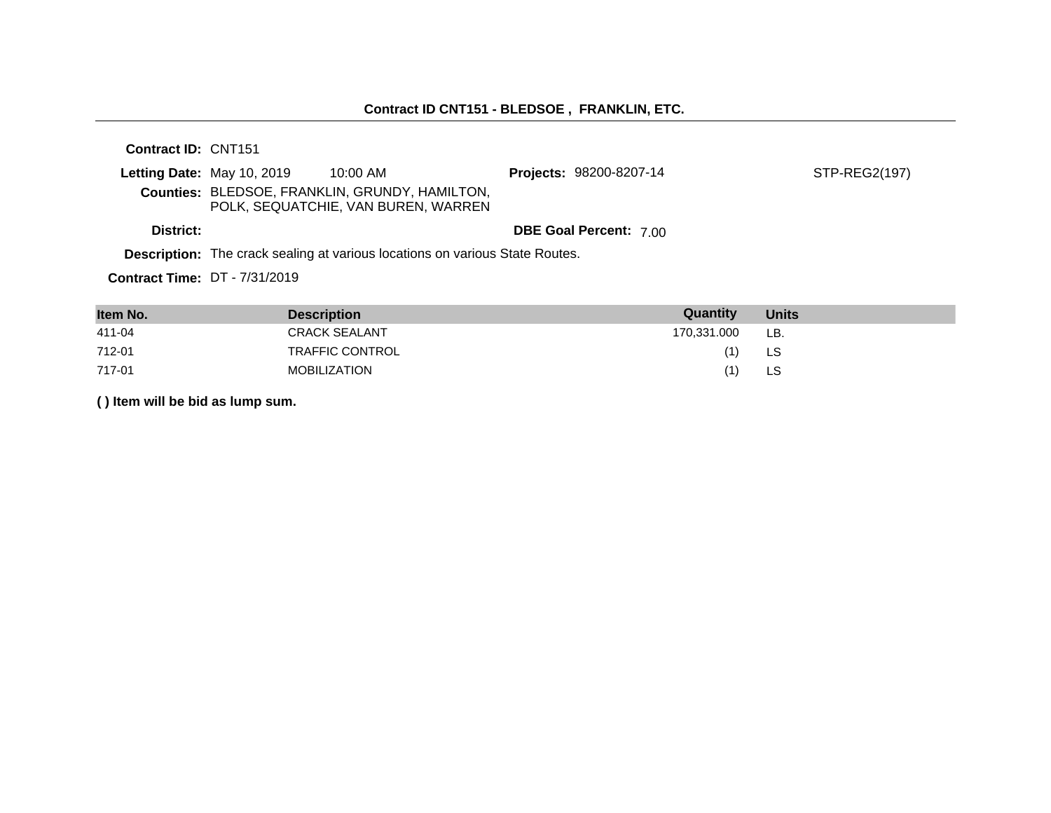#### **Contract ID CNT151 - BLEDSOE , FRANKLIN, ETC.**

**Contract ID:** CNT151 **Letting Date:** May 10, 2019 10:00 AM **Projects:** 98200-8207-14 **Counties:** BLEDSOE, FRANKLIN, GRUNDY, HAMILTON, POLK, SEQUATCHIE, VAN BUREN, WARREN **District: District: DBE Goal Percent:** 7.00 STP-REG2(197)

**Description:** The crack sealing at various locations on various State Routes.

**Contract Time:** DT - 7/31/2019

| Item No. | <b>Description</b>   | Quantity    | <b>Units</b> |
|----------|----------------------|-------------|--------------|
| 411-04   | <b>CRACK SEALANT</b> | 170.331.000 | LB.          |
| 712-01   | TRAFFIC CONTROL      |             | LS           |
| 717-01   | MOBILIZATION         |             | LS           |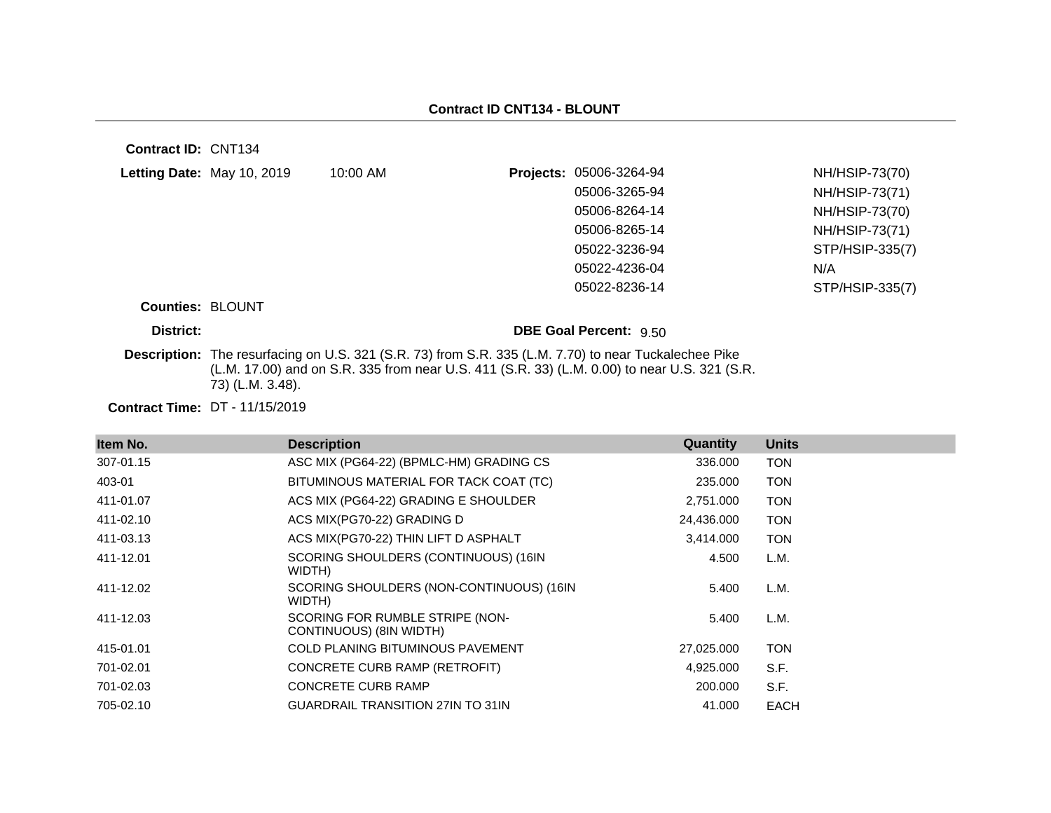**Contract ID:** CNT134

| Letting Date: May 10, 2019 | 10:00 AM | Projects: 05006-3264-94       | NH/HSIP-73(70)  |
|----------------------------|----------|-------------------------------|-----------------|
|                            |          | 05006-3265-94                 | NH/HSIP-73(71)  |
|                            |          | 05006-8264-14                 | NH/HSIP-73(70)  |
|                            |          | 05006-8265-14                 | NH/HSIP-73(71)  |
|                            |          | 05022-3236-94                 | STP/HSIP-335(7) |
|                            |          | 05022-4236-04                 | N/A             |
|                            |          | 05022-8236-14                 | STP/HSIP-335(7) |
| <b>Counties: BLOUNT</b>    |          |                               |                 |
| District:                  |          | <b>DBE Goal Percent: 9.50</b> |                 |

**Description:** The resurfacing on U.S. 321 (S.R. 73) from S.R. 335 (L.M. 7.70) to near Tuckalechee Pike (L.M. 17.00) and on S.R. 335 from near U.S. 411 (S.R. 33) (L.M. 0.00) to near U.S. 321 (S.R. 73) (L.M. 3.48).

**Contract Time:** DT - 11/15/2019

| Item No.  | <b>Description</b>                                         | Quantity   | <b>Units</b> |
|-----------|------------------------------------------------------------|------------|--------------|
| 307-01.15 | ASC MIX (PG64-22) (BPMLC-HM) GRADING CS                    | 336,000    | <b>TON</b>   |
| 403-01    | BITUMINOUS MATERIAL FOR TACK COAT (TC)                     | 235,000    | <b>TON</b>   |
| 411-01.07 | ACS MIX (PG64-22) GRADING E SHOULDER                       | 2,751.000  | <b>TON</b>   |
| 411-02.10 | ACS MIX(PG70-22) GRADING D                                 | 24,436.000 | <b>TON</b>   |
| 411-03.13 | ACS MIX(PG70-22) THIN LIFT D ASPHALT                       | 3,414.000  | <b>TON</b>   |
| 411-12.01 | SCORING SHOULDERS (CONTINUOUS) (16IN<br>WIDTH)             | 4.500      | L.M.         |
| 411-12.02 | SCORING SHOULDERS (NON-CONTINUOUS) (16IN<br>WIDTH)         | 5.400      | L.M.         |
| 411-12.03 | SCORING FOR RUMBLE STRIPE (NON-<br>CONTINUOUS) (8IN WIDTH) | 5.400      | L.M.         |
| 415-01.01 | <b>COLD PLANING BITUMINOUS PAVEMENT</b>                    | 27,025.000 | <b>TON</b>   |
| 701-02.01 | CONCRETE CURB RAMP (RETROFIT)                              | 4,925.000  | S.F.         |
| 701-02.03 | <b>CONCRETE CURB RAMP</b>                                  | 200,000    | S.F.         |
| 705-02.10 | <b>GUARDRAIL TRANSITION 27IN TO 31IN</b>                   | 41.000     | <b>EACH</b>  |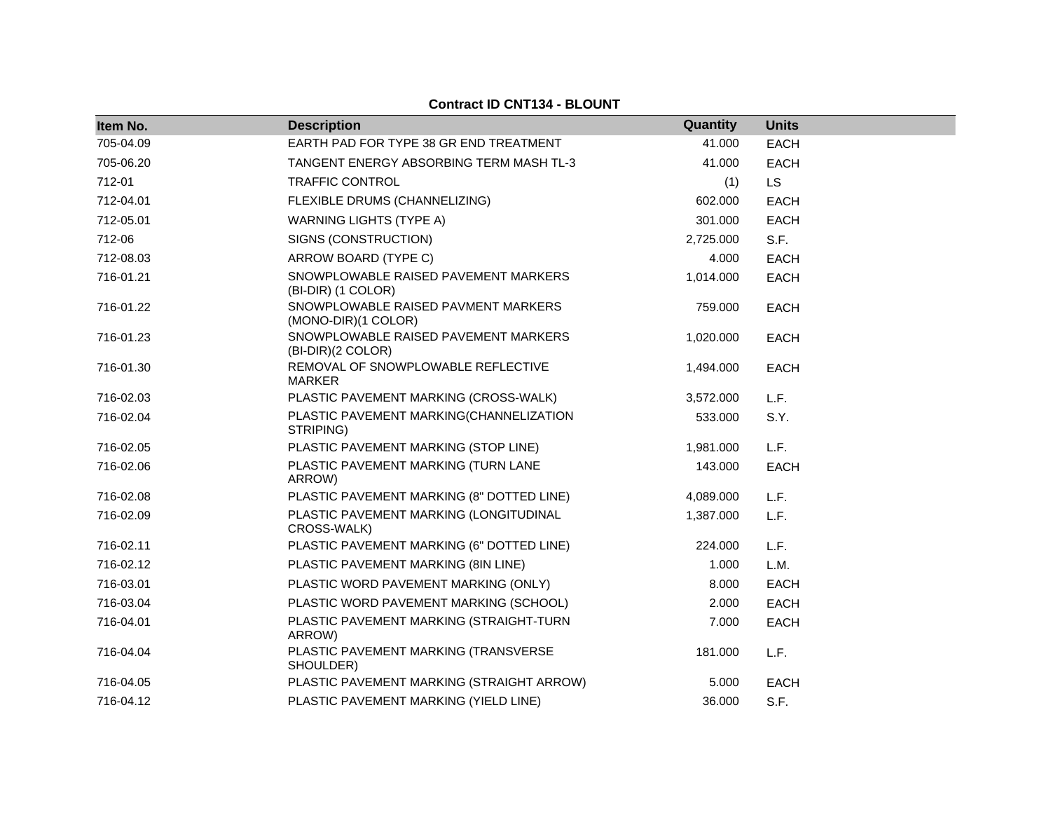#### **Item No. Description Quantity Units** 705-04.09 EARTH PAD FOR TYPE 38 GR END TREATMENT 41.000 EACH 705-06.20 TANGENT ENERGY ABSORBING TERM MASH TL-3 41.000 EACH 712-01 TRAFFIC CONTROL (1) LS 712-04.01 FLEXIBLE DRUMS (CHANNELIZING) 602.000 EACH 712-05.01 WARNING LIGHTS (TYPE A) 301.000 EACH 712-06 SIGNS (CONSTRUCTION) 2,725.000 S.F. 712-08.03 ARROW BOARD (TYPE C) 4.000 EACH 716-01.21 SNOWPLOWABLE RAISED PAVEMENT MARKERS (BI-DIR) (1 COLOR) 1,014.000 EACH 716-01.22 SNOWPLOWABLE RAISED PAVMENT MARKERS (MONO-DIR)(1 COLOR) 759.000 EACH 716-01.23 SNOWPLOWABLE RAISED PAVEMENT MARKERS (BI-DIR)(2 COLOR) 1,020.000 EACH 716-01.30 REMOVAL OF SNOWPLOWABLE REFLECTIVE MARKER 1,494.000 EACH 716-02.03 PLASTIC PAVEMENT MARKING (CROSS-WALK) 3,572.000 L.F. 716-02.04 PLASTIC PAVEMENT MARKING(CHANNELIZATION STRIPING) 533.000 S.Y. 716-02.05 PLASTIC PAVEMENT MARKING (STOP LINE) 1,981.000 L.F. 716-02.06 PLASTIC PAVEMENT MARKING (TURN LANE ARROW) 143.000 EACH 716-02.08 PLASTIC PAVEMENT MARKING (8" DOTTED LINE) 4,089.000 L.F. 716-02.09 PLASTIC PAVEMENT MARKING (LONGITUDINAL CROSS-WALK) 1,387.000 L.F. 716-02.11 PLASTIC PAVEMENT MARKING (6" DOTTED LINE) 224.000 L.F. 716-02.12 PLASTIC PAVEMENT MARKING (8IN LINE) 1.000 L.M. 716-03.01 PLASTIC WORD PAVEMENT MARKING (ONLY) 8.000 EACH 716-03.04 PLASTIC WORD PAVEMENT MARKING (SCHOOL) 2.000 EACH 716-04.01 PLASTIC PAVEMENT MARKING (STRAIGHT-TURN ARROW) 7.000 EACH 716-04.04 PLASTIC PAVEMENT MARKING (TRANSVERSE SHOULDER) 181.000 L.F. 716-04.05 PLASTIC PAVEMENT MARKING (STRAIGHT ARROW) 5.000 EACH 716-04.12 PLASTIC PAVEMENT MARKING (YIELD LINE) 36.000 S.F.

#### **Contract ID CNT134 - BLOUNT**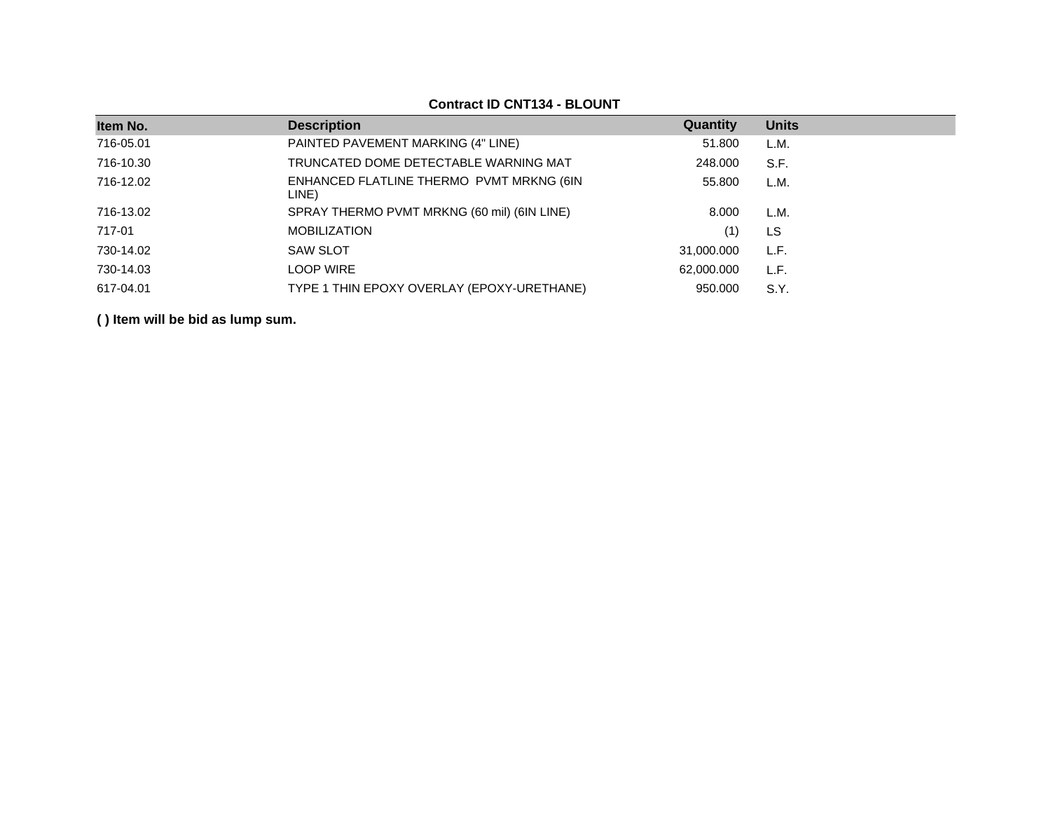|           |                                                   | Quantity   |              |
|-----------|---------------------------------------------------|------------|--------------|
| Item No.  | <b>Description</b>                                |            | <b>Units</b> |
| 716-05.01 | PAINTED PAVEMENT MARKING (4" LINE)                | 51.800     | L.M.         |
| 716-10.30 | TRUNCATED DOME DETECTABLE WARNING MAT             | 248.000    | S.F.         |
| 716-12.02 | ENHANCED FLATLINE THERMO PVMT MRKNG (6IN<br>LINE) | 55.800     | L.M.         |
| 716-13.02 | SPRAY THERMO PVMT MRKNG (60 mil) (6IN LINE)       | 8.000      | L.M.         |
| 717-01    | <b>MOBILIZATION</b>                               | (1)        | LS           |
| 730-14.02 | <b>SAW SLOT</b>                                   | 31,000.000 | L.F.         |
| 730-14.03 | <b>LOOP WIRE</b>                                  | 62,000.000 | L.F.         |
| 617-04.01 | TYPE 1 THIN EPOXY OVERLAY (EPOXY-URETHANE)        | 950,000    | S.Y.         |

#### **Contract ID CNT134 - BLOUNT**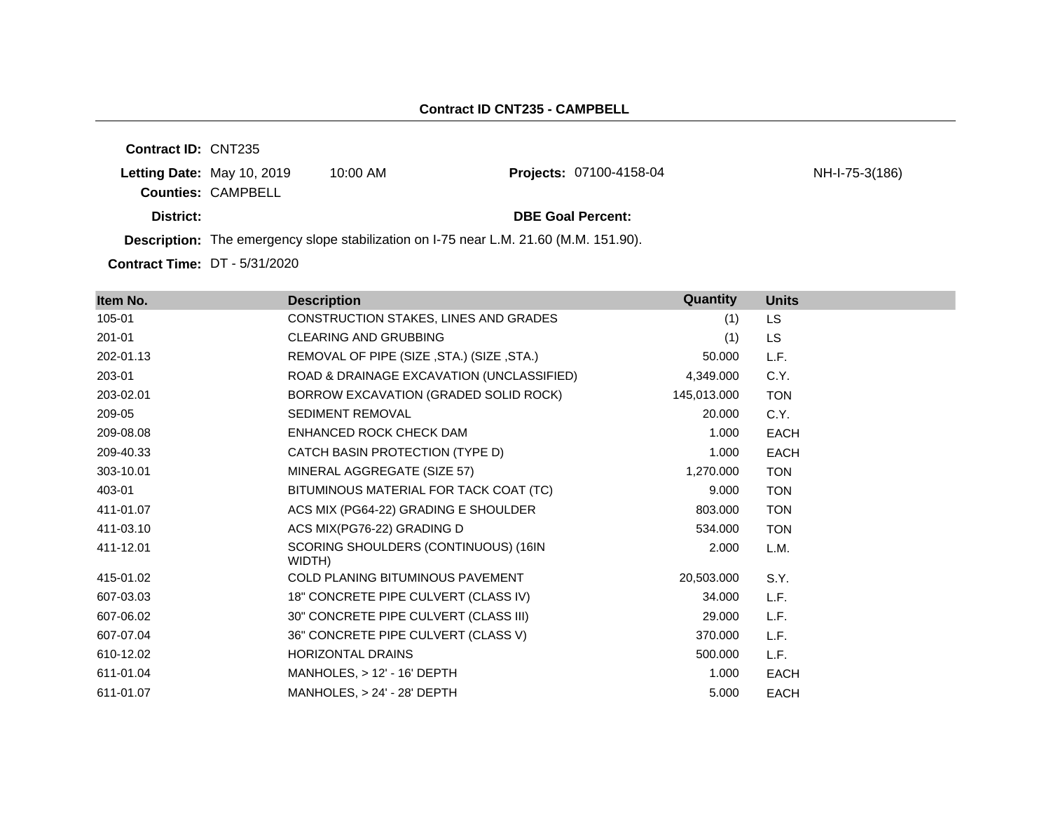**Contract ID:** CNT235 **Letting Date:** May 10, 2019 10:00 AM **Counties:** CAMPBELL **District: District: DBE Goal Percent: Description:** The emergency slope stabilization on I-75 near L.M. 21.60 (M.M. 151.90). Projects: 07100-4158-04 NH-I-75-3(186)

**Contract Time:** DT - 5/31/2020

| Item No.  | <b>Description</b>                             | Quantity    | <b>Units</b> |
|-----------|------------------------------------------------|-------------|--------------|
| 105-01    | CONSTRUCTION STAKES, LINES AND GRADES          | (1)         | LS.          |
| 201-01    | CLEARING AND GRUBBING                          | (1)         | <b>LS</b>    |
| 202-01.13 | REMOVAL OF PIPE (SIZE, STA.) (SIZE, STA.)      | 50.000      | L.F.         |
| 203-01    | ROAD & DRAINAGE EXCAVATION (UNCLASSIFIED)      | 4,349.000   | C.Y.         |
| 203-02.01 | BORROW EXCAVATION (GRADED SOLID ROCK)          | 145,013.000 | <b>TON</b>   |
| 209-05    | <b>SEDIMENT REMOVAL</b>                        | 20.000      | C.Y.         |
| 209-08.08 | ENHANCED ROCK CHECK DAM                        | 1.000       | <b>EACH</b>  |
| 209-40.33 | CATCH BASIN PROTECTION (TYPE D)                | 1.000       | <b>EACH</b>  |
| 303-10.01 | MINERAL AGGREGATE (SIZE 57)                    | 1,270.000   | <b>TON</b>   |
| 403-01    | BITUMINOUS MATERIAL FOR TACK COAT (TC)         | 9.000       | <b>TON</b>   |
| 411-01.07 | ACS MIX (PG64-22) GRADING E SHOULDER           | 803.000     | <b>TON</b>   |
| 411-03.10 | ACS MIX(PG76-22) GRADING D                     | 534.000     | <b>TON</b>   |
| 411-12.01 | SCORING SHOULDERS (CONTINUOUS) (16IN<br>WIDTH) | 2.000       | L.M.         |
| 415-01.02 | <b>COLD PLANING BITUMINOUS PAVEMENT</b>        | 20,503.000  | S.Y.         |
| 607-03.03 | 18" CONCRETE PIPE CULVERT (CLASS IV)           | 34.000      | L.F.         |
| 607-06.02 | 30" CONCRETE PIPE CULVERT (CLASS III)          | 29.000      | L.F.         |
| 607-07.04 | 36" CONCRETE PIPE CULVERT (CLASS V)            | 370.000     | L.F.         |
| 610-12.02 | HORIZONTAL DRAINS                              | 500.000     | L.F.         |
| 611-01.04 | $MANHOLES$ , $> 12' - 16' DEPTH$               | 1.000       | <b>EACH</b>  |
| 611-01.07 | $MANHOLES, > 24' - 28' DEPTH$                  | 5.000       | <b>EACH</b>  |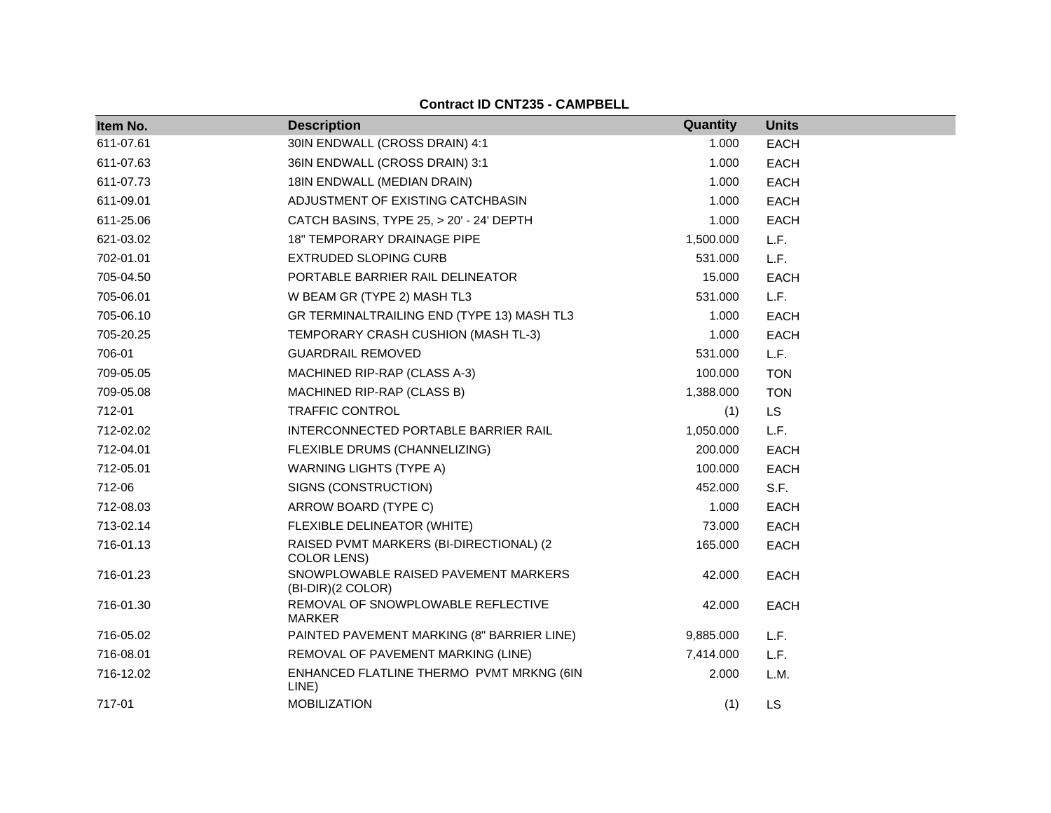#### **Contract ID CNT235 - CAMPBELL**

| Item No.  | <b>Description</b>                                        | Quantity  | <b>Units</b> |
|-----------|-----------------------------------------------------------|-----------|--------------|
| 611-07.61 | 30IN ENDWALL (CROSS DRAIN) 4:1                            | 1.000     | <b>EACH</b>  |
| 611-07.63 | 36IN ENDWALL (CROSS DRAIN) 3:1                            | 1.000     | <b>EACH</b>  |
| 611-07.73 | 18IN ENDWALL (MEDIAN DRAIN)                               | 1.000     | EACH         |
| 611-09.01 | ADJUSTMENT OF EXISTING CATCHBASIN                         | 1.000     | EACH         |
| 611-25.06 | CATCH BASINS, TYPE 25, > 20' - 24' DEPTH                  | 1.000     | <b>EACH</b>  |
| 621-03.02 | <b>18" TEMPORARY DRAINAGE PIPE</b>                        | 1,500.000 | L.F.         |
| 702-01.01 | <b>EXTRUDED SLOPING CURB</b>                              | 531.000   | L.F.         |
| 705-04.50 | PORTABLE BARRIER RAIL DELINEATOR                          | 15.000    | EACH         |
| 705-06.01 | W BEAM GR (TYPE 2) MASH TL3                               | 531.000   | L.F.         |
| 705-06.10 | GR TERMINALTRAILING END (TYPE 13) MASH TL3                | 1.000     | <b>EACH</b>  |
| 705-20.25 | TEMPORARY CRASH CUSHION (MASH TL-3)                       | 1.000     | EACH         |
| 706-01    | <b>GUARDRAIL REMOVED</b>                                  | 531.000   | L.F.         |
| 709-05.05 | MACHINED RIP-RAP (CLASS A-3)                              | 100.000   | <b>TON</b>   |
| 709-05.08 | MACHINED RIP-RAP (CLASS B)                                | 1,388.000 | <b>TON</b>   |
| 712-01    | <b>TRAFFIC CONTROL</b>                                    | (1)       | <b>LS</b>    |
| 712-02.02 | INTERCONNECTED PORTABLE BARRIER RAIL                      | 1,050.000 | L.F.         |
| 712-04.01 | FLEXIBLE DRUMS (CHANNELIZING)                             | 200.000   | EACH         |
| 712-05.01 | <b>WARNING LIGHTS (TYPE A)</b>                            | 100.000   | <b>EACH</b>  |
| 712-06    | SIGNS (CONSTRUCTION)                                      | 452.000   | S.F.         |
| 712-08.03 | ARROW BOARD (TYPE C)                                      | 1.000     | <b>EACH</b>  |
| 713-02.14 | FLEXIBLE DELINEATOR (WHITE)                               | 73.000    | <b>EACH</b>  |
| 716-01.13 | RAISED PVMT MARKERS (BI-DIRECTIONAL) (2<br>COLOR LENS)    | 165.000   | <b>EACH</b>  |
| 716-01.23 | SNOWPLOWABLE RAISED PAVEMENT MARKERS<br>(BI-DIR)(2 COLOR) | 42.000    | <b>EACH</b>  |
| 716-01.30 | REMOVAL OF SNOWPLOWABLE REFLECTIVE<br><b>MARKER</b>       | 42.000    | <b>EACH</b>  |
| 716-05.02 | PAINTED PAVEMENT MARKING (8" BARRIER LINE)                | 9,885.000 | L.F.         |
| 716-08.01 | REMOVAL OF PAVEMENT MARKING (LINE)                        | 7,414.000 | L.F.         |
| 716-12.02 | ENHANCED FLATLINE THERMO PVMT MRKNG (6IN<br>LINE)         | 2.000     | L.M.         |
| 717-01    | <b>MOBILIZATION</b>                                       | (1)       | LS           |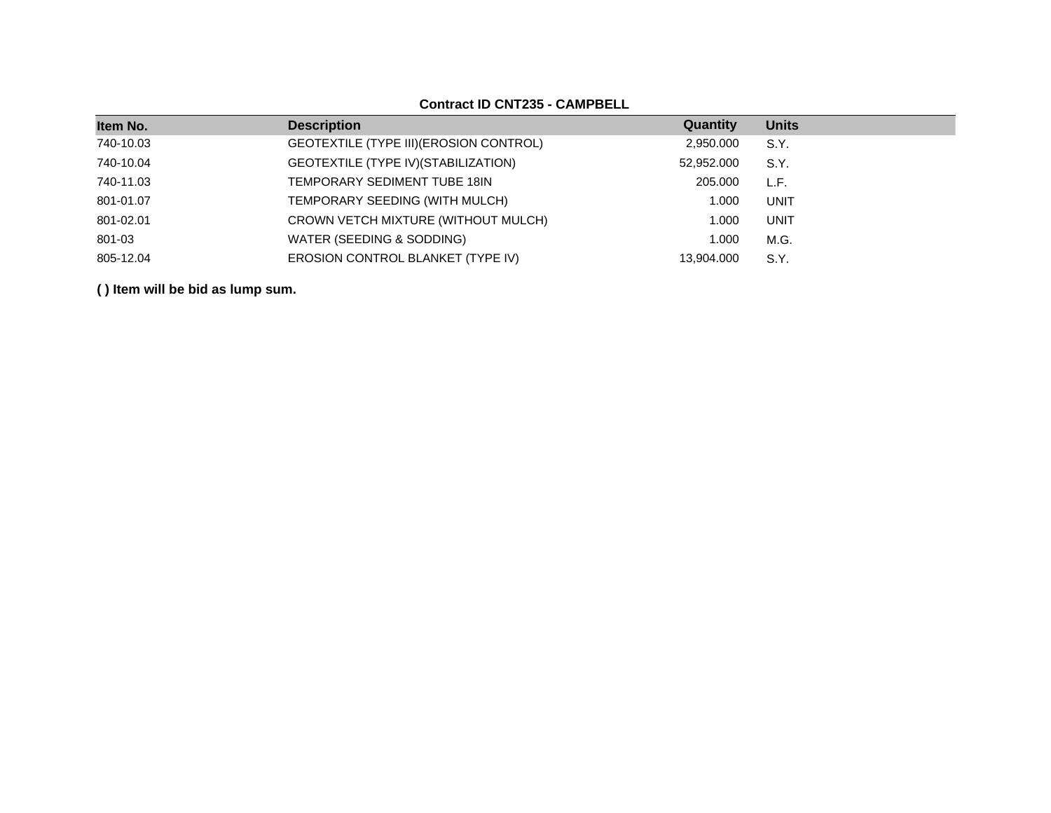## **Contract ID CNT235 - CAMPBELL**

| Item No.  | <b>Description</b>                      | Quantity   | <b>Units</b> |
|-----------|-----------------------------------------|------------|--------------|
| 740-10.03 | GEOTEXTILE (TYPE III) (EROSION CONTROL) | 2,950.000  | S.Y.         |
| 740-10.04 | GEOTEXTILE (TYPE IV) (STABILIZATION)    | 52,952.000 | S.Y.         |
| 740-11.03 | TEMPORARY SEDIMENT TUBE 18IN            | 205,000    | L.F.         |
| 801-01.07 | TEMPORARY SEEDING (WITH MULCH)          | 1.000      | UNIT         |
| 801-02.01 | CROWN VETCH MIXTURE (WITHOUT MULCH)     | 1.000      | UNIT         |
| 801-03    | WATER (SEEDING & SODDING)               | 1.000      | M.G.         |
| 805-12.04 | EROSION CONTROL BLANKET (TYPE IV)       | 13.904.000 | S.Y.         |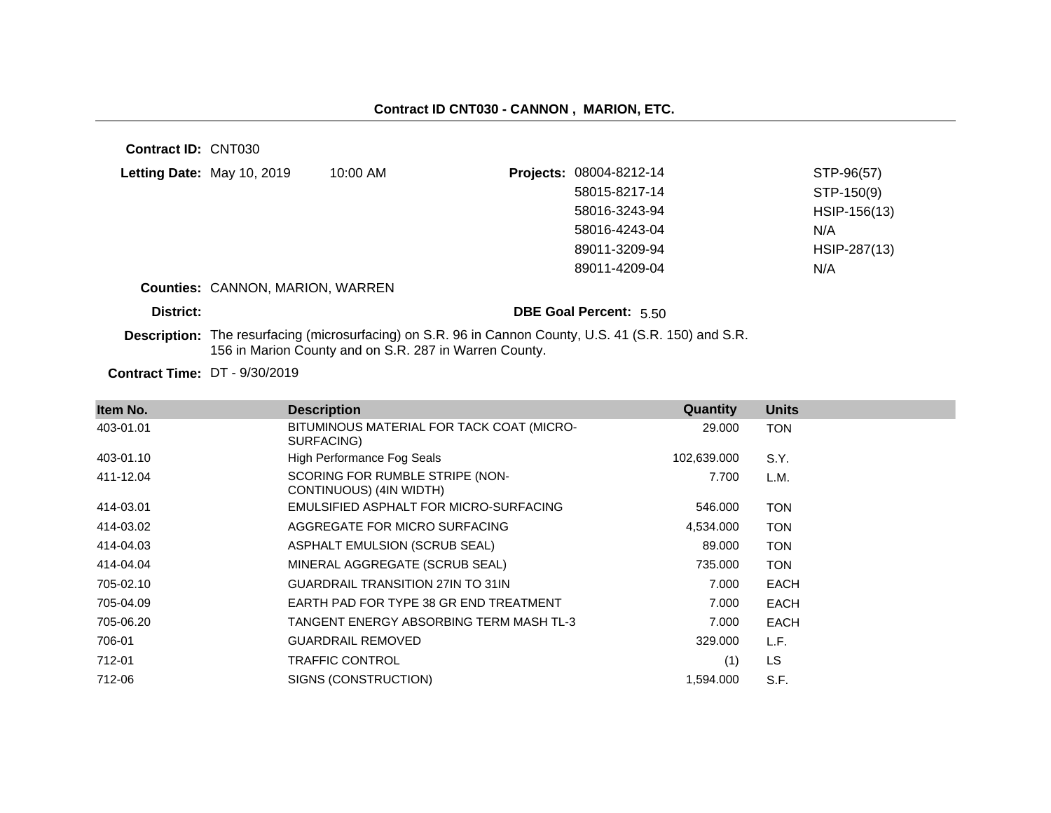**Contract ID:** CNT030

| Letting Date: May 10, 2019   | 10:00 AM | Projects: 08004-8212-14 | STP-96(57)   |
|------------------------------|----------|-------------------------|--------------|
|                              |          | 58015-8217-14           | STP-150(9)   |
|                              |          | 58016-3243-94           | HSIP-156(13) |
|                              |          | 58016-4243-04           | N/A          |
|                              |          | 89011-3209-94           | HSIP-287(13) |
|                              |          | 89011-4209-04           | N/A          |
| ____________________________ |          |                         |              |

#### **Counties:** CANNON, MARION, WARREN

#### **District: District: DBE Goal Percent:** 5.50

**Description:** The resurfacing (microsurfacing) on S.R. 96 in Cannon County, U.S. 41 (S.R. 150) and S.R. 156 in Marion County and on S.R. 287 in Warren County.

**Contract Time:** DT - 9/30/2019

| Item No.  | <b>Description</b>                                         | Quantity    | <b>Units</b> |
|-----------|------------------------------------------------------------|-------------|--------------|
| 403-01.01 | BITUMINOUS MATERIAL FOR TACK COAT (MICRO-<br>SURFACING)    | 29.000      | <b>TON</b>   |
| 403-01.10 | High Performance Fog Seals                                 | 102,639.000 | S.Y.         |
| 411-12.04 | SCORING FOR RUMBLE STRIPE (NON-<br>CONTINUOUS) (4IN WIDTH) | 7.700       | L.M.         |
| 414-03.01 | EMULSIFIED ASPHALT FOR MICRO-SURFACING                     | 546.000     | <b>TON</b>   |
| 414-03.02 | AGGREGATE FOR MICRO SURFACING                              | 4,534.000   | <b>TON</b>   |
| 414-04.03 | ASPHALT EMULSION (SCRUB SEAL)                              | 89.000      | <b>TON</b>   |
| 414-04.04 | MINERAL AGGREGATE (SCRUB SEAL)                             | 735.000     | <b>TON</b>   |
| 705-02.10 | <b>GUARDRAIL TRANSITION 27IN TO 31IN</b>                   | 7.000       | <b>EACH</b>  |
| 705-04.09 | EARTH PAD FOR TYPE 38 GR END TREATMENT                     | 7.000       | <b>EACH</b>  |
| 705-06.20 | TANGENT ENERGY ABSORBING TERM MASH TL-3                    | 7.000       | <b>EACH</b>  |
| 706-01    | <b>GUARDRAIL REMOVED</b>                                   | 329,000     | L.F.         |
| 712-01    | <b>TRAFFIC CONTROL</b>                                     | (1)         | LS           |
| 712-06    | SIGNS (CONSTRUCTION)                                       | 1,594.000   | S.F.         |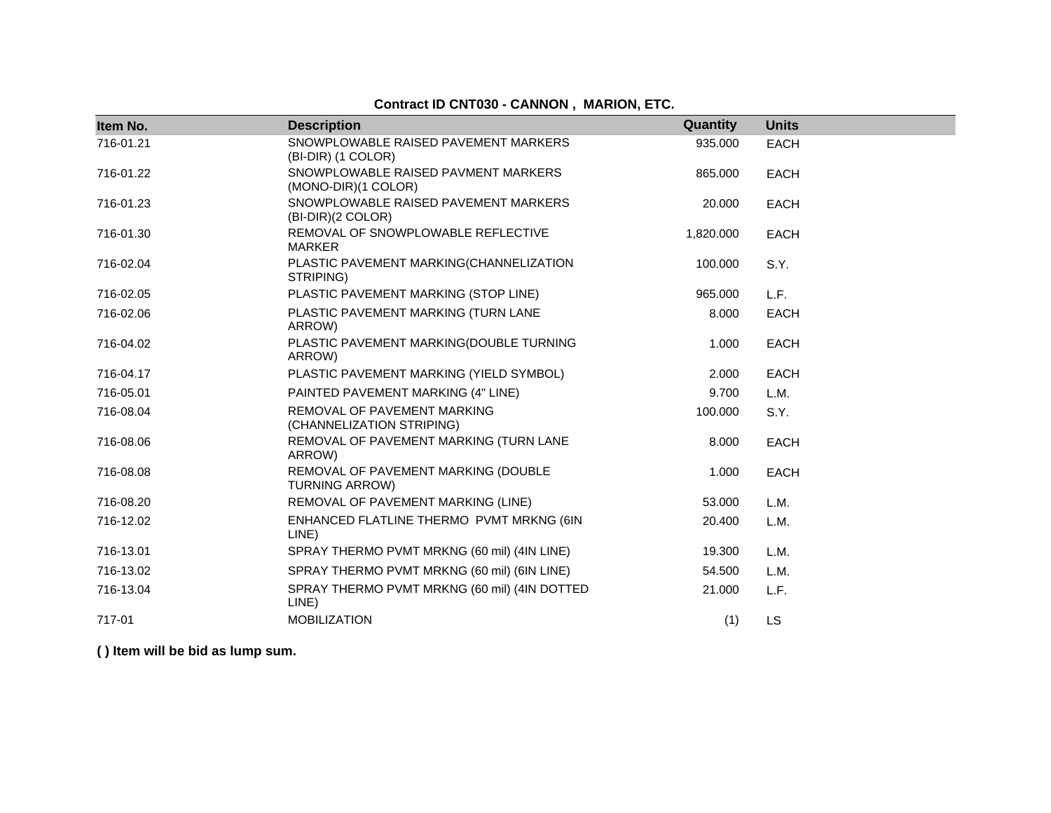# **Contract ID CNT030 - CANNON , MARION, ETC.**

| Item No.  | <b>Description</b>                                           | Quantity  | <b>Units</b> |
|-----------|--------------------------------------------------------------|-----------|--------------|
| 716-01.21 | SNOWPLOWABLE RAISED PAVEMENT MARKERS<br>(BI-DIR) (1 COLOR)   | 935.000   | <b>EACH</b>  |
| 716-01.22 | SNOWPLOWABLE RAISED PAVMENT MARKERS<br>(MONO-DIR)(1 COLOR)   | 865.000   | <b>EACH</b>  |
| 716-01.23 | SNOWPLOWABLE RAISED PAVEMENT MARKERS<br>(BI-DIR)(2 COLOR)    | 20.000    | <b>EACH</b>  |
| 716-01.30 | REMOVAL OF SNOWPLOWABLE REFLECTIVE<br><b>MARKER</b>          | 1,820.000 | <b>EACH</b>  |
| 716-02.04 | PLASTIC PAVEMENT MARKING(CHANNELIZATION<br>STRIPING)         | 100.000   | S.Y.         |
| 716-02.05 | PLASTIC PAVEMENT MARKING (STOP LINE)                         | 965.000   | L.F.         |
| 716-02.06 | PLASTIC PAVEMENT MARKING (TURN LANE<br>ARROW)                | 8.000     | <b>EACH</b>  |
| 716-04.02 | PLASTIC PAVEMENT MARKING(DOUBLE TURNING<br>ARROW)            | 1.000     | <b>EACH</b>  |
| 716-04.17 | PLASTIC PAVEMENT MARKING (YIELD SYMBOL)                      | 2.000     | <b>EACH</b>  |
| 716-05.01 | PAINTED PAVEMENT MARKING (4" LINE)                           | 9.700     | L.M.         |
| 716-08.04 | REMOVAL OF PAVEMENT MARKING<br>(CHANNELIZATION STRIPING)     | 100.000   | S.Y.         |
| 716-08.06 | REMOVAL OF PAVEMENT MARKING (TURN LANE<br>ARROW)             | 8.000     | <b>EACH</b>  |
| 716-08.08 | REMOVAL OF PAVEMENT MARKING (DOUBLE<br><b>TURNING ARROW)</b> | 1.000     | <b>EACH</b>  |
| 716-08.20 | REMOVAL OF PAVEMENT MARKING (LINE)                           | 53.000    | L.M.         |
| 716-12.02 | ENHANCED FLATLINE THERMO PVMT MRKNG (6IN<br>LINE)            | 20.400    | L.M.         |
| 716-13.01 | SPRAY THERMO PVMT MRKNG (60 mil) (4IN LINE)                  | 19.300    | L.M.         |
| 716-13.02 | SPRAY THERMO PVMT MRKNG (60 mil) (6IN LINE)                  | 54.500    | L.M.         |
| 716-13.04 | SPRAY THERMO PVMT MRKNG (60 mil) (4IN DOTTED<br>LINE)        | 21.000    | L.F.         |
| 717-01    | <b>MOBILIZATION</b>                                          | (1)       | <b>LS</b>    |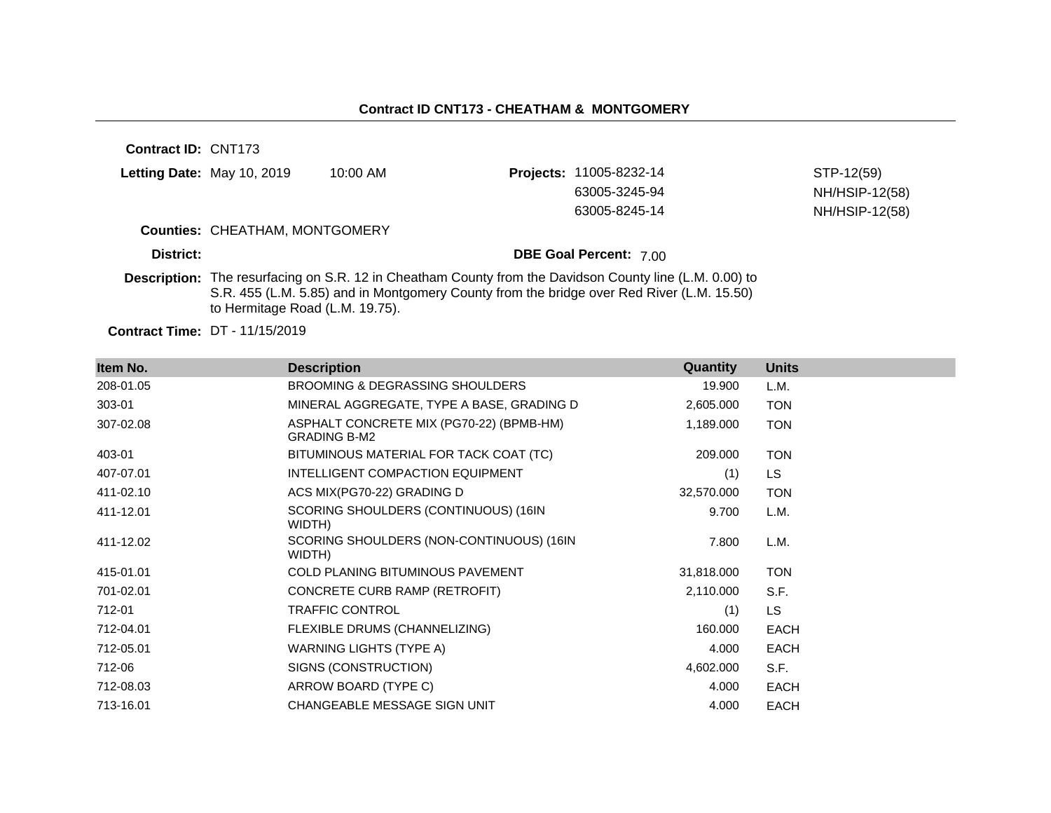**Contract ID:** CNT173 **Letting Date:** May 10, 2019 10:00 AM **Counties:** CHEATHAM, MONTGOMERY **District: District: DBE Goal Percent:** 7.00 **Description:** The resurfacing on S.R. 12 in Cheatham County from the Davidson County line (L.M. 0.00) to S.R. 455 (L.M. 5.85) and in Montgomery County from the bridge over Red River (L.M. 15.50) to Hermitage Road (L.M. 19.75). **Projects:** 11005-8232-14 STP-12(59) 63005-3245-94 NH/HSIP-12(58) 63005-8245-14 NH/HSIP-12(58)

**Contract Time:** DT - 11/15/2019

| Item No.  | <b>Description</b>                                              | Quantity   | <b>Units</b> |
|-----------|-----------------------------------------------------------------|------------|--------------|
| 208-01.05 | <b>BROOMING &amp; DEGRASSING SHOULDERS</b>                      | 19.900     | L.M.         |
| 303-01    | MINERAL AGGREGATE, TYPE A BASE, GRADING D                       | 2,605.000  | <b>TON</b>   |
| 307-02.08 | ASPHALT CONCRETE MIX (PG70-22) (BPMB-HM)<br><b>GRADING B-M2</b> | 1,189.000  | <b>TON</b>   |
| 403-01    | BITUMINOUS MATERIAL FOR TACK COAT (TC)                          | 209.000    | <b>TON</b>   |
| 407-07.01 | INTELLIGENT COMPACTION EQUIPMENT                                | (1)        | LS.          |
| 411-02.10 | ACS MIX(PG70-22) GRADING D                                      | 32,570.000 | <b>TON</b>   |
| 411-12.01 | SCORING SHOULDERS (CONTINUOUS) (16IN<br>WIDTH)                  | 9.700      | L.M.         |
| 411-12.02 | SCORING SHOULDERS (NON-CONTINUOUS) (16IN<br>WIDTH)              | 7.800      | L.M.         |
| 415-01.01 | <b>COLD PLANING BITUMINOUS PAVEMENT</b>                         | 31,818.000 | <b>TON</b>   |
| 701-02.01 | CONCRETE CURB RAMP (RETROFIT)                                   | 2,110.000  | S.F.         |
| 712-01    | <b>TRAFFIC CONTROL</b>                                          | (1)        | LS.          |
| 712-04.01 | FLEXIBLE DRUMS (CHANNELIZING)                                   | 160,000    | <b>EACH</b>  |
| 712-05.01 | WARNING LIGHTS (TYPE A)                                         | 4.000      | <b>EACH</b>  |
| 712-06    | SIGNS (CONSTRUCTION)                                            | 4,602.000  | S.F.         |
| 712-08.03 | ARROW BOARD (TYPE C)                                            | 4.000      | <b>EACH</b>  |
| 713-16.01 | CHANGEABLE MESSAGE SIGN UNIT                                    | 4.000      | EACH         |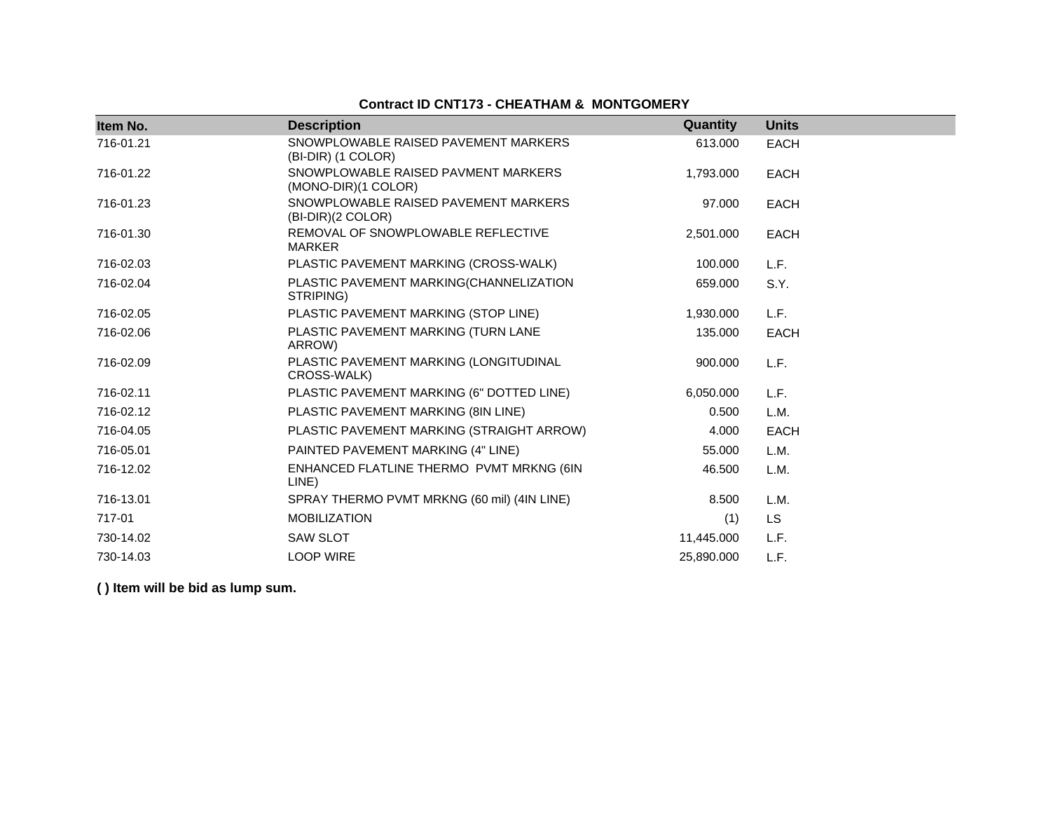## **Contract ID CNT173 - CHEATHAM & MONTGOMERY**

| Item No.  | <b>Description</b>                                         | Quantity   | <b>Units</b> |
|-----------|------------------------------------------------------------|------------|--------------|
| 716-01.21 | SNOWPLOWABLE RAISED PAVEMENT MARKERS<br>(BI-DIR) (1 COLOR) | 613.000    | <b>EACH</b>  |
| 716-01.22 | SNOWPLOWABLE RAISED PAVMENT MARKERS<br>(MONO-DIR)(1 COLOR) | 1,793.000  | <b>EACH</b>  |
| 716-01.23 | SNOWPLOWABLE RAISED PAVEMENT MARKERS<br>(BI-DIR)(2 COLOR)  | 97.000     | <b>EACH</b>  |
| 716-01.30 | REMOVAL OF SNOWPLOWABLE REFLECTIVE<br><b>MARKER</b>        | 2,501.000  | <b>EACH</b>  |
| 716-02.03 | PLASTIC PAVEMENT MARKING (CROSS-WALK)                      | 100.000    | L.F.         |
| 716-02.04 | PLASTIC PAVEMENT MARKING(CHANNELIZATION<br>STRIPING)       | 659.000    | S.Y.         |
| 716-02.05 | PLASTIC PAVEMENT MARKING (STOP LINE)                       | 1,930.000  | L.F.         |
| 716-02.06 | PLASTIC PAVEMENT MARKING (TURN LANE<br>ARROW)              | 135.000    | <b>EACH</b>  |
| 716-02.09 | PLASTIC PAVEMENT MARKING (LONGITUDINAL<br>CROSS-WALK)      | 900.000    | L.F.         |
| 716-02.11 | PLASTIC PAVEMENT MARKING (6" DOTTED LINE)                  | 6,050.000  | L.F.         |
| 716-02.12 | PLASTIC PAVEMENT MARKING (8IN LINE)                        | 0.500      | L.M.         |
| 716-04.05 | PLASTIC PAVEMENT MARKING (STRAIGHT ARROW)                  | 4.000      | <b>EACH</b>  |
| 716-05.01 | PAINTED PAVEMENT MARKING (4" LINE)                         | 55.000     | L.M.         |
| 716-12.02 | ENHANCED FLATLINE THERMO PVMT MRKNG (6IN<br>LINE)          | 46.500     | L.M.         |
| 716-13.01 | SPRAY THERMO PVMT MRKNG (60 mil) (4IN LINE)                | 8.500      | L.M.         |
| 717-01    | <b>MOBILIZATION</b>                                        | (1)        | LS           |
| 730-14.02 | <b>SAW SLOT</b>                                            | 11,445.000 | L.F.         |
| 730-14.03 | <b>LOOP WIRE</b>                                           | 25,890.000 | L.F.         |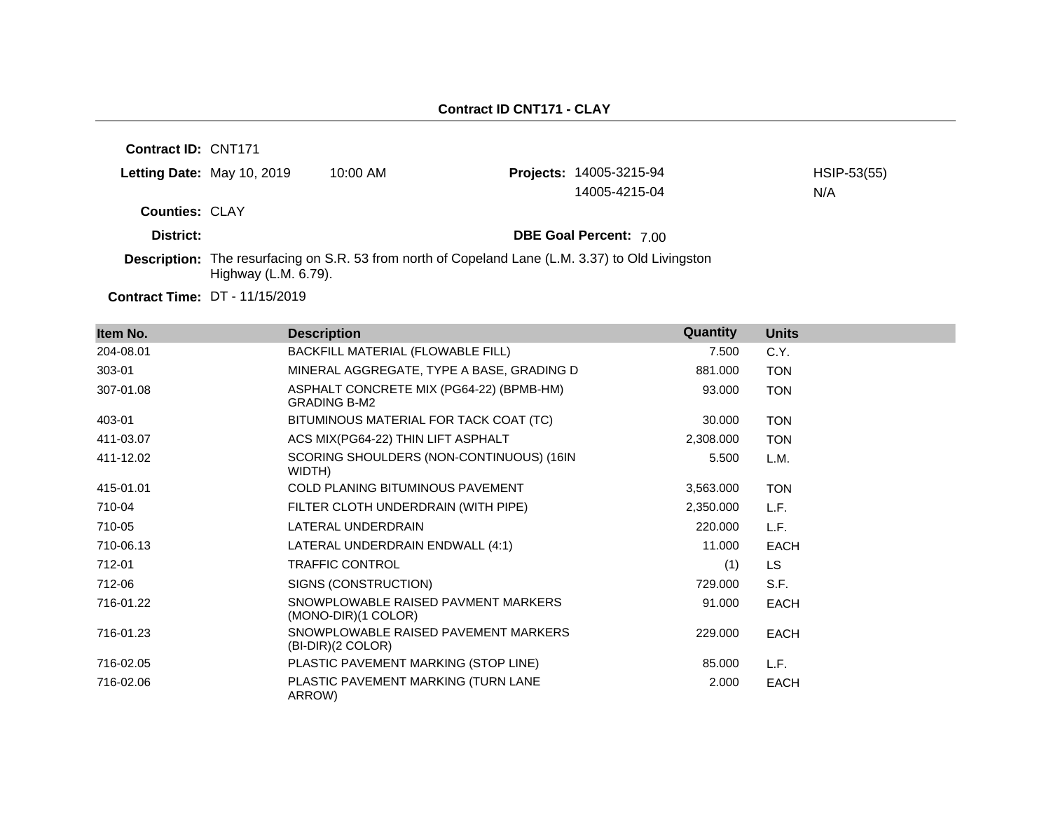**Contract ID:** CNT171 **Letting Date:** May 10, 2019 10:00 AM **Counties:** CLAY **District: District: DBE Goal Percent:** 7.00 **Contract Time:** DT - 11/15/2019 **Description:** The resurfacing on S.R. 53 from north of Copeland Lane (L.M. 3.37) to Old Livingston Highway (L.M. 6.79). **Projects:** 14005-3215-94 HSIP-53(55) 14005-4215-04 N/A

| Item No.  | <b>Description</b>                                              | Quantity  | <b>Units</b> |
|-----------|-----------------------------------------------------------------|-----------|--------------|
| 204-08.01 | BACKFILL MATERIAL (FLOWABLE FILL)                               | 7.500     | C.Y.         |
| 303-01    | MINERAL AGGREGATE, TYPE A BASE, GRADING D                       | 881.000   | <b>TON</b>   |
| 307-01.08 | ASPHALT CONCRETE MIX (PG64-22) (BPMB-HM)<br><b>GRADING B-M2</b> | 93.000    | <b>TON</b>   |
| 403-01    | BITUMINOUS MATERIAL FOR TACK COAT (TC)                          | 30.000    | <b>TON</b>   |
| 411-03.07 | ACS MIX(PG64-22) THIN LIFT ASPHALT                              | 2,308.000 | <b>TON</b>   |
| 411-12.02 | SCORING SHOULDERS (NON-CONTINUOUS) (16IN<br>WIDTH)              | 5.500     | L.M.         |
| 415-01.01 | <b>COLD PLANING BITUMINOUS PAVEMENT</b>                         | 3,563.000 | <b>TON</b>   |
| 710-04    | FILTER CLOTH UNDERDRAIN (WITH PIPE)                             | 2,350.000 | L.F.         |
| 710-05    | LATERAL UNDERDRAIN                                              | 220.000   | L.F.         |
| 710-06.13 | LATERAL UNDERDRAIN ENDWALL (4:1)                                | 11.000    | <b>EACH</b>  |
| 712-01    | <b>TRAFFIC CONTROL</b>                                          | (1)       | <b>LS</b>    |
| 712-06    | SIGNS (CONSTRUCTION)                                            | 729.000   | S.F.         |
| 716-01.22 | SNOWPLOWABLE RAISED PAVMENT MARKERS<br>(MONO-DIR)(1 COLOR)      | 91.000    | EACH         |
| 716-01.23 | SNOWPLOWABLE RAISED PAVEMENT MARKERS<br>(BI-DIR)(2 COLOR)       | 229.000   | EACH         |
| 716-02.05 | PLASTIC PAVEMENT MARKING (STOP LINE)                            | 85.000    | L.F.         |
| 716-02.06 | PLASTIC PAVEMENT MARKING (TURN LANE<br>ARROW)                   | 2.000     | <b>EACH</b>  |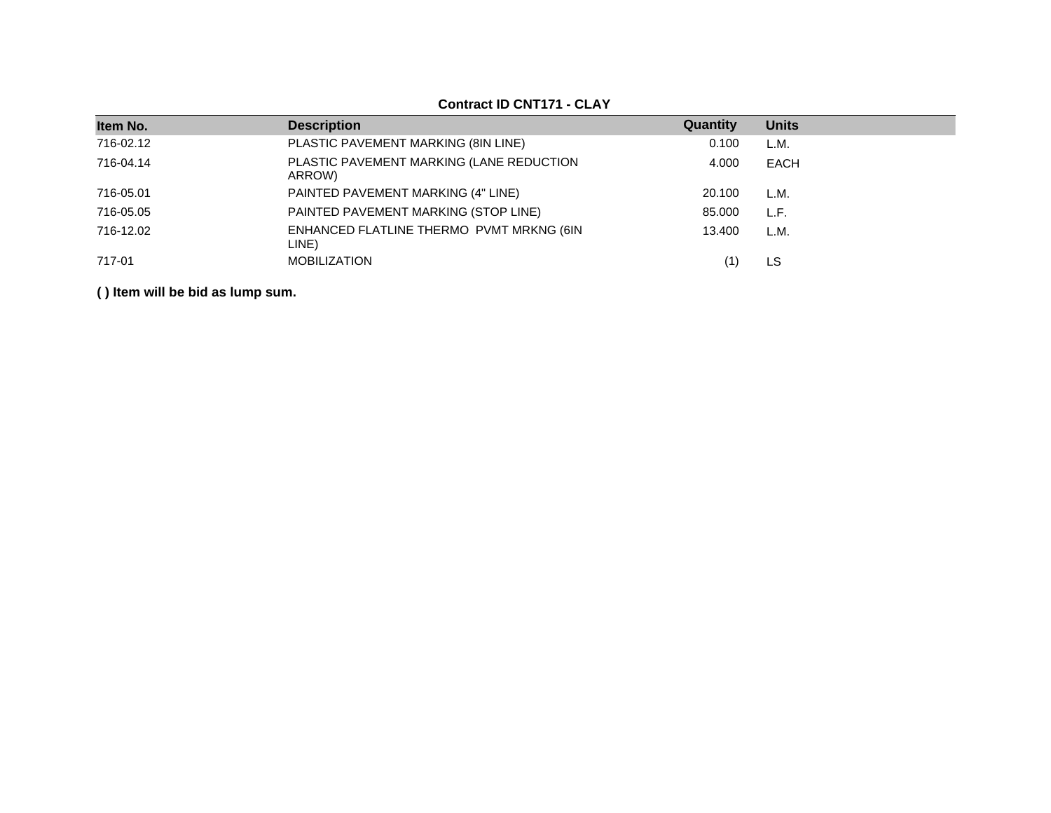| Item No.  | <b>Description</b>                                 | Quantity | <b>Units</b> |
|-----------|----------------------------------------------------|----------|--------------|
| 716-02.12 | PLASTIC PAVEMENT MARKING (8IN LINE)                | 0.100    | L.M.         |
| 716-04.14 | PLASTIC PAVEMENT MARKING (LANE REDUCTION<br>ARROW) | 4.000    | EACH         |
| 716-05.01 | PAINTED PAVEMENT MARKING (4" LINE)                 | 20.100   | L.M.         |
| 716-05.05 | PAINTED PAVEMENT MARKING (STOP LINE)               | 85.000   | L.F.         |
| 716-12.02 | ENHANCED FLATLINE THERMO PVMT MRKNG (6IN<br>LINE)  | 13.400   | L.M.         |
| 717-01    | <b>MOBILIZATION</b>                                |          | LS           |

#### **Contract ID CNT171 - CLAY**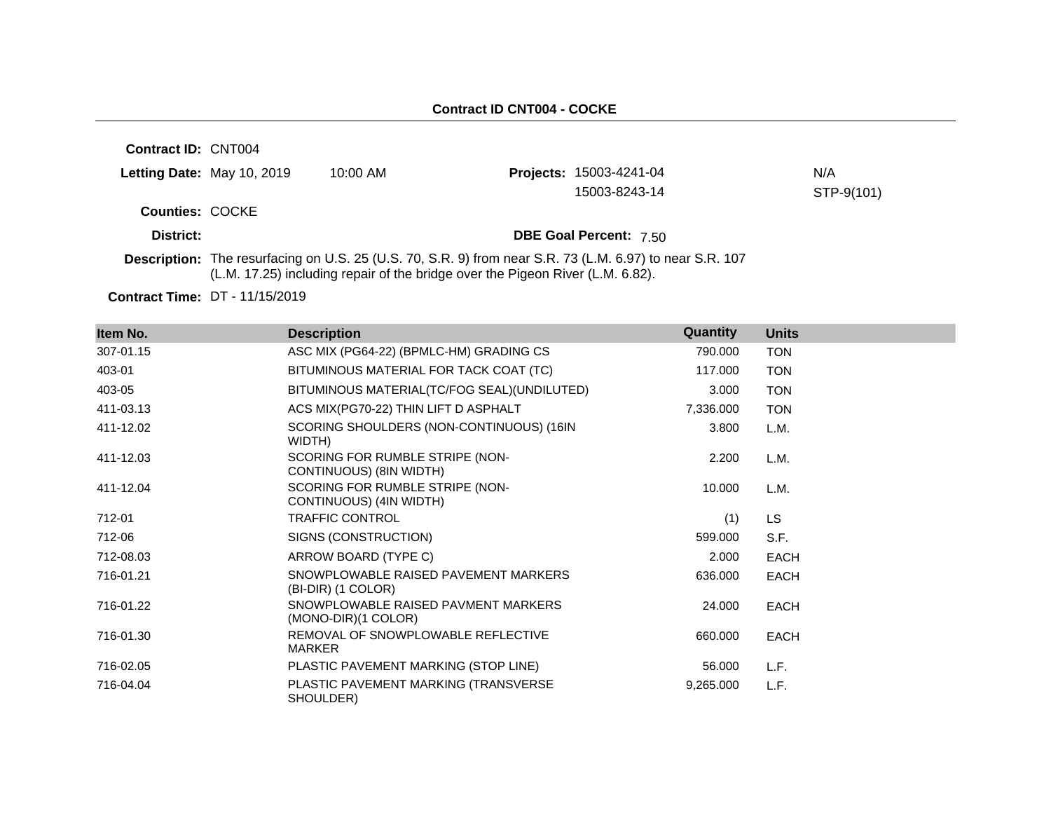**Contract ID:** CNT004 **Letting Date:** May 10, 2019 10:00 AM **Counties:** COCKE **District: District: DBE Goal Percent:** 7.50 **Description:** The resurfacing on U.S. 25 (U.S. 70, S.R. 9) from near S.R. 73 (L.M. 6.97) to near S.R. 107 (L.M. 17.25) including repair of the bridge over the Pigeon River (L.M. 6.82). **Projects:** 15003-4241-04 N/A 15003-8243-14 STP-9(101)

**Contract Time:** DT - 11/15/2019

| Item No.  | <b>Description</b>                                         | Quantity  | <b>Units</b> |
|-----------|------------------------------------------------------------|-----------|--------------|
| 307-01.15 | ASC MIX (PG64-22) (BPMLC-HM) GRADING CS                    | 790.000   | <b>TON</b>   |
| 403-01    | BITUMINOUS MATERIAL FOR TACK COAT (TC)                     | 117.000   | <b>TON</b>   |
| 403-05    | BITUMINOUS MATERIAL(TC/FOG SEAL)(UNDILUTED)                | 3.000     | <b>TON</b>   |
| 411-03.13 | ACS MIX(PG70-22) THIN LIFT D ASPHALT                       | 7,336.000 | <b>TON</b>   |
| 411-12.02 | SCORING SHOULDERS (NON-CONTINUOUS) (16IN<br>WIDTH)         | 3.800     | L.M.         |
| 411-12.03 | SCORING FOR RUMBLE STRIPE (NON-<br>CONTINUOUS) (8IN WIDTH) | 2.200     | L.M.         |
| 411-12.04 | SCORING FOR RUMBLE STRIPE (NON-<br>CONTINUOUS) (4IN WIDTH) | 10.000    | L.M.         |
| 712-01    | <b>TRAFFIC CONTROL</b>                                     | (1)       | LS.          |
| 712-06    | SIGNS (CONSTRUCTION)                                       | 599.000   | S.F.         |
| 712-08.03 | ARROW BOARD (TYPE C)                                       | 2.000     | <b>EACH</b>  |
| 716-01.21 | SNOWPLOWABLE RAISED PAVEMENT MARKERS<br>(BI-DIR) (1 COLOR) | 636.000   | <b>EACH</b>  |
| 716-01.22 | SNOWPLOWABLE RAISED PAVMENT MARKERS<br>(MONO-DIR)(1 COLOR) | 24.000    | <b>EACH</b>  |
| 716-01.30 | REMOVAL OF SNOWPLOWABLE REFLECTIVE<br><b>MARKER</b>        | 660.000   | <b>EACH</b>  |
| 716-02.05 | PLASTIC PAVEMENT MARKING (STOP LINE)                       | 56.000    | L.F.         |
| 716-04.04 | PLASTIC PAVEMENT MARKING (TRANSVERSE<br>SHOULDER)          | 9,265.000 | L.F.         |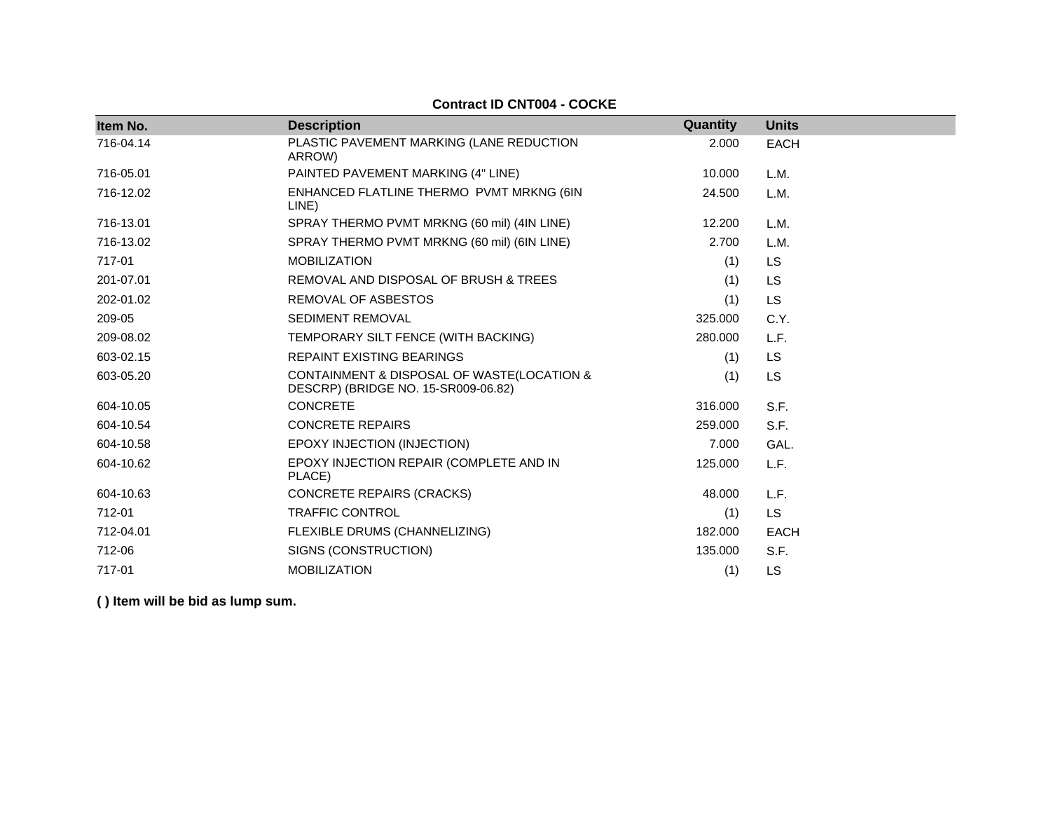| Item No.  | <b>Description</b>                                                                | Quantity | <b>Units</b> |
|-----------|-----------------------------------------------------------------------------------|----------|--------------|
| 716-04.14 | PLASTIC PAVEMENT MARKING (LANE REDUCTION<br>ARROW)                                | 2.000    | <b>EACH</b>  |
| 716-05.01 | PAINTED PAVEMENT MARKING (4" LINE)                                                | 10.000   | L.M.         |
| 716-12.02 | ENHANCED FLATLINE THERMO PVMT MRKNG (6IN<br>LINE)                                 | 24.500   | L.M.         |
| 716-13.01 | SPRAY THERMO PVMT MRKNG (60 mil) (4IN LINE)                                       | 12.200   | L.M.         |
| 716-13.02 | SPRAY THERMO PVMT MRKNG (60 mil) (6IN LINE)                                       | 2.700    | L.M.         |
| 717-01    | <b>MOBILIZATION</b>                                                               | (1)      | <b>LS</b>    |
| 201-07.01 | REMOVAL AND DISPOSAL OF BRUSH & TREES                                             | (1)      | <b>LS</b>    |
| 202-01.02 | <b>REMOVAL OF ASBESTOS</b>                                                        | (1)      | <b>LS</b>    |
| 209-05    | <b>SEDIMENT REMOVAL</b>                                                           | 325.000  | C.Y.         |
| 209-08.02 | TEMPORARY SILT FENCE (WITH BACKING)                                               | 280.000  | L.F.         |
| 603-02.15 | <b>REPAINT EXISTING BEARINGS</b>                                                  | (1)      | <b>LS</b>    |
| 603-05.20 | CONTAINMENT & DISPOSAL OF WASTE(LOCATION &<br>DESCRP) (BRIDGE NO. 15-SR009-06.82) | (1)      | <b>LS</b>    |
| 604-10.05 | <b>CONCRETE</b>                                                                   | 316,000  | S.F.         |
| 604-10.54 | <b>CONCRETE REPAIRS</b>                                                           | 259,000  | S.F.         |
| 604-10.58 | EPOXY INJECTION (INJECTION)                                                       | 7.000    | GAL.         |
| 604-10.62 | EPOXY INJECTION REPAIR (COMPLETE AND IN<br>PLACE)                                 | 125,000  | L.F.         |
| 604-10.63 | <b>CONCRETE REPAIRS (CRACKS)</b>                                                  | 48.000   | L.F.         |
| 712-01    | <b>TRAFFIC CONTROL</b>                                                            | (1)      | <b>LS</b>    |
| 712-04.01 | FLEXIBLE DRUMS (CHANNELIZING)                                                     | 182.000  | <b>EACH</b>  |
| 712-06    | SIGNS (CONSTRUCTION)                                                              | 135.000  | S.F.         |
| 717-01    | <b>MOBILIZATION</b>                                                               | (1)      | <b>LS</b>    |

#### **Contract ID CNT004 - COCKE**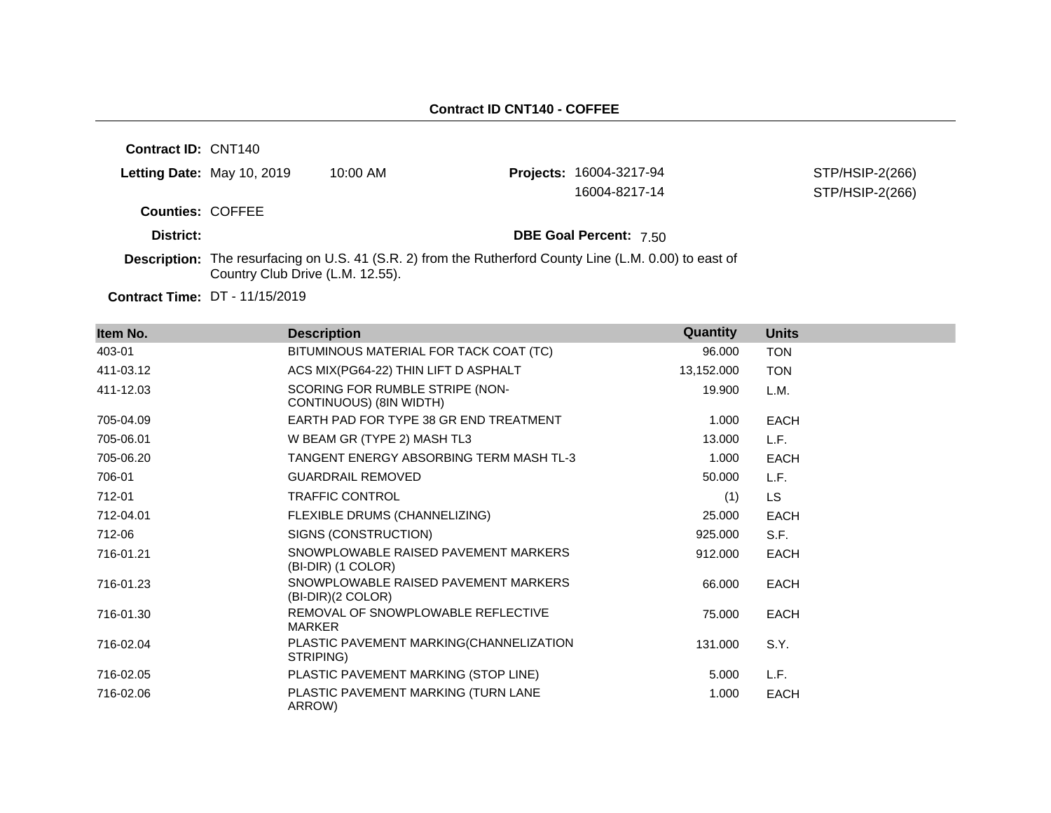**Contract ID:** CNT140 **Letting Date:** May 10, 2019 10:00 AM **Projects:** 16004-3217-94 **Counties:** COFFEE **District: District: DBE Goal Percent:** 7.50 **Contract Time:** DT - 11/15/2019 **Description:** The resurfacing on U.S. 41 (S.R. 2) from the Rutherford County Line (L.M. 0.00) to east of Country Club Drive (L.M. 12.55). STP/HSIP-2(266) 16004-8217-14 STP/HSIP-2(266)

| Item No.  | <b>Description</b>                                         | Quantity   | <b>Units</b> |
|-----------|------------------------------------------------------------|------------|--------------|
| 403-01    | BITUMINOUS MATERIAL FOR TACK COAT (TC)                     | 96.000     | <b>TON</b>   |
| 411-03.12 | ACS MIX(PG64-22) THIN LIFT D ASPHALT                       | 13,152.000 | <b>TON</b>   |
| 411-12.03 | SCORING FOR RUMBLE STRIPE (NON-<br>CONTINUOUS) (8IN WIDTH) | 19.900     | L.M.         |
| 705-04.09 | EARTH PAD FOR TYPE 38 GR END TREATMENT                     | 1.000      | EACH         |
| 705-06.01 | W BEAM GR (TYPE 2) MASH TL3                                | 13.000     | L.F.         |
| 705-06.20 | TANGENT ENERGY ABSORBING TERM MASH TL-3                    | 1.000      | <b>EACH</b>  |
| 706-01    | <b>GUARDRAIL REMOVED</b>                                   | 50.000     | L.F.         |
| 712-01    | <b>TRAFFIC CONTROL</b>                                     | (1)        | <b>LS</b>    |
| 712-04.01 | FLEXIBLE DRUMS (CHANNELIZING)                              | 25.000     | EACH         |
| 712-06    | SIGNS (CONSTRUCTION)                                       | 925.000    | S.F.         |
| 716-01.21 | SNOWPLOWABLE RAISED PAVEMENT MARKERS<br>(BI-DIR) (1 COLOR) | 912.000    | <b>EACH</b>  |
| 716-01.23 | SNOWPLOWABLE RAISED PAVEMENT MARKERS<br>(BI-DIR)(2 COLOR)  | 66.000     | EACH         |
| 716-01.30 | REMOVAL OF SNOWPLOWABLE REFLECTIVE<br><b>MARKER</b>        | 75.000     | EACH         |
| 716-02.04 | PLASTIC PAVEMENT MARKING(CHANNELIZATION<br>STRIPING)       | 131.000    | S.Y.         |
| 716-02.05 | PLASTIC PAVEMENT MARKING (STOP LINE)                       | 5.000      | L.F.         |
| 716-02.06 | PLASTIC PAVEMENT MARKING (TURN LANE<br>ARROW)              | 1.000      | <b>EACH</b>  |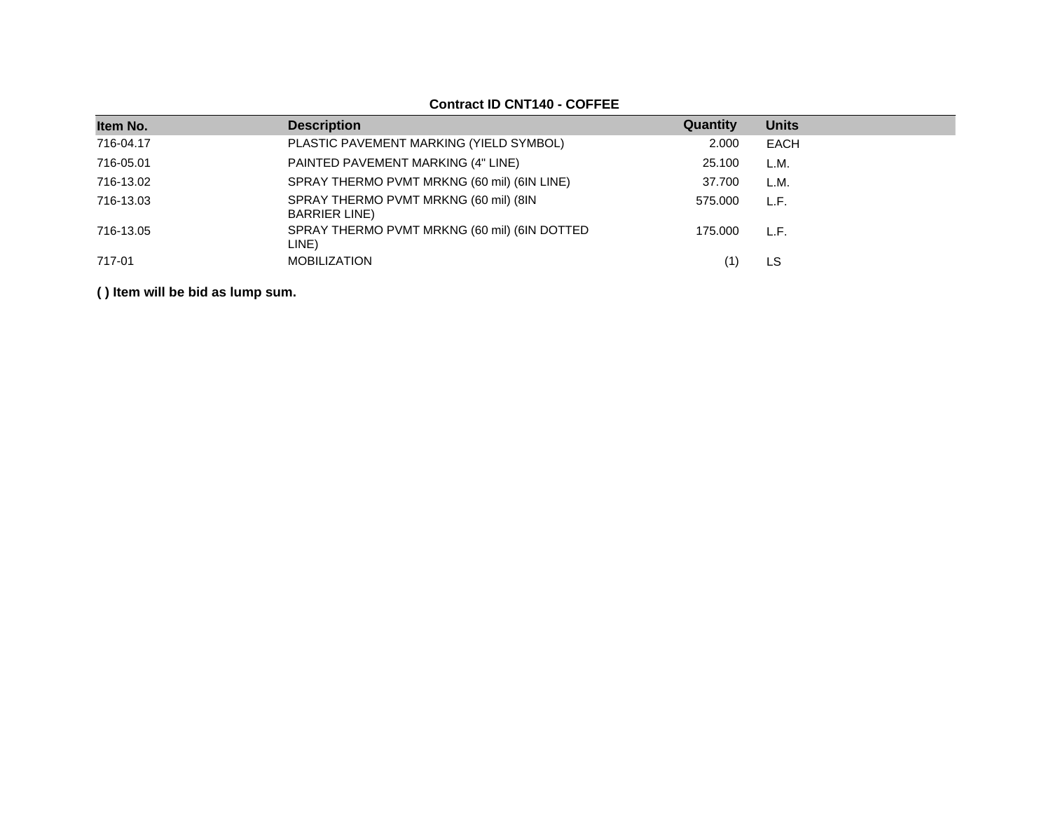## **Contract ID CNT140 - COFFEE**

| Item No.  | <b>Description</b>                                             | Quantity | <b>Units</b> |
|-----------|----------------------------------------------------------------|----------|--------------|
| 716-04.17 | PLASTIC PAVEMENT MARKING (YIELD SYMBOL)                        | 2.000    | <b>EACH</b>  |
| 716-05.01 | PAINTED PAVEMENT MARKING (4" LINE)                             | 25.100   | L.M.         |
| 716-13.02 | SPRAY THERMO PVMT MRKNG (60 mil) (6IN LINE)                    | 37.700   | L.M.         |
| 716-13.03 | SPRAY THERMO PVMT MRKNG (60 mil) (8IN<br><b>BARRIER LINE</b> ) | 575.000  | L.F.         |
| 716-13.05 | SPRAY THERMO PVMT MRKNG (60 mil) (6IN DOTTED<br>LINE)          | 175.000  | L.F.         |
| 717-01    | <b>MOBILIZATION</b>                                            | (1`      | LS           |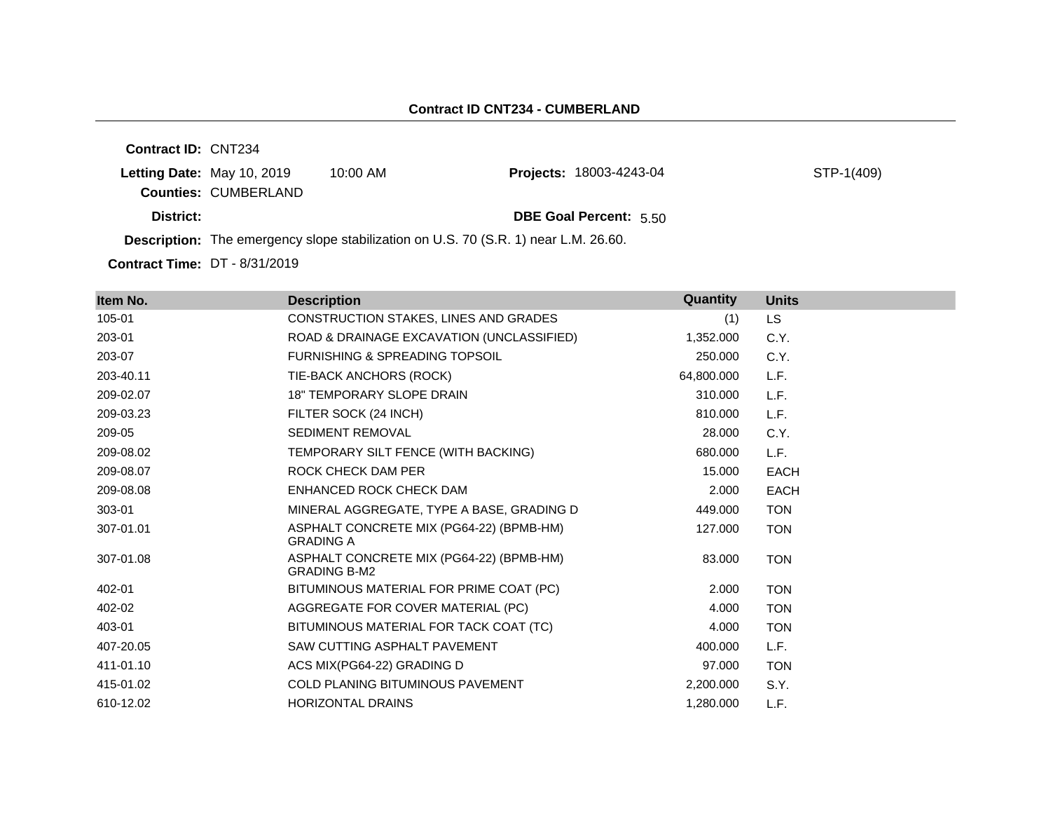**Contract ID:** CNT234 **Letting Date:** May 10, 2019 10:00 AM **Counties:** CUMBERLAND **District: District: DBE Goal Percent:** 5.50 **Description:** The emergency slope stabilization on U.S. 70 (S.R. 1) near L.M. 26.60. **Projects:** 18003-4243-04 STP-1(409)

**Contract Time:** DT - 8/31/2019

| Item No.  | <b>Description</b>                                              | Quantity   | <b>Units</b> |
|-----------|-----------------------------------------------------------------|------------|--------------|
| 105-01    | CONSTRUCTION STAKES, LINES AND GRADES                           | (1)        | <b>LS</b>    |
| 203-01    | ROAD & DRAINAGE EXCAVATION (UNCLASSIFIED)                       | 1,352.000  | C.Y.         |
| 203-07    | <b>FURNISHING &amp; SPREADING TOPSOIL</b>                       | 250,000    | C.Y.         |
| 203-40.11 | TIE-BACK ANCHORS (ROCK)                                         | 64,800.000 | L.F.         |
| 209-02.07 | <b>18" TEMPORARY SLOPE DRAIN</b>                                | 310.000    | L.F.         |
| 209-03.23 | FILTER SOCK (24 INCH)                                           | 810.000    | L.F.         |
| 209-05    | <b>SEDIMENT REMOVAL</b>                                         | 28,000     | C.Y.         |
| 209-08.02 | TEMPORARY SILT FENCE (WITH BACKING)                             | 680.000    | L.F.         |
| 209-08.07 | ROCK CHECK DAM PER                                              | 15.000     | <b>EACH</b>  |
| 209-08.08 | ENHANCED ROCK CHECK DAM                                         | 2.000      | <b>EACH</b>  |
| 303-01    | MINERAL AGGREGATE, TYPE A BASE, GRADING D                       | 449.000    | <b>TON</b>   |
| 307-01.01 | ASPHALT CONCRETE MIX (PG64-22) (BPMB-HM)<br><b>GRADING A</b>    | 127.000    | <b>TON</b>   |
| 307-01.08 | ASPHALT CONCRETE MIX (PG64-22) (BPMB-HM)<br><b>GRADING B-M2</b> | 83,000     | <b>TON</b>   |
| 402-01    | BITUMINOUS MATERIAL FOR PRIME COAT (PC)                         | 2.000      | <b>TON</b>   |
| 402-02    | AGGREGATE FOR COVER MATERIAL (PC)                               | 4.000      | <b>TON</b>   |
| 403-01    | BITUMINOUS MATERIAL FOR TACK COAT (TC)                          | 4.000      | <b>TON</b>   |
| 407-20.05 | SAW CUTTING ASPHALT PAVEMENT                                    | 400.000    | L.F.         |
| 411-01.10 | ACS MIX(PG64-22) GRADING D                                      | 97.000     | <b>TON</b>   |
| 415-01.02 | <b>COLD PLANING BITUMINOUS PAVEMENT</b>                         | 2,200.000  | S.Y.         |
| 610-12.02 | <b>HORIZONTAL DRAINS</b>                                        | 1,280.000  | L.F.         |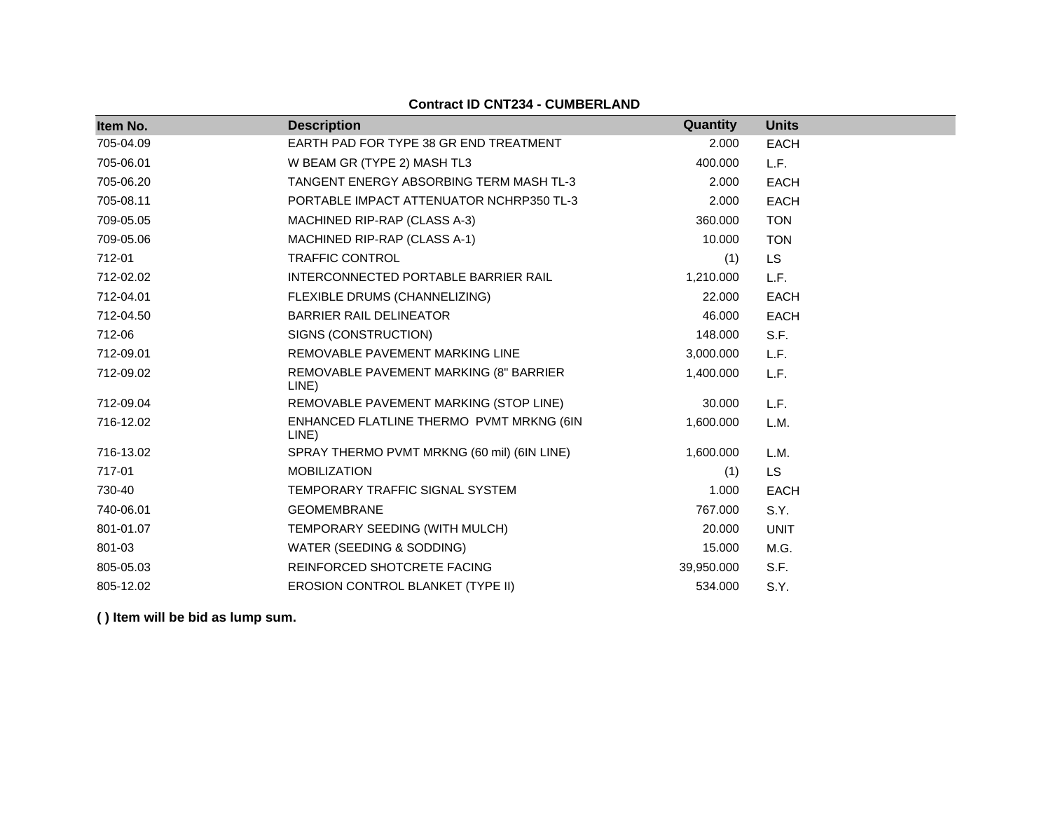#### **Contract ID CNT234 - CUMBERLAND**

| Item No.  | <b>Description</b>                                | Quantity   | <b>Units</b> |
|-----------|---------------------------------------------------|------------|--------------|
| 705-04.09 | EARTH PAD FOR TYPE 38 GR END TREATMENT            | 2.000      | <b>EACH</b>  |
| 705-06.01 | W BEAM GR (TYPE 2) MASH TL3                       | 400.000    | L.F.         |
| 705-06.20 | TANGENT ENERGY ABSORBING TERM MASH TL-3           | 2.000      | <b>EACH</b>  |
| 705-08.11 | PORTABLE IMPACT ATTENUATOR NCHRP350 TL-3          | 2.000      | <b>EACH</b>  |
| 709-05.05 | MACHINED RIP-RAP (CLASS A-3)                      | 360.000    | <b>TON</b>   |
| 709-05.06 | MACHINED RIP-RAP (CLASS A-1)                      | 10.000     | <b>TON</b>   |
| 712-01    | <b>TRAFFIC CONTROL</b>                            | (1)        | <b>LS</b>    |
| 712-02.02 | INTERCONNECTED PORTABLE BARRIER RAIL              | 1,210.000  | L.F.         |
| 712-04.01 | FLEXIBLE DRUMS (CHANNELIZING)                     | 22,000     | <b>EACH</b>  |
| 712-04.50 | <b>BARRIER RAIL DELINEATOR</b>                    | 46.000     | <b>EACH</b>  |
| 712-06    | SIGNS (CONSTRUCTION)                              | 148.000    | S.F.         |
| 712-09.01 | REMOVABLE PAVEMENT MARKING LINE                   | 3,000.000  | L.F.         |
| 712-09.02 | REMOVABLE PAVEMENT MARKING (8" BARRIER<br>LINE)   | 1,400.000  | L.F.         |
| 712-09.04 | REMOVABLE PAVEMENT MARKING (STOP LINE)            | 30.000     | L.F.         |
| 716-12.02 | ENHANCED FLATLINE THERMO PVMT MRKNG (6IN<br>LINE) | 1,600.000  | L.M.         |
| 716-13.02 | SPRAY THERMO PVMT MRKNG (60 mil) (6IN LINE)       | 1,600.000  | L.M.         |
| 717-01    | <b>MOBILIZATION</b>                               | (1)        | <b>LS</b>    |
| 730-40    | TEMPORARY TRAFFIC SIGNAL SYSTEM                   | 1.000      | <b>EACH</b>  |
| 740-06.01 | <b>GEOMEMBRANE</b>                                | 767.000    | S.Y.         |
| 801-01.07 | TEMPORARY SEEDING (WITH MULCH)                    | 20,000     | <b>UNIT</b>  |
| 801-03    | WATER (SEEDING & SODDING)                         | 15.000     | M.G.         |
| 805-05.03 | REINFORCED SHOTCRETE FACING                       | 39,950.000 | S.F.         |
| 805-12.02 | EROSION CONTROL BLANKET (TYPE II)                 | 534.000    | S.Y.         |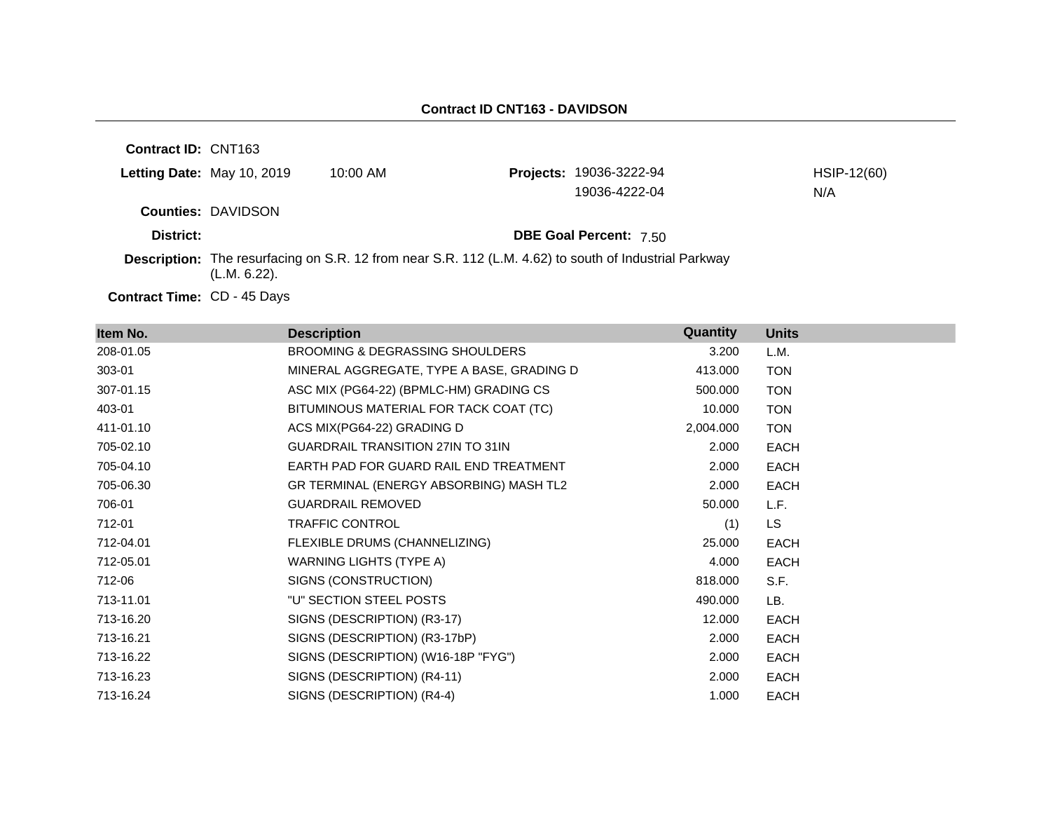| <b>Contract ID: CNT163</b> |                            |                                                                                                              |                                |             |
|----------------------------|----------------------------|--------------------------------------------------------------------------------------------------------------|--------------------------------|-------------|
|                            | Letting Date: May 10, 2019 | $10:00$ AM                                                                                                   | <b>Projects: 19036-3222-94</b> | HSIP-12(60) |
|                            |                            |                                                                                                              | 19036-4222-04                  | N/A         |
|                            | <b>Counties: DAVIDSON</b>  |                                                                                                              |                                |             |
| District:                  |                            |                                                                                                              | <b>DBE Goal Percent: 7.50</b>  |             |
|                            | (L.M. 6.22).               | <b>Description:</b> The resurfacing on S.R. 12 from near S.R. 112 (L.M. 4.62) to south of Industrial Parkway |                                |             |
|                            | .                          |                                                                                                              |                                |             |

Contract Time: CD - 45 Days

| Item No.  | <b>Description</b>                         | Quantity  | <b>Units</b> |
|-----------|--------------------------------------------|-----------|--------------|
| 208-01.05 | <b>BROOMING &amp; DEGRASSING SHOULDERS</b> | 3.200     | L.M.         |
| 303-01    | MINERAL AGGREGATE, TYPE A BASE, GRADING D  | 413.000   | <b>TON</b>   |
| 307-01.15 | ASC MIX (PG64-22) (BPMLC-HM) GRADING CS    | 500.000   | <b>TON</b>   |
| 403-01    | BITUMINOUS MATERIAL FOR TACK COAT (TC)     | 10.000    | <b>TON</b>   |
| 411-01.10 | ACS MIX(PG64-22) GRADING D                 | 2,004.000 | <b>TON</b>   |
| 705-02.10 | <b>GUARDRAIL TRANSITION 27IN TO 31IN</b>   | 2.000     | EACH         |
| 705-04.10 | EARTH PAD FOR GUARD RAIL END TREATMENT     | 2.000     | EACH         |
| 705-06.30 | GR TERMINAL (ENERGY ABSORBING) MASH TL2    | 2.000     | <b>EACH</b>  |
| 706-01    | <b>GUARDRAIL REMOVED</b>                   | 50.000    | L.F.         |
| 712-01    | <b>TRAFFIC CONTROL</b>                     | (1)       | LS.          |
| 712-04.01 | FLEXIBLE DRUMS (CHANNELIZING)              | 25.000    | EACH         |
| 712-05.01 | WARNING LIGHTS (TYPE A)                    | 4.000     | EACH         |
| 712-06    | SIGNS (CONSTRUCTION)                       | 818.000   | S.F.         |
| 713-11.01 | "U" SECTION STEEL POSTS                    | 490.000   | LB.          |
| 713-16.20 | SIGNS (DESCRIPTION) (R3-17)                | 12.000    | <b>EACH</b>  |
| 713-16.21 | SIGNS (DESCRIPTION) (R3-17bP)              | 2.000     | <b>EACH</b>  |
| 713-16.22 | SIGNS (DESCRIPTION) (W16-18P "FYG")        | 2.000     | <b>EACH</b>  |
| 713-16.23 | SIGNS (DESCRIPTION) (R4-11)                | 2.000     | <b>EACH</b>  |
| 713-16.24 | SIGNS (DESCRIPTION) (R4-4)                 | 1.000     | <b>EACH</b>  |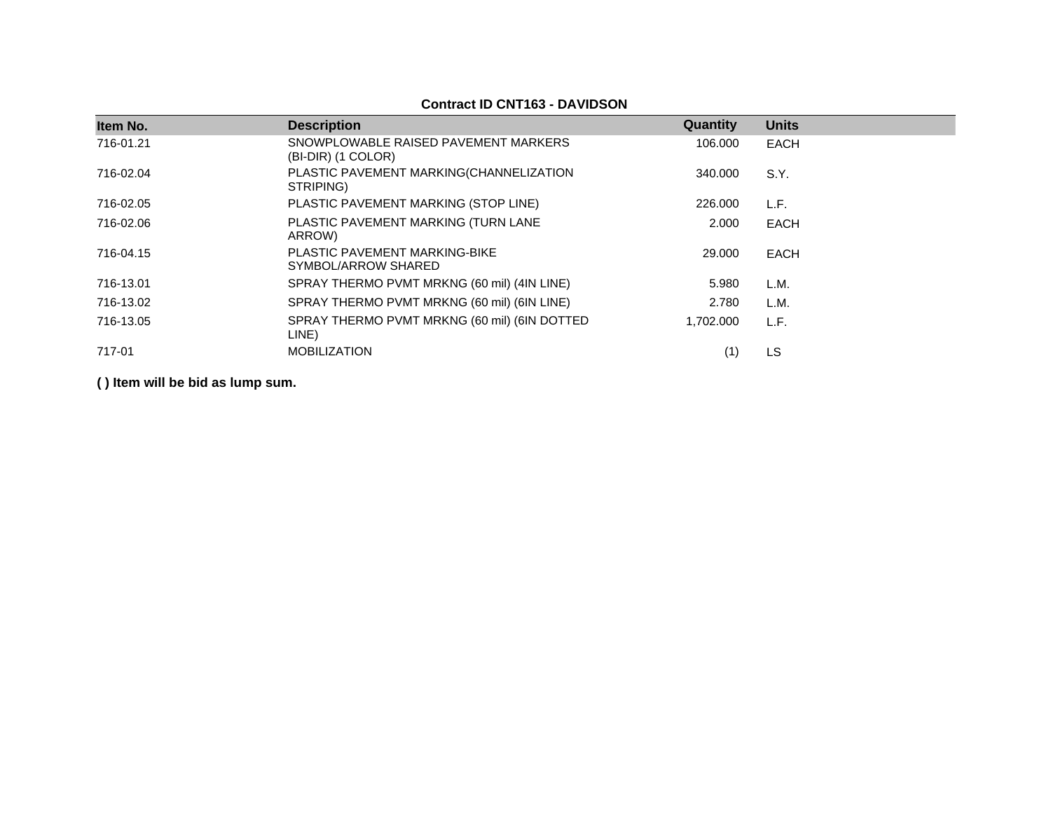#### **Contract ID CNT163 - DAVIDSON**

| Item No.  | <b>Description</b>                                         | Quantity  | <b>Units</b> |
|-----------|------------------------------------------------------------|-----------|--------------|
| 716-01.21 | SNOWPLOWABLE RAISED PAVEMENT MARKERS<br>(BI-DIR) (1 COLOR) | 106.000   | <b>EACH</b>  |
| 716-02.04 | PLASTIC PAVEMENT MARKING(CHANNELIZATION<br>STRIPING)       | 340,000   | S.Y.         |
| 716-02.05 | PLASTIC PAVEMENT MARKING (STOP LINE)                       | 226,000   | L.F.         |
| 716-02.06 | PLASTIC PAVEMENT MARKING (TURN LANE<br>ARROW)              | 2.000     | EACH         |
| 716-04.15 | PLASTIC PAVEMENT MARKING-BIKE<br>SYMBOL/ARROW SHARED       | 29,000    | <b>EACH</b>  |
| 716-13.01 | SPRAY THERMO PVMT MRKNG (60 mil) (4IN LINE)                | 5.980     | L.M.         |
| 716-13.02 | SPRAY THERMO PVMT MRKNG (60 mil) (6IN LINE)                | 2.780     | L.M.         |
| 716-13.05 | SPRAY THERMO PVMT MRKNG (60 mil) (6IN DOTTED<br>LINE)      | 1,702.000 | L.F.         |
| 717-01    | <b>MOBILIZATION</b>                                        | (1)       | LS           |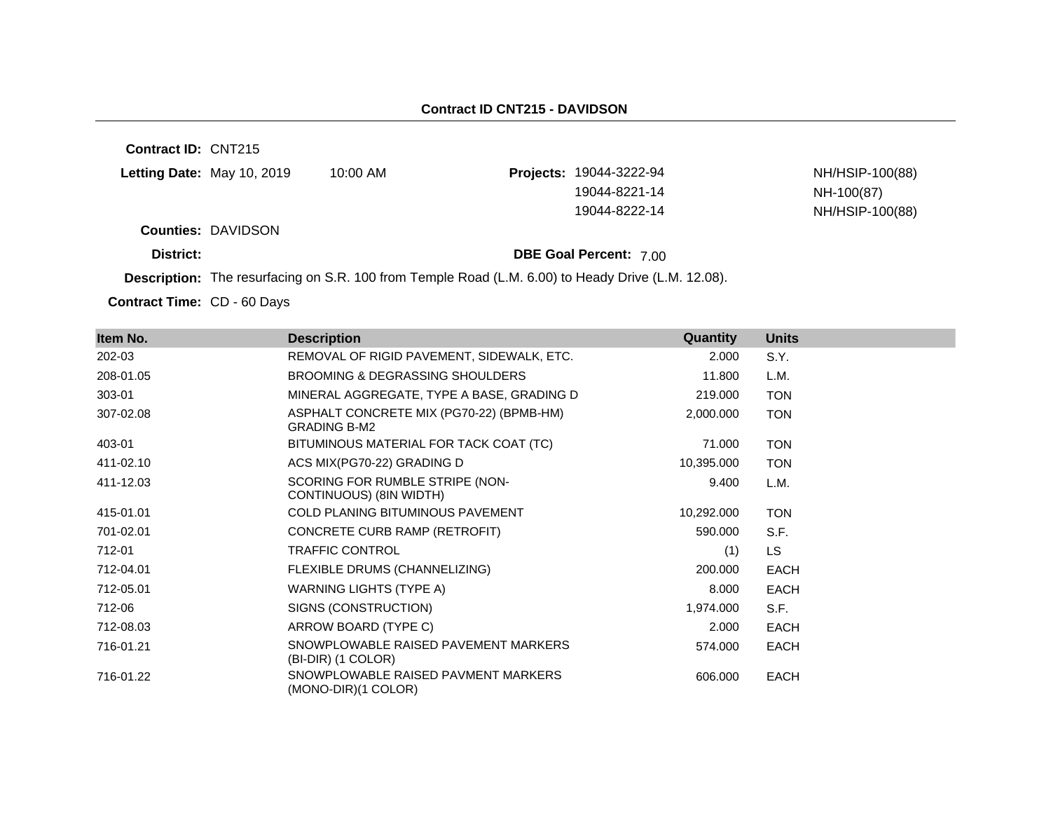**Contract ID:** CNT215 **Letting Date:** May 10, 2019 10:00 AM **Projects:** 19044-3222-94 **Counties:** DAVIDSON **District: District: DBE Goal Percent:** 7.00 NH/HSIP-100(88) 19044-8221-14 NH-100(87) 19044-8222-14 NH/HSIP-100(88)

**Description:** The resurfacing on S.R. 100 from Temple Road (L.M. 6.00) to Heady Drive (L.M. 12.08).

Contract Time: CD - 60 Days

| Item No.  | <b>Description</b>                                              | Quantity   | <b>Units</b> |
|-----------|-----------------------------------------------------------------|------------|--------------|
| 202-03    | REMOVAL OF RIGID PAVEMENT, SIDEWALK, ETC.                       | 2.000      | S.Y.         |
| 208-01.05 | BROOMING & DEGRASSING SHOULDERS                                 | 11.800     | L.M.         |
| 303-01    | MINERAL AGGREGATE, TYPE A BASE, GRADING D                       | 219.000    | <b>TON</b>   |
| 307-02.08 | ASPHALT CONCRETE MIX (PG70-22) (BPMB-HM)<br><b>GRADING B-M2</b> | 2,000.000  | <b>TON</b>   |
| 403-01    | BITUMINOUS MATERIAL FOR TACK COAT (TC)                          | 71.000     | <b>TON</b>   |
| 411-02.10 | ACS MIX(PG70-22) GRADING D                                      | 10,395.000 | <b>TON</b>   |
| 411-12.03 | SCORING FOR RUMBLE STRIPE (NON-<br>CONTINUOUS) (8IN WIDTH)      | 9.400      | L.M.         |
| 415-01.01 | <b>COLD PLANING BITUMINOUS PAVEMENT</b>                         | 10,292.000 | <b>TON</b>   |
| 701-02.01 | CONCRETE CURB RAMP (RETROFIT)                                   | 590.000    | S.F.         |
| 712-01    | <b>TRAFFIC CONTROL</b>                                          | (1)        | LS.          |
| 712-04.01 | FLEXIBLE DRUMS (CHANNELIZING)                                   | 200.000    | <b>EACH</b>  |
| 712-05.01 | WARNING LIGHTS (TYPE A)                                         | 8.000      | <b>EACH</b>  |
| 712-06    | SIGNS (CONSTRUCTION)                                            | 1,974.000  | S.F.         |
| 712-08.03 | ARROW BOARD (TYPE C)                                            | 2.000      | <b>EACH</b>  |
| 716-01.21 | SNOWPLOWABLE RAISED PAVEMENT MARKERS<br>(BI-DIR) (1 COLOR)      | 574.000    | <b>EACH</b>  |
| 716-01.22 | SNOWPLOWABLE RAISED PAVMENT MARKERS<br>(MONO-DIR)(1 COLOR)      | 606.000    | <b>EACH</b>  |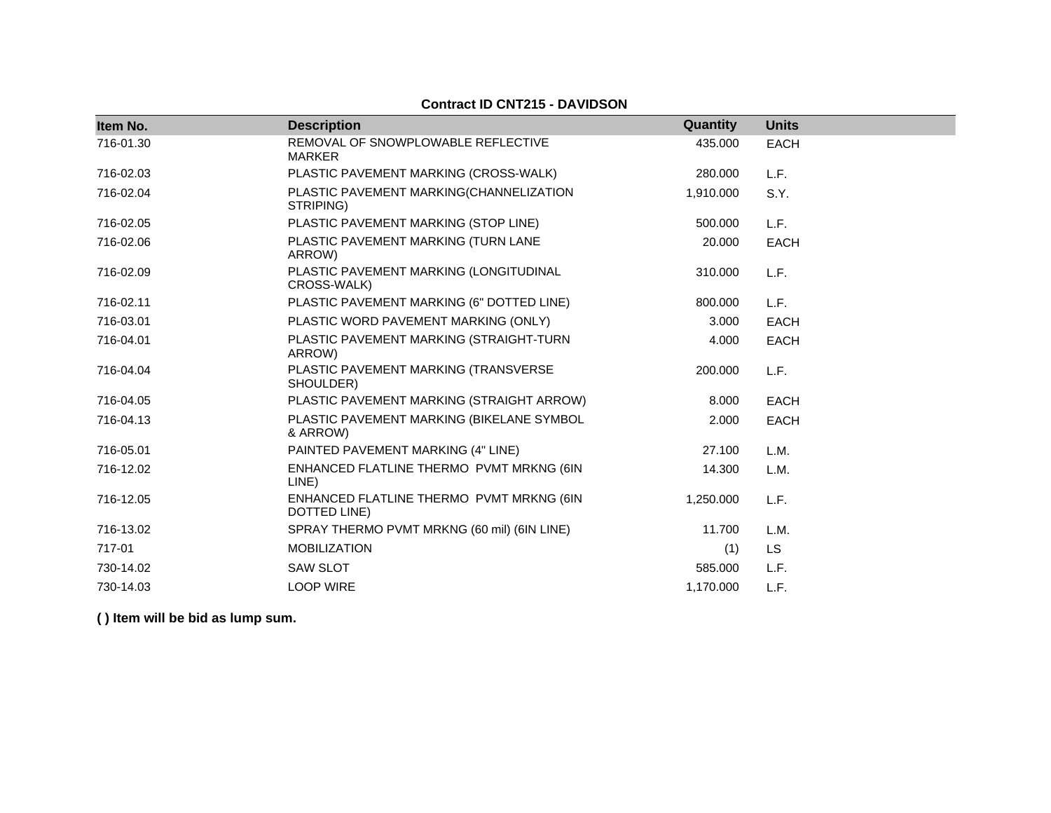| Item No.  | <b>Description</b>                                       | Quantity  | <b>Units</b> |
|-----------|----------------------------------------------------------|-----------|--------------|
| 716-01.30 | REMOVAL OF SNOWPLOWABLE REFLECTIVE<br><b>MARKER</b>      | 435.000   | <b>EACH</b>  |
| 716-02.03 | PLASTIC PAVEMENT MARKING (CROSS-WALK)                    | 280.000   | L.F.         |
| 716-02.04 | PLASTIC PAVEMENT MARKING(CHANNELIZATION<br>STRIPING)     | 1,910.000 | S.Y.         |
| 716-02.05 | PLASTIC PAVEMENT MARKING (STOP LINE)                     | 500.000   | L.F.         |
| 716-02.06 | PLASTIC PAVEMENT MARKING (TURN LANE<br>ARROW)            | 20,000    | <b>EACH</b>  |
| 716-02.09 | PLASTIC PAVEMENT MARKING (LONGITUDINAL<br>CROSS-WALK)    | 310.000   | L.F.         |
| 716-02.11 | PLASTIC PAVEMENT MARKING (6" DOTTED LINE)                | 800.000   | L.F.         |
| 716-03.01 | PLASTIC WORD PAVEMENT MARKING (ONLY)                     | 3.000     | <b>EACH</b>  |
| 716-04.01 | PLASTIC PAVEMENT MARKING (STRAIGHT-TURN<br>ARROW)        | 4.000     | <b>EACH</b>  |
| 716-04.04 | PLASTIC PAVEMENT MARKING (TRANSVERSE<br>SHOULDER)        | 200,000   | L.F.         |
| 716-04.05 | PLASTIC PAVEMENT MARKING (STRAIGHT ARROW)                | 8.000     | <b>EACH</b>  |
| 716-04.13 | PLASTIC PAVEMENT MARKING (BIKELANE SYMBOL<br>& ARROW)    | 2.000     | <b>EACH</b>  |
| 716-05.01 | PAINTED PAVEMENT MARKING (4" LINE)                       | 27.100    | L.M.         |
| 716-12.02 | ENHANCED FLATLINE THERMO PVMT MRKNG (6IN<br>LINE)        | 14.300    | L.M.         |
| 716-12.05 | ENHANCED FLATLINE THERMO PVMT MRKNG (6IN<br>DOTTED LINE) | 1,250.000 | L.F.         |
| 716-13.02 | SPRAY THERMO PVMT MRKNG (60 mil) (6IN LINE)              | 11.700    | L.M.         |
| 717-01    | <b>MOBILIZATION</b>                                      | (1)       | LS           |
| 730-14.02 | <b>SAW SLOT</b>                                          | 585,000   | L.F.         |
| 730-14.03 | <b>LOOP WIRE</b>                                         | 1,170.000 | L.F.         |

# **Contract ID CNT215 - DAVIDSON**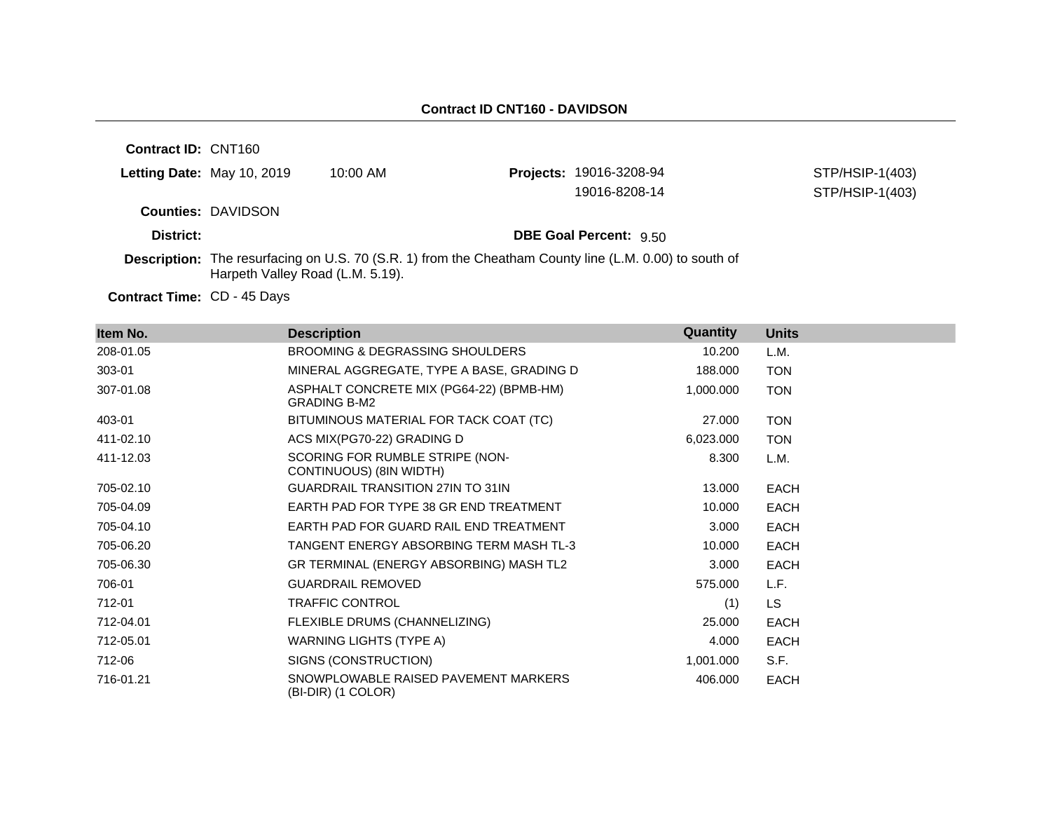| <b>Contract ID: CNT160</b>         |                                  |                                                                                                               |                                |                 |
|------------------------------------|----------------------------------|---------------------------------------------------------------------------------------------------------------|--------------------------------|-----------------|
|                                    | Letting Date: May 10, 2019       | $10:00$ AM                                                                                                    | <b>Projects: 19016-3208-94</b> | STP/HSIP-1(403) |
|                                    |                                  |                                                                                                               | 19016-8208-14                  | STP/HSIP-1(403) |
|                                    | <b>Counties: DAVIDSON</b>        |                                                                                                               |                                |                 |
| District:                          |                                  |                                                                                                               | <b>DBE Goal Percent: 9.50</b>  |                 |
|                                    | Harpeth Valley Road (L.M. 5.19). | <b>Description:</b> The resurfacing on U.S. 70 (S.R. 1) from the Cheatham County line (L.M. 0.00) to south of |                                |                 |
| <b>Contract Time: CD - 45 Days</b> |                                  |                                                                                                               |                                |                 |

| Item No.  | <b>Description</b>                                              | Quantity  | <b>Units</b> |
|-----------|-----------------------------------------------------------------|-----------|--------------|
| 208-01.05 | BROOMING & DEGRASSING SHOULDERS                                 | 10.200    | L.M.         |
| 303-01    | MINERAL AGGREGATE, TYPE A BASE, GRADING D                       | 188.000   | <b>TON</b>   |
| 307-01.08 | ASPHALT CONCRETE MIX (PG64-22) (BPMB-HM)<br><b>GRADING B-M2</b> | 1,000.000 | <b>TON</b>   |
| 403-01    | BITUMINOUS MATERIAL FOR TACK COAT (TC)                          | 27,000    | <b>TON</b>   |
| 411-02.10 | ACS MIX(PG70-22) GRADING D                                      | 6,023.000 | <b>TON</b>   |
| 411-12.03 | SCORING FOR RUMBLE STRIPE (NON-<br>CONTINUOUS) (8IN WIDTH)      | 8.300     | L.M.         |
| 705-02.10 | <b>GUARDRAIL TRANSITION 27IN TO 31IN</b>                        | 13.000    | <b>EACH</b>  |
| 705-04.09 | EARTH PAD FOR TYPE 38 GR END TREATMENT                          | 10.000    | <b>EACH</b>  |
| 705-04.10 | EARTH PAD FOR GUARD RAIL END TREATMENT                          | 3.000     | <b>EACH</b>  |
| 705-06.20 | TANGENT ENERGY ABSORBING TERM MASH TL-3                         | 10.000    | <b>EACH</b>  |
| 705-06.30 | GR TERMINAL (ENERGY ABSORBING) MASH TL2                         | 3.000     | <b>EACH</b>  |
| 706-01    | <b>GUARDRAIL REMOVED</b>                                        | 575.000   | L.F.         |
| 712-01    | TRAFFIC CONTROL                                                 | (1)       | LS.          |
| 712-04.01 | FLEXIBLE DRUMS (CHANNELIZING)                                   | 25,000    | <b>EACH</b>  |
| 712-05.01 | WARNING LIGHTS (TYPE A)                                         | 4.000     | <b>EACH</b>  |
| 712-06    | SIGNS (CONSTRUCTION)                                            | 1,001.000 | S.F.         |
| 716-01.21 | SNOWPLOWABLE RAISED PAVEMENT MARKERS<br>(BI-DIR) (1 COLOR)      | 406.000   | <b>EACH</b>  |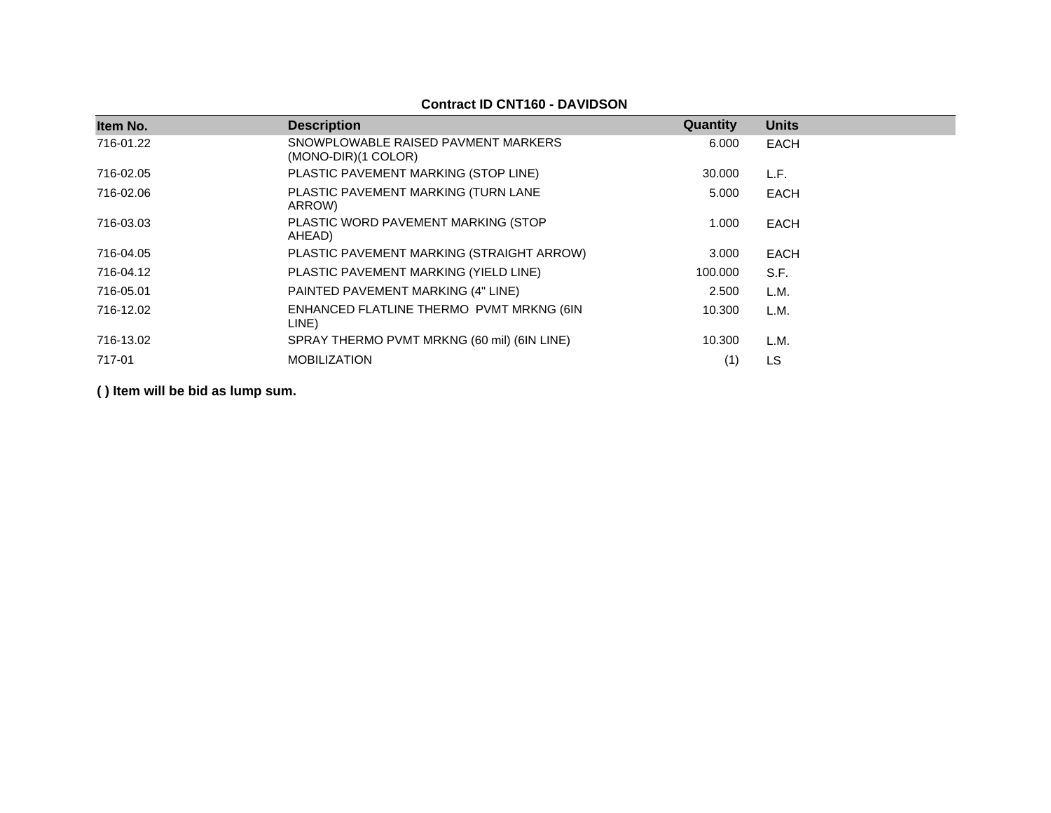#### **Contract ID CNT160 - DAVIDSON**

| Item No.  | <b>Description</b>                                           | Quantity | <b>Units</b> |
|-----------|--------------------------------------------------------------|----------|--------------|
| 716-01.22 | SNOWPLOWABLE RAISED PAVMENT MARKERS<br>$(MONO-DIR)(1 COLOR)$ | 6.000    | EACH         |
| 716-02.05 | PLASTIC PAVEMENT MARKING (STOP LINE)                         | 30,000   | L.F.         |
| 716-02.06 | PLASTIC PAVEMENT MARKING (TURN LANE<br>ARROW)                | 5.000    | EACH         |
| 716-03.03 | PLASTIC WORD PAVEMENT MARKING (STOP<br>AHEAD)                | 1.000    | EACH         |
| 716-04.05 | PLASTIC PAVEMENT MARKING (STRAIGHT ARROW)                    | 3.000    | EACH         |
| 716-04.12 | PLASTIC PAVEMENT MARKING (YIELD LINE)                        | 100.000  | S.F.         |
| 716-05.01 | PAINTED PAVEMENT MARKING (4" LINE)                           | 2.500    | L.M.         |
| 716-12.02 | ENHANCED FLATLINE THERMO PVMT MRKNG (6IN<br>LINE)            | 10.300   | L.M.         |
| 716-13.02 | SPRAY THERMO PVMT MRKNG (60 mil) (6IN LINE)                  | 10.300   | L.M.         |
| 717-01    | <b>MOBILIZATION</b>                                          | (1)      | LS           |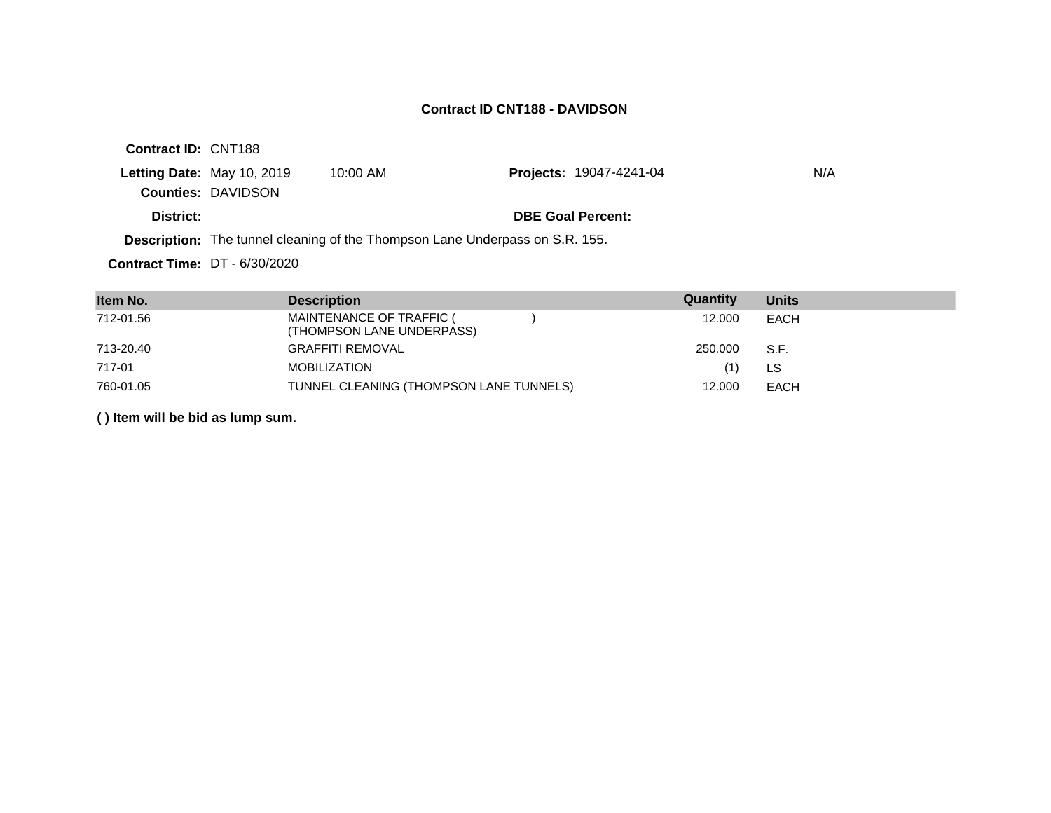| <b>Contract ID: CNT188</b>      |                            |            |                                                                                     |     |
|---------------------------------|----------------------------|------------|-------------------------------------------------------------------------------------|-----|
|                                 | Letting Date: May 10, 2019 | $10:00$ AM | <b>Projects: 19047-4241-04</b>                                                      | N/A |
|                                 | <b>Counties: DAVIDSON</b>  |            |                                                                                     |     |
| District:                       |                            |            | <b>DBE Goal Percent:</b>                                                            |     |
|                                 |                            |            | <b>Description:</b> The tunnel cleaning of the Thompson Lane Underpass on S.R. 155. |     |
| Contract Time: $DT - 6/30/2020$ |                            |            |                                                                                     |     |

| Item No.  | <b>Description</b>                                    | Quantity | <b>Units</b> |
|-----------|-------------------------------------------------------|----------|--------------|
| 712-01.56 | MAINTENANCE OF TRAFFIC (<br>(THOMPSON LANE UNDERPASS) | 12.000   | EACH         |
| 713-20.40 | <b>GRAFFITI REMOVAL</b>                               | 250.000  | S.F.         |
| 717-01    | <b>MOBILIZATION</b>                                   | (1)      | LS.          |
| 760-01.05 | TUNNEL CLEANING (THOMPSON LANE TUNNELS)               | 12.000   | EACH         |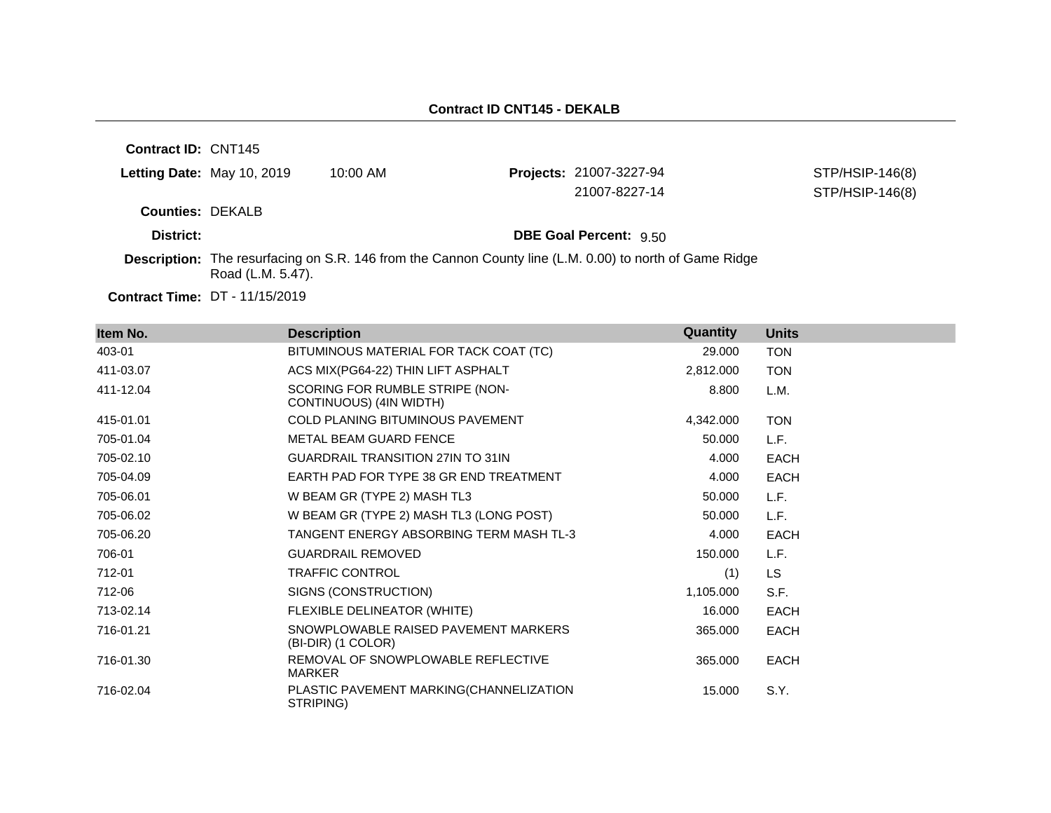| <b>Contract ID: CNT145</b> |                   |            |                                                                                                                |                                    |
|----------------------------|-------------------|------------|----------------------------------------------------------------------------------------------------------------|------------------------------------|
| Letting Date: May 10, 2019 |                   | $10:00$ AM | Projects: 21007-3227-94<br>21007-8227-14                                                                       | STP/HSIP-146(8)<br>STP/HSIP-146(8) |
| <b>Counties: DEKALB</b>    |                   |            |                                                                                                                |                                    |
| District:                  |                   |            | <b>DBE Goal Percent: 9.50</b>                                                                                  |                                    |
|                            | Road (L.M. 5.47). |            | <b>Description:</b> The resurfacing on S.R. 146 from the Cannon County line (L.M. 0.00) to north of Game Ridge |                                    |

**Contract Time:** DT - 11/15/2019

| Item No.  | <b>Description</b>                                         | Quantity  | <b>Units</b> |
|-----------|------------------------------------------------------------|-----------|--------------|
| 403-01    | BITUMINOUS MATERIAL FOR TACK COAT (TC)                     | 29.000    | <b>TON</b>   |
| 411-03.07 | ACS MIX(PG64-22) THIN LIFT ASPHALT                         | 2,812.000 | <b>TON</b>   |
| 411-12.04 | SCORING FOR RUMBLE STRIPE (NON-<br>CONTINUOUS) (4IN WIDTH) | 8.800     | L.M.         |
| 415-01.01 | <b>COLD PLANING BITUMINOUS PAVEMENT</b>                    | 4,342.000 | <b>TON</b>   |
| 705-01.04 | <b>METAL BEAM GUARD FENCE</b>                              | 50.000    | L.F.         |
| 705-02.10 | <b>GUARDRAIL TRANSITION 27IN TO 31IN</b>                   | 4.000     | <b>EACH</b>  |
| 705-04.09 | EARTH PAD FOR TYPE 38 GR END TREATMENT                     | 4.000     | <b>EACH</b>  |
| 705-06.01 | W BEAM GR (TYPE 2) MASH TL3                                | 50.000    | L.F.         |
| 705-06.02 | W BEAM GR (TYPE 2) MASH TL3 (LONG POST)                    | 50.000    | L.F.         |
| 705-06.20 | TANGENT ENERGY ABSORBING TERM MASH TL-3                    | 4.000     | <b>EACH</b>  |
| 706-01    | <b>GUARDRAIL REMOVED</b>                                   | 150.000   | L.F.         |
| 712-01    | <b>TRAFFIC CONTROL</b>                                     | (1)       | LS.          |
| 712-06    | SIGNS (CONSTRUCTION)                                       | 1,105.000 | S.F.         |
| 713-02.14 | FLEXIBLE DELINEATOR (WHITE)                                | 16.000    | <b>EACH</b>  |
| 716-01.21 | SNOWPLOWABLE RAISED PAVEMENT MARKERS<br>(BI-DIR) (1 COLOR) | 365.000   | <b>EACH</b>  |
| 716-01.30 | REMOVAL OF SNOWPLOWABLE REFLECTIVE<br><b>MARKER</b>        | 365.000   | <b>EACH</b>  |
| 716-02.04 | PLASTIC PAVEMENT MARKING(CHANNELIZATION<br>STRIPING)       | 15.000    | S.Y.         |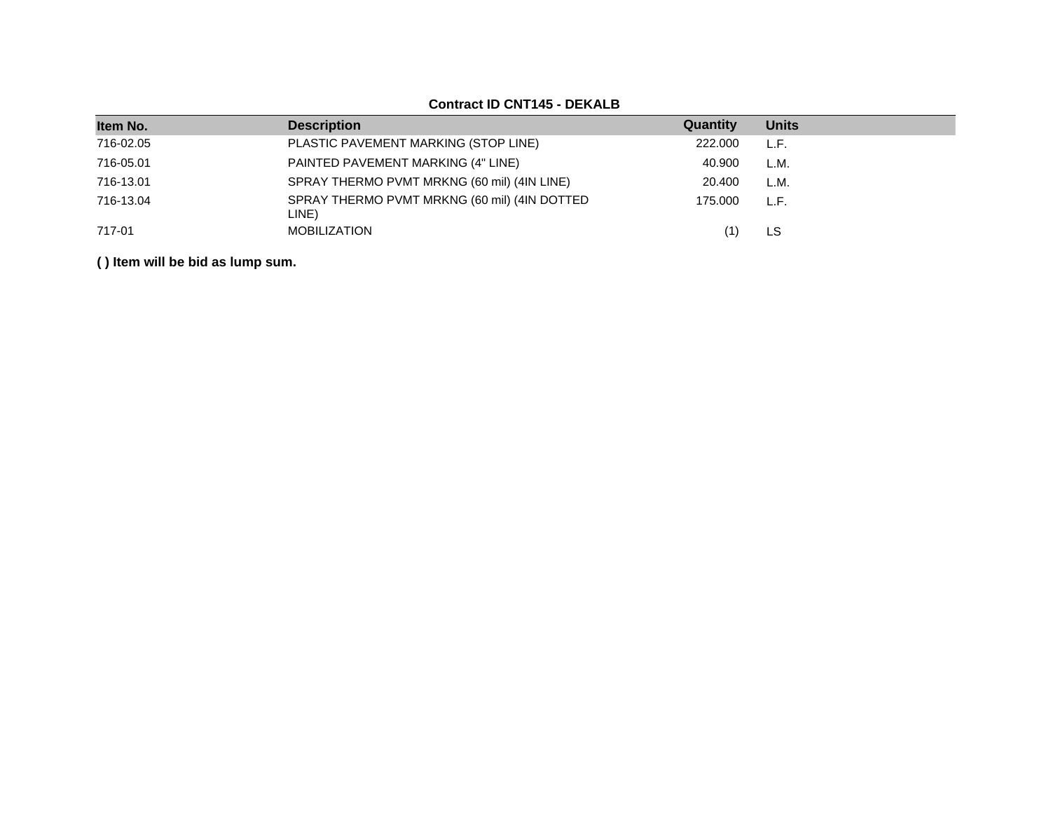| Item No.  | <b>Description</b>                                    | Quantity | <b>Units</b> |
|-----------|-------------------------------------------------------|----------|--------------|
| 716-02.05 | PLASTIC PAVEMENT MARKING (STOP LINE)                  | 222,000  | L.F.         |
| 716-05.01 | PAINTED PAVEMENT MARKING (4" LINE)                    | 40.900   | L.M.         |
| 716-13.01 | SPRAY THERMO PVMT MRKNG (60 mil) (4IN LINE)           | 20.400   | L.M.         |
| 716-13.04 | SPRAY THERMO PVMT MRKNG (60 mil) (4IN DOTTED<br>LINE) | 175.000  | L.F.         |
| 717-01    | <b>MOBILIZATION</b>                                   |          | LS           |

## **Contract ID CNT145 - DEKALB**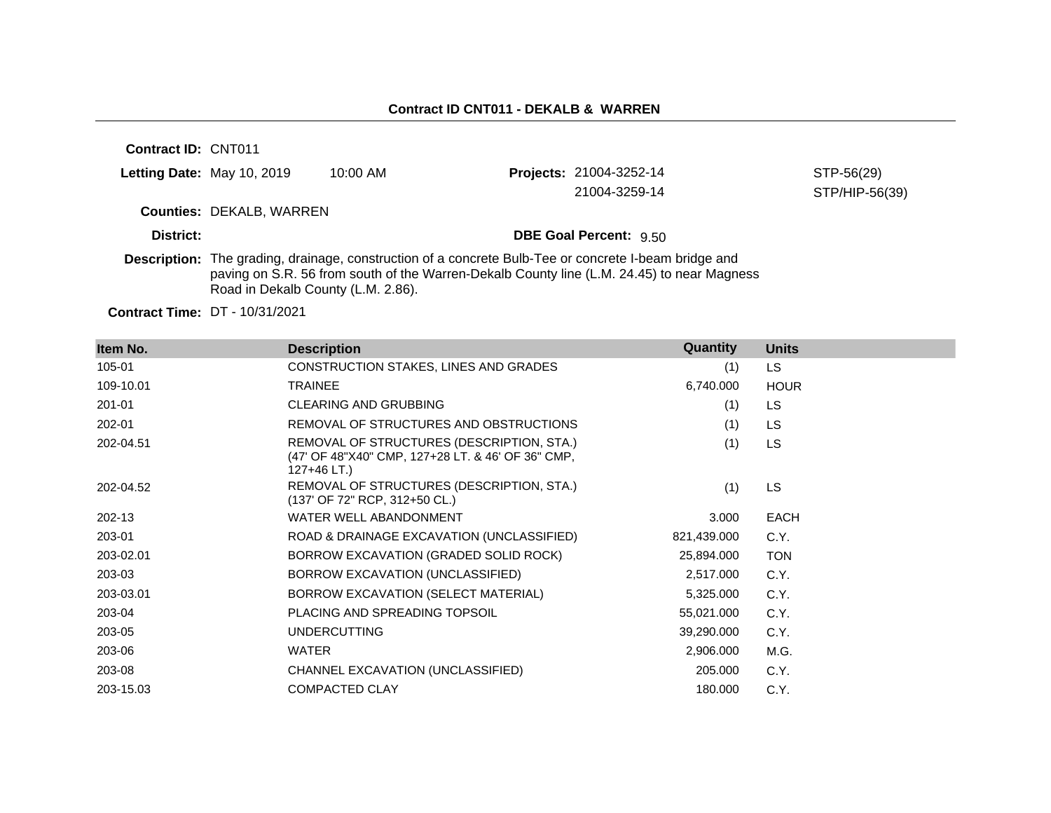**Contract ID:** CNT011 **Letting Date:** May 10, 2019 10:00 AM **Counties:** DEKALB, WARREN **District: District: DBE Goal Percent:**  $9.50$ **Description:** The grading, drainage, construction of a concrete Bulb-Tee or concrete I-beam bridge and paving on S.R. 56 from south of the Warren-Dekalb County line (L.M. 24.45) to near Magness Road in Dekalb County (L.M. 2.86). **Projects:** 21004-3252-14 STP-56(29) 21004-3259-14 STP/HIP-56(39)

**Contract Time:** DT - 10/31/2021

| Item No.  | <b>Description</b>                                                                                            | Quantity    | <b>Units</b> |
|-----------|---------------------------------------------------------------------------------------------------------------|-------------|--------------|
| 105-01    | CONSTRUCTION STAKES, LINES AND GRADES                                                                         | (1)         | LS.          |
| 109-10.01 | <b>TRAINEE</b>                                                                                                | 6,740.000   | <b>HOUR</b>  |
| 201-01    | <b>CLEARING AND GRUBBING</b>                                                                                  | (1)         | LS.          |
| 202-01    | REMOVAL OF STRUCTURES AND OBSTRUCTIONS                                                                        | (1)         | LS.          |
| 202-04.51 | REMOVAL OF STRUCTURES (DESCRIPTION, STA.)<br>(47' OF 48"X40" CMP, 127+28 LT. & 46' OF 36" CMP,<br>127+46 LT.) | (1)         | LS.          |
| 202-04.52 | REMOVAL OF STRUCTURES (DESCRIPTION, STA.)<br>(137' OF 72" RCP, 312+50 CL.)                                    | (1)         | LS.          |
| 202-13    | WATER WELL ABANDONMENT                                                                                        | 3.000       | <b>EACH</b>  |
| 203-01    | ROAD & DRAINAGE EXCAVATION (UNCLASSIFIED)                                                                     | 821,439.000 | C.Y.         |
| 203-02.01 | BORROW EXCAVATION (GRADED SOLID ROCK)                                                                         | 25,894.000  | <b>TON</b>   |
| 203-03    | BORROW EXCAVATION (UNCLASSIFIED)                                                                              | 2,517.000   | C.Y.         |
| 203-03.01 | BORROW EXCAVATION (SELECT MATERIAL)                                                                           | 5,325.000   | C.Y.         |
| 203-04    | PLACING AND SPREADING TOPSOIL                                                                                 | 55,021.000  | C.Y.         |
| 203-05    | <b>UNDERCUTTING</b>                                                                                           | 39,290.000  | C.Y.         |
| 203-06    | <b>WATER</b>                                                                                                  | 2,906.000   | M.G.         |
| 203-08    | CHANNEL EXCAVATION (UNCLASSIFIED)                                                                             | 205.000     | C.Y.         |
| 203-15.03 | <b>COMPACTED CLAY</b>                                                                                         | 180.000     | C.Y.         |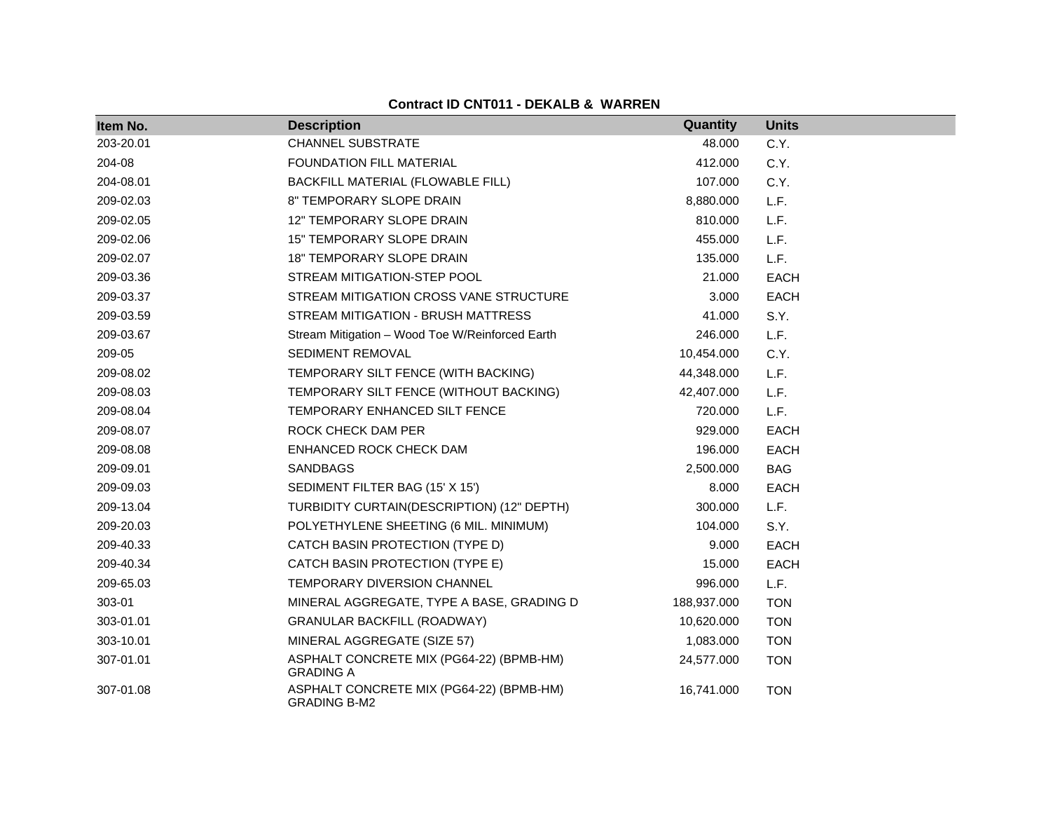| Item No.  | <b>Description</b>                                              | Quantity    | <b>Units</b> |
|-----------|-----------------------------------------------------------------|-------------|--------------|
| 203-20.01 | <b>CHANNEL SUBSTRATE</b>                                        | 48.000      | C.Y.         |
| 204-08    | FOUNDATION FILL MATERIAL                                        | 412.000     | C.Y.         |
| 204-08.01 | BACKFILL MATERIAL (FLOWABLE FILL)                               | 107.000     | C.Y.         |
| 209-02.03 | 8" TEMPORARY SLOPE DRAIN                                        | 8,880.000   | L.F.         |
| 209-02.05 | <b>12" TEMPORARY SLOPE DRAIN</b>                                | 810.000     | L.F.         |
| 209-02.06 | 15" TEMPORARY SLOPE DRAIN                                       | 455.000     | L.F.         |
| 209-02.07 | <b>18" TEMPORARY SLOPE DRAIN</b>                                | 135.000     | L.F.         |
| 209-03.36 | STREAM MITIGATION-STEP POOL                                     | 21.000      | <b>EACH</b>  |
| 209-03.37 | STREAM MITIGATION CROSS VANE STRUCTURE                          | 3.000       | <b>EACH</b>  |
| 209-03.59 | STREAM MITIGATION - BRUSH MATTRESS                              | 41.000      | S.Y.         |
| 209-03.67 | Stream Mitigation - Wood Toe W/Reinforced Earth                 | 246.000     | L.F.         |
| 209-05    | SEDIMENT REMOVAL                                                | 10,454.000  | C.Y.         |
| 209-08.02 | TEMPORARY SILT FENCE (WITH BACKING)                             | 44,348.000  | L.F.         |
| 209-08.03 | TEMPORARY SILT FENCE (WITHOUT BACKING)                          | 42,407.000  | L.F.         |
| 209-08.04 | TEMPORARY ENHANCED SILT FENCE                                   | 720.000     | L.F.         |
| 209-08.07 | ROCK CHECK DAM PER                                              | 929.000     | <b>EACH</b>  |
| 209-08.08 | ENHANCED ROCK CHECK DAM                                         | 196.000     | <b>EACH</b>  |
| 209-09.01 | SANDBAGS                                                        | 2,500.000   | <b>BAG</b>   |
| 209-09.03 | SEDIMENT FILTER BAG (15' X 15')                                 | 8.000       | <b>EACH</b>  |
| 209-13.04 | TURBIDITY CURTAIN(DESCRIPTION) (12" DEPTH)                      | 300.000     | L.F.         |
| 209-20.03 | POLYETHYLENE SHEETING (6 MIL. MINIMUM)                          | 104.000     | S.Y.         |
| 209-40.33 | CATCH BASIN PROTECTION (TYPE D)                                 | 9.000       | <b>EACH</b>  |
| 209-40.34 | CATCH BASIN PROTECTION (TYPE E)                                 | 15.000      | <b>EACH</b>  |
| 209-65.03 | TEMPORARY DIVERSION CHANNEL                                     | 996.000     | L.F.         |
| 303-01    | MINERAL AGGREGATE, TYPE A BASE, GRADING D                       | 188,937.000 | <b>TON</b>   |
| 303-01.01 | GRANULAR BACKFILL (ROADWAY)                                     | 10,620.000  | <b>TON</b>   |
| 303-10.01 | MINERAL AGGREGATE (SIZE 57)                                     | 1,083.000   | <b>TON</b>   |
| 307-01.01 | ASPHALT CONCRETE MIX (PG64-22) (BPMB-HM)<br><b>GRADING A</b>    | 24,577.000  | <b>TON</b>   |
| 307-01.08 | ASPHALT CONCRETE MIX (PG64-22) (BPMB-HM)<br><b>GRADING B-M2</b> | 16,741.000  | <b>TON</b>   |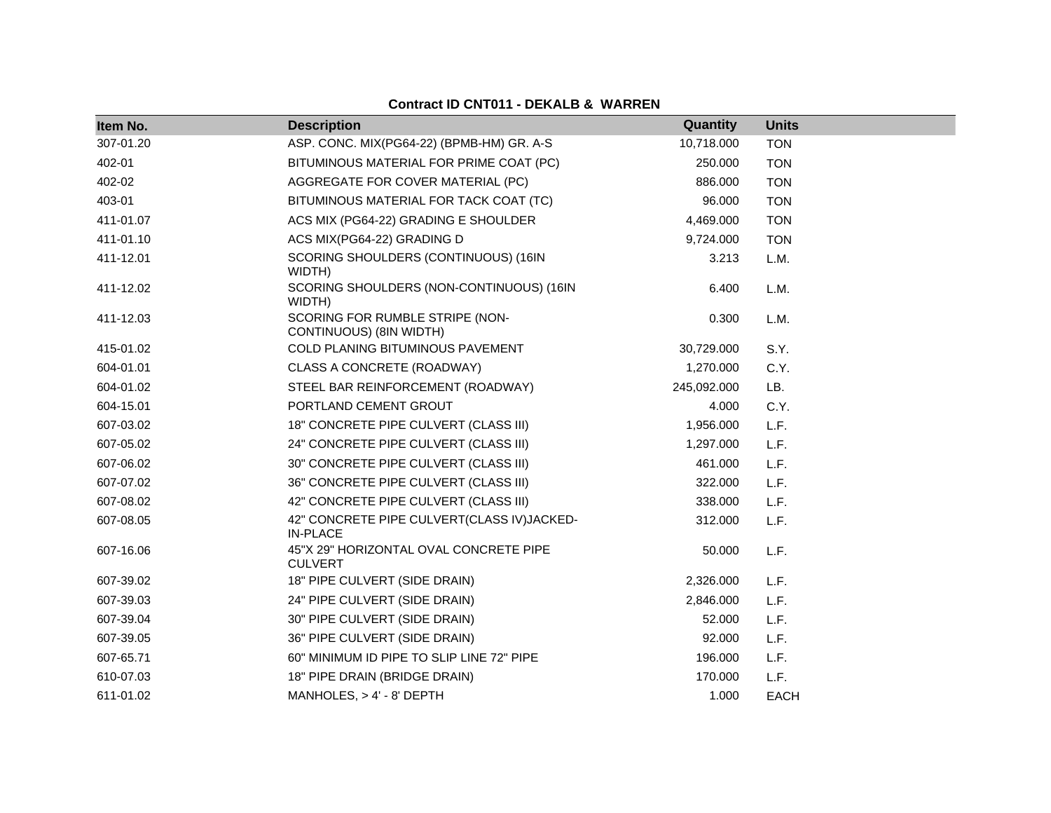| Item No.  | <b>Description</b>                                            | Quantity    | <b>Units</b> |
|-----------|---------------------------------------------------------------|-------------|--------------|
| 307-01.20 | ASP. CONC. MIX(PG64-22) (BPMB-HM) GR. A-S                     | 10,718.000  | <b>TON</b>   |
| 402-01    | BITUMINOUS MATERIAL FOR PRIME COAT (PC)                       | 250.000     | <b>TON</b>   |
| 402-02    | AGGREGATE FOR COVER MATERIAL (PC)                             | 886,000     | <b>TON</b>   |
| 403-01    | BITUMINOUS MATERIAL FOR TACK COAT (TC)                        | 96.000      | <b>TON</b>   |
| 411-01.07 | ACS MIX (PG64-22) GRADING E SHOULDER                          | 4,469.000   | <b>TON</b>   |
| 411-01.10 | ACS MIX(PG64-22) GRADING D                                    | 9,724.000   | <b>TON</b>   |
| 411-12.01 | SCORING SHOULDERS (CONTINUOUS) (16IN<br>WIDTH)                | 3.213       | L.M.         |
| 411-12.02 | SCORING SHOULDERS (NON-CONTINUOUS) (16IN<br>WIDTH)            | 6.400       | L.M.         |
| 411-12.03 | SCORING FOR RUMBLE STRIPE (NON-<br>CONTINUOUS) (8IN WIDTH)    | 0.300       | L.M.         |
| 415-01.02 | COLD PLANING BITUMINOUS PAVEMENT                              | 30,729.000  | S.Y.         |
| 604-01.01 | CLASS A CONCRETE (ROADWAY)                                    | 1,270.000   | C.Y.         |
| 604-01.02 | STEEL BAR REINFORCEMENT (ROADWAY)                             | 245,092.000 | LB.          |
| 604-15.01 | PORTLAND CEMENT GROUT                                         | 4.000       | C.Y.         |
| 607-03.02 | 18" CONCRETE PIPE CULVERT (CLASS III)                         | 1,956.000   | L.F.         |
| 607-05.02 | 24" CONCRETE PIPE CULVERT (CLASS III)                         | 1,297.000   | L.F.         |
| 607-06.02 | 30" CONCRETE PIPE CULVERT (CLASS III)                         | 461.000     | L.F.         |
| 607-07.02 | 36" CONCRETE PIPE CULVERT (CLASS III)                         | 322.000     | L.F.         |
| 607-08.02 | 42" CONCRETE PIPE CULVERT (CLASS III)                         | 338.000     | L.F.         |
| 607-08.05 | 42" CONCRETE PIPE CULVERT(CLASS IV)JACKED-<br><b>IN-PLACE</b> | 312.000     | L.F.         |
| 607-16.06 | 45"X 29" HORIZONTAL OVAL CONCRETE PIPE<br><b>CULVERT</b>      | 50.000      | L.F.         |
| 607-39.02 | 18" PIPE CULVERT (SIDE DRAIN)                                 | 2,326.000   | L.F.         |
| 607-39.03 | 24" PIPE CULVERT (SIDE DRAIN)                                 | 2,846.000   | L.F.         |
| 607-39.04 | 30" PIPE CULVERT (SIDE DRAIN)                                 | 52.000      | L.F.         |
| 607-39.05 | 36" PIPE CULVERT (SIDE DRAIN)                                 | 92.000      | L.F.         |
| 607-65.71 | 60" MINIMUM ID PIPE TO SLIP LINE 72" PIPE                     | 196.000     | L.F.         |
| 610-07.03 | 18" PIPE DRAIN (BRIDGE DRAIN)                                 | 170.000     | L.F.         |
| 611-01.02 | MANHOLES, > 4' - 8' DEPTH                                     | 1.000       | <b>EACH</b>  |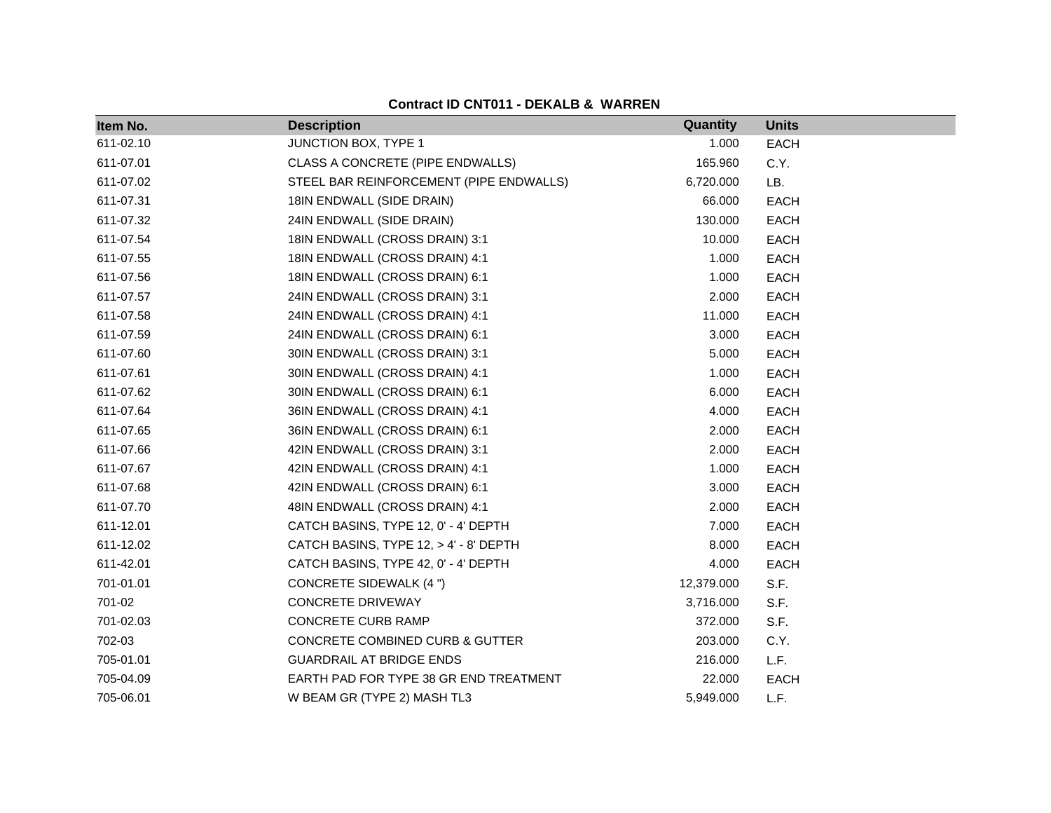| Item No.  | <b>Description</b>                      | Quantity   | <b>Units</b> |
|-----------|-----------------------------------------|------------|--------------|
| 611-02.10 | JUNCTION BOX, TYPE 1                    | 1.000      | <b>EACH</b>  |
| 611-07.01 | CLASS A CONCRETE (PIPE ENDWALLS)        | 165.960    | C.Y.         |
| 611-07.02 | STEEL BAR REINFORCEMENT (PIPE ENDWALLS) | 6,720.000  | LB.          |
| 611-07.31 | 18IN ENDWALL (SIDE DRAIN)               | 66.000     | <b>EACH</b>  |
| 611-07.32 | 24IN ENDWALL (SIDE DRAIN)               | 130.000    | <b>EACH</b>  |
| 611-07.54 | 18IN ENDWALL (CROSS DRAIN) 3:1          | 10.000     | <b>EACH</b>  |
| 611-07.55 | 18IN ENDWALL (CROSS DRAIN) 4:1          | 1.000      | <b>EACH</b>  |
| 611-07.56 | 18IN ENDWALL (CROSS DRAIN) 6:1          | 1.000      | EACH         |
| 611-07.57 | 24IN ENDWALL (CROSS DRAIN) 3:1          | 2.000      | <b>EACH</b>  |
| 611-07.58 | 24IN ENDWALL (CROSS DRAIN) 4:1          | 11.000     | <b>EACH</b>  |
| 611-07.59 | 24IN ENDWALL (CROSS DRAIN) 6:1          | 3.000      | <b>EACH</b>  |
| 611-07.60 | 30IN ENDWALL (CROSS DRAIN) 3:1          | 5.000      | <b>EACH</b>  |
| 611-07.61 | 30IN ENDWALL (CROSS DRAIN) 4:1          | 1.000      | <b>EACH</b>  |
| 611-07.62 | 30IN ENDWALL (CROSS DRAIN) 6:1          | 6.000      | <b>EACH</b>  |
| 611-07.64 | 36IN ENDWALL (CROSS DRAIN) 4:1          | 4.000      | <b>EACH</b>  |
| 611-07.65 | 36IN ENDWALL (CROSS DRAIN) 6:1          | 2.000      | <b>EACH</b>  |
| 611-07.66 | 42IN ENDWALL (CROSS DRAIN) 3:1          | 2.000      | <b>EACH</b>  |
| 611-07.67 | 42IN ENDWALL (CROSS DRAIN) 4:1          | 1.000      | EACH         |
| 611-07.68 | 42IN ENDWALL (CROSS DRAIN) 6:1          | 3.000      | <b>EACH</b>  |
| 611-07.70 | 48IN ENDWALL (CROSS DRAIN) 4:1          | 2.000      | <b>EACH</b>  |
| 611-12.01 | CATCH BASINS, TYPE 12, 0' - 4' DEPTH    | 7.000      | EACH         |
| 611-12.02 | CATCH BASINS, TYPE 12, > 4' - 8' DEPTH  | 8.000      | <b>EACH</b>  |
| 611-42.01 | CATCH BASINS, TYPE 42, 0' - 4' DEPTH    | 4.000      | EACH         |
| 701-01.01 | CONCRETE SIDEWALK (4 ")                 | 12,379.000 | S.F.         |
| 701-02    | <b>CONCRETE DRIVEWAY</b>                | 3,716.000  | S.F.         |
| 701-02.03 | CONCRETE CURB RAMP                      | 372.000    | S.F.         |
| 702-03    | CONCRETE COMBINED CURB & GUTTER         | 203.000    | C.Y.         |
| 705-01.01 | <b>GUARDRAIL AT BRIDGE ENDS</b>         | 216.000    | L.F.         |
| 705-04.09 | EARTH PAD FOR TYPE 38 GR END TREATMENT  | 22.000     | <b>EACH</b>  |
| 705-06.01 | W BEAM GR (TYPE 2) MASH TL3             | 5,949.000  | L.F.         |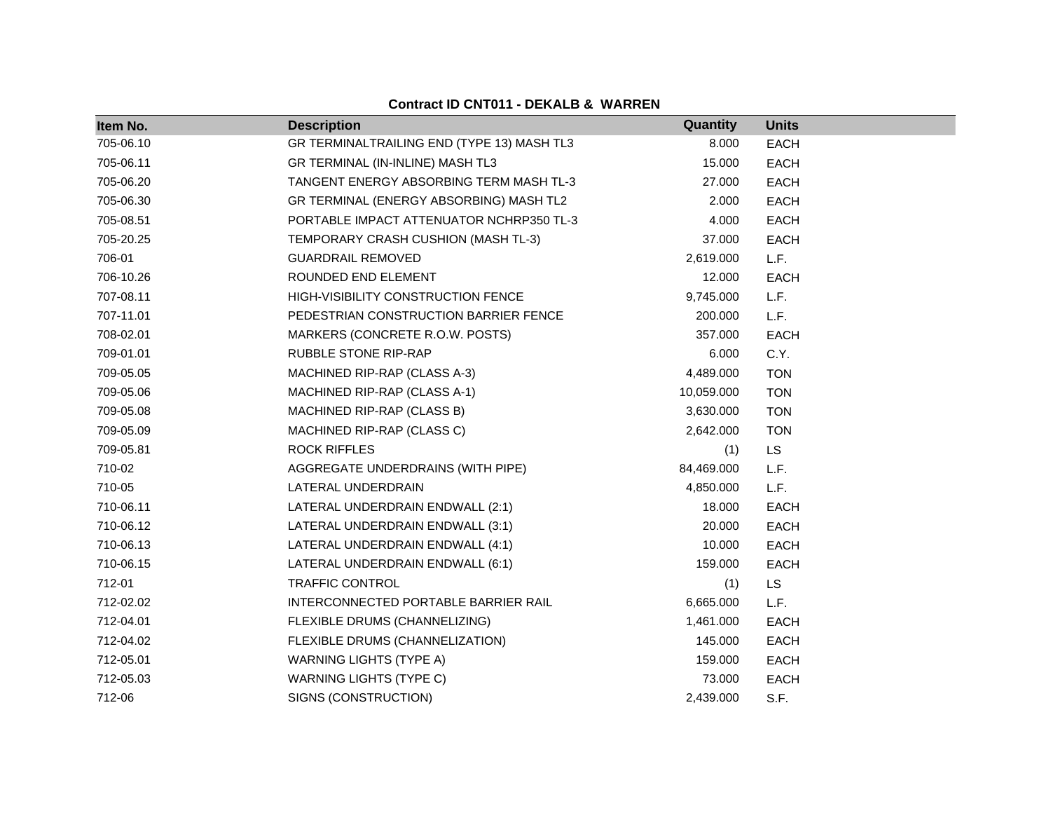| Item No.  | <b>Description</b>                         | Quantity   | <b>Units</b> |
|-----------|--------------------------------------------|------------|--------------|
| 705-06.10 | GR TERMINALTRAILING END (TYPE 13) MASH TL3 | 8.000      | <b>EACH</b>  |
| 705-06.11 | GR TERMINAL (IN-INLINE) MASH TL3           | 15.000     | <b>EACH</b>  |
| 705-06.20 | TANGENT ENERGY ABSORBING TERM MASH TL-3    | 27.000     | <b>EACH</b>  |
| 705-06.30 | GR TERMINAL (ENERGY ABSORBING) MASH TL2    | 2.000      | <b>EACH</b>  |
| 705-08.51 | PORTABLE IMPACT ATTENUATOR NCHRP350 TL-3   | 4.000      | <b>EACH</b>  |
| 705-20.25 | TEMPORARY CRASH CUSHION (MASH TL-3)        | 37.000     | <b>EACH</b>  |
| 706-01    | <b>GUARDRAIL REMOVED</b>                   | 2,619.000  | L.F.         |
| 706-10.26 | ROUNDED END ELEMENT                        | 12.000     | <b>EACH</b>  |
| 707-08.11 | HIGH-VISIBILITY CONSTRUCTION FENCE         | 9,745.000  | L.F.         |
| 707-11.01 | PEDESTRIAN CONSTRUCTION BARRIER FENCE      | 200.000    | L.F.         |
| 708-02.01 | MARKERS (CONCRETE R.O.W. POSTS)            | 357.000    | <b>EACH</b>  |
| 709-01.01 | RUBBLE STONE RIP-RAP                       | 6.000      | C.Y.         |
| 709-05.05 | MACHINED RIP-RAP (CLASS A-3)               | 4,489.000  | <b>TON</b>   |
| 709-05.06 | MACHINED RIP-RAP (CLASS A-1)               | 10,059.000 | <b>TON</b>   |
| 709-05.08 | MACHINED RIP-RAP (CLASS B)                 | 3,630.000  | <b>TON</b>   |
| 709-05.09 | MACHINED RIP-RAP (CLASS C)                 | 2,642.000  | <b>TON</b>   |
| 709-05.81 | <b>ROCK RIFFLES</b>                        | (1)        | <b>LS</b>    |
| 710-02    | AGGREGATE UNDERDRAINS (WITH PIPE)          | 84,469.000 | L.F.         |
| 710-05    | LATERAL UNDERDRAIN                         | 4,850.000  | L.F.         |
| 710-06.11 | LATERAL UNDERDRAIN ENDWALL (2:1)           | 18.000     | <b>EACH</b>  |
| 710-06.12 | LATERAL UNDERDRAIN ENDWALL (3:1)           | 20.000     | <b>EACH</b>  |
| 710-06.13 | LATERAL UNDERDRAIN ENDWALL (4:1)           | 10.000     | <b>EACH</b>  |
| 710-06.15 | LATERAL UNDERDRAIN ENDWALL (6:1)           | 159.000    | <b>EACH</b>  |
| 712-01    | <b>TRAFFIC CONTROL</b>                     | (1)        | <b>LS</b>    |
| 712-02.02 | INTERCONNECTED PORTABLE BARRIER RAIL       | 6,665.000  | L.F.         |
| 712-04.01 | FLEXIBLE DRUMS (CHANNELIZING)              | 1,461.000  | <b>EACH</b>  |
| 712-04.02 | FLEXIBLE DRUMS (CHANNELIZATION)            | 145.000    | <b>EACH</b>  |
| 712-05.01 | <b>WARNING LIGHTS (TYPE A)</b>             | 159.000    | <b>EACH</b>  |
| 712-05.03 | <b>WARNING LIGHTS (TYPE C)</b>             | 73.000     | <b>EACH</b>  |
| 712-06    | SIGNS (CONSTRUCTION)                       | 2,439.000  | S.F.         |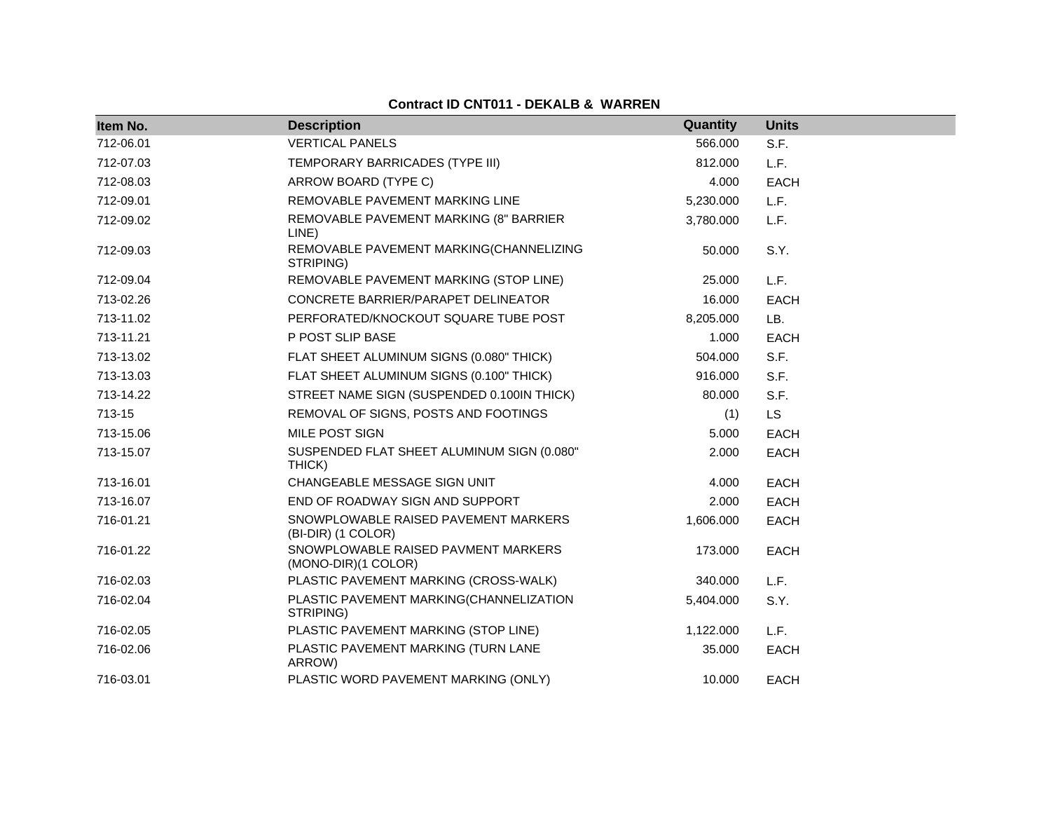| Item No.  | <b>Description</b>                                         | Quantity  | <b>Units</b> |
|-----------|------------------------------------------------------------|-----------|--------------|
| 712-06.01 | <b>VERTICAL PANELS</b>                                     | 566,000   | S.F.         |
| 712-07.03 | TEMPORARY BARRICADES (TYPE III)                            | 812.000   | L.F.         |
| 712-08.03 | ARROW BOARD (TYPE C)                                       | 4.000     | <b>EACH</b>  |
| 712-09.01 | REMOVABLE PAVEMENT MARKING LINE                            | 5,230.000 | L.F.         |
| 712-09.02 | REMOVABLE PAVEMENT MARKING (8" BARRIER<br>LINE)            | 3,780.000 | L.F.         |
| 712-09.03 | REMOVABLE PAVEMENT MARKING(CHANNELIZING<br>STRIPING)       | 50,000    | S.Y.         |
| 712-09.04 | REMOVABLE PAVEMENT MARKING (STOP LINE)                     | 25.000    | L.F.         |
| 713-02.26 | CONCRETE BARRIER/PARAPET DELINEATOR                        | 16.000    | <b>EACH</b>  |
| 713-11.02 | PERFORATED/KNOCKOUT SQUARE TUBE POST                       | 8,205.000 | LB.          |
| 713-11.21 | P POST SLIP BASE                                           | 1.000     | <b>EACH</b>  |
| 713-13.02 | FLAT SHEET ALUMINUM SIGNS (0.080" THICK)                   | 504.000   | S.F.         |
| 713-13.03 | FLAT SHEET ALUMINUM SIGNS (0.100" THICK)                   | 916.000   | S.F.         |
| 713-14.22 | STREET NAME SIGN (SUSPENDED 0.100IN THICK)                 | 80.000    | S.F.         |
| 713-15    | REMOVAL OF SIGNS, POSTS AND FOOTINGS                       | (1)       | <b>LS</b>    |
| 713-15.06 | MILE POST SIGN                                             | 5.000     | <b>EACH</b>  |
| 713-15.07 | SUSPENDED FLAT SHEET ALUMINUM SIGN (0.080"<br>THICK)       | 2.000     | <b>EACH</b>  |
| 713-16.01 | CHANGEABLE MESSAGE SIGN UNIT                               | 4.000     | <b>EACH</b>  |
| 713-16.07 | END OF ROADWAY SIGN AND SUPPORT                            | 2.000     | <b>EACH</b>  |
| 716-01.21 | SNOWPLOWABLE RAISED PAVEMENT MARKERS<br>(BI-DIR) (1 COLOR) | 1,606.000 | <b>EACH</b>  |
| 716-01.22 | SNOWPLOWABLE RAISED PAVMENT MARKERS<br>(MONO-DIR)(1 COLOR) | 173.000   | EACH         |
| 716-02.03 | PLASTIC PAVEMENT MARKING (CROSS-WALK)                      | 340.000   | L.F.         |
| 716-02.04 | PLASTIC PAVEMENT MARKING(CHANNELIZATION<br>STRIPING)       | 5,404.000 | S.Y.         |
| 716-02.05 | PLASTIC PAVEMENT MARKING (STOP LINE)                       | 1,122.000 | L.F.         |
| 716-02.06 | PLASTIC PAVEMENT MARKING (TURN LANE<br>ARROW)              | 35.000    | <b>EACH</b>  |
| 716-03.01 | PLASTIC WORD PAVEMENT MARKING (ONLY)                       | 10.000    | <b>EACH</b>  |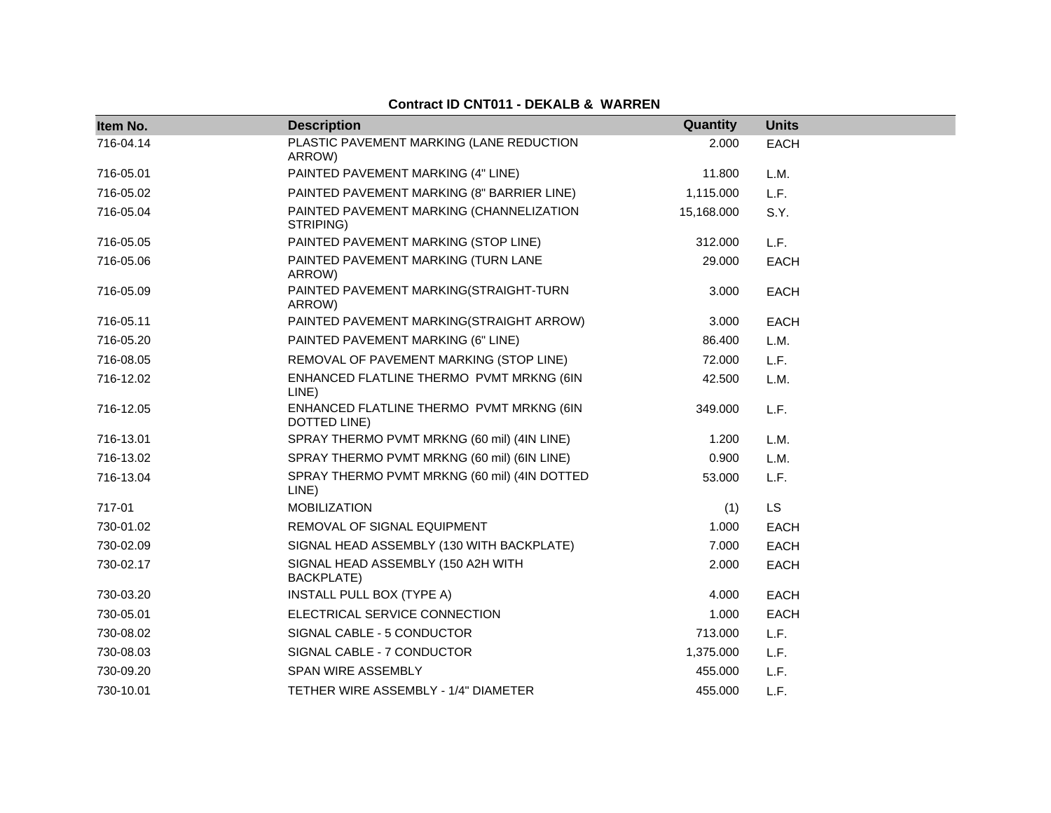| Item No.  | <b>Description</b>                                       | Quantity   | <b>Units</b> |
|-----------|----------------------------------------------------------|------------|--------------|
| 716-04.14 | PLASTIC PAVEMENT MARKING (LANE REDUCTION<br>ARROW)       | 2.000      | <b>EACH</b>  |
| 716-05.01 | PAINTED PAVEMENT MARKING (4" LINE)                       | 11.800     | L.M.         |
| 716-05.02 | PAINTED PAVEMENT MARKING (8" BARRIER LINE)               | 1,115.000  | L.F.         |
| 716-05.04 | PAINTED PAVEMENT MARKING (CHANNELIZATION<br>STRIPING)    | 15,168.000 | S.Y.         |
| 716-05.05 | PAINTED PAVEMENT MARKING (STOP LINE)                     | 312.000    | L.F.         |
| 716-05.06 | PAINTED PAVEMENT MARKING (TURN LANE<br>ARROW)            | 29,000     | <b>EACH</b>  |
| 716-05.09 | PAINTED PAVEMENT MARKING(STRAIGHT-TURN<br>ARROW)         | 3.000      | <b>EACH</b>  |
| 716-05.11 | PAINTED PAVEMENT MARKING(STRAIGHT ARROW)                 | 3.000      | EACH         |
| 716-05.20 | PAINTED PAVEMENT MARKING (6" LINE)                       | 86.400     | L.M.         |
| 716-08.05 | REMOVAL OF PAVEMENT MARKING (STOP LINE)                  | 72.000     | L.F.         |
| 716-12.02 | ENHANCED FLATLINE THERMO PVMT MRKNG (6IN<br>LINE)        | 42.500     | L.M.         |
| 716-12.05 | ENHANCED FLATLINE THERMO PVMT MRKNG (6IN<br>DOTTED LINE) | 349,000    | L.F.         |
| 716-13.01 | SPRAY THERMO PVMT MRKNG (60 mil) (4IN LINE)              | 1.200      | L.M.         |
| 716-13.02 | SPRAY THERMO PVMT MRKNG (60 mil) (6IN LINE)              | 0.900      | L.M.         |
| 716-13.04 | SPRAY THERMO PVMT MRKNG (60 mil) (4IN DOTTED<br>LINE)    | 53,000     | L.F.         |
| 717-01    | <b>MOBILIZATION</b>                                      | (1)        | <b>LS</b>    |
| 730-01.02 | REMOVAL OF SIGNAL EQUIPMENT                              | 1.000      | <b>EACH</b>  |
| 730-02.09 | SIGNAL HEAD ASSEMBLY (130 WITH BACKPLATE)                | 7.000      | EACH         |
| 730-02.17 | SIGNAL HEAD ASSEMBLY (150 A2H WITH<br>BACKPLATE)         | 2.000      | <b>EACH</b>  |
| 730-03.20 | <b>INSTALL PULL BOX (TYPE A)</b>                         | 4.000      | <b>EACH</b>  |
| 730-05.01 | ELECTRICAL SERVICE CONNECTION                            | 1.000      | <b>EACH</b>  |
| 730-08.02 | SIGNAL CABLE - 5 CONDUCTOR                               | 713.000    | L.F.         |
| 730-08.03 | SIGNAL CABLE - 7 CONDUCTOR                               | 1,375.000  | L.F.         |
| 730-09.20 | SPAN WIRE ASSEMBLY                                       | 455.000    | L.F.         |
| 730-10.01 | TETHER WIRE ASSEMBLY - 1/4" DIAMETER                     | 455.000    | L.F.         |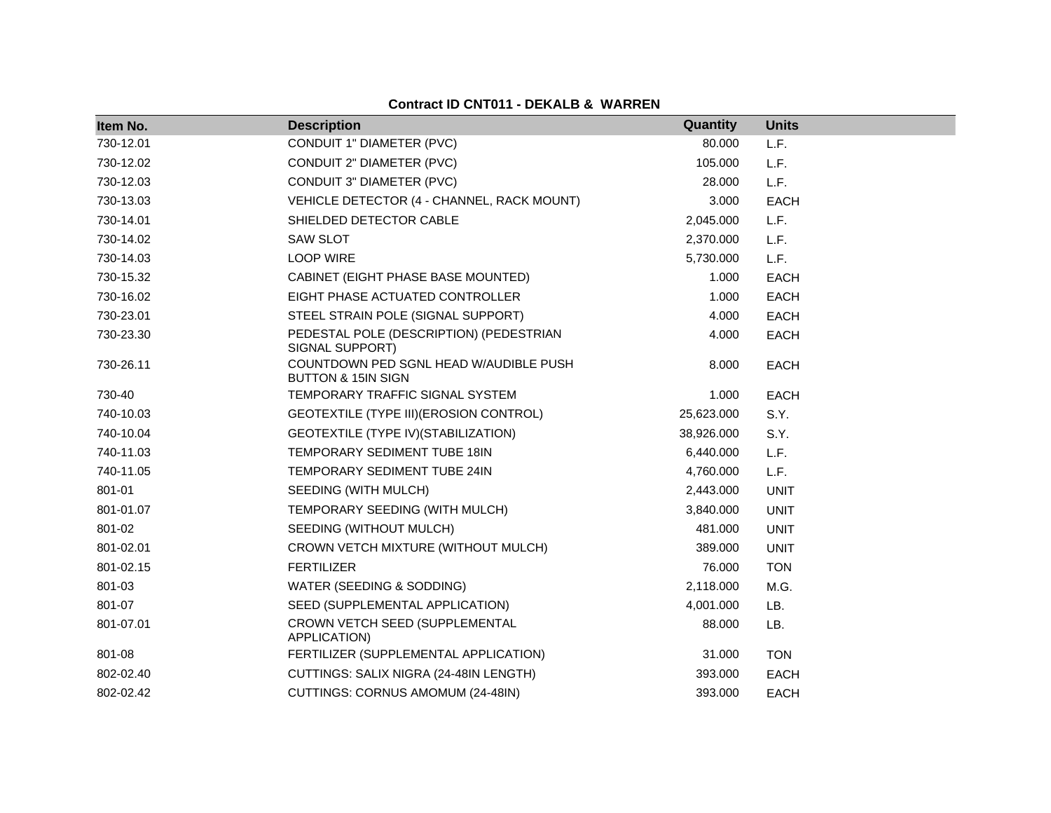| Item No.  | <b>Description</b>                                                      | Quantity   | <b>Units</b> |
|-----------|-------------------------------------------------------------------------|------------|--------------|
| 730-12.01 | CONDUIT 1" DIAMETER (PVC)                                               | 80.000     | L.F.         |
| 730-12.02 | CONDUIT 2" DIAMETER (PVC)                                               | 105.000    | L.F.         |
| 730-12.03 | CONDUIT 3" DIAMETER (PVC)                                               | 28.000     | L.F.         |
| 730-13.03 | VEHICLE DETECTOR (4 - CHANNEL, RACK MOUNT)                              | 3.000      | <b>EACH</b>  |
| 730-14.01 | SHIELDED DETECTOR CABLE                                                 | 2,045.000  | L.F.         |
| 730-14.02 | <b>SAW SLOT</b>                                                         | 2,370.000  | L.F.         |
| 730-14.03 | <b>LOOP WIRE</b>                                                        | 5,730.000  | L.F.         |
| 730-15.32 | CABINET (EIGHT PHASE BASE MOUNTED)                                      | 1.000      | <b>EACH</b>  |
| 730-16.02 | EIGHT PHASE ACTUATED CONTROLLER                                         | 1.000      | <b>EACH</b>  |
| 730-23.01 | STEEL STRAIN POLE (SIGNAL SUPPORT)                                      | 4.000      | <b>EACH</b>  |
| 730-23.30 | PEDESTAL POLE (DESCRIPTION) (PEDESTRIAN<br>SIGNAL SUPPORT)              | 4.000      | <b>EACH</b>  |
| 730-26.11 | COUNTDOWN PED SGNL HEAD W/AUDIBLE PUSH<br><b>BUTTON &amp; 15IN SIGN</b> | 8.000      | <b>EACH</b>  |
| 730-40    | TEMPORARY TRAFFIC SIGNAL SYSTEM                                         | 1.000      | <b>EACH</b>  |
| 740-10.03 | GEOTEXTILE (TYPE III) (EROSION CONTROL)                                 | 25,623.000 | S.Y.         |
| 740-10.04 | GEOTEXTILE (TYPE IV) (STABILIZATION)                                    | 38,926.000 | S.Y.         |
| 740-11.03 | <b>TEMPORARY SEDIMENT TUBE 18IN</b>                                     | 6,440.000  | L.F.         |
| 740-11.05 | TEMPORARY SEDIMENT TUBE 24IN                                            | 4,760.000  | L.F.         |
| 801-01    | SEEDING (WITH MULCH)                                                    | 2,443.000  | <b>UNIT</b>  |
| 801-01.07 | TEMPORARY SEEDING (WITH MULCH)                                          | 3,840.000  | <b>UNIT</b>  |
| 801-02    | SEEDING (WITHOUT MULCH)                                                 | 481.000    | <b>UNIT</b>  |
| 801-02.01 | CROWN VETCH MIXTURE (WITHOUT MULCH)                                     | 389.000    | <b>UNIT</b>  |
| 801-02.15 | <b>FERTILIZER</b>                                                       | 76.000     | <b>TON</b>   |
| 801-03    | WATER (SEEDING & SODDING)                                               | 2,118.000  | M.G.         |
| 801-07    | SEED (SUPPLEMENTAL APPLICATION)                                         | 4,001.000  | LB.          |
| 801-07.01 | CROWN VETCH SEED (SUPPLEMENTAL<br>APPLICATION)                          | 88.000     | LB.          |
| 801-08    | FERTILIZER (SUPPLEMENTAL APPLICATION)                                   | 31.000     | <b>TON</b>   |
| 802-02.40 | CUTTINGS: SALIX NIGRA (24-48IN LENGTH)                                  | 393.000    | <b>EACH</b>  |
| 802-02.42 | CUTTINGS: CORNUS AMOMUM (24-48IN)                                       | 393.000    | <b>EACH</b>  |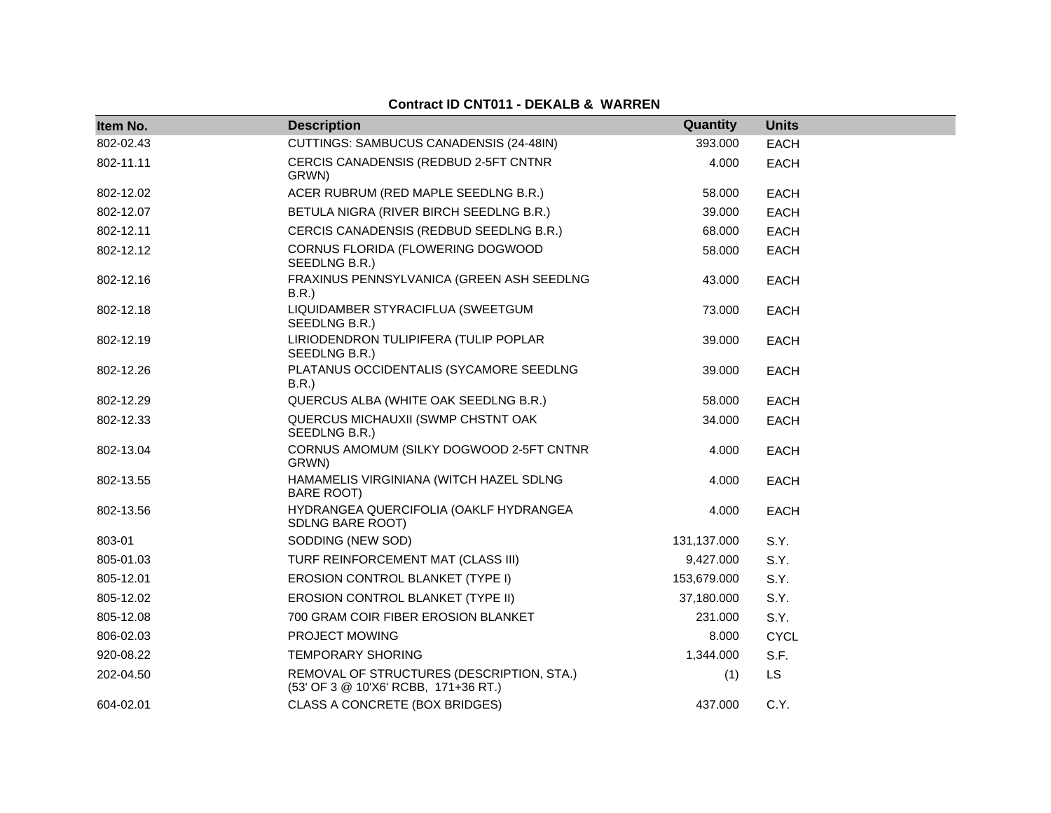| Item No.  | <b>Description</b>                                                                | Quantity    | <b>Units</b> |
|-----------|-----------------------------------------------------------------------------------|-------------|--------------|
| 802-02.43 | CUTTINGS: SAMBUCUS CANADENSIS (24-48IN)                                           | 393.000     | <b>EACH</b>  |
| 802-11.11 | CERCIS CANADENSIS (REDBUD 2-5FT CNTNR<br>GRWN)                                    | 4.000       | <b>EACH</b>  |
| 802-12.02 | ACER RUBRUM (RED MAPLE SEEDLNG B.R.)                                              | 58.000      | <b>EACH</b>  |
| 802-12.07 | BETULA NIGRA (RIVER BIRCH SEEDLNG B.R.)                                           | 39.000      | <b>EACH</b>  |
| 802-12.11 | CERCIS CANADENSIS (REDBUD SEEDLNG B.R.)                                           | 68.000      | EACH         |
| 802-12.12 | CORNUS FLORIDA (FLOWERING DOGWOOD<br>SEEDLNG B.R.)                                | 58.000      | EACH         |
| 802-12.16 | FRAXINUS PENNSYLVANICA (GREEN ASH SEEDLNG<br>B.R.)                                | 43.000      | <b>EACH</b>  |
| 802-12.18 | LIQUIDAMBER STYRACIFLUA (SWEETGUM<br>SEEDLNG B.R.)                                | 73.000      | <b>EACH</b>  |
| 802-12.19 | LIRIODENDRON TULIPIFERA (TULIP POPLAR<br>SEEDLNG B.R.)                            | 39.000      | <b>EACH</b>  |
| 802-12.26 | PLATANUS OCCIDENTALIS (SYCAMORE SEEDLNG<br>B.R.                                   | 39.000      | <b>EACH</b>  |
| 802-12.29 | QUERCUS ALBA (WHITE OAK SEEDLNG B.R.)                                             | 58.000      | <b>EACH</b>  |
| 802-12.33 | QUERCUS MICHAUXII (SWMP CHSTNT OAK<br>SEEDLNG B.R.)                               | 34.000      | EACH         |
| 802-13.04 | CORNUS AMOMUM (SILKY DOGWOOD 2-5FT CNTNR<br>GRWN)                                 | 4.000       | EACH         |
| 802-13.55 | HAMAMELIS VIRGINIANA (WITCH HAZEL SDLNG<br><b>BARE ROOT)</b>                      | 4.000       | <b>EACH</b>  |
| 802-13.56 | HYDRANGEA QUERCIFOLIA (OAKLF HYDRANGEA<br><b>SDLNG BARE ROOT)</b>                 | 4.000       | <b>EACH</b>  |
| 803-01    | SODDING (NEW SOD)                                                                 | 131,137.000 | S.Y.         |
| 805-01.03 | TURF REINFORCEMENT MAT (CLASS III)                                                | 9,427.000   | S.Y.         |
| 805-12.01 | EROSION CONTROL BLANKET (TYPE I)                                                  | 153,679.000 | S.Y.         |
| 805-12.02 | EROSION CONTROL BLANKET (TYPE II)                                                 | 37,180.000  | S.Y.         |
| 805-12.08 | 700 GRAM COIR FIBER EROSION BLANKET                                               | 231.000     | S.Y.         |
| 806-02.03 | <b>PROJECT MOWING</b>                                                             | 8.000       | <b>CYCL</b>  |
| 920-08.22 | TEMPORARY SHORING                                                                 | 1,344.000   | S.F.         |
| 202-04.50 | REMOVAL OF STRUCTURES (DESCRIPTION, STA.)<br>(53' OF 3 @ 10'X6' RCBB, 171+36 RT.) | (1)         | LS           |
| 604-02.01 | CLASS A CONCRETE (BOX BRIDGES)                                                    | 437.000     | C.Y.         |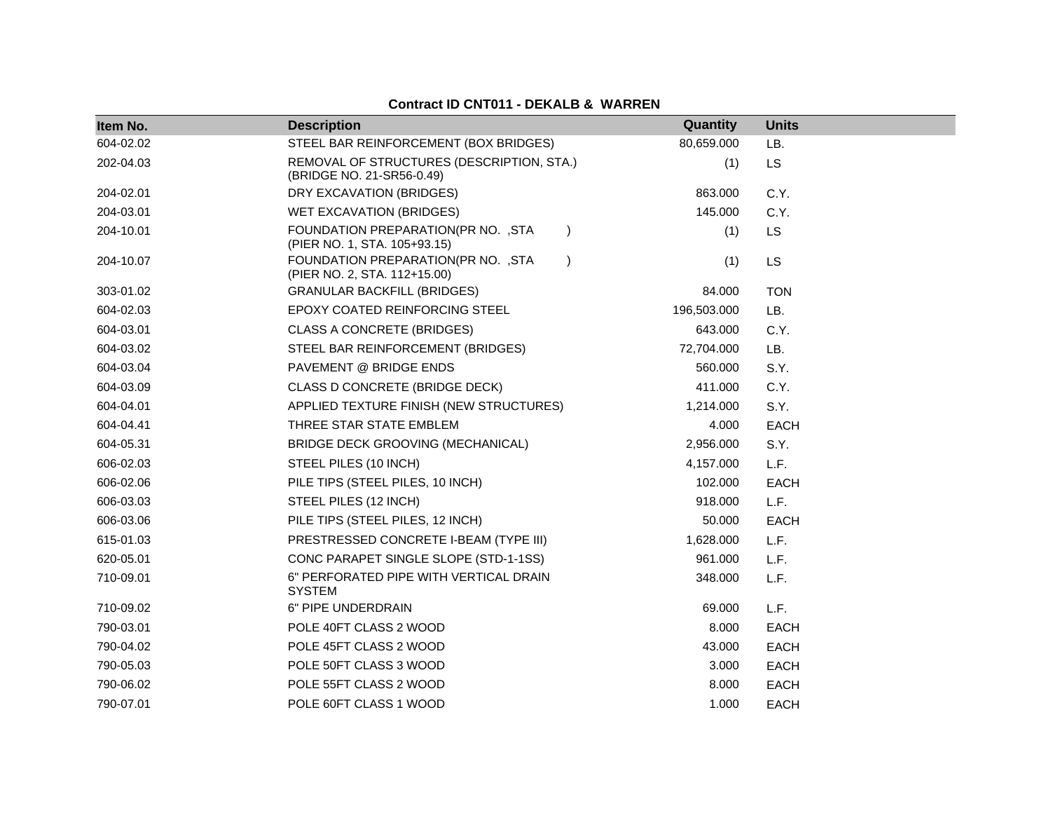| Item No.  | <b>Description</b>                                                               | Quantity    | <b>Units</b> |
|-----------|----------------------------------------------------------------------------------|-------------|--------------|
| 604-02.02 | STEEL BAR REINFORCEMENT (BOX BRIDGES)                                            | 80,659.000  | LB.          |
| 202-04.03 | REMOVAL OF STRUCTURES (DESCRIPTION, STA.)<br>(BRIDGE NO. 21-SR56-0.49)           | (1)         | <b>LS</b>    |
| 204-02.01 | DRY EXCAVATION (BRIDGES)                                                         | 863.000     | C.Y.         |
| 204-03.01 | WET EXCAVATION (BRIDGES)                                                         | 145.000     | C.Y.         |
| 204-10.01 | FOUNDATION PREPARATION(PR NO. , STA<br>$\lambda$<br>(PIER NO. 1, STA. 105+93.15) | (1)         | <b>LS</b>    |
| 204-10.07 | FOUNDATION PREPARATION(PR NO. , STA<br>$\lambda$<br>(PIER NO. 2, STA. 112+15.00) | (1)         | <b>LS</b>    |
| 303-01.02 | <b>GRANULAR BACKFILL (BRIDGES)</b>                                               | 84.000      | <b>TON</b>   |
| 604-02.03 | EPOXY COATED REINFORCING STEEL                                                   | 196,503.000 | LB.          |
| 604-03.01 | <b>CLASS A CONCRETE (BRIDGES)</b>                                                | 643.000     | C.Y.         |
| 604-03.02 | STEEL BAR REINFORCEMENT (BRIDGES)                                                | 72,704.000  | LB.          |
| 604-03.04 | PAVEMENT @ BRIDGE ENDS                                                           | 560.000     | S.Y.         |
| 604-03.09 | CLASS D CONCRETE (BRIDGE DECK)                                                   | 411.000     | C.Y.         |
| 604-04.01 | APPLIED TEXTURE FINISH (NEW STRUCTURES)                                          | 1,214.000   | S.Y.         |
| 604-04.41 | THREE STAR STATE EMBLEM                                                          | 4.000       | <b>EACH</b>  |
| 604-05.31 | BRIDGE DECK GROOVING (MECHANICAL)                                                | 2,956.000   | S.Y.         |
| 606-02.03 | STEEL PILES (10 INCH)                                                            | 4,157.000   | L.F.         |
| 606-02.06 | PILE TIPS (STEEL PILES, 10 INCH)                                                 | 102.000     | <b>EACH</b>  |
| 606-03.03 | STEEL PILES (12 INCH)                                                            | 918.000     | L.F.         |
| 606-03.06 | PILE TIPS (STEEL PILES, 12 INCH)                                                 | 50.000      | <b>EACH</b>  |
| 615-01.03 | PRESTRESSED CONCRETE I-BEAM (TYPE III)                                           | 1,628.000   | L.F.         |
| 620-05.01 | CONC PARAPET SINGLE SLOPE (STD-1-1SS)                                            | 961.000     | L.F.         |
| 710-09.01 | 6" PERFORATED PIPE WITH VERTICAL DRAIN<br><b>SYSTEM</b>                          | 348.000     | L.F.         |
| 710-09.02 | 6" PIPE UNDERDRAIN                                                               | 69.000      | L.F.         |
| 790-03.01 | POLE 40FT CLASS 2 WOOD                                                           | 8.000       | <b>EACH</b>  |
| 790-04.02 | POLE 45FT CLASS 2 WOOD                                                           | 43.000      | <b>EACH</b>  |
| 790-05.03 | POLE 50FT CLASS 3 WOOD                                                           | 3.000       | EACH         |
| 790-06.02 | POLE 55FT CLASS 2 WOOD                                                           | 8.000       | <b>EACH</b>  |
| 790-07.01 | POLE 60FT CLASS 1 WOOD                                                           | 1.000       | <b>EACH</b>  |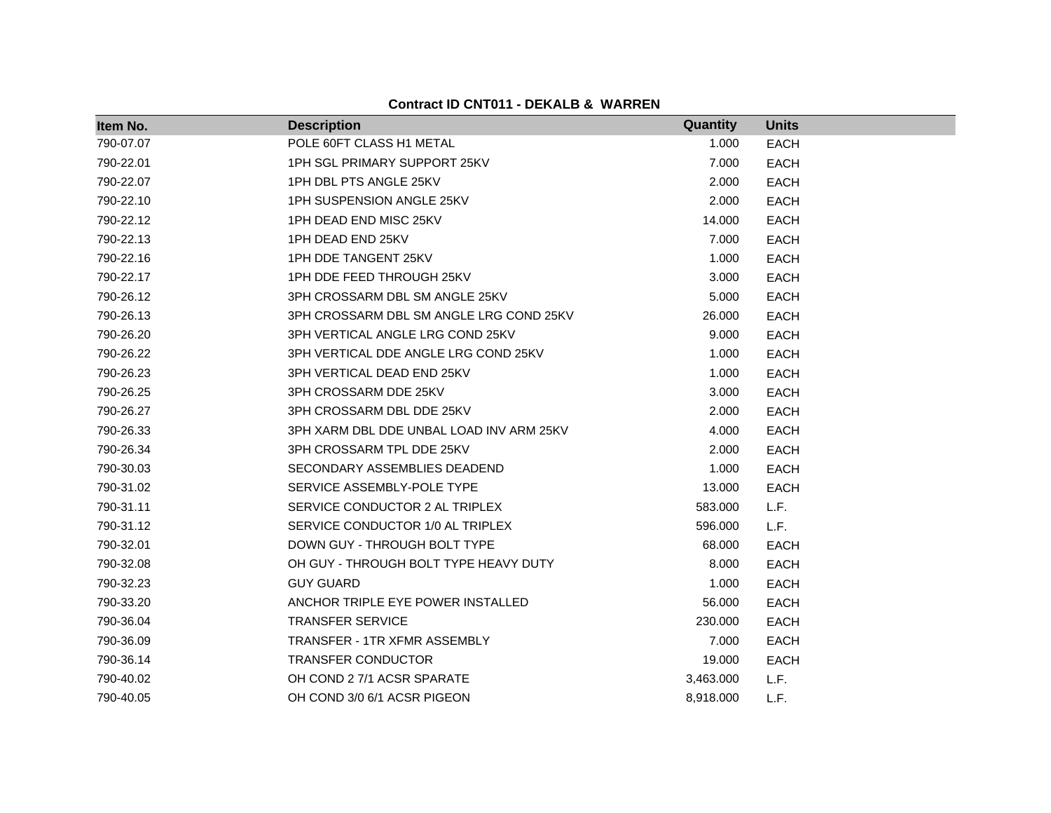| Item No.  | <b>Description</b>                       | <b>Quantity</b> | <b>Units</b> |
|-----------|------------------------------------------|-----------------|--------------|
| 790-07.07 | POLE 60FT CLASS H1 METAL                 | 1.000           | <b>EACH</b>  |
| 790-22.01 | 1PH SGL PRIMARY SUPPORT 25KV             | 7.000           | <b>EACH</b>  |
| 790-22.07 | 1PH DBL PTS ANGLE 25KV                   | 2.000           | <b>EACH</b>  |
| 790-22.10 | 1PH SUSPENSION ANGLE 25KV                | 2.000           | <b>EACH</b>  |
| 790-22.12 | 1PH DEAD END MISC 25KV                   | 14.000          | <b>EACH</b>  |
| 790-22.13 | 1PH DEAD END 25KV                        | 7.000           | <b>EACH</b>  |
| 790-22.16 | 1PH DDE TANGENT 25KV                     | 1.000           | <b>EACH</b>  |
| 790-22.17 | 1PH DDE FEED THROUGH 25KV                | 3.000           | <b>EACH</b>  |
| 790-26.12 | 3PH CROSSARM DBL SM ANGLE 25KV           | 5.000           | <b>EACH</b>  |
| 790-26.13 | 3PH CROSSARM DBL SM ANGLE LRG COND 25KV  | 26.000          | <b>EACH</b>  |
| 790-26.20 | 3PH VERTICAL ANGLE LRG COND 25KV         | 9.000           | <b>EACH</b>  |
| 790-26.22 | 3PH VERTICAL DDE ANGLE LRG COND 25KV     | 1.000           | <b>EACH</b>  |
| 790-26.23 | 3PH VERTICAL DEAD END 25KV               | 1.000           | <b>EACH</b>  |
| 790-26.25 | 3PH CROSSARM DDE 25KV                    | 3.000           | <b>EACH</b>  |
| 790-26.27 | 3PH CROSSARM DBL DDE 25KV                | 2.000           | <b>EACH</b>  |
| 790-26.33 | 3PH XARM DBL DDE UNBAL LOAD INV ARM 25KV | 4.000           | <b>EACH</b>  |
| 790-26.34 | 3PH CROSSARM TPL DDE 25KV                | 2.000           | <b>EACH</b>  |
| 790-30.03 | SECONDARY ASSEMBLIES DEADEND             | 1.000           | <b>EACH</b>  |
| 790-31.02 | SERVICE ASSEMBLY-POLE TYPE               | 13.000          | <b>EACH</b>  |
| 790-31.11 | SERVICE CONDUCTOR 2 AL TRIPLEX           | 583.000         | L.F.         |
| 790-31.12 | SERVICE CONDUCTOR 1/0 AL TRIPLEX         | 596.000         | L.F.         |
| 790-32.01 | DOWN GUY - THROUGH BOLT TYPE             | 68.000          | <b>EACH</b>  |
| 790-32.08 | OH GUY - THROUGH BOLT TYPE HEAVY DUTY    | 8.000           | <b>EACH</b>  |
| 790-32.23 | <b>GUY GUARD</b>                         | 1.000           | <b>EACH</b>  |
| 790-33.20 | ANCHOR TRIPLE EYE POWER INSTALLED        | 56.000          | <b>EACH</b>  |
| 790-36.04 | <b>TRANSFER SERVICE</b>                  | 230.000         | <b>EACH</b>  |
| 790-36.09 | <b>TRANSFER - 1TR XFMR ASSEMBLY</b>      | 7.000           | <b>EACH</b>  |
| 790-36.14 | <b>TRANSFER CONDUCTOR</b>                | 19.000          | <b>EACH</b>  |
| 790-40.02 | OH COND 2 7/1 ACSR SPARATE               | 3,463.000       | L.F.         |
| 790-40.05 | OH COND 3/0 6/1 ACSR PIGEON              | 8,918.000       | L.F.         |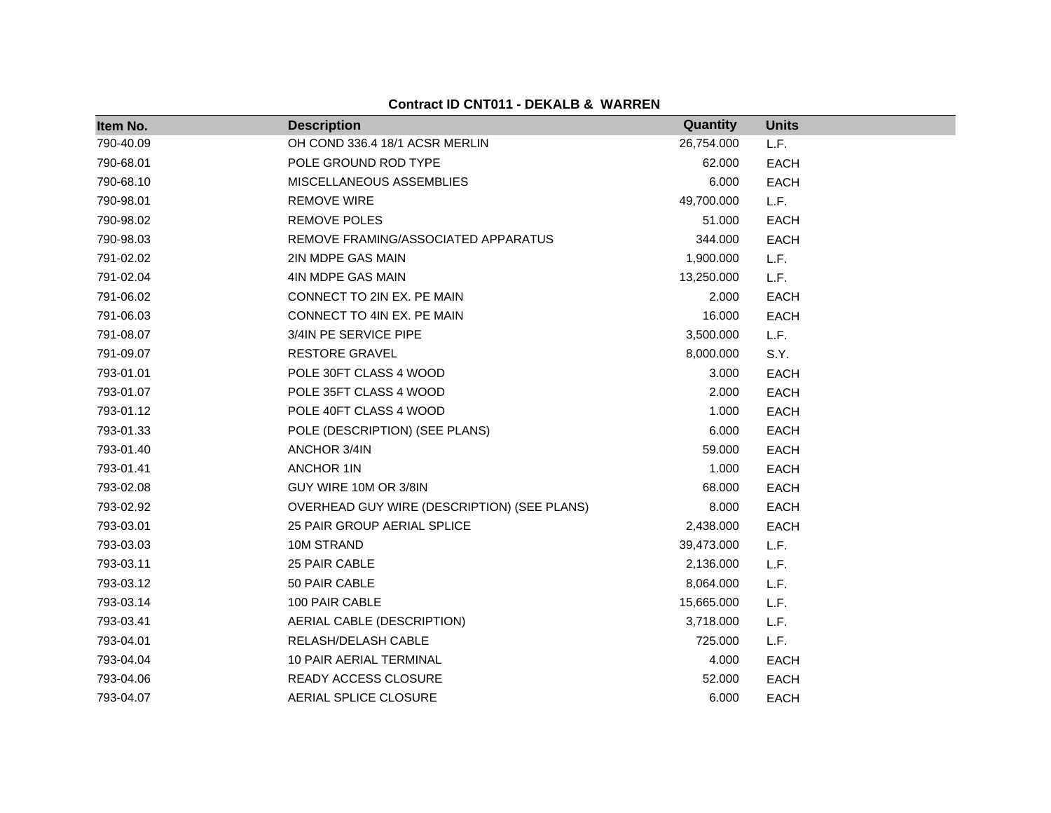| Item No.  | <b>Description</b>                          | Quantity   | <b>Units</b> |
|-----------|---------------------------------------------|------------|--------------|
| 790-40.09 | OH COND 336.4 18/1 ACSR MERLIN              | 26,754.000 | L.F.         |
| 790-68.01 | POLE GROUND ROD TYPE                        | 62.000     | <b>EACH</b>  |
| 790-68.10 | MISCELLANEOUS ASSEMBLIES                    | 6.000      | <b>EACH</b>  |
| 790-98.01 | <b>REMOVE WIRE</b>                          | 49,700.000 | L.F.         |
| 790-98.02 | <b>REMOVE POLES</b>                         | 51.000     | <b>EACH</b>  |
| 790-98.03 | REMOVE FRAMING/ASSOCIATED APPARATUS         | 344.000    | <b>EACH</b>  |
| 791-02.02 | 2IN MDPE GAS MAIN                           | 1,900.000  | L.F.         |
| 791-02.04 | 4IN MDPE GAS MAIN                           | 13,250.000 | L.F.         |
| 791-06.02 | CONNECT TO 2IN EX. PE MAIN                  | 2.000      | <b>EACH</b>  |
| 791-06.03 | CONNECT TO 4IN EX. PE MAIN                  | 16.000     | <b>EACH</b>  |
| 791-08.07 | 3/4IN PE SERVICE PIPE                       | 3,500.000  | L.F.         |
| 791-09.07 | <b>RESTORE GRAVEL</b>                       | 8,000.000  | S.Y.         |
| 793-01.01 | POLE 30FT CLASS 4 WOOD                      | 3.000      | <b>EACH</b>  |
| 793-01.07 | POLE 35FT CLASS 4 WOOD                      | 2.000      | <b>EACH</b>  |
| 793-01.12 | POLE 40FT CLASS 4 WOOD                      | 1.000      | <b>EACH</b>  |
| 793-01.33 | POLE (DESCRIPTION) (SEE PLANS)              | 6.000      | <b>EACH</b>  |
| 793-01.40 | ANCHOR 3/4IN                                | 59.000     | <b>EACH</b>  |
| 793-01.41 | <b>ANCHOR 1IN</b>                           | 1.000      | <b>EACH</b>  |
| 793-02.08 | GUY WIRE 10M OR 3/8IN                       | 68.000     | <b>EACH</b>  |
| 793-02.92 | OVERHEAD GUY WIRE (DESCRIPTION) (SEE PLANS) | 8.000      | <b>EACH</b>  |
| 793-03.01 | 25 PAIR GROUP AERIAL SPLICE                 | 2,438.000  | <b>EACH</b>  |
| 793-03.03 | 10M STRAND                                  | 39,473.000 | L.F.         |
| 793-03.11 | 25 PAIR CABLE                               | 2,136.000  | L.F.         |
| 793-03.12 | 50 PAIR CABLE                               | 8,064.000  | L.F.         |
| 793-03.14 | 100 PAIR CABLE                              | 15,665.000 | L.F.         |
| 793-03.41 | AERIAL CABLE (DESCRIPTION)                  | 3,718.000  | L.F.         |
| 793-04.01 | RELASH/DELASH CABLE                         | 725.000    | L.F.         |
| 793-04.04 | 10 PAIR AERIAL TERMINAL                     | 4.000      | <b>EACH</b>  |
| 793-04.06 | READY ACCESS CLOSURE                        | 52.000     | <b>EACH</b>  |
| 793-04.07 | AERIAL SPLICE CLOSURE                       | 6.000      | <b>EACH</b>  |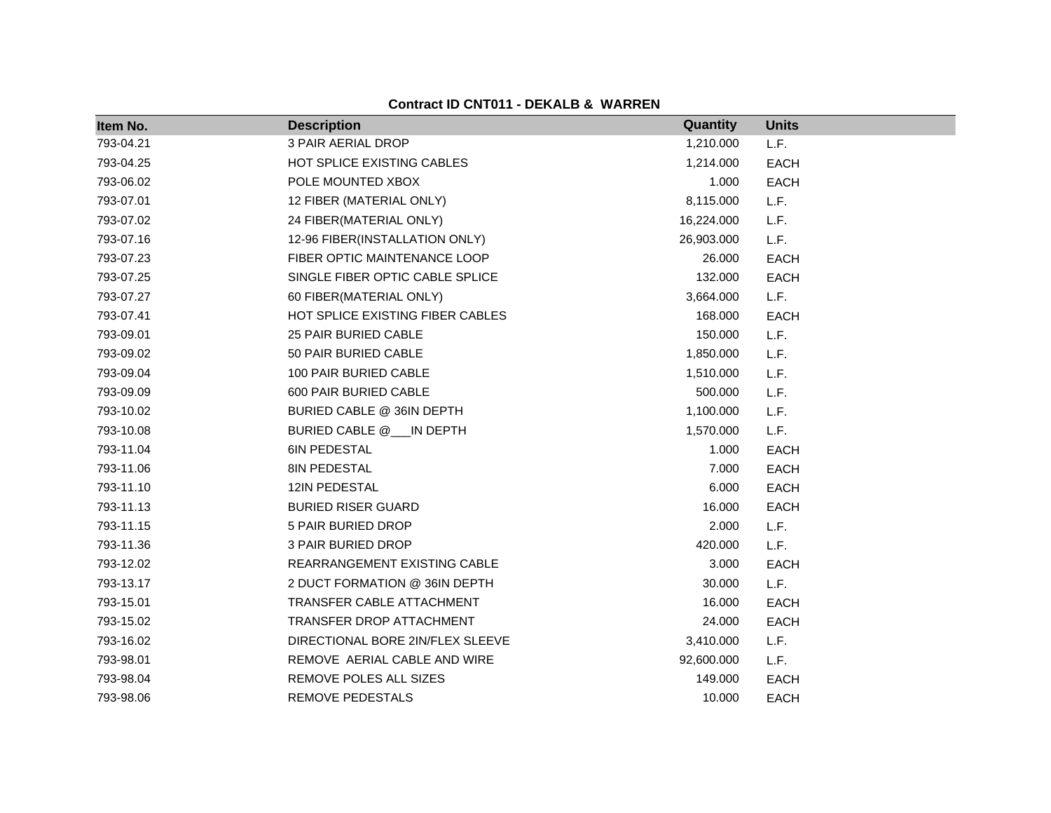| Item No.  | <b>Description</b>               | Quantity   | <b>Units</b> |
|-----------|----------------------------------|------------|--------------|
| 793-04.21 | <b>3 PAIR AERIAL DROP</b>        | 1,210.000  | L.F.         |
| 793-04.25 | HOT SPLICE EXISTING CABLES       | 1,214.000  | <b>EACH</b>  |
| 793-06.02 | POLE MOUNTED XBOX                | 1.000      | <b>EACH</b>  |
| 793-07.01 | 12 FIBER (MATERIAL ONLY)         | 8,115.000  | L.F.         |
| 793-07.02 | 24 FIBER(MATERIAL ONLY)          | 16,224.000 | L.F.         |
| 793-07.16 | 12-96 FIBER(INSTALLATION ONLY)   | 26,903.000 | L.F.         |
| 793-07.23 | FIBER OPTIC MAINTENANCE LOOP     | 26.000     | <b>EACH</b>  |
| 793-07.25 | SINGLE FIBER OPTIC CABLE SPLICE  | 132.000    | <b>EACH</b>  |
| 793-07.27 | 60 FIBER(MATERIAL ONLY)          | 3,664.000  | L.F.         |
| 793-07.41 | HOT SPLICE EXISTING FIBER CABLES | 168.000    | <b>EACH</b>  |
| 793-09.01 | 25 PAIR BURIED CABLE             | 150.000    | L.F.         |
| 793-09.02 | 50 PAIR BURIED CABLE             | 1,850.000  | L.F.         |
| 793-09.04 | 100 PAIR BURIED CABLE            | 1,510.000  | L.F.         |
| 793-09.09 | 600 PAIR BURIED CABLE            | 500.000    | L.F.         |
| 793-10.02 | BURIED CABLE @ 36IN DEPTH        | 1,100.000  | L.F.         |
| 793-10.08 | BURIED CABLE @ IN DEPTH          | 1,570.000  | L.F.         |
| 793-11.04 | 6IN PEDESTAL                     | 1.000      | <b>EACH</b>  |
| 793-11.06 | 8IN PEDESTAL                     | 7.000      | <b>EACH</b>  |
| 793-11.10 | 12IN PEDESTAL                    | 6.000      | <b>EACH</b>  |
| 793-11.13 | <b>BURIED RISER GUARD</b>        | 16.000     | <b>EACH</b>  |
| 793-11.15 | 5 PAIR BURIED DROP               | 2.000      | L.F.         |
| 793-11.36 | 3 PAIR BURIED DROP               | 420.000    | L.F.         |
| 793-12.02 | REARRANGEMENT EXISTING CABLE     | 3.000      | <b>EACH</b>  |
| 793-13.17 | 2 DUCT FORMATION @ 36IN DEPTH    | 30.000     | L.F.         |
| 793-15.01 | TRANSFER CABLE ATTACHMENT        | 16.000     | EACH         |
| 793-15.02 | TRANSFER DROP ATTACHMENT         | 24.000     | <b>EACH</b>  |
| 793-16.02 | DIRECTIONAL BORE 2IN/FLEX SLEEVE | 3,410.000  | L.F.         |
| 793-98.01 | REMOVE AERIAL CABLE AND WIRE     | 92,600.000 | L.F.         |
| 793-98.04 | REMOVE POLES ALL SIZES           | 149.000    | <b>EACH</b>  |
| 793-98.06 | REMOVE PEDESTALS                 | 10.000     | <b>EACH</b>  |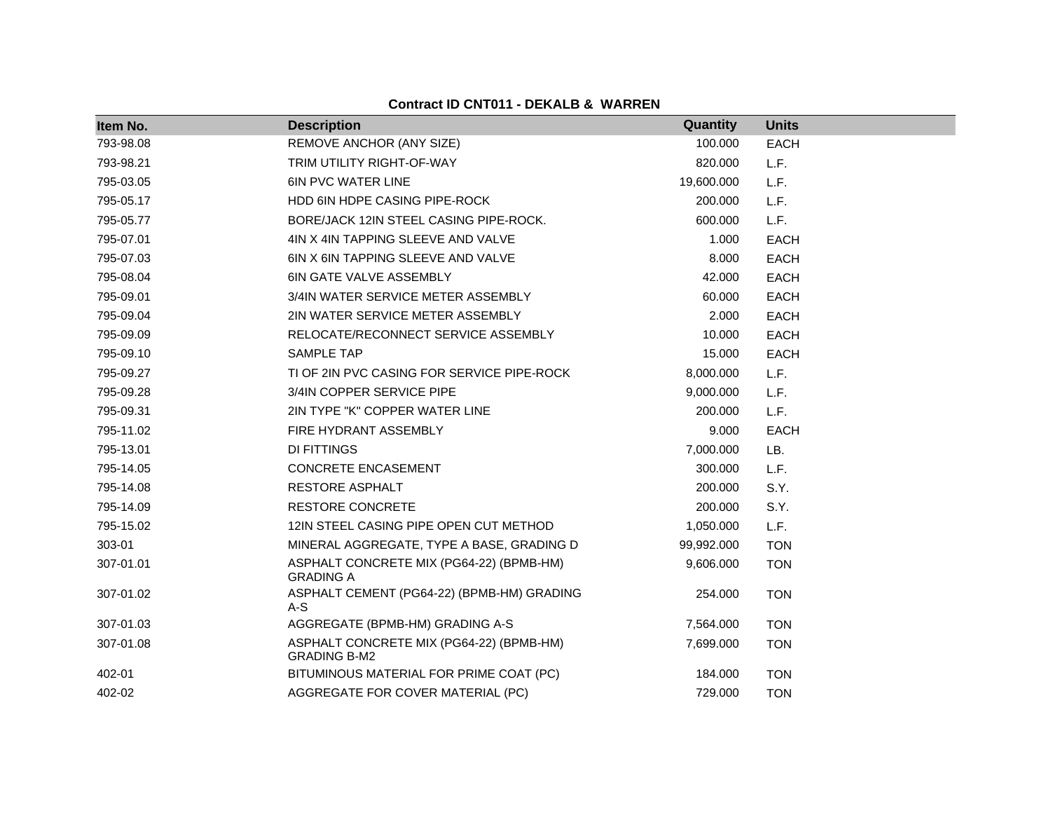| Item No.  | <b>Description</b>                                              | Quantity   | <b>Units</b> |
|-----------|-----------------------------------------------------------------|------------|--------------|
| 793-98.08 | REMOVE ANCHOR (ANY SIZE)                                        | 100.000    | <b>EACH</b>  |
| 793-98.21 | TRIM UTILITY RIGHT-OF-WAY                                       | 820.000    | L.F.         |
| 795-03.05 | <b>6IN PVC WATER LINE</b>                                       | 19,600.000 | L.F.         |
| 795-05.17 | <b>HDD 6IN HDPE CASING PIPE-ROCK</b>                            | 200.000    | L.F.         |
| 795-05.77 | BORE/JACK 12IN STEEL CASING PIPE-ROCK.                          | 600.000    | L.F.         |
| 795-07.01 | 4IN X 4IN TAPPING SLEEVE AND VALVE                              | 1.000      | <b>EACH</b>  |
| 795-07.03 | 6IN X 6IN TAPPING SLEEVE AND VALVE                              | 8.000      | <b>EACH</b>  |
| 795-08.04 | <b>6IN GATE VALVE ASSEMBLY</b>                                  | 42.000     | <b>EACH</b>  |
| 795-09.01 | 3/4IN WATER SERVICE METER ASSEMBLY                              | 60.000     | <b>EACH</b>  |
| 795-09.04 | 2IN WATER SERVICE METER ASSEMBLY                                | 2.000      | <b>EACH</b>  |
| 795-09.09 | RELOCATE/RECONNECT SERVICE ASSEMBLY                             | 10.000     | <b>EACH</b>  |
| 795-09.10 | <b>SAMPLE TAP</b>                                               | 15.000     | <b>EACH</b>  |
| 795-09.27 | TI OF 2IN PVC CASING FOR SERVICE PIPE-ROCK                      | 8,000.000  | L.F.         |
| 795-09.28 | 3/4IN COPPER SERVICE PIPE                                       | 9,000.000  | L.F.         |
| 795-09.31 | 2IN TYPE "K" COPPER WATER LINE                                  | 200.000    | L.F.         |
| 795-11.02 | FIRE HYDRANT ASSEMBLY                                           | 9.000      | <b>EACH</b>  |
| 795-13.01 | DI FITTINGS                                                     | 7,000.000  | LB.          |
| 795-14.05 | <b>CONCRETE ENCASEMENT</b>                                      | 300.000    | L.F.         |
| 795-14.08 | RESTORE ASPHALT                                                 | 200.000    | S.Y.         |
| 795-14.09 | <b>RESTORE CONCRETE</b>                                         | 200.000    | S.Y.         |
| 795-15.02 | 12IN STEEL CASING PIPE OPEN CUT METHOD                          | 1,050.000  | L.F.         |
| 303-01    | MINERAL AGGREGATE, TYPE A BASE, GRADING D                       | 99,992.000 | <b>TON</b>   |
| 307-01.01 | ASPHALT CONCRETE MIX (PG64-22) (BPMB-HM)<br><b>GRADING A</b>    | 9,606.000  | <b>TON</b>   |
| 307-01.02 | ASPHALT CEMENT (PG64-22) (BPMB-HM) GRADING<br>$A-S$             | 254.000    | <b>TON</b>   |
| 307-01.03 | AGGREGATE (BPMB-HM) GRADING A-S                                 | 7,564.000  | <b>TON</b>   |
| 307-01.08 | ASPHALT CONCRETE MIX (PG64-22) (BPMB-HM)<br><b>GRADING B-M2</b> | 7,699.000  | <b>TON</b>   |
| 402-01    | BITUMINOUS MATERIAL FOR PRIME COAT (PC)                         | 184.000    | <b>TON</b>   |
| 402-02    | AGGREGATE FOR COVER MATERIAL (PC)                               | 729.000    | <b>TON</b>   |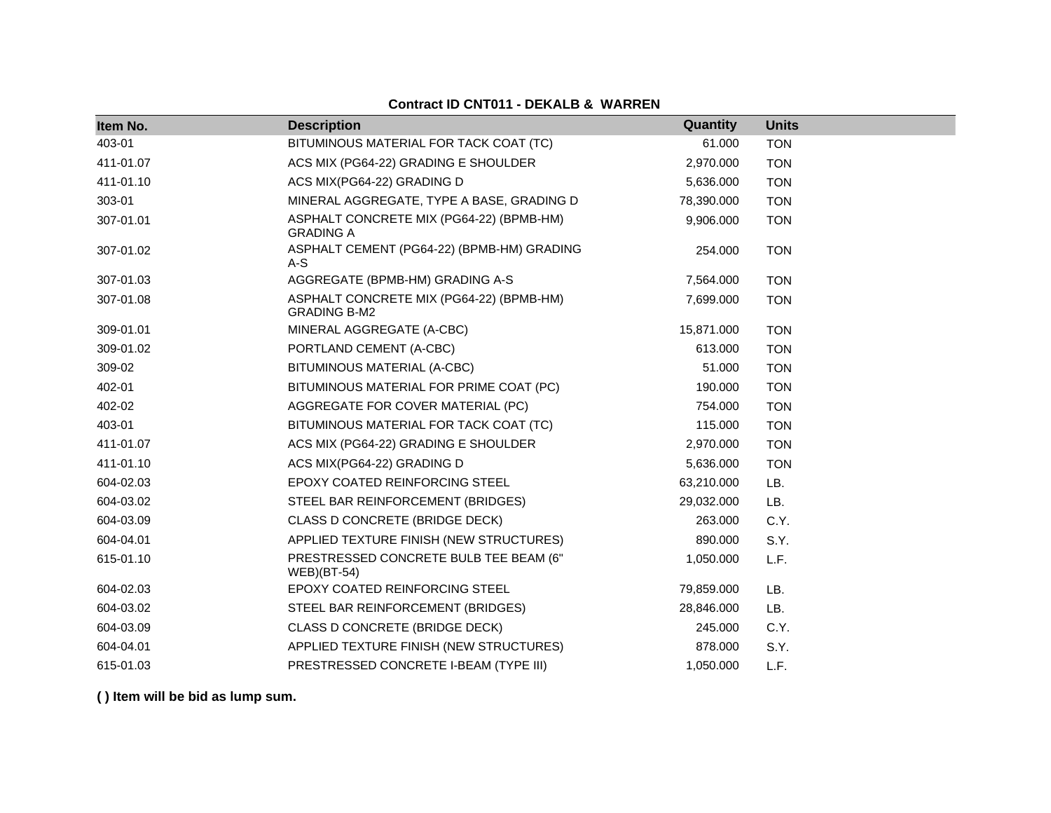| Item No.  | <b>Description</b>                                              | Quantity   | <b>Units</b> |
|-----------|-----------------------------------------------------------------|------------|--------------|
| 403-01    | BITUMINOUS MATERIAL FOR TACK COAT (TC)                          | 61.000     | <b>TON</b>   |
| 411-01.07 | ACS MIX (PG64-22) GRADING E SHOULDER                            | 2,970.000  | <b>TON</b>   |
| 411-01.10 | ACS MIX(PG64-22) GRADING D                                      | 5,636.000  | <b>TON</b>   |
| 303-01    | MINERAL AGGREGATE, TYPE A BASE, GRADING D                       | 78,390.000 | <b>TON</b>   |
| 307-01.01 | ASPHALT CONCRETE MIX (PG64-22) (BPMB-HM)<br><b>GRADING A</b>    | 9,906.000  | <b>TON</b>   |
| 307-01.02 | ASPHALT CEMENT (PG64-22) (BPMB-HM) GRADING<br>$A-S$             | 254.000    | <b>TON</b>   |
| 307-01.03 | AGGREGATE (BPMB-HM) GRADING A-S                                 | 7,564.000  | <b>TON</b>   |
| 307-01.08 | ASPHALT CONCRETE MIX (PG64-22) (BPMB-HM)<br><b>GRADING B-M2</b> | 7,699.000  | <b>TON</b>   |
| 309-01.01 | MINERAL AGGREGATE (A-CBC)                                       | 15,871.000 | <b>TON</b>   |
| 309-01.02 | PORTLAND CEMENT (A-CBC)                                         | 613.000    | <b>TON</b>   |
| 309-02    | BITUMINOUS MATERIAL (A-CBC)                                     | 51.000     | <b>TON</b>   |
| 402-01    | BITUMINOUS MATERIAL FOR PRIME COAT (PC)                         | 190.000    | <b>TON</b>   |
| 402-02    | AGGREGATE FOR COVER MATERIAL (PC)                               | 754.000    | <b>TON</b>   |
| 403-01    | BITUMINOUS MATERIAL FOR TACK COAT (TC)                          | 115.000    | <b>TON</b>   |
| 411-01.07 | ACS MIX (PG64-22) GRADING E SHOULDER                            | 2,970.000  | <b>TON</b>   |
| 411-01.10 | ACS MIX(PG64-22) GRADING D                                      | 5,636.000  | <b>TON</b>   |
| 604-02.03 | EPOXY COATED REINFORCING STEEL                                  | 63,210.000 | LB.          |
| 604-03.02 | STEEL BAR REINFORCEMENT (BRIDGES)                               | 29,032.000 | LB.          |
| 604-03.09 | CLASS D CONCRETE (BRIDGE DECK)                                  | 263.000    | C.Y.         |
| 604-04.01 | APPLIED TEXTURE FINISH (NEW STRUCTURES)                         | 890.000    | S.Y.         |
| 615-01.10 | PRESTRESSED CONCRETE BULB TEE BEAM (6"<br>$WEB$ )(BT-54)        | 1,050.000  | L.F.         |
| 604-02.03 | <b>EPOXY COATED REINFORCING STEEL</b>                           | 79,859.000 | LB.          |
| 604-03.02 | STEEL BAR REINFORCEMENT (BRIDGES)                               | 28,846.000 | LB.          |
| 604-03.09 | CLASS D CONCRETE (BRIDGE DECK)                                  | 245.000    | C.Y.         |
| 604-04.01 | APPLIED TEXTURE FINISH (NEW STRUCTURES)                         | 878.000    | S.Y.         |
| 615-01.03 | PRESTRESSED CONCRETE I-BEAM (TYPE III)                          | 1,050.000  | L.F.         |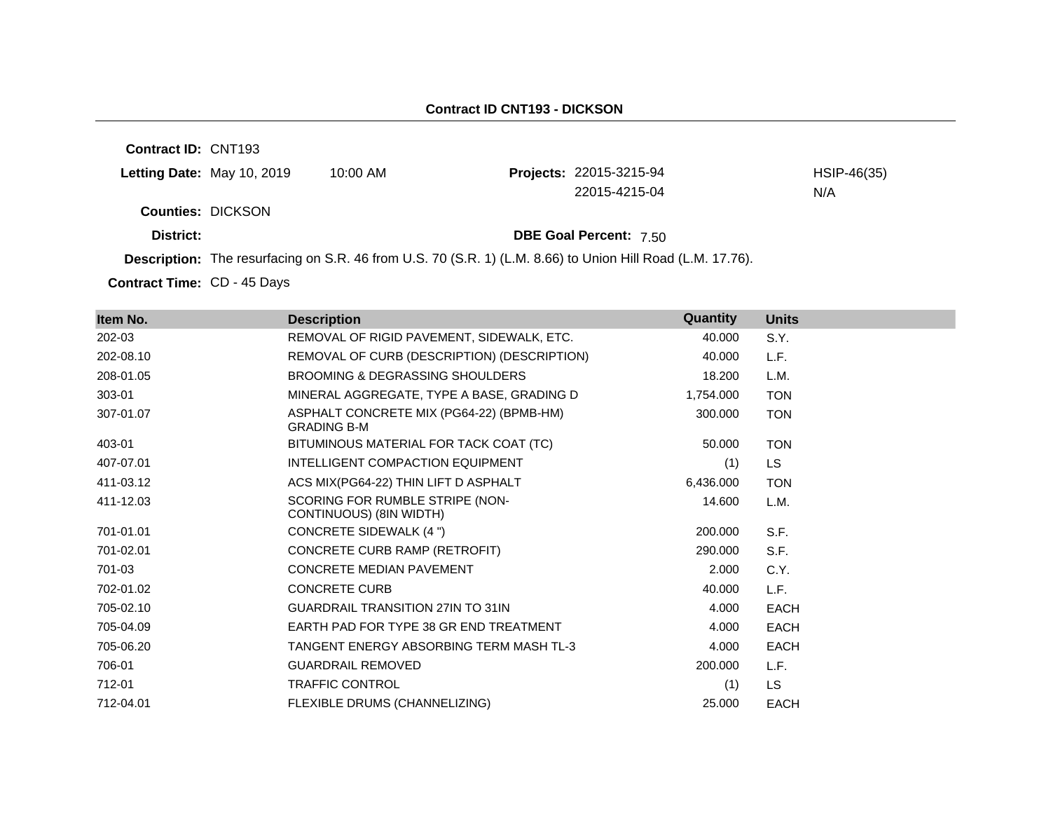### **Contract ID CNT193 - DICKSON**

**Contract ID:** CNT193 **Letting Date:** May 10, 2019 10:00 AM **Counties:** DICKSON **District: District: DBE Goal Percent:** 7.50 **Description:** The resurfacing on S.R. 46 from U.S. 70 (S.R. 1) (L.M. 8.66) to Union Hill Road (L.M. 17.76). Projects: 22015-3215-94 HSIP-46(35) 22015-4215-04 N/A

Contract Time: CD - 45 Days

| Item No.  | <b>Description</b>                                             | Quantity  | <b>Units</b> |
|-----------|----------------------------------------------------------------|-----------|--------------|
| 202-03    | REMOVAL OF RIGID PAVEMENT, SIDEWALK, ETC.                      | 40.000    | S.Y.         |
| 202-08.10 | REMOVAL OF CURB (DESCRIPTION) (DESCRIPTION)                    | 40.000    | L.F.         |
| 208-01.05 | BROOMING & DEGRASSING SHOULDERS                                | 18.200    | L.M.         |
| 303-01    | MINERAL AGGREGATE, TYPE A BASE, GRADING D                      | 1,754.000 | <b>TON</b>   |
| 307-01.07 | ASPHALT CONCRETE MIX (PG64-22) (BPMB-HM)<br><b>GRADING B-M</b> | 300.000   | <b>TON</b>   |
| 403-01    | BITUMINOUS MATERIAL FOR TACK COAT (TC)                         | 50.000    | <b>TON</b>   |
| 407-07.01 | INTELLIGENT COMPACTION EQUIPMENT                               | (1)       | <b>LS</b>    |
| 411-03.12 | ACS MIX(PG64-22) THIN LIFT D ASPHALT                           | 6,436.000 | <b>TON</b>   |
| 411-12.03 | SCORING FOR RUMBLE STRIPE (NON-<br>CONTINUOUS) (8IN WIDTH)     | 14.600    | L.M.         |
| 701-01.01 | CONCRETE SIDEWALK (4 ")                                        | 200.000   | S.F.         |
| 701-02.01 | CONCRETE CURB RAMP (RETROFIT)                                  | 290,000   | S.F.         |
| 701-03    | <b>CONCRETE MEDIAN PAVEMENT</b>                                | 2.000     | C.Y.         |
| 702-01.02 | <b>CONCRETE CURB</b>                                           | 40.000    | L.F.         |
| 705-02.10 | <b>GUARDRAIL TRANSITION 27IN TO 31IN</b>                       | 4.000     | <b>EACH</b>  |
| 705-04.09 | EARTH PAD FOR TYPE 38 GR END TREATMENT                         | 4.000     | <b>EACH</b>  |
| 705-06.20 | TANGENT ENERGY ABSORBING TERM MASH TL-3                        | 4.000     | <b>EACH</b>  |
| 706-01    | <b>GUARDRAIL REMOVED</b>                                       | 200.000   | L.F.         |
| 712-01    | <b>TRAFFIC CONTROL</b>                                         | (1)       | <b>LS</b>    |
| 712-04.01 | FLEXIBLE DRUMS (CHANNELIZING)                                  | 25.000    | <b>EACH</b>  |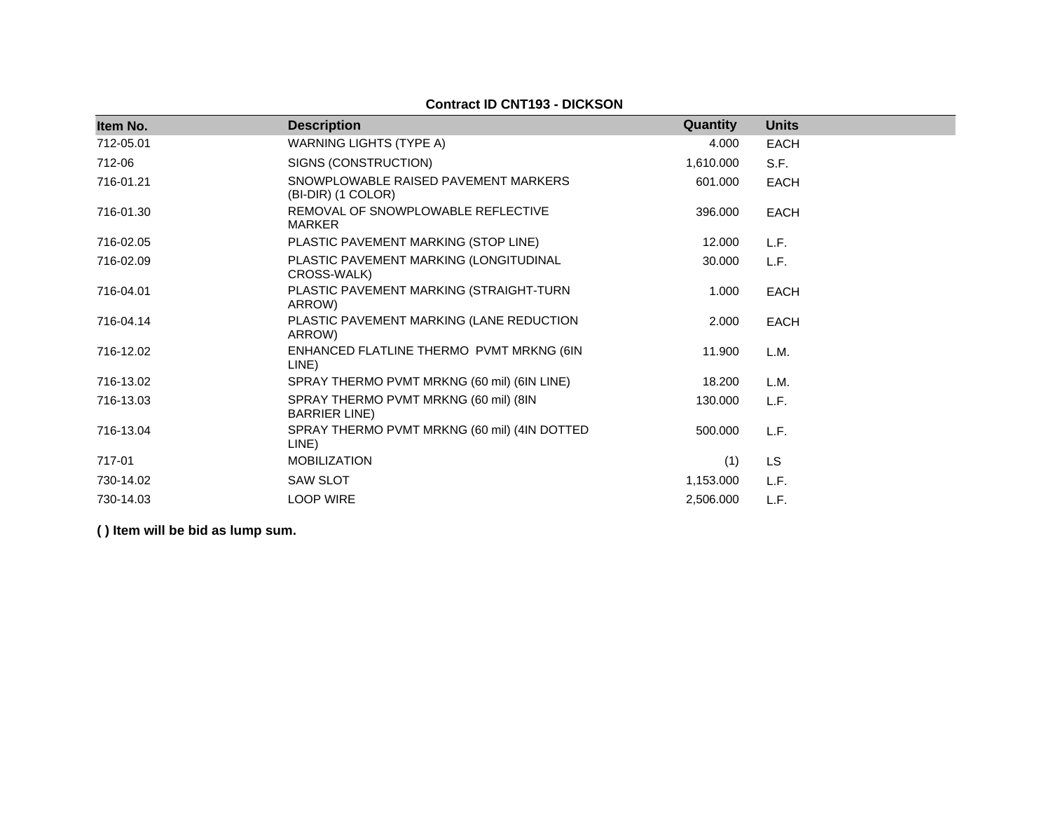### **Contract ID CNT193 - DICKSON**

| Item No.  | <b>Description</b>                                             | Quantity  | <b>Units</b> |
|-----------|----------------------------------------------------------------|-----------|--------------|
| 712-05.01 | <b>WARNING LIGHTS (TYPE A)</b>                                 | 4.000     | <b>EACH</b>  |
| 712-06    | SIGNS (CONSTRUCTION)                                           | 1,610.000 | S.F.         |
| 716-01.21 | SNOWPLOWABLE RAISED PAVEMENT MARKERS<br>(BI-DIR) (1 COLOR)     | 601.000   | <b>EACH</b>  |
| 716-01.30 | REMOVAL OF SNOWPLOWABLE REFLECTIVE<br><b>MARKER</b>            | 396.000   | <b>EACH</b>  |
| 716-02.05 | PLASTIC PAVEMENT MARKING (STOP LINE)                           | 12.000    | L.F.         |
| 716-02.09 | PLASTIC PAVEMENT MARKING (LONGITUDINAL<br>CROSS-WALK)          | 30.000    | L.F.         |
| 716-04.01 | PLASTIC PAVEMENT MARKING (STRAIGHT-TURN<br>ARROW)              | 1.000     | <b>EACH</b>  |
| 716-04.14 | PLASTIC PAVEMENT MARKING (LANE REDUCTION<br>ARROW)             | 2.000     | <b>EACH</b>  |
| 716-12.02 | ENHANCED FLATLINE THERMO PVMT MRKNG (6IN<br>LINE)              | 11.900    | L.M.         |
| 716-13.02 | SPRAY THERMO PVMT MRKNG (60 mil) (6IN LINE)                    | 18.200    | L.M.         |
| 716-13.03 | SPRAY THERMO PVMT MRKNG (60 mil) (8IN<br><b>BARRIER LINE</b> ) | 130.000   | L.F.         |
| 716-13.04 | SPRAY THERMO PVMT MRKNG (60 mil) (4IN DOTTED<br>LINE)          | 500.000   | L.F.         |
| 717-01    | <b>MOBILIZATION</b>                                            | (1)       | <b>LS</b>    |
| 730-14.02 | <b>SAW SLOT</b>                                                | 1,153.000 | L.F.         |
| 730-14.03 | <b>LOOP WIRE</b>                                               | 2,506.000 | L.F.         |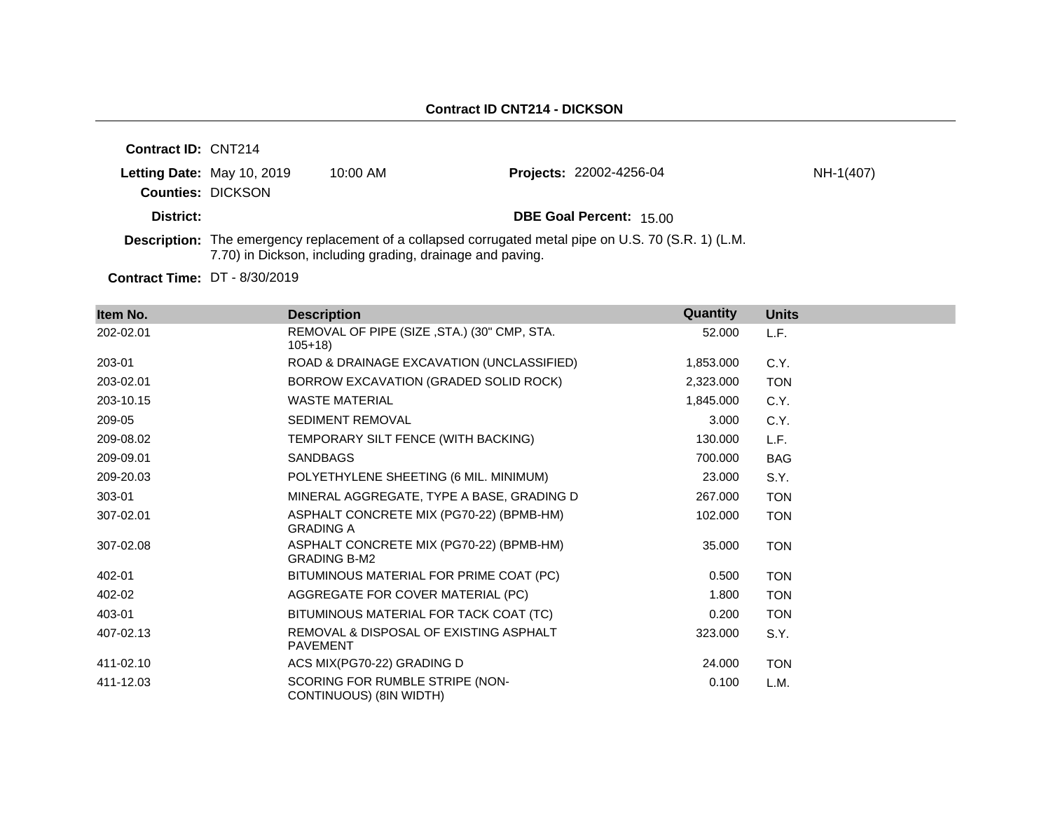| <b>Contract ID: CNT214</b> |                            |                                                           |                                                                                                       |           |
|----------------------------|----------------------------|-----------------------------------------------------------|-------------------------------------------------------------------------------------------------------|-----------|
|                            | Letting Date: May 10, 2019 | $10:00$ AM                                                | <b>Projects: 22002-4256-04</b>                                                                        | NH-1(407) |
| <b>Counties: DICKSON</b>   |                            |                                                           |                                                                                                       |           |
| District:                  |                            |                                                           | <b>DBE Goal Percent: 15.00</b>                                                                        |           |
|                            |                            | 7.70) in Dickson, including grading, drainage and paving. | Description: The emergency replacement of a collapsed corrugated metal pipe on U.S. 70 (S.R. 1) (L.M. |           |

**Contract Time:** DT - 8/30/2019

| Item No.  | <b>Description</b>                                              | Quantity  | <b>Units</b> |
|-----------|-----------------------------------------------------------------|-----------|--------------|
| 202-02.01 | REMOVAL OF PIPE (SIZE, STA.) (30" CMP, STA.<br>$105+18$         | 52.000    | L.F.         |
| 203-01    | ROAD & DRAINAGE EXCAVATION (UNCLASSIFIED)                       | 1,853.000 | C.Y.         |
| 203-02.01 | BORROW EXCAVATION (GRADED SOLID ROCK)                           | 2,323.000 | <b>TON</b>   |
| 203-10.15 | <b>WASTE MATERIAL</b>                                           | 1,845.000 | C.Y.         |
| 209-05    | <b>SEDIMENT REMOVAL</b>                                         | 3.000     | C.Y.         |
| 209-08.02 | TEMPORARY SILT FENCE (WITH BACKING)                             | 130.000   | L.F.         |
| 209-09.01 | <b>SANDBAGS</b>                                                 | 700.000   | <b>BAG</b>   |
| 209-20.03 | POLYETHYLENE SHEETING (6 MIL. MINIMUM)                          | 23.000    | S.Y.         |
| 303-01    | MINERAL AGGREGATE, TYPE A BASE, GRADING D                       | 267.000   | <b>TON</b>   |
| 307-02.01 | ASPHALT CONCRETE MIX (PG70-22) (BPMB-HM)<br><b>GRADING A</b>    | 102.000   | <b>TON</b>   |
| 307-02.08 | ASPHALT CONCRETE MIX (PG70-22) (BPMB-HM)<br><b>GRADING B-M2</b> | 35.000    | <b>TON</b>   |
| 402-01    | BITUMINOUS MATERIAL FOR PRIME COAT (PC)                         | 0.500     | <b>TON</b>   |
| 402-02    | AGGREGATE FOR COVER MATERIAL (PC)                               | 1.800     | <b>TON</b>   |
| 403-01    | BITUMINOUS MATERIAL FOR TACK COAT (TC)                          | 0.200     | <b>TON</b>   |
| 407-02.13 | REMOVAL & DISPOSAL OF EXISTING ASPHALT<br><b>PAVEMENT</b>       | 323.000   | S.Y.         |
| 411-02.10 | ACS MIX(PG70-22) GRADING D                                      | 24.000    | <b>TON</b>   |
| 411-12.03 | SCORING FOR RUMBLE STRIPE (NON-<br>CONTINUOUS) (8IN WIDTH)      | 0.100     | L.M.         |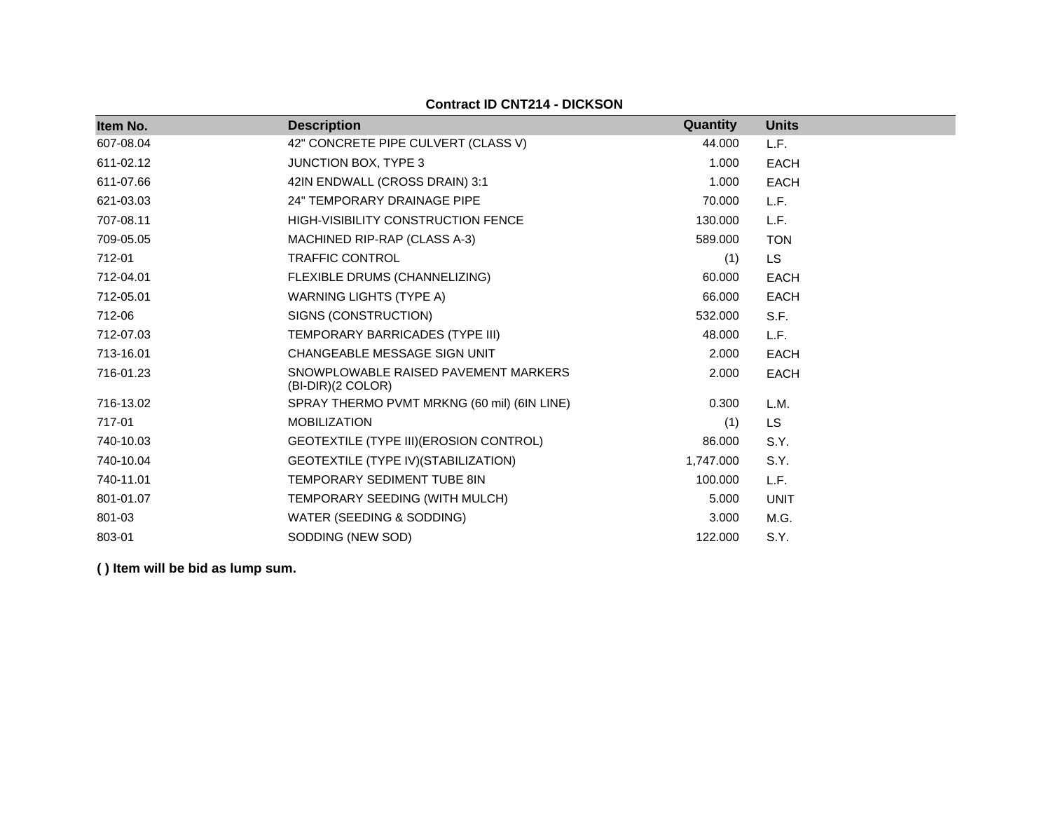| Item No.  | <b>Description</b>                                        | Quantity  | <b>Units</b> |
|-----------|-----------------------------------------------------------|-----------|--------------|
| 607-08.04 | 42" CONCRETE PIPE CULVERT (CLASS V)                       | 44.000    | L.F.         |
| 611-02.12 | <b>JUNCTION BOX, TYPE 3</b>                               | 1.000     | <b>EACH</b>  |
| 611-07.66 | 42IN ENDWALL (CROSS DRAIN) 3:1                            | 1.000     | <b>EACH</b>  |
| 621-03.03 | <b>24" TEMPORARY DRAINAGE PIPE</b>                        | 70.000    | L.F.         |
| 707-08.11 | <b>HIGH-VISIBILITY CONSTRUCTION FENCE</b>                 | 130.000   | L.F.         |
| 709-05.05 | MACHINED RIP-RAP (CLASS A-3)                              | 589.000   | <b>TON</b>   |
| 712-01    | <b>TRAFFIC CONTROL</b>                                    | (1)       | LS.          |
| 712-04.01 | FLEXIBLE DRUMS (CHANNELIZING)                             | 60.000    | <b>EACH</b>  |
| 712-05.01 | <b>WARNING LIGHTS (TYPE A)</b>                            | 66.000    | <b>EACH</b>  |
| 712-06    | SIGNS (CONSTRUCTION)                                      | 532.000   | S.F.         |
| 712-07.03 | TEMPORARY BARRICADES (TYPE III)                           | 48.000    | L.F.         |
| 713-16.01 | CHANGEABLE MESSAGE SIGN UNIT                              | 2.000     | <b>EACH</b>  |
| 716-01.23 | SNOWPLOWABLE RAISED PAVEMENT MARKERS<br>(BI-DIR)(2 COLOR) | 2.000     | <b>EACH</b>  |
| 716-13.02 | SPRAY THERMO PVMT MRKNG (60 mil) (6IN LINE)               | 0.300     | L.M.         |
| 717-01    | <b>MOBILIZATION</b>                                       | (1)       | LS.          |
| 740-10.03 | GEOTEXTILE (TYPE III) (EROSION CONTROL)                   | 86.000    | S.Y.         |
| 740-10.04 | GEOTEXTILE (TYPE IV) (STABILIZATION)                      | 1,747.000 | S.Y.         |
| 740-11.01 | <b>TEMPORARY SEDIMENT TUBE 8IN</b>                        | 100.000   | L.F.         |
| 801-01.07 | TEMPORARY SEEDING (WITH MULCH)                            | 5.000     | <b>UNIT</b>  |
| 801-03    | WATER (SEEDING & SODDING)                                 | 3.000     | M.G.         |
| 803-01    | SODDING (NEW SOD)                                         | 122,000   | S.Y.         |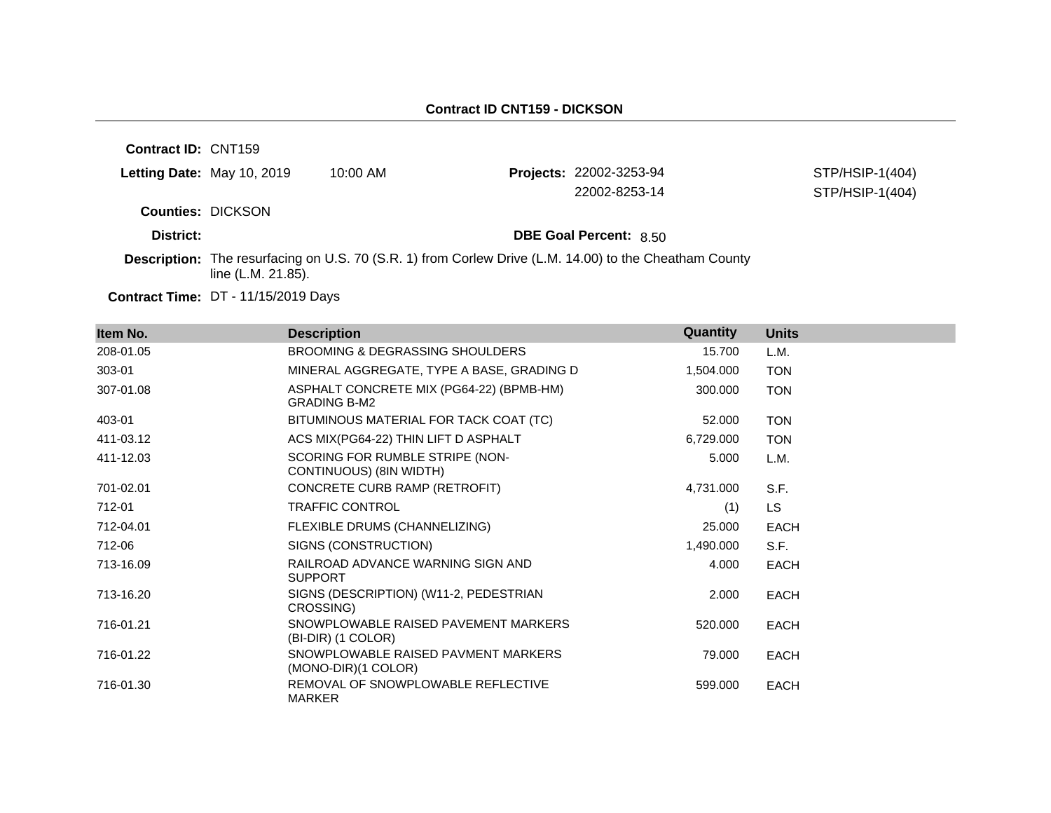**Contract ID:** CNT159 **Letting Date:** May 10, 2019 10:00 AM **Projects:** 22002-3253-94 **Counties:** DICKSON **District: District: DBE Goal Percent:** 8.50 **Description:** The resurfacing on U.S. 70 (S.R. 1) from Corlew Drive (L.M. 14.00) to the Cheatham County line (L.M. 21.85). STP/HSIP-1(404) 22002-8253-14 STP/HSIP-1(404)

**Contract Time:** DT - 11/15/2019 Days

| Item No.  | <b>Description</b>                                              | Quantity  | <b>Units</b> |
|-----------|-----------------------------------------------------------------|-----------|--------------|
| 208-01.05 | <b>BROOMING &amp; DEGRASSING SHOULDERS</b>                      | 15.700    | L.M.         |
| 303-01    | MINERAL AGGREGATE, TYPE A BASE, GRADING D                       | 1,504.000 | <b>TON</b>   |
| 307-01.08 | ASPHALT CONCRETE MIX (PG64-22) (BPMB-HM)<br><b>GRADING B-M2</b> | 300.000   | <b>TON</b>   |
| 403-01    | BITUMINOUS MATERIAL FOR TACK COAT (TC)                          | 52.000    | <b>TON</b>   |
| 411-03.12 | ACS MIX(PG64-22) THIN LIFT D ASPHALT                            | 6,729.000 | <b>TON</b>   |
| 411-12.03 | SCORING FOR RUMBLE STRIPE (NON-<br>CONTINUOUS) (8IN WIDTH)      | 5.000     | L.M.         |
| 701-02.01 | CONCRETE CURB RAMP (RETROFIT)                                   | 4,731.000 | S.F.         |
| 712-01    | <b>TRAFFIC CONTROL</b>                                          | (1)       | LS.          |
| 712-04.01 | FLEXIBLE DRUMS (CHANNELIZING)                                   | 25.000    | <b>EACH</b>  |
| 712-06    | SIGNS (CONSTRUCTION)                                            | 1,490.000 | S.F.         |
| 713-16.09 | RAILROAD ADVANCE WARNING SIGN AND<br><b>SUPPORT</b>             | 4.000     | <b>EACH</b>  |
| 713-16.20 | SIGNS (DESCRIPTION) (W11-2, PEDESTRIAN<br>CROSSING)             | 2.000     | <b>EACH</b>  |
| 716-01.21 | SNOWPLOWABLE RAISED PAVEMENT MARKERS<br>(BI-DIR) (1 COLOR)      | 520.000   | <b>EACH</b>  |
| 716-01.22 | SNOWPLOWABLE RAISED PAVMENT MARKERS<br>(MONO-DIR)(1 COLOR)      | 79.000    | <b>EACH</b>  |
| 716-01.30 | REMOVAL OF SNOWPLOWABLE REFLECTIVE<br><b>MARKER</b>             | 599.000   | <b>EACH</b>  |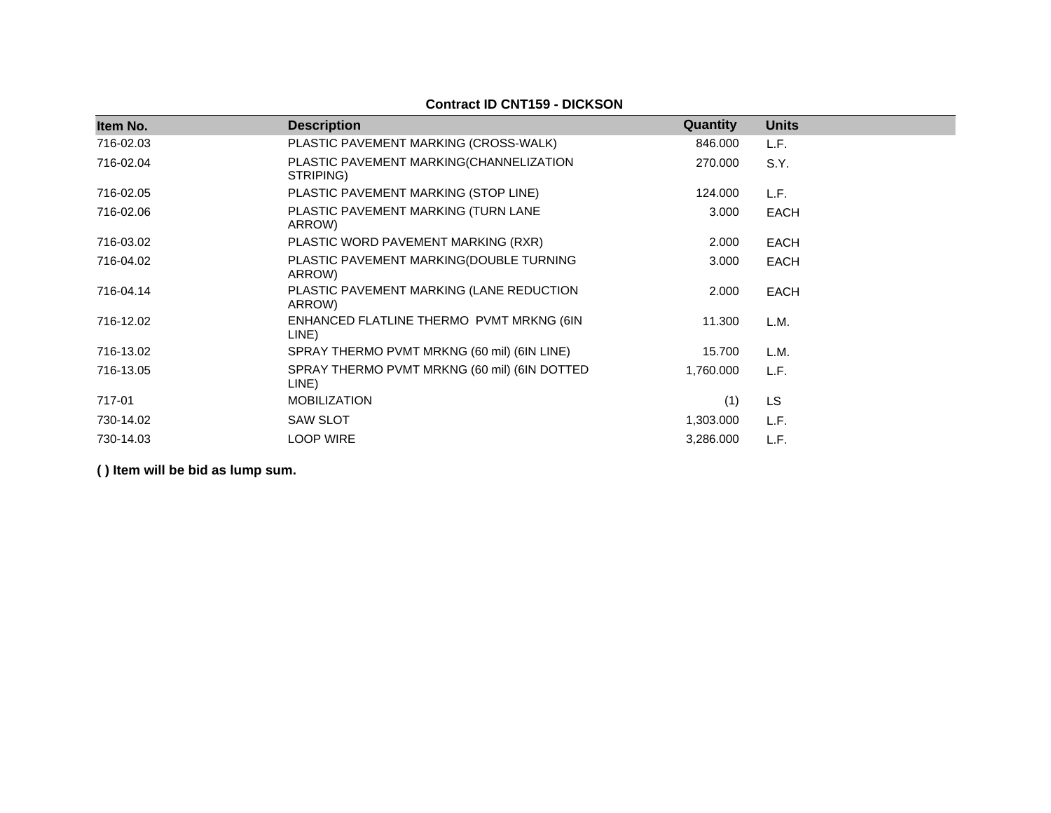| Item No.  | <b>Description</b>                                    | Quantity  | <b>Units</b> |
|-----------|-------------------------------------------------------|-----------|--------------|
| 716-02.03 | PLASTIC PAVEMENT MARKING (CROSS-WALK)                 | 846.000   | L.F.         |
| 716-02.04 | PLASTIC PAVEMENT MARKING(CHANNELIZATION<br>STRIPING)  | 270.000   | S.Y.         |
| 716-02.05 | PLASTIC PAVEMENT MARKING (STOP LINE)                  | 124.000   | L.F.         |
| 716-02.06 | PLASTIC PAVEMENT MARKING (TURN LANE<br>ARROW)         | 3.000     | <b>EACH</b>  |
| 716-03.02 | PLASTIC WORD PAVEMENT MARKING (RXR)                   | 2.000     | <b>EACH</b>  |
| 716-04.02 | PLASTIC PAVEMENT MARKING(DOUBLE TURNING<br>ARROW)     | 3.000     | <b>EACH</b>  |
| 716-04.14 | PLASTIC PAVEMENT MARKING (LANE REDUCTION<br>ARROW)    | 2.000     | <b>EACH</b>  |
| 716-12.02 | ENHANCED FLATLINE THERMO PVMT MRKNG (6IN<br>LINE)     | 11.300    | L.M.         |
| 716-13.02 | SPRAY THERMO PVMT MRKNG (60 mil) (6IN LINE)           | 15.700    | L.M.         |
| 716-13.05 | SPRAY THERMO PVMT MRKNG (60 mil) (6IN DOTTED<br>LINE) | 1,760.000 | L.F.         |
| 717-01    | <b>MOBILIZATION</b>                                   | (1)       | LS           |
| 730-14.02 | <b>SAW SLOT</b>                                       | 1,303.000 | L.F.         |
| 730-14.03 | <b>LOOP WIRE</b>                                      | 3,286.000 | L.F.         |

**Contract ID CNT159 - DICKSON**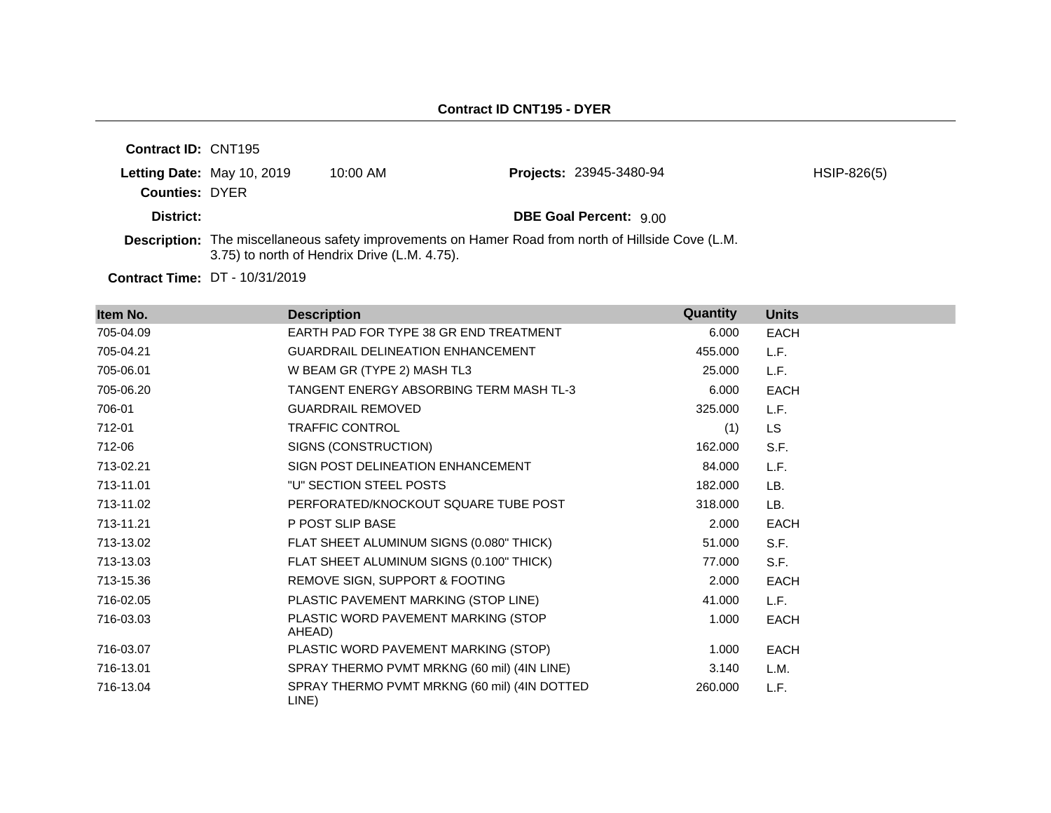| <b>Contract ID: CNT195</b> |                            |                                              |                                                                                                    |               |
|----------------------------|----------------------------|----------------------------------------------|----------------------------------------------------------------------------------------------------|---------------|
| <b>Counties: DYER</b>      | Letting Date: May 10, 2019 | $10:00 \text{ AM}$                           | <b>Projects: 23945-3480-94</b>                                                                     | $HSIP-826(5)$ |
| District:                  |                            |                                              | <b>DBE Goal Percent: 9.00</b>                                                                      |               |
|                            |                            | 3.75) to north of Hendrix Drive (L.M. 4.75). | Description: The miscellaneous safety improvements on Hamer Road from north of Hillside Cove (L.M. |               |

**Contract Time:** DT - 10/31/2019

| Item No.  | <b>Description</b>                                    | Quantity | <b>Units</b> |
|-----------|-------------------------------------------------------|----------|--------------|
| 705-04.09 | EARTH PAD FOR TYPE 38 GR END TREATMENT                | 6.000    | <b>EACH</b>  |
| 705-04.21 | <b>GUARDRAIL DELINEATION ENHANCEMENT</b>              | 455.000  | L.F.         |
| 705-06.01 | W BEAM GR (TYPE 2) MASH TL3                           | 25,000   | L.F.         |
| 705-06.20 | <b>TANGENT ENERGY ABSORBING TERM MASH TL-3</b>        | 6.000    | <b>EACH</b>  |
| 706-01    | <b>GUARDRAIL REMOVED</b>                              | 325,000  | L.F.         |
| 712-01    | <b>TRAFFIC CONTROL</b>                                | (1)      | <b>LS</b>    |
| 712-06    | SIGNS (CONSTRUCTION)                                  | 162.000  | S.F.         |
| 713-02.21 | SIGN POST DELINEATION ENHANCEMENT                     | 84.000   | L.F.         |
| 713-11.01 | "U" SECTION STEEL POSTS                               | 182.000  | LB.          |
| 713-11.02 | PERFORATED/KNOCKOUT SQUARE TUBE POST                  | 318,000  | LB.          |
| 713-11.21 | P POST SLIP BASE                                      | 2.000    | <b>EACH</b>  |
| 713-13.02 | FLAT SHEET ALUMINUM SIGNS (0.080" THICK)              | 51.000   | S.F.         |
| 713-13.03 | FLAT SHEET ALUMINUM SIGNS (0.100" THICK)              | 77.000   | S.F.         |
| 713-15.36 | REMOVE SIGN, SUPPORT & FOOTING                        | 2.000    | <b>EACH</b>  |
| 716-02.05 | PLASTIC PAVEMENT MARKING (STOP LINE)                  | 41.000   | L.F.         |
| 716-03.03 | PLASTIC WORD PAVEMENT MARKING (STOP<br>AHEAD)         | 1.000    | <b>EACH</b>  |
| 716-03.07 | PLASTIC WORD PAVEMENT MARKING (STOP)                  | 1.000    | <b>EACH</b>  |
| 716-13.01 | SPRAY THERMO PVMT MRKNG (60 mil) (4IN LINE)           | 3.140    | L.M.         |
| 716-13.04 | SPRAY THERMO PVMT MRKNG (60 mil) (4IN DOTTED<br>LINE) | 260,000  | L.F.         |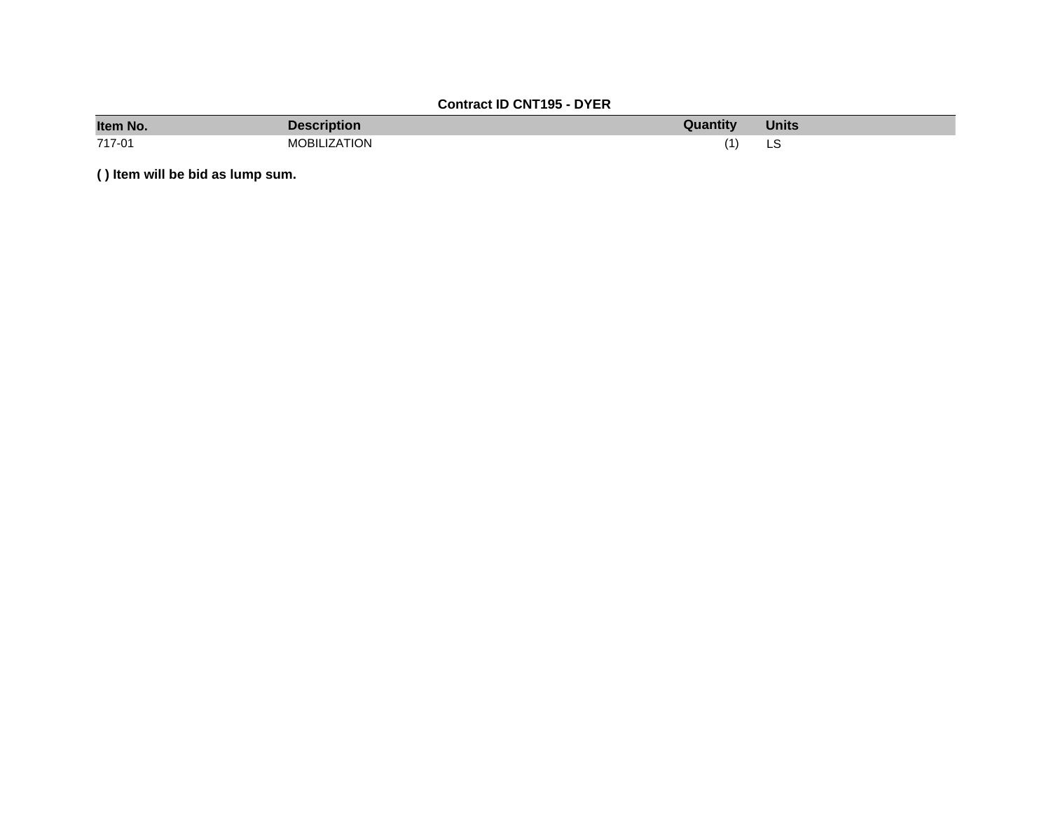# **Contract ID CNT195 - DYER**

| Item No. | <b>Description</b>  | Quantity | <b>Units</b> |
|----------|---------------------|----------|--------------|
| 717-01   | <b>MOBILIZATION</b> |          | LЭ           |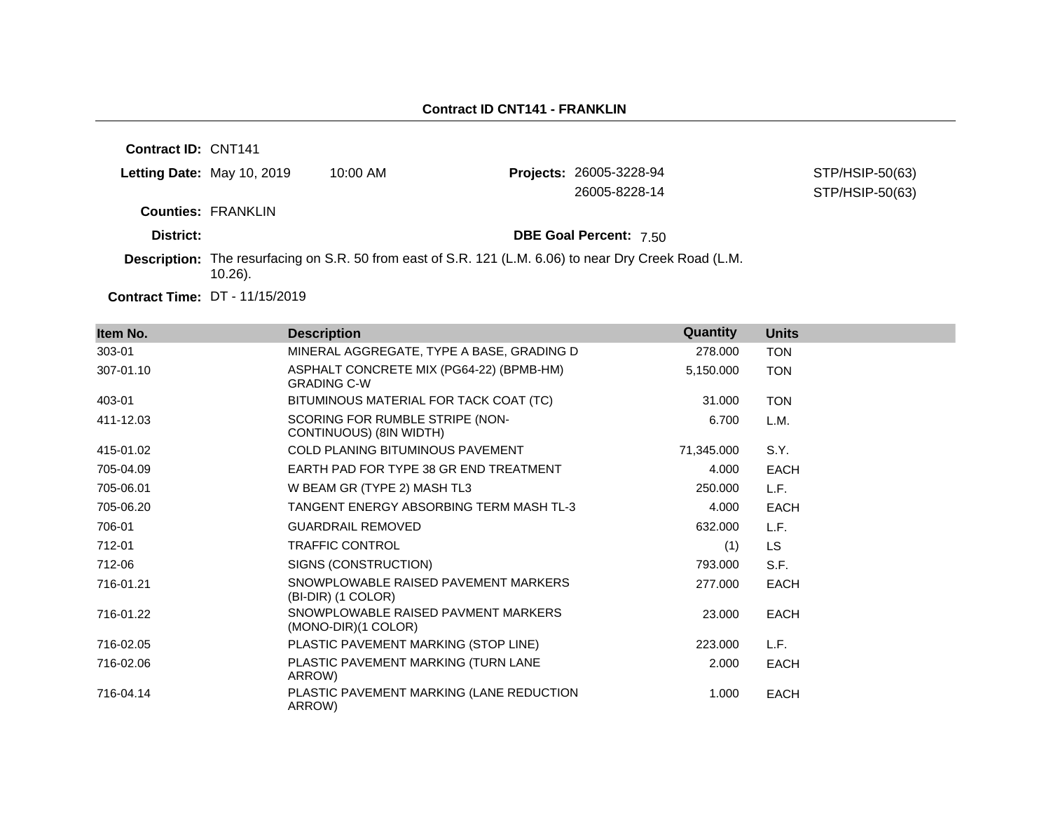| <b>Contract ID: CNT141</b> |            |               |                                                                                                                                                                           |
|----------------------------|------------|---------------|---------------------------------------------------------------------------------------------------------------------------------------------------------------------------|
| Letting Date: May 10, 2019 | $10:00$ AM |               | STP/HSIP-50(63)                                                                                                                                                           |
|                            |            | 26005-8228-14 | STP/HSIP-50(63)                                                                                                                                                           |
| <b>Counties: FRANKLIN</b>  |            |               |                                                                                                                                                                           |
|                            |            |               |                                                                                                                                                                           |
| $10.26$ ).                 |            |               |                                                                                                                                                                           |
|                            |            |               | <b>Projects: 26005-3228-94</b><br><b>DBE Goal Percent: 7.50</b><br>Description: The resurfacing on S.R. 50 from east of S.R. 121 (L.M. 6.06) to near Dry Creek Road (L.M. |

**Contract Time:** DT - 11/15/2019

| Item No.  | <b>Description</b>                                             | Quantity   | <b>Units</b> |
|-----------|----------------------------------------------------------------|------------|--------------|
| 303-01    | MINERAL AGGREGATE, TYPE A BASE, GRADING D                      | 278.000    | <b>TON</b>   |
| 307-01.10 | ASPHALT CONCRETE MIX (PG64-22) (BPMB-HM)<br><b>GRADING C-W</b> | 5,150.000  | <b>TON</b>   |
| 403-01    | BITUMINOUS MATERIAL FOR TACK COAT (TC)                         | 31.000     | <b>TON</b>   |
| 411-12.03 | SCORING FOR RUMBLE STRIPE (NON-<br>CONTINUOUS) (8IN WIDTH)     | 6.700      | L.M.         |
| 415-01.02 | <b>COLD PLANING BITUMINOUS PAVEMENT</b>                        | 71.345.000 | S.Y.         |
| 705-04.09 | EARTH PAD FOR TYPE 38 GR END TREATMENT                         | 4.000      | <b>EACH</b>  |
| 705-06.01 | W BEAM GR (TYPE 2) MASH TL3                                    | 250,000    | L.F.         |
| 705-06.20 | TANGENT ENERGY ABSORBING TERM MASH TL-3                        | 4.000      | <b>EACH</b>  |
| 706-01    | <b>GUARDRAIL REMOVED</b>                                       | 632.000    | L.F.         |
| 712-01    | <b>TRAFFIC CONTROL</b>                                         | (1)        | LS.          |
| 712-06    | SIGNS (CONSTRUCTION)                                           | 793.000    | S.F.         |
| 716-01.21 | SNOWPLOWABLE RAISED PAVEMENT MARKERS<br>(BI-DIR) (1 COLOR)     | 277.000    | <b>EACH</b>  |
| 716-01.22 | SNOWPLOWABLE RAISED PAVMENT MARKERS<br>$(MONO-DIR)(1 COLOR)$   | 23,000     | <b>EACH</b>  |
| 716-02.05 | PLASTIC PAVEMENT MARKING (STOP LINE)                           | 223,000    | L.F.         |
| 716-02.06 | PLASTIC PAVEMENT MARKING (TURN LANE<br>ARROW)                  | 2.000      | <b>EACH</b>  |
| 716-04.14 | PLASTIC PAVEMENT MARKING (LANE REDUCTION<br>ARROW)             | 1.000      | <b>EACH</b>  |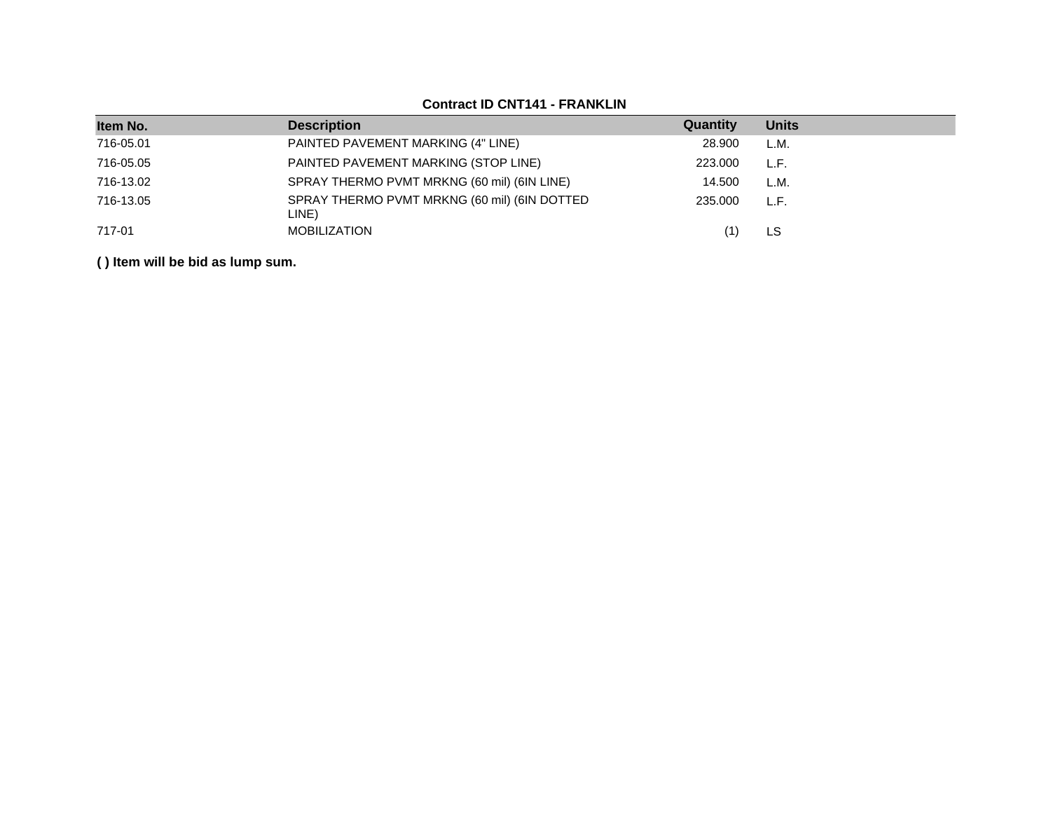| Item No.  | <b>Description</b>                                    | Quantity | <b>Units</b> |
|-----------|-------------------------------------------------------|----------|--------------|
| 716-05.01 | PAINTED PAVEMENT MARKING (4" LINE)                    | 28,900   | L.M.         |
| 716-05.05 | PAINTED PAVEMENT MARKING (STOP LINE)                  | 223,000  | L.F.         |
| 716-13.02 | SPRAY THERMO PVMT MRKNG (60 mil) (6IN LINE)           | 14.500   | L.M.         |
| 716-13.05 | SPRAY THERMO PVMT MRKNG (60 mil) (6IN DOTTED<br>LINE) | 235,000  | L.F.         |
| 717-01    | <b>MOBILIZATION</b>                                   |          | LS           |

# **Contract ID CNT141 - FRANKLIN**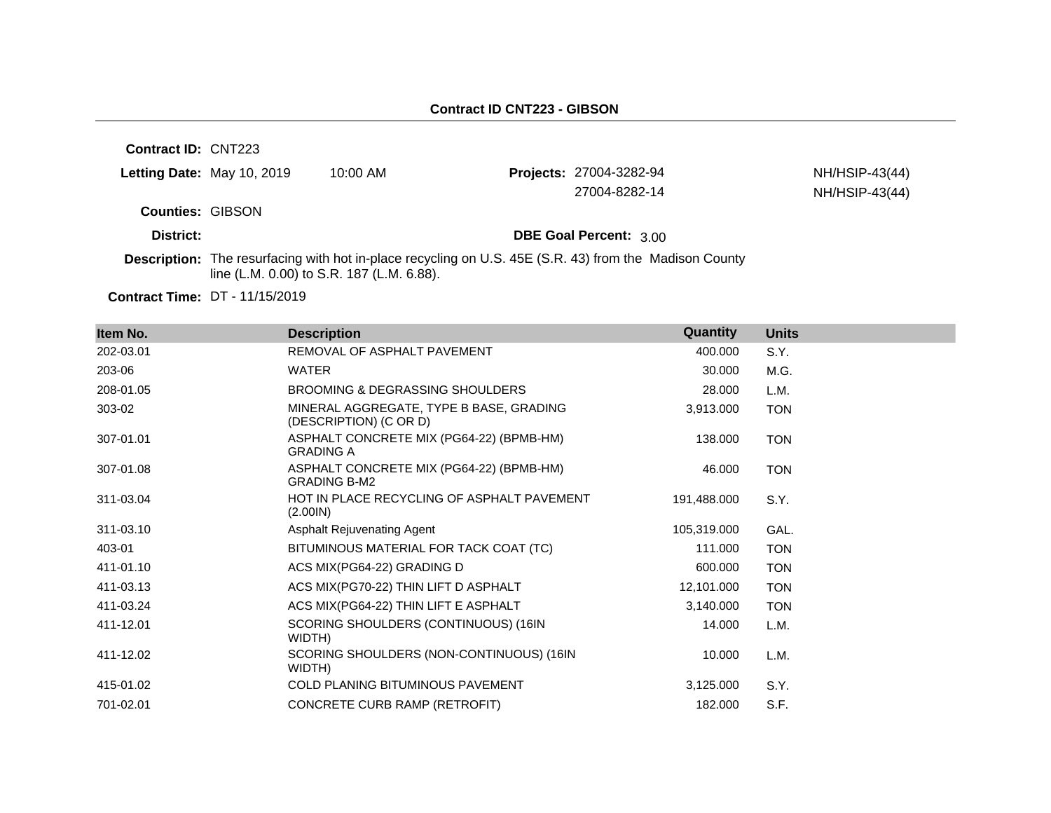**Contract ID:** CNT223

| Letting Date: May 10, 2019 | 10:00 AM | <b>Projects: 27004-3282-94</b> | NH/HSIP-43(44) |
|----------------------------|----------|--------------------------------|----------------|
|                            |          | 27004-8282-14                  | NH/HSIP-43(44) |
| <b>Counties: GIBSON</b>    |          |                                |                |
| District:                  |          | <b>DBE Goal Percent: 3.00</b>  |                |

**Description:** The resurfacing with hot in-place recycling on U.S. 45E (S.R. 43) from the Madison County line (L.M. 0.00) to S.R. 187 (L.M. 6.88).

**Contract Time:** DT - 11/15/2019

| Item No.  | <b>Description</b>                                                | Quantity    | <b>Units</b> |
|-----------|-------------------------------------------------------------------|-------------|--------------|
| 202-03.01 | REMOVAL OF ASPHALT PAVEMENT                                       | 400.000     | S.Y.         |
| 203-06    | <b>WATER</b>                                                      | 30.000      | M.G.         |
| 208-01.05 | BROOMING & DEGRASSING SHOULDERS                                   | 28.000      | L.M.         |
| 303-02    | MINERAL AGGREGATE, TYPE B BASE, GRADING<br>(DESCRIPTION) (C OR D) | 3,913.000   | <b>TON</b>   |
| 307-01.01 | ASPHALT CONCRETE MIX (PG64-22) (BPMB-HM)<br><b>GRADING A</b>      | 138.000     | <b>TON</b>   |
| 307-01.08 | ASPHALT CONCRETE MIX (PG64-22) (BPMB-HM)<br><b>GRADING B-M2</b>   | 46.000      | <b>TON</b>   |
| 311-03.04 | HOT IN PLACE RECYCLING OF ASPHALT PAVEMENT<br>(2.001N)            | 191,488.000 | S.Y.         |
| 311-03.10 | Asphalt Rejuvenating Agent                                        | 105,319.000 | GAL.         |
| 403-01    | BITUMINOUS MATERIAL FOR TACK COAT (TC)                            | 111.000     | <b>TON</b>   |
| 411-01.10 | ACS MIX(PG64-22) GRADING D                                        | 600.000     | <b>TON</b>   |
| 411-03.13 | ACS MIX(PG70-22) THIN LIFT D ASPHALT                              | 12,101.000  | <b>TON</b>   |
| 411-03.24 | ACS MIX(PG64-22) THIN LIFT E ASPHALT                              | 3,140.000   | <b>TON</b>   |
| 411-12.01 | SCORING SHOULDERS (CONTINUOUS) (16IN<br>WIDTH)                    | 14.000      | L.M.         |
| 411-12.02 | SCORING SHOULDERS (NON-CONTINUOUS) (16IN<br>WIDTH)                | 10.000      | L.M.         |
| 415-01.02 | <b>COLD PLANING BITUMINOUS PAVEMENT</b>                           | 3,125.000   | S.Y.         |
| 701-02.01 | CONCRETE CURB RAMP (RETROFIT)                                     | 182.000     | S.F.         |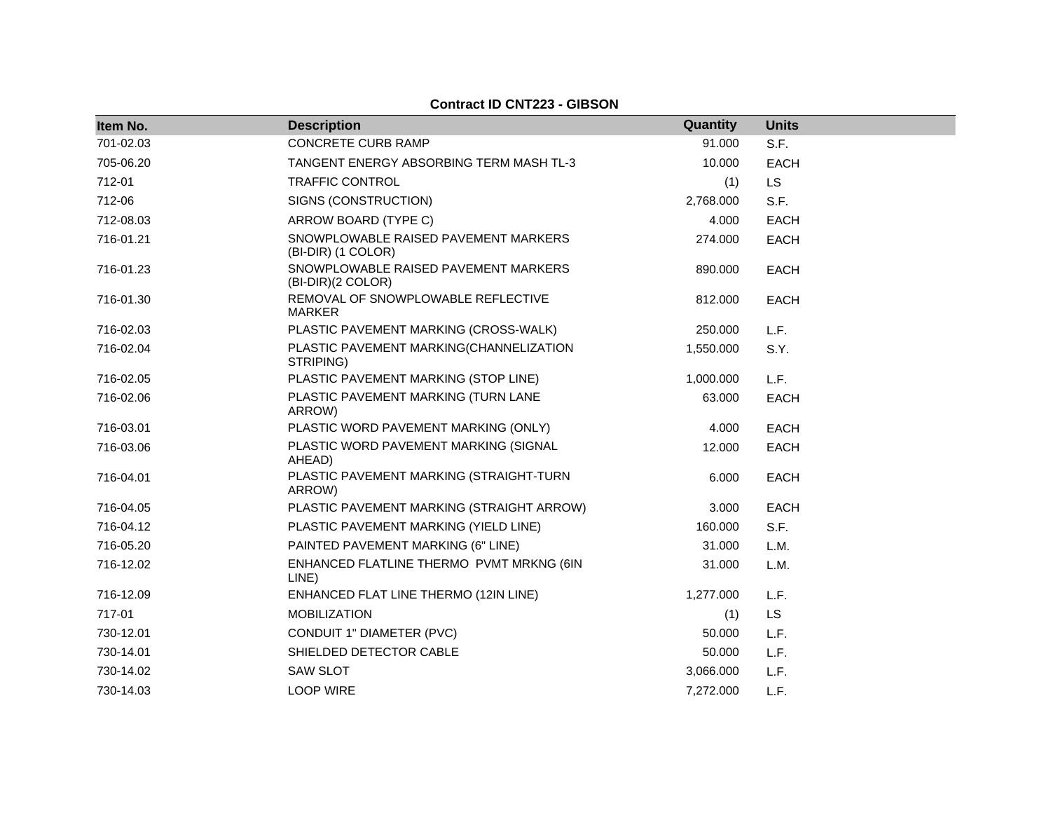**Contract ID CNT223 - GIBSON**

| Item No.  | <b>Description</b>                                         | Quantity  | <b>Units</b> |
|-----------|------------------------------------------------------------|-----------|--------------|
| 701-02.03 | <b>CONCRETE CURB RAMP</b>                                  | 91.000    | S.F.         |
| 705-06.20 | TANGENT ENERGY ABSORBING TERM MASH TL-3                    | 10.000    | <b>EACH</b>  |
| 712-01    | <b>TRAFFIC CONTROL</b>                                     | (1)       | <b>LS</b>    |
| 712-06    | SIGNS (CONSTRUCTION)                                       | 2,768.000 | S.F.         |
| 712-08.03 | ARROW BOARD (TYPE C)                                       | 4.000     | <b>EACH</b>  |
| 716-01.21 | SNOWPLOWABLE RAISED PAVEMENT MARKERS<br>(BI-DIR) (1 COLOR) | 274.000   | <b>EACH</b>  |
| 716-01.23 | SNOWPLOWABLE RAISED PAVEMENT MARKERS<br>(BI-DIR)(2 COLOR)  | 890.000   | <b>EACH</b>  |
| 716-01.30 | REMOVAL OF SNOWPLOWABLE REFLECTIVE<br>MARKER               | 812.000   | <b>EACH</b>  |
| 716-02.03 | PLASTIC PAVEMENT MARKING (CROSS-WALK)                      | 250.000   | L.F.         |
| 716-02.04 | PLASTIC PAVEMENT MARKING(CHANNELIZATION<br>STRIPING)       | 1,550.000 | S.Y.         |
| 716-02.05 | PLASTIC PAVEMENT MARKING (STOP LINE)                       | 1,000.000 | L.F.         |
| 716-02.06 | PLASTIC PAVEMENT MARKING (TURN LANE<br>ARROW)              | 63.000    | <b>EACH</b>  |
| 716-03.01 | PLASTIC WORD PAVEMENT MARKING (ONLY)                       | 4.000     | <b>EACH</b>  |
| 716-03.06 | PLASTIC WORD PAVEMENT MARKING (SIGNAL<br>AHEAD)            | 12.000    | <b>EACH</b>  |
| 716-04.01 | PLASTIC PAVEMENT MARKING (STRAIGHT-TURN<br>ARROW)          | 6.000     | <b>EACH</b>  |
| 716-04.05 | PLASTIC PAVEMENT MARKING (STRAIGHT ARROW)                  | 3.000     | <b>EACH</b>  |
| 716-04.12 | PLASTIC PAVEMENT MARKING (YIELD LINE)                      | 160.000   | S.F.         |
| 716-05.20 | PAINTED PAVEMENT MARKING (6" LINE)                         | 31.000    | L.M.         |
| 716-12.02 | ENHANCED FLATLINE THERMO PVMT MRKNG (6IN<br>LINE)          | 31.000    | L.M.         |
| 716-12.09 | ENHANCED FLAT LINE THERMO (12IN LINE)                      | 1,277.000 | L.F.         |
| 717-01    | <b>MOBILIZATION</b>                                        | (1)       | <b>LS</b>    |
| 730-12.01 | CONDUIT 1" DIAMETER (PVC)                                  | 50.000    | L.F.         |
| 730-14.01 | SHIELDED DETECTOR CABLE                                    | 50.000    | L.F.         |
| 730-14.02 | <b>SAW SLOT</b>                                            | 3,066.000 | L.F.         |
| 730-14.03 | <b>LOOP WIRE</b>                                           | 7,272.000 | L.F.         |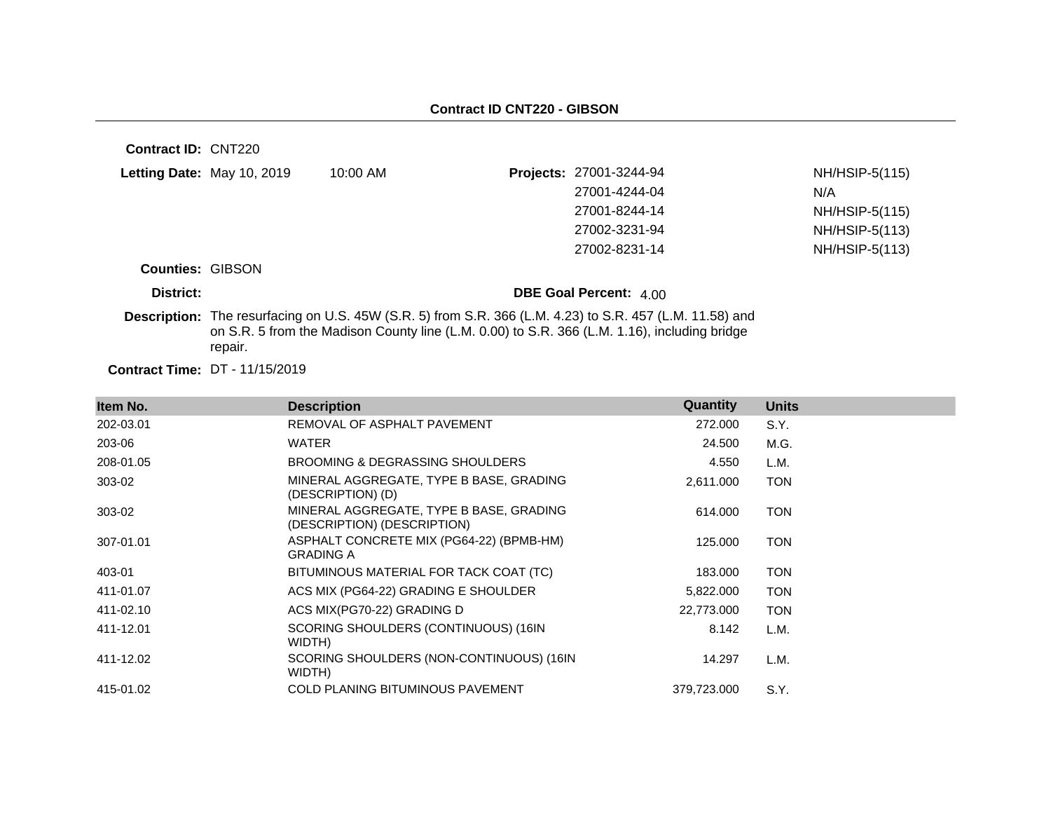| Contract ID: CNT220     |                                       |                                                                                                                                                                                                          |                               |                |
|-------------------------|---------------------------------------|----------------------------------------------------------------------------------------------------------------------------------------------------------------------------------------------------------|-------------------------------|----------------|
|                         | <b>Letting Date: May 10, 2019</b>     | $10:00$ AM                                                                                                                                                                                               | Projects: 27001-3244-94       | NH/HSIP-5(115) |
|                         |                                       |                                                                                                                                                                                                          | 27001-4244-04                 | N/A            |
|                         |                                       |                                                                                                                                                                                                          | 27001-8244-14                 | NH/HSIP-5(115) |
|                         |                                       |                                                                                                                                                                                                          | 27002-3231-94                 | NH/HSIP-5(113) |
|                         |                                       |                                                                                                                                                                                                          | 27002-8231-14                 | NH/HSIP-5(113) |
| <b>Counties: GIBSON</b> |                                       |                                                                                                                                                                                                          |                               |                |
| District:               |                                       |                                                                                                                                                                                                          | <b>DBE Goal Percent: 4 00</b> |                |
|                         | repair.                               | Description: The resurfacing on U.S. 45W (S.R. 5) from S.R. 366 (L.M. 4.23) to S.R. 457 (L.M. 11.58) and<br>on S.R. 5 from the Madison County line (L.M. 0.00) to S.R. 366 (L.M. 1.16), including bridge |                               |                |
|                         | <b>Contract Time: DT - 11/15/2019</b> |                                                                                                                                                                                                          |                               |                |

| Item No.  | <b>Description</b>                                                     | Quantity    | <b>Units</b> |
|-----------|------------------------------------------------------------------------|-------------|--------------|
| 202-03.01 | REMOVAL OF ASPHALT PAVEMENT                                            | 272,000     | S.Y.         |
| 203-06    | <b>WATER</b>                                                           | 24.500      | M.G.         |
| 208-01.05 | BROOMING & DEGRASSING SHOULDERS                                        | 4.550       | L.M.         |
| 303-02    | MINERAL AGGREGATE, TYPE B BASE, GRADING<br>(DESCRIPTION) (D)           | 2,611.000   | TON          |
| 303-02    | MINERAL AGGREGATE, TYPE B BASE, GRADING<br>(DESCRIPTION) (DESCRIPTION) | 614.000     | TON          |
| 307-01.01 | ASPHALT CONCRETE MIX (PG64-22) (BPMB-HM)<br><b>GRADING A</b>           | 125.000     | TON          |
| 403-01    | BITUMINOUS MATERIAL FOR TACK COAT (TC)                                 | 183.000     | TON          |
| 411-01.07 | ACS MIX (PG64-22) GRADING E SHOULDER                                   | 5,822.000   | <b>TON</b>   |
| 411-02.10 | ACS MIX(PG70-22) GRADING D                                             | 22,773.000  | <b>TON</b>   |
| 411-12.01 | SCORING SHOULDERS (CONTINUOUS) (16IN<br>WIDTH)                         | 8.142       | L.M.         |
| 411-12.02 | SCORING SHOULDERS (NON-CONTINUOUS) (16IN<br>WIDTH)                     | 14.297      | L.M.         |
| 415-01.02 | <b>COLD PLANING BITUMINOUS PAVEMENT</b>                                | 379,723.000 | S.Y.         |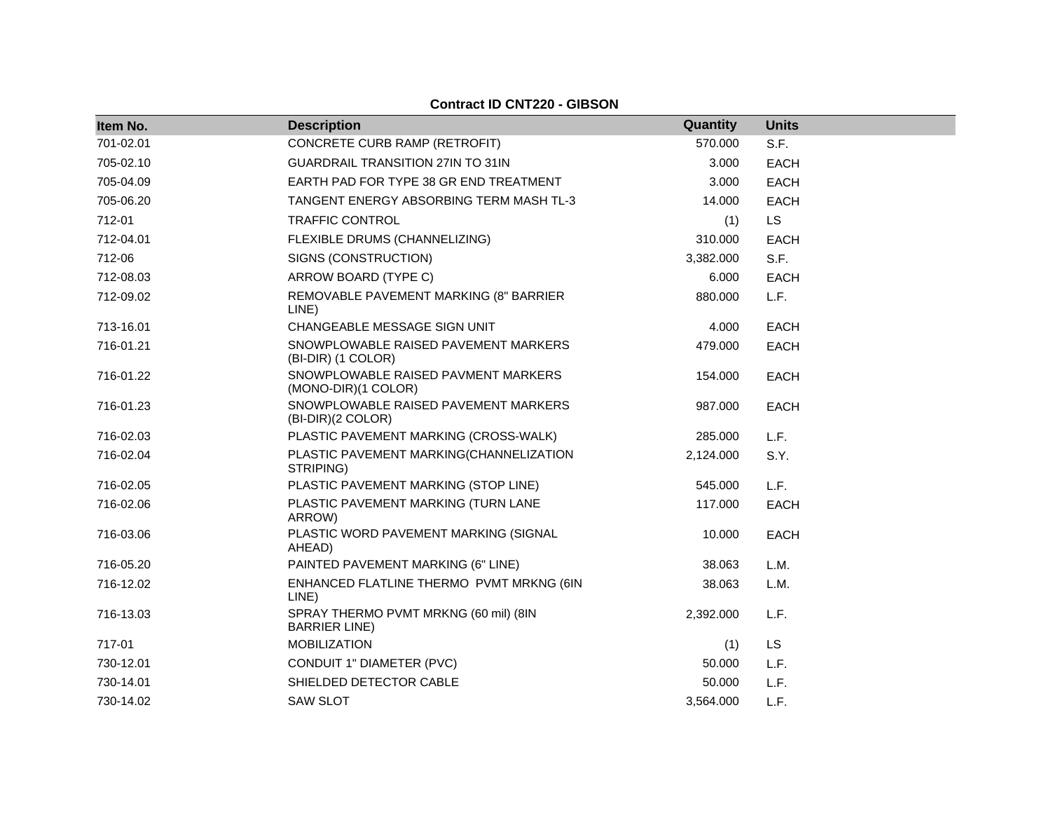| Item No.  | <b>Description</b>                                             | Quantity  | <b>Units</b> |
|-----------|----------------------------------------------------------------|-----------|--------------|
| 701-02.01 | CONCRETE CURB RAMP (RETROFIT)                                  | 570.000   | S.F.         |
| 705-02.10 | <b>GUARDRAIL TRANSITION 27IN TO 31IN</b>                       | 3.000     | <b>EACH</b>  |
| 705-04.09 | EARTH PAD FOR TYPE 38 GR END TREATMENT                         | 3.000     | <b>EACH</b>  |
| 705-06.20 | TANGENT ENERGY ABSORBING TERM MASH TL-3                        | 14.000    | <b>EACH</b>  |
| 712-01    | <b>TRAFFIC CONTROL</b>                                         | (1)       | <b>LS</b>    |
| 712-04.01 | FLEXIBLE DRUMS (CHANNELIZING)                                  | 310.000   | <b>EACH</b>  |
| 712-06    | SIGNS (CONSTRUCTION)                                           | 3,382.000 | S.F.         |
| 712-08.03 | ARROW BOARD (TYPE C)                                           | 6.000     | <b>EACH</b>  |
| 712-09.02 | REMOVABLE PAVEMENT MARKING (8" BARRIER<br>LINE)                | 880.000   | L.F.         |
| 713-16.01 | CHANGEABLE MESSAGE SIGN UNIT                                   | 4.000     | <b>EACH</b>  |
| 716-01.21 | SNOWPLOWABLE RAISED PAVEMENT MARKERS<br>(BI-DIR) (1 COLOR)     | 479.000   | EACH         |
| 716-01.22 | SNOWPLOWABLE RAISED PAVMENT MARKERS<br>(MONO-DIR)(1 COLOR)     | 154.000   | <b>EACH</b>  |
| 716-01.23 | SNOWPLOWABLE RAISED PAVEMENT MARKERS<br>(BI-DIR)(2 COLOR)      | 987.000   | <b>EACH</b>  |
| 716-02.03 | PLASTIC PAVEMENT MARKING (CROSS-WALK)                          | 285.000   | L.F.         |
| 716-02.04 | PLASTIC PAVEMENT MARKING(CHANNELIZATION<br>STRIPING)           | 2,124.000 | S.Y.         |
| 716-02.05 | PLASTIC PAVEMENT MARKING (STOP LINE)                           | 545.000   | L.F.         |
| 716-02.06 | PLASTIC PAVEMENT MARKING (TURN LANE<br>ARROW)                  | 117.000   | <b>EACH</b>  |
| 716-03.06 | PLASTIC WORD PAVEMENT MARKING (SIGNAL<br>AHEAD)                | 10.000    | <b>EACH</b>  |
| 716-05.20 | PAINTED PAVEMENT MARKING (6" LINE)                             | 38.063    | L.M.         |
| 716-12.02 | ENHANCED FLATLINE THERMO PVMT MRKNG (6IN<br>LINE)              | 38.063    | L.M.         |
| 716-13.03 | SPRAY THERMO PVMT MRKNG (60 mil) (8IN<br><b>BARRIER LINE</b> ) | 2,392.000 | L.F.         |
| 717-01    | <b>MOBILIZATION</b>                                            | (1)       | <b>LS</b>    |
| 730-12.01 | CONDUIT 1" DIAMETER (PVC)                                      | 50.000    | L.F.         |
| 730-14.01 | SHIELDED DETECTOR CABLE                                        | 50.000    | L.F.         |
| 730-14.02 | <b>SAW SLOT</b>                                                | 3.564.000 | L.F.         |

### **Contract ID CNT220 - GIBSON**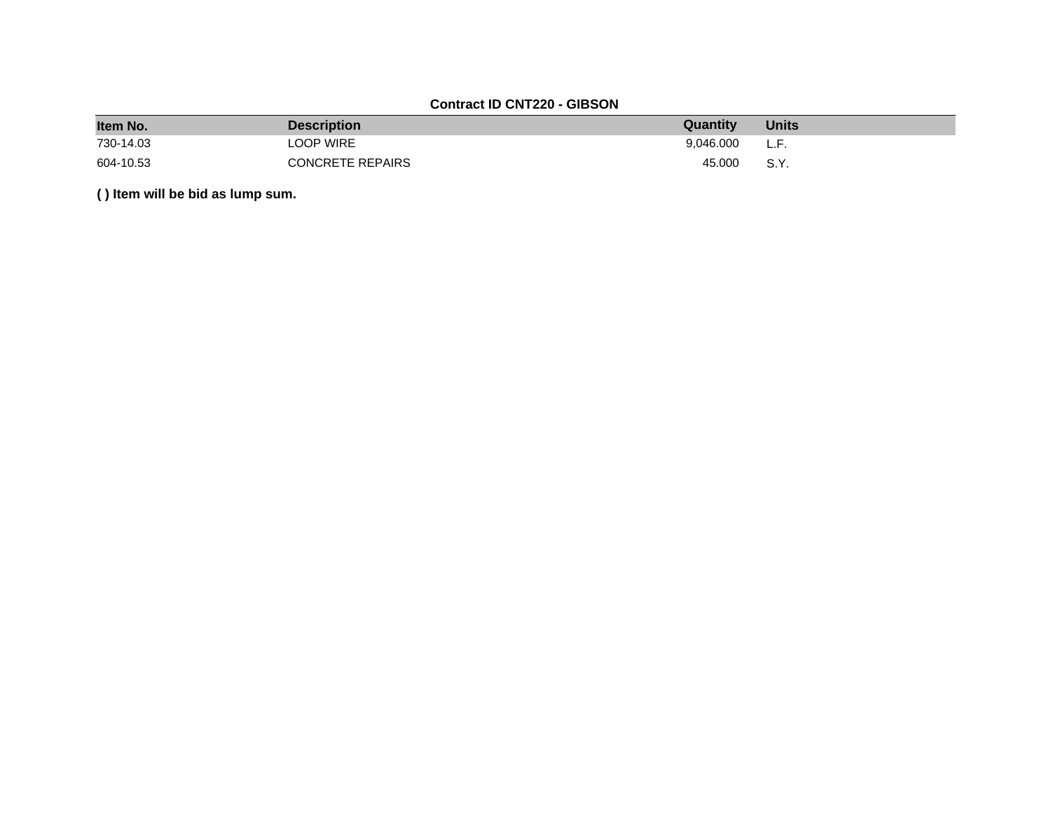## **Contract ID CNT220 - GIBSON**

| Item No.  | <b>Description</b>      | Quantity  | <b>Units</b> |
|-----------|-------------------------|-----------|--------------|
| 730-14.03 | LOOP WIRE               | 9.046.000 | L.F.         |
| 604-10.53 | <b>CONCRETE REPAIRS</b> | 45.000    | S.Y.         |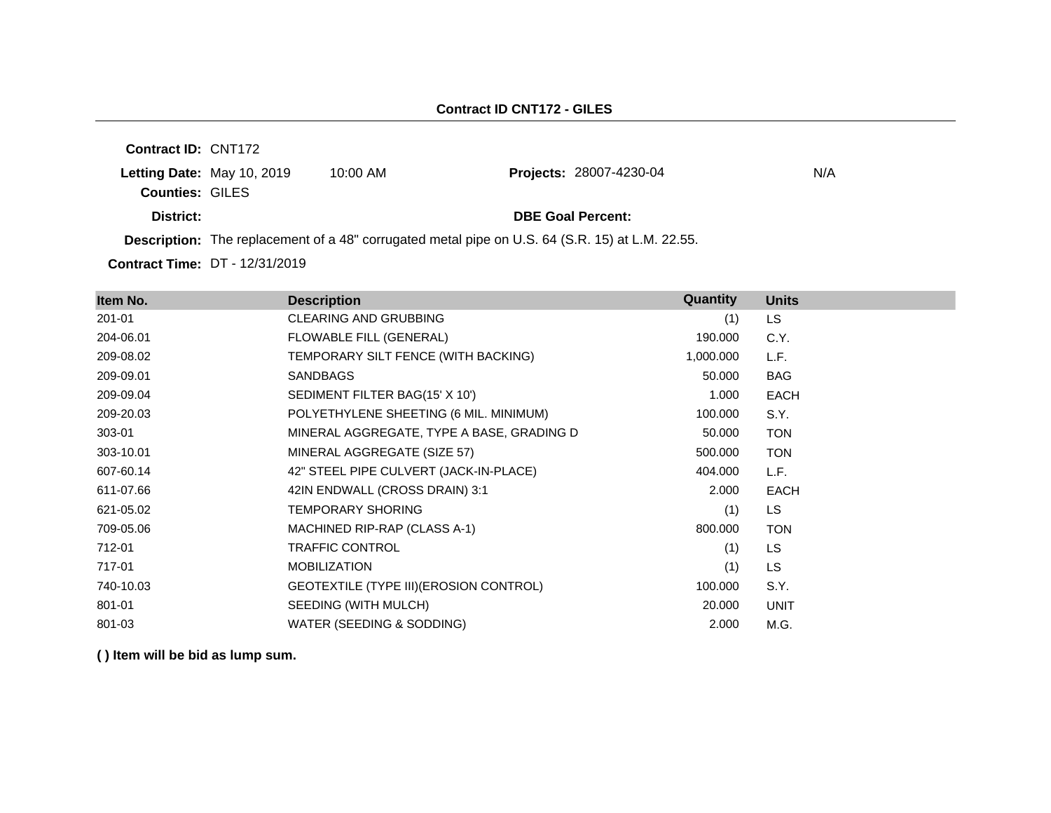| <b>Contract ID: CNT172</b> |            |                                                                                                        |     |
|----------------------------|------------|--------------------------------------------------------------------------------------------------------|-----|
| Letting Date: May 10, 2019 | $10:00$ AM | <b>Projects: 28007-4230-04</b>                                                                         | N/A |
| <b>Counties: GILES</b>     |            |                                                                                                        |     |
| District:                  |            | <b>DBE Goal Percent:</b>                                                                               |     |
|                            |            | <b>Description:</b> The replacement of a 48" corrugated metal pipe on U.S. 64 (S.R. 15) at L.M. 22.55. |     |
|                            |            |                                                                                                        |     |

**Contract Time:** DT - 12/31/2019

| Item No.  | <b>Description</b>                        | <b>Quantity</b> | <b>Units</b> |
|-----------|-------------------------------------------|-----------------|--------------|
| 201-01    | <b>CLEARING AND GRUBBING</b>              | (1)             | LS.          |
| 204-06.01 | FLOWABLE FILL (GENERAL)                   | 190.000         | C.Y.         |
| 209-08.02 | TEMPORARY SILT FENCE (WITH BACKING)       | 1,000.000       | L.F.         |
| 209-09.01 | <b>SANDBAGS</b>                           | 50.000          | <b>BAG</b>   |
| 209-09.04 | SEDIMENT FILTER BAG(15' X 10')            | 1.000           | <b>EACH</b>  |
| 209-20.03 | POLYETHYLENE SHEETING (6 MIL. MINIMUM)    | 100.000         | S.Y.         |
| 303-01    | MINERAL AGGREGATE, TYPE A BASE, GRADING D | 50.000          | <b>TON</b>   |
| 303-10.01 | MINERAL AGGREGATE (SIZE 57)               | 500.000         | <b>TON</b>   |
| 607-60.14 | 42" STEEL PIPE CULVERT (JACK-IN-PLACE)    | 404.000         | L.F.         |
| 611-07.66 | 42IN ENDWALL (CROSS DRAIN) 3:1            | 2.000           | <b>EACH</b>  |
| 621-05.02 | <b>TEMPORARY SHORING</b>                  | (1)             | LS.          |
| 709-05.06 | MACHINED RIP-RAP (CLASS A-1)              | 800.000         | <b>TON</b>   |
| 712-01    | <b>TRAFFIC CONTROL</b>                    | (1)             | LS           |
| 717-01    | <b>MOBILIZATION</b>                       | (1)             | LS           |
| 740-10.03 | GEOTEXTILE (TYPE III) (EROSION CONTROL)   | 100.000         | S.Y.         |
| 801-01    | SEEDING (WITH MULCH)                      | 20.000          | <b>UNIT</b>  |
| 801-03    | WATER (SEEDING & SODDING)                 | 2.000           | M.G.         |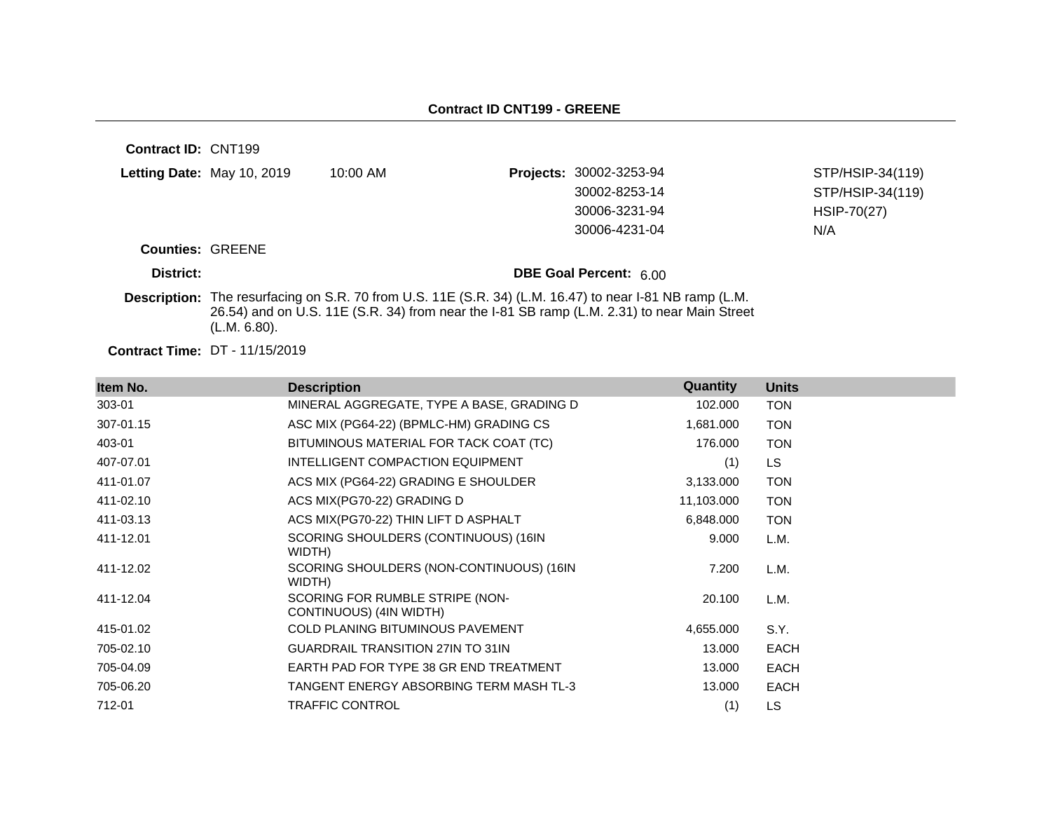| Contract ID: CNT199     |                                       |                                                                                                         |                                                                                             |                  |
|-------------------------|---------------------------------------|---------------------------------------------------------------------------------------------------------|---------------------------------------------------------------------------------------------|------------------|
|                         | Letting Date: May 10, 2019            | $10:00$ AM                                                                                              | Projects: 30002-3253-94                                                                     | STP/HSIP-34(119) |
|                         |                                       |                                                                                                         | 30002-8253-14                                                                               | STP/HSIP-34(119) |
|                         |                                       |                                                                                                         | 30006-3231-94                                                                               | HSIP-70(27)      |
|                         |                                       |                                                                                                         | 30006-4231-04                                                                               | N/A              |
| <b>Counties: GREENE</b> |                                       |                                                                                                         |                                                                                             |                  |
| District:               |                                       |                                                                                                         | <b>DBE Goal Percent: 600</b>                                                                |                  |
|                         | (L.M. 6.80).                          | Description: The resurfacing on S.R. 70 from U.S. 11E (S.R. 34) (L.M. 16.47) to near I-81 NB ramp (L.M. | 26.54) and on U.S. 11E (S.R. 34) from near the I-81 SB ramp (L.M. 2.31) to near Main Street |                  |
|                         | <b>Contract Time: DT - 11/15/2019</b> |                                                                                                         |                                                                                             |                  |

| Item No.  | <b>Description</b>                                         | Quantity   | <b>Units</b> |
|-----------|------------------------------------------------------------|------------|--------------|
| 303-01    | MINERAL AGGREGATE, TYPE A BASE, GRADING D                  | 102.000    | <b>TON</b>   |
| 307-01.15 | ASC MIX (PG64-22) (BPMLC-HM) GRADING CS                    | 1,681.000  | <b>TON</b>   |
| 403-01    | BITUMINOUS MATERIAL FOR TACK COAT (TC)                     | 176.000    | <b>TON</b>   |
| 407-07.01 | INTELLIGENT COMPACTION EQUIPMENT                           | (1)        | LS.          |
| 411-01.07 | ACS MIX (PG64-22) GRADING E SHOULDER                       | 3,133,000  | <b>TON</b>   |
| 411-02.10 | ACS MIX(PG70-22) GRADING D                                 | 11,103.000 | <b>TON</b>   |
| 411-03.13 | ACS MIX(PG70-22) THIN LIFT D ASPHALT                       | 6,848.000  | <b>TON</b>   |
| 411-12.01 | SCORING SHOULDERS (CONTINUOUS) (16IN<br>WIDTH)             | 9.000      | L.M.         |
| 411-12.02 | SCORING SHOULDERS (NON-CONTINUOUS) (16IN<br>WIDTH)         | 7.200      | L.M.         |
| 411-12.04 | SCORING FOR RUMBLE STRIPE (NON-<br>CONTINUOUS) (4IN WIDTH) | 20.100     | L.M.         |
| 415-01.02 | <b>COLD PLANING BITUMINOUS PAVEMENT</b>                    | 4,655.000  | S.Y.         |
| 705-02.10 | <b>GUARDRAIL TRANSITION 27IN TO 31IN</b>                   | 13.000     | <b>EACH</b>  |
| 705-04.09 | EARTH PAD FOR TYPE 38 GR END TREATMENT                     | 13.000     | <b>EACH</b>  |
| 705-06.20 | TANGENT ENERGY ABSORBING TERM MASH TL-3                    | 13.000     | <b>EACH</b>  |
| 712-01    | <b>TRAFFIC CONTROL</b>                                     | (1)        | LS           |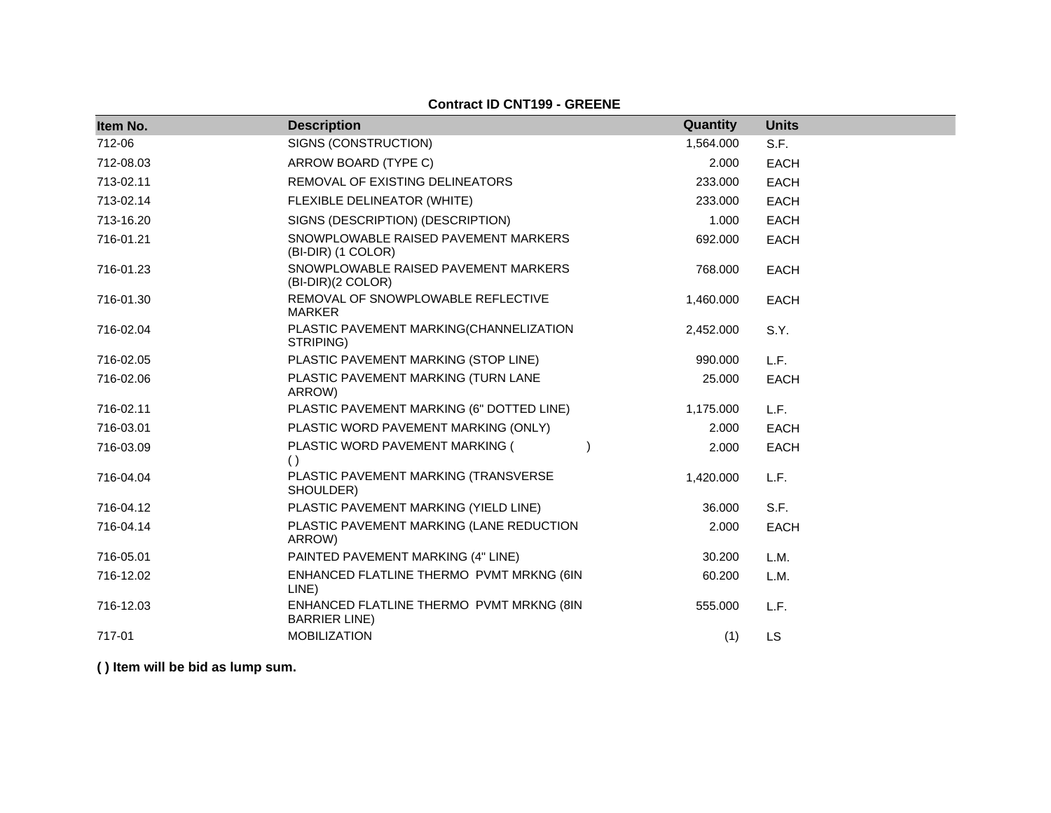### **Contract ID CNT199 - GREENE**

| Item No.  | <b>Description</b>                                                | Quantity  | <b>Units</b> |
|-----------|-------------------------------------------------------------------|-----------|--------------|
| 712-06    | SIGNS (CONSTRUCTION)                                              | 1,564.000 | S.F.         |
| 712-08.03 | ARROW BOARD (TYPE C)                                              | 2.000     | <b>EACH</b>  |
| 713-02.11 | REMOVAL OF EXISTING DELINEATORS                                   | 233.000   | <b>EACH</b>  |
| 713-02.14 | FLEXIBLE DELINEATOR (WHITE)                                       | 233,000   | <b>EACH</b>  |
| 713-16.20 | SIGNS (DESCRIPTION) (DESCRIPTION)                                 | 1.000     | <b>EACH</b>  |
| 716-01.21 | SNOWPLOWABLE RAISED PAVEMENT MARKERS<br>(BI-DIR) (1 COLOR)        | 692.000   | <b>EACH</b>  |
| 716-01.23 | SNOWPLOWABLE RAISED PAVEMENT MARKERS<br>(BI-DIR)(2 COLOR)         | 768.000   | <b>EACH</b>  |
| 716-01.30 | REMOVAL OF SNOWPLOWABLE REFLECTIVE<br><b>MARKER</b>               | 1,460.000 | <b>EACH</b>  |
| 716-02.04 | PLASTIC PAVEMENT MARKING(CHANNELIZATION<br>STRIPING)              | 2,452.000 | S.Y.         |
| 716-02.05 | PLASTIC PAVEMENT MARKING (STOP LINE)                              | 990.000   | L.F.         |
| 716-02.06 | PLASTIC PAVEMENT MARKING (TURN LANE<br>ARROW)                     | 25.000    | EACH         |
| 716-02.11 | PLASTIC PAVEMENT MARKING (6" DOTTED LINE)                         | 1,175.000 | L.F.         |
| 716-03.01 | PLASTIC WORD PAVEMENT MARKING (ONLY)                              | 2.000     | <b>EACH</b>  |
| 716-03.09 | PLASTIC WORD PAVEMENT MARKING (<br>( )                            | 2.000     | <b>EACH</b>  |
| 716-04.04 | PLASTIC PAVEMENT MARKING (TRANSVERSE<br>SHOULDER)                 | 1,420.000 | L.F.         |
| 716-04.12 | PLASTIC PAVEMENT MARKING (YIELD LINE)                             | 36.000    | S.F.         |
| 716-04.14 | PLASTIC PAVEMENT MARKING (LANE REDUCTION<br>ARROW)                | 2.000     | <b>EACH</b>  |
| 716-05.01 | PAINTED PAVEMENT MARKING (4" LINE)                                | 30.200    | L.M.         |
| 716-12.02 | ENHANCED FLATLINE THERMO PVMT MRKNG (6IN<br>LINE)                 | 60.200    | L.M.         |
| 716-12.03 | ENHANCED FLATLINE THERMO PVMT MRKNG (8IN<br><b>BARRIER LINE</b> ) | 555,000   | L.F.         |
| 717-01    | <b>MOBILIZATION</b>                                               | (1)       | <b>LS</b>    |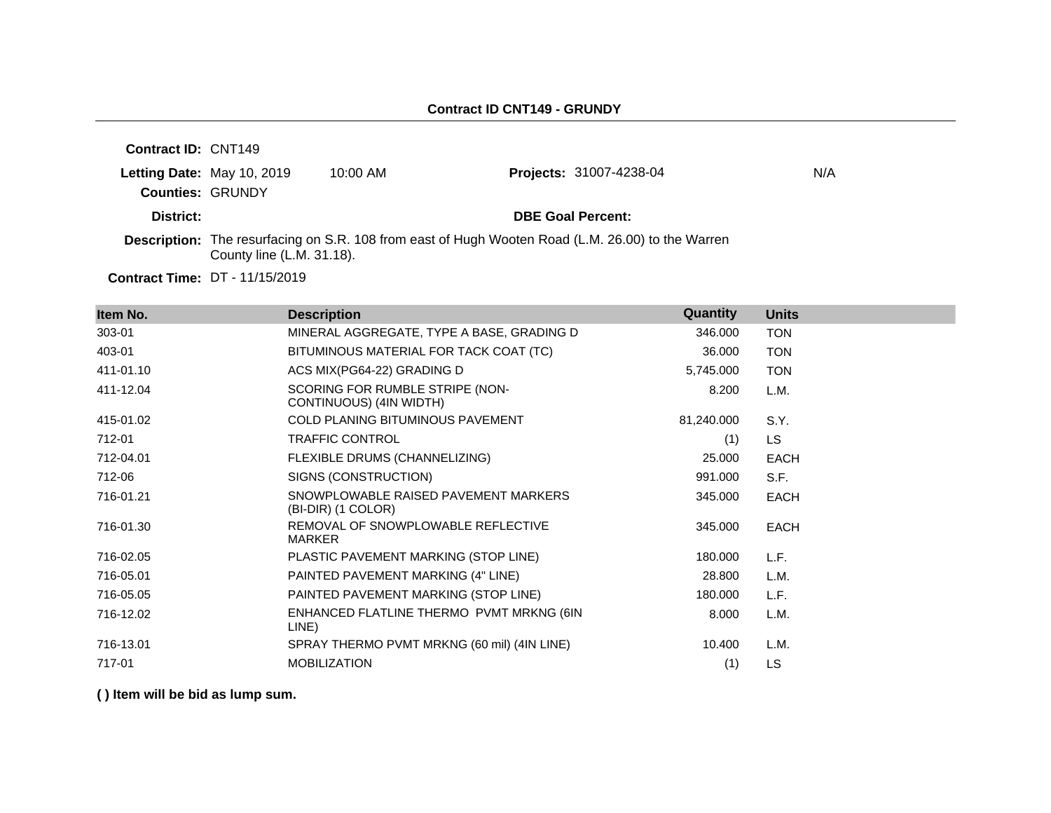| <b>Contract ID: CNT149</b> |                                       |                                                                                                          |                                |     |
|----------------------------|---------------------------------------|----------------------------------------------------------------------------------------------------------|--------------------------------|-----|
|                            | Letting Date: May 10, 2019            | $10:00$ AM                                                                                               | <b>Projects: 31007-4238-04</b> | N/A |
| <b>Counties: GRUNDY</b>    |                                       |                                                                                                          |                                |     |
| District:                  |                                       |                                                                                                          | <b>DBE Goal Percent:</b>       |     |
|                            | County line (L.M. 31.18).             | <b>Description:</b> The resurfacing on S.R. 108 from east of Hugh Wooten Road (L.M. 26.00) to the Warren |                                |     |
|                            | <b>Contract Time: DT - 11/15/2019</b> |                                                                                                          |                                |     |

**Item No. Description Quantity Units** 303-01 MINERAL AGGREGATE, TYPE A BASE, GRADING D 346.000 TON 403-01 BITUMINOUS MATERIAL FOR TACK COAT (TC) 36.000 TON 411-01.10 ACS MIX(PG64-22) GRADING D 5,745.000 TON 411-12.04 SCORING FOR RUMBLE STRIPE (NON-CONTINUOUS) (4IN WIDTH) 8.200 L.M. 415-01.02 COLD PLANING BITUMINOUS PAVEMENT 81,240.000 S.Y. 712-01 TRAFFIC CONTROL (1) LS 712-04.01 FLEXIBLE DRUMS (CHANNELIZING) 25.000 EACH 712-06 SIGNS (CONSTRUCTION) 991.000 S.F. 716-01.21 SNOWPLOWABLE RAISED PAVEMENT MARKERS (BI-DIR) (1 COLOR) 345.000 EACH 716-01.30 REMOVAL OF SNOWPLOWABLE REFLECTIVE MARKER 345.000 EACH 716-02.05 PLASTIC PAVEMENT MARKING (STOP LINE) 180.000 L.F. 716-05.01 PAINTED PAVEMENT MARKING (4" LINE) 28.800 L.M. 716-05.05 PAINTED PAVEMENT MARKING (STOP LINE) 180.000 L.F. 716-12.02 ENHANCED FLATLINE THERMO PVMT MRKNG (6IN LINE) 8.000 L.M. 716-13.01 SPRAY THERMO PVMT MRKNG (60 mil) (4IN LINE) 10.400 L.M. 717-01 MOBILIZATION (1) LS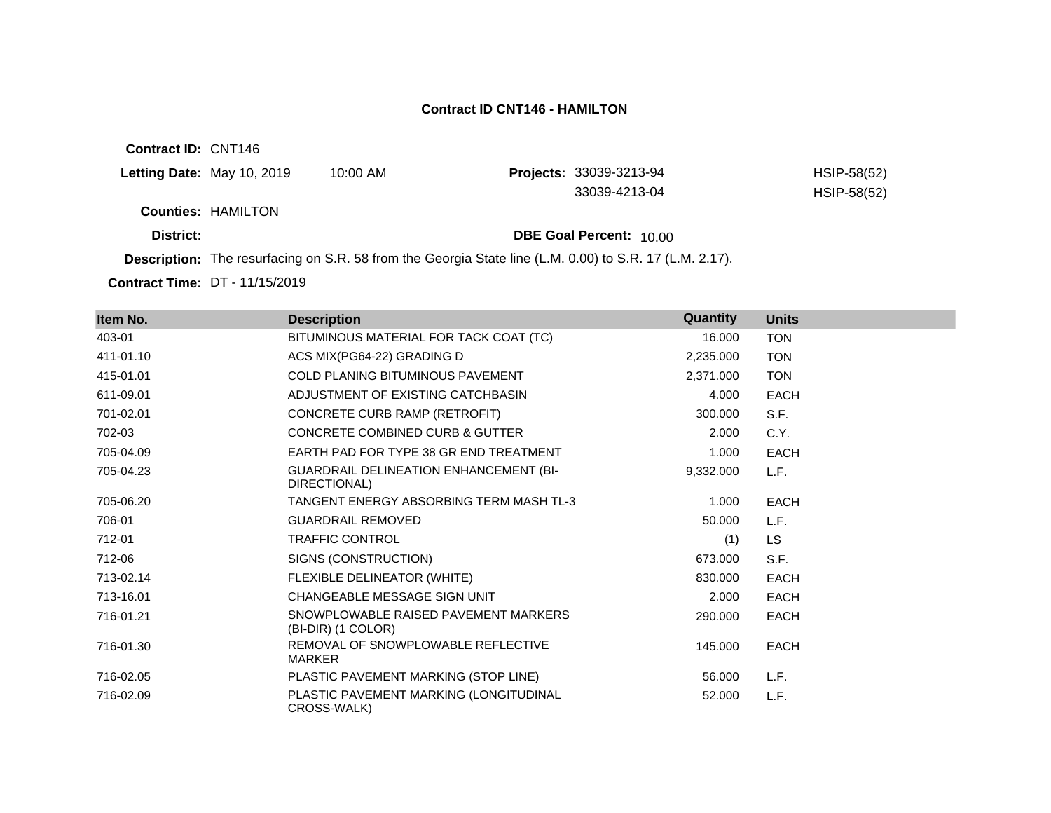**Contract ID:** CNT146 **Letting Date:** May 10, 2019 10:00 AM **Counties:** HAMILTON **District: DBE Goal Percent:** 10.00 **Description:** The resurfacing on S.R. 58 from the Georgia State line (L.M. 0.00) to S.R. 17 (L.M. 2.17). **Projects:** 33039-3213-94 HSIP-58(52) 33039-4213-04 HSIP-58(52)

**Contract Time:** DT - 11/15/2019

| Item No.  | <b>Description</b>                                            | Quantity  | <b>Units</b> |
|-----------|---------------------------------------------------------------|-----------|--------------|
| 403-01    | BITUMINOUS MATERIAL FOR TACK COAT (TC)                        | 16.000    | <b>TON</b>   |
| 411-01.10 | ACS MIX(PG64-22) GRADING D                                    | 2,235.000 | <b>TON</b>   |
| 415-01.01 | <b>COLD PLANING BITUMINOUS PAVEMENT</b>                       | 2,371.000 | <b>TON</b>   |
| 611-09.01 | ADJUSTMENT OF EXISTING CATCHBASIN                             | 4.000     | <b>EACH</b>  |
| 701-02.01 | CONCRETE CURB RAMP (RETROFIT)                                 | 300,000   | S.F.         |
| 702-03    | <b>CONCRETE COMBINED CURB &amp; GUTTER</b>                    | 2.000     | C.Y.         |
| 705-04.09 | EARTH PAD FOR TYPE 38 GR END TREATMENT                        | 1.000     | EACH         |
| 705-04.23 | <b>GUARDRAIL DELINEATION ENHANCEMENT (BI-</b><br>DIRECTIONAL) | 9,332.000 | L.F.         |
| 705-06.20 | TANGENT ENERGY ABSORBING TERM MASH TL-3                       | 1.000     | <b>EACH</b>  |
| 706-01    | <b>GUARDRAIL REMOVED</b>                                      | 50.000    | L.F.         |
| 712-01    | <b>TRAFFIC CONTROL</b>                                        | (1)       | LS.          |
| 712-06    | SIGNS (CONSTRUCTION)                                          | 673.000   | S.F.         |
| 713-02.14 | FLEXIBLE DELINEATOR (WHITE)                                   | 830,000   | <b>EACH</b>  |
| 713-16.01 | CHANGEABLE MESSAGE SIGN UNIT                                  | 2.000     | <b>EACH</b>  |
| 716-01.21 | SNOWPLOWABLE RAISED PAVEMENT MARKERS<br>(BI-DIR) (1 COLOR)    | 290,000   | <b>EACH</b>  |
| 716-01.30 | REMOVAL OF SNOWPLOWABLE REFLECTIVE<br><b>MARKER</b>           | 145.000   | <b>EACH</b>  |
| 716-02.05 | PLASTIC PAVEMENT MARKING (STOP LINE)                          | 56.000    | L.F.         |
| 716-02.09 | PLASTIC PAVEMENT MARKING (LONGITUDINAL<br>CROSS-WALK)         | 52.000    | L.F.         |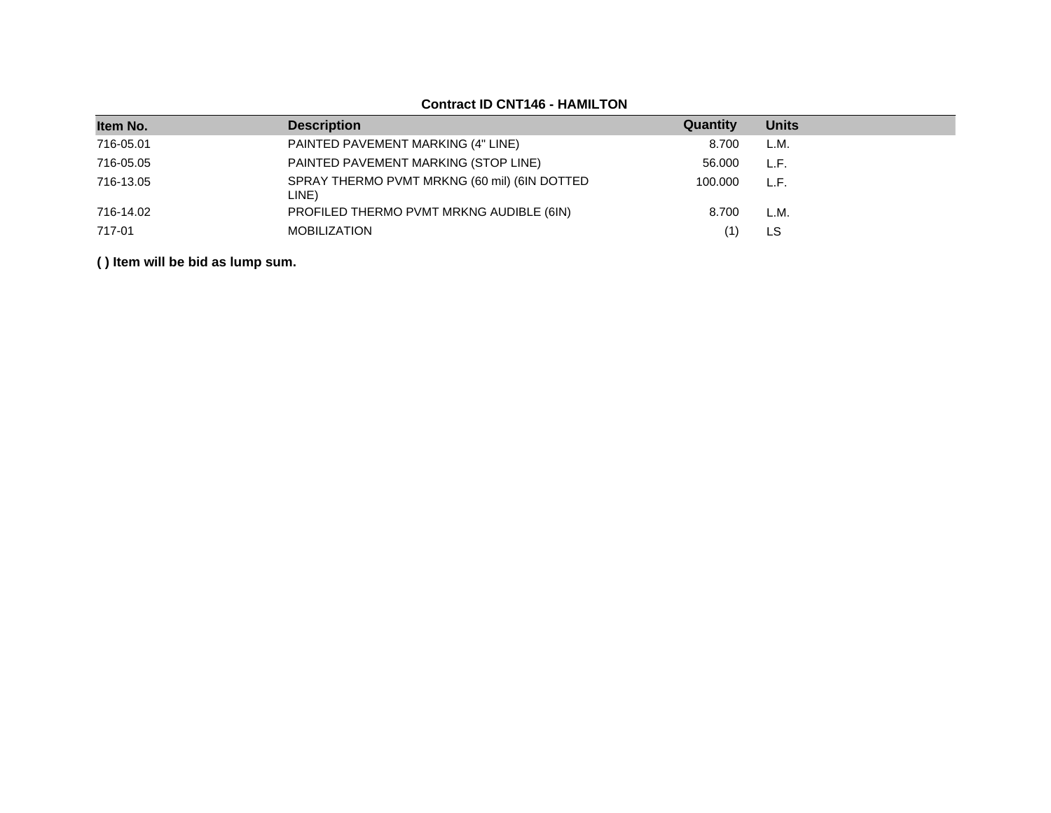| Item No.  | <b>Description</b>                                    | Quantity | <b>Units</b> |
|-----------|-------------------------------------------------------|----------|--------------|
| 716-05.01 | PAINTED PAVEMENT MARKING (4" LINE)                    | 8.700    | L.M.         |
| 716-05.05 | PAINTED PAVEMENT MARKING (STOP LINE)                  | 56.000   | L.F.         |
| 716-13.05 | SPRAY THERMO PVMT MRKNG (60 mil) (6IN DOTTED<br>LINE) | 100.000  | L.F.         |
| 716-14.02 | PROFILED THERMO PVMT MRKNG AUDIBLE (6IN)              | 8.700    | L.M.         |
| 717-01    | <b>MOBILIZATION</b>                                   |          | LS.          |

# **Contract ID CNT146 - HAMILTON**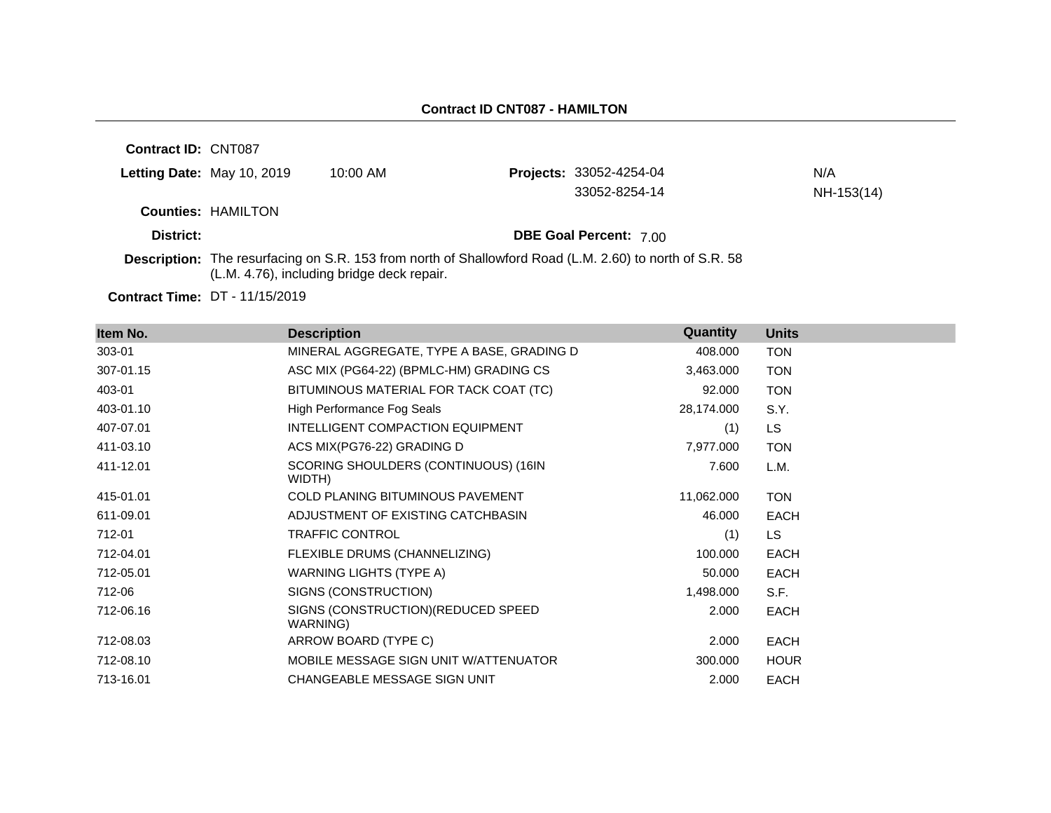| <b>Contract ID: CNT087</b> |                           |                                                                                                                                                              |                                |            |
|----------------------------|---------------------------|--------------------------------------------------------------------------------------------------------------------------------------------------------------|--------------------------------|------------|
| Letting Date: May 10, 2019 |                           | $10:00$ AM                                                                                                                                                   | <b>Projects: 33052-4254-04</b> | N/A        |
|                            |                           |                                                                                                                                                              | 33052-8254-14                  | NH-153(14) |
|                            | <b>Counties: HAMILTON</b> |                                                                                                                                                              |                                |            |
| District:                  |                           |                                                                                                                                                              | <b>DBE Goal Percent: 7.00</b>  |            |
|                            |                           | <b>Description:</b> The resurfacing on S.R. 153 from north of Shallowford Road (L.M. 2.60) to north of S.R. 58<br>(L.M. 4.76), including bridge deck repair. |                                |            |

**Contract Time:** DT - 11/15/2019

| Item No.  | <b>Description</b>                              | Quantity   | <b>Units</b> |
|-----------|-------------------------------------------------|------------|--------------|
| 303-01    | MINERAL AGGREGATE, TYPE A BASE, GRADING D       | 408.000    | <b>TON</b>   |
| 307-01.15 | ASC MIX (PG64-22) (BPMLC-HM) GRADING CS         | 3,463.000  | <b>TON</b>   |
| 403-01    | BITUMINOUS MATERIAL FOR TACK COAT (TC)          | 92.000     | <b>TON</b>   |
| 403-01.10 | High Performance Fog Seals                      | 28,174.000 | S.Y.         |
| 407-07.01 | INTELLIGENT COMPACTION EQUIPMENT                | (1)        | LS           |
| 411-03.10 | ACS MIX(PG76-22) GRADING D                      | 7,977.000  | <b>TON</b>   |
| 411-12.01 | SCORING SHOULDERS (CONTINUOUS) (16IN<br>WIDTH)  | 7.600      | L.M.         |
| 415-01.01 | COLD PLANING BITUMINOUS PAVEMENT                | 11,062.000 | <b>TON</b>   |
| 611-09.01 | ADJUSTMENT OF EXISTING CATCHBASIN               | 46.000     | <b>EACH</b>  |
| 712-01    | <b>TRAFFIC CONTROL</b>                          | (1)        | LS.          |
| 712-04.01 | FLEXIBLE DRUMS (CHANNELIZING)                   | 100.000    | <b>EACH</b>  |
| 712-05.01 | WARNING LIGHTS (TYPE A)                         | 50.000     | <b>EACH</b>  |
| 712-06    | SIGNS (CONSTRUCTION)                            | 1,498.000  | S.F.         |
| 712-06.16 | SIGNS (CONSTRUCTION) (REDUCED SPEED<br>WARNING) | 2.000      | <b>EACH</b>  |
| 712-08.03 | ARROW BOARD (TYPE C)                            | 2.000      | <b>EACH</b>  |
| 712-08.10 | MOBILE MESSAGE SIGN UNIT W/ATTENUATOR           | 300.000    | <b>HOUR</b>  |
| 713-16.01 | CHANGEABLE MESSAGE SIGN UNIT                    | 2.000      | <b>EACH</b>  |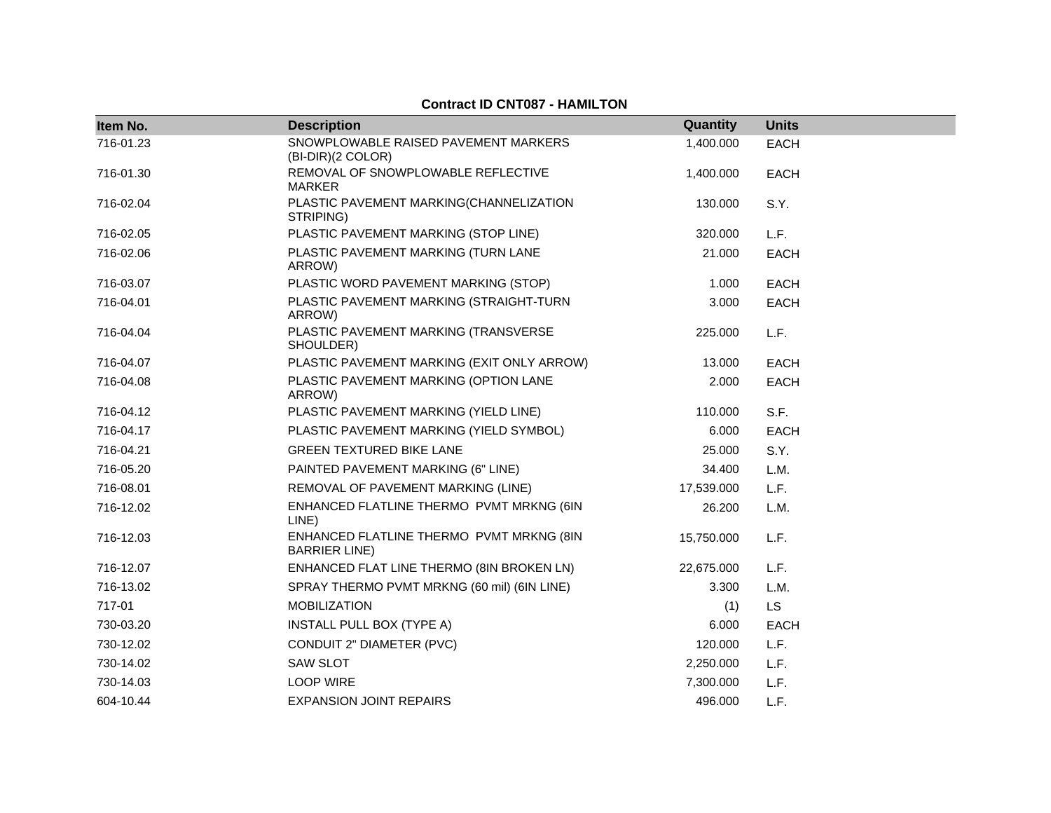### **Contract ID CNT087 - HAMILTON**

| Item No.  | <b>Description</b>                                                | Quantity   | <b>Units</b> |
|-----------|-------------------------------------------------------------------|------------|--------------|
| 716-01.23 | SNOWPLOWABLE RAISED PAVEMENT MARKERS<br>(BI-DIR)(2 COLOR)         | 1,400.000  | <b>EACH</b>  |
| 716-01.30 | REMOVAL OF SNOWPLOWABLE REFLECTIVE<br><b>MARKER</b>               | 1,400.000  | EACH         |
| 716-02.04 | PLASTIC PAVEMENT MARKING(CHANNELIZATION<br>STRIPING)              | 130.000    | S.Y.         |
| 716-02.05 | PLASTIC PAVEMENT MARKING (STOP LINE)                              | 320.000    | L.F.         |
| 716-02.06 | PLASTIC PAVEMENT MARKING (TURN LANE<br>ARROW)                     | 21.000     | <b>EACH</b>  |
| 716-03.07 | PLASTIC WORD PAVEMENT MARKING (STOP)                              | 1.000      | <b>EACH</b>  |
| 716-04.01 | PLASTIC PAVEMENT MARKING (STRAIGHT-TURN<br>ARROW)                 | 3.000      | <b>EACH</b>  |
| 716-04.04 | PLASTIC PAVEMENT MARKING (TRANSVERSE<br>SHOULDER)                 | 225.000    | L.F.         |
| 716-04.07 | PLASTIC PAVEMENT MARKING (EXIT ONLY ARROW)                        | 13.000     | <b>EACH</b>  |
| 716-04.08 | PLASTIC PAVEMENT MARKING (OPTION LANE<br>ARROW)                   | 2.000      | <b>EACH</b>  |
| 716-04.12 | PLASTIC PAVEMENT MARKING (YIELD LINE)                             | 110.000    | S.F.         |
| 716-04.17 | PLASTIC PAVEMENT MARKING (YIELD SYMBOL)                           | 6.000      | <b>EACH</b>  |
| 716-04.21 | <b>GREEN TEXTURED BIKE LANE</b>                                   | 25.000     | S.Y.         |
| 716-05.20 | PAINTED PAVEMENT MARKING (6" LINE)                                | 34.400     | L.M.         |
| 716-08.01 | REMOVAL OF PAVEMENT MARKING (LINE)                                | 17,539.000 | L.F.         |
| 716-12.02 | ENHANCED FLATLINE THERMO PVMT MRKNG (6IN<br>LINE)                 | 26.200     | L.M.         |
| 716-12.03 | ENHANCED FLATLINE THERMO PVMT MRKNG (8IN<br><b>BARRIER LINE</b> ) | 15,750.000 | L.F.         |
| 716-12.07 | ENHANCED FLAT LINE THERMO (8IN BROKEN LN)                         | 22,675.000 | L.F.         |
| 716-13.02 | SPRAY THERMO PVMT MRKNG (60 mil) (6IN LINE)                       | 3.300      | L.M.         |
| 717-01    | <b>MOBILIZATION</b>                                               | (1)        | LS           |
| 730-03.20 | INSTALL PULL BOX (TYPE A)                                         | 6.000      | EACH         |
| 730-12.02 | CONDUIT 2" DIAMETER (PVC)                                         | 120.000    | L.F.         |
| 730-14.02 | <b>SAW SLOT</b>                                                   | 2,250.000  | L.F.         |
| 730-14.03 | <b>LOOP WIRE</b>                                                  | 7,300.000  | L.F.         |
| 604-10.44 | <b>EXPANSION JOINT REPAIRS</b>                                    | 496.000    | L.F.         |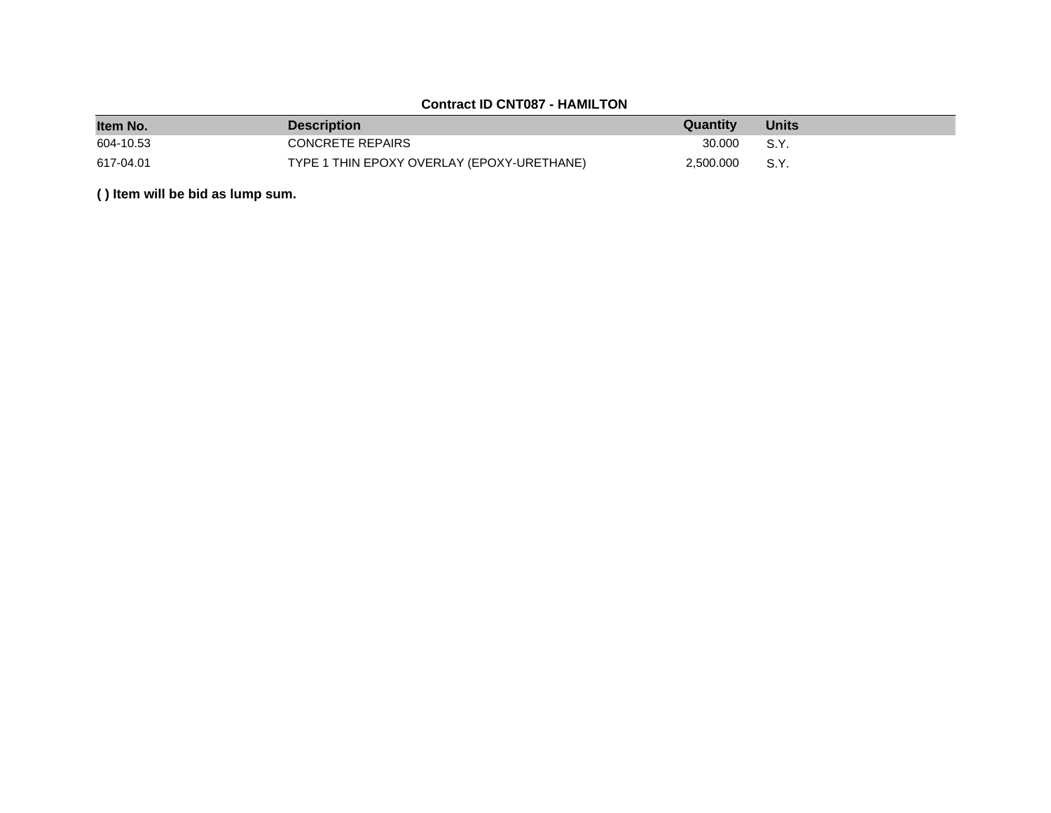# **Contract ID CNT087 - HAMILTON**

| Item No.  | <b>Description</b>                         | Quantity  | <b>Units</b> |
|-----------|--------------------------------------------|-----------|--------------|
| 604-10.53 | CONCRETE REPAIRS                           | 30.000    | S.Y.         |
| 617-04.01 | TYPE 1 THIN EPOXY OVERLAY (EPOXY-URETHANE) | 2,500.000 | S.Y.         |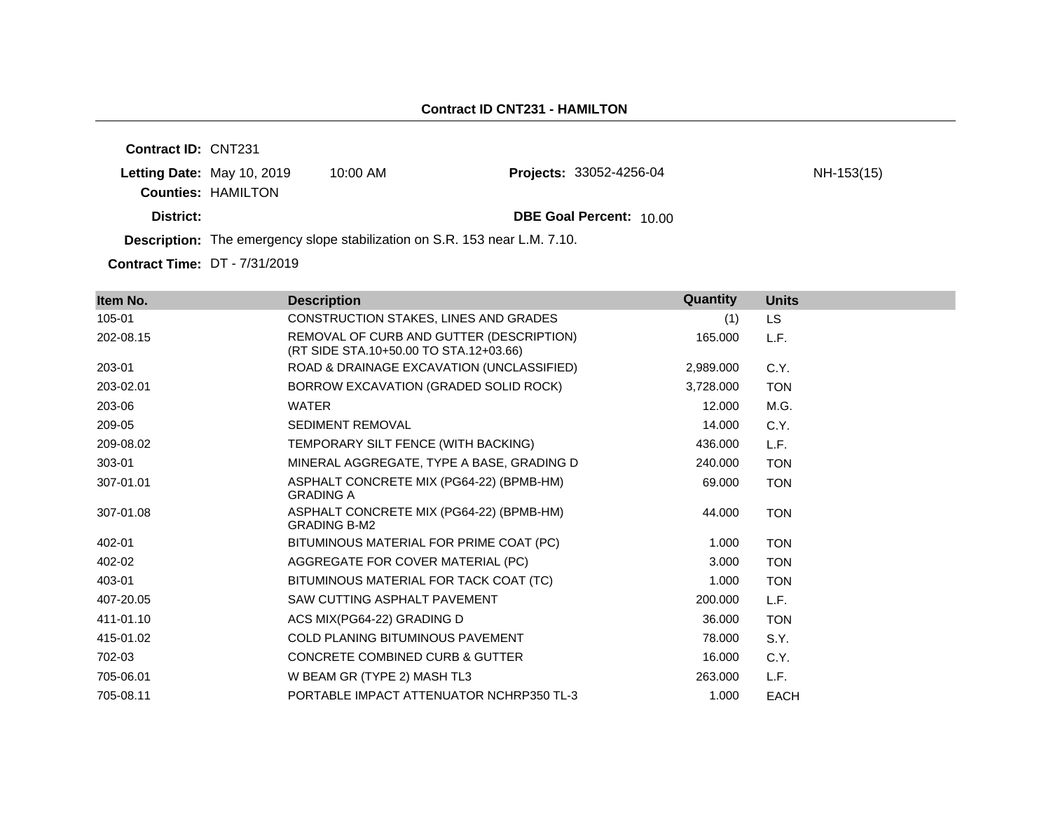**Contract ID:** CNT231 **Letting Date:** May 10, 2019 10:00 AM **Counties:** HAMILTON **District: DBE Goal Percent:** 10.00 **Description:** The emergency slope stabilization on S.R. 153 near L.M. 7.10. **Projects:** 33052-4256-04 **NH-153(15)** 

**Contract Time:** DT - 7/31/2019

| Item No.  | <b>Description</b>                                                                 | Quantity  | <b>Units</b> |
|-----------|------------------------------------------------------------------------------------|-----------|--------------|
| 105-01    | CONSTRUCTION STAKES, LINES AND GRADES                                              | (1)       | <b>LS</b>    |
| 202-08.15 | REMOVAL OF CURB AND GUTTER (DESCRIPTION)<br>(RT SIDE STA.10+50.00 TO STA.12+03.66) | 165.000   | L.F.         |
| 203-01    | ROAD & DRAINAGE EXCAVATION (UNCLASSIFIED)                                          | 2,989.000 | C.Y.         |
| 203-02.01 | BORROW EXCAVATION (GRADED SOLID ROCK)                                              | 3,728.000 | <b>TON</b>   |
| 203-06    | <b>WATER</b>                                                                       | 12.000    | M.G.         |
| 209-05    | <b>SEDIMENT REMOVAL</b>                                                            | 14.000    | C.Y.         |
| 209-08.02 | TEMPORARY SILT FENCE (WITH BACKING)                                                | 436.000   | L.F.         |
| 303-01    | MINERAL AGGREGATE, TYPE A BASE, GRADING D                                          | 240.000   | <b>TON</b>   |
| 307-01.01 | ASPHALT CONCRETE MIX (PG64-22) (BPMB-HM)<br><b>GRADING A</b>                       | 69.000    | <b>TON</b>   |
| 307-01.08 | ASPHALT CONCRETE MIX (PG64-22) (BPMB-HM)<br><b>GRADING B-M2</b>                    | 44.000    | <b>TON</b>   |
| 402-01    | BITUMINOUS MATERIAL FOR PRIME COAT (PC)                                            | 1.000     | <b>TON</b>   |
| 402-02    | AGGREGATE FOR COVER MATERIAL (PC)                                                  | 3.000     | <b>TON</b>   |
| 403-01    | BITUMINOUS MATERIAL FOR TACK COAT (TC)                                             | 1.000     | <b>TON</b>   |
| 407-20.05 | SAW CUTTING ASPHALT PAVEMENT                                                       | 200.000   | L.F.         |
| 411-01.10 | ACS MIX(PG64-22) GRADING D                                                         | 36,000    | <b>TON</b>   |
| 415-01.02 | <b>COLD PLANING BITUMINOUS PAVEMENT</b>                                            | 78.000    | S.Y.         |
| 702-03    | <b>CONCRETE COMBINED CURB &amp; GUTTER</b>                                         | 16.000    | C.Y.         |
| 705-06.01 | W BEAM GR (TYPE 2) MASH TL3                                                        | 263,000   | L.F.         |
| 705-08.11 | PORTABLE IMPACT ATTENUATOR NCHRP350 TL-3                                           | 1.000     | <b>EACH</b>  |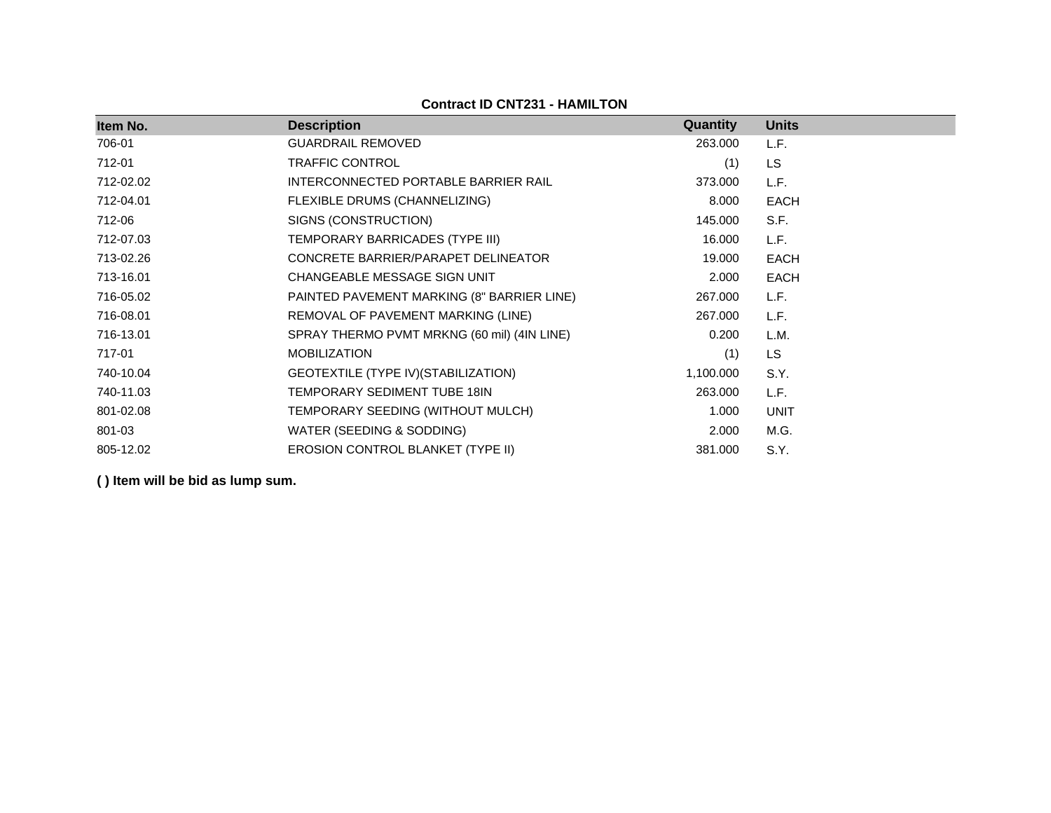**Contract ID CNT231 - HAMILTON**

| Item No.  | <b>Description</b>                          | <b>Quantity</b> | <b>Units</b> |
|-----------|---------------------------------------------|-----------------|--------------|
| 706-01    | <b>GUARDRAIL REMOVED</b>                    | 263.000         | L.F.         |
| 712-01    | <b>TRAFFIC CONTROL</b>                      | (1)             | <b>LS</b>    |
| 712-02.02 | INTERCONNECTED PORTABLE BARRIER RAIL        | 373.000         | L.F.         |
| 712-04.01 | FLEXIBLE DRUMS (CHANNELIZING)               | 8.000           | <b>EACH</b>  |
| 712-06    | SIGNS (CONSTRUCTION)                        | 145.000         | S.F.         |
| 712-07.03 | TEMPORARY BARRICADES (TYPE III)             | 16.000          | L.F.         |
| 713-02.26 | CONCRETE BARRIER/PARAPET DELINEATOR         | 19.000          | <b>EACH</b>  |
| 713-16.01 | CHANGEABLE MESSAGE SIGN UNIT                | 2.000           | <b>EACH</b>  |
| 716-05.02 | PAINTED PAVEMENT MARKING (8" BARRIER LINE)  | 267.000         | L.F.         |
| 716-08.01 | REMOVAL OF PAVEMENT MARKING (LINE)          | 267.000         | L.F.         |
| 716-13.01 | SPRAY THERMO PVMT MRKNG (60 mil) (4IN LINE) | 0.200           | L.M.         |
| 717-01    | <b>MOBILIZATION</b>                         | (1)             | <b>LS</b>    |
| 740-10.04 | GEOTEXTILE (TYPE IV) (STABILIZATION)        | 1,100.000       | S.Y.         |
| 740-11.03 | TEMPORARY SEDIMENT TUBE 18IN                | 263.000         | L.F.         |
| 801-02.08 | TEMPORARY SEEDING (WITHOUT MULCH)           | 1.000           | <b>UNIT</b>  |
| 801-03    | WATER (SEEDING & SODDING)                   | 2.000           | M.G.         |
| 805-12.02 | EROSION CONTROL BLANKET (TYPE II)           | 381.000         | S.Y.         |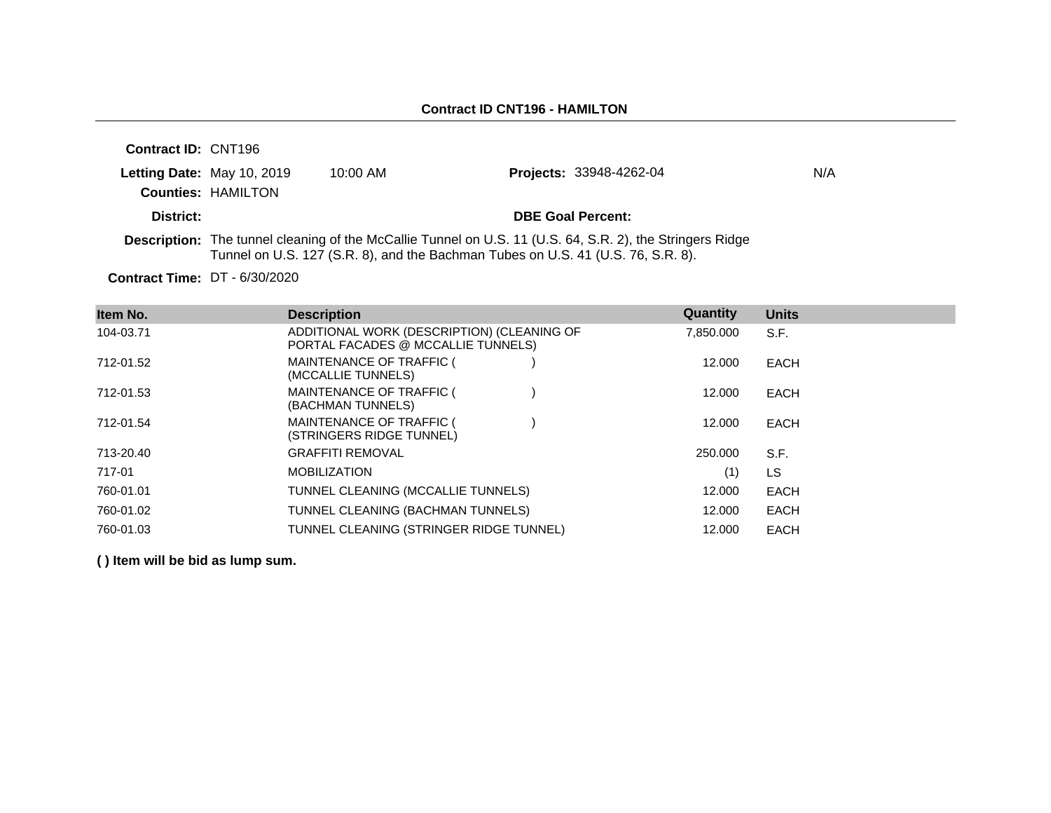| <b>Contract ID: CNT196</b> |                            |            |                                                                                                                                                                                                      |     |
|----------------------------|----------------------------|------------|------------------------------------------------------------------------------------------------------------------------------------------------------------------------------------------------------|-----|
|                            | Letting Date: May 10, 2019 | $10:00$ AM | <b>Projects: 33948-4262-04</b>                                                                                                                                                                       | N/A |
|                            | <b>Counties: HAMILTON</b>  |            |                                                                                                                                                                                                      |     |
| District:                  |                            |            | <b>DBE Goal Percent:</b>                                                                                                                                                                             |     |
|                            |                            |            | <b>Description:</b> The tunnel cleaning of the McCallie Tunnel on U.S. 11 (U.S. 64, S.R. 2), the Stringers Ridge<br>Tunnel on U.S. 127 (S.R. 8), and the Bachman Tubes on U.S. 41 (U.S. 76, S.R. 8). |     |

**Contract Time:** DT - 6/30/2020

| Item No.  | <b>Description</b>                                                               | Quantity  | <b>Units</b> |
|-----------|----------------------------------------------------------------------------------|-----------|--------------|
| 104-03.71 | ADDITIONAL WORK (DESCRIPTION) (CLEANING OF<br>PORTAL FACADES @ MCCALLIE TUNNELS) | 7.850.000 | S.F.         |
| 712-01.52 | MAINTENANCE OF TRAFFIC (<br>(MCCALLIE TUNNELS)                                   | 12,000    | <b>EACH</b>  |
| 712-01.53 | MAINTENANCE OF TRAFFIC (<br>(BACHMAN TUNNELS)                                    | 12,000    | <b>EACH</b>  |
| 712-01.54 | MAINTENANCE OF TRAFFIC (<br>(STRINGERS RIDGE TUNNEL)                             | 12,000    | <b>EACH</b>  |
| 713-20.40 | <b>GRAFFITI REMOVAL</b>                                                          | 250,000   | S.F.         |
| 717-01    | <b>MOBILIZATION</b>                                                              | (1)       | <b>LS</b>    |
| 760-01.01 | TUNNEL CLEANING (MCCALLIE TUNNELS)                                               | 12,000    | <b>EACH</b>  |
| 760-01.02 | TUNNEL CLEANING (BACHMAN TUNNELS)                                                | 12.000    | <b>EACH</b>  |
| 760-01.03 | TUNNEL CLEANING (STRINGER RIDGE TUNNEL)                                          | 12,000    | <b>EACH</b>  |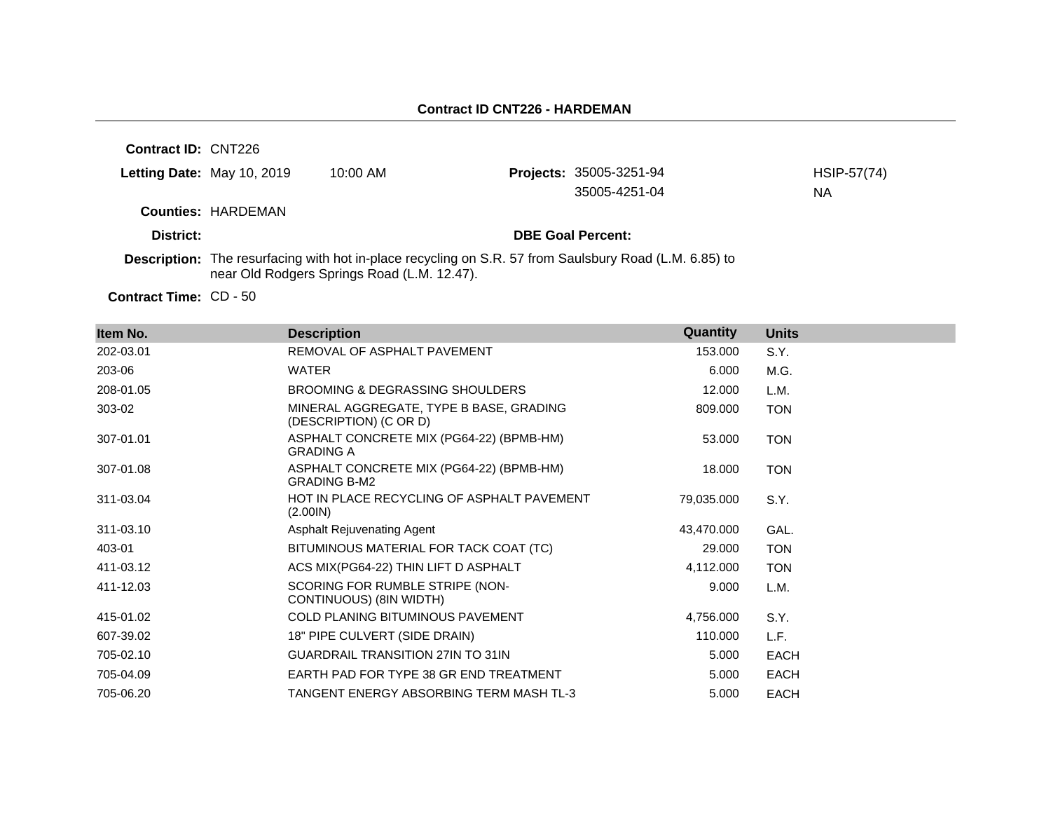**Contract ID:** CNT226 **Letting Date:** May 10, 2019 10:00 AM **Counties:** HARDEMAN **District: District: DBE Goal Percent: Description:** The resurfacing with hot in-place recycling on S.R. 57 from Saulsbury Road (L.M. 6.85) to near Old Rodgers Springs Road (L.M. 12.47). Projects: 35005-3251-94 HSIP-57(74) 35005-4251-04 NA

Contract Time: CD - 50

| Item No.  | <b>Description</b>                                                | Quantity   | <b>Units</b> |
|-----------|-------------------------------------------------------------------|------------|--------------|
| 202-03.01 | REMOVAL OF ASPHALT PAVEMENT                                       | 153,000    | S.Y.         |
| 203-06    | <b>WATER</b>                                                      | 6.000      | M.G.         |
| 208-01.05 | BROOMING & DEGRASSING SHOULDERS                                   | 12.000     | L.M.         |
| 303-02    | MINERAL AGGREGATE, TYPE B BASE, GRADING<br>(DESCRIPTION) (C OR D) | 809.000    | <b>TON</b>   |
| 307-01.01 | ASPHALT CONCRETE MIX (PG64-22) (BPMB-HM)<br><b>GRADING A</b>      | 53.000     | <b>TON</b>   |
| 307-01.08 | ASPHALT CONCRETE MIX (PG64-22) (BPMB-HM)<br><b>GRADING B-M2</b>   | 18.000     | <b>TON</b>   |
| 311-03.04 | HOT IN PLACE RECYCLING OF ASPHALT PAVEMENT<br>(2.001N)            | 79,035.000 | S.Y.         |
| 311-03.10 | Asphalt Rejuvenating Agent                                        | 43,470.000 | GAL.         |
| 403-01    | BITUMINOUS MATERIAL FOR TACK COAT (TC)                            | 29.000     | <b>TON</b>   |
| 411-03.12 | ACS MIX(PG64-22) THIN LIFT D ASPHALT                              | 4,112.000  | <b>TON</b>   |
| 411-12.03 | SCORING FOR RUMBLE STRIPE (NON-<br>CONTINUOUS) (8IN WIDTH)        | 9.000      | L.M.         |
| 415-01.02 | <b>COLD PLANING BITUMINOUS PAVEMENT</b>                           | 4,756.000  | S.Y.         |
| 607-39.02 | 18" PIPE CULVERT (SIDE DRAIN)                                     | 110.000    | L.F.         |
| 705-02.10 | <b>GUARDRAIL TRANSITION 27IN TO 31IN</b>                          | 5.000      | <b>EACH</b>  |
| 705-04.09 | EARTH PAD FOR TYPE 38 GR END TREATMENT                            | 5.000      | <b>EACH</b>  |
| 705-06.20 | TANGENT ENERGY ABSORBING TERM MASH TL-3                           | 5.000      | <b>EACH</b>  |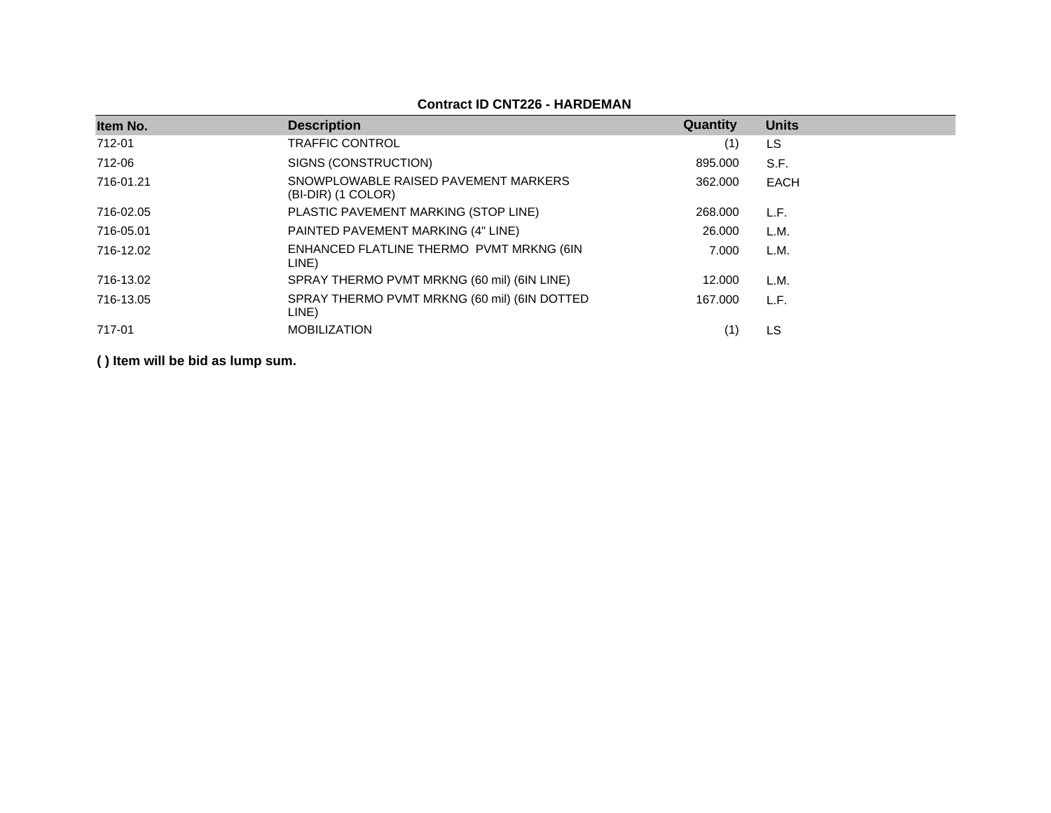## **Contract ID CNT226 - HARDEMAN**

| Item No.  | <b>Description</b>                                         | Quantity | <b>Units</b> |
|-----------|------------------------------------------------------------|----------|--------------|
| 712-01    | <b>TRAFFIC CONTROL</b>                                     | (1)      | LS           |
| 712-06    | SIGNS (CONSTRUCTION)                                       | 895.000  | S.F.         |
| 716-01.21 | SNOWPLOWABLE RAISED PAVEMENT MARKERS<br>(BI-DIR) (1 COLOR) | 362,000  | EACH         |
| 716-02.05 | PLASTIC PAVEMENT MARKING (STOP LINE)                       | 268,000  | L.F.         |
| 716-05.01 | PAINTED PAVEMENT MARKING (4" LINE)                         | 26,000   | L.M.         |
| 716-12.02 | ENHANCED FLATLINE THERMO PVMT MRKNG (6IN<br>LINE)          | 7.000    | L.M.         |
| 716-13.02 | SPRAY THERMO PVMT MRKNG (60 mil) (6IN LINE)                | 12.000   | L.M.         |
| 716-13.05 | SPRAY THERMO PVMT MRKNG (60 mil) (6IN DOTTED<br>LINE)      | 167.000  | L.F.         |
| 717-01    | <b>MOBILIZATION</b>                                        |          | LS           |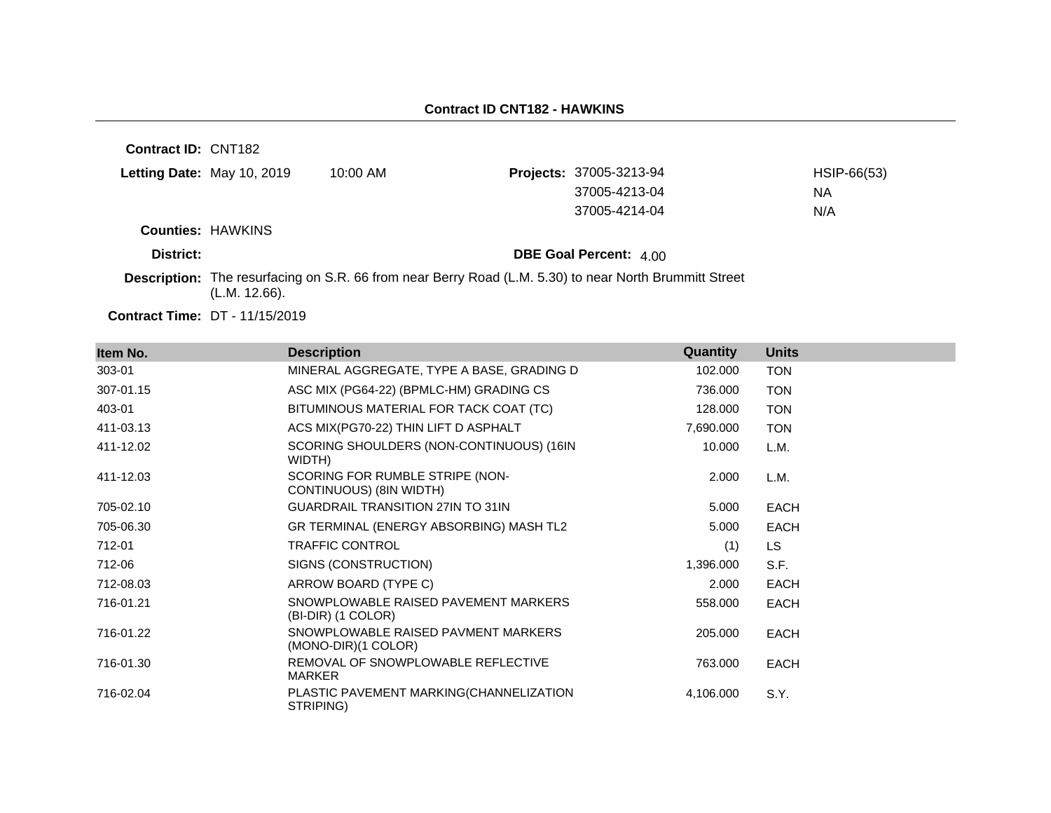| <b>Contract ID: CNT182</b> |               |                                                                                                               |                                |             |
|----------------------------|---------------|---------------------------------------------------------------------------------------------------------------|--------------------------------|-------------|
| Letting Date: May 10, 2019 |               | $10:00$ AM                                                                                                    | <b>Projects: 37005-3213-94</b> | HSIP-66(53) |
|                            |               |                                                                                                               | 37005-4213-04                  | NА          |
|                            |               |                                                                                                               | 37005-4214-04                  | N/A         |
| <b>Counties: HAWKINS</b>   |               |                                                                                                               |                                |             |
| District:                  |               |                                                                                                               | <b>DBE Goal Percent: 400</b>   |             |
|                            | (L.M. 12.66). | <b>Description:</b> The resurfacing on S.R. 66 from near Berry Road (L.M. 5.30) to near North Brummitt Street |                                |             |

**Contract Time:** DT - 11/15/2019

| Item No.  | <b>Description</b>                                         | Quantity  | <b>Units</b> |
|-----------|------------------------------------------------------------|-----------|--------------|
| 303-01    | MINERAL AGGREGATE, TYPE A BASE, GRADING D                  | 102.000   | <b>TON</b>   |
| 307-01.15 | ASC MIX (PG64-22) (BPMLC-HM) GRADING CS                    | 736.000   | <b>TON</b>   |
| 403-01    | BITUMINOUS MATERIAL FOR TACK COAT (TC)                     | 128.000   | <b>TON</b>   |
| 411-03.13 | ACS MIX(PG70-22) THIN LIFT D ASPHALT                       | 7,690.000 | <b>TON</b>   |
| 411-12.02 | SCORING SHOULDERS (NON-CONTINUOUS) (16IN<br>WIDTH)         | 10.000    | L.M.         |
| 411-12.03 | SCORING FOR RUMBLE STRIPE (NON-<br>CONTINUOUS) (8IN WIDTH) | 2.000     | L.M.         |
| 705-02.10 | <b>GUARDRAIL TRANSITION 27IN TO 31IN</b>                   | 5.000     | <b>EACH</b>  |
| 705-06.30 | GR TERMINAL (ENERGY ABSORBING) MASH TL2                    | 5.000     | <b>EACH</b>  |
| 712-01    | <b>TRAFFIC CONTROL</b>                                     | (1)       | LS.          |
| 712-06    | SIGNS (CONSTRUCTION)                                       | 1,396.000 | S.F.         |
| 712-08.03 | ARROW BOARD (TYPE C)                                       | 2.000     | <b>EACH</b>  |
| 716-01.21 | SNOWPLOWABLE RAISED PAVEMENT MARKERS<br>(BI-DIR) (1 COLOR) | 558.000   | <b>EACH</b>  |
| 716-01.22 | SNOWPLOWABLE RAISED PAVMENT MARKERS<br>(MONO-DIR)(1 COLOR) | 205.000   | <b>EACH</b>  |
| 716-01.30 | REMOVAL OF SNOWPLOWABLE REFLECTIVE<br><b>MARKER</b>        | 763.000   | <b>EACH</b>  |
| 716-02.04 | PLASTIC PAVEMENT MARKING(CHANNELIZATION<br>STRIPING)       | 4,106.000 | S.Y.         |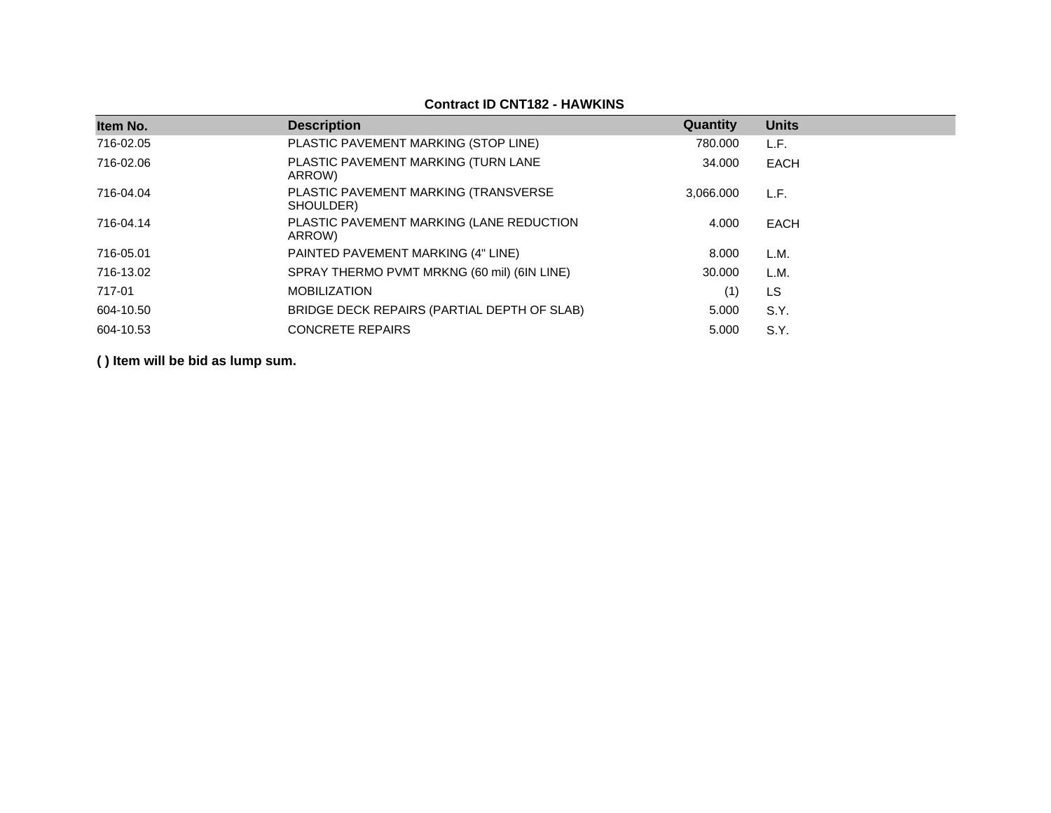#### **Item No. Description Quantity Units** 716-02.05 PLASTIC PAVEMENT MARKING (STOP LINE) 780.000 L.F. 716-02.06 PLASTIC PAVEMENT MARKING (TURN LANE ARROW) 34.000 EACH 716-04.04 PLASTIC PAVEMENT MARKING (TRANSVERSE SHOULDER) 3,066.000 L.F. 716-04.14 PLASTIC PAVEMENT MARKING (LANE REDUCTION ARROW) 4.000 EACH 716-05.01 PAINTED PAVEMENT MARKING (4" LINE) 8.000 L.M. 716-13.02 SPRAY THERMO PVMT MRKNG (60 mil) (6IN LINE) 30.000 L.M. 717-01 MOBILIZATION (1) LS 604-10.50 BRIDGE DECK REPAIRS (PARTIAL DEPTH OF SLAB) 5.000 S.Y. 604-10.53 CONCRETE REPAIRS 5.000 S.Y.

**( ) Item will be bid as lump sum.**

#### **Contract ID CNT182 - HAWKINS**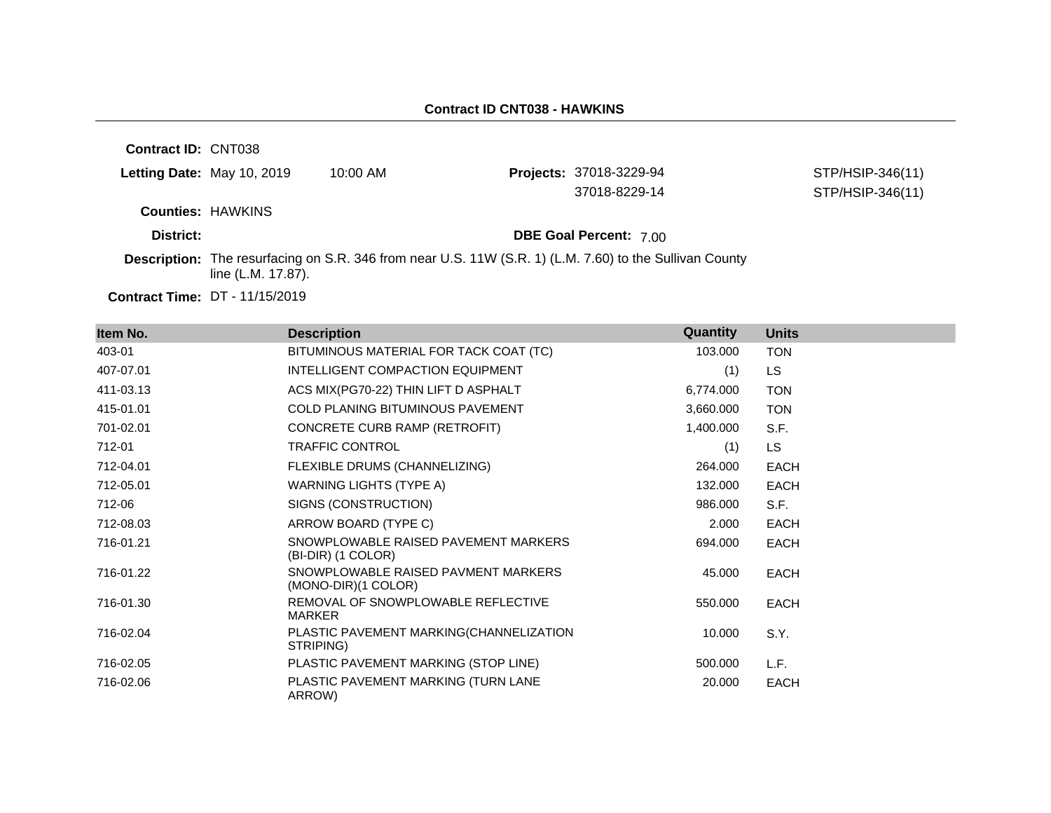#### **Contract ID CNT038 - HAWKINS**

**Contract ID:** CNT038 **Letting Date:** May 10, 2019 10:00 AM **Projects:** 37018-3229-94 **Counties:** HAWKINS **District: District: DBE Goal Percent:** 7.00 **Contract Time:** DT - 11/15/2019 **Description:** The resurfacing on S.R. 346 from near U.S. 11W (S.R. 1) (L.M. 7.60) to the Sullivan County line (L.M. 17.87). STP/HSIP-346(11) 37018-8229-14 STP/HSIP-346(11)

| Item No.  | <b>Description</b>                                         | Quantity  | <b>Units</b> |
|-----------|------------------------------------------------------------|-----------|--------------|
| 403-01    | BITUMINOUS MATERIAL FOR TACK COAT (TC)                     | 103.000   | <b>TON</b>   |
| 407-07.01 | INTELLIGENT COMPACTION EQUIPMENT                           | (1)       | LS.          |
| 411-03.13 | ACS MIX(PG70-22) THIN LIFT D ASPHALT                       | 6,774.000 | <b>TON</b>   |
| 415-01.01 | COLD PLANING BITUMINOUS PAVEMENT                           | 3,660.000 | <b>TON</b>   |
| 701-02.01 | CONCRETE CURB RAMP (RETROFIT)                              | 1,400.000 | S.F.         |
| 712-01    | <b>TRAFFIC CONTROL</b>                                     | (1)       | LS.          |
| 712-04.01 | FLEXIBLE DRUMS (CHANNELIZING)                              | 264.000   | <b>EACH</b>  |
| 712-05.01 | WARNING LIGHTS (TYPE A)                                    | 132.000   | <b>EACH</b>  |
| 712-06    | SIGNS (CONSTRUCTION)                                       | 986.000   | S.F.         |
| 712-08.03 | ARROW BOARD (TYPE C)                                       | 2.000     | <b>EACH</b>  |
| 716-01.21 | SNOWPLOWABLE RAISED PAVEMENT MARKERS<br>(BI-DIR) (1 COLOR) | 694.000   | EACH         |
| 716-01.22 | SNOWPLOWABLE RAISED PAVMENT MARKERS<br>(MONO-DIR)(1 COLOR) | 45.000    | EACH         |
| 716-01.30 | REMOVAL OF SNOWPLOWABLE REFLECTIVE<br>MARKER               | 550.000   | <b>EACH</b>  |
| 716-02.04 | PLASTIC PAVEMENT MARKING(CHANNELIZATION<br>STRIPING)       | 10.000    | S.Y.         |
| 716-02.05 | PLASTIC PAVEMENT MARKING (STOP LINE)                       | 500.000   | L.F.         |
| 716-02.06 | PLASTIC PAVEMENT MARKING (TURN LANE<br>ARROW)              | 20.000    | <b>EACH</b>  |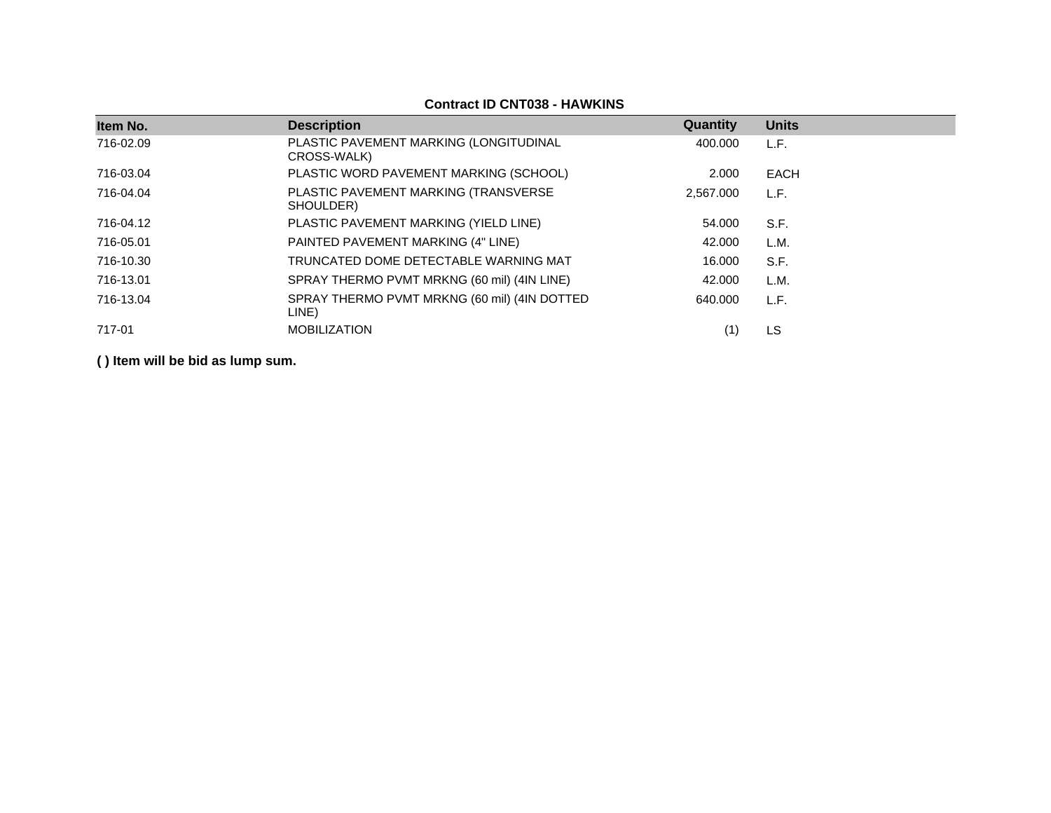| Item No.  | <b>Description</b>                                    | Quantity  | <b>Units</b> |
|-----------|-------------------------------------------------------|-----------|--------------|
| 716-02.09 | PLASTIC PAVEMENT MARKING (LONGITUDINAL<br>CROSS-WALK) | 400.000   | L.F.         |
| 716-03.04 | PLASTIC WORD PAVEMENT MARKING (SCHOOL)                | 2.000     | EACH         |
| 716-04.04 | PLASTIC PAVEMENT MARKING (TRANSVERSE<br>SHOULDER)     | 2.567.000 | L.F.         |
| 716-04.12 | PLASTIC PAVEMENT MARKING (YIELD LINE)                 | 54.000    | S.F.         |
| 716-05.01 | PAINTED PAVEMENT MARKING (4" LINE)                    | 42.000    | L.M.         |
| 716-10.30 | TRUNCATED DOME DETECTABLE WARNING MAT                 | 16.000    | S.F.         |
| 716-13.01 | SPRAY THERMO PVMT MRKNG (60 mil) (4IN LINE)           | 42.000    | L.M.         |
| 716-13.04 | SPRAY THERMO PVMT MRKNG (60 mil) (4IN DOTTED<br>LINE) | 640.000   | L.F.         |
| 717-01    | <b>MOBILIZATION</b>                                   |           | LS.          |

**Contract ID CNT038 - HAWKINS**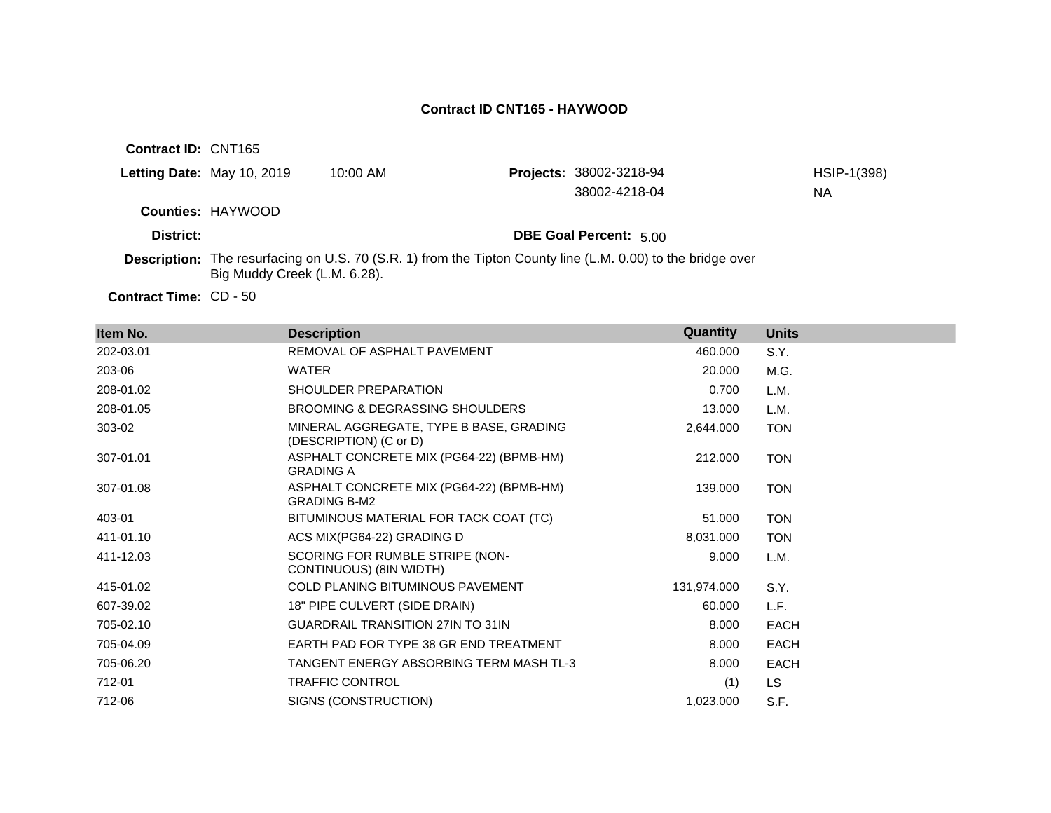| <b>Contract ID: CNT165</b> |                              |            |                                                                                                                    |             |
|----------------------------|------------------------------|------------|--------------------------------------------------------------------------------------------------------------------|-------------|
| Letting Date: May 10, 2019 |                              | $10:00$ AM | <b>Projects: 38002-3218-94</b>                                                                                     | HSIP-1(398) |
|                            |                              |            | 38002-4218-04                                                                                                      | NА          |
|                            | <b>Counties: HAYWOOD</b>     |            |                                                                                                                    |             |
| District:                  |                              |            | <b>DBE Goal Percent: 5.00</b>                                                                                      |             |
|                            | Big Muddy Creek (L.M. 6.28). |            | <b>Description:</b> The resurfacing on U.S. 70 (S.R. 1) from the Tipton County line (L.M. 0.00) to the bridge over |             |

**Contract Time:** CD - 50

| Item No.  | <b>Description</b>                                                | Quantity    | <b>Units</b> |
|-----------|-------------------------------------------------------------------|-------------|--------------|
| 202-03.01 | REMOVAL OF ASPHALT PAVEMENT                                       | 460.000     | S.Y.         |
| 203-06    | <b>WATER</b>                                                      | 20.000      | M.G.         |
| 208-01.02 | SHOULDER PREPARATION                                              | 0.700       | L.M.         |
| 208-01.05 | <b>BROOMING &amp; DEGRASSING SHOULDERS</b>                        | 13.000      | L.M.         |
| 303-02    | MINERAL AGGREGATE, TYPE B BASE, GRADING<br>(DESCRIPTION) (C or D) | 2,644.000   | <b>TON</b>   |
| 307-01.01 | ASPHALT CONCRETE MIX (PG64-22) (BPMB-HM)<br><b>GRADING A</b>      | 212,000     | <b>TON</b>   |
| 307-01.08 | ASPHALT CONCRETE MIX (PG64-22) (BPMB-HM)<br><b>GRADING B-M2</b>   | 139.000     | <b>TON</b>   |
| 403-01    | BITUMINOUS MATERIAL FOR TACK COAT (TC)                            | 51.000      | <b>TON</b>   |
| 411-01.10 | ACS MIX(PG64-22) GRADING D                                        | 8,031.000   | <b>TON</b>   |
| 411-12.03 | SCORING FOR RUMBLE STRIPE (NON-<br>CONTINUOUS) (8IN WIDTH)        | 9.000       | L.M.         |
| 415-01.02 | COLD PLANING BITUMINOUS PAVEMENT                                  | 131,974.000 | S.Y.         |
| 607-39.02 | 18" PIPE CULVERT (SIDE DRAIN)                                     | 60.000      | L.F.         |
| 705-02.10 | <b>GUARDRAIL TRANSITION 27IN TO 31IN</b>                          | 8.000       | EACH         |
| 705-04.09 | EARTH PAD FOR TYPE 38 GR END TREATMENT                            | 8.000       | <b>EACH</b>  |
| 705-06.20 | TANGENT ENERGY ABSORBING TERM MASH TL-3                           | 8.000       | <b>EACH</b>  |
| 712-01    | <b>TRAFFIC CONTROL</b>                                            | (1)         | LS.          |
| 712-06    | SIGNS (CONSTRUCTION)                                              | 1,023.000   | S.F.         |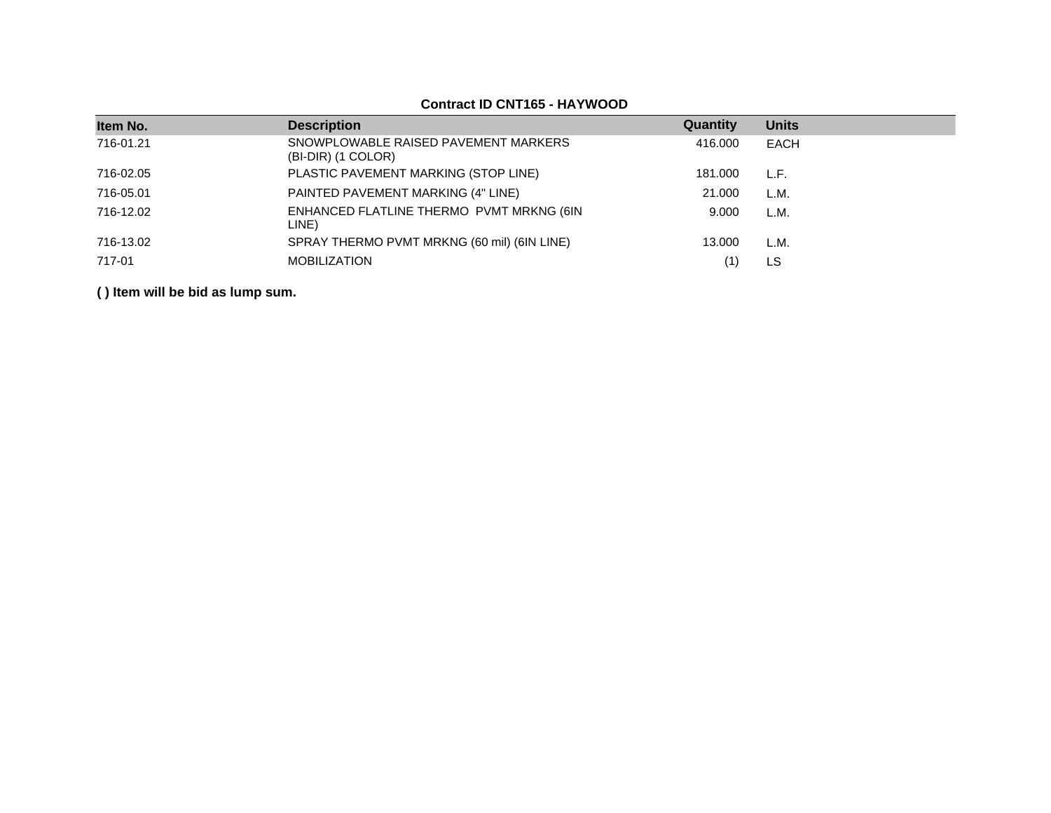# **Contract ID CNT165 - HAYWOOD**

| Item No.  | <b>Description</b>                                         | Quantity | <b>Units</b> |
|-----------|------------------------------------------------------------|----------|--------------|
| 716-01.21 | SNOWPLOWABLE RAISED PAVEMENT MARKERS<br>(BI-DIR) (1 COLOR) | 416,000  | <b>EACH</b>  |
| 716-02.05 | PLASTIC PAVEMENT MARKING (STOP LINE)                       | 181.000  | L.F.         |
| 716-05.01 | PAINTED PAVEMENT MARKING (4" LINE)                         | 21,000   | L.M.         |
| 716-12.02 | ENHANCED FLATLINE THERMO PVMT MRKNG (6IN<br>LINE)          | 9.000    | L.M.         |
| 716-13.02 | SPRAY THERMO PVMT MRKNG (60 mil) (6IN LINE)                | 13.000   | L.M.         |
| 717-01    | <b>MOBILIZATION</b>                                        | (1)      | LS           |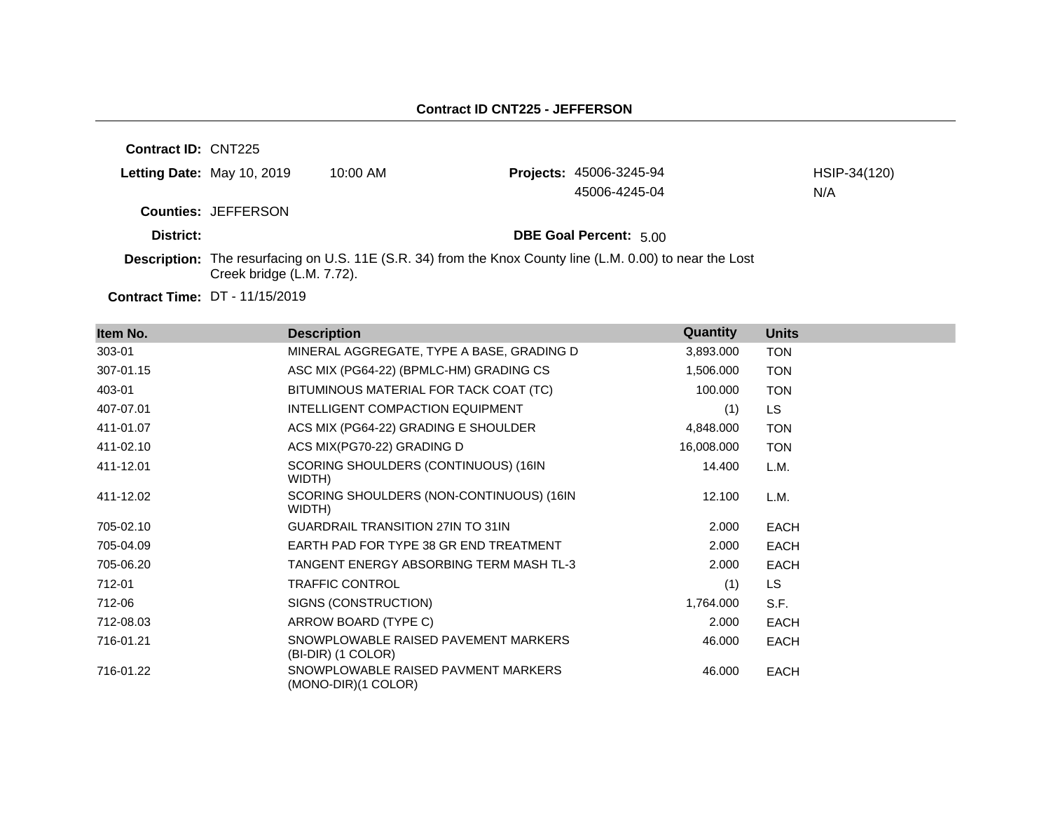**Contract ID:** CNT225 **Letting Date:** May 10, 2019 10:00 AM **Counties:** JEFFERSON **District: District: DBE Goal Percent:** 5.00 **Description:** The resurfacing on U.S. 11E (S.R. 34) from the Knox County line (L.M. 0.00) to near the Lost Creek bridge (L.M. 7.72). **Projects:** 45006-3245-94 HSIP-34(120) 45006-4245-04 N/A

**Contract Time:** DT - 11/15/2019

| Item No.  | <b>Description</b>                                         | Quantity   | <b>Units</b> |
|-----------|------------------------------------------------------------|------------|--------------|
| 303-01    | MINERAL AGGREGATE, TYPE A BASE, GRADING D                  | 3,893,000  | <b>TON</b>   |
| 307-01.15 | ASC MIX (PG64-22) (BPMLC-HM) GRADING CS                    | 1,506.000  | <b>TON</b>   |
| 403-01    | BITUMINOUS MATERIAL FOR TACK COAT (TC)                     | 100.000    | <b>TON</b>   |
| 407-07.01 | INTELLIGENT COMPACTION EQUIPMENT                           | (1)        | <b>LS</b>    |
| 411-01.07 | ACS MIX (PG64-22) GRADING E SHOULDER                       | 4,848.000  | <b>TON</b>   |
| 411-02.10 | ACS MIX(PG70-22) GRADING D                                 | 16,008.000 | <b>TON</b>   |
| 411-12.01 | SCORING SHOULDERS (CONTINUOUS) (16IN<br>WIDTH)             | 14.400     | L.M.         |
| 411-12.02 | SCORING SHOULDERS (NON-CONTINUOUS) (16IN<br>WIDTH)         | 12.100     | L.M.         |
| 705-02.10 | <b>GUARDRAIL TRANSITION 27IN TO 31IN</b>                   | 2.000      | <b>EACH</b>  |
| 705-04.09 | EARTH PAD FOR TYPE 38 GR END TREATMENT                     | 2.000      | <b>EACH</b>  |
| 705-06.20 | TANGENT ENERGY ABSORBING TERM MASH TL-3                    | 2.000      | <b>EACH</b>  |
| 712-01    | <b>TRAFFIC CONTROL</b>                                     | (1)        | LS.          |
| 712-06    | SIGNS (CONSTRUCTION)                                       | 1,764.000  | S.F.         |
| 712-08.03 | ARROW BOARD (TYPE C)                                       | 2.000      | <b>EACH</b>  |
| 716-01.21 | SNOWPLOWABLE RAISED PAVEMENT MARKERS<br>(BI-DIR) (1 COLOR) | 46.000     | <b>EACH</b>  |
| 716-01.22 | SNOWPLOWABLE RAISED PAVMENT MARKERS<br>(MONO-DIR)(1 COLOR) | 46.000     | <b>EACH</b>  |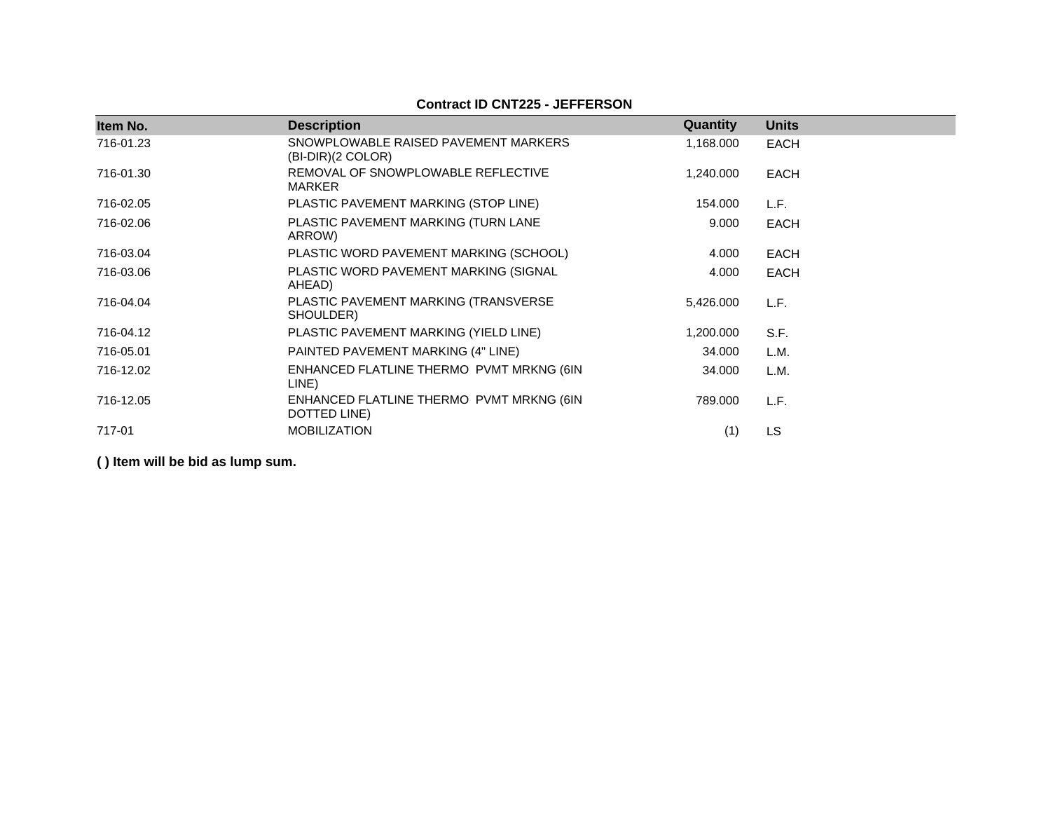## **Contract ID CNT225 - JEFFERSON**

| Item No.  | <b>Description</b>                                          | Quantity  | <b>Units</b> |
|-----------|-------------------------------------------------------------|-----------|--------------|
| 716-01.23 | SNOWPLOWABLE RAISED PAVEMENT MARKERS<br>$(BI-DIR)(2 COLOR)$ | 1,168.000 | <b>EACH</b>  |
| 716-01.30 | REMOVAL OF SNOWPLOWABLE REFLECTIVE<br><b>MARKER</b>         | 1,240.000 | <b>EACH</b>  |
| 716-02.05 | PLASTIC PAVEMENT MARKING (STOP LINE)                        | 154.000   | L.F.         |
| 716-02.06 | PLASTIC PAVEMENT MARKING (TURN LANE<br>ARROW)               | 9.000     | <b>EACH</b>  |
| 716-03.04 | PLASTIC WORD PAVEMENT MARKING (SCHOOL)                      | 4.000     | <b>EACH</b>  |
| 716-03.06 | PLASTIC WORD PAVEMENT MARKING (SIGNAL<br>AHEAD)             | 4.000     | <b>EACH</b>  |
| 716-04.04 | PLASTIC PAVEMENT MARKING (TRANSVERSE<br>SHOULDER)           | 5,426.000 | L.F.         |
| 716-04.12 | PLASTIC PAVEMENT MARKING (YIELD LINE)                       | 1,200.000 | S.F.         |
| 716-05.01 | PAINTED PAVEMENT MARKING (4" LINE)                          | 34.000    | L.M.         |
| 716-12.02 | ENHANCED FLATLINE THERMO PVMT MRKNG (6IN<br>LINE)           | 34.000    | L.M.         |
| 716-12.05 | ENHANCED FLATLINE THERMO PVMT MRKNG (6IN<br>DOTTED LINE)    | 789.000   | L.F.         |
| 717-01    | <b>MOBILIZATION</b>                                         | (1)       | LS           |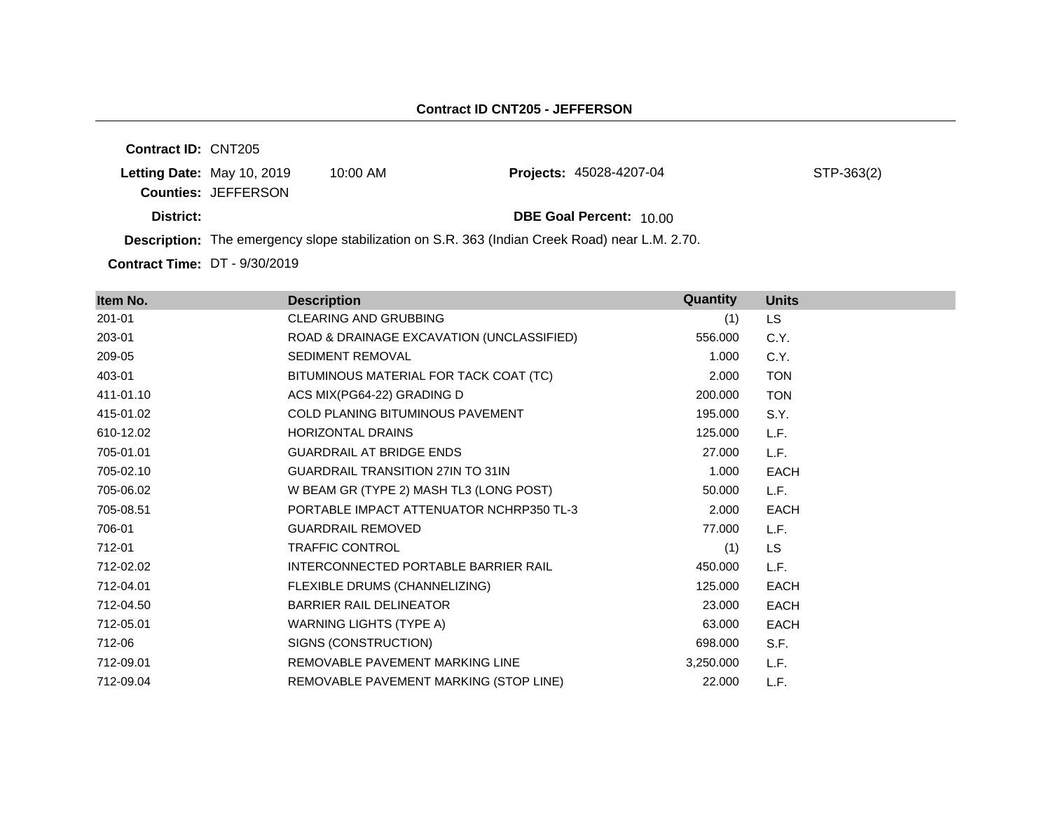| <b>Contract ID: CNT205</b>           |                            |            |                                                                                                       |            |
|--------------------------------------|----------------------------|------------|-------------------------------------------------------------------------------------------------------|------------|
|                                      | Letting Date: May 10, 2019 | $10:00$ AM | Projects: 45028-4207-04                                                                               | STP-363(2) |
|                                      | <b>Counties: JEFFERSON</b> |            |                                                                                                       |            |
| District:                            |                            |            | <b>DBE Goal Percent: 10.00</b>                                                                        |            |
|                                      |                            |            | <b>Description:</b> The emergency slope stabilization on S.R. 363 (Indian Creek Road) near L.M. 2.70. |            |
| <b>Contract Time: DT - 9/30/2019</b> |                            |            |                                                                                                       |            |

| Item No.  | <b>Description</b>                        | Quantity  | <b>Units</b> |
|-----------|-------------------------------------------|-----------|--------------|
| 201-01    | <b>CLEARING AND GRUBBING</b>              | (1)       | LS           |
| 203-01    | ROAD & DRAINAGE EXCAVATION (UNCLASSIFIED) | 556.000   | C.Y.         |
| 209-05    | <b>SEDIMENT REMOVAL</b>                   | 1.000     | C.Y.         |
| 403-01    | BITUMINOUS MATERIAL FOR TACK COAT (TC)    | 2.000     | <b>TON</b>   |
| 411-01.10 | ACS MIX(PG64-22) GRADING D                | 200,000   | <b>TON</b>   |
| 415-01.02 | <b>COLD PLANING BITUMINOUS PAVEMENT</b>   | 195.000   | S.Y.         |
| 610-12.02 | HORIZONTAL DRAINS                         | 125.000   | L.F.         |
| 705-01.01 | <b>GUARDRAIL AT BRIDGE ENDS</b>           | 27.000    | L.F.         |
| 705-02.10 | <b>GUARDRAIL TRANSITION 27IN TO 31IN</b>  | 1.000     | <b>EACH</b>  |
| 705-06.02 | W BEAM GR (TYPE 2) MASH TL3 (LONG POST)   | 50.000    | L.F.         |
| 705-08.51 | PORTABLE IMPACT ATTENUATOR NCHRP350 TL-3  | 2.000     | <b>EACH</b>  |
| 706-01    | <b>GUARDRAIL REMOVED</b>                  | 77.000    | L.F.         |
| 712-01    | <b>TRAFFIC CONTROL</b>                    | (1)       | <b>LS</b>    |
| 712-02.02 | INTERCONNECTED PORTABLE BARRIER RAIL      | 450.000   | L.F.         |
| 712-04.01 | FLEXIBLE DRUMS (CHANNELIZING)             | 125,000   | <b>EACH</b>  |
| 712-04.50 | <b>BARRIER RAIL DELINEATOR</b>            | 23.000    | EACH         |
| 712-05.01 | <b>WARNING LIGHTS (TYPE A)</b>            | 63.000    | <b>EACH</b>  |
| 712-06    | SIGNS (CONSTRUCTION)                      | 698.000   | S.F.         |
| 712-09.01 | REMOVABLE PAVEMENT MARKING LINE           | 3,250.000 | L.F.         |
| 712-09.04 | REMOVABLE PAVEMENT MARKING (STOP LINE)    | 22.000    | L.F.         |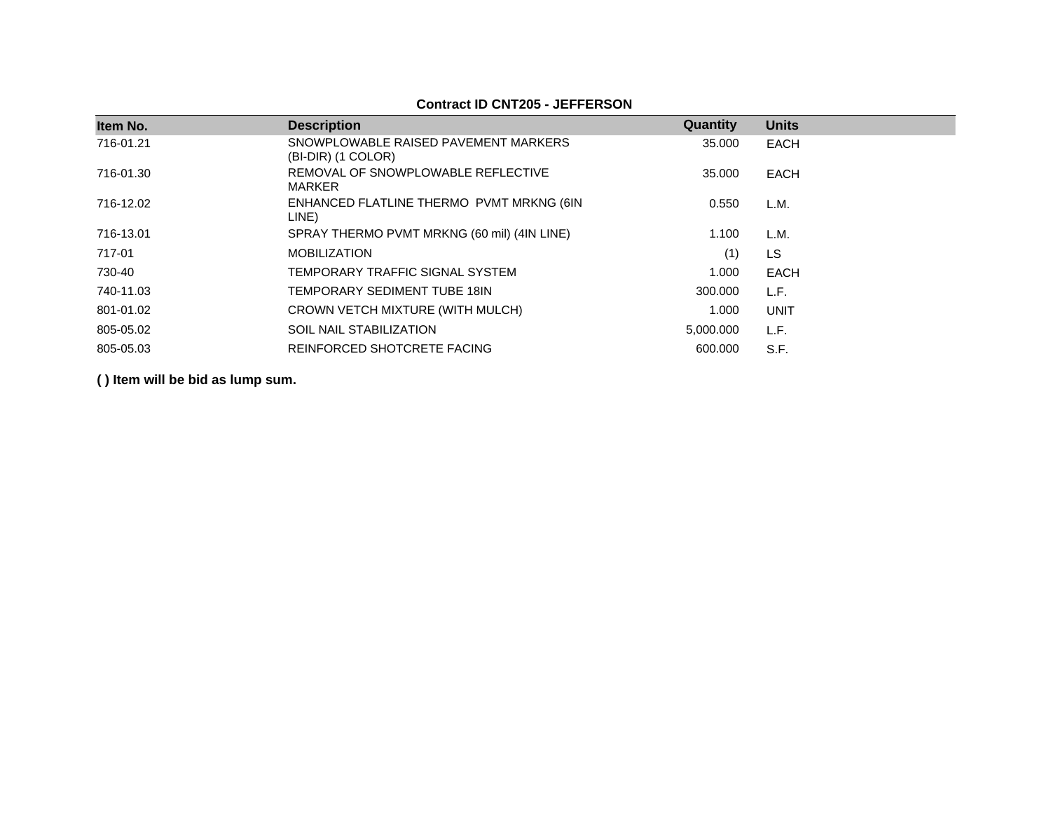| Item No.  | <b>Description</b>                                         | Quantity  | <b>Units</b> |
|-----------|------------------------------------------------------------|-----------|--------------|
| 716-01.21 | SNOWPLOWABLE RAISED PAVEMENT MARKERS<br>(BI-DIR) (1 COLOR) | 35.000    | <b>EACH</b>  |
| 716-01.30 | REMOVAL OF SNOWPLOWABLE REFLECTIVE<br><b>MARKER</b>        | 35.000    | EACH         |
| 716-12.02 | ENHANCED FLATLINE THERMO PVMT MRKNG (6IN<br>LINE)          | 0.550     | L.M.         |
| 716-13.01 | SPRAY THERMO PVMT MRKNG (60 mil) (4IN LINE)                | 1.100     | L.M.         |
| 717-01    | <b>MOBILIZATION</b>                                        | (1)       | <b>LS</b>    |
| 730-40    | TEMPORARY TRAFFIC SIGNAL SYSTEM                            | 1.000     | EACH         |
| 740-11.03 | TEMPORARY SEDIMENT TUBE 18IN                               | 300,000   | L.F.         |
| 801-01.02 | CROWN VETCH MIXTURE (WITH MULCH)                           | 1.000     | <b>UNIT</b>  |
| 805-05.02 | <b>SOIL NAIL STABILIZATION</b>                             | 5,000.000 | L.F.         |
| 805-05.03 | REINFORCED SHOTCRETE FACING                                | 600,000   | S.F.         |

## **Contract ID CNT205 - JEFFERSON**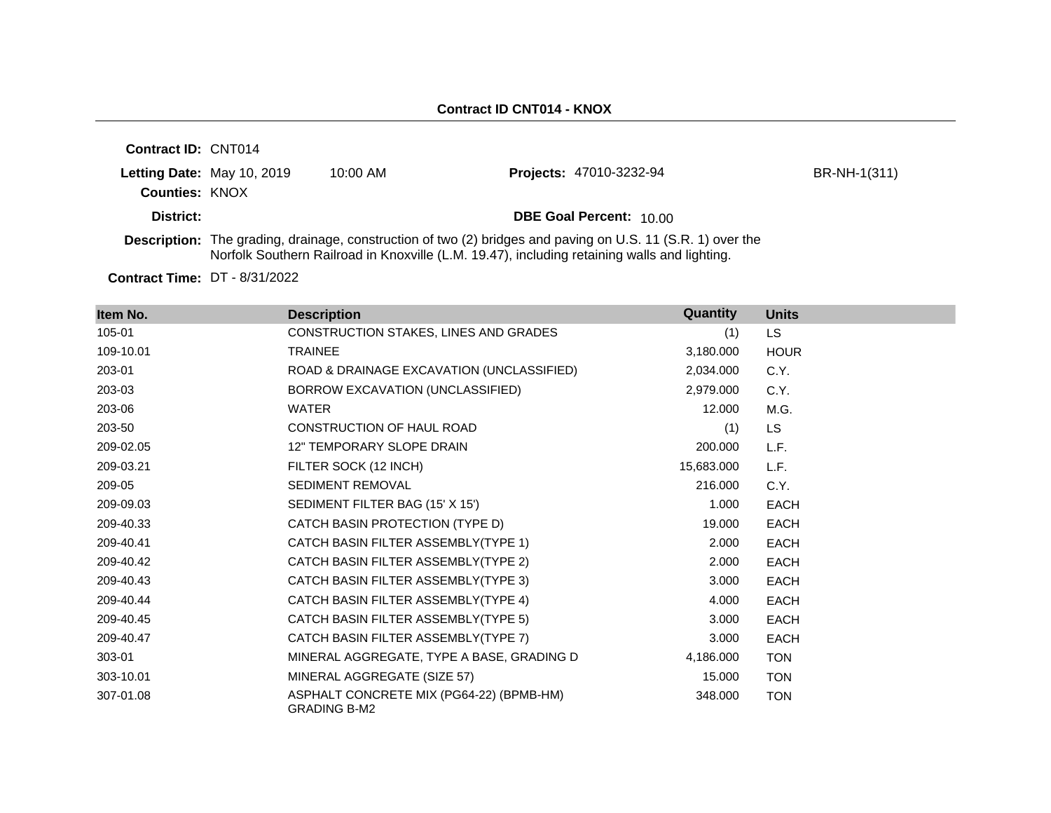| <b>Contract ID: CNT014</b> |                            |            |                                                                                                                                                                                                                    |              |
|----------------------------|----------------------------|------------|--------------------------------------------------------------------------------------------------------------------------------------------------------------------------------------------------------------------|--------------|
|                            | Letting Date: May 10, 2019 | $10:00$ AM | Projects: 47010-3232-94                                                                                                                                                                                            | BR-NH-1(311) |
| <b>Counties: KNOX</b>      |                            |            |                                                                                                                                                                                                                    |              |
| District:                  |                            |            | <b>DBE Goal Percent: 10.00</b>                                                                                                                                                                                     |              |
|                            |                            |            | <b>Description:</b> The grading, drainage, construction of two (2) bridges and paving on U.S. 11 (S.R. 1) over the<br>Norfolk Southern Railroad in Knoxville (L.M. 19.47), including retaining walls and lighting. |              |

**Contract Time:** DT - 8/31/2022

| Item No.  | <b>Description</b>                                              | Quantity   | <b>Units</b> |
|-----------|-----------------------------------------------------------------|------------|--------------|
| 105-01    | CONSTRUCTION STAKES, LINES AND GRADES                           | (1)        | LS.          |
| 109-10.01 | <b>TRAINEE</b>                                                  | 3,180.000  | <b>HOUR</b>  |
| 203-01    | ROAD & DRAINAGE EXCAVATION (UNCLASSIFIED)                       | 2,034.000  | C.Y.         |
| 203-03    | BORROW EXCAVATION (UNCLASSIFIED)                                | 2,979.000  | C.Y.         |
| 203-06    | <b>WATER</b>                                                    | 12.000     | M.G.         |
| 203-50    | CONSTRUCTION OF HAUL ROAD                                       | (1)        | <b>LS</b>    |
| 209-02.05 | <b>12" TEMPORARY SLOPE DRAIN</b>                                | 200.000    | L.F.         |
| 209-03.21 | FILTER SOCK (12 INCH)                                           | 15,683.000 | L.F.         |
| 209-05    | SEDIMENT REMOVAL                                                | 216.000    | C.Y.         |
| 209-09.03 | SEDIMENT FILTER BAG (15' X 15')                                 | 1.000      | <b>EACH</b>  |
| 209-40.33 | CATCH BASIN PROTECTION (TYPE D)                                 | 19.000     | <b>EACH</b>  |
| 209-40.41 | CATCH BASIN FILTER ASSEMBLY(TYPE 1)                             | 2.000      | <b>EACH</b>  |
| 209-40.42 | CATCH BASIN FILTER ASSEMBLY(TYPE 2)                             | 2.000      | <b>EACH</b>  |
| 209-40.43 | CATCH BASIN FILTER ASSEMBLY(TYPE 3)                             | 3.000      | <b>EACH</b>  |
| 209-40.44 | CATCH BASIN FILTER ASSEMBLY(TYPE 4)                             | 4.000      | <b>EACH</b>  |
| 209-40.45 | CATCH BASIN FILTER ASSEMBLY(TYPE 5)                             | 3.000      | <b>EACH</b>  |
| 209-40.47 | CATCH BASIN FILTER ASSEMBLY(TYPE 7)                             | 3.000      | <b>EACH</b>  |
| 303-01    | MINERAL AGGREGATE, TYPE A BASE, GRADING D                       | 4,186.000  | <b>TON</b>   |
| 303-10.01 | MINERAL AGGREGATE (SIZE 57)                                     | 15.000     | <b>TON</b>   |
| 307-01.08 | ASPHALT CONCRETE MIX (PG64-22) (BPMB-HM)<br><b>GRADING B-M2</b> | 348.000    | <b>TON</b>   |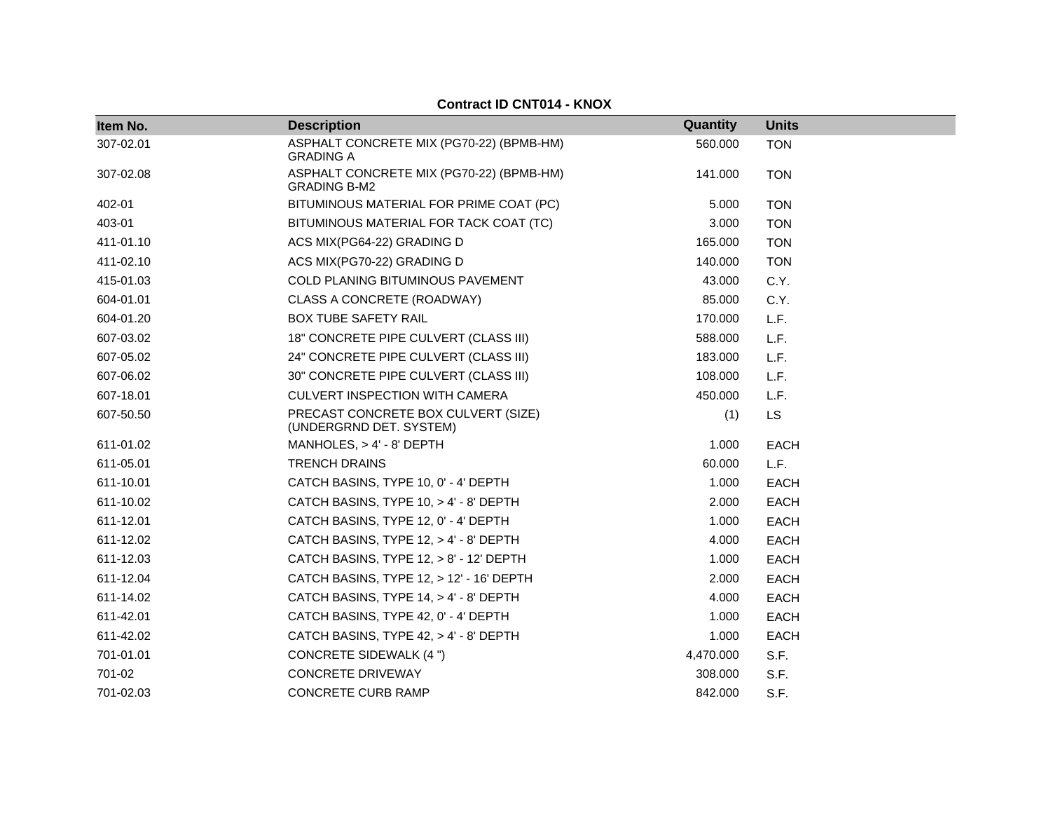| Item No.  | <b>Description</b>                                              | Quantity  | <b>Units</b> |
|-----------|-----------------------------------------------------------------|-----------|--------------|
| 307-02.01 | ASPHALT CONCRETE MIX (PG70-22) (BPMB-HM)<br><b>GRADING A</b>    | 560.000   | <b>TON</b>   |
| 307-02.08 | ASPHALT CONCRETE MIX (PG70-22) (BPMB-HM)<br><b>GRADING B-M2</b> | 141.000   | <b>TON</b>   |
| 402-01    | BITUMINOUS MATERIAL FOR PRIME COAT (PC)                         | 5.000     | <b>TON</b>   |
| 403-01    | BITUMINOUS MATERIAL FOR TACK COAT (TC)                          | 3.000     | <b>TON</b>   |
| 411-01.10 | ACS MIX(PG64-22) GRADING D                                      | 165.000   | <b>TON</b>   |
| 411-02.10 | ACS MIX(PG70-22) GRADING D                                      | 140.000   | <b>TON</b>   |
| 415-01.03 | <b>COLD PLANING BITUMINOUS PAVEMENT</b>                         | 43.000    | C.Y.         |
| 604-01.01 | CLASS A CONCRETE (ROADWAY)                                      | 85.000    | C.Y.         |
| 604-01.20 | <b>BOX TUBE SAFETY RAIL</b>                                     | 170.000   | L.F.         |
| 607-03.02 | 18" CONCRETE PIPE CULVERT (CLASS III)                           | 588.000   | L.F.         |
| 607-05.02 | 24" CONCRETE PIPE CULVERT (CLASS III)                           | 183.000   | L.F.         |
| 607-06.02 | 30" CONCRETE PIPE CULVERT (CLASS III)                           | 108.000   | L.F.         |
| 607-18.01 | <b>CULVERT INSPECTION WITH CAMERA</b>                           | 450.000   | L.F.         |
| 607-50.50 | PRECAST CONCRETE BOX CULVERT (SIZE)<br>(UNDERGRND DET. SYSTEM)  | (1)       | <b>LS</b>    |
| 611-01.02 | MANHOLES, $> 4' - 8'$ DEPTH                                     | 1.000     | <b>EACH</b>  |
| 611-05.01 | <b>TRENCH DRAINS</b>                                            | 60.000    | L.F.         |
| 611-10.01 | CATCH BASINS, TYPE 10, 0' - 4' DEPTH                            | 1.000     | <b>EACH</b>  |
| 611-10.02 | CATCH BASINS, TYPE 10, > 4' - 8' DEPTH                          | 2.000     | <b>EACH</b>  |
| 611-12.01 | CATCH BASINS, TYPE 12, 0' - 4' DEPTH                            | 1.000     | <b>EACH</b>  |
| 611-12.02 | CATCH BASINS, TYPE 12, > 4' - 8' DEPTH                          | 4.000     | EACH         |
| 611-12.03 | CATCH BASINS, TYPE 12, > 8' - 12' DEPTH                         | 1.000     | <b>EACH</b>  |
| 611-12.04 | CATCH BASINS, TYPE 12, > 12' - 16' DEPTH                        | 2.000     | <b>EACH</b>  |
| 611-14.02 | CATCH BASINS, TYPE 14, > 4' - 8' DEPTH                          | 4.000     | <b>EACH</b>  |
| 611-42.01 | CATCH BASINS, TYPE 42, 0' - 4' DEPTH                            | 1.000     | <b>EACH</b>  |
| 611-42.02 | CATCH BASINS, TYPE 42, > 4' - 8' DEPTH                          | 1.000     | <b>EACH</b>  |
| 701-01.01 | <b>CONCRETE SIDEWALK (4 ")</b>                                  | 4,470.000 | S.F.         |
| 701-02    | <b>CONCRETE DRIVEWAY</b>                                        | 308.000   | S.F.         |
| 701-02.03 | <b>CONCRETE CURB RAMP</b>                                       | 842.000   | S.F.         |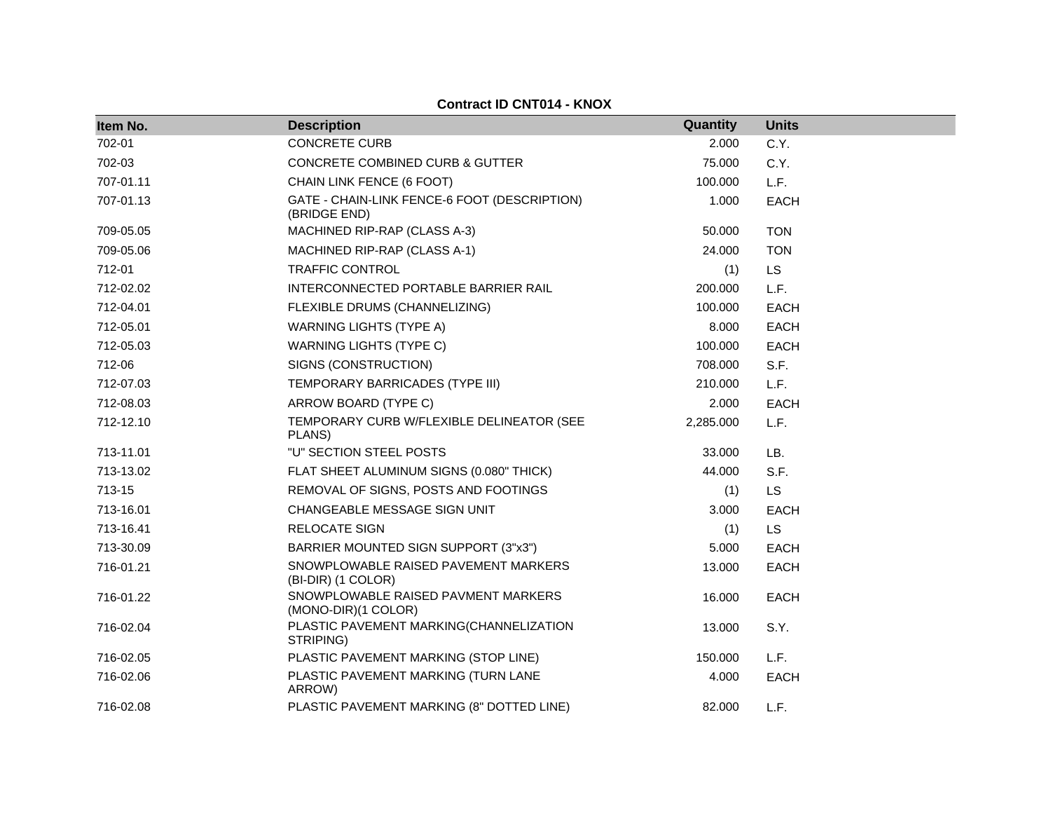| Item No.  | <b>Description</b>                                           | Quantity  | <b>Units</b> |
|-----------|--------------------------------------------------------------|-----------|--------------|
| 702-01    | <b>CONCRETE CURB</b>                                         | 2.000     | C.Y.         |
| 702-03    | <b>CONCRETE COMBINED CURB &amp; GUTTER</b>                   | 75.000    | C.Y.         |
| 707-01.11 | CHAIN LINK FENCE (6 FOOT)                                    | 100.000   | L.F.         |
| 707-01.13 | GATE - CHAIN-LINK FENCE-6 FOOT (DESCRIPTION)<br>(BRIDGE END) | 1.000     | <b>EACH</b>  |
| 709-05.05 | MACHINED RIP-RAP (CLASS A-3)                                 | 50.000    | <b>TON</b>   |
| 709-05.06 | MACHINED RIP-RAP (CLASS A-1)                                 | 24.000    | <b>TON</b>   |
| 712-01    | <b>TRAFFIC CONTROL</b>                                       | (1)       | <b>LS</b>    |
| 712-02.02 | INTERCONNECTED PORTABLE BARRIER RAIL                         | 200.000   | L.F.         |
| 712-04.01 | FLEXIBLE DRUMS (CHANNELIZING)                                | 100.000   | <b>EACH</b>  |
| 712-05.01 | <b>WARNING LIGHTS (TYPE A)</b>                               | 8.000     | <b>EACH</b>  |
| 712-05.03 | <b>WARNING LIGHTS (TYPE C)</b>                               | 100.000   | <b>EACH</b>  |
| 712-06    | SIGNS (CONSTRUCTION)                                         | 708.000   | S.F.         |
| 712-07.03 | TEMPORARY BARRICADES (TYPE III)                              | 210.000   | L.F.         |
| 712-08.03 | ARROW BOARD (TYPE C)                                         | 2.000     | <b>EACH</b>  |
| 712-12.10 | TEMPORARY CURB W/FLEXIBLE DELINEATOR (SEE<br>PLANS)          | 2,285.000 | L.F.         |
| 713-11.01 | "U" SECTION STEEL POSTS                                      | 33.000    | LB.          |
| 713-13.02 | FLAT SHEET ALUMINUM SIGNS (0.080" THICK)                     | 44.000    | S.F.         |
| 713-15    | REMOVAL OF SIGNS, POSTS AND FOOTINGS                         | (1)       | <b>LS</b>    |
| 713-16.01 | CHANGEABLE MESSAGE SIGN UNIT                                 | 3.000     | <b>EACH</b>  |
| 713-16.41 | <b>RELOCATE SIGN</b>                                         | (1)       | <b>LS</b>    |
| 713-30.09 | BARRIER MOUNTED SIGN SUPPORT (3"x3")                         | 5.000     | <b>EACH</b>  |
| 716-01.21 | SNOWPLOWABLE RAISED PAVEMENT MARKERS<br>(BI-DIR) (1 COLOR)   | 13.000    | <b>EACH</b>  |
| 716-01.22 | SNOWPLOWABLE RAISED PAVMENT MARKERS<br>(MONO-DIR)(1 COLOR)   | 16.000    | <b>EACH</b>  |
| 716-02.04 | PLASTIC PAVEMENT MARKING(CHANNELIZATION<br>STRIPING)         | 13.000    | S.Y.         |
| 716-02.05 | PLASTIC PAVEMENT MARKING (STOP LINE)                         | 150.000   | L.F.         |
| 716-02.06 | PLASTIC PAVEMENT MARKING (TURN LANE<br>ARROW)                | 4.000     | <b>EACH</b>  |
| 716-02.08 | PLASTIC PAVEMENT MARKING (8" DOTTED LINE)                    | 82.000    | L.F.         |

**Contract ID CNT014 - KNOX**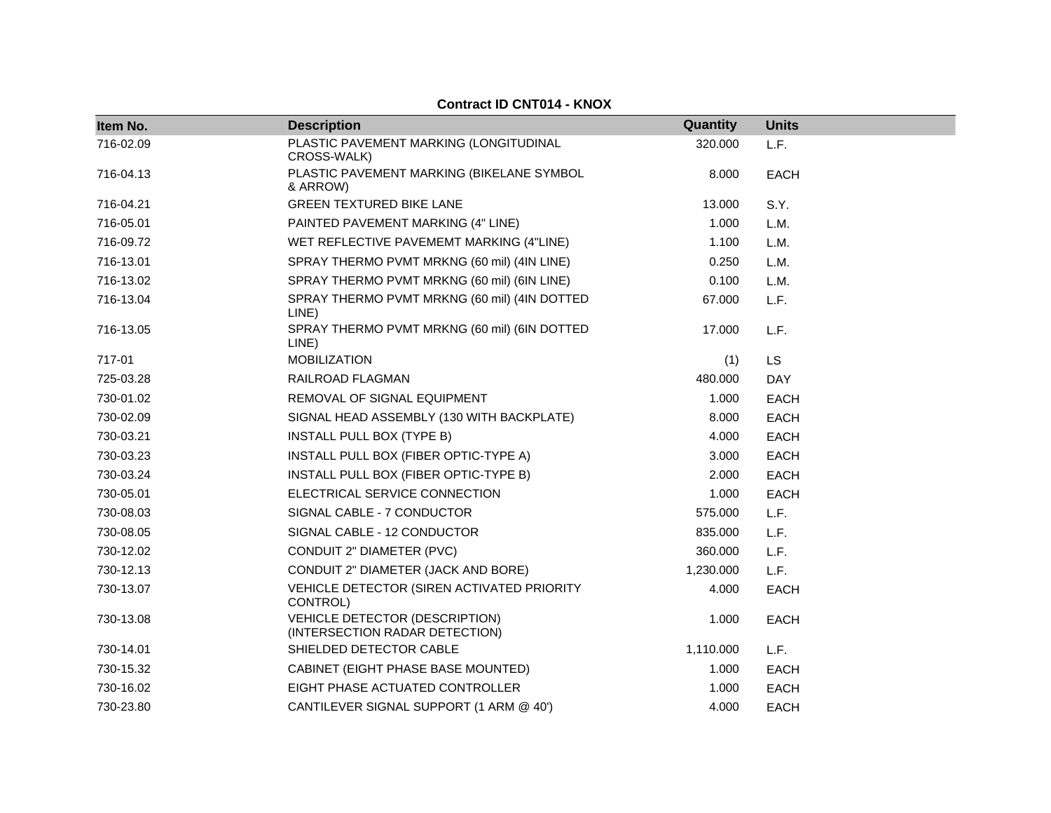| Item No.  | <b>Description</b>                                               | Quantity  | <b>Units</b> |
|-----------|------------------------------------------------------------------|-----------|--------------|
| 716-02.09 | PLASTIC PAVEMENT MARKING (LONGITUDINAL<br>CROSS-WALK)            | 320.000   | L.F.         |
| 716-04.13 | PLASTIC PAVEMENT MARKING (BIKELANE SYMBOL<br>& ARROW)            | 8.000     | EACH         |
| 716-04.21 | <b>GREEN TEXTURED BIKE LANE</b>                                  | 13.000    | S.Y.         |
| 716-05.01 | PAINTED PAVEMENT MARKING (4" LINE)                               | 1.000     | L.M.         |
| 716-09.72 | WET REFLECTIVE PAVEMEMT MARKING (4"LINE)                         | 1.100     | L.M.         |
| 716-13.01 | SPRAY THERMO PVMT MRKNG (60 mil) (4IN LINE)                      | 0.250     | L.M.         |
| 716-13.02 | SPRAY THERMO PVMT MRKNG (60 mil) (6IN LINE)                      | 0.100     | L.M.         |
| 716-13.04 | SPRAY THERMO PVMT MRKNG (60 mil) (4IN DOTTED<br>LINE)            | 67.000    | L.F.         |
| 716-13.05 | SPRAY THERMO PVMT MRKNG (60 mil) (6IN DOTTED<br>LINE)            | 17.000    | L.F.         |
| 717-01    | <b>MOBILIZATION</b>                                              | (1)       | <b>LS</b>    |
| 725-03.28 | RAILROAD FLAGMAN                                                 | 480.000   | <b>DAY</b>   |
| 730-01.02 | REMOVAL OF SIGNAL EQUIPMENT                                      | 1.000     | <b>EACH</b>  |
| 730-02.09 | SIGNAL HEAD ASSEMBLY (130 WITH BACKPLATE)                        | 8.000     | <b>EACH</b>  |
| 730-03.21 | INSTALL PULL BOX (TYPE B)                                        | 4.000     | <b>EACH</b>  |
| 730-03.23 | INSTALL PULL BOX (FIBER OPTIC-TYPE A)                            | 3.000     | <b>EACH</b>  |
| 730-03.24 | INSTALL PULL BOX (FIBER OPTIC-TYPE B)                            | 2.000     | EACH         |
| 730-05.01 | ELECTRICAL SERVICE CONNECTION                                    | 1.000     | <b>EACH</b>  |
| 730-08.03 | SIGNAL CABLE - 7 CONDUCTOR                                       | 575.000   | L.F.         |
| 730-08.05 | SIGNAL CABLE - 12 CONDUCTOR                                      | 835.000   | L.F.         |
| 730-12.02 | CONDUIT 2" DIAMETER (PVC)                                        | 360.000   | L.F.         |
| 730-12.13 | CONDUIT 2" DIAMETER (JACK AND BORE)                              | 1,230.000 | L.F.         |
| 730-13.07 | VEHICLE DETECTOR (SIREN ACTIVATED PRIORITY<br>CONTROL)           | 4.000     | <b>EACH</b>  |
| 730-13.08 | VEHICLE DETECTOR (DESCRIPTION)<br>(INTERSECTION RADAR DETECTION) | 1.000     | <b>EACH</b>  |
| 730-14.01 | SHIELDED DETECTOR CABLE                                          | 1,110.000 | L.F.         |
| 730-15.32 | CABINET (EIGHT PHASE BASE MOUNTED)                               | 1.000     | <b>EACH</b>  |
| 730-16.02 | EIGHT PHASE ACTUATED CONTROLLER                                  | 1.000     | <b>EACH</b>  |
| 730-23.80 | CANTILEVER SIGNAL SUPPORT (1 ARM @ 40')                          | 4.000     | <b>EACH</b>  |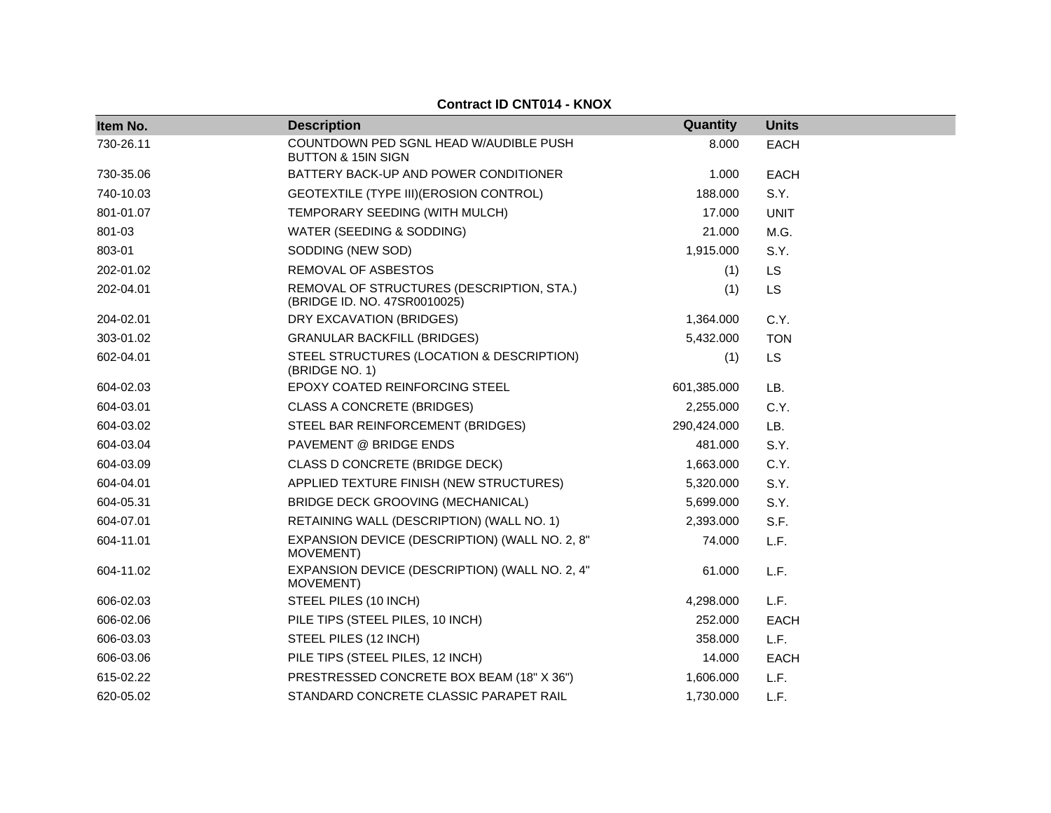#### **Item No. Description Quantity Units** EACH 730-26.11 COUNTDOWN PED SGNL HEAD W/AUDIBLE PUSH BUTTON & 15IN SIGN 8.000 EACH 730-35.06 BATTERY BACK-UP AND POWER CONDITIONER 1.000 EACH 740-10.03 GEOTEXTILE (TYPE III) (EROSION CONTROL) 188.000 S.Y. 801-01.07 TEMPORARY SEEDING (WITH MULCH) 17.000 UNIT 801-03 WATER (SEEDING & SODDING) 21.000 M.G. 803-01 SODDING (NEW SOD) 8.Y. 202-01.02 REMOVAL OF ASBESTOS (1) LS 202-04.01 REMOVAL OF STRUCTURES (DESCRIPTION, STA.) (BRIDGE ID. NO. 47SR0010025) (1) LS 204-02.01 DRY EXCAVATION (BRIDGES) 1,364.000 C.Y. 303-01.02 GRANULAR BACKFILL (BRIDGES) 5,432.000 TON 602-04.01 STEEL STRUCTURES (LOCATION & DESCRIPTION) (BRIDGE NO. 1) (1) LS 604-02.03 EPOXY COATED REINFORCING STEEL 601,385.000 LB. 604-03.01 CLASS A CONCRETE (BRIDGES) 2,255.000 C.Y. 604-03.02 STEEL BAR REINFORCEMENT (BRIDGES) 290,424.000 LB. 604-03.04 PAVEMENT @ BRIDGE ENDS 481.000 S.Y. 604-03.09 CLASS D CONCRETE (BRIDGE DECK) 1,663.000 C.Y. 604-04.01 APPLIED TEXTURE FINISH (NEW STRUCTURES) 5,320.000 S.Y. 604-05.31 BRIDGE DECK GROOVING (MECHANICAL) 5,699.000 S.Y. 604-07.01 RETAINING WALL (DESCRIPTION) (WALL NO. 1) 2,393.000 S.F. 604-11.01 EXPANSION DEVICE (DESCRIPTION) (WALL NO. 2, 8" MOVEMENT) 74.000 L.F. 604-11.02 EXPANSION DEVICE (DESCRIPTION) (WALL NO. 2, 4" MOVEMENT) 61.000 L.F. 606-02.03 STEEL PILES (10 INCH) 4,298.000 L.F. 606-02.06 PILE TIPS (STEEL PILES, 10 INCH) 252.000 EACH 606-03.03 STEEL PILES (12 INCH) 358.000 L.F. 606-03.06 PILE TIPS (STEEL PILES, 12 INCH) 14.000 EACH 615-02.22 PRESTRESSED CONCRETE BOX BEAM (18" X 36") 1,606.000 L.F.

620-05.02 STANDARD CONCRETE CLASSIC PARAPET RAIL 1,730.000 L.F.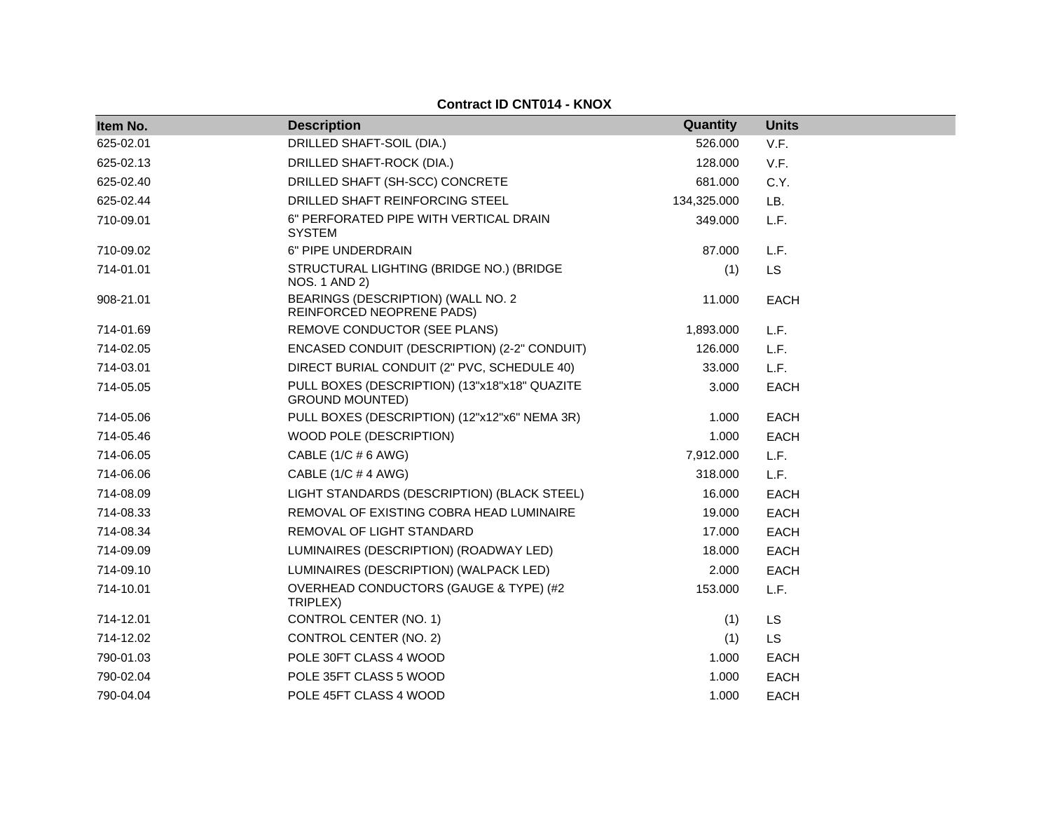| Item No.  | <b>Description</b>                                                      | Quantity    | <b>Units</b> |  |
|-----------|-------------------------------------------------------------------------|-------------|--------------|--|
| 625-02.01 | DRILLED SHAFT-SOIL (DIA.)                                               | 526.000     | V.F.         |  |
| 625-02.13 | DRILLED SHAFT-ROCK (DIA.)                                               | 128.000     | V.F.         |  |
| 625-02.40 | DRILLED SHAFT (SH-SCC) CONCRETE                                         | 681.000     | C.Y.         |  |
| 625-02.44 | DRILLED SHAFT REINFORCING STEEL                                         | 134,325.000 | LB.          |  |
| 710-09.01 | 6" PERFORATED PIPE WITH VERTICAL DRAIN<br><b>SYSTEM</b>                 | 349.000     | L.F.         |  |
| 710-09.02 | 6" PIPE UNDERDRAIN                                                      | 87.000      | L.F.         |  |
| 714-01.01 | STRUCTURAL LIGHTING (BRIDGE NO.) (BRIDGE<br>NOS. 1 AND 2)               | (1)         | <b>LS</b>    |  |
| 908-21.01 | BEARINGS (DESCRIPTION) (WALL NO. 2<br>REINFORCED NEOPRENE PADS)         | 11.000      | <b>EACH</b>  |  |
| 714-01.69 | REMOVE CONDUCTOR (SEE PLANS)                                            | 1,893.000   | L.F.         |  |
| 714-02.05 | ENCASED CONDUIT (DESCRIPTION) (2-2" CONDUIT)                            | 126.000     | L.F.         |  |
| 714-03.01 | DIRECT BURIAL CONDUIT (2" PVC, SCHEDULE 40)                             | 33.000      | L.F.         |  |
| 714-05.05 | PULL BOXES (DESCRIPTION) (13"x18"x18" QUAZITE<br><b>GROUND MOUNTED)</b> | 3.000       | <b>EACH</b>  |  |
| 714-05.06 | PULL BOXES (DESCRIPTION) (12"x12"x6" NEMA 3R)                           | 1.000       | <b>EACH</b>  |  |
| 714-05.46 | WOOD POLE (DESCRIPTION)                                                 | 1.000       | <b>EACH</b>  |  |
| 714-06.05 | CABLE (1/C # 6 AWG)                                                     | 7,912.000   | L.F.         |  |
| 714-06.06 | CABLE (1/C # 4 AWG)                                                     | 318.000     | L.F.         |  |
| 714-08.09 | LIGHT STANDARDS (DESCRIPTION) (BLACK STEEL)                             | 16.000      | <b>EACH</b>  |  |
| 714-08.33 | REMOVAL OF EXISTING COBRA HEAD LUMINAIRE                                | 19.000      | <b>EACH</b>  |  |
| 714-08.34 | REMOVAL OF LIGHT STANDARD                                               | 17.000      | <b>EACH</b>  |  |
| 714-09.09 | LUMINAIRES (DESCRIPTION) (ROADWAY LED)                                  | 18.000      | <b>EACH</b>  |  |
| 714-09.10 | LUMINAIRES (DESCRIPTION) (WALPACK LED)                                  | 2.000       | <b>EACH</b>  |  |
| 714-10.01 | OVERHEAD CONDUCTORS (GAUGE & TYPE) (#2<br>TRIPLEX)                      | 153.000     | L.F.         |  |
| 714-12.01 | CONTROL CENTER (NO. 1)                                                  | (1)         | <b>LS</b>    |  |
| 714-12.02 | CONTROL CENTER (NO. 2)                                                  | (1)         | <b>LS</b>    |  |
| 790-01.03 | POLE 30FT CLASS 4 WOOD                                                  | 1.000       | <b>EACH</b>  |  |
| 790-02.04 | POLE 35FT CLASS 5 WOOD                                                  | 1.000       | <b>EACH</b>  |  |
| 790-04.04 | POLE 45FT CLASS 4 WOOD                                                  | 1.000       | <b>EACH</b>  |  |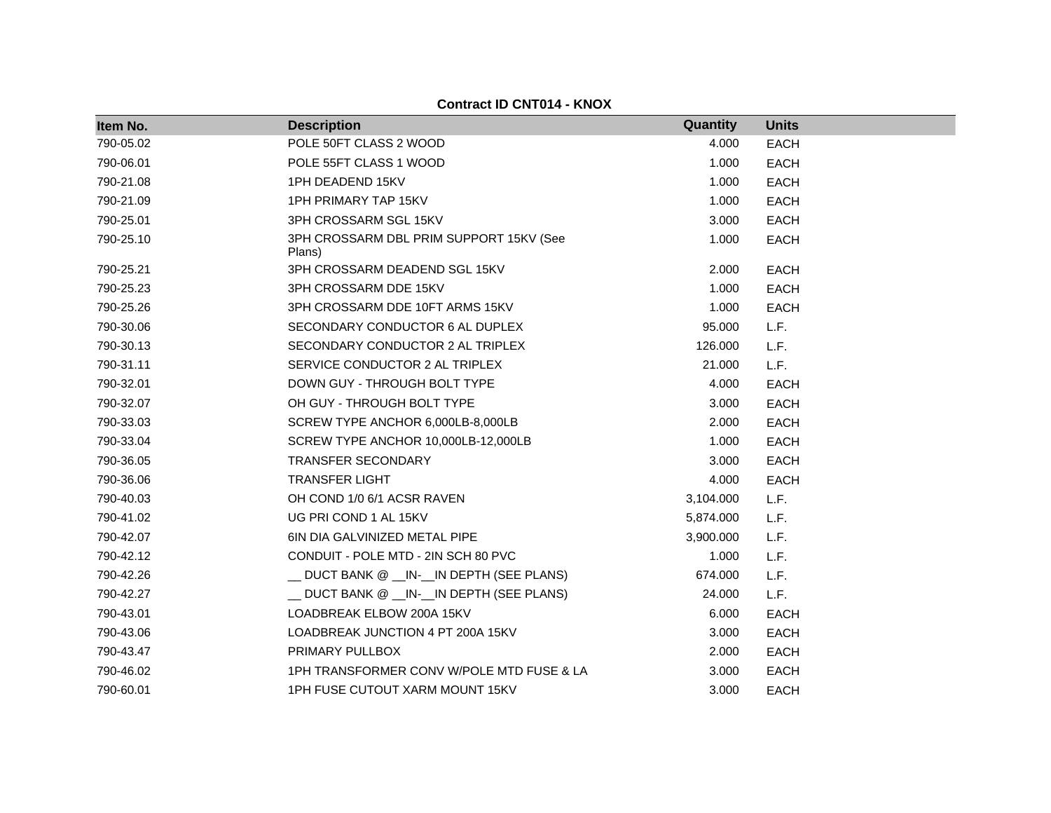| Item No.  | <b>Description</b>                                | Quantity  | <b>Units</b> |
|-----------|---------------------------------------------------|-----------|--------------|
| 790-05.02 | POLE 50FT CLASS 2 WOOD                            | 4.000     | <b>EACH</b>  |
| 790-06.01 | POLE 55FT CLASS 1 WOOD                            | 1.000     | <b>EACH</b>  |
| 790-21.08 | 1PH DEADEND 15KV                                  | 1.000     | <b>EACH</b>  |
| 790-21.09 | <b>1PH PRIMARY TAP 15KV</b>                       | 1.000     | <b>EACH</b>  |
| 790-25.01 | 3PH CROSSARM SGL 15KV                             | 3.000     | <b>EACH</b>  |
| 790-25.10 | 3PH CROSSARM DBL PRIM SUPPORT 15KV (See<br>Plans) | 1.000     | <b>EACH</b>  |
| 790-25.21 | 3PH CROSSARM DEADEND SGL 15KV                     | 2.000     | <b>EACH</b>  |
| 790-25.23 | 3PH CROSSARM DDE 15KV                             | 1.000     | <b>EACH</b>  |
| 790-25.26 | 3PH CROSSARM DDE 10FT ARMS 15KV                   | 1.000     | <b>EACH</b>  |
| 790-30.06 | SECONDARY CONDUCTOR 6 AL DUPLEX                   | 95.000    | L.F.         |
| 790-30.13 | SECONDARY CONDUCTOR 2 AL TRIPLEX                  | 126.000   | L.F.         |
| 790-31.11 | SERVICE CONDUCTOR 2 AL TRIPLEX                    | 21.000    | L.F.         |
| 790-32.01 | DOWN GUY - THROUGH BOLT TYPE                      | 4.000     | <b>EACH</b>  |
| 790-32.07 | OH GUY - THROUGH BOLT TYPE                        | 3.000     | <b>EACH</b>  |
| 790-33.03 | SCREW TYPE ANCHOR 6,000LB-8,000LB                 | 2.000     | <b>EACH</b>  |
| 790-33.04 | SCREW TYPE ANCHOR 10,000LB-12,000LB               | 1.000     | <b>EACH</b>  |
| 790-36.05 | <b>TRANSFER SECONDARY</b>                         | 3.000     | <b>EACH</b>  |
| 790-36.06 | <b>TRANSFER LIGHT</b>                             | 4.000     | <b>EACH</b>  |
| 790-40.03 | OH COND 1/0 6/1 ACSR RAVEN                        | 3,104.000 | L.F.         |
| 790-41.02 | UG PRI COND 1 AL 15KV                             | 5,874.000 | L.F.         |
| 790-42.07 | 6IN DIA GALVINIZED METAL PIPE                     | 3,900.000 | L.F.         |
| 790-42.12 | CONDUIT - POLE MTD - 2IN SCH 80 PVC               | 1.000     | L.F.         |
| 790-42.26 | __ DUCT BANK @ __IN-__IN DEPTH (SEE PLANS)        | 674.000   | L.F.         |
| 790-42.27 | _ DUCT BANK @ _IN-_IN DEPTH (SEE PLANS)           | 24.000    | L.F.         |
| 790-43.01 | LOADBREAK ELBOW 200A 15KV                         | 6.000     | <b>EACH</b>  |
| 790-43.06 | LOADBREAK JUNCTION 4 PT 200A 15KV                 | 3.000     | <b>EACH</b>  |
| 790-43.47 | PRIMARY PULLBOX                                   | 2.000     | <b>EACH</b>  |
| 790-46.02 | 1PH TRANSFORMER CONV W/POLE MTD FUSE & LA         | 3.000     | <b>EACH</b>  |
| 790-60.01 | 1PH FUSE CUTOUT XARM MOUNT 15KV                   | 3.000     | <b>EACH</b>  |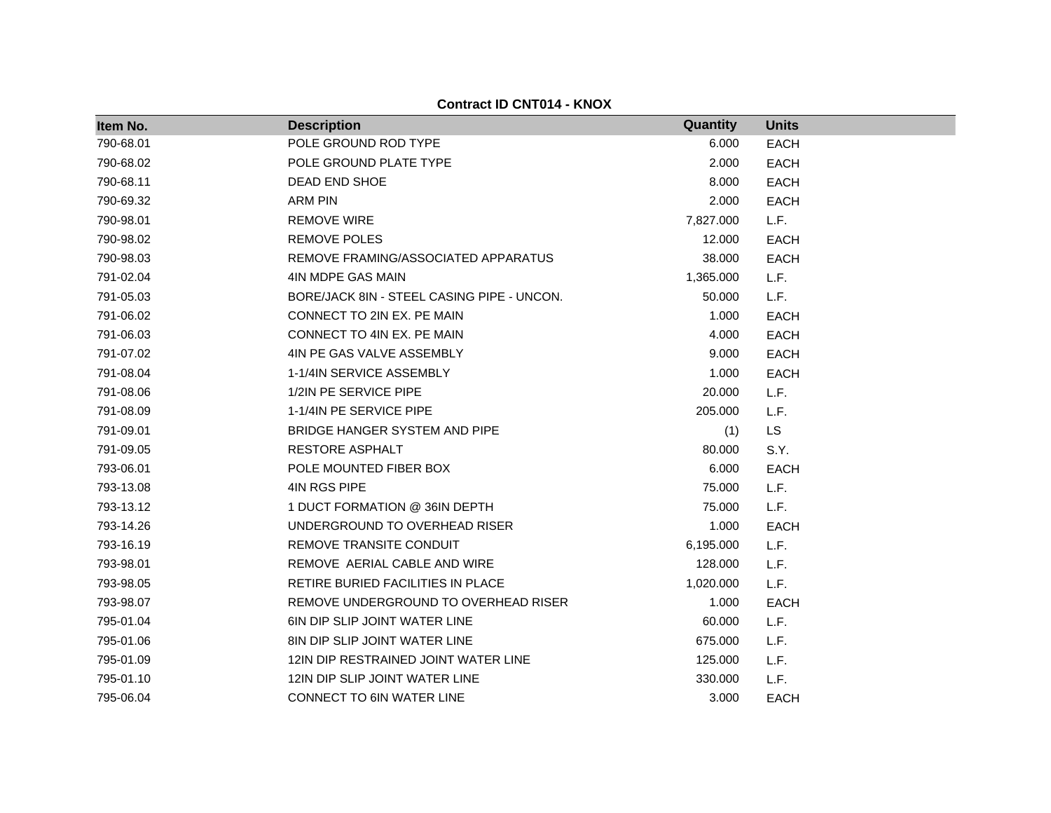| Item No.  | <b>Description</b>                         | Quantity  | <b>Units</b> |
|-----------|--------------------------------------------|-----------|--------------|
| 790-68.01 | POLE GROUND ROD TYPE                       | 6.000     | <b>EACH</b>  |
| 790-68.02 | POLE GROUND PLATE TYPE                     | 2.000     | <b>EACH</b>  |
| 790-68.11 | DEAD END SHOE                              | 8.000     | <b>EACH</b>  |
| 790-69.32 | <b>ARM PIN</b>                             | 2.000     | <b>EACH</b>  |
| 790-98.01 | <b>REMOVE WIRE</b>                         | 7,827.000 | L.F.         |
| 790-98.02 | <b>REMOVE POLES</b>                        | 12.000    | <b>EACH</b>  |
| 790-98.03 | REMOVE FRAMING/ASSOCIATED APPARATUS        | 38.000    | <b>EACH</b>  |
| 791-02.04 | 4IN MDPE GAS MAIN                          | 1,365.000 | L.F.         |
| 791-05.03 | BORE/JACK 8IN - STEEL CASING PIPE - UNCON. | 50.000    | L.F.         |
| 791-06.02 | CONNECT TO 2IN EX. PE MAIN                 | 1.000     | <b>EACH</b>  |
| 791-06.03 | CONNECT TO 4IN EX. PE MAIN                 | 4.000     | <b>EACH</b>  |
| 791-07.02 | 4IN PE GAS VALVE ASSEMBLY                  | 9.000     | <b>EACH</b>  |
| 791-08.04 | 1-1/4IN SERVICE ASSEMBLY                   | 1.000     | <b>EACH</b>  |
| 791-08.06 | 1/2IN PE SERVICE PIPE                      | 20.000    | L.F.         |
| 791-08.09 | 1-1/4IN PE SERVICE PIPE                    | 205.000   | L.F.         |
| 791-09.01 | BRIDGE HANGER SYSTEM AND PIPE              | (1)       | <b>LS</b>    |
| 791-09.05 | <b>RESTORE ASPHALT</b>                     | 80,000    | S.Y.         |
| 793-06.01 | POLE MOUNTED FIBER BOX                     | 6.000     | <b>EACH</b>  |
| 793-13.08 | 4IN RGS PIPE                               | 75.000    | L.F.         |
| 793-13.12 | 1 DUCT FORMATION @ 36IN DEPTH              | 75.000    | L.F.         |
| 793-14.26 | UNDERGROUND TO OVERHEAD RISER              | 1.000     | <b>EACH</b>  |
| 793-16.19 | REMOVE TRANSITE CONDUIT                    | 6,195.000 | L.F.         |
| 793-98.01 | REMOVE AERIAL CABLE AND WIRE               | 128.000   | L.F.         |
| 793-98.05 | RETIRE BURIED FACILITIES IN PLACE          | 1,020.000 | L.F.         |
| 793-98.07 | REMOVE UNDERGROUND TO OVERHEAD RISER       | 1.000     | <b>EACH</b>  |
| 795-01.04 | <b>6IN DIP SLIP JOINT WATER LINE</b>       | 60.000    | L.F.         |
| 795-01.06 | 8IN DIP SLIP JOINT WATER LINE              | 675.000   | L.F.         |
| 795-01.09 | 12IN DIP RESTRAINED JOINT WATER LINE       | 125.000   | L.F.         |
| 795-01.10 | 12IN DIP SLIP JOINT WATER LINE             | 330.000   | L.F.         |
| 795-06.04 | CONNECT TO 6IN WATER LINE                  | 3.000     | <b>EACH</b>  |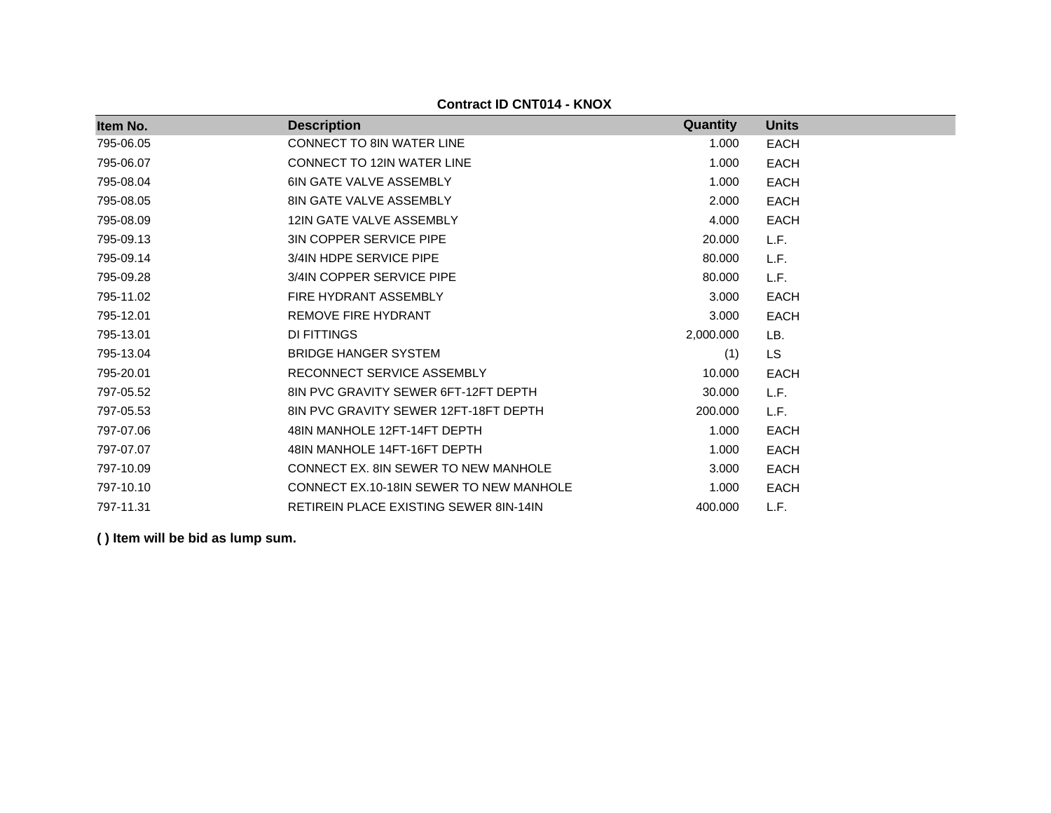| Item No.  | <b>Description</b>                            | <b>Quantity</b> | <b>Units</b> |
|-----------|-----------------------------------------------|-----------------|--------------|
| 795-06.05 | <b>CONNECT TO 8IN WATER LINE</b>              | 1.000           | <b>EACH</b>  |
| 795-06.07 | <b>CONNECT TO 12IN WATER LINE</b>             | 1.000           | <b>EACH</b>  |
| 795-08.04 | <b>6IN GATE VALVE ASSEMBLY</b>                | 1.000           | <b>EACH</b>  |
| 795-08.05 | <b>8IN GATE VALVE ASSEMBLY</b>                | 2.000           | <b>EACH</b>  |
| 795-08.09 | 12IN GATE VALVE ASSEMBLY                      | 4.000           | <b>EACH</b>  |
| 795-09.13 | <b>3IN COPPER SERVICE PIPE</b>                | 20.000          | L.F.         |
| 795-09.14 | 3/4IN HDPE SERVICE PIPE                       | 80,000          | L.F.         |
| 795-09.28 | 3/4IN COPPER SERVICE PIPE                     | 80,000          | L.F.         |
| 795-11.02 | FIRE HYDRANT ASSEMBLY                         | 3.000           | <b>EACH</b>  |
| 795-12.01 | <b>REMOVE FIRE HYDRANT</b>                    | 3.000           | <b>EACH</b>  |
| 795-13.01 | DI FITTINGS                                   | 2,000.000       | LB.          |
| 795-13.04 | <b>BRIDGE HANGER SYSTEM</b>                   | (1)             | <b>LS</b>    |
| 795-20.01 | RECONNECT SERVICE ASSEMBLY                    | 10.000          | <b>EACH</b>  |
| 797-05.52 | 8IN PVC GRAVITY SEWER 6FT-12FT DEPTH          | 30,000          | L.F.         |
| 797-05.53 | 8IN PVC GRAVITY SEWER 12FT-18FT DEPTH         | 200.000         | L.F.         |
| 797-07.06 | 48IN MANHOLE 12FT-14FT DEPTH                  | 1.000           | <b>EACH</b>  |
| 797-07.07 | 48IN MANHOLE 14FT-16FT DEPTH                  | 1.000           | <b>EACH</b>  |
| 797-10.09 | CONNECT EX. 8IN SEWER TO NEW MANHOLE          | 3.000           | <b>EACH</b>  |
| 797-10.10 | CONNECT EX.10-18IN SEWER TO NEW MANHOLE       | 1.000           | <b>EACH</b>  |
| 797-11.31 | <b>RETIREIN PLACE EXISTING SEWER 8IN-14IN</b> | 400.000         | L.F.         |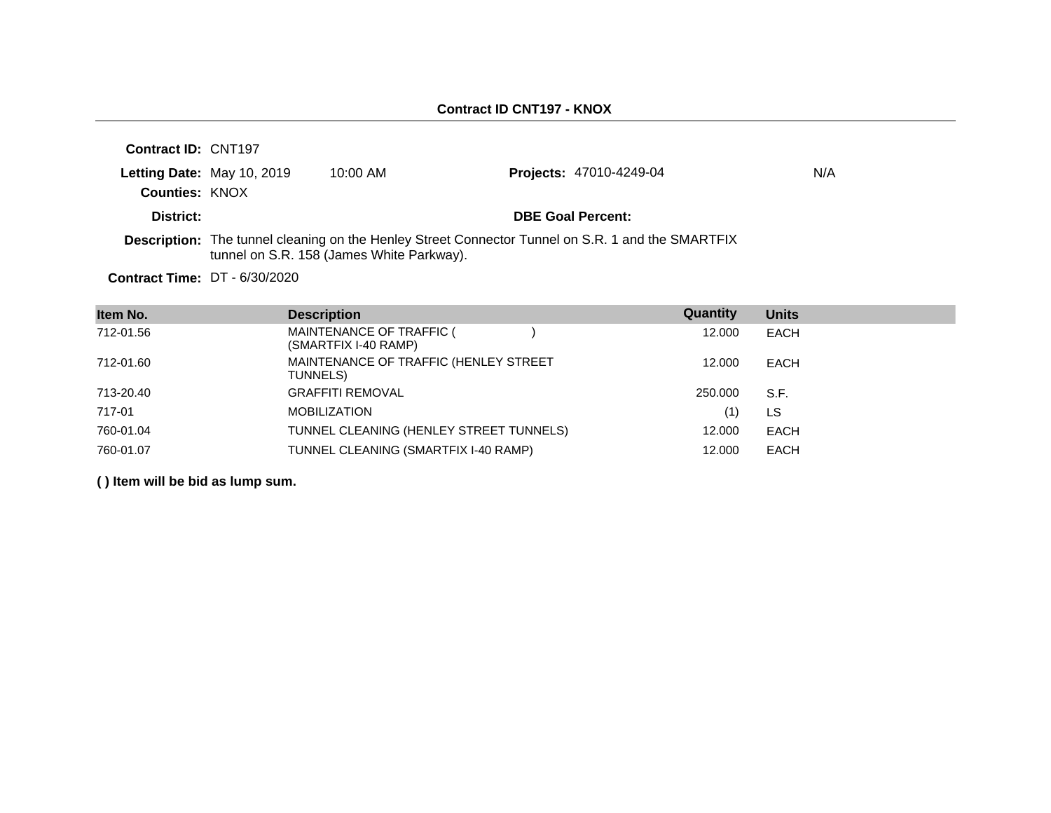| Contract ID: CNT197             |                            |                                           |                                                                                                          |     |
|---------------------------------|----------------------------|-------------------------------------------|----------------------------------------------------------------------------------------------------------|-----|
|                                 | Letting Date: May 10, 2019 | $10:00$ AM                                | <b>Projects: 47010-4249-04</b>                                                                           | N/A |
| <b>Counties: KNOX</b>           |                            |                                           |                                                                                                          |     |
| District:                       |                            |                                           | <b>DBE Goal Percent:</b>                                                                                 |     |
|                                 |                            | tunnel on S.R. 158 (James White Parkway). | <b>Description:</b> The tunnel cleaning on the Henley Street Connector Tunnel on S.R. 1 and the SMARTFIX |     |
| Contract Time: $DT - 6/30/2020$ |                            |                                           |                                                                                                          |     |

| Item No.  | <b>Description</b>                                | Quantity | <b>Units</b> |
|-----------|---------------------------------------------------|----------|--------------|
| 712-01.56 | MAINTENANCE OF TRAFFIC (<br>(SMARTFIX I-40 RAMP)  | 12.000   | EACH         |
| 712-01.60 | MAINTENANCE OF TRAFFIC (HENLEY STREET<br>TUNNELS) | 12.000   | EACH         |
| 713-20.40 | <b>GRAFFITI REMOVAL</b>                           | 250,000  | S.F.         |
| 717-01    | <b>MOBILIZATION</b>                               | (1)      | LS           |
| 760-01.04 | TUNNEL CLEANING (HENLEY STREET TUNNELS)           | 12,000   | <b>EACH</b>  |
| 760-01.07 | TUNNEL CLEANING (SMARTFIX I-40 RAMP)              | 12.000   | <b>EACH</b>  |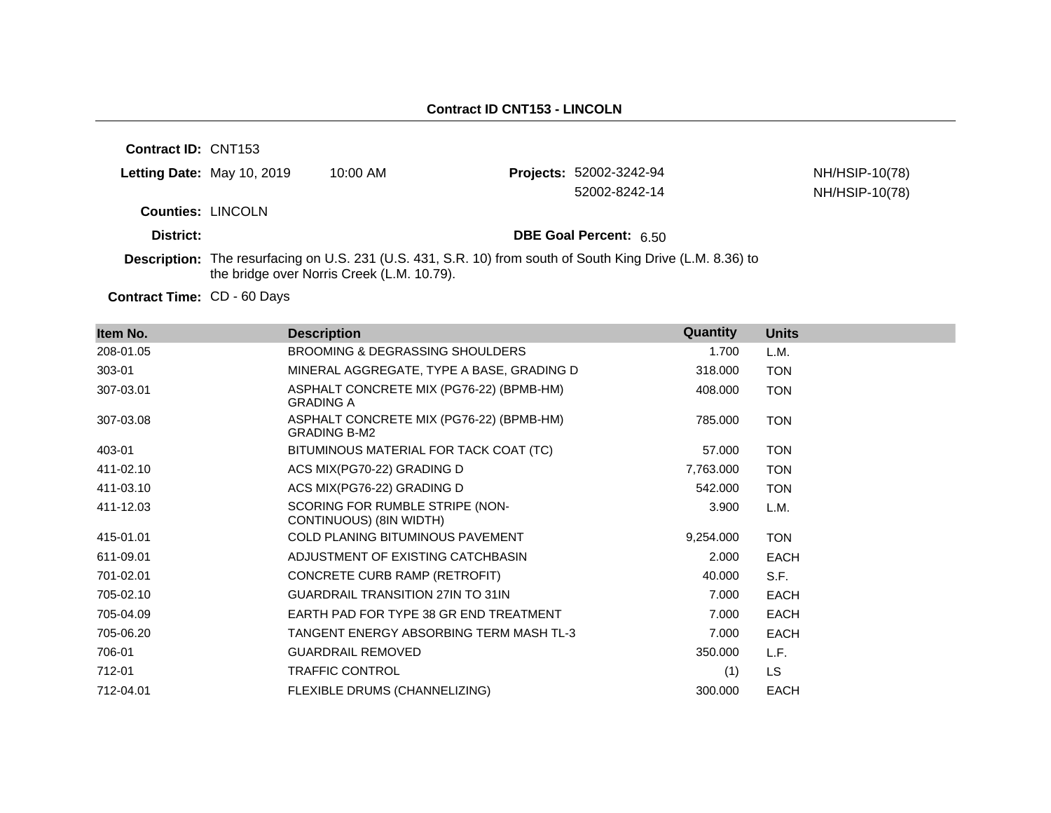**Contract ID:** CNT153

| Letting Date: May 10, 2019 | 10:00 AM | <b>Projects: 52002-3242-94</b> | NH/HSIP-10(78) |
|----------------------------|----------|--------------------------------|----------------|
|                            |          | 52002-8242-14                  | NH/HSIP-10(78) |
| <b>Counties: LINCOLN</b>   |          |                                |                |
| District:                  |          | <b>DBE Goal Percent: 6.50</b>  |                |

**Description:** The resurfacing on U.S. 231 (U.S. 431, S.R. 10) from south of South King Drive (L.M. 8.36) to the bridge over Norris Creek (L.M. 10.79).

Contract Time: CD - 60 Days

| Item No.  | <b>Description</b>                                              | Quantity  | <b>Units</b> |
|-----------|-----------------------------------------------------------------|-----------|--------------|
| 208-01.05 | BROOMING & DEGRASSING SHOULDERS                                 | 1.700     | L.M.         |
| 303-01    | MINERAL AGGREGATE, TYPE A BASE, GRADING D                       | 318.000   | <b>TON</b>   |
| 307-03.01 | ASPHALT CONCRETE MIX (PG76-22) (BPMB-HM)<br><b>GRADING A</b>    | 408.000   | <b>TON</b>   |
| 307-03.08 | ASPHALT CONCRETE MIX (PG76-22) (BPMB-HM)<br><b>GRADING B-M2</b> | 785.000   | <b>TON</b>   |
| 403-01    | BITUMINOUS MATERIAL FOR TACK COAT (TC)                          | 57.000    | <b>TON</b>   |
| 411-02.10 | ACS MIX(PG70-22) GRADING D                                      | 7,763.000 | <b>TON</b>   |
| 411-03.10 | ACS MIX(PG76-22) GRADING D                                      | 542.000   | <b>TON</b>   |
| 411-12.03 | SCORING FOR RUMBLE STRIPE (NON-<br>CONTINUOUS) (8IN WIDTH)      | 3.900     | L.M.         |
| 415-01.01 | <b>COLD PLANING BITUMINOUS PAVEMENT</b>                         | 9,254.000 | <b>TON</b>   |
| 611-09.01 | ADJUSTMENT OF EXISTING CATCHBASIN                               | 2.000     | <b>EACH</b>  |
| 701-02.01 | CONCRETE CURB RAMP (RETROFIT)                                   | 40.000    | S.F.         |
| 705-02.10 | <b>GUARDRAIL TRANSITION 27IN TO 31IN</b>                        | 7.000     | EACH         |
| 705-04.09 | EARTH PAD FOR TYPE 38 GR END TREATMENT                          | 7.000     | <b>EACH</b>  |
| 705-06.20 | TANGENT ENERGY ABSORBING TERM MASH TL-3                         | 7.000     | <b>EACH</b>  |
| 706-01    | <b>GUARDRAIL REMOVED</b>                                        | 350.000   | L.F.         |
| 712-01    | <b>TRAFFIC CONTROL</b>                                          | (1)       | LS.          |
| 712-04.01 | FLEXIBLE DRUMS (CHANNELIZING)                                   | 300.000   | <b>EACH</b>  |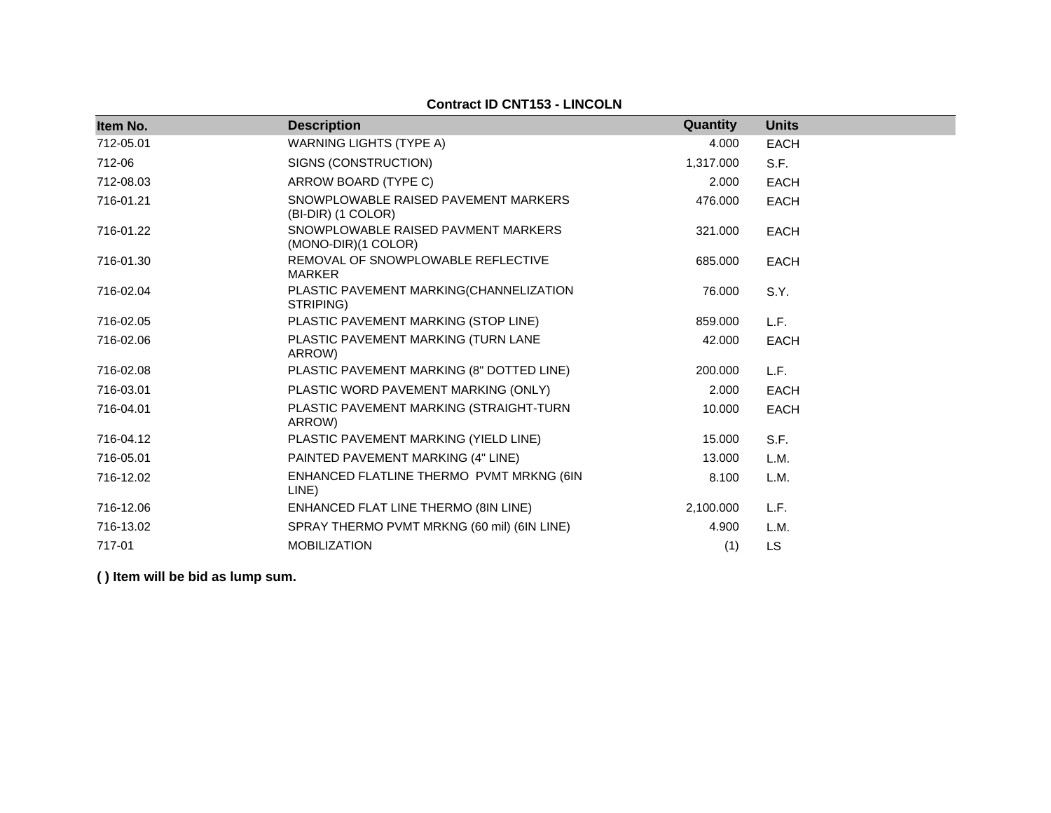**Contract ID CNT153 - LINCOLN**

| Item No.  | <b>Description</b>                                         | Quantity  | <b>Units</b> |
|-----------|------------------------------------------------------------|-----------|--------------|
| 712-05.01 | <b>WARNING LIGHTS (TYPE A)</b>                             | 4.000     | <b>EACH</b>  |
| 712-06    | SIGNS (CONSTRUCTION)                                       | 1,317.000 | S.F.         |
| 712-08.03 | ARROW BOARD (TYPE C)                                       | 2.000     | <b>EACH</b>  |
| 716-01.21 | SNOWPLOWABLE RAISED PAVEMENT MARKERS<br>(BI-DIR) (1 COLOR) | 476.000   | <b>EACH</b>  |
| 716-01.22 | SNOWPLOWABLE RAISED PAVMENT MARKERS<br>(MONO-DIR)(1 COLOR) | 321.000   | <b>EACH</b>  |
| 716-01.30 | REMOVAL OF SNOWPLOWABLE REFLECTIVE<br><b>MARKER</b>        | 685.000   | <b>EACH</b>  |
| 716-02.04 | PLASTIC PAVEMENT MARKING(CHANNELIZATION<br>STRIPING)       | 76.000    | S.Y.         |
| 716-02.05 | PLASTIC PAVEMENT MARKING (STOP LINE)                       | 859.000   | L.F.         |
| 716-02.06 | PLASTIC PAVEMENT MARKING (TURN LANE<br>ARROW)              | 42,000    | <b>EACH</b>  |
| 716-02.08 | PLASTIC PAVEMENT MARKING (8" DOTTED LINE)                  | 200,000   | L.F.         |
| 716-03.01 | PLASTIC WORD PAVEMENT MARKING (ONLY)                       | 2.000     | <b>EACH</b>  |
| 716-04.01 | PLASTIC PAVEMENT MARKING (STRAIGHT-TURN<br>ARROW)          | 10.000    | <b>EACH</b>  |
| 716-04.12 | PLASTIC PAVEMENT MARKING (YIELD LINE)                      | 15.000    | S.F.         |
| 716-05.01 | PAINTED PAVEMENT MARKING (4" LINE)                         | 13.000    | L.M.         |
| 716-12.02 | ENHANCED FLATLINE THERMO PVMT MRKNG (6IN<br>LINE)          | 8.100     | L.M.         |
| 716-12.06 | ENHANCED FLAT LINE THERMO (8IN LINE)                       | 2,100.000 | L.F.         |
| 716-13.02 | SPRAY THERMO PVMT MRKNG (60 mil) (6IN LINE)                | 4.900     | L.M.         |
| 717-01    | <b>MOBILIZATION</b>                                        | (1)       | LS           |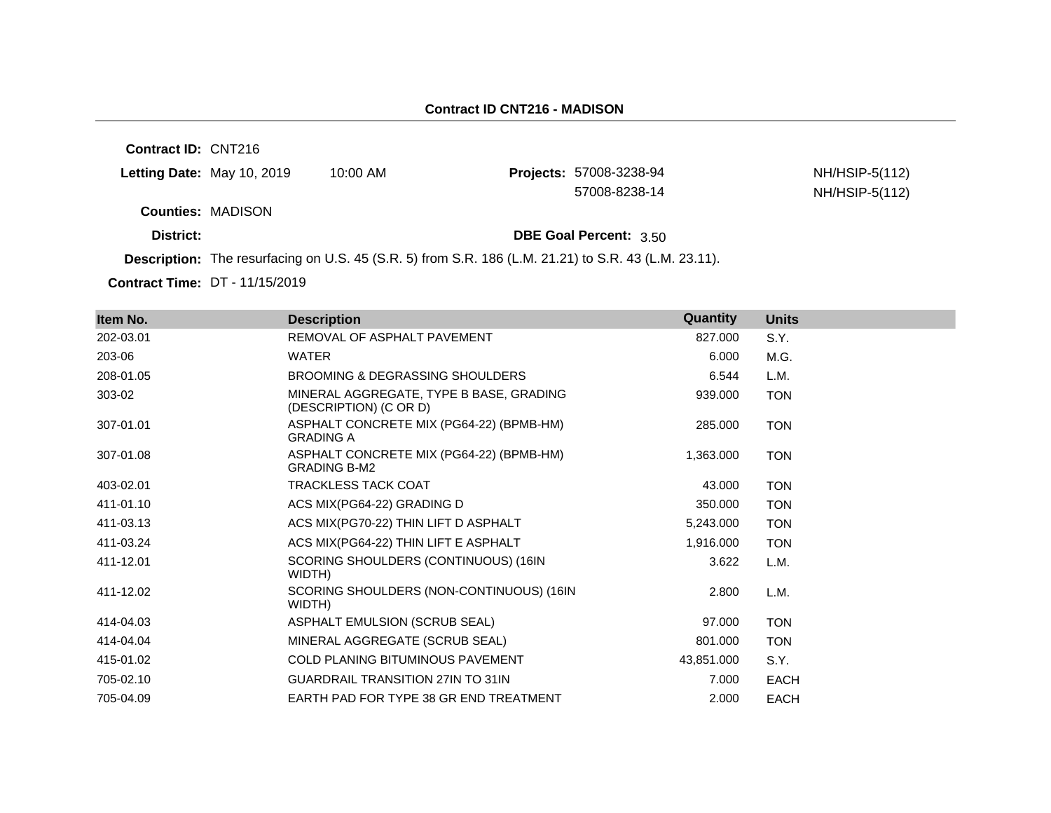#### **Contract ID CNT216 - MADISON**

**Contract ID:** CNT216

|           | Letting Date: May 10, 2019 | 10:00 AM                                                                                              | <b>Projects: 57008-3238-94</b> | NH/HSIP-5(112) |
|-----------|----------------------------|-------------------------------------------------------------------------------------------------------|--------------------------------|----------------|
|           |                            |                                                                                                       | 57008-8238-14                  | NH/HSIP-5(112) |
|           | <b>Counties: MADISON</b>   |                                                                                                       |                                |                |
| District: |                            |                                                                                                       | <b>DBE Goal Percent: 3.50</b>  |                |
|           |                            | <b>Description:</b> The requireding on LLC, $AE/CDE$ from CD, 400 (LM, 04, 04) to CD, 40 (LM, 00, 44) |                                |                |

**Description:** The resurfacing on U.S. 45 (S.R. 5) from S.R. 186 (L.M. 21.21) to S.R. 43 (L.M. 23.11).

**Contract Time:** DT - 11/15/2019

| Item No.  | <b>Description</b>                                                | Quantity   | <b>Units</b> |
|-----------|-------------------------------------------------------------------|------------|--------------|
| 202-03.01 | REMOVAL OF ASPHALT PAVEMENT                                       | 827.000    | S.Y.         |
| 203-06    | <b>WATER</b>                                                      | 6.000      | M.G.         |
| 208-01.05 | BROOMING & DEGRASSING SHOULDERS                                   | 6.544      | L.M.         |
| 303-02    | MINERAL AGGREGATE, TYPE B BASE, GRADING<br>(DESCRIPTION) (C OR D) | 939.000    | <b>TON</b>   |
| 307-01.01 | ASPHALT CONCRETE MIX (PG64-22) (BPMB-HM)<br><b>GRADING A</b>      | 285,000    | <b>TON</b>   |
| 307-01.08 | ASPHALT CONCRETE MIX (PG64-22) (BPMB-HM)<br><b>GRADING B-M2</b>   | 1,363.000  | <b>TON</b>   |
| 403-02.01 | <b>TRACKLESS TACK COAT</b>                                        | 43.000     | <b>TON</b>   |
| 411-01.10 | ACS MIX(PG64-22) GRADING D                                        | 350.000    | <b>TON</b>   |
| 411-03.13 | ACS MIX(PG70-22) THIN LIFT D ASPHALT                              | 5,243.000  | <b>TON</b>   |
| 411-03.24 | ACS MIX(PG64-22) THIN LIFT E ASPHALT                              | 1,916.000  | <b>TON</b>   |
| 411-12.01 | SCORING SHOULDERS (CONTINUOUS) (16IN<br>WIDTH)                    | 3.622      | L.M.         |
| 411-12.02 | SCORING SHOULDERS (NON-CONTINUOUS) (16IN<br>WIDTH)                | 2.800      | L.M.         |
| 414-04.03 | ASPHALT EMULSION (SCRUB SEAL)                                     | 97.000     | <b>TON</b>   |
| 414-04.04 | MINERAL AGGREGATE (SCRUB SEAL)                                    | 801.000    | <b>TON</b>   |
| 415-01.02 | <b>COLD PLANING BITUMINOUS PAVEMENT</b>                           | 43,851.000 | S.Y.         |
| 705-02.10 | <b>GUARDRAIL TRANSITION 27IN TO 31IN</b>                          | 7.000      | <b>EACH</b>  |
| 705-04.09 | EARTH PAD FOR TYPE 38 GR END TREATMENT                            | 2.000      | EACH         |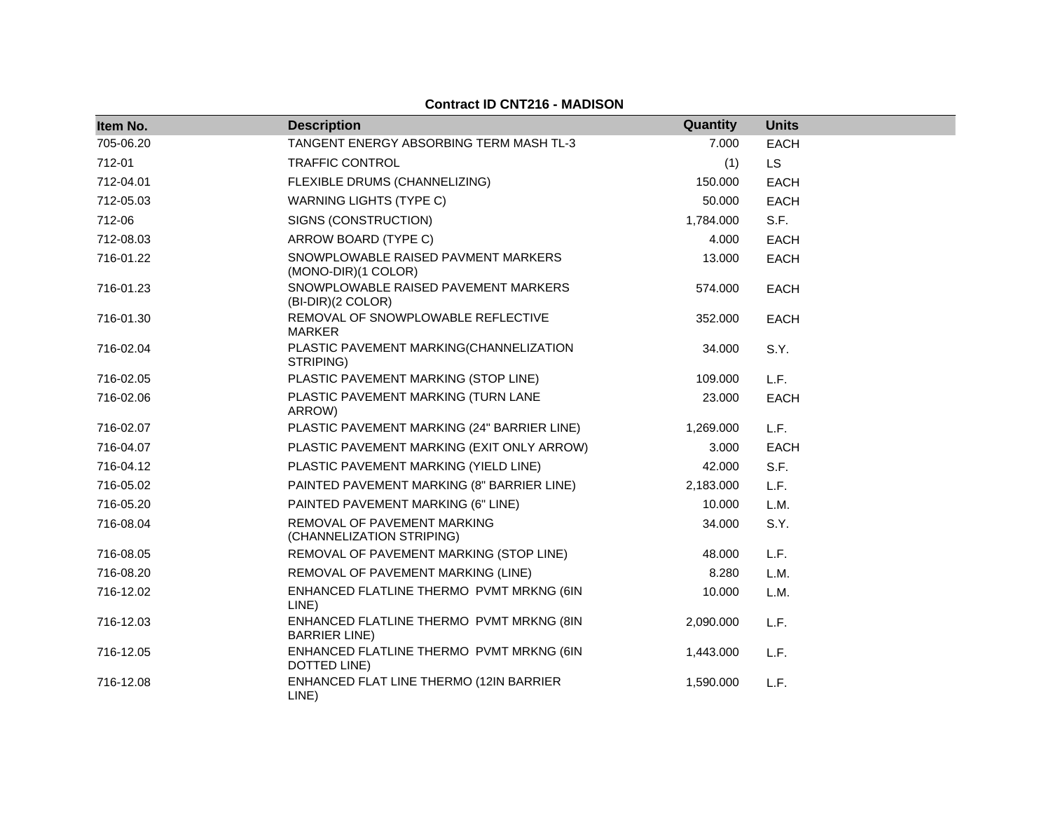## **Contract ID CNT216 - MADISON**

| Item No.  | <b>Description</b>                                                | Quantity  | <b>Units</b> |
|-----------|-------------------------------------------------------------------|-----------|--------------|
| 705-06.20 | TANGENT ENERGY ABSORBING TERM MASH TL-3                           | 7.000     | <b>EACH</b>  |
| 712-01    | <b>TRAFFIC CONTROL</b>                                            | (1)       | <b>LS</b>    |
| 712-04.01 | FLEXIBLE DRUMS (CHANNELIZING)                                     | 150.000   | <b>EACH</b>  |
| 712-05.03 | <b>WARNING LIGHTS (TYPE C)</b>                                    | 50.000    | <b>EACH</b>  |
| 712-06    | SIGNS (CONSTRUCTION)                                              | 1,784.000 | S.F.         |
| 712-08.03 | ARROW BOARD (TYPE C)                                              | 4.000     | <b>EACH</b>  |
| 716-01.22 | SNOWPLOWABLE RAISED PAVMENT MARKERS<br>(MONO-DIR)(1 COLOR)        | 13.000    | <b>EACH</b>  |
| 716-01.23 | SNOWPLOWABLE RAISED PAVEMENT MARKERS<br>(BI-DIR)(2 COLOR)         | 574.000   | <b>EACH</b>  |
| 716-01.30 | REMOVAL OF SNOWPLOWABLE REFLECTIVE<br><b>MARKER</b>               | 352.000   | <b>EACH</b>  |
| 716-02.04 | PLASTIC PAVEMENT MARKING(CHANNELIZATION<br>STRIPING)              | 34.000    | S.Y.         |
| 716-02.05 | PLASTIC PAVEMENT MARKING (STOP LINE)                              | 109.000   | L.F.         |
| 716-02.06 | PLASTIC PAVEMENT MARKING (TURN LANE<br>ARROW)                     | 23.000    | <b>EACH</b>  |
| 716-02.07 | PLASTIC PAVEMENT MARKING (24" BARRIER LINE)                       | 1,269.000 | L.F.         |
| 716-04.07 | PLASTIC PAVEMENT MARKING (EXIT ONLY ARROW)                        | 3.000     | <b>EACH</b>  |
| 716-04.12 | PLASTIC PAVEMENT MARKING (YIELD LINE)                             | 42.000    | S.F.         |
| 716-05.02 | PAINTED PAVEMENT MARKING (8" BARRIER LINE)                        | 2,183.000 | L.F.         |
| 716-05.20 | PAINTED PAVEMENT MARKING (6" LINE)                                | 10.000    | L.M.         |
| 716-08.04 | REMOVAL OF PAVEMENT MARKING<br>(CHANNELIZATION STRIPING)          | 34.000    | S.Y.         |
| 716-08.05 | REMOVAL OF PAVEMENT MARKING (STOP LINE)                           | 48.000    | L.F.         |
| 716-08.20 | REMOVAL OF PAVEMENT MARKING (LINE)                                | 8.280     | L.M.         |
| 716-12.02 | ENHANCED FLATLINE THERMO PVMT MRKNG (6IN<br>LINE)                 | 10.000    | L.M.         |
| 716-12.03 | ENHANCED FLATLINE THERMO PVMT MRKNG (8IN<br><b>BARRIER LINE</b> ) | 2,090.000 | L.F.         |
| 716-12.05 | ENHANCED FLATLINE THERMO PVMT MRKNG (6IN<br>DOTTED LINE)          | 1,443.000 | L.F.         |
| 716-12.08 | ENHANCED FLAT LINE THERMO (12IN BARRIER<br>LINE)                  | 1,590.000 | L.F.         |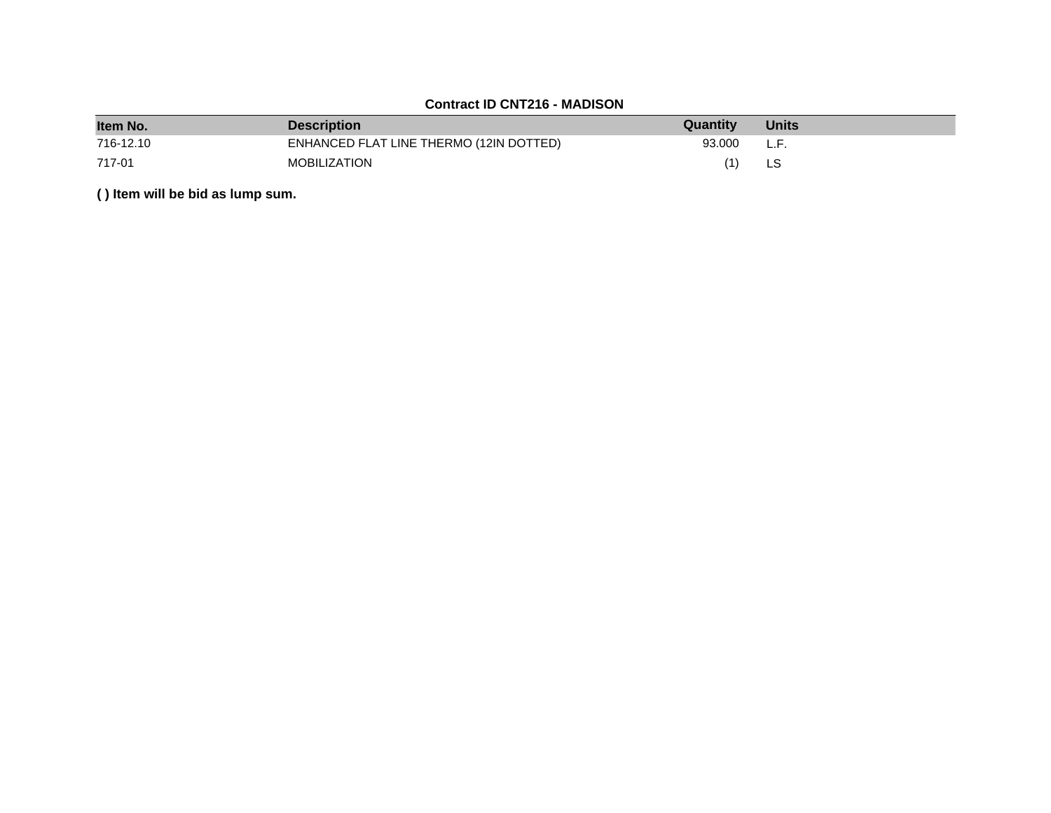# **Contract ID CNT216 - MADISON**

| Item No.  | <b>Description</b>                      | Quantity | <b>Units</b> |
|-----------|-----------------------------------------|----------|--------------|
| 716-12.10 | ENHANCED FLAT LINE THERMO (12IN DOTTED) | 93.000   | L.F.         |
| 717-01    | MOBILIZATION                            | (1)      |              |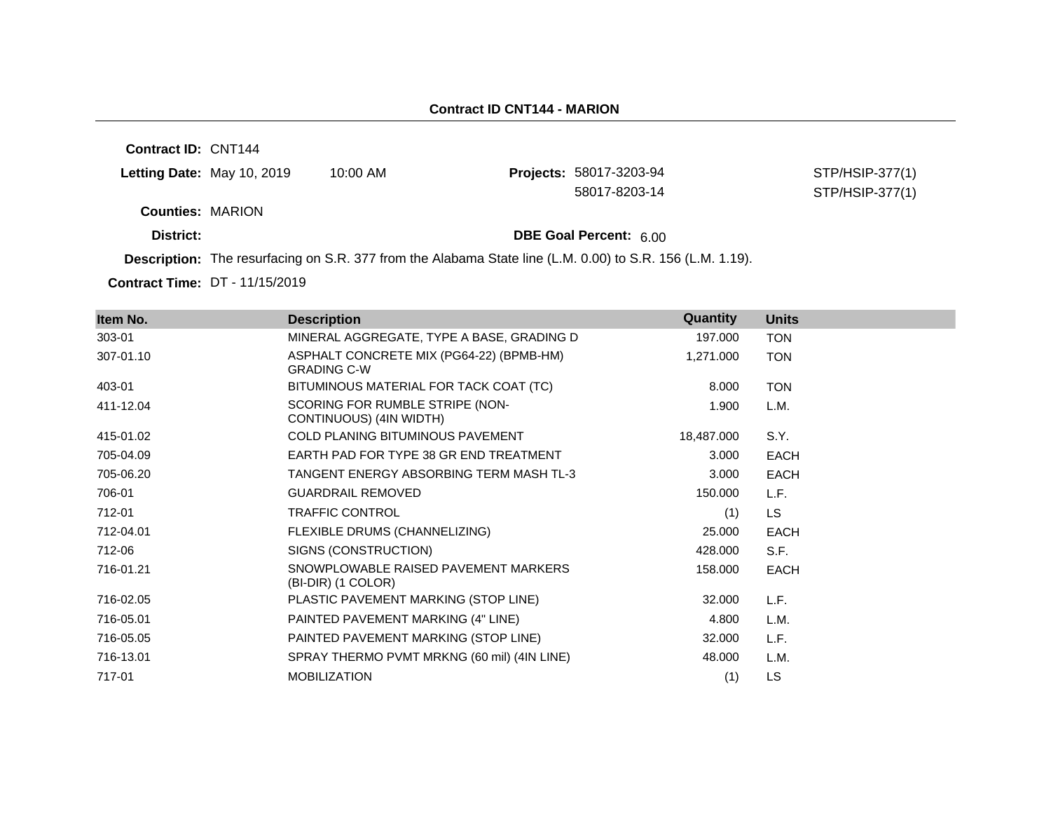**Contract ID:** CNT144

| <b>Letting Date:</b> May 10, 2019 | 10:00 AM | <b>Projects: 58017-3203-94</b> |
|-----------------------------------|----------|--------------------------------|
|                                   |          | 58017-8203-14                  |

STP/HSIP-377(1) STP/HSIP-377(1)

**Counties:** MARION

**District: District: DBE Goal Percent:** 6.00

**Description:** The resurfacing on S.R. 377 from the Alabama State line (L.M. 0.00) to S.R. 156 (L.M. 1.19).

**Contract Time:** DT - 11/15/2019

| Item No.  | <b>Description</b>                                             | Quantity   | <b>Units</b> |
|-----------|----------------------------------------------------------------|------------|--------------|
| 303-01    | MINERAL AGGREGATE, TYPE A BASE, GRADING D                      | 197.000    | <b>TON</b>   |
| 307-01.10 | ASPHALT CONCRETE MIX (PG64-22) (BPMB-HM)<br><b>GRADING C-W</b> | 1,271.000  | <b>TON</b>   |
| 403-01    | BITUMINOUS MATERIAL FOR TACK COAT (TC)                         | 8.000      | <b>TON</b>   |
| 411-12.04 | SCORING FOR RUMBLE STRIPE (NON-<br>CONTINUOUS) (4IN WIDTH)     | 1.900      | L.M.         |
| 415-01.02 | COLD PLANING BITUMINOUS PAVEMENT                               | 18,487.000 | S.Y.         |
| 705-04.09 | EARTH PAD FOR TYPE 38 GR END TREATMENT                         | 3.000      | EACH         |
| 705-06.20 | TANGENT ENERGY ABSORBING TERM MASH TL-3                        | 3.000      | EACH         |
| 706-01    | <b>GUARDRAIL REMOVED</b>                                       | 150.000    | L.F.         |
| 712-01    | <b>TRAFFIC CONTROL</b>                                         | (1)        | LS.          |
| 712-04.01 | FLEXIBLE DRUMS (CHANNELIZING)                                  | 25.000     | EACH         |
| 712-06    | SIGNS (CONSTRUCTION)                                           | 428,000    | S.F.         |
| 716-01.21 | SNOWPLOWABLE RAISED PAVEMENT MARKERS<br>(BI-DIR) (1 COLOR)     | 158.000    | EACH         |
| 716-02.05 | PLASTIC PAVEMENT MARKING (STOP LINE)                           | 32.000     | L.F.         |
| 716-05.01 | PAINTED PAVEMENT MARKING (4" LINE)                             | 4.800      | L.M.         |
| 716-05.05 | PAINTED PAVEMENT MARKING (STOP LINE)                           | 32.000     | L.F.         |
| 716-13.01 | SPRAY THERMO PVMT MRKNG (60 mil) (4IN LINE)                    | 48.000     | L.M.         |
| 717-01    | <b>MOBILIZATION</b>                                            | (1)        | LS.          |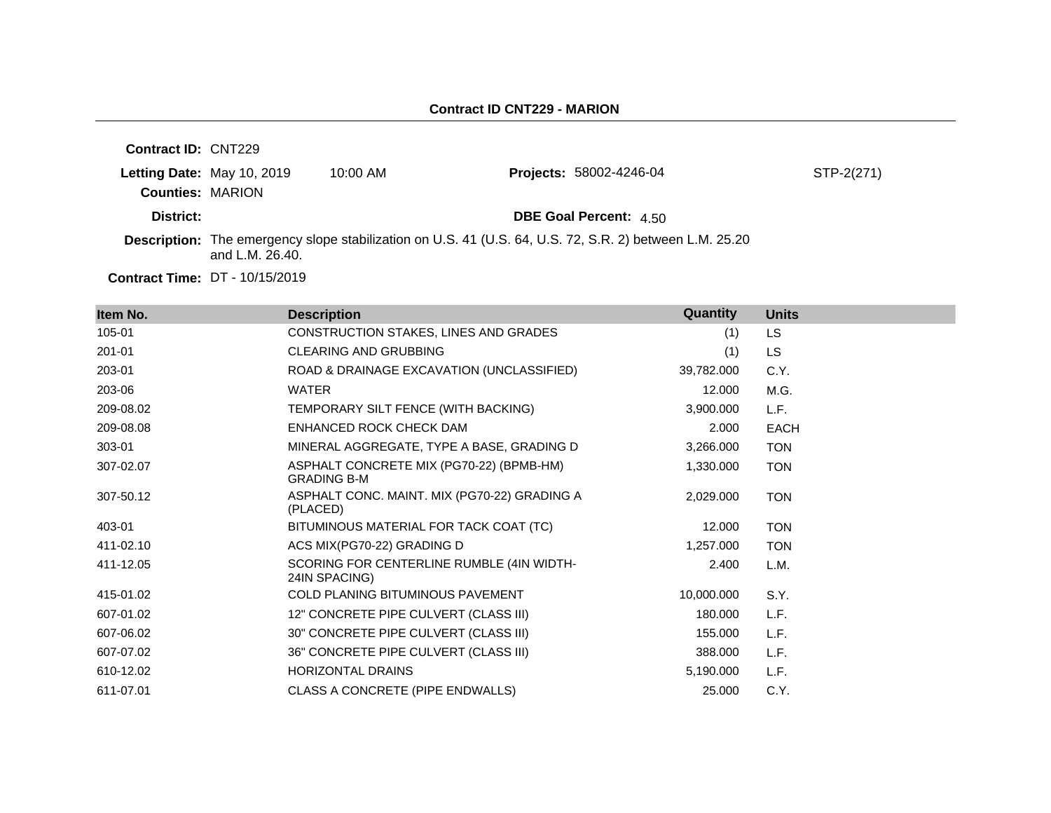| <b>Contract ID: CNT229</b> |                                       |            |                                                                                                                |            |
|----------------------------|---------------------------------------|------------|----------------------------------------------------------------------------------------------------------------|------------|
|                            | Letting Date: May 10, 2019            | $10:00$ AM | <b>Projects: 58002-4246-04</b>                                                                                 | STP-2(271) |
| <b>Counties: MARION</b>    |                                       |            |                                                                                                                |            |
| District:                  |                                       |            | <b>DBE Goal Percent: 4.50</b>                                                                                  |            |
|                            | and L.M. $26.40$ .                    |            | <b>Description:</b> The emergency slope stabilization on U.S. 41 (U.S. 64, U.S. 72, S.R. 2) between L.M. 25.20 |            |
|                            | <b>Contract Time: DT - 10/15/2019</b> |            |                                                                                                                |            |

**Item No. Description Quantity Units** 105-01 CONSTRUCTION STAKES, LINES AND GRADES (1) LS 201-01 CLEARING AND GRUBBING (1) LS 203-01 ROAD & DRAINAGE EXCAVATION (UNCLASSIFIED) 39,782.000 C.Y. 203-06 WATER 12.000 M.G. 209-08.02 TEMPORARY SILT FENCE (WITH BACKING) 3,900.000 L.F. 209-08.08 ENHANCED ROCK CHECK DAM 2.000 EACH 303-01 MINERAL AGGREGATE, TYPE A BASE, GRADING D 3,266.000 TON 307-02.07 ASPHALT CONCRETE MIX (PG70-22) (BPMB-HM) GRADING B-M 1,330.000 TON 307-50.12 ASPHALT CONC. MAINT. MIX (PG70-22) GRADING A (PLACED) 2,029.000 TON 403-01 BITUMINOUS MATERIAL FOR TACK COAT (TC) 12.000 TON 411-02.10 ACS MIX(PG70-22) GRADING D 1.257.000 TON 411-12.05 SCORING FOR CENTERLINE RUMBLE (4IN WIDTH-24IN SPACING) 2.400 L.M. 415-01.02 COLD PLANING BITUMINOUS PAVEMENT 10,000.000 S.Y. 607-01.02 12" CONCRETE PIPE CULVERT (CLASS III) 180.000 L.F. 607-06.02 30" CONCRETE PIPE CULVERT (CLASS III) 155.000 L.F. 607-07.02 36" CONCRETE PIPE CULVERT (CLASS III) 388.000 L.F. 610-12.02 HORIZONTAL DRAINS 5,190.000 L.F. 611-07.01 CLASS A CONCRETE (PIPE ENDWALLS) 25.000 C.Y.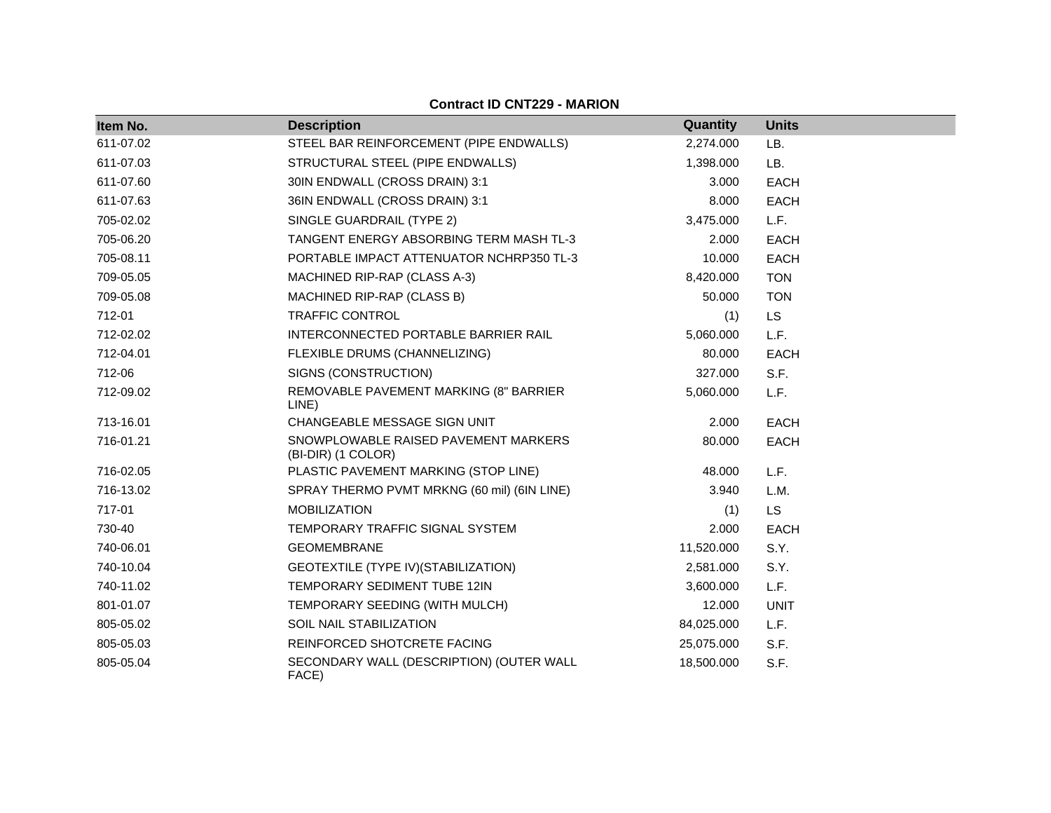| Item No.  | <b>Description</b>                                         | Quantity   | <b>Units</b> |
|-----------|------------------------------------------------------------|------------|--------------|
| 611-07.02 | STEEL BAR REINFORCEMENT (PIPE ENDWALLS)                    | 2,274.000  | LB.          |
| 611-07.03 | STRUCTURAL STEEL (PIPE ENDWALLS)                           | 1,398.000  | LB.          |
| 611-07.60 | 30IN ENDWALL (CROSS DRAIN) 3:1                             | 3.000      | <b>EACH</b>  |
| 611-07.63 | 36IN ENDWALL (CROSS DRAIN) 3:1                             | 8.000      | <b>EACH</b>  |
| 705-02.02 | SINGLE GUARDRAIL (TYPE 2)                                  | 3,475.000  | L.F.         |
| 705-06.20 | TANGENT ENERGY ABSORBING TERM MASH TL-3                    | 2.000      | <b>EACH</b>  |
| 705-08.11 | PORTABLE IMPACT ATTENUATOR NCHRP350 TL-3                   | 10.000     | <b>EACH</b>  |
| 709-05.05 | MACHINED RIP-RAP (CLASS A-3)                               | 8,420.000  | <b>TON</b>   |
| 709-05.08 | MACHINED RIP-RAP (CLASS B)                                 | 50.000     | <b>TON</b>   |
| 712-01    | <b>TRAFFIC CONTROL</b>                                     | (1)        | <b>LS</b>    |
| 712-02.02 | INTERCONNECTED PORTABLE BARRIER RAIL                       | 5,060.000  | L.F.         |
| 712-04.01 | FLEXIBLE DRUMS (CHANNELIZING)                              | 80.000     | <b>EACH</b>  |
| 712-06    | SIGNS (CONSTRUCTION)                                       | 327.000    | S.F.         |
| 712-09.02 | REMOVABLE PAVEMENT MARKING (8" BARRIER<br>LINE)            | 5,060.000  | L.F.         |
| 713-16.01 | CHANGEABLE MESSAGE SIGN UNIT                               | 2.000      | <b>EACH</b>  |
| 716-01.21 | SNOWPLOWABLE RAISED PAVEMENT MARKERS<br>(BI-DIR) (1 COLOR) | 80.000     | <b>EACH</b>  |
| 716-02.05 | PLASTIC PAVEMENT MARKING (STOP LINE)                       | 48.000     | L.F.         |
| 716-13.02 | SPRAY THERMO PVMT MRKNG (60 mil) (6IN LINE)                | 3.940      | L.M.         |
| 717-01    | <b>MOBILIZATION</b>                                        | (1)        | <b>LS</b>    |
| 730-40    | TEMPORARY TRAFFIC SIGNAL SYSTEM                            | 2.000      | <b>EACH</b>  |
| 740-06.01 | <b>GEOMEMBRANE</b>                                         | 11,520.000 | S.Y.         |
| 740-10.04 | GEOTEXTILE (TYPE IV) (STABILIZATION)                       | 2,581.000  | S.Y.         |
| 740-11.02 | TEMPORARY SEDIMENT TUBE 12IN                               | 3,600.000  | L.F.         |
| 801-01.07 | TEMPORARY SEEDING (WITH MULCH)                             | 12.000     | <b>UNIT</b>  |
| 805-05.02 | <b>SOIL NAIL STABILIZATION</b>                             | 84,025.000 | L.F.         |
| 805-05.03 | REINFORCED SHOTCRETE FACING                                | 25,075.000 | S.F.         |
| 805-05.04 | SECONDARY WALL (DESCRIPTION) (OUTER WALL<br>FACE)          | 18,500.000 | S.F.         |

## **Contract ID CNT229 - MARION**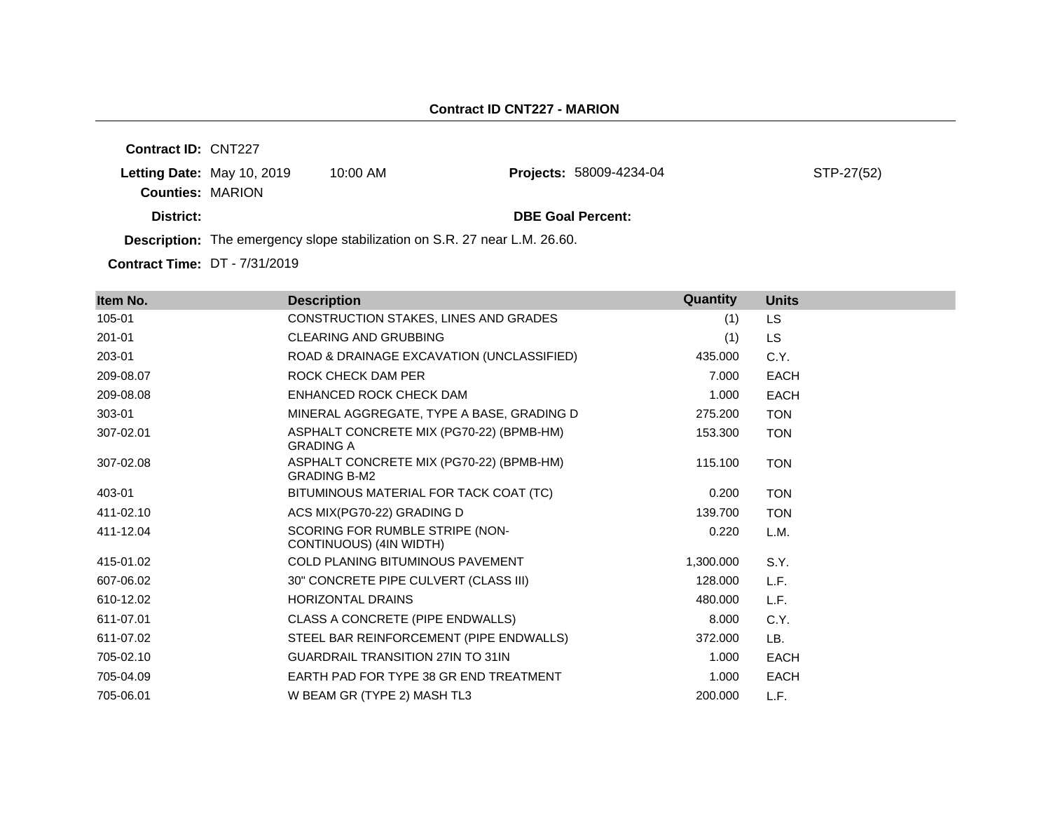**Contract ID:** CNT227 **Letting Date:** May 10, 2019 10:00 AM **Counties:** MARION **District: DBE Goal Percent: Description:** The emergency slope stabilization on S.R. 27 near L.M. 26.60. Projects: 58009-4234-04 STP-27(52)

**Contract Time:** DT - 7/31/2019

| Item No.  | <b>Description</b>                                              | Quantity  | <b>Units</b> |
|-----------|-----------------------------------------------------------------|-----------|--------------|
| 105-01    | CONSTRUCTION STAKES, LINES AND GRADES                           | (1)       | <b>LS</b>    |
| 201-01    | <b>CLEARING AND GRUBBING</b>                                    | (1)       | <b>LS</b>    |
| 203-01    | ROAD & DRAINAGE EXCAVATION (UNCLASSIFIED)                       | 435.000   | C.Y.         |
| 209-08.07 | ROCK CHECK DAM PER                                              | 7.000     | <b>EACH</b>  |
| 209-08.08 | ENHANCED ROCK CHECK DAM                                         | 1.000     | <b>EACH</b>  |
| 303-01    | MINERAL AGGREGATE, TYPE A BASE, GRADING D                       | 275.200   | <b>TON</b>   |
| 307-02.01 | ASPHALT CONCRETE MIX (PG70-22) (BPMB-HM)<br><b>GRADING A</b>    | 153.300   | <b>TON</b>   |
| 307-02.08 | ASPHALT CONCRETE MIX (PG70-22) (BPMB-HM)<br><b>GRADING B-M2</b> | 115.100   | <b>TON</b>   |
| 403-01    | BITUMINOUS MATERIAL FOR TACK COAT (TC)                          | 0.200     | <b>TON</b>   |
| 411-02.10 | ACS MIX(PG70-22) GRADING D                                      | 139.700   | <b>TON</b>   |
| 411-12.04 | SCORING FOR RUMBLE STRIPE (NON-<br>CONTINUOUS) (4IN WIDTH)      | 0.220     | L.M.         |
| 415-01.02 | <b>COLD PLANING BITUMINOUS PAVEMENT</b>                         | 1,300.000 | S.Y.         |
| 607-06.02 | 30" CONCRETE PIPE CULVERT (CLASS III)                           | 128.000   | L.F.         |
| 610-12.02 | <b>HORIZONTAL DRAINS</b>                                        | 480.000   | L.F.         |
| 611-07.01 | CLASS A CONCRETE (PIPE ENDWALLS)                                | 8.000     | C.Y.         |
| 611-07.02 | STEEL BAR REINFORCEMENT (PIPE ENDWALLS)                         | 372.000   | LB.          |
| 705-02.10 | <b>GUARDRAIL TRANSITION 27IN TO 31IN</b>                        | 1.000     | <b>EACH</b>  |
| 705-04.09 | EARTH PAD FOR TYPE 38 GR END TREATMENT                          | 1.000     | <b>EACH</b>  |
| 705-06.01 | W BEAM GR (TYPE 2) MASH TL3                                     | 200.000   | L.F.         |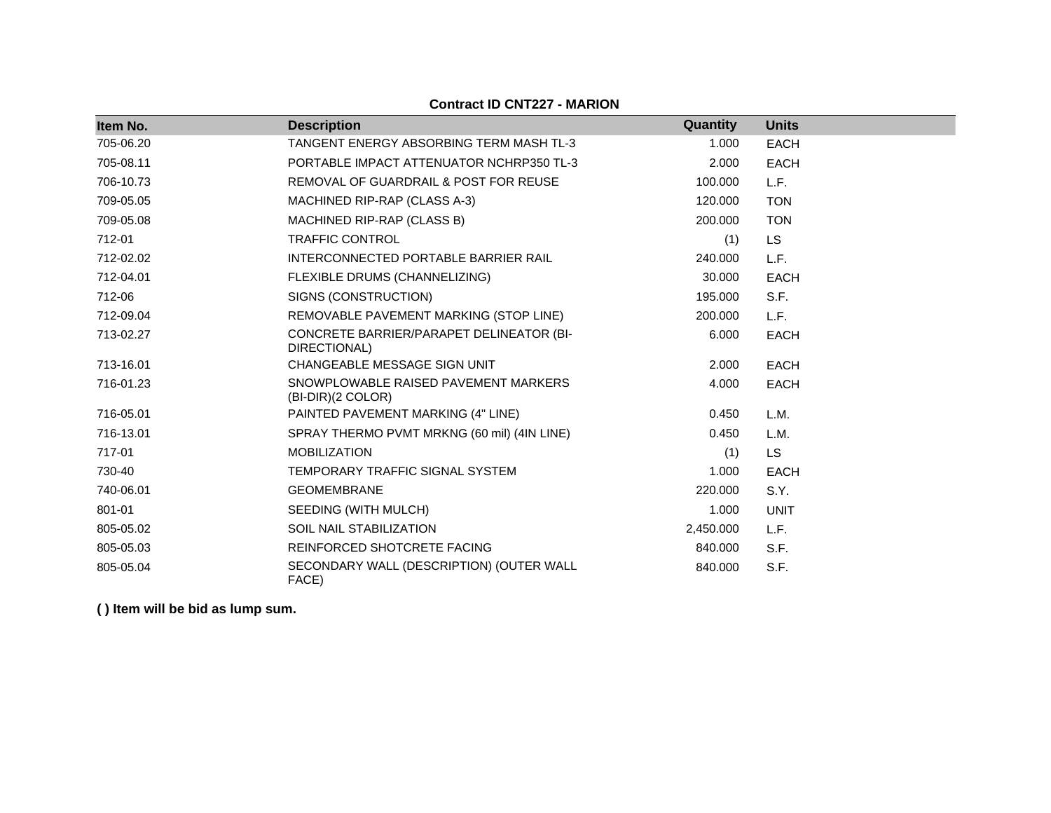## **Contract ID CNT227 - MARION**

| Item No.  | <b>Description</b>                                        | Quantity  | <b>Units</b> |
|-----------|-----------------------------------------------------------|-----------|--------------|
|           | TANGENT ENERGY ABSORBING TERM MASH TL-3                   |           |              |
| 705-06.20 |                                                           | 1.000     | <b>EACH</b>  |
| 705-08.11 | PORTABLE IMPACT ATTENUATOR NCHRP350 TL-3                  | 2.000     | <b>EACH</b>  |
| 706-10.73 | REMOVAL OF GUARDRAIL & POST FOR REUSE                     | 100.000   | L.F.         |
| 709-05.05 | MACHINED RIP-RAP (CLASS A-3)                              | 120.000   | <b>TON</b>   |
| 709-05.08 | MACHINED RIP-RAP (CLASS B)                                | 200.000   | <b>TON</b>   |
| 712-01    | <b>TRAFFIC CONTROL</b>                                    | (1)       | <b>LS</b>    |
| 712-02.02 | INTERCONNECTED PORTABLE BARRIER RAIL                      | 240.000   | L.F.         |
| 712-04.01 | FLEXIBLE DRUMS (CHANNELIZING)                             | 30,000    | <b>EACH</b>  |
| 712-06    | SIGNS (CONSTRUCTION)                                      | 195.000   | S.F.         |
| 712-09.04 | REMOVABLE PAVEMENT MARKING (STOP LINE)                    | 200.000   | L.F.         |
| 713-02.27 | CONCRETE BARRIER/PARAPET DELINEATOR (BI-<br>DIRECTIONAL)  | 6.000     | <b>EACH</b>  |
| 713-16.01 | <b>CHANGEABLE MESSAGE SIGN UNIT</b>                       | 2.000     | <b>EACH</b>  |
| 716-01.23 | SNOWPLOWABLE RAISED PAVEMENT MARKERS<br>(BI-DIR)(2 COLOR) | 4.000     | <b>EACH</b>  |
| 716-05.01 | PAINTED PAVEMENT MARKING (4" LINE)                        | 0.450     | L.M.         |
| 716-13.01 | SPRAY THERMO PVMT MRKNG (60 mil) (4IN LINE)               | 0.450     | L.M.         |
| 717-01    | <b>MOBILIZATION</b>                                       | (1)       | <b>LS</b>    |
| 730-40    | TEMPORARY TRAFFIC SIGNAL SYSTEM                           | 1.000     | <b>EACH</b>  |
| 740-06.01 | <b>GEOMEMBRANE</b>                                        | 220.000   | S.Y.         |
| 801-01    | SEEDING (WITH MULCH)                                      | 1.000     | <b>UNIT</b>  |
| 805-05.02 | SOIL NAIL STABILIZATION                                   | 2,450.000 | L.F.         |
| 805-05.03 | REINFORCED SHOTCRETE FACING                               | 840.000   | S.F.         |
| 805-05.04 | SECONDARY WALL (DESCRIPTION) (OUTER WALL<br>FACE)         | 840.000   | S.F.         |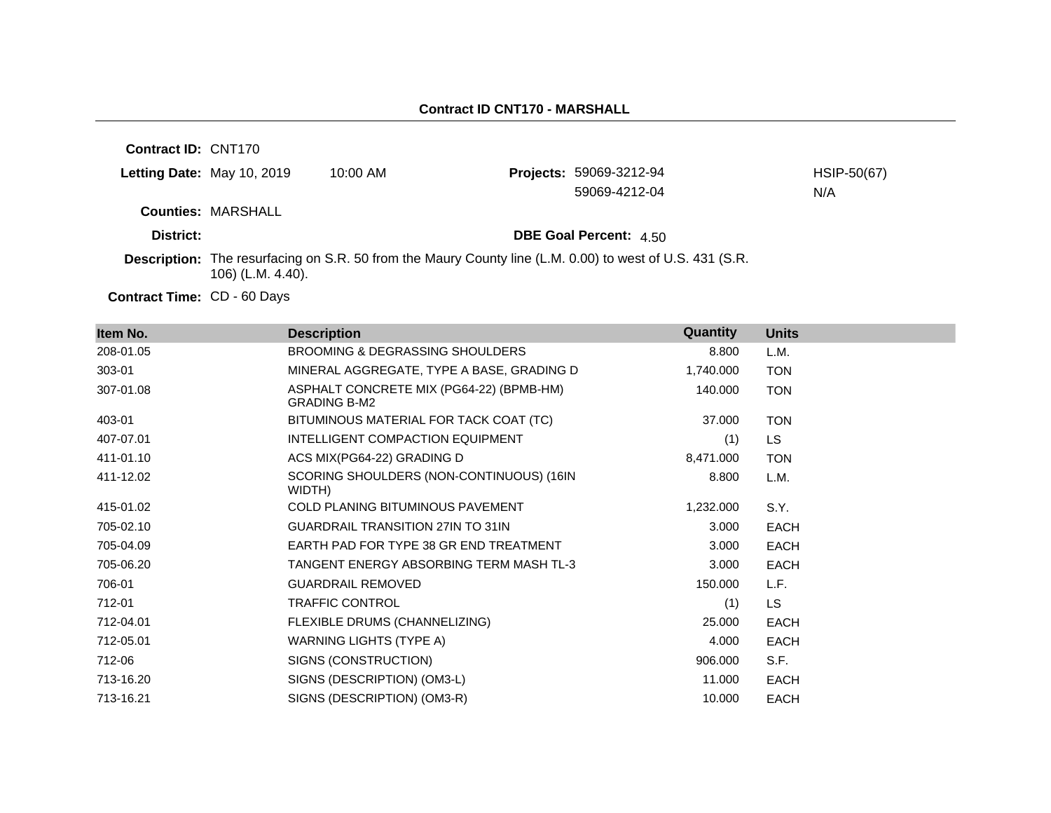| <b>Contract ID: CNT170</b> |                           |                                                                                                          |                                |             |
|----------------------------|---------------------------|----------------------------------------------------------------------------------------------------------|--------------------------------|-------------|
| Letting Date: May 10, 2019 |                           | $10:00$ AM                                                                                               | <b>Projects: 59069-3212-94</b> | HSIP-50(67) |
|                            |                           |                                                                                                          | 59069-4212-04                  | N/A         |
|                            | <b>Counties: MARSHALL</b> |                                                                                                          |                                |             |
| District:                  |                           |                                                                                                          | <b>DBE Goal Percent: 4.50</b>  |             |
|                            | 106) (L.M. 4.40).         | Description: The resurfacing on S.R. 50 from the Maury County line (L.M. 0.00) to west of U.S. 431 (S.R. |                                |             |

Contract Time: CD - 60 Days

| Item No.  | <b>Description</b>                                              | Quantity  | <b>Units</b> |
|-----------|-----------------------------------------------------------------|-----------|--------------|
| 208-01.05 | <b>BROOMING &amp; DEGRASSING SHOULDERS</b>                      | 8.800     | L.M.         |
| 303-01    | MINERAL AGGREGATE, TYPE A BASE, GRADING D                       | 1,740.000 | <b>TON</b>   |
| 307-01.08 | ASPHALT CONCRETE MIX (PG64-22) (BPMB-HM)<br><b>GRADING B-M2</b> | 140.000   | <b>TON</b>   |
| 403-01    | BITUMINOUS MATERIAL FOR TACK COAT (TC)                          | 37.000    | <b>TON</b>   |
| 407-07.01 | INTELLIGENT COMPACTION EQUIPMENT                                | (1)       | LS.          |
| 411-01.10 | ACS MIX(PG64-22) GRADING D                                      | 8,471.000 | <b>TON</b>   |
| 411-12.02 | SCORING SHOULDERS (NON-CONTINUOUS) (16IN<br>WIDTH)              | 8.800     | L.M.         |
| 415-01.02 | <b>COLD PLANING BITUMINOUS PAVEMENT</b>                         | 1,232.000 | S.Y.         |
| 705-02.10 | <b>GUARDRAIL TRANSITION 27IN TO 31IN</b>                        | 3.000     | <b>EACH</b>  |
| 705-04.09 | EARTH PAD FOR TYPE 38 GR END TREATMENT                          | 3.000     | <b>EACH</b>  |
| 705-06.20 | TANGENT ENERGY ABSORBING TERM MASH TL-3                         | 3.000     | <b>EACH</b>  |
| 706-01    | <b>GUARDRAIL REMOVED</b>                                        | 150.000   | L.F.         |
| 712-01    | <b>TRAFFIC CONTROL</b>                                          | (1)       | LS.          |
| 712-04.01 | FLEXIBLE DRUMS (CHANNELIZING)                                   | 25.000    | <b>EACH</b>  |
| 712-05.01 | WARNING LIGHTS (TYPE A)                                         | 4.000     | <b>EACH</b>  |
| 712-06    | SIGNS (CONSTRUCTION)                                            | 906.000   | S.F.         |
| 713-16.20 | SIGNS (DESCRIPTION) (OM3-L)                                     | 11.000    | <b>EACH</b>  |
| 713-16.21 | SIGNS (DESCRIPTION) (OM3-R)                                     | 10.000    | <b>EACH</b>  |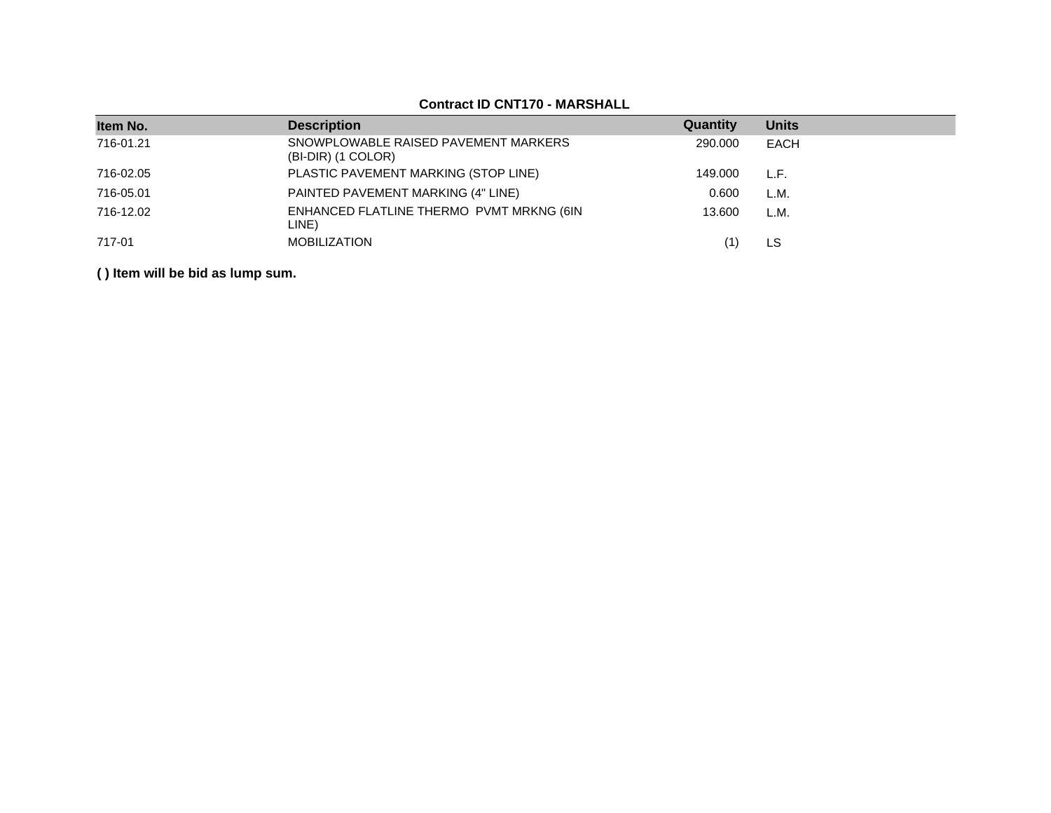| <b>UUIIIUULID UNI IIV – MARUULALL</b> |                                                            |          |              |  |  |  |
|---------------------------------------|------------------------------------------------------------|----------|--------------|--|--|--|
| Item No.                              | <b>Description</b>                                         | Quantity | <b>Units</b> |  |  |  |
| 716-01.21                             | SNOWPLOWABLE RAISED PAVEMENT MARKERS<br>(BI-DIR) (1 COLOR) | 290,000  | EACH         |  |  |  |
| 716-02.05                             | PLASTIC PAVEMENT MARKING (STOP LINE)                       | 149.000  | L.F.         |  |  |  |
| 716-05.01                             | PAINTED PAVEMENT MARKING (4" LINE)                         | 0.600    | L.M.         |  |  |  |
| 716-12.02                             | ENHANCED FLATLINE THERMO PVMT MRKNG (6IN<br>LINE)          | 13.600   | L.M.         |  |  |  |
| 717-01                                | <b>MOBILIZATION</b>                                        |          | LS           |  |  |  |

## **Contract ID CNT170 - MARSHALL**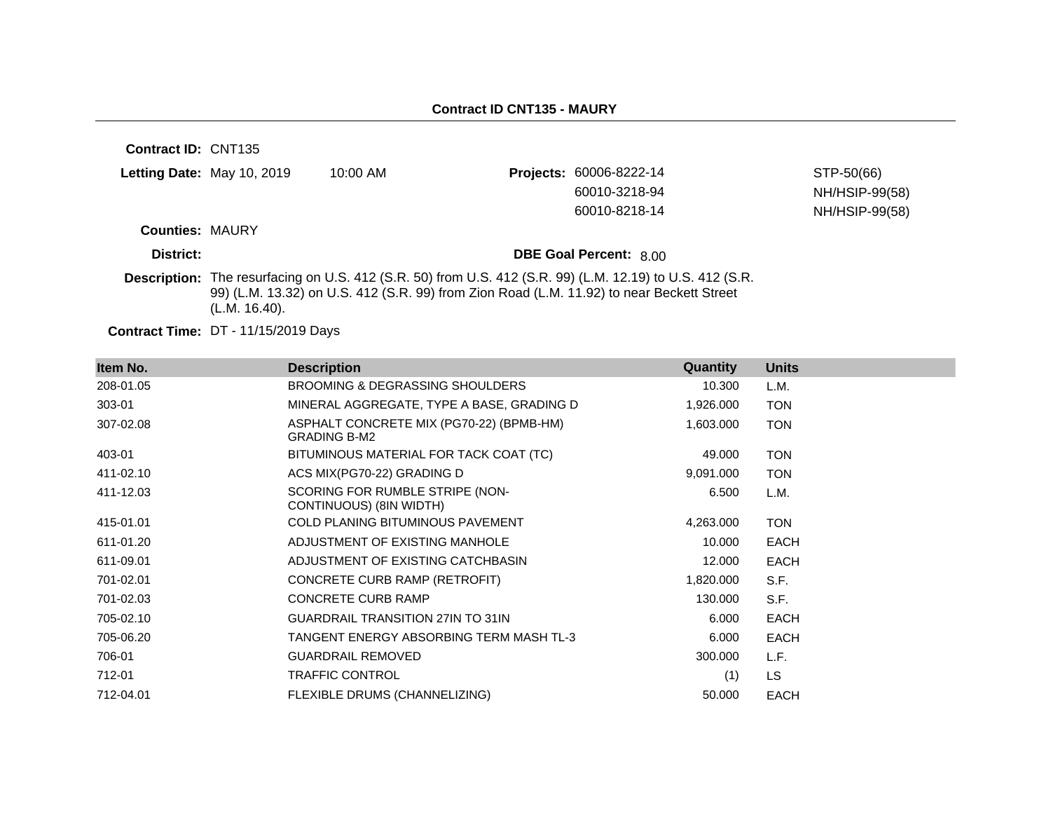| <b>Contract ID: CNT135</b> |                                                                                                                                                                                                                         |            |  |                               |                |
|----------------------------|-------------------------------------------------------------------------------------------------------------------------------------------------------------------------------------------------------------------------|------------|--|-------------------------------|----------------|
|                            | Letting Date: May 10, 2019                                                                                                                                                                                              | $10:00$ AM |  | Projects: 60006-8222-14       | STP-50(66)     |
|                            |                                                                                                                                                                                                                         |            |  | 60010-3218-94                 | NH/HSIP-99(58) |
|                            |                                                                                                                                                                                                                         |            |  | 60010-8218-14                 | NH/HSIP-99(58) |
| <b>Counties: MAURY</b>     |                                                                                                                                                                                                                         |            |  |                               |                |
| District:                  |                                                                                                                                                                                                                         |            |  | <b>DBE Goal Percent: 8.00</b> |                |
|                            | Description: The resurfacing on U.S. 412 (S.R. 50) from U.S. 412 (S.R. 99) (L.M. 12.19) to U.S. 412 (S.R.<br>99) (L.M. 13.32) on U.S. 412 (S.R. 99) from Zion Road (L.M. 11.92) to near Beckett Street<br>(L.M. 16.40). |            |  |                               |                |

**Contract Time:** DT - 11/15/2019 Days

| Item No.  | <b>Description</b>                                              | Quantity  | <b>Units</b> |
|-----------|-----------------------------------------------------------------|-----------|--------------|
| 208-01.05 | BROOMING & DEGRASSING SHOULDERS                                 | 10.300    | L.M.         |
| 303-01    | MINERAL AGGREGATE, TYPE A BASE, GRADING D                       | 1,926.000 | <b>TON</b>   |
| 307-02.08 | ASPHALT CONCRETE MIX (PG70-22) (BPMB-HM)<br><b>GRADING B-M2</b> | 1,603.000 | <b>TON</b>   |
| 403-01    | BITUMINOUS MATERIAL FOR TACK COAT (TC)                          | 49.000    | <b>TON</b>   |
| 411-02.10 | ACS MIX(PG70-22) GRADING D                                      | 9,091.000 | <b>TON</b>   |
| 411-12.03 | SCORING FOR RUMBLE STRIPE (NON-<br>CONTINUOUS) (8IN WIDTH)      | 6.500     | L.M.         |
| 415-01.01 | COLD PLANING BITUMINOUS PAVEMENT                                | 4,263.000 | <b>TON</b>   |
| 611-01.20 | ADJUSTMENT OF EXISTING MANHOLE                                  | 10.000    | <b>EACH</b>  |
| 611-09.01 | ADJUSTMENT OF EXISTING CATCHBASIN                               | 12.000    | <b>EACH</b>  |
| 701-02.01 | CONCRETE CURB RAMP (RETROFIT)                                   | 1,820.000 | S.F.         |
| 701-02.03 | <b>CONCRETE CURB RAMP</b>                                       | 130.000   | S.F.         |
| 705-02.10 | <b>GUARDRAIL TRANSITION 27IN TO 31IN</b>                        | 6.000     | <b>EACH</b>  |
| 705-06.20 | TANGENT ENERGY ABSORBING TERM MASH TL-3                         | 6.000     | <b>EACH</b>  |
| 706-01    | <b>GUARDRAIL REMOVED</b>                                        | 300.000   | L.F.         |
| 712-01    | <b>TRAFFIC CONTROL</b>                                          | (1)       | <b>LS</b>    |
| 712-04.01 | FLEXIBLE DRUMS (CHANNELIZING)                                   | 50.000    | <b>EACH</b>  |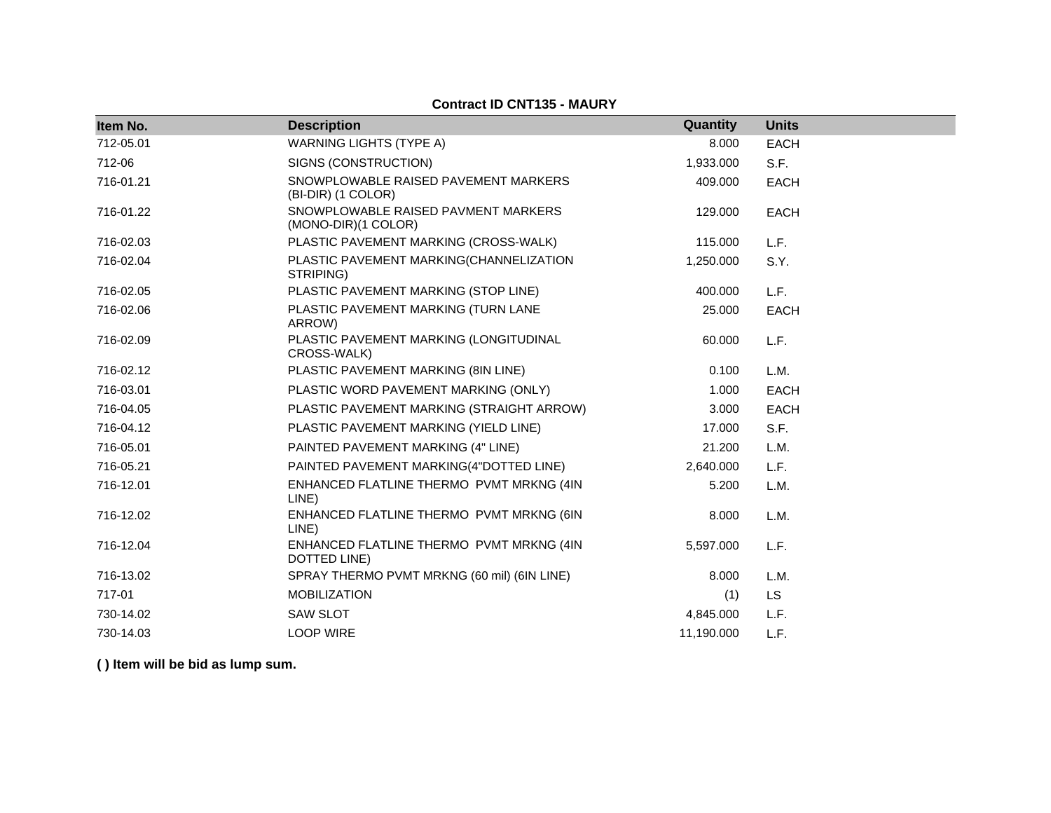#### **Contract ID CNT135 - MAURY**

| Item No.  | <b>Description</b>                                         | Quantity   | <b>Units</b> |
|-----------|------------------------------------------------------------|------------|--------------|
| 712-05.01 | <b>WARNING LIGHTS (TYPE A)</b>                             | 8.000      | <b>EACH</b>  |
| 712-06    | SIGNS (CONSTRUCTION)                                       | 1,933.000  | S.F.         |
| 716-01.21 | SNOWPLOWABLE RAISED PAVEMENT MARKERS<br>(BI-DIR) (1 COLOR) | 409.000    | <b>EACH</b>  |
| 716-01.22 | SNOWPLOWABLE RAISED PAVMENT MARKERS<br>(MONO-DIR)(1 COLOR) | 129,000    | <b>EACH</b>  |
| 716-02.03 | PLASTIC PAVEMENT MARKING (CROSS-WALK)                      | 115.000    | L.F.         |
| 716-02.04 | PLASTIC PAVEMENT MARKING(CHANNELIZATION<br>STRIPING)       | 1,250.000  | S.Y.         |
| 716-02.05 | PLASTIC PAVEMENT MARKING (STOP LINE)                       | 400.000    | L.F.         |
| 716-02.06 | PLASTIC PAVEMENT MARKING (TURN LANE<br>ARROW)              | 25.000     | <b>EACH</b>  |
| 716-02.09 | PLASTIC PAVEMENT MARKING (LONGITUDINAL<br>CROSS-WALK)      | 60.000     | L.F.         |
| 716-02.12 | PLASTIC PAVEMENT MARKING (8IN LINE)                        | 0.100      | L.M.         |
| 716-03.01 | PLASTIC WORD PAVEMENT MARKING (ONLY)                       | 1.000      | <b>EACH</b>  |
| 716-04.05 | PLASTIC PAVEMENT MARKING (STRAIGHT ARROW)                  | 3.000      | <b>EACH</b>  |
| 716-04.12 | PLASTIC PAVEMENT MARKING (YIELD LINE)                      | 17.000     | S.F.         |
| 716-05.01 | PAINTED PAVEMENT MARKING (4" LINE)                         | 21.200     | L.M.         |
| 716-05.21 | PAINTED PAVEMENT MARKING(4"DOTTED LINE)                    | 2,640.000  | L.F.         |
| 716-12.01 | ENHANCED FLATLINE THERMO PVMT MRKNG (4IN<br>LINE)          | 5.200      | L.M.         |
| 716-12.02 | ENHANCED FLATLINE THERMO PVMT MRKNG (6IN<br>LINE)          | 8.000      | L.M.         |
| 716-12.04 | ENHANCED FLATLINE THERMO PVMT MRKNG (4IN<br>DOTTED LINE)   | 5,597.000  | L.F.         |
| 716-13.02 | SPRAY THERMO PVMT MRKNG (60 mil) (6IN LINE)                | 8.000      | L.M.         |
| 717-01    | <b>MOBILIZATION</b>                                        | (1)        | <b>LS</b>    |
| 730-14.02 | <b>SAW SLOT</b>                                            | 4,845.000  | L.F.         |
| 730-14.03 | <b>LOOP WIRE</b>                                           | 11,190.000 | L.F.         |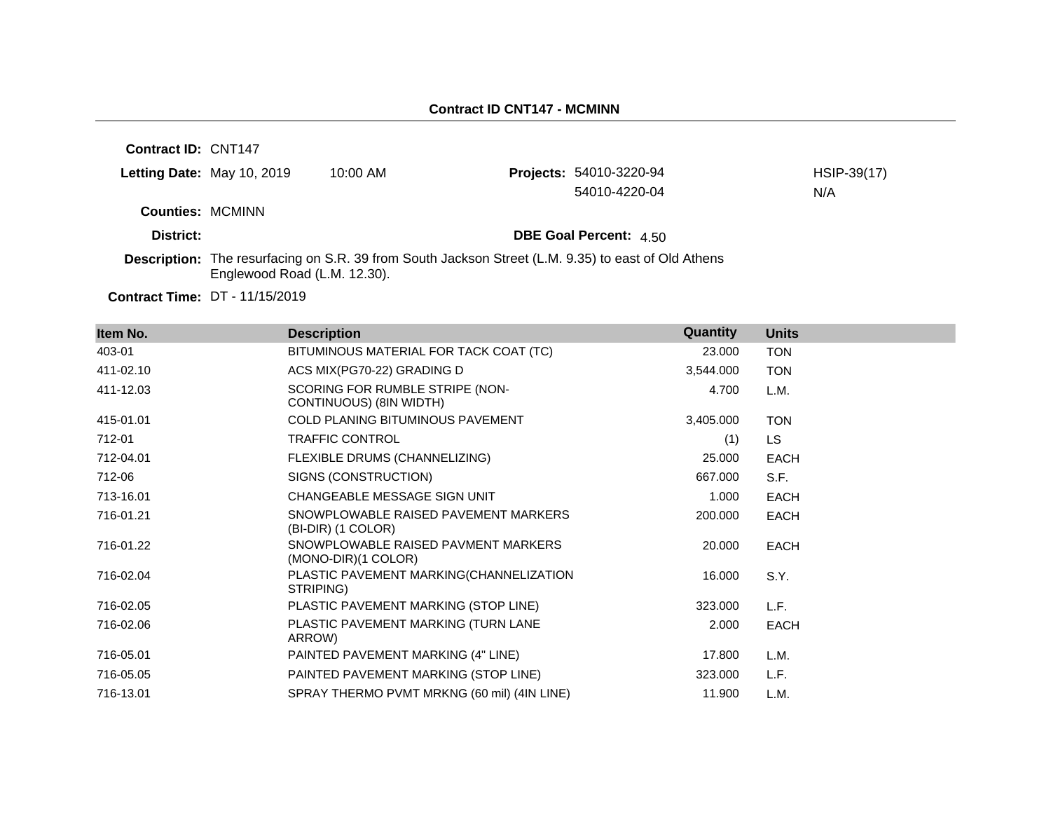| Contract ID: CNT147     |                                                                                                                                            |            |  |                                |             |
|-------------------------|--------------------------------------------------------------------------------------------------------------------------------------------|------------|--|--------------------------------|-------------|
|                         | Letting Date: May 10, 2019                                                                                                                 | $10:00$ AM |  | <b>Projects: 54010-3220-94</b> | HSIP-39(17) |
|                         |                                                                                                                                            |            |  | 54010-4220-04                  | N/A         |
| <b>Counties: MCMINN</b> |                                                                                                                                            |            |  |                                |             |
| District:               |                                                                                                                                            |            |  | <b>DBE Goal Percent: 4.50</b>  |             |
|                         | <b>Description:</b> The resurfacing on S.R. 39 from South Jackson Street (L.M. 9.35) to east of Old Athens<br>Englewood Road (L.M. 12.30). |            |  |                                |             |
|                         | <b>Contract Time: DT - 11/15/2019</b>                                                                                                      |            |  |                                |             |

**Item No. Description Quantity Units** 403-01 BITUMINOUS MATERIAL FOR TACK COAT (TC) 23.000 TON 411-02.10 ACS MIX(PG70-22) GRADING D 3,544.000 TON 411-12.03 SCORING FOR RUMBLE STRIPE (NON-CONTINUOUS) (8IN WIDTH) 4.700 L.M. 415-01.01 COLD PLANING BITUMINOUS PAVEMENT 3,405.000 TON 712-01 TRAFFIC CONTROL (1) LS 712-04.01 FLEXIBLE DRUMS (CHANNELIZING) 25.000 EACH 712-06 SIGNS (CONSTRUCTION) 667.000 S.F. 713-16.01 CHANGEABLE MESSAGE SIGN UNIT 1.000 EACH 716-01.21 SNOWPLOWABLE RAISED PAVEMENT MARKERS (BI-DIR) (1 COLOR) 200.000 EACH 716-01.22 SNOWPLOWABLE RAISED PAVMENT MARKERS (MONO-DIR)(1 COLOR) 20.000 EACH 716-02.04 PLASTIC PAVEMENT MARKING(CHANNELIZATION STRIPING) 16.000 S.Y. 716-02.05 PLASTIC PAVEMENT MARKING (STOP LINE) 323.000 L.F. 716-02.06 PLASTIC PAVEMENT MARKING (TURN LANE ARROW) 2.000 EACH 716-05.01 PAINTED PAVEMENT MARKING (4" LINE) 17.800 L.M. 716-05.05 PAINTED PAVEMENT MARKING (STOP LINE) 323.000 L.F. 716-13.01 SPRAY THERMO PVMT MRKNG (60 mil) (4IN LINE) 11.900 L.M.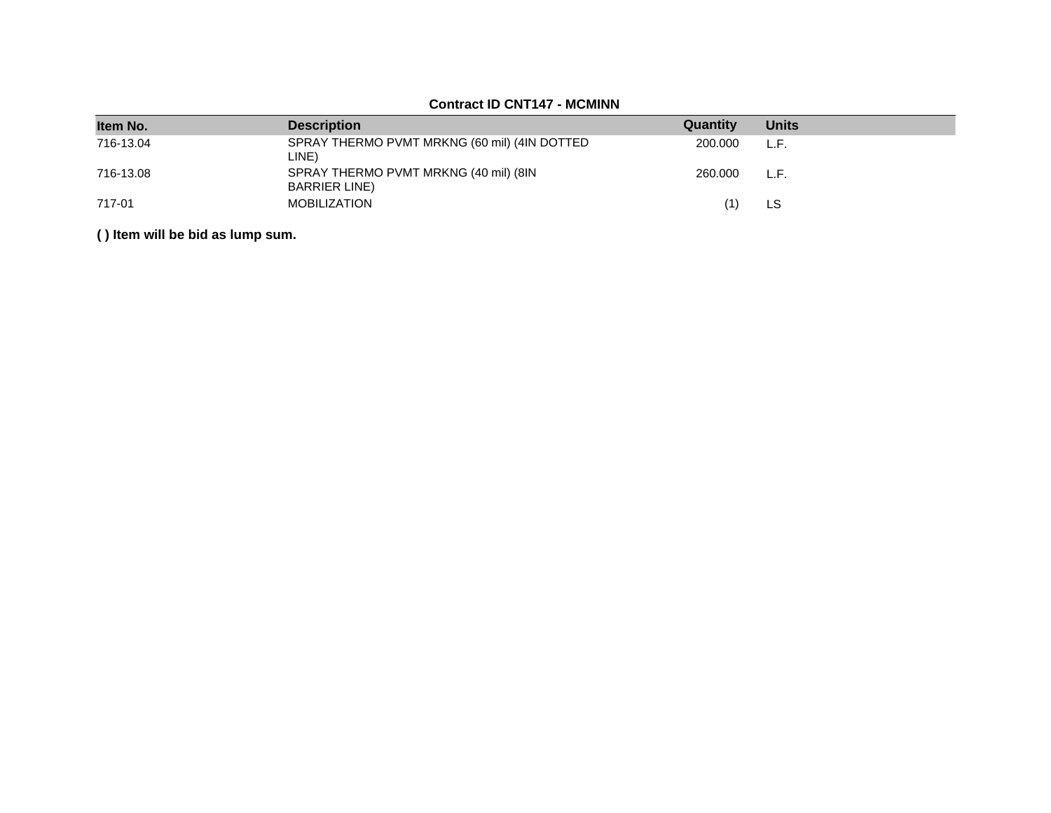#### **Item No. Description Quantity Units** 716-13.04 SPRAY THERMO PVMT MRKNG (60 mil) (4IN DOTTED LINE) 200.000 L.F. 716-13.08 SPRAY THERMO PVMT MRKNG (40 mil) (8IN BARRIER LINE) 260.000 L.F. 717-01 MOBILIZATION (1) LS

#### **Contract ID CNT147 - MCMINN**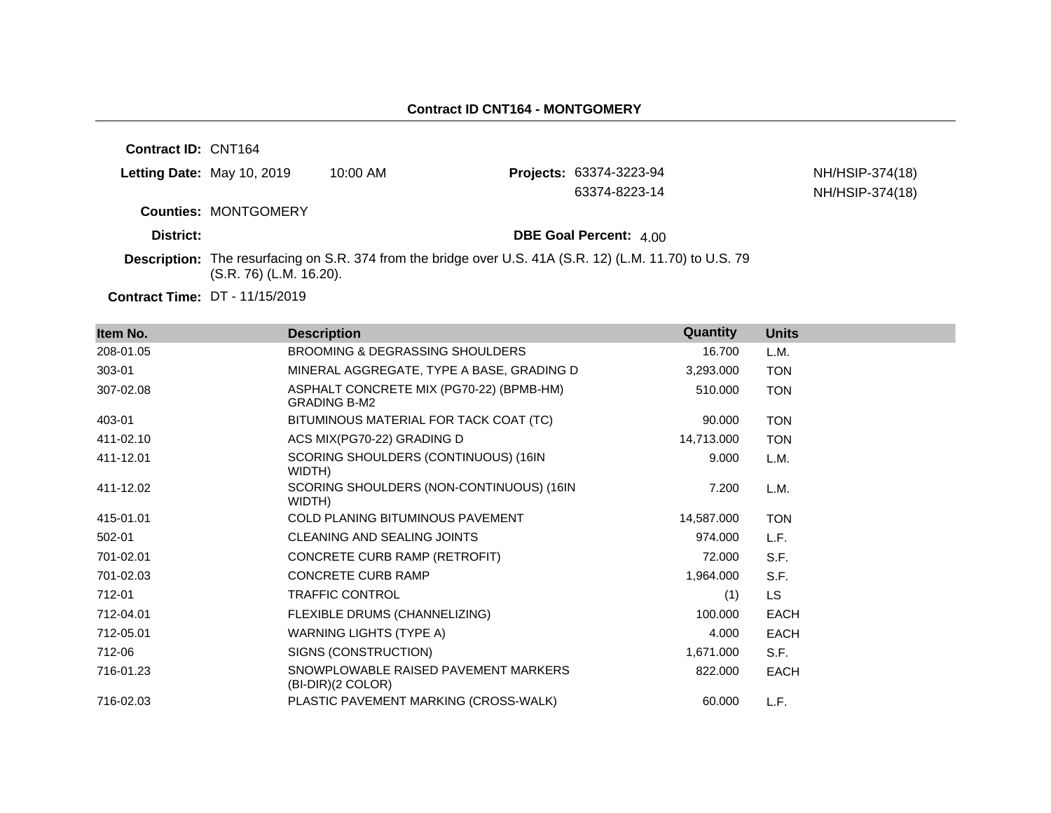**Contract ID:** CNT164

| Letting Date: May 10, 2019 | 10:00 AM | <b>Projects: 63374-3223-94</b> |
|----------------------------|----------|--------------------------------|
|                            |          |                                |

63374-8223-14 NH/HSIP-374(18)

NH/HSIP-374(18)

**Counties:** MONTGOMERY

**District: District: DBE Goal Percent:**  $4.00$ 

**Description:** The resurfacing on S.R. 374 from the bridge over U.S. 41A (S.R. 12) (L.M. 11.70) to U.S. 79 (S.R. 76) (L.M. 16.20).

| Item No.  | <b>Description</b>                                              | Quantity   | <b>Units</b> |
|-----------|-----------------------------------------------------------------|------------|--------------|
| 208-01.05 | BROOMING & DEGRASSING SHOULDERS                                 | 16.700     | L.M.         |
| 303-01    | MINERAL AGGREGATE, TYPE A BASE, GRADING D                       | 3,293.000  | <b>TON</b>   |
| 307-02.08 | ASPHALT CONCRETE MIX (PG70-22) (BPMB-HM)<br><b>GRADING B-M2</b> | 510.000    | <b>TON</b>   |
| 403-01    | BITUMINOUS MATERIAL FOR TACK COAT (TC)                          | 90.000     | <b>TON</b>   |
| 411-02.10 | ACS MIX(PG70-22) GRADING D                                      | 14,713.000 | <b>TON</b>   |
| 411-12.01 | SCORING SHOULDERS (CONTINUOUS) (16IN<br>WIDTH)                  | 9.000      | L.M.         |
| 411-12.02 | SCORING SHOULDERS (NON-CONTINUOUS) (16IN<br>WIDTH)              | 7.200      | L.M.         |
| 415-01.01 | <b>COLD PLANING BITUMINOUS PAVEMENT</b>                         | 14,587.000 | <b>TON</b>   |
| 502-01    | CLEANING AND SEALING JOINTS                                     | 974.000    | L.F.         |
| 701-02.01 | CONCRETE CURB RAMP (RETROFIT)                                   | 72.000     | S.F.         |
| 701-02.03 | CONCRETE CURB RAMP                                              | 1,964.000  | S.F.         |
| 712-01    | <b>TRAFFIC CONTROL</b>                                          | (1)        | <b>LS</b>    |
| 712-04.01 | FLEXIBLE DRUMS (CHANNELIZING)                                   | 100.000    | <b>EACH</b>  |
| 712-05.01 | WARNING LIGHTS (TYPE A)                                         | 4.000      | <b>EACH</b>  |
| 712-06    | SIGNS (CONSTRUCTION)                                            | 1,671.000  | S.F.         |
| 716-01.23 | SNOWPLOWABLE RAISED PAVEMENT MARKERS<br>(BI-DIR)(2 COLOR)       | 822.000    | <b>EACH</b>  |
| 716-02.03 | PLASTIC PAVEMENT MARKING (CROSS-WALK)                           | 60.000     | L.F.         |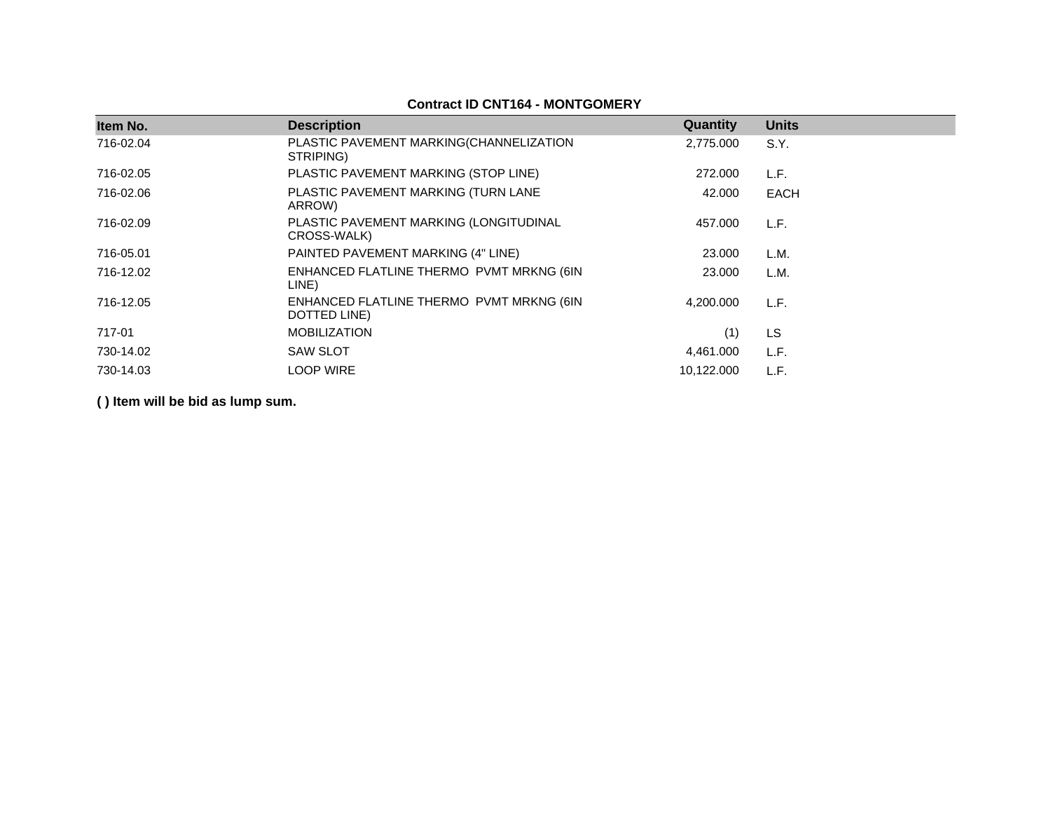## **Contract ID CNT164 - MONTGOMERY**

| Item No.  | <b>Description</b>                                       | Quantity   | <b>Units</b> |
|-----------|----------------------------------------------------------|------------|--------------|
| 716-02.04 | PLASTIC PAVEMENT MARKING(CHANNELIZATION<br>STRIPING)     | 2,775.000  | S.Y.         |
| 716-02.05 | PLASTIC PAVEMENT MARKING (STOP LINE)                     | 272,000    | L.F.         |
| 716-02.06 | PLASTIC PAVEMENT MARKING (TURN LANE<br>ARROW)            | 42,000     | <b>EACH</b>  |
| 716-02.09 | PLASTIC PAVEMENT MARKING (LONGITUDINAL<br>CROSS-WALK)    | 457.000    | L.F.         |
| 716-05.01 | PAINTED PAVEMENT MARKING (4" LINE)                       | 23,000     | L.M.         |
| 716-12.02 | ENHANCED FLATLINE THERMO PVMT MRKNG (6IN<br>LINE)        | 23,000     | L.M.         |
| 716-12.05 | ENHANCED FLATLINE THERMO PVMT MRKNG (6IN<br>DOTTED LINE) | 4.200.000  | L.F.         |
| 717-01    | <b>MOBILIZATION</b>                                      | (1)        | LS.          |
| 730-14.02 | <b>SAW SLOT</b>                                          | 4,461.000  | L.F.         |
| 730-14.03 | <b>LOOP WIRE</b>                                         | 10,122.000 | L.F.         |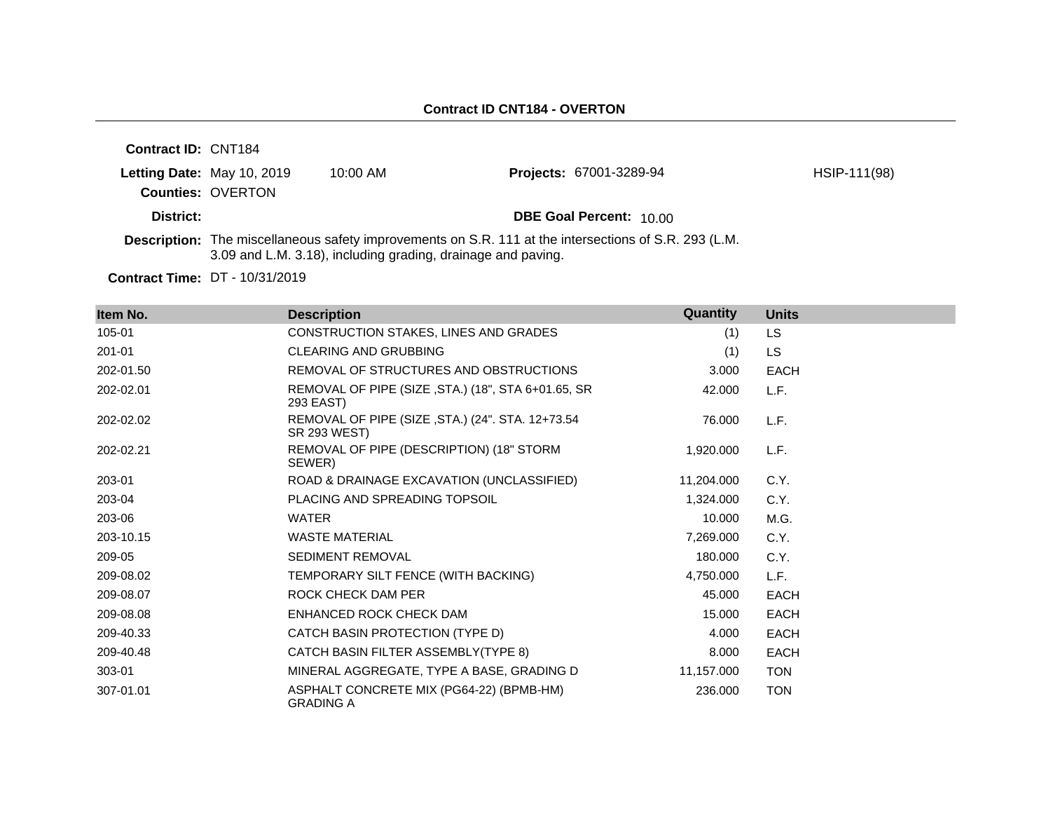| <b>Contract ID: CNT184</b> |                                                        |                                                              |                                                                                                              |              |
|----------------------------|--------------------------------------------------------|--------------------------------------------------------------|--------------------------------------------------------------------------------------------------------------|--------------|
|                            | Letting Date: May 10, 2019<br><b>Counties: OVERTON</b> | $10:00$ AM                                                   | <b>Projects: 67001-3289-94</b>                                                                               | HSIP-111(98) |
| District:                  |                                                        |                                                              | <b>DBE Goal Percent: 10.00</b>                                                                               |              |
|                            |                                                        | 3.09 and L.M. 3.18), including grading, drainage and paving. | <b>Description:</b> The miscellaneous safety improvements on S.R. 111 at the intersections of S.R. 293 (L.M. |              |

| Item No.  | <b>Description</b>                                                      | Quantity   | <b>Units</b> |
|-----------|-------------------------------------------------------------------------|------------|--------------|
| 105-01    | CONSTRUCTION STAKES, LINES AND GRADES                                   | (1)        | <b>LS</b>    |
| 201-01    | <b>CLEARING AND GRUBBING</b>                                            | (1)        | <b>LS</b>    |
| 202-01.50 | REMOVAL OF STRUCTURES AND OBSTRUCTIONS                                  | 3.000      | <b>EACH</b>  |
| 202-02.01 | REMOVAL OF PIPE (SIZE, STA.) (18", STA 6+01.65, SR<br>293 EAST)         | 42,000     | L.F.         |
| 202-02.02 | REMOVAL OF PIPE (SIZE, STA.) (24". STA. 12+73.54<br><b>SR 293 WEST)</b> | 76.000     | L.F.         |
| 202-02.21 | REMOVAL OF PIPE (DESCRIPTION) (18" STORM<br>SEWER)                      | 1,920.000  | L.F.         |
| 203-01    | ROAD & DRAINAGE EXCAVATION (UNCLASSIFIED)                               | 11,204.000 | C.Y.         |
| 203-04    | PLACING AND SPREADING TOPSOIL                                           | 1,324.000  | C.Y.         |
| 203-06    | <b>WATER</b>                                                            | 10.000     | M.G.         |
| 203-10.15 | <b>WASTE MATERIAL</b>                                                   | 7,269.000  | C.Y.         |
| 209-05    | SEDIMENT REMOVAL                                                        | 180.000    | C.Y.         |
| 209-08.02 | TEMPORARY SILT FENCE (WITH BACKING)                                     | 4,750.000  | L.F.         |
| 209-08.07 | ROCK CHECK DAM PER                                                      | 45.000     | <b>EACH</b>  |
| 209-08.08 | ENHANCED ROCK CHECK DAM                                                 | 15.000     | <b>EACH</b>  |
| 209-40.33 | CATCH BASIN PROTECTION (TYPE D)                                         | 4.000      | <b>EACH</b>  |
| 209-40.48 | CATCH BASIN FILTER ASSEMBLY(TYPE 8)                                     | 8.000      | <b>EACH</b>  |
| 303-01    | MINERAL AGGREGATE, TYPE A BASE, GRADING D                               | 11,157.000 | <b>TON</b>   |
| 307-01.01 | ASPHALT CONCRETE MIX (PG64-22) (BPMB-HM)<br><b>GRADING A</b>            | 236.000    | <b>TON</b>   |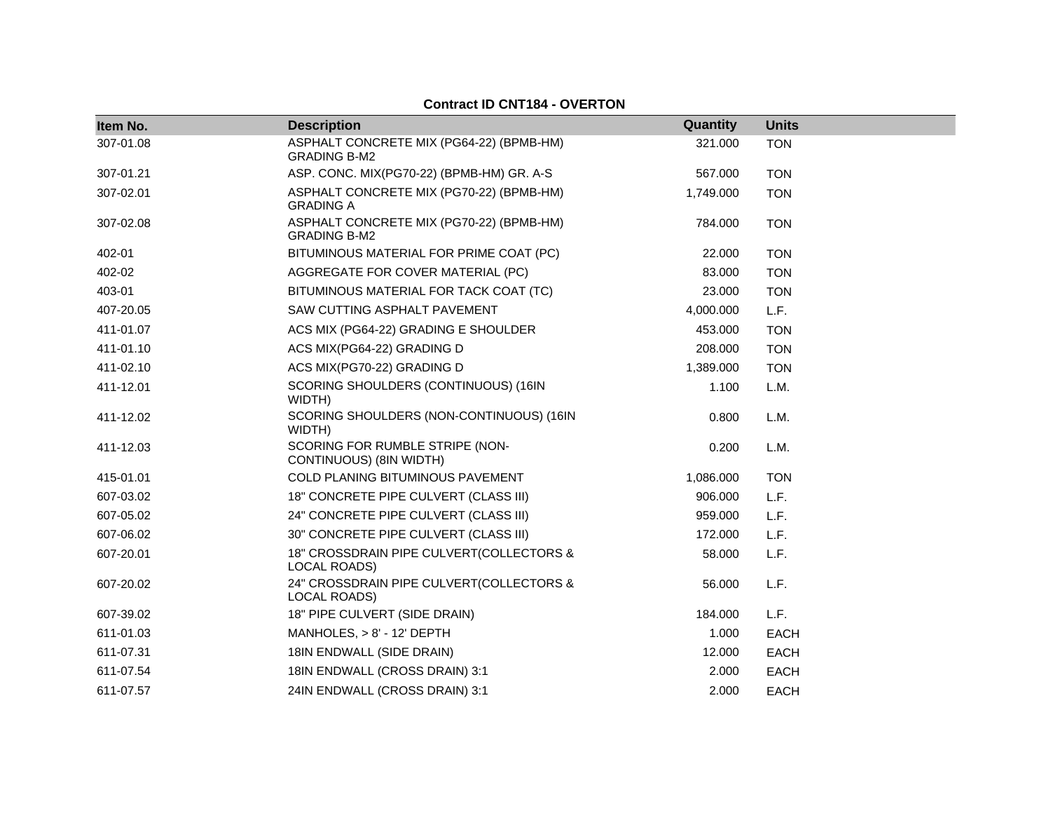| Item No.  | <b>Description</b>                                              | Quantity  | <b>Units</b> |
|-----------|-----------------------------------------------------------------|-----------|--------------|
| 307-01.08 | ASPHALT CONCRETE MIX (PG64-22) (BPMB-HM)                        | 321.000   | <b>TON</b>   |
|           | <b>GRADING B-M2</b>                                             |           |              |
| 307-01.21 | ASP. CONC. MIX(PG70-22) (BPMB-HM) GR. A-S                       | 567.000   | <b>TON</b>   |
| 307-02.01 | ASPHALT CONCRETE MIX (PG70-22) (BPMB-HM)<br><b>GRADING A</b>    | 1,749.000 | <b>TON</b>   |
| 307-02.08 | ASPHALT CONCRETE MIX (PG70-22) (BPMB-HM)<br><b>GRADING B-M2</b> | 784.000   | <b>TON</b>   |
| 402-01    | BITUMINOUS MATERIAL FOR PRIME COAT (PC)                         | 22.000    | <b>TON</b>   |
| 402-02    | AGGREGATE FOR COVER MATERIAL (PC)                               | 83.000    | <b>TON</b>   |
| 403-01    | BITUMINOUS MATERIAL FOR TACK COAT (TC)                          | 23.000    | <b>TON</b>   |
| 407-20.05 | SAW CUTTING ASPHALT PAVEMENT                                    | 4,000.000 | L.F.         |
| 411-01.07 | ACS MIX (PG64-22) GRADING E SHOULDER                            | 453.000   | <b>TON</b>   |
| 411-01.10 | ACS MIX(PG64-22) GRADING D                                      | 208.000   | <b>TON</b>   |
| 411-02.10 | ACS MIX(PG70-22) GRADING D                                      | 1,389.000 | <b>TON</b>   |
| 411-12.01 | SCORING SHOULDERS (CONTINUOUS) (16IN<br>WIDTH)                  | 1.100     | L.M.         |
| 411-12.02 | SCORING SHOULDERS (NON-CONTINUOUS) (16IN<br>WIDTH)              | 0.800     | L.M.         |
| 411-12.03 | SCORING FOR RUMBLE STRIPE (NON-<br>CONTINUOUS) (8IN WIDTH)      | 0.200     | L.M.         |
| 415-01.01 | COLD PLANING BITUMINOUS PAVEMENT                                | 1,086.000 | <b>TON</b>   |
| 607-03.02 | 18" CONCRETE PIPE CULVERT (CLASS III)                           | 906.000   | L.F.         |
| 607-05.02 | 24" CONCRETE PIPE CULVERT (CLASS III)                           | 959.000   | L.F.         |
| 607-06.02 | 30" CONCRETE PIPE CULVERT (CLASS III)                           | 172.000   | L.F.         |
| 607-20.01 | 18" CROSSDRAIN PIPE CULVERT(COLLECTORS &<br><b>LOCAL ROADS)</b> | 58.000    | L.F.         |
| 607-20.02 | 24" CROSSDRAIN PIPE CULVERT(COLLECTORS &<br>LOCAL ROADS)        | 56.000    | L.F.         |
| 607-39.02 | 18" PIPE CULVERT (SIDE DRAIN)                                   | 184.000   | L.F.         |
| 611-01.03 | MANHOLES, $> 8'$ - 12' DEPTH                                    | 1.000     | <b>EACH</b>  |
| 611-07.31 | 18IN ENDWALL (SIDE DRAIN)                                       | 12.000    | <b>EACH</b>  |
| 611-07.54 | 18IN ENDWALL (CROSS DRAIN) 3:1                                  | 2.000     | <b>EACH</b>  |
| 611-07.57 | 24IN ENDWALL (CROSS DRAIN) 3:1                                  | 2.000     | <b>EACH</b>  |

## **Contract ID CNT184 - OVERTON**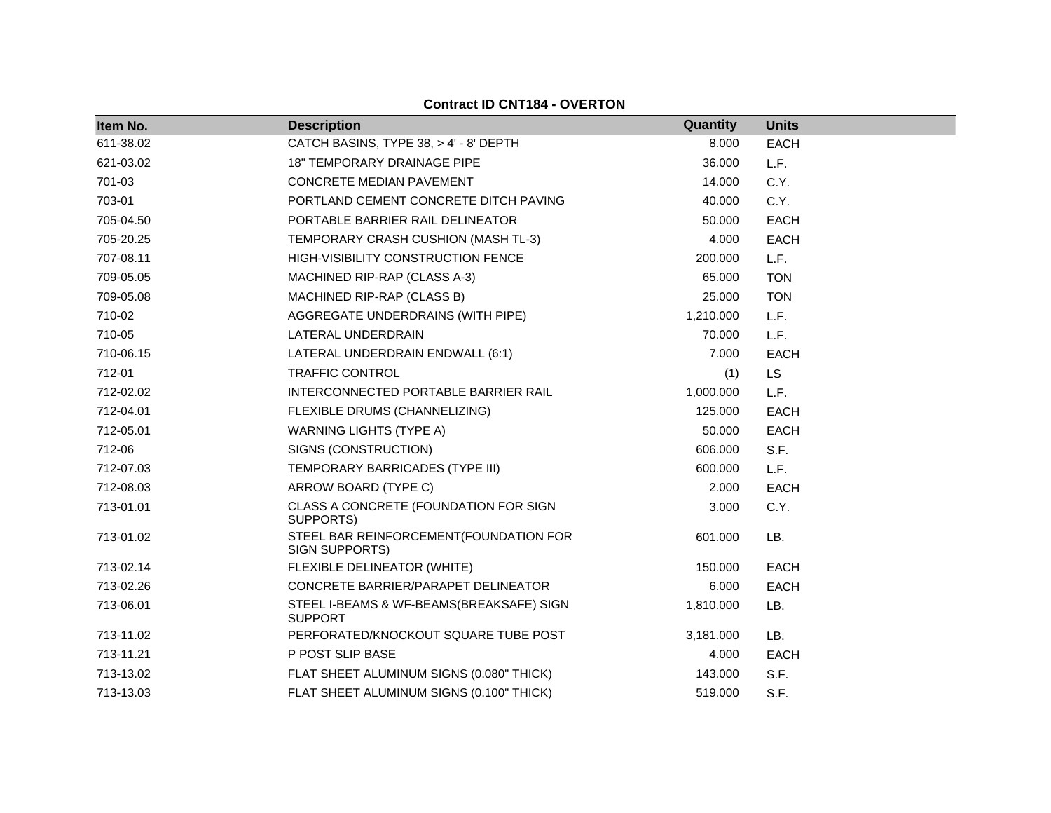| Item No.  | <b>Description</b>                                         | Quantity  | <b>Units</b> |
|-----------|------------------------------------------------------------|-----------|--------------|
| 611-38.02 | CATCH BASINS, TYPE 38, > 4' - 8' DEPTH                     | 8.000     | EACH         |
| 621-03.02 | <b>18" TEMPORARY DRAINAGE PIPE</b>                         | 36,000    | L.F.         |
| 701-03    | CONCRETE MEDIAN PAVEMENT                                   | 14.000    | C.Y.         |
| 703-01    | PORTLAND CEMENT CONCRETE DITCH PAVING                      | 40.000    | C.Y.         |
| 705-04.50 | PORTABLE BARRIER RAIL DELINEATOR                           | 50.000    | <b>EACH</b>  |
| 705-20.25 | TEMPORARY CRASH CUSHION (MASH TL-3)                        | 4.000     | EACH         |
| 707-08.11 | HIGH-VISIBILITY CONSTRUCTION FENCE                         | 200.000   | L.F.         |
| 709-05.05 | MACHINED RIP-RAP (CLASS A-3)                               | 65.000    | <b>TON</b>   |
| 709-05.08 | MACHINED RIP-RAP (CLASS B)                                 | 25,000    | <b>TON</b>   |
| 710-02    | AGGREGATE UNDERDRAINS (WITH PIPE)                          | 1,210.000 | L.F.         |
| 710-05    | LATERAL UNDERDRAIN                                         | 70.000    | L.F.         |
| 710-06.15 | LATERAL UNDERDRAIN ENDWALL (6:1)                           | 7.000     | EACH         |
| 712-01    | <b>TRAFFIC CONTROL</b>                                     | (1)       | <b>LS</b>    |
| 712-02.02 | INTERCONNECTED PORTABLE BARRIER RAIL                       | 1,000.000 | L.F.         |
| 712-04.01 | FLEXIBLE DRUMS (CHANNELIZING)                              | 125.000   | <b>EACH</b>  |
| 712-05.01 | <b>WARNING LIGHTS (TYPE A)</b>                             | 50.000    | <b>EACH</b>  |
| 712-06    | SIGNS (CONSTRUCTION)                                       | 606.000   | S.F.         |
| 712-07.03 | TEMPORARY BARRICADES (TYPE III)                            | 600.000   | L.F.         |
| 712-08.03 | ARROW BOARD (TYPE C)                                       | 2.000     | EACH         |
| 713-01.01 | CLASS A CONCRETE (FOUNDATION FOR SIGN<br>SUPPORTS)         | 3.000     | C.Y.         |
| 713-01.02 | STEEL BAR REINFORCEMENT(FOUNDATION FOR<br>SIGN SUPPORTS)   | 601.000   | LB.          |
| 713-02.14 | FLEXIBLE DELINEATOR (WHITE)                                | 150.000   | <b>EACH</b>  |
| 713-02.26 | CONCRETE BARRIER/PARAPET DELINEATOR                        | 6.000     | <b>EACH</b>  |
| 713-06.01 | STEEL I-BEAMS & WF-BEAMS(BREAKSAFE) SIGN<br><b>SUPPORT</b> | 1,810.000 | LB.          |
| 713-11.02 | PERFORATED/KNOCKOUT SQUARE TUBE POST                       | 3,181.000 | LB.          |
| 713-11.21 | P POST SLIP BASE                                           | 4.000     | <b>EACH</b>  |
| 713-13.02 | FLAT SHEET ALUMINUM SIGNS (0.080" THICK)                   | 143.000   | S.F.         |
| 713-13.03 | FLAT SHEET ALUMINUM SIGNS (0.100" THICK)                   | 519.000   | S.F.         |

## **Contract ID CNT184 - OVERTON**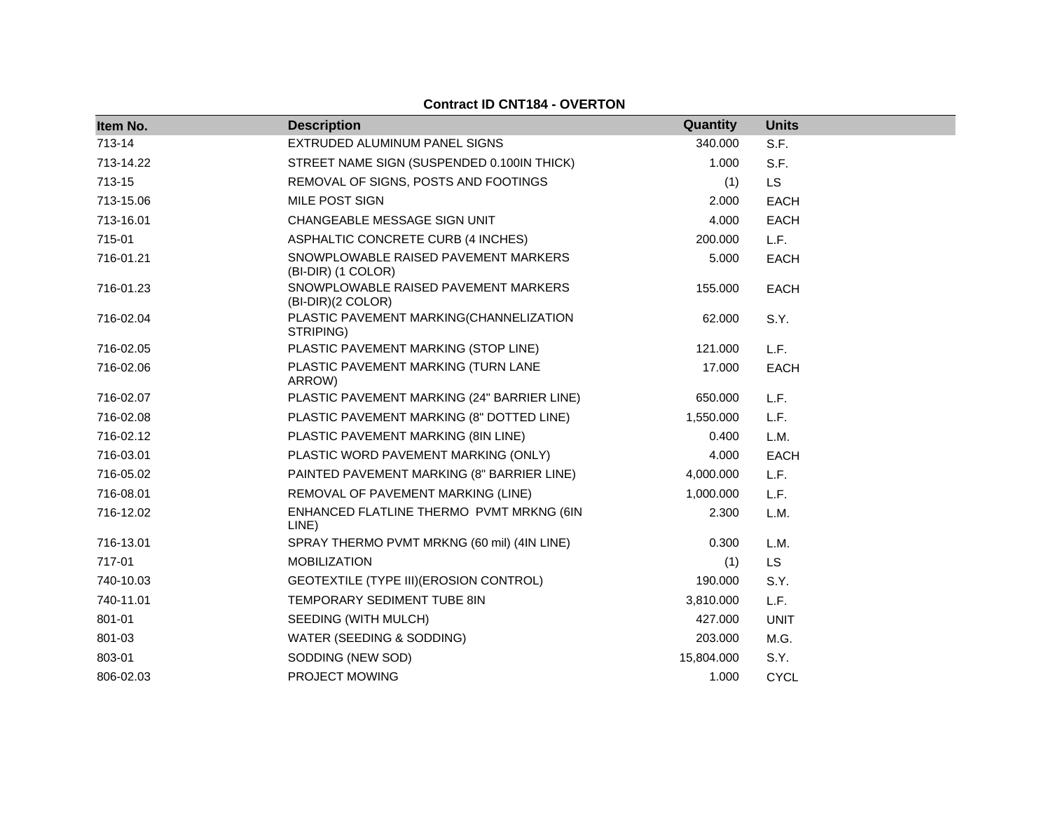| <b>Contract ID CNT184 - OVERTON</b> |
|-------------------------------------|
|-------------------------------------|

| Item No.  | <b>Description</b>                                         | Quantity   | <b>Units</b> |
|-----------|------------------------------------------------------------|------------|--------------|
| 713-14    | EXTRUDED ALUMINUM PANEL SIGNS                              | 340.000    | S.F.         |
| 713-14.22 | STREET NAME SIGN (SUSPENDED 0.100IN THICK)                 | 1.000      | S.F.         |
| 713-15    | REMOVAL OF SIGNS, POSTS AND FOOTINGS                       | (1)        | <b>LS</b>    |
| 713-15.06 | MILE POST SIGN                                             | 2.000      | <b>EACH</b>  |
| 713-16.01 | CHANGEABLE MESSAGE SIGN UNIT                               | 4.000      | <b>EACH</b>  |
| 715-01    | ASPHALTIC CONCRETE CURB (4 INCHES)                         | 200.000    | L.F.         |
| 716-01.21 | SNOWPLOWABLE RAISED PAVEMENT MARKERS<br>(BI-DIR) (1 COLOR) | 5.000      | EACH         |
| 716-01.23 | SNOWPLOWABLE RAISED PAVEMENT MARKERS<br>(BI-DIR)(2 COLOR)  | 155.000    | <b>EACH</b>  |
| 716-02.04 | PLASTIC PAVEMENT MARKING(CHANNELIZATION<br>STRIPING)       | 62.000     | S.Y.         |
| 716-02.05 | PLASTIC PAVEMENT MARKING (STOP LINE)                       | 121.000    | L.F.         |
| 716-02.06 | PLASTIC PAVEMENT MARKING (TURN LANE<br>ARROW)              | 17.000     | <b>EACH</b>  |
| 716-02.07 | PLASTIC PAVEMENT MARKING (24" BARRIER LINE)                | 650.000    | L.F.         |
| 716-02.08 | PLASTIC PAVEMENT MARKING (8" DOTTED LINE)                  | 1,550.000  | L.F.         |
| 716-02.12 | PLASTIC PAVEMENT MARKING (8IN LINE)                        | 0.400      | L.M.         |
| 716-03.01 | PLASTIC WORD PAVEMENT MARKING (ONLY)                       | 4.000      | <b>EACH</b>  |
| 716-05.02 | PAINTED PAVEMENT MARKING (8" BARRIER LINE)                 | 4,000.000  | L.F.         |
| 716-08.01 | REMOVAL OF PAVEMENT MARKING (LINE)                         | 1,000.000  | L.F.         |
| 716-12.02 | ENHANCED FLATLINE THERMO PVMT MRKNG (6IN<br>LINE)          | 2.300      | L.M.         |
| 716-13.01 | SPRAY THERMO PVMT MRKNG (60 mil) (4IN LINE)                | 0.300      | L.M.         |
| 717-01    | <b>MOBILIZATION</b>                                        | (1)        | <b>LS</b>    |
| 740-10.03 | GEOTEXTILE (TYPE III) (EROSION CONTROL)                    | 190.000    | S.Y.         |
| 740-11.01 | TEMPORARY SEDIMENT TUBE 8IN                                | 3,810.000  | L.F.         |
| 801-01    | SEEDING (WITH MULCH)                                       | 427.000    | <b>UNIT</b>  |
| 801-03    | WATER (SEEDING & SODDING)                                  | 203.000    | M.G.         |
| 803-01    | SODDING (NEW SOD)                                          | 15,804.000 | S.Y.         |
| 806-02.03 | PROJECT MOWING                                             | 1.000      | <b>CYCL</b>  |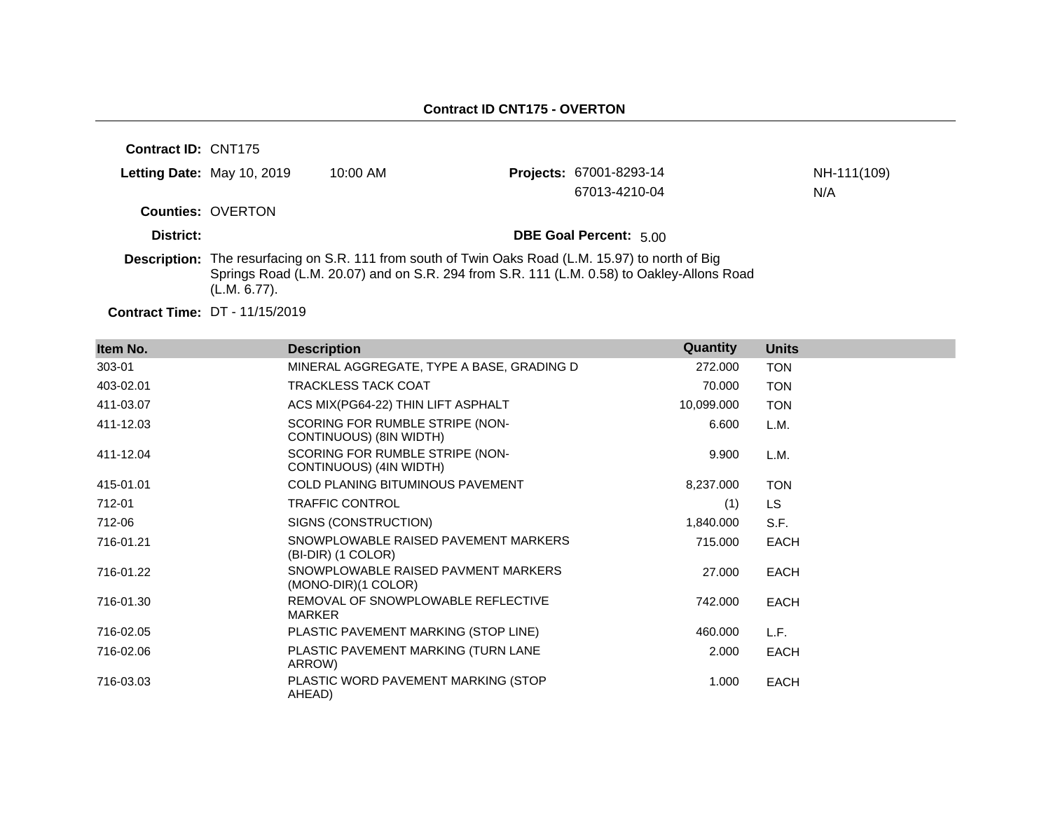| <b>Contract ID: CNT175</b> |                            |                                                                                                           |                                                                                           |             |
|----------------------------|----------------------------|-----------------------------------------------------------------------------------------------------------|-------------------------------------------------------------------------------------------|-------------|
|                            | Letting Date: May 10, 2019 | $10:00$ AM                                                                                                | <b>Projects: 67001-8293-14</b>                                                            | NH-111(109) |
|                            |                            |                                                                                                           | 67013-4210-04                                                                             | N/A         |
|                            | <b>Counties: OVERTON</b>   |                                                                                                           |                                                                                           |             |
| District:                  |                            |                                                                                                           | <b>DBE Goal Percent: 5.00</b>                                                             |             |
|                            | (L.M. 6.77).               | <b>Description:</b> The resurfacing on S.R. 111 from south of Twin Oaks Road (L.M. 15.97) to north of Big | Springs Road (L.M. 20.07) and on S.R. 294 from S.R. 111 (L.M. 0.58) to Oakley-Allons Road |             |

| Item No.  | <b>Description</b>                                         | Quantity   | <b>Units</b> |
|-----------|------------------------------------------------------------|------------|--------------|
| 303-01    | MINERAL AGGREGATE, TYPE A BASE, GRADING D                  | 272.000    | <b>TON</b>   |
| 403-02.01 | <b>TRACKLESS TACK COAT</b>                                 | 70.000     | <b>TON</b>   |
| 411-03.07 | ACS MIX(PG64-22) THIN LIFT ASPHALT                         | 10,099.000 | <b>TON</b>   |
| 411-12.03 | SCORING FOR RUMBLE STRIPE (NON-<br>CONTINUOUS) (8IN WIDTH) | 6.600      | L.M.         |
| 411-12.04 | SCORING FOR RUMBLE STRIPE (NON-<br>CONTINUOUS) (4IN WIDTH) | 9.900      | L.M.         |
| 415-01.01 | <b>COLD PLANING BITUMINOUS PAVEMENT</b>                    | 8,237.000  | <b>TON</b>   |
| 712-01    | <b>TRAFFIC CONTROL</b>                                     | (1)        | LS.          |
| 712-06    | SIGNS (CONSTRUCTION)                                       | 1,840.000  | S.F.         |
| 716-01.21 | SNOWPLOWABLE RAISED PAVEMENT MARKERS<br>(BI-DIR) (1 COLOR) | 715.000    | <b>EACH</b>  |
| 716-01.22 | SNOWPLOWABLE RAISED PAVMENT MARKERS<br>(MONO-DIR)(1 COLOR) | 27.000     | <b>EACH</b>  |
| 716-01.30 | REMOVAL OF SNOWPLOWABLE REFLECTIVE<br><b>MARKER</b>        | 742.000    | <b>EACH</b>  |
| 716-02.05 | PLASTIC PAVEMENT MARKING (STOP LINE)                       | 460.000    | L.F.         |
| 716-02.06 | PLASTIC PAVEMENT MARKING (TURN LANE<br>ARROW)              | 2.000      | <b>EACH</b>  |
| 716-03.03 | PLASTIC WORD PAVEMENT MARKING (STOP<br>AHEAD)              | 1.000      | <b>EACH</b>  |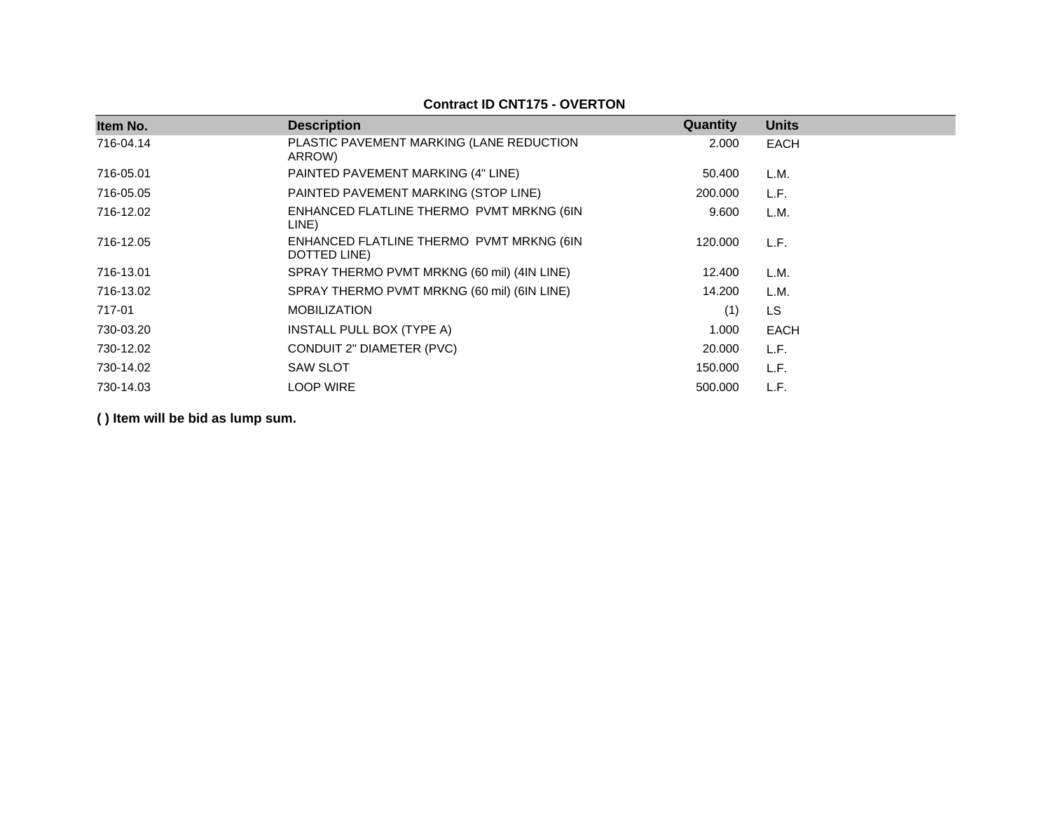| Item No.  | <b>Description</b>                                       | Quantity | <b>Units</b> |
|-----------|----------------------------------------------------------|----------|--------------|
|           |                                                          |          |              |
| 716-04.14 | PLASTIC PAVEMENT MARKING (LANE REDUCTION<br>ARROW)       | 2.000    | <b>EACH</b>  |
| 716-05.01 | PAINTED PAVEMENT MARKING (4" LINE)                       | 50.400   | L.M.         |
| 716-05.05 | PAINTED PAVEMENT MARKING (STOP LINE)                     | 200,000  | L.F.         |
| 716-12.02 | ENHANCED FLATLINE THERMO PVMT MRKNG (6IN<br>LINE)        | 9.600    | L.M.         |
| 716-12.05 | ENHANCED FLATLINE THERMO PVMT MRKNG (6IN<br>DOTTED LINE) | 120.000  | L.F.         |
| 716-13.01 | SPRAY THERMO PVMT MRKNG (60 mil) (4IN LINE)              | 12.400   | L.M.         |
| 716-13.02 | SPRAY THERMO PVMT MRKNG (60 mil) (6IN LINE)              | 14.200   | L.M.         |
| 717-01    | <b>MOBILIZATION</b>                                      | (1)      | <b>LS</b>    |
| 730-03.20 | INSTALL PULL BOX (TYPE A)                                | 1.000    | <b>EACH</b>  |
| 730-12.02 | CONDUIT 2" DIAMETER (PVC)                                | 20,000   | L.F.         |
| 730-14.02 | <b>SAW SLOT</b>                                          | 150.000  | L.F.         |
| 730-14.03 | <b>LOOP WIRE</b>                                         | 500,000  | L.F.         |

### **Contract ID CNT175 - OVERTON**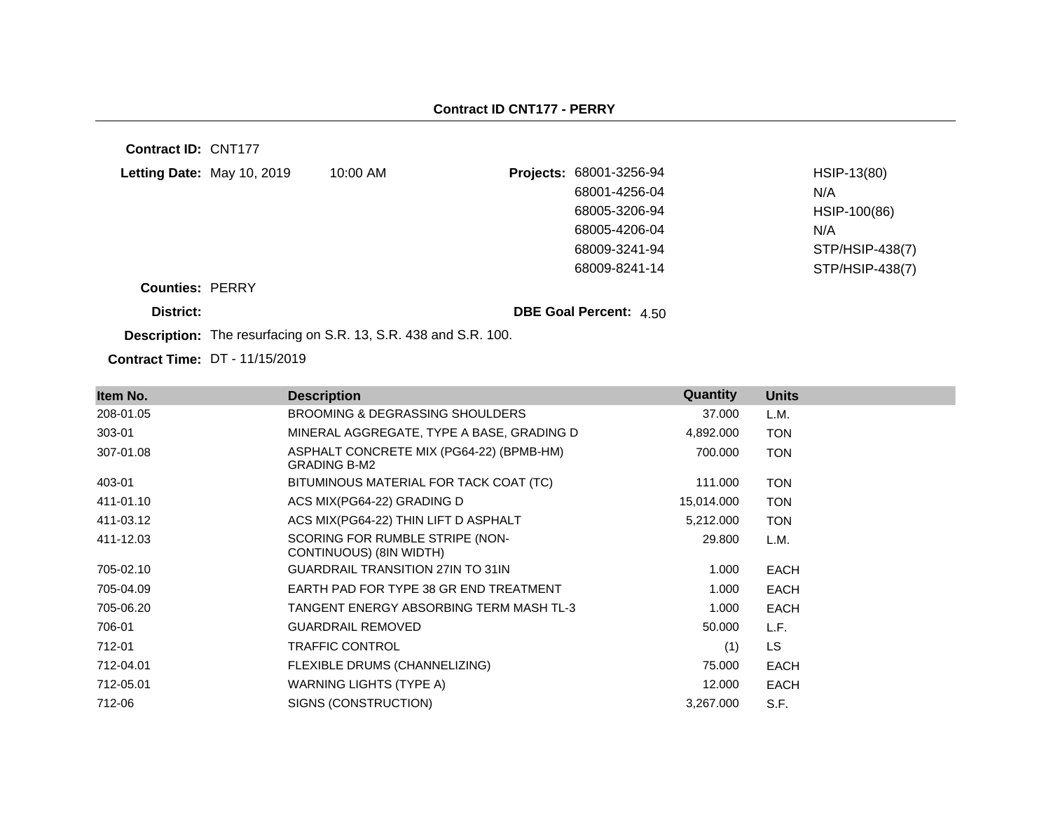**Contract ID:** CNT177 **Letting Date:** May 10, 2019 10:00 AM **Counties:** PERRY **District: District: DBE Goal Percent:**  $4.50$ **Projects:** 68001-3256-94 HSIP-13(80) 68001-4256-04 N/A 68005-3206-94 HSIP-100(86) 68005-4206-04 N/A 68009-3241-94 STP/HSIP-438(7) 68009-8241-14 STP/HSIP-438(7)

**Description:** The resurfacing on S.R. 13, S.R. 438 and S.R. 100.

| Item No.  | <b>Description</b>                                              | <b>Quantity</b> | <b>Units</b> |
|-----------|-----------------------------------------------------------------|-----------------|--------------|
| 208-01.05 | BROOMING & DEGRASSING SHOULDERS                                 | 37.000          | L.M.         |
| 303-01    | MINERAL AGGREGATE, TYPE A BASE, GRADING D                       | 4,892.000       | <b>TON</b>   |
| 307-01.08 | ASPHALT CONCRETE MIX (PG64-22) (BPMB-HM)<br><b>GRADING B-M2</b> | 700.000         | <b>TON</b>   |
| 403-01    | BITUMINOUS MATERIAL FOR TACK COAT (TC)                          | 111.000         | <b>TON</b>   |
| 411-01.10 | ACS MIX(PG64-22) GRADING D                                      | 15,014.000      | <b>TON</b>   |
| 411-03.12 | ACS MIX(PG64-22) THIN LIFT D ASPHALT                            | 5,212.000       | <b>TON</b>   |
| 411-12.03 | SCORING FOR RUMBLE STRIPE (NON-<br>CONTINUOUS) (8IN WIDTH)      | 29.800          | L.M.         |
| 705-02.10 | <b>GUARDRAIL TRANSITION 27IN TO 31IN</b>                        | 1.000           | <b>EACH</b>  |
| 705-04.09 | EARTH PAD FOR TYPE 38 GR END TREATMENT                          | 1.000           | <b>EACH</b>  |
| 705-06.20 | TANGENT ENERGY ABSORBING TERM MASH TL-3                         | 1.000           | <b>EACH</b>  |
| 706-01    | <b>GUARDRAIL REMOVED</b>                                        | 50.000          | L.F.         |
| 712-01    | <b>TRAFFIC CONTROL</b>                                          | (1)             | <b>LS</b>    |
| 712-04.01 | FLEXIBLE DRUMS (CHANNELIZING)                                   | 75.000          | <b>EACH</b>  |
| 712-05.01 | WARNING LIGHTS (TYPE A)                                         | 12.000          | <b>EACH</b>  |
| 712-06    | SIGNS (CONSTRUCTION)                                            | 3,267.000       | S.F.         |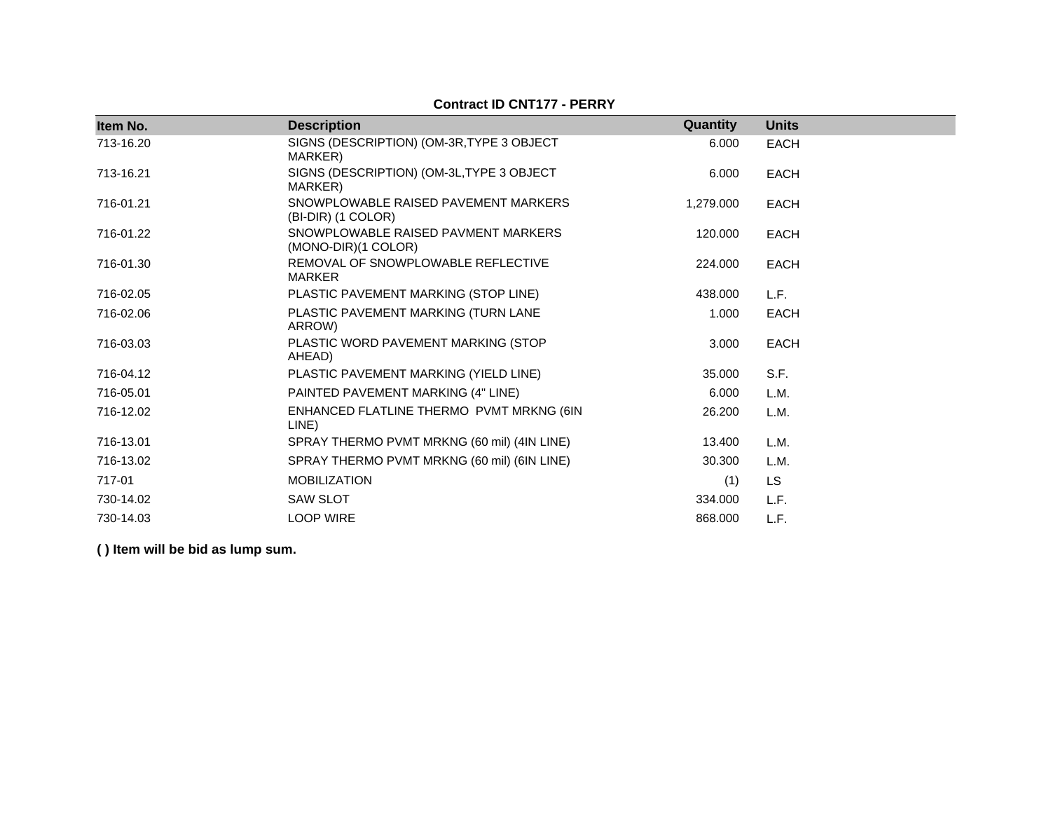| Item No.  | <b>Description</b>                                         | Quantity  | <b>Units</b> |
|-----------|------------------------------------------------------------|-----------|--------------|
| 713-16.20 | SIGNS (DESCRIPTION) (OM-3R, TYPE 3 OBJECT<br>MARKER)       | 6.000     | <b>EACH</b>  |
| 713-16.21 | SIGNS (DESCRIPTION) (OM-3L, TYPE 3 OBJECT<br>MARKER)       | 6.000     | <b>EACH</b>  |
| 716-01.21 | SNOWPLOWABLE RAISED PAVEMENT MARKERS<br>(BI-DIR) (1 COLOR) | 1,279.000 | <b>EACH</b>  |
| 716-01.22 | SNOWPLOWABLE RAISED PAVMENT MARKERS<br>(MONO-DIR)(1 COLOR) | 120,000   | <b>EACH</b>  |
| 716-01.30 | REMOVAL OF SNOWPLOWABLE REFLECTIVE<br>MARKER               | 224,000   | <b>EACH</b>  |
| 716-02.05 | PLASTIC PAVEMENT MARKING (STOP LINE)                       | 438.000   | L.F.         |
| 716-02.06 | PLASTIC PAVEMENT MARKING (TURN LANE<br>ARROW)              | 1.000     | <b>EACH</b>  |
| 716-03.03 | PLASTIC WORD PAVEMENT MARKING (STOP<br>AHEAD)              | 3.000     | <b>EACH</b>  |
| 716-04.12 | PLASTIC PAVEMENT MARKING (YIELD LINE)                      | 35,000    | S.F.         |
| 716-05.01 | PAINTED PAVEMENT MARKING (4" LINE)                         | 6.000     | L.M.         |
| 716-12.02 | ENHANCED FLATLINE THERMO PVMT MRKNG (6IN<br>LINE)          | 26,200    | L.M.         |
| 716-13.01 | SPRAY THERMO PVMT MRKNG (60 mil) (4IN LINE)                | 13.400    | L.M.         |
| 716-13.02 | SPRAY THERMO PVMT MRKNG (60 mil) (6IN LINE)                | 30,300    | L.M.         |
| 717-01    | <b>MOBILIZATION</b>                                        | (1)       | <b>LS</b>    |
| 730-14.02 | <b>SAW SLOT</b>                                            | 334,000   | L.F.         |
| 730-14.03 | <b>LOOP WIRE</b>                                           | 868.000   | L.F.         |

#### **Contract ID CNT177 - PERRY**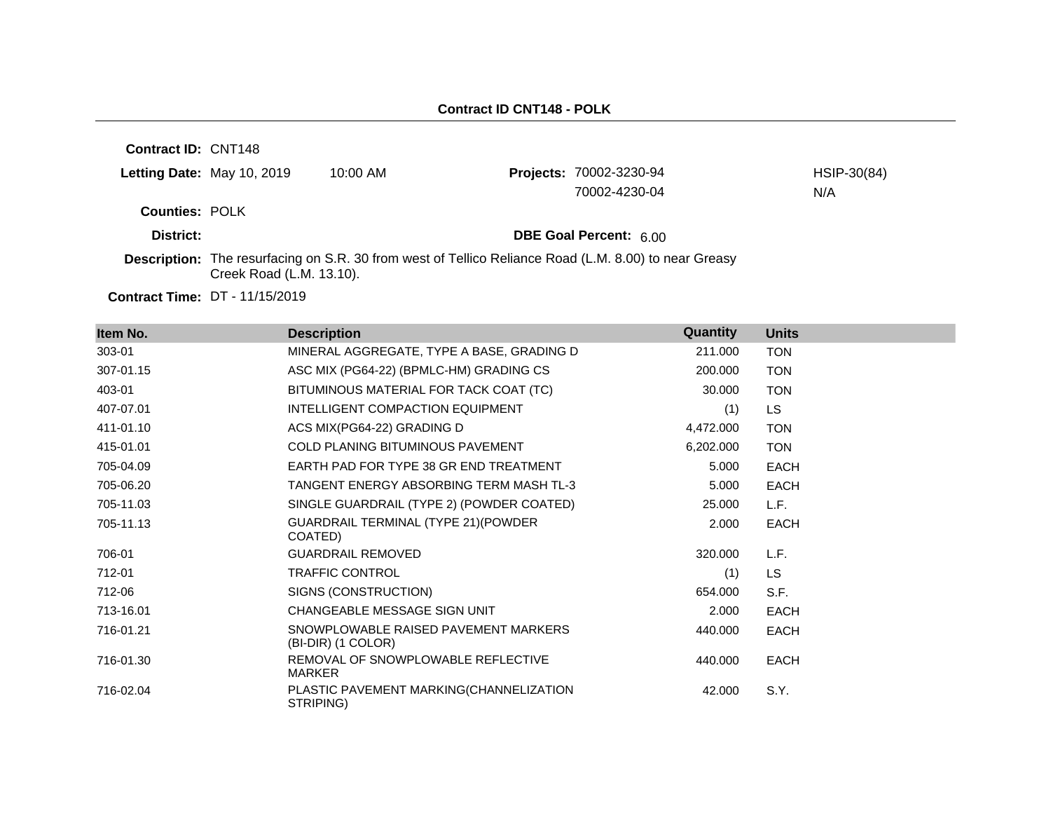**Contract ID:** CNT148 **Letting Date:** May 10, 2019 10:00 AM **Counties:** POLK **District: District: DBE Goal Percent:** 6.00 **Contract Time:** DT - 11/15/2019 **Description:** The resurfacing on S.R. 30 from west of Tellico Reliance Road (L.M. 8.00) to near Greasy Creek Road (L.M. 13.10). Projects: 70002-3230-94 HSIP-30(84) 70002-4230-04 N/A

| Item No.  | <b>Description</b>                                         | Quantity  | <b>Units</b> |
|-----------|------------------------------------------------------------|-----------|--------------|
| 303-01    | MINERAL AGGREGATE, TYPE A BASE, GRADING D                  | 211.000   | <b>TON</b>   |
| 307-01.15 | ASC MIX (PG64-22) (BPMLC-HM) GRADING CS                    | 200.000   | <b>TON</b>   |
| 403-01    | BITUMINOUS MATERIAL FOR TACK COAT (TC)                     | 30.000    | <b>TON</b>   |
| 407-07.01 | INTELLIGENT COMPACTION EQUIPMENT                           | (1)       | LS.          |
| 411-01.10 | ACS MIX(PG64-22) GRADING D                                 | 4,472.000 | <b>TON</b>   |
| 415-01.01 | <b>COLD PLANING BITUMINOUS PAVEMENT</b>                    | 6,202.000 | <b>TON</b>   |
| 705-04.09 | EARTH PAD FOR TYPE 38 GR END TREATMENT                     | 5.000     | <b>EACH</b>  |
| 705-06.20 | TANGENT ENERGY ABSORBING TERM MASH TL-3                    | 5.000     | <b>EACH</b>  |
| 705-11.03 | SINGLE GUARDRAIL (TYPE 2) (POWDER COATED)                  | 25.000    | L.F.         |
| 705-11.13 | GUARDRAIL TERMINAL (TYPE 21) (POWDER<br>COATED)            | 2.000     | <b>EACH</b>  |
| 706-01    | <b>GUARDRAIL REMOVED</b>                                   | 320.000   | L.F.         |
| 712-01    | TRAFFIC CONTROL                                            | (1)       | LS.          |
| 712-06    | SIGNS (CONSTRUCTION)                                       | 654.000   | S.F.         |
| 713-16.01 | CHANGEABLE MESSAGE SIGN UNIT                               | 2.000     | <b>EACH</b>  |
| 716-01.21 | SNOWPLOWABLE RAISED PAVEMENT MARKERS<br>(BI-DIR) (1 COLOR) | 440.000   | <b>EACH</b>  |
| 716-01.30 | REMOVAL OF SNOWPLOWABLE REFLECTIVE<br>MARKER               | 440.000   | <b>EACH</b>  |
| 716-02.04 | PLASTIC PAVEMENT MARKING(CHANNELIZATION<br>STRIPING)       | 42.000    | S.Y.         |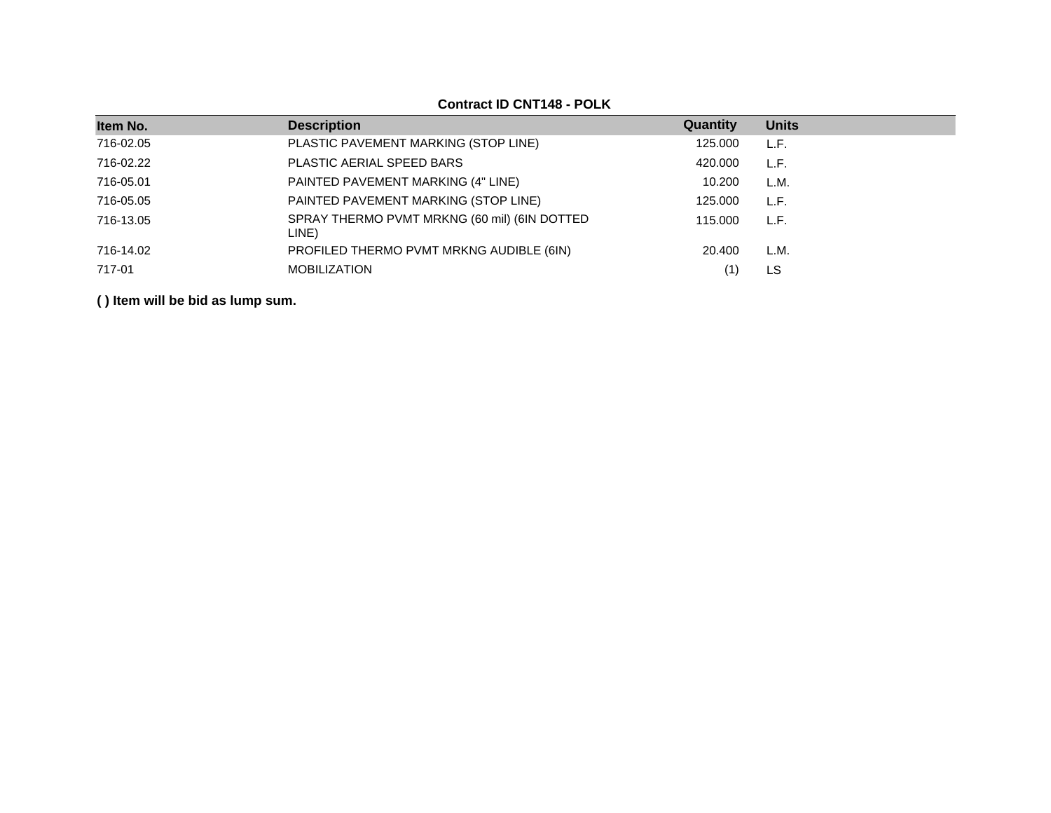### **Contract ID CNT148 - POLK**

| Item No.  | <b>Description</b>                                    | Quantity | <b>Units</b> |
|-----------|-------------------------------------------------------|----------|--------------|
| 716-02.05 | PLASTIC PAVEMENT MARKING (STOP LINE)                  | 125.000  | L.F.         |
| 716-02.22 | PLASTIC AERIAL SPEED BARS                             | 420.000  | L.F.         |
| 716-05.01 | PAINTED PAVEMENT MARKING (4" LINE)                    | 10.200   | L.M.         |
| 716-05.05 | PAINTED PAVEMENT MARKING (STOP LINE)                  | 125.000  | L.F.         |
| 716-13.05 | SPRAY THERMO PVMT MRKNG (60 mil) (6IN DOTTED<br>LINE) | 115,000  | L.F.         |
| 716-14.02 | PROFILED THERMO PVMT MRKNG AUDIBLE (6IN)              | 20.400   | L.M.         |
| 717-01    | <b>MOBILIZATION</b>                                   |          | LS           |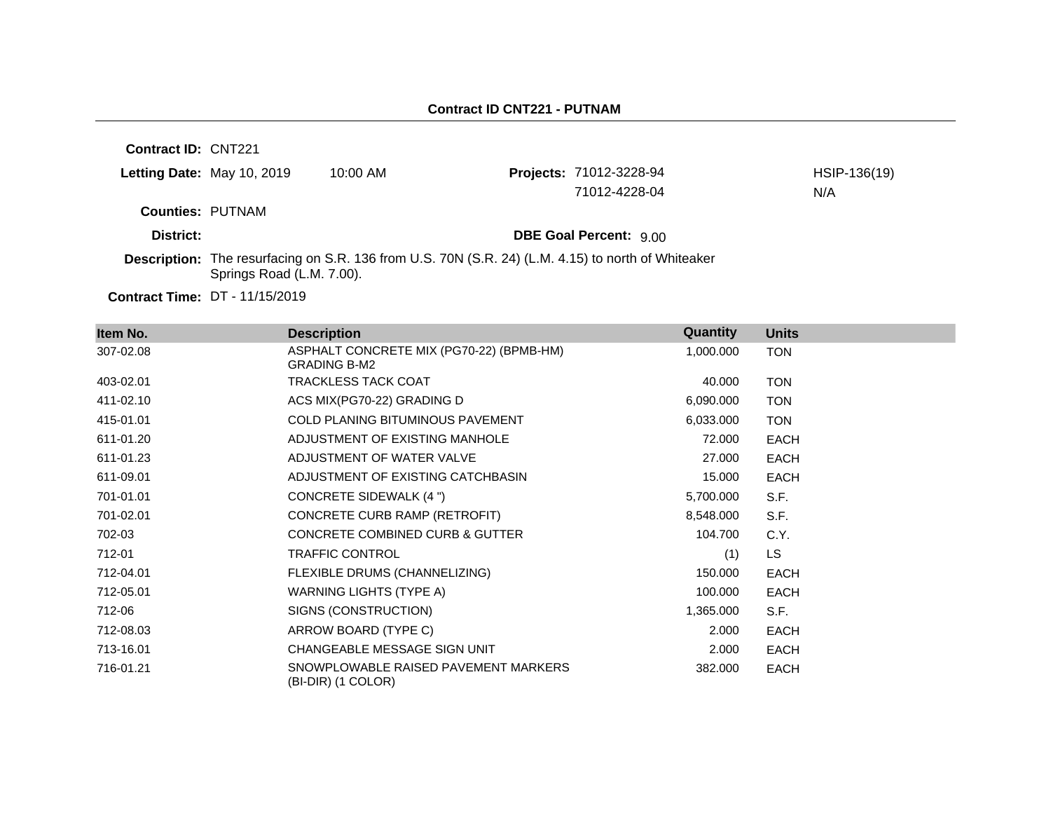**Contract ID:** CNT221

| Letting Date: May 10, 2019 | 10:00 AM | <b>Projects: 71012-3228-94</b> | HSIP-136(19) |
|----------------------------|----------|--------------------------------|--------------|
|                            |          | 71012-4228-04                  | N/A          |
| <b>Counties: PUTNAM</b>    |          |                                |              |
| District:                  |          | <b>DBE Goal Percent: 9.00</b>  |              |

**Description:** The resurfacing on S.R. 136 from U.S. 70N (S.R. 24) (L.M. 4.15) to north of Whiteaker Springs Road (L.M. 7.00).

| Item No.  | <b>Description</b>                                              | Quantity  | <b>Units</b> |
|-----------|-----------------------------------------------------------------|-----------|--------------|
| 307-02.08 | ASPHALT CONCRETE MIX (PG70-22) (BPMB-HM)<br><b>GRADING B-M2</b> | 1,000.000 | <b>TON</b>   |
| 403-02.01 | <b>TRACKLESS TACK COAT</b>                                      | 40.000    | <b>TON</b>   |
| 411-02.10 | ACS MIX(PG70-22) GRADING D                                      | 6,090.000 | <b>TON</b>   |
| 415-01.01 | <b>COLD PLANING BITUMINOUS PAVEMENT</b>                         | 6,033.000 | <b>TON</b>   |
| 611-01.20 | ADJUSTMENT OF EXISTING MANHOLE                                  | 72.000    | <b>EACH</b>  |
| 611-01.23 | ADJUSTMENT OF WATER VALVE                                       | 27.000    | <b>EACH</b>  |
| 611-09.01 | ADJUSTMENT OF EXISTING CATCHBASIN                               | 15.000    | <b>EACH</b>  |
| 701-01.01 | CONCRETE SIDEWALK (4 ")                                         | 5,700.000 | S.F.         |
| 701-02.01 | CONCRETE CURB RAMP (RETROFIT)                                   | 8,548.000 | S.F.         |
| 702-03    | CONCRETE COMBINED CURB & GUTTER                                 | 104.700   | C.Y.         |
| 712-01    | <b>TRAFFIC CONTROL</b>                                          | (1)       | <b>LS</b>    |
| 712-04.01 | FLEXIBLE DRUMS (CHANNELIZING)                                   | 150.000   | <b>EACH</b>  |
| 712-05.01 | WARNING LIGHTS (TYPE A)                                         | 100.000   | <b>EACH</b>  |
| 712-06    | SIGNS (CONSTRUCTION)                                            | 1,365.000 | S.F.         |
| 712-08.03 | ARROW BOARD (TYPE C)                                            | 2.000     | <b>EACH</b>  |
| 713-16.01 | CHANGEABLE MESSAGE SIGN UNIT                                    | 2.000     | <b>EACH</b>  |
| 716-01.21 | SNOWPLOWABLE RAISED PAVEMENT MARKERS<br>(BI-DIR) (1 COLOR)      | 382.000   | <b>EACH</b>  |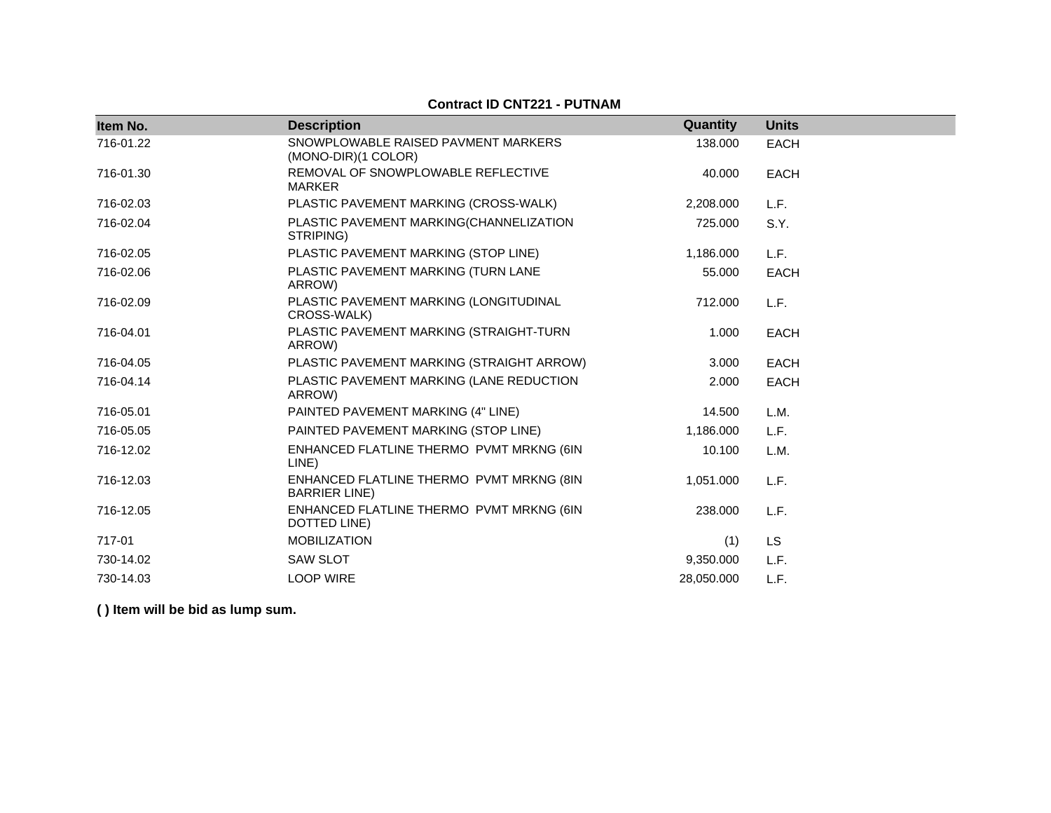#### **Contract ID CNT221 - PUTNAM**

| Item No.  | <b>Description</b>                                               | Quantity   | <b>Units</b> |
|-----------|------------------------------------------------------------------|------------|--------------|
| 716-01.22 | SNOWPLOWABLE RAISED PAVMENT MARKERS<br>(MONO-DIR)(1 COLOR)       | 138.000    | <b>EACH</b>  |
| 716-01.30 | REMOVAL OF SNOWPLOWABLE REFLECTIVE<br><b>MARKER</b>              | 40.000     | <b>EACH</b>  |
| 716-02.03 | PLASTIC PAVEMENT MARKING (CROSS-WALK)                            | 2,208.000  | L.F.         |
| 716-02.04 | PLASTIC PAVEMENT MARKING(CHANNELIZATION<br>STRIPING)             | 725.000    | S.Y.         |
| 716-02.05 | PLASTIC PAVEMENT MARKING (STOP LINE)                             | 1,186.000  | L.F.         |
| 716-02.06 | PLASTIC PAVEMENT MARKING (TURN LANE<br>ARROW)                    | 55.000     | <b>EACH</b>  |
| 716-02.09 | PLASTIC PAVEMENT MARKING (LONGITUDINAL<br>CROSS-WALK)            | 712.000    | L.F.         |
| 716-04.01 | PLASTIC PAVEMENT MARKING (STRAIGHT-TURN<br>ARROW)                | 1.000      | <b>EACH</b>  |
| 716-04.05 | PLASTIC PAVEMENT MARKING (STRAIGHT ARROW)                        | 3.000      | <b>EACH</b>  |
| 716-04.14 | PLASTIC PAVEMENT MARKING (LANE REDUCTION<br>ARROW)               | 2.000      | <b>EACH</b>  |
| 716-05.01 | PAINTED PAVEMENT MARKING (4" LINE)                               | 14.500     | L.M.         |
| 716-05.05 | PAINTED PAVEMENT MARKING (STOP LINE)                             | 1,186.000  | L.F.         |
| 716-12.02 | ENHANCED FLATLINE THERMO PVMT MRKNG (6IN<br>LINE)                | 10.100     | L.M.         |
| 716-12.03 | ENHANCED FLATLINE THERMO PVMT MRKNG (8IN<br><b>BARRIER LINE)</b> | 1,051.000  | L.F.         |
| 716-12.05 | ENHANCED FLATLINE THERMO PVMT MRKNG (6IN<br>DOTTED LINE)         | 238.000    | L.F.         |
| 717-01    | <b>MOBILIZATION</b>                                              | (1)        | <b>LS</b>    |
| 730-14.02 | <b>SAW SLOT</b>                                                  | 9,350.000  | L.F.         |
| 730-14.03 | <b>LOOP WIRE</b>                                                 | 28,050.000 | L.F.         |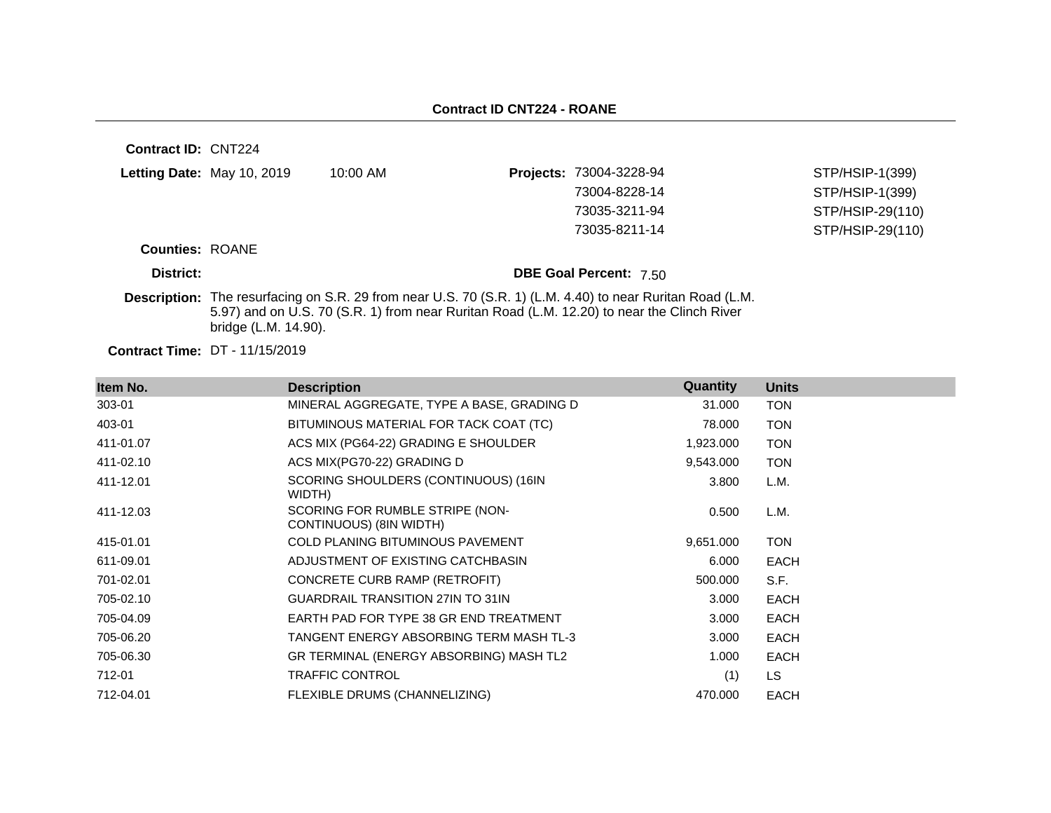| <b>Contract ID: CNT224</b> |                                       |                                                                                            |                                                                                                           |                  |
|----------------------------|---------------------------------------|--------------------------------------------------------------------------------------------|-----------------------------------------------------------------------------------------------------------|------------------|
|                            | Letting Date: May 10, 2019            | 10:00 AM                                                                                   | Projects: 73004-3228-94                                                                                   | STP/HSIP-1(399)  |
|                            |                                       |                                                                                            | 73004-8228-14                                                                                             | STP/HSIP-1(399)  |
|                            |                                       |                                                                                            | 73035-3211-94                                                                                             | STP/HSIP-29(110) |
|                            |                                       |                                                                                            | 73035-8211-14                                                                                             | STP/HSIP-29(110) |
| <b>Counties: ROANE</b>     |                                       |                                                                                            |                                                                                                           |                  |
| District:                  |                                       |                                                                                            | <b>DBE Goal Percent: 7.50</b>                                                                             |                  |
|                            | bridge (L.M. 14.90).                  | 5.97) and on U.S. 70 (S.R. 1) from near Ruritan Road (L.M. 12.20) to near the Clinch River | Description: The resurfacing on S.R. 29 from near U.S. 70 (S.R. 1) (L.M. 4.40) to near Ruritan Road (L.M. |                  |
|                            | <b>Contract Time: DT - 11/15/2019</b> |                                                                                            |                                                                                                           |                  |

| Item No.  | <b>Description</b>                                         | Quantity  | <b>Units</b> |
|-----------|------------------------------------------------------------|-----------|--------------|
| 303-01    | MINERAL AGGREGATE, TYPE A BASE, GRADING D                  | 31.000    | <b>TON</b>   |
| 403-01    | BITUMINOUS MATERIAL FOR TACK COAT (TC)                     | 78.000    | <b>TON</b>   |
| 411-01.07 | ACS MIX (PG64-22) GRADING E SHOULDER                       | 1,923.000 | <b>TON</b>   |
| 411-02.10 | ACS MIX(PG70-22) GRADING D                                 | 9,543.000 | <b>TON</b>   |
| 411-12.01 | SCORING SHOULDERS (CONTINUOUS) (16IN<br>WIDTH)             | 3.800     | L.M.         |
| 411-12.03 | SCORING FOR RUMBLE STRIPE (NON-<br>CONTINUOUS) (8IN WIDTH) | 0.500     | L.M.         |
| 415-01.01 | <b>COLD PLANING BITUMINOUS PAVEMENT</b>                    | 9,651.000 | <b>TON</b>   |
| 611-09.01 | ADJUSTMENT OF EXISTING CATCHBASIN                          | 6.000     | <b>EACH</b>  |
| 701-02.01 | CONCRETE CURB RAMP (RETROFIT)                              | 500.000   | S.F.         |
| 705-02.10 | <b>GUARDRAIL TRANSITION 27IN TO 31IN</b>                   | 3.000     | <b>EACH</b>  |
| 705-04.09 | EARTH PAD FOR TYPE 38 GR END TREATMENT                     | 3.000     | <b>EACH</b>  |
| 705-06.20 | TANGENT ENERGY ABSORBING TERM MASH TL-3                    | 3.000     | <b>EACH</b>  |
| 705-06.30 | GR TERMINAL (ENERGY ABSORBING) MASH TL2                    | 1.000     | <b>EACH</b>  |
| 712-01    | <b>TRAFFIC CONTROL</b>                                     | (1)       | LS.          |
| 712-04.01 | FLEXIBLE DRUMS (CHANNELIZING)                              | 470.000   | <b>EACH</b>  |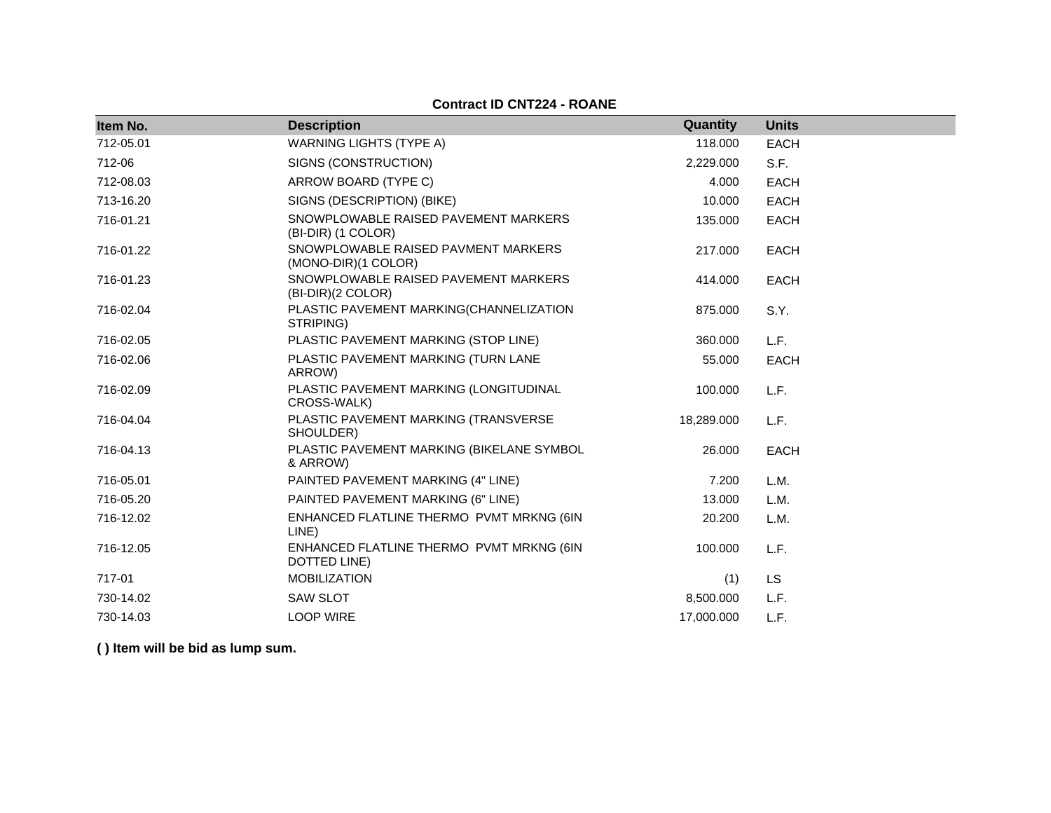**Contract ID CNT224 - ROANE**

| Item No.  | <b>Description</b>                                         | Quantity   | <b>Units</b> |
|-----------|------------------------------------------------------------|------------|--------------|
| 712-05.01 | <b>WARNING LIGHTS (TYPE A)</b>                             | 118.000    | EACH         |
| 712-06    | SIGNS (CONSTRUCTION)                                       | 2,229.000  | S.F.         |
| 712-08.03 | ARROW BOARD (TYPE C)                                       | 4.000      | <b>EACH</b>  |
| 713-16.20 | SIGNS (DESCRIPTION) (BIKE)                                 | 10.000     | <b>EACH</b>  |
| 716-01.21 | SNOWPLOWABLE RAISED PAVEMENT MARKERS<br>(BI-DIR) (1 COLOR) | 135.000    | <b>EACH</b>  |
| 716-01.22 | SNOWPLOWABLE RAISED PAVMENT MARKERS<br>(MONO-DIR)(1 COLOR) | 217.000    | <b>EACH</b>  |
| 716-01.23 | SNOWPLOWABLE RAISED PAVEMENT MARKERS<br>(BI-DIR)(2 COLOR)  | 414.000    | EACH         |
| 716-02.04 | PLASTIC PAVEMENT MARKING(CHANNELIZATION<br>STRIPING)       | 875.000    | S.Y.         |
| 716-02.05 | PLASTIC PAVEMENT MARKING (STOP LINE)                       | 360,000    | L.F.         |
| 716-02.06 | PLASTIC PAVEMENT MARKING (TURN LANE<br>ARROW)              | 55.000     | <b>EACH</b>  |
| 716-02.09 | PLASTIC PAVEMENT MARKING (LONGITUDINAL<br>CROSS-WALK)      | 100.000    | L.F.         |
| 716-04.04 | PLASTIC PAVEMENT MARKING (TRANSVERSE<br>SHOULDER)          | 18,289.000 | L.F.         |
| 716-04.13 | PLASTIC PAVEMENT MARKING (BIKELANE SYMBOL<br>& ARROW)      | 26.000     | <b>EACH</b>  |
| 716-05.01 | PAINTED PAVEMENT MARKING (4" LINE)                         | 7.200      | L.M.         |
| 716-05.20 | PAINTED PAVEMENT MARKING (6" LINE)                         | 13.000     | L.M.         |
| 716-12.02 | ENHANCED FLATLINE THERMO PVMT MRKNG (6IN<br>LINE)          | 20.200     | L.M.         |
| 716-12.05 | ENHANCED FLATLINE THERMO PVMT MRKNG (6IN<br>DOTTED LINE)   | 100.000    | L.F.         |
| 717-01    | <b>MOBILIZATION</b>                                        | (1)        | <b>LS</b>    |
| 730-14.02 | <b>SAW SLOT</b>                                            | 8,500.000  | L.F.         |
| 730-14.03 | <b>LOOP WIRE</b>                                           | 17.000.000 | L.F.         |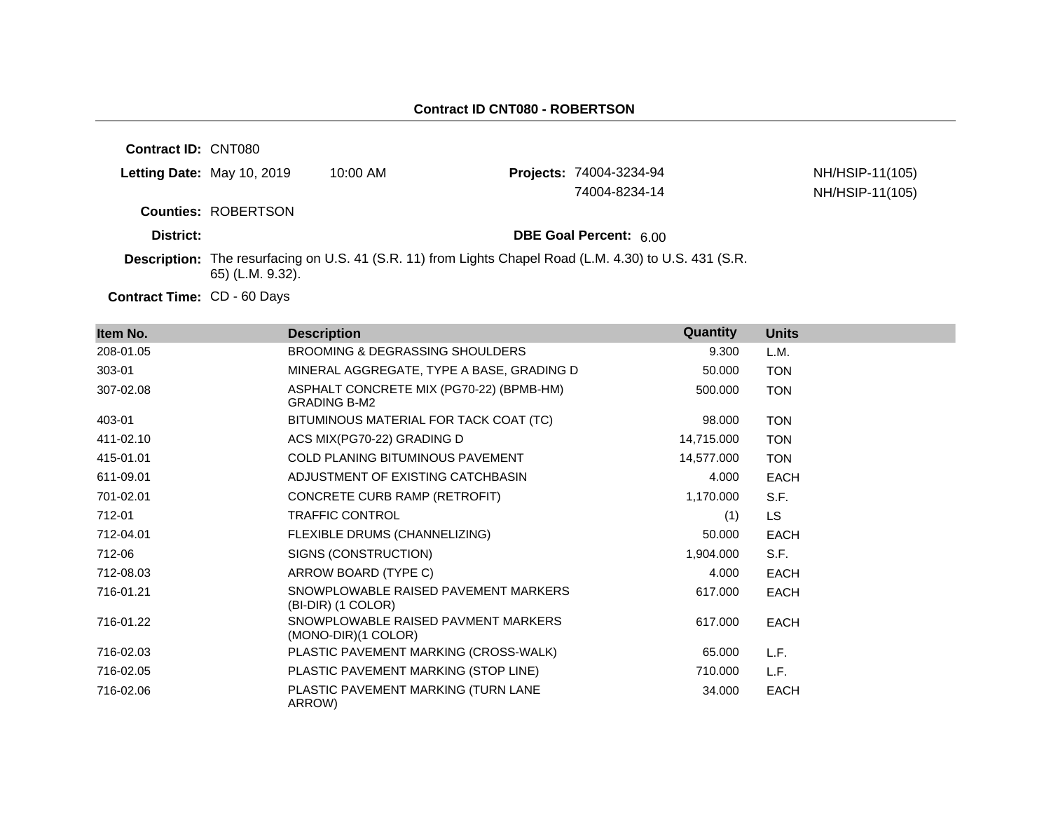| <b>Contract ID: CNT080</b> |                            |                                                                                                         |                                |                 |
|----------------------------|----------------------------|---------------------------------------------------------------------------------------------------------|--------------------------------|-----------------|
|                            | Letting Date: May 10, 2019 | $10:00$ AM                                                                                              | <b>Projects: 74004-3234-94</b> | NH/HSIP-11(105) |
|                            |                            |                                                                                                         | 74004-8234-14                  | NH/HSIP-11(105) |
|                            | <b>Counties: ROBERTSON</b> |                                                                                                         |                                |                 |
| District:                  |                            |                                                                                                         | <b>DBE Goal Percent: 6.00</b>  |                 |
|                            | 65) (L.M. 9.32).           | Description: The resurfacing on U.S. 41 (S.R. 11) from Lights Chapel Road (L.M. 4.30) to U.S. 431 (S.R. |                                |                 |
|                            |                            |                                                                                                         |                                |                 |

Contract Time: CD - 60 Days

| Item No.  | <b>Description</b>                                              | Quantity   | <b>Units</b> |
|-----------|-----------------------------------------------------------------|------------|--------------|
| 208-01.05 | BROOMING & DEGRASSING SHOULDERS                                 | 9.300      | L.M.         |
| 303-01    | MINERAL AGGREGATE, TYPE A BASE, GRADING D                       | 50.000     | <b>TON</b>   |
| 307-02.08 | ASPHALT CONCRETE MIX (PG70-22) (BPMB-HM)<br><b>GRADING B-M2</b> | 500.000    | <b>TON</b>   |
| 403-01    | BITUMINOUS MATERIAL FOR TACK COAT (TC)                          | 98.000     | <b>TON</b>   |
| 411-02.10 | ACS MIX(PG70-22) GRADING D                                      | 14,715.000 | <b>TON</b>   |
| 415-01.01 | COLD PLANING BITUMINOUS PAVEMENT                                | 14,577.000 | <b>TON</b>   |
| 611-09.01 | ADJUSTMENT OF EXISTING CATCHBASIN                               | 4.000      | <b>EACH</b>  |
| 701-02.01 | CONCRETE CURB RAMP (RETROFIT)                                   | 1,170.000  | S.F.         |
| 712-01    | <b>TRAFFIC CONTROL</b>                                          | (1)        | <b>LS</b>    |
| 712-04.01 | FLEXIBLE DRUMS (CHANNELIZING)                                   | 50.000     | <b>EACH</b>  |
| 712-06    | SIGNS (CONSTRUCTION)                                            | 1,904.000  | S.F.         |
| 712-08.03 | ARROW BOARD (TYPE C)                                            | 4.000      | EACH         |
| 716-01.21 | SNOWPLOWABLE RAISED PAVEMENT MARKERS<br>(BI-DIR) (1 COLOR)      | 617.000    | EACH         |
| 716-01.22 | SNOWPLOWABLE RAISED PAVMENT MARKERS<br>(MONO-DIR)(1 COLOR)      | 617.000    | <b>EACH</b>  |
| 716-02.03 | PLASTIC PAVEMENT MARKING (CROSS-WALK)                           | 65.000     | L.F.         |
| 716-02.05 | PLASTIC PAVEMENT MARKING (STOP LINE)                            | 710.000    | L.F.         |
| 716-02.06 | PLASTIC PAVEMENT MARKING (TURN LANE<br>ARROW)                   | 34.000     | <b>EACH</b>  |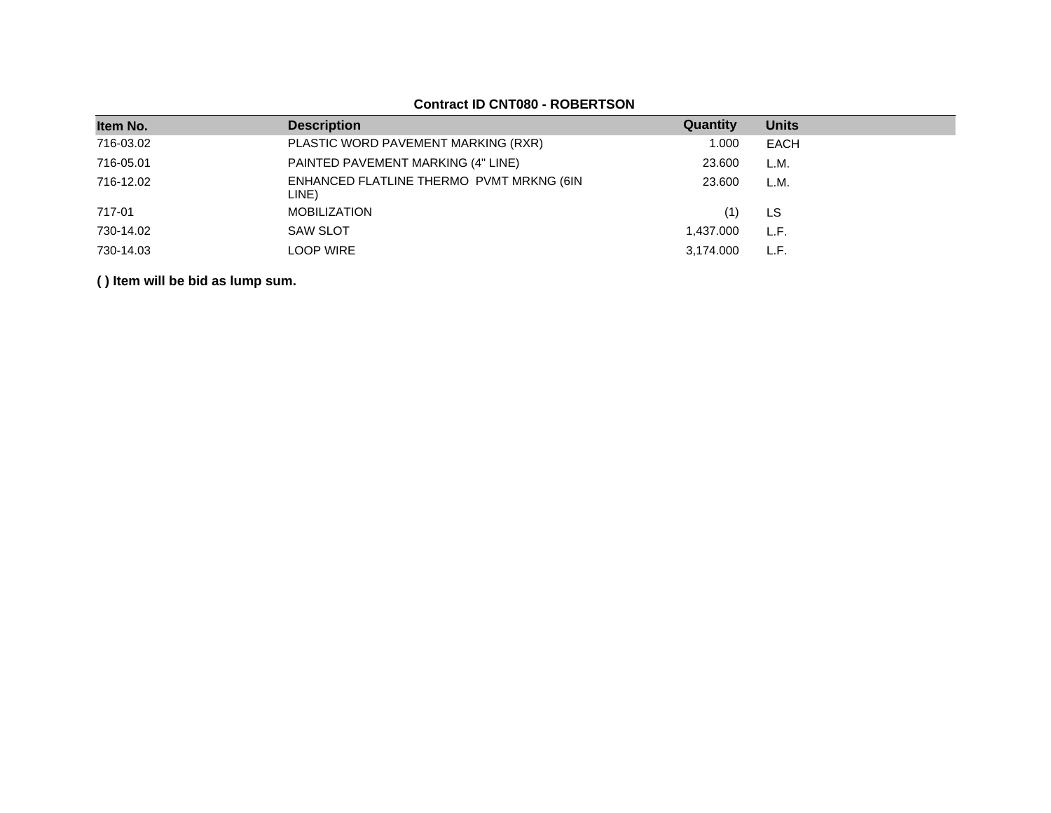| Item No.  | <b>Description</b>                                | Quantity  | <b>Units</b> |
|-----------|---------------------------------------------------|-----------|--------------|
| 716-03.02 | PLASTIC WORD PAVEMENT MARKING (RXR)               | 1.000     | EACH         |
| 716-05.01 | PAINTED PAVEMENT MARKING (4" LINE)                | 23.600    | L.M.         |
| 716-12.02 | ENHANCED FLATLINE THERMO PVMT MRKNG (6IN<br>LINE) | 23,600    | L.M.         |
| 717-01    | <b>MOBILIZATION</b>                               |           | LS           |
| 730-14.02 | <b>SAW SLOT</b>                                   | 1,437.000 | L.F.         |
| 730-14.03 | <b>LOOP WIRE</b>                                  | 3,174.000 | L.F.         |
|           |                                                   |           |              |

## **Contract ID CNT080 - ROBERTSON**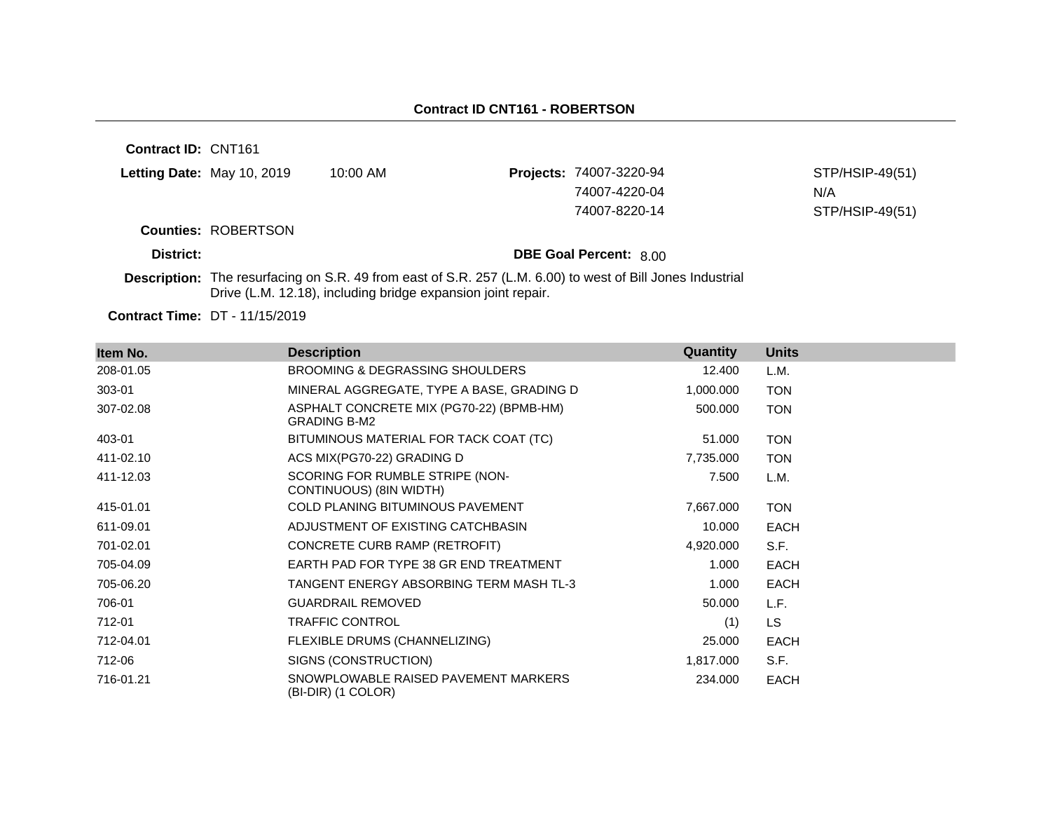**Contract ID:** CNT161 **Letting Date:** May 10, 2019 10:00 AM **Projects:** 74007-3220-94 **Counties:** ROBERTSON **District: District: DBE Goal Percent:** 8.00 STP/HSIP-49(51) 74007-4220-04 N/A 74007-8220-14 STP/HSIP-49(51)

**Description:** The resurfacing on S.R. 49 from east of S.R. 257 (L.M. 6.00) to west of Bill Jones Industrial Drive (L.M. 12.18), including bridge expansion joint repair.

| Item No.  | <b>Description</b>                                              | Quantity  | <b>Units</b> |
|-----------|-----------------------------------------------------------------|-----------|--------------|
| 208-01.05 | <b>BROOMING &amp; DEGRASSING SHOULDERS</b>                      | 12.400    | L.M.         |
| 303-01    | MINERAL AGGREGATE, TYPE A BASE, GRADING D                       | 1,000.000 | <b>TON</b>   |
| 307-02.08 | ASPHALT CONCRETE MIX (PG70-22) (BPMB-HM)<br><b>GRADING B-M2</b> | 500.000   | <b>TON</b>   |
| 403-01    | BITUMINOUS MATERIAL FOR TACK COAT (TC)                          | 51.000    | <b>TON</b>   |
| 411-02.10 | ACS MIX(PG70-22) GRADING D                                      | 7,735.000 | <b>TON</b>   |
| 411-12.03 | SCORING FOR RUMBLE STRIPE (NON-<br>CONTINUOUS) (8IN WIDTH)      | 7.500     | L.M.         |
| 415-01.01 | COLD PLANING BITUMINOUS PAVEMENT                                | 7,667.000 | <b>TON</b>   |
| 611-09.01 | ADJUSTMENT OF EXISTING CATCHBASIN                               | 10.000    | <b>EACH</b>  |
| 701-02.01 | CONCRETE CURB RAMP (RETROFIT)                                   | 4,920.000 | S.F.         |
| 705-04.09 | EARTH PAD FOR TYPE 38 GR END TREATMENT                          | 1.000     | <b>EACH</b>  |
| 705-06.20 | TANGENT ENERGY ABSORBING TERM MASH TL-3                         | 1.000     | <b>EACH</b>  |
| 706-01    | <b>GUARDRAIL REMOVED</b>                                        | 50.000    | L.F.         |
| 712-01    | <b>TRAFFIC CONTROL</b>                                          | (1)       | LS.          |
| 712-04.01 | FLEXIBLE DRUMS (CHANNELIZING)                                   | 25.000    | <b>EACH</b>  |
| 712-06    | SIGNS (CONSTRUCTION)                                            | 1,817.000 | S.F.         |
| 716-01.21 | SNOWPLOWABLE RAISED PAVEMENT MARKERS<br>(BI-DIR) (1 COLOR)      | 234.000   | EACH         |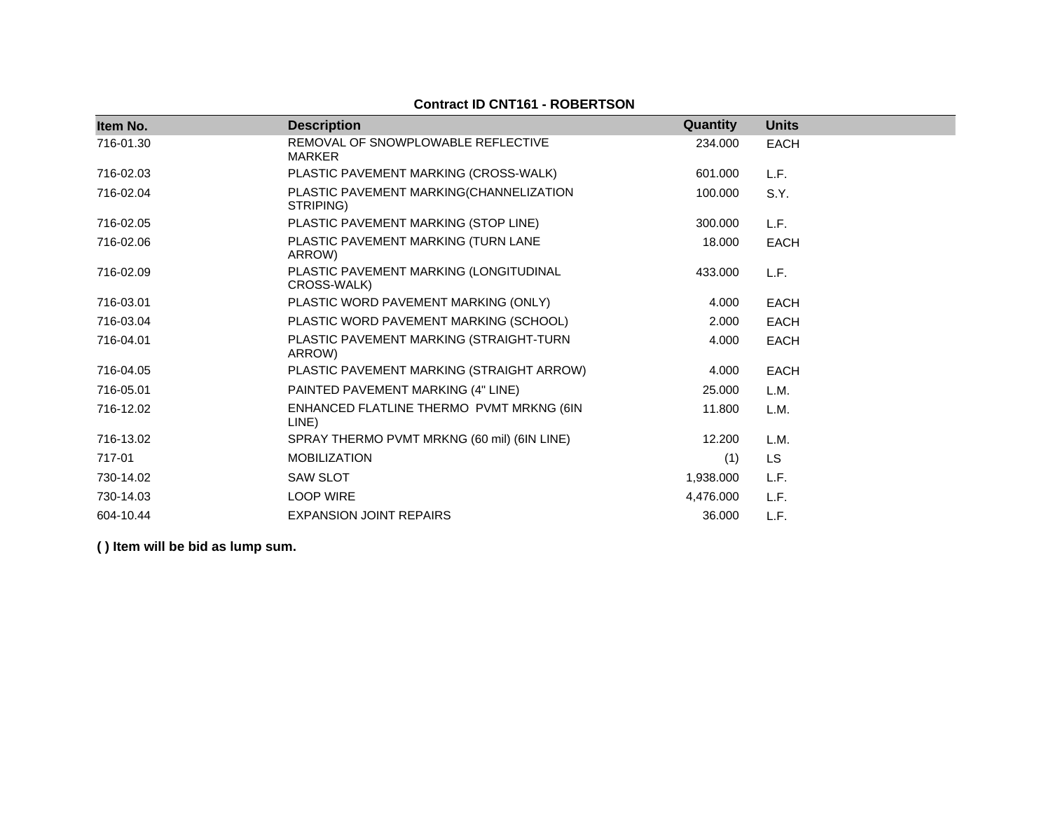| Item No.  | <b>Description</b>                                    | Quantity  | <b>Units</b> |
|-----------|-------------------------------------------------------|-----------|--------------|
| 716-01.30 | REMOVAL OF SNOWPLOWABLE REFLECTIVE<br><b>MARKER</b>   | 234.000   | <b>EACH</b>  |
| 716-02.03 | PLASTIC PAVEMENT MARKING (CROSS-WALK)                 | 601.000   | L.F.         |
| 716-02.04 | PLASTIC PAVEMENT MARKING(CHANNELIZATION<br>STRIPING)  | 100.000   | S.Y.         |
| 716-02.05 | PLASTIC PAVEMENT MARKING (STOP LINE)                  | 300.000   | L.F.         |
| 716-02.06 | PLASTIC PAVEMENT MARKING (TURN LANE<br>ARROW)         | 18.000    | <b>EACH</b>  |
| 716-02.09 | PLASTIC PAVEMENT MARKING (LONGITUDINAL<br>CROSS-WALK) | 433.000   | L.F.         |
| 716-03.01 | PLASTIC WORD PAVEMENT MARKING (ONLY)                  | 4.000     | <b>EACH</b>  |
| 716-03.04 | PLASTIC WORD PAVEMENT MARKING (SCHOOL)                | 2.000     | <b>EACH</b>  |
| 716-04.01 | PLASTIC PAVEMENT MARKING (STRAIGHT-TURN<br>ARROW)     | 4.000     | <b>EACH</b>  |
| 716-04.05 | PLASTIC PAVEMENT MARKING (STRAIGHT ARROW)             | 4.000     | <b>EACH</b>  |
| 716-05.01 | PAINTED PAVEMENT MARKING (4" LINE)                    | 25.000    | L.M.         |
| 716-12.02 | ENHANCED FLATLINE THERMO PVMT MRKNG (6IN<br>LINE)     | 11.800    | L.M.         |
| 716-13.02 | SPRAY THERMO PVMT MRKNG (60 mil) (6IN LINE)           | 12.200    | L.M.         |
| 717-01    | <b>MOBILIZATION</b>                                   | (1)       | <b>LS</b>    |
| 730-14.02 | <b>SAW SLOT</b>                                       | 1,938.000 | L.F.         |
| 730-14.03 | <b>LOOP WIRE</b>                                      | 4,476.000 | L.F.         |
| 604-10.44 | <b>EXPANSION JOINT REPAIRS</b>                        | 36.000    | L.F.         |

## **Contract ID CNT161 - ROBERTSON**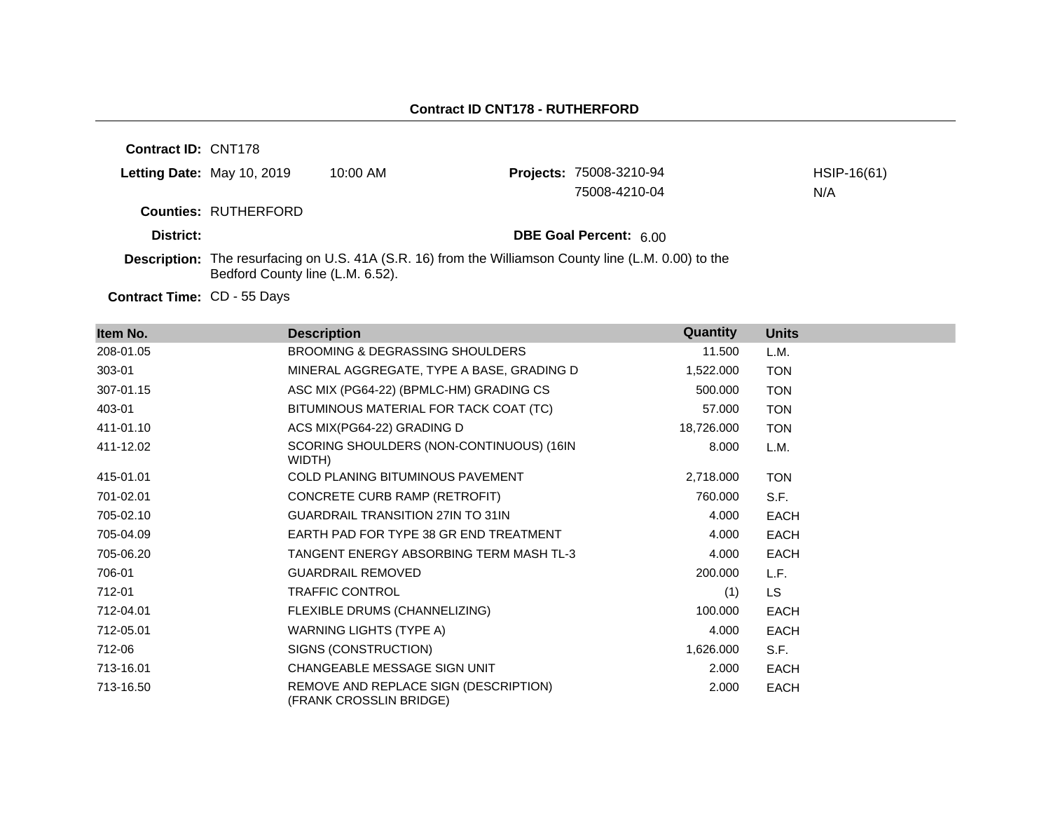**Contract ID:** CNT178 **Letting Date:** May 10, 2019 10:00 AM **Counties:** RUTHERFORD **District: District: DBE Goal Percent:** 6.00 Contract Time: CD - 55 Days **Description:** The resurfacing on U.S. 41A (S.R. 16) from the Williamson County line (L.M. 0.00) to the Bedford County line (L.M. 6.52). Projects: 75008-3210-94 HSIP-16(61) 75008-4210-04 N/A

| Item No.  | <b>Description</b>                                               | Quantity   | <b>Units</b> |
|-----------|------------------------------------------------------------------|------------|--------------|
| 208-01.05 | BROOMING & DEGRASSING SHOULDERS                                  | 11.500     | L.M.         |
| 303-01    | MINERAL AGGREGATE, TYPE A BASE, GRADING D                        | 1,522.000  | <b>TON</b>   |
| 307-01.15 | ASC MIX (PG64-22) (BPMLC-HM) GRADING CS                          | 500.000    | <b>TON</b>   |
| 403-01    | BITUMINOUS MATERIAL FOR TACK COAT (TC)                           | 57.000     | <b>TON</b>   |
| 411-01.10 | ACS MIX(PG64-22) GRADING D                                       | 18,726.000 | <b>TON</b>   |
| 411-12.02 | SCORING SHOULDERS (NON-CONTINUOUS) (16IN<br>WIDTH)               | 8.000      | L.M.         |
| 415-01.01 | <b>COLD PLANING BITUMINOUS PAVEMENT</b>                          | 2,718.000  | <b>TON</b>   |
| 701-02.01 | CONCRETE CURB RAMP (RETROFIT)                                    | 760.000    | S.F.         |
| 705-02.10 | <b>GUARDRAIL TRANSITION 27IN TO 31IN</b>                         | 4.000      | <b>EACH</b>  |
| 705-04.09 | EARTH PAD FOR TYPE 38 GR END TREATMENT                           | 4.000      | <b>EACH</b>  |
| 705-06.20 | TANGENT ENERGY ABSORBING TERM MASH TL-3                          | 4.000      | <b>EACH</b>  |
| 706-01    | <b>GUARDRAIL REMOVED</b>                                         | 200.000    | L.F.         |
| 712-01    | <b>TRAFFIC CONTROL</b>                                           | (1)        | LS.          |
| 712-04.01 | FLEXIBLE DRUMS (CHANNELIZING)                                    | 100.000    | <b>EACH</b>  |
| 712-05.01 | WARNING LIGHTS (TYPE A)                                          | 4.000      | <b>EACH</b>  |
| 712-06    | SIGNS (CONSTRUCTION)                                             | 1,626.000  | S.F.         |
| 713-16.01 | CHANGEABLE MESSAGE SIGN UNIT                                     | 2.000      | <b>EACH</b>  |
| 713-16.50 | REMOVE AND REPLACE SIGN (DESCRIPTION)<br>(FRANK CROSSLIN BRIDGE) | 2.000      | <b>EACH</b>  |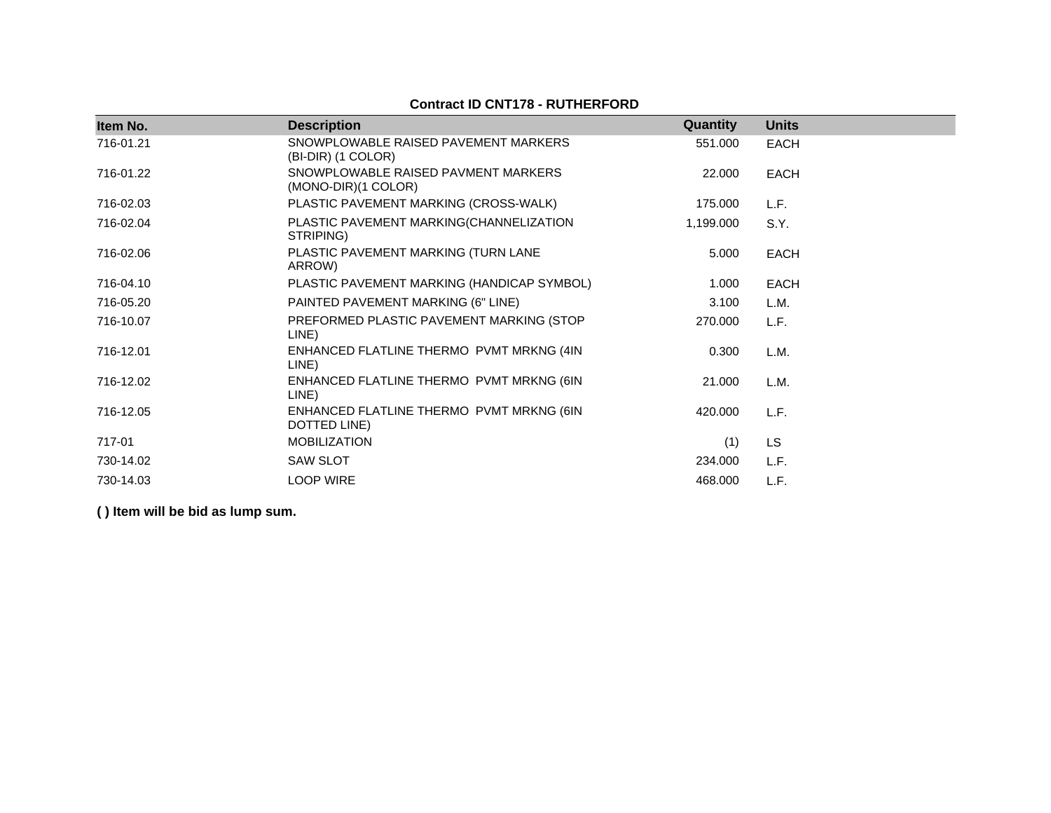## **Contract ID CNT178 - RUTHERFORD**

| Item No.  | <b>Description</b>                                         | Quantity  | <b>Units</b> |
|-----------|------------------------------------------------------------|-----------|--------------|
| 716-01.21 | SNOWPLOWABLE RAISED PAVEMENT MARKERS<br>(BI-DIR) (1 COLOR) | 551.000   | <b>EACH</b>  |
| 716-01.22 | SNOWPLOWABLE RAISED PAVMENT MARKERS<br>(MONO-DIR)(1 COLOR) | 22.000    | <b>EACH</b>  |
| 716-02.03 | PLASTIC PAVEMENT MARKING (CROSS-WALK)                      | 175.000   | L.F.         |
| 716-02.04 | PLASTIC PAVEMENT MARKING(CHANNELIZATION<br>STRIPING)       | 1,199.000 | S.Y.         |
| 716-02.06 | PLASTIC PAVEMENT MARKING (TURN LANE<br>ARROW)              | 5.000     | <b>EACH</b>  |
| 716-04.10 | PLASTIC PAVEMENT MARKING (HANDICAP SYMBOL)                 | 1.000     | <b>EACH</b>  |
| 716-05.20 | PAINTED PAVEMENT MARKING (6" LINE)                         | 3.100     | L.M.         |
| 716-10.07 | PREFORMED PLASTIC PAVEMENT MARKING (STOP<br>LINE)          | 270.000   | L.F.         |
| 716-12.01 | ENHANCED FLATLINE THERMO PVMT MRKNG (4IN<br>LINE)          | 0.300     | L.M.         |
| 716-12.02 | ENHANCED FLATLINE THERMO PVMT MRKNG (6IN<br>LINE)          | 21.000    | L.M.         |
| 716-12.05 | ENHANCED FLATLINE THERMO PVMT MRKNG (6IN<br>DOTTED LINE)   | 420.000   | L.F.         |
| 717-01    | <b>MOBILIZATION</b>                                        | (1)       | <b>LS</b>    |
| 730-14.02 | <b>SAW SLOT</b>                                            | 234.000   | L.F.         |
| 730-14.03 | <b>LOOP WIRE</b>                                           | 468.000   | L.F.         |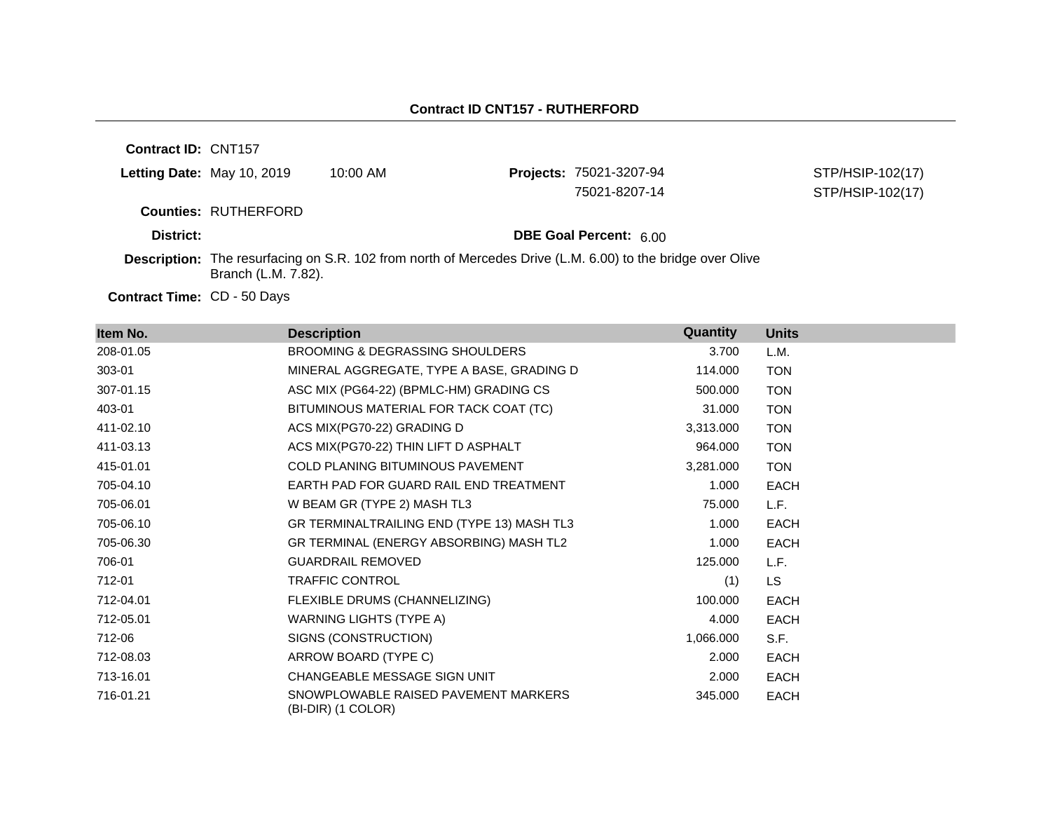| <b>Contract ID: CNT157</b> |                             |            |                                                                                                                   |                  |
|----------------------------|-----------------------------|------------|-------------------------------------------------------------------------------------------------------------------|------------------|
| Letting Date: May 10, 2019 |                             | $10:00$ AM | <b>Projects: 75021-3207-94</b>                                                                                    | STP/HSIP-102(17) |
|                            |                             |            | 75021-8207-14                                                                                                     | STP/HSIP-102(17) |
|                            | <b>Counties: RUTHERFORD</b> |            |                                                                                                                   |                  |
| District:                  |                             |            | <b>DBE Goal Percent: 6.00</b>                                                                                     |                  |
|                            | Branch (L.M. 7.82).         |            | <b>Description:</b> The resurfacing on S.R. 102 from north of Mercedes Drive (L.M. 6.00) to the bridge over Olive |                  |

Contract Time: CD - 50 Days

| Item No.  | <b>Description</b>                                         | Quantity  | <b>Units</b> |
|-----------|------------------------------------------------------------|-----------|--------------|
| 208-01.05 | BROOMING & DEGRASSING SHOULDERS                            | 3.700     | L.M.         |
| 303-01    | MINERAL AGGREGATE, TYPE A BASE, GRADING D                  | 114.000   | <b>TON</b>   |
| 307-01.15 | ASC MIX (PG64-22) (BPMLC-HM) GRADING CS                    | 500.000   | <b>TON</b>   |
| 403-01    | BITUMINOUS MATERIAL FOR TACK COAT (TC)                     | 31.000    | <b>TON</b>   |
| 411-02.10 | ACS MIX(PG70-22) GRADING D                                 | 3,313.000 | <b>TON</b>   |
| 411-03.13 | ACS MIX(PG70-22) THIN LIFT D ASPHALT                       | 964.000   | <b>TON</b>   |
| 415-01.01 | <b>COLD PLANING BITUMINOUS PAVEMENT</b>                    | 3,281.000 | <b>TON</b>   |
| 705-04.10 | EARTH PAD FOR GUARD RAIL END TREATMENT                     | 1.000     | EACH         |
| 705-06.01 | W BEAM GR (TYPE 2) MASH TL3                                | 75.000    | L.F.         |
| 705-06.10 | GR TERMINALTRAILING END (TYPE 13) MASH TL3                 | 1.000     | EACH         |
| 705-06.30 | GR TERMINAL (ENERGY ABSORBING) MASH TL2                    | 1.000     | <b>EACH</b>  |
| 706-01    | <b>GUARDRAIL REMOVED</b>                                   | 125,000   | L.F.         |
| 712-01    | <b>TRAFFIC CONTROL</b>                                     | (1)       | LS.          |
| 712-04.01 | FLEXIBLE DRUMS (CHANNELIZING)                              | 100.000   | <b>EACH</b>  |
| 712-05.01 | WARNING LIGHTS (TYPE A)                                    | 4.000     | <b>EACH</b>  |
| 712-06    | SIGNS (CONSTRUCTION)                                       | 1,066.000 | S.F.         |
| 712-08.03 | ARROW BOARD (TYPE C)                                       | 2.000     | EACH         |
| 713-16.01 | CHANGEABLE MESSAGE SIGN UNIT                               | 2.000     | EACH         |
| 716-01.21 | SNOWPLOWABLE RAISED PAVEMENT MARKERS<br>(BI-DIR) (1 COLOR) | 345.000   | <b>EACH</b>  |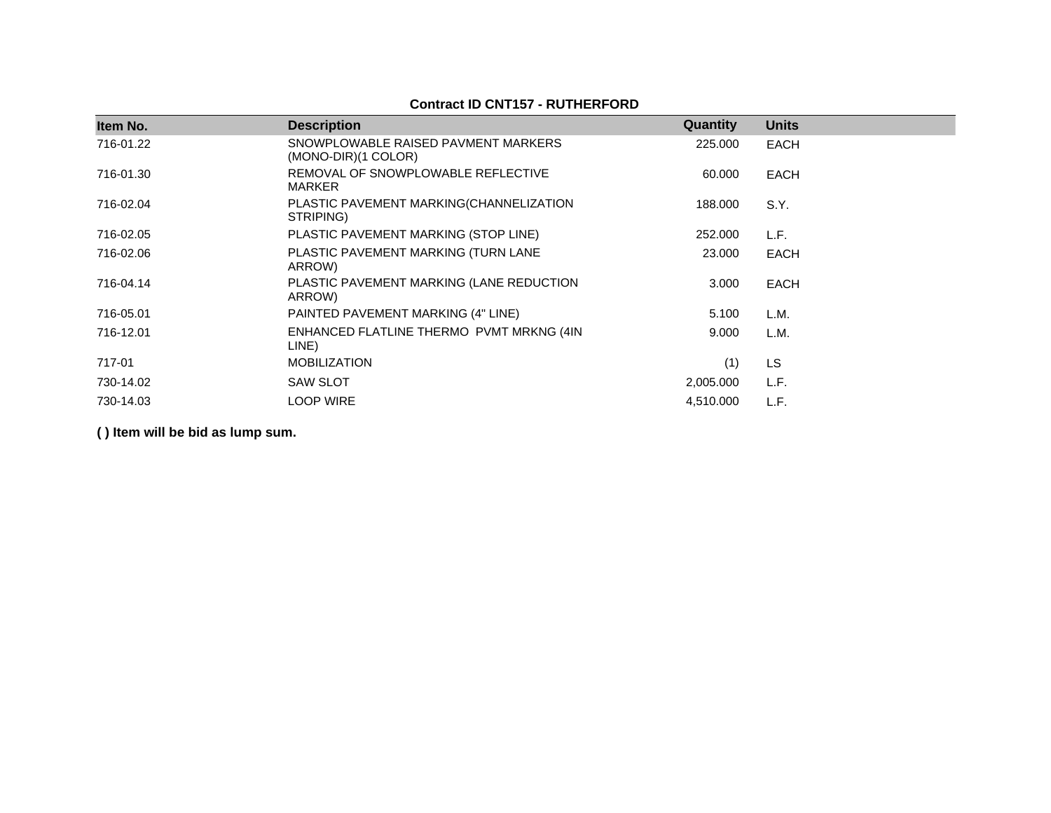## **Contract ID CNT157 - RUTHERFORD**

| Item No.  | <b>Description</b>                                         | Quantity  | <b>Units</b> |  |
|-----------|------------------------------------------------------------|-----------|--------------|--|
| 716-01.22 | SNOWPLOWABLE RAISED PAVMENT MARKERS<br>(MONO-DIR)(1 COLOR) | 225,000   | <b>EACH</b>  |  |
| 716-01.30 | REMOVAL OF SNOWPLOWABLE REFLECTIVE<br><b>MARKER</b>        | 60.000    | <b>EACH</b>  |  |
| 716-02.04 | PLASTIC PAVEMENT MARKING(CHANNELIZATION<br>STRIPING)       | 188,000   | S.Y.         |  |
| 716-02.05 | PLASTIC PAVEMENT MARKING (STOP LINE)                       | 252.000   | L.F.         |  |
| 716-02.06 | PLASTIC PAVEMENT MARKING (TURN LANE<br>ARROW)              | 23,000    | <b>EACH</b>  |  |
| 716-04.14 | PLASTIC PAVEMENT MARKING (LANE REDUCTION<br>ARROW)         | 3.000     | <b>EACH</b>  |  |
| 716-05.01 | PAINTED PAVEMENT MARKING (4" LINE)                         | 5.100     | L.M.         |  |
| 716-12.01 | ENHANCED FLATLINE THERMO PVMT MRKNG (4IN<br>LINE)          | 9.000     | L.M.         |  |
| 717-01    | <b>MOBILIZATION</b>                                        | (1)       | <b>LS</b>    |  |
| 730-14.02 | <b>SAW SLOT</b>                                            | 2,005.000 | L.F.         |  |
| 730-14.03 | <b>LOOP WIRE</b>                                           | 4,510.000 | L.F.         |  |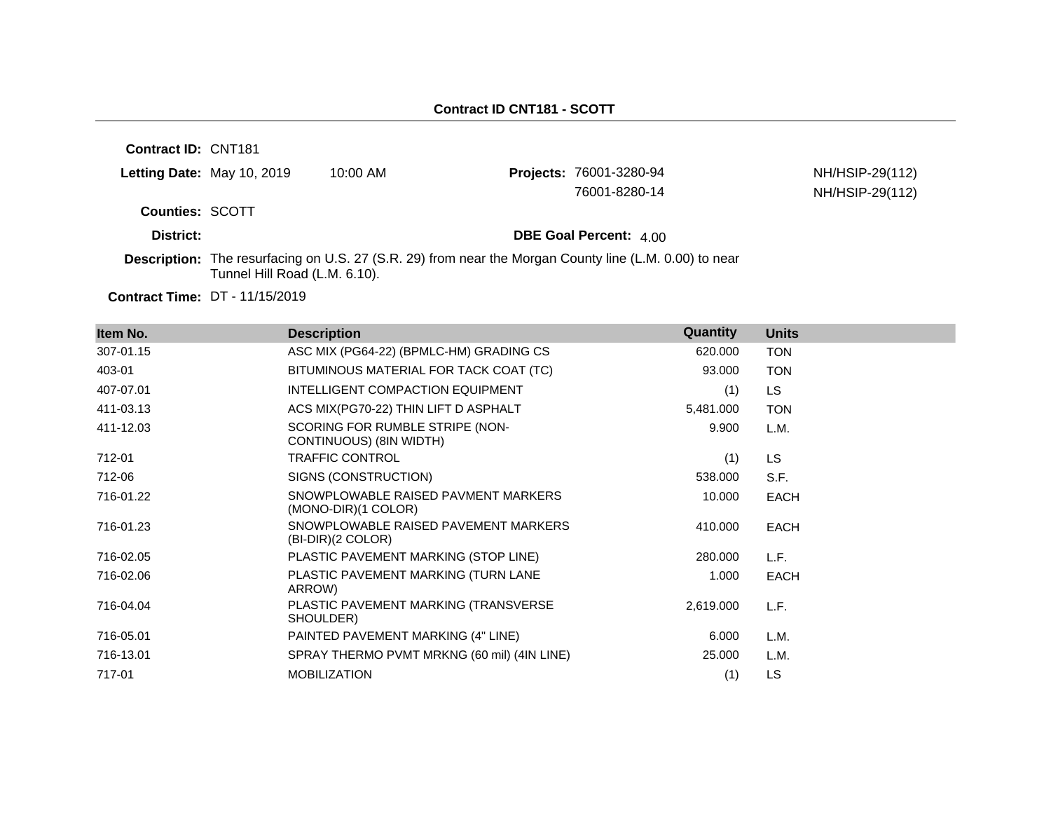| Contract ID: CNT181    |                                       |                                                                                                               |                                |                 |
|------------------------|---------------------------------------|---------------------------------------------------------------------------------------------------------------|--------------------------------|-----------------|
|                        | <b>Letting Date: May 10, 2019</b>     | 10:00 AM                                                                                                      | <b>Projects: 76001-3280-94</b> | NH/HSIP-29(112) |
|                        |                                       |                                                                                                               | 76001-8280-14                  | NH/HSIP-29(112) |
| <b>Counties: SCOTT</b> |                                       |                                                                                                               |                                |                 |
| District:              |                                       |                                                                                                               | <b>DBE Goal Percent: 4.00</b>  |                 |
|                        | Tunnel Hill Road (L.M. 6.10).         | <b>Description:</b> The resurfacing on U.S. 27 (S.R. 29) from near the Morgan County line (L.M. 0.00) to near |                                |                 |
|                        | <b>Contract Time: DT - 11/15/2019</b> |                                                                                                               |                                |                 |

**Item No. Description Quantity Units** 307-01.15 ASC MIX (PG64-22) (BPMLC-HM) GRADING CS 620.000 TON 403-01 BITUMINOUS MATERIAL FOR TACK COAT (TC) 93.000 TON 407-07.01 INTELLIGENT COMPACTION EQUIPMENT (1) LS 411-03.13 ACS MIX(PG70-22) THIN LIFT D ASPHALT 5,481.000 TON 411-12.03 SCORING FOR RUMBLE STRIPE (NON-CONTINUOUS) (8IN WIDTH) 9.900 L.M. 712-01 TRAFFIC CONTROL (1) LS 712-06 SIGNS (CONSTRUCTION) 538.000 S.F. 716-01.22 SNOWPLOWABLE RAISED PAVMENT MARKERS (MONO-DIR)(1 COLOR) 10.000 EACH 716-01.23 SNOWPLOWABLE RAISED PAVEMENT MARKERS (BI-DIR)(2 COLOR) 410.000 EACH 716-02.05 PLASTIC PAVEMENT MARKING (STOP LINE) 280.000 L.F. 716-02.06 PLASTIC PAVEMENT MARKING (TURN LANE ARROW) 1.000 EACH 716-04.04 PLASTIC PAVEMENT MARKING (TRANSVERSE SHOULDER) 2,619.000 L.F. 716-05.01 PAINTED PAVEMENT MARKING (4" LINE) 6.000 L.M. 716-13.01 SPRAY THERMO PVMT MRKNG (60 mil) (4IN LINE) 25.000 L.M. 717-01 MOBILIZATION (1) LS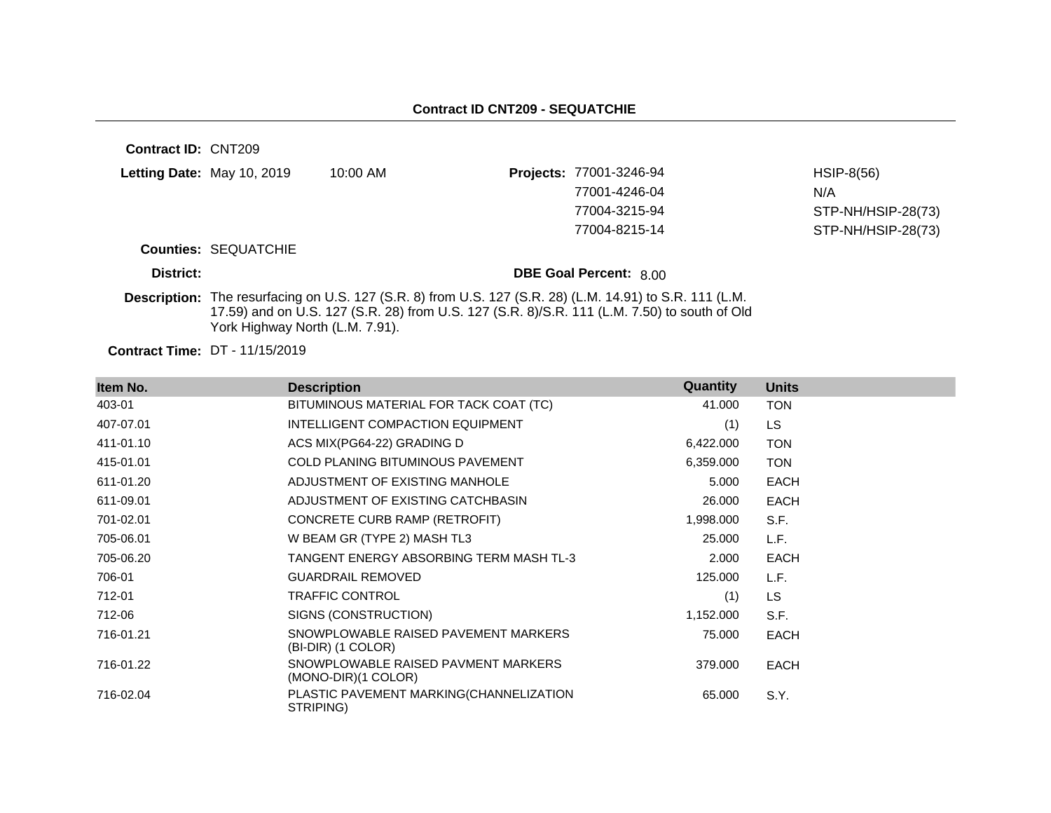| <b>Contract ID: CNT209</b> |                                       |            |                                                                                                                                                                                                          |                    |
|----------------------------|---------------------------------------|------------|----------------------------------------------------------------------------------------------------------------------------------------------------------------------------------------------------------|--------------------|
|                            | Letting Date: May 10, 2019            | $10:00$ AM | Projects: 77001-3246-94                                                                                                                                                                                  | $HSIP-8(56)$       |
|                            |                                       |            | 77001-4246-04                                                                                                                                                                                            | N/A                |
|                            |                                       |            | 77004-3215-94                                                                                                                                                                                            | STP-NH/HSIP-28(73) |
|                            |                                       |            | 77004-8215-14                                                                                                                                                                                            | STP-NH/HSIP-28(73) |
|                            | <b>Counties: SEQUATCHIE</b>           |            |                                                                                                                                                                                                          |                    |
| District:                  |                                       |            | <b>DBE Goal Percent: 8.00</b>                                                                                                                                                                            |                    |
|                            | York Highway North (L.M. 7.91).       |            | Description: The resurfacing on U.S. 127 (S.R. 8) from U.S. 127 (S.R. 28) (L.M. 14.91) to S.R. 111 (L.M.<br>17.59) and on U.S. 127 (S.R. 28) from U.S. 127 (S.R. 8)/S.R. 111 (L.M. 7.50) to south of Old |                    |
|                            | <b>Contract Time: DT - 11/15/2019</b> |            |                                                                                                                                                                                                          |                    |

| Item No.  | <b>Description</b>                                         | Quantity  | <b>Units</b> |
|-----------|------------------------------------------------------------|-----------|--------------|
| 403-01    | BITUMINOUS MATERIAL FOR TACK COAT (TC)                     | 41.000    | <b>TON</b>   |
| 407-07.01 | INTELLIGENT COMPACTION EQUIPMENT                           | (1)       | <b>LS</b>    |
| 411-01.10 | ACS MIX(PG64-22) GRADING D                                 | 6,422.000 | <b>TON</b>   |
| 415-01.01 | COLD PLANING BITUMINOUS PAVEMENT                           | 6,359.000 | <b>TON</b>   |
| 611-01.20 | ADJUSTMENT OF EXISTING MANHOLE                             | 5.000     | <b>EACH</b>  |
| 611-09.01 | ADJUSTMENT OF EXISTING CATCHBASIN                          | 26.000    | <b>EACH</b>  |
| 701-02.01 | CONCRETE CURB RAMP (RETROFIT)                              | 1,998.000 | S.F.         |
| 705-06.01 | W BEAM GR (TYPE 2) MASH TL3                                | 25.000    | L.F.         |
| 705-06.20 | TANGENT ENERGY ABSORBING TERM MASH TL-3                    | 2.000     | <b>EACH</b>  |
| 706-01    | <b>GUARDRAIL REMOVED</b>                                   | 125.000   | L.F.         |
| 712-01    | <b>TRAFFIC CONTROL</b>                                     | (1)       | <b>LS</b>    |
| 712-06    | SIGNS (CONSTRUCTION)                                       | 1,152.000 | S.F.         |
| 716-01.21 | SNOWPLOWABLE RAISED PAVEMENT MARKERS<br>(BI-DIR) (1 COLOR) | 75.000    | <b>EACH</b>  |
| 716-01.22 | SNOWPLOWABLE RAISED PAVMENT MARKERS<br>(MONO-DIR)(1 COLOR) | 379.000   | <b>EACH</b>  |
| 716-02.04 | PLASTIC PAVEMENT MARKING(CHANNELIZATION<br>STRIPING)       | 65.000    | S.Y.         |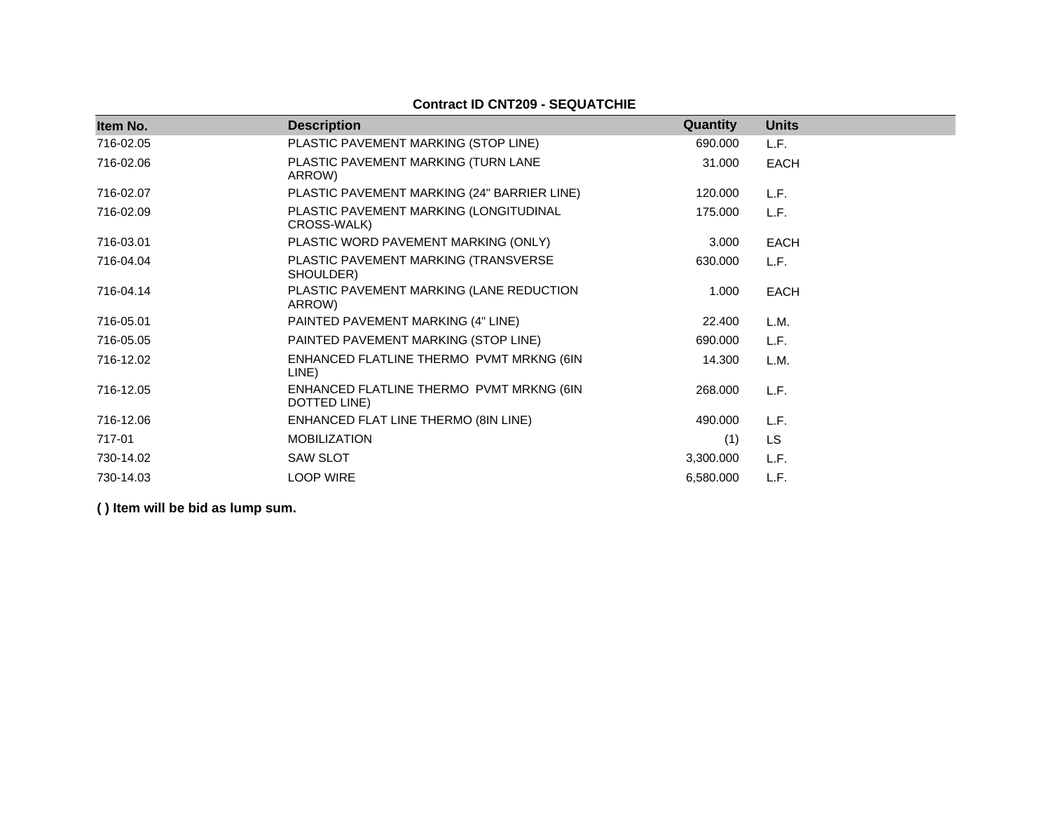# **Contract ID CNT209 - SEQUATCHIE**

| Item No.  | <b>Description</b>                                       | <b>Quantity</b> | <b>Units</b> |
|-----------|----------------------------------------------------------|-----------------|--------------|
| 716-02.05 | PLASTIC PAVEMENT MARKING (STOP LINE)                     | 690.000         | L.F.         |
| 716-02.06 | PLASTIC PAVEMENT MARKING (TURN LANE<br>ARROW)            | 31.000          | <b>EACH</b>  |
| 716-02.07 | PLASTIC PAVEMENT MARKING (24" BARRIER LINE)              | 120.000         | L.F.         |
| 716-02.09 | PLASTIC PAVEMENT MARKING (LONGITUDINAL<br>CROSS-WALK)    | 175.000         | L.F.         |
| 716-03.01 | PLASTIC WORD PAVEMENT MARKING (ONLY)                     | 3.000           | <b>EACH</b>  |
| 716-04.04 | PLASTIC PAVEMENT MARKING (TRANSVERSE<br>SHOULDER)        | 630.000         | L.F.         |
| 716-04.14 | PLASTIC PAVEMENT MARKING (LANE REDUCTION<br>ARROW)       | 1.000           | <b>EACH</b>  |
| 716-05.01 | PAINTED PAVEMENT MARKING (4" LINE)                       | 22.400          | L.M.         |
| 716-05.05 | PAINTED PAVEMENT MARKING (STOP LINE)                     | 690.000         | L.F.         |
| 716-12.02 | ENHANCED FLATLINE THERMO PVMT MRKNG (6IN<br>LINE)        | 14.300          | L.M.         |
| 716-12.05 | ENHANCED FLATLINE THERMO PVMT MRKNG (6IN<br>DOTTED LINE) | 268.000         | L.F.         |
| 716-12.06 | ENHANCED FLAT LINE THERMO (8IN LINE)                     | 490.000         | L.F.         |
| 717-01    | <b>MOBILIZATION</b>                                      | (1)             | <b>LS</b>    |
| 730-14.02 | <b>SAW SLOT</b>                                          | 3,300.000       | L.F.         |
| 730-14.03 | <b>LOOP WIRE</b>                                         | 6,580.000       | L.F.         |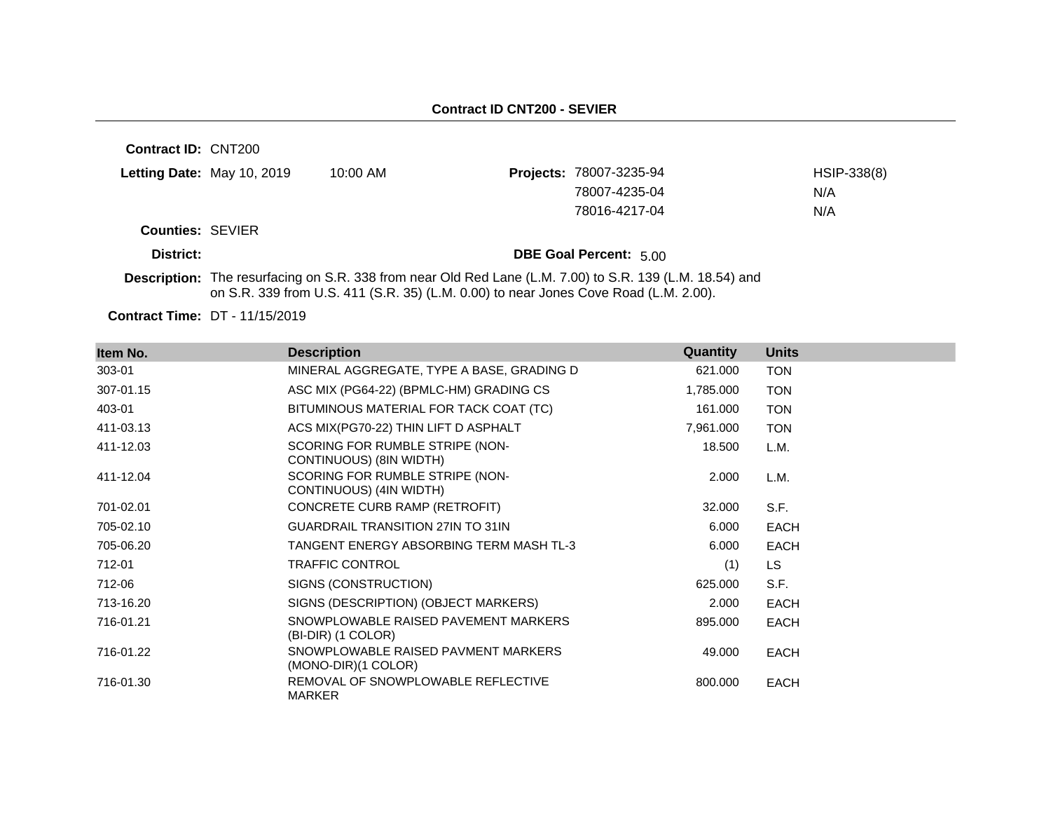**Contract ID:** CNT200 **Letting Date:** May 10, 2019 10:00 AM **Counties:** SEVIER **District: District: DBE Goal Percent:** 5.00 Projects: 78007-3235-94 HSIP-338(8) 78007-4235-04 N/A 78016-4217-04 N/A

**Description:** The resurfacing on S.R. 338 from near Old Red Lane (L.M. 7.00) to S.R. 139 (L.M. 18.54) and on S.R. 339 from U.S. 411 (S.R. 35) (L.M. 0.00) to near Jones Cove Road (L.M. 2.00).

| Item No.  | <b>Description</b>                                           | Quantity  | <b>Units</b> |
|-----------|--------------------------------------------------------------|-----------|--------------|
| 303-01    | MINERAL AGGREGATE, TYPE A BASE, GRADING D                    | 621.000   | <b>TON</b>   |
| 307-01.15 | ASC MIX (PG64-22) (BPMLC-HM) GRADING CS                      | 1,785.000 | <b>TON</b>   |
| 403-01    | BITUMINOUS MATERIAL FOR TACK COAT (TC)                       | 161.000   | <b>TON</b>   |
| 411-03.13 | ACS MIX(PG70-22) THIN LIFT D ASPHALT                         | 7,961.000 | <b>TON</b>   |
| 411-12.03 | SCORING FOR RUMBLE STRIPE (NON-<br>CONTINUOUS) (8IN WIDTH)   | 18.500    | L.M.         |
| 411-12.04 | SCORING FOR RUMBLE STRIPE (NON-<br>CONTINUOUS) (4IN WIDTH)   | 2.000     | L.M.         |
| 701-02.01 | CONCRETE CURB RAMP (RETROFIT)                                | 32.000    | S.F.         |
| 705-02.10 | <b>GUARDRAIL TRANSITION 27IN TO 31IN</b>                     | 6.000     | <b>EACH</b>  |
| 705-06.20 | TANGENT ENERGY ABSORBING TERM MASH TL-3                      | 6.000     | <b>EACH</b>  |
| 712-01    | <b>TRAFFIC CONTROL</b>                                       | (1)       | <b>LS</b>    |
| 712-06    | SIGNS (CONSTRUCTION)                                         | 625.000   | S.F.         |
| 713-16.20 | SIGNS (DESCRIPTION) (OBJECT MARKERS)                         | 2.000     | <b>EACH</b>  |
| 716-01.21 | SNOWPLOWABLE RAISED PAVEMENT MARKERS<br>(BI-DIR) (1 COLOR)   | 895.000   | <b>EACH</b>  |
| 716-01.22 | SNOWPLOWABLE RAISED PAVMENT MARKERS<br>$(MONO-DIR)(1 COLOR)$ | 49.000    | <b>EACH</b>  |
| 716-01.30 | REMOVAL OF SNOWPLOWABLE REFLECTIVE<br><b>MARKER</b>          | 800.000   | <b>EACH</b>  |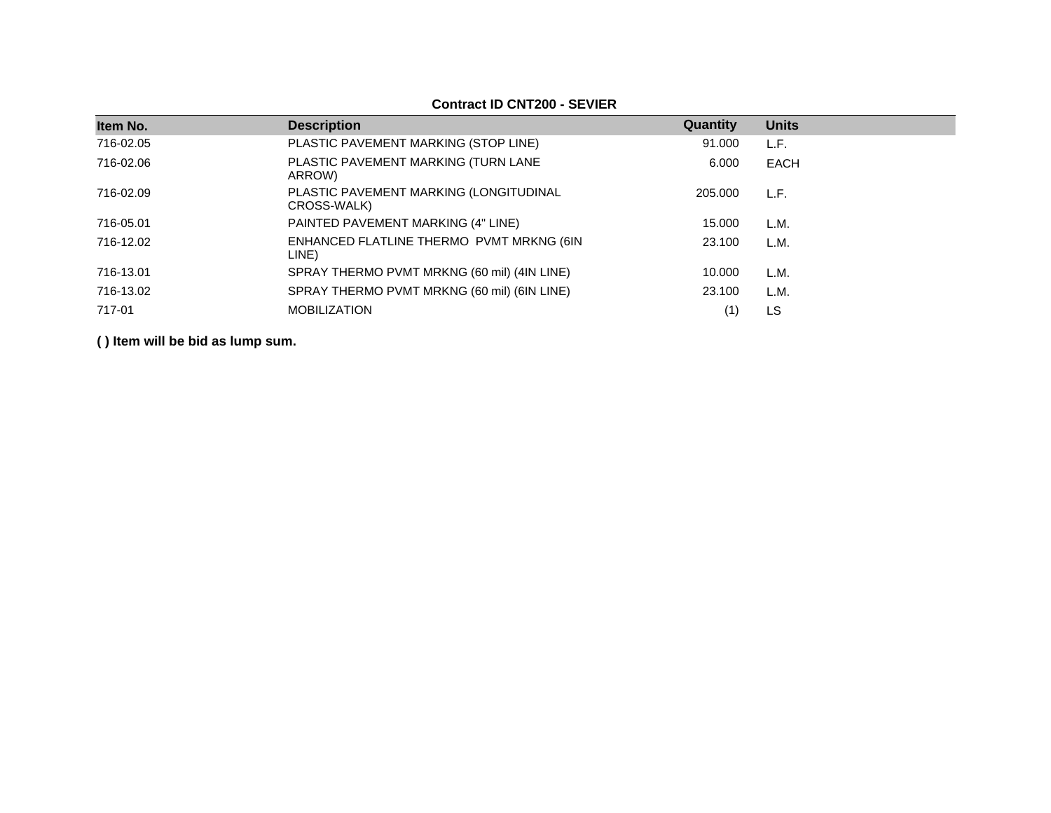| Item No.  | <b>Description</b>                                    | Quantity | <b>Units</b> |
|-----------|-------------------------------------------------------|----------|--------------|
| 716-02.05 | PLASTIC PAVEMENT MARKING (STOP LINE)                  | 91.000   | L.F.         |
| 716-02.06 | PLASTIC PAVEMENT MARKING (TURN LANE<br>ARROW)         | 6.000    | EACH         |
| 716-02.09 | PLASTIC PAVEMENT MARKING (LONGITUDINAL<br>CROSS-WALK) | 205,000  | L.F.         |
| 716-05.01 | PAINTED PAVEMENT MARKING (4" LINE)                    | 15.000   | L.M.         |
| 716-12.02 | ENHANCED FLATLINE THERMO PVMT MRKNG (6IN<br>LINE)     | 23.100   | L.M.         |
| 716-13.01 | SPRAY THERMO PVMT MRKNG (60 mil) (4IN LINE)           | 10.000   | L.M.         |
| 716-13.02 | SPRAY THERMO PVMT MRKNG (60 mil) (6IN LINE)           | 23.100   | L.M.         |
| 717-01    | <b>MOBILIZATION</b>                                   |          | <b>LS</b>    |

**Contract ID CNT200 - SEVIER**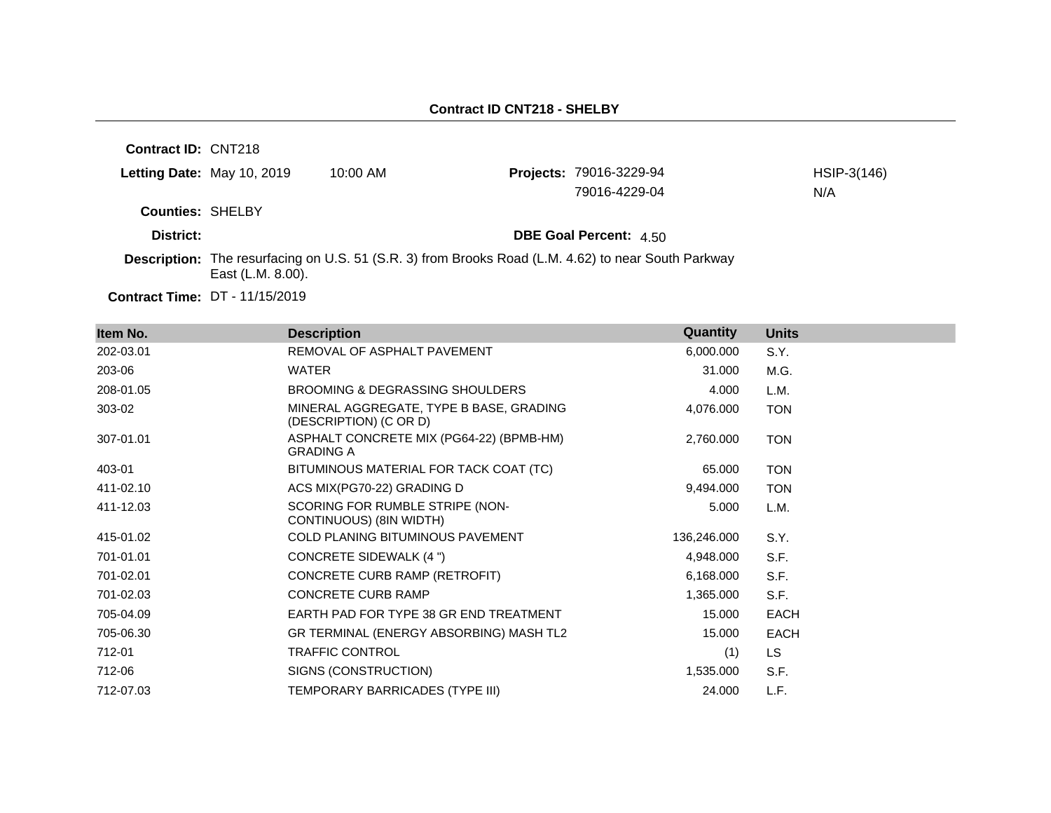| Contract ID: CNT218     |                                       |            |                                                                                                            |             |
|-------------------------|---------------------------------------|------------|------------------------------------------------------------------------------------------------------------|-------------|
|                         | Letting Date: May 10, 2019            | $10:00$ AM | <b>Projects: 79016-3229-94</b>                                                                             | HSIP-3(146) |
|                         |                                       |            | 79016-4229-04                                                                                              | N/A         |
| <b>Counties: SHELBY</b> |                                       |            |                                                                                                            |             |
| District:               |                                       |            | <b>DBE Goal Percent: 4.50</b>                                                                              |             |
|                         | East (L.M. 8.00).                     |            | <b>Description:</b> The resurfacing on U.S. 51 (S.R. 3) from Brooks Road (L.M. 4.62) to near South Parkway |             |
|                         | <b>Contract Time: DT - 11/15/2019</b> |            |                                                                                                            |             |

| Item No.  | <b>Description</b>                                                | <b>Quantity</b> | <b>Units</b> |
|-----------|-------------------------------------------------------------------|-----------------|--------------|
| 202-03.01 | REMOVAL OF ASPHALT PAVEMENT                                       | 6,000.000       | S.Y.         |
| 203-06    | WATER                                                             | 31.000          | M.G.         |
| 208-01.05 | BROOMING & DEGRASSING SHOULDERS                                   | 4.000           | L.M.         |
| 303-02    | MINERAL AGGREGATE, TYPE B BASE, GRADING<br>(DESCRIPTION) (C OR D) | 4,076.000       | <b>TON</b>   |
| 307-01.01 | ASPHALT CONCRETE MIX (PG64-22) (BPMB-HM)<br><b>GRADING A</b>      | 2,760.000       | <b>TON</b>   |
| 403-01    | BITUMINOUS MATERIAL FOR TACK COAT (TC)                            | 65.000          | <b>TON</b>   |
| 411-02.10 | ACS MIX(PG70-22) GRADING D                                        | 9,494.000       | <b>TON</b>   |
| 411-12.03 | SCORING FOR RUMBLE STRIPE (NON-<br>CONTINUOUS) (8IN WIDTH)        | 5.000           | L.M.         |
| 415-01.02 | <b>COLD PLANING BITUMINOUS PAVEMENT</b>                           | 136,246.000     | S.Y.         |
| 701-01.01 | CONCRETE SIDEWALK (4 ")                                           | 4,948.000       | S.F.         |
| 701-02.01 | CONCRETE CURB RAMP (RETROFIT)                                     | 6,168.000       | S.F.         |
| 701-02.03 | <b>CONCRETE CURB RAMP</b>                                         | 1,365.000       | S.F.         |
| 705-04.09 | EARTH PAD FOR TYPE 38 GR END TREATMENT                            | 15.000          | <b>EACH</b>  |
| 705-06.30 | GR TERMINAL (ENERGY ABSORBING) MASH TL2                           | 15.000          | <b>EACH</b>  |
| 712-01    | <b>TRAFFIC CONTROL</b>                                            | (1)             | LS.          |
| 712-06    | SIGNS (CONSTRUCTION)                                              | 1,535.000       | S.F.         |
| 712-07.03 | TEMPORARY BARRICADES (TYPE III)                                   | 24.000          | L.F.         |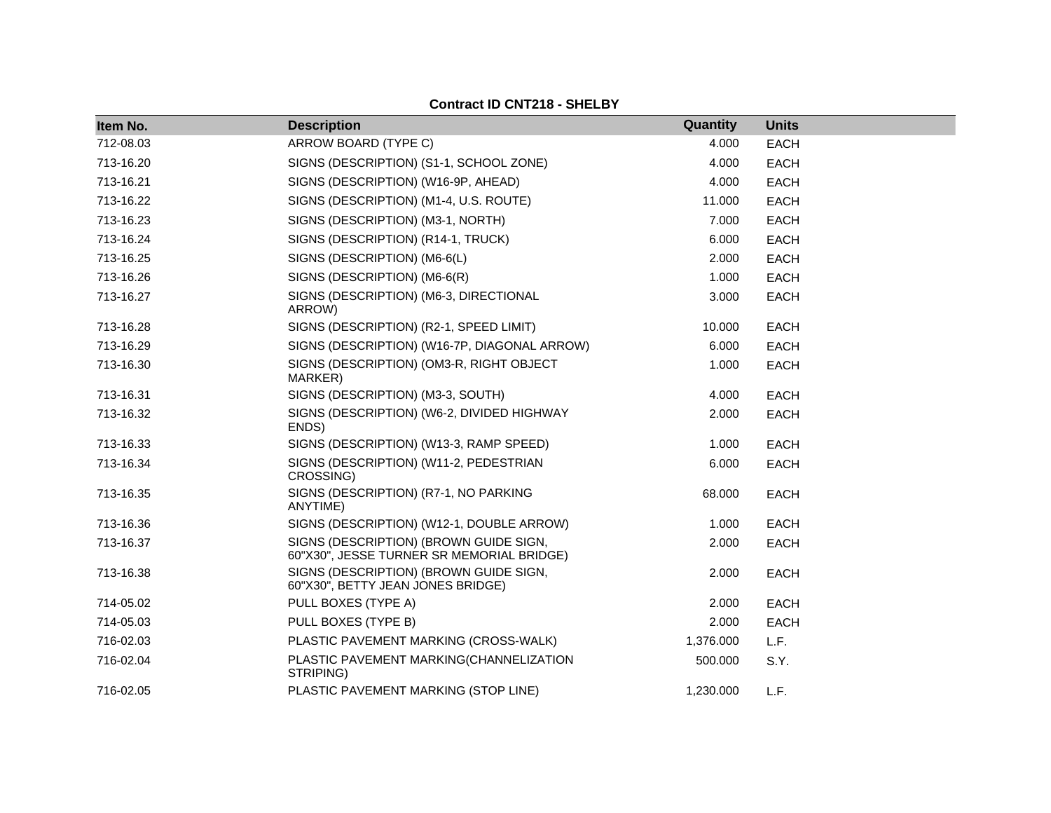| Item No.  | <b>Description</b>                                                                  | Quantity  | <b>Units</b> |  |
|-----------|-------------------------------------------------------------------------------------|-----------|--------------|--|
| 712-08.03 | ARROW BOARD (TYPE C)                                                                | 4.000     | <b>EACH</b>  |  |
| 713-16.20 | SIGNS (DESCRIPTION) (S1-1, SCHOOL ZONE)                                             | 4.000     | <b>EACH</b>  |  |
| 713-16.21 | SIGNS (DESCRIPTION) (W16-9P, AHEAD)                                                 | 4.000     | <b>EACH</b>  |  |
| 713-16.22 | SIGNS (DESCRIPTION) (M1-4, U.S. ROUTE)                                              | 11.000    | <b>EACH</b>  |  |
| 713-16.23 | SIGNS (DESCRIPTION) (M3-1, NORTH)                                                   | 7.000     | <b>EACH</b>  |  |
| 713-16.24 | SIGNS (DESCRIPTION) (R14-1, TRUCK)                                                  | 6.000     | <b>EACH</b>  |  |
| 713-16.25 | SIGNS (DESCRIPTION) (M6-6(L)                                                        | 2.000     | <b>EACH</b>  |  |
| 713-16.26 | SIGNS (DESCRIPTION) (M6-6(R)                                                        | 1.000     | <b>EACH</b>  |  |
| 713-16.27 | SIGNS (DESCRIPTION) (M6-3, DIRECTIONAL<br>ARROW)                                    | 3.000     | <b>EACH</b>  |  |
| 713-16.28 | SIGNS (DESCRIPTION) (R2-1, SPEED LIMIT)                                             | 10.000    | <b>EACH</b>  |  |
| 713-16.29 | SIGNS (DESCRIPTION) (W16-7P, DIAGONAL ARROW)                                        | 6.000     | <b>EACH</b>  |  |
| 713-16.30 | SIGNS (DESCRIPTION) (OM3-R, RIGHT OBJECT<br>MARKER)                                 | 1.000     | <b>EACH</b>  |  |
| 713-16.31 | SIGNS (DESCRIPTION) (M3-3, SOUTH)                                                   | 4.000     | <b>EACH</b>  |  |
| 713-16.32 | SIGNS (DESCRIPTION) (W6-2, DIVIDED HIGHWAY<br>ENDS)                                 | 2.000     | <b>EACH</b>  |  |
| 713-16.33 | SIGNS (DESCRIPTION) (W13-3, RAMP SPEED)                                             | 1.000     | <b>EACH</b>  |  |
| 713-16.34 | SIGNS (DESCRIPTION) (W11-2, PEDESTRIAN<br>CROSSING)                                 | 6.000     | <b>EACH</b>  |  |
| 713-16.35 | SIGNS (DESCRIPTION) (R7-1, NO PARKING<br>ANYTIME)                                   | 68.000    | <b>EACH</b>  |  |
| 713-16.36 | SIGNS (DESCRIPTION) (W12-1, DOUBLE ARROW)                                           | 1.000     | <b>EACH</b>  |  |
| 713-16.37 | SIGNS (DESCRIPTION) (BROWN GUIDE SIGN,<br>60"X30", JESSE TURNER SR MEMORIAL BRIDGE) | 2.000     | <b>EACH</b>  |  |
| 713-16.38 | SIGNS (DESCRIPTION) (BROWN GUIDE SIGN,<br>60"X30", BETTY JEAN JONES BRIDGE)         | 2.000     | <b>EACH</b>  |  |
| 714-05.02 | PULL BOXES (TYPE A)                                                                 | 2.000     | <b>EACH</b>  |  |
| 714-05.03 | PULL BOXES (TYPE B)                                                                 | 2.000     | <b>EACH</b>  |  |
| 716-02.03 | PLASTIC PAVEMENT MARKING (CROSS-WALK)                                               | 1,376.000 | L.F.         |  |
| 716-02.04 | PLASTIC PAVEMENT MARKING(CHANNELIZATION<br>STRIPING)                                | 500.000   | S.Y.         |  |
| 716-02.05 | PLASTIC PAVEMENT MARKING (STOP LINE)                                                | 1,230.000 | L.F.         |  |

## **Contract ID CNT218 - SHELBY**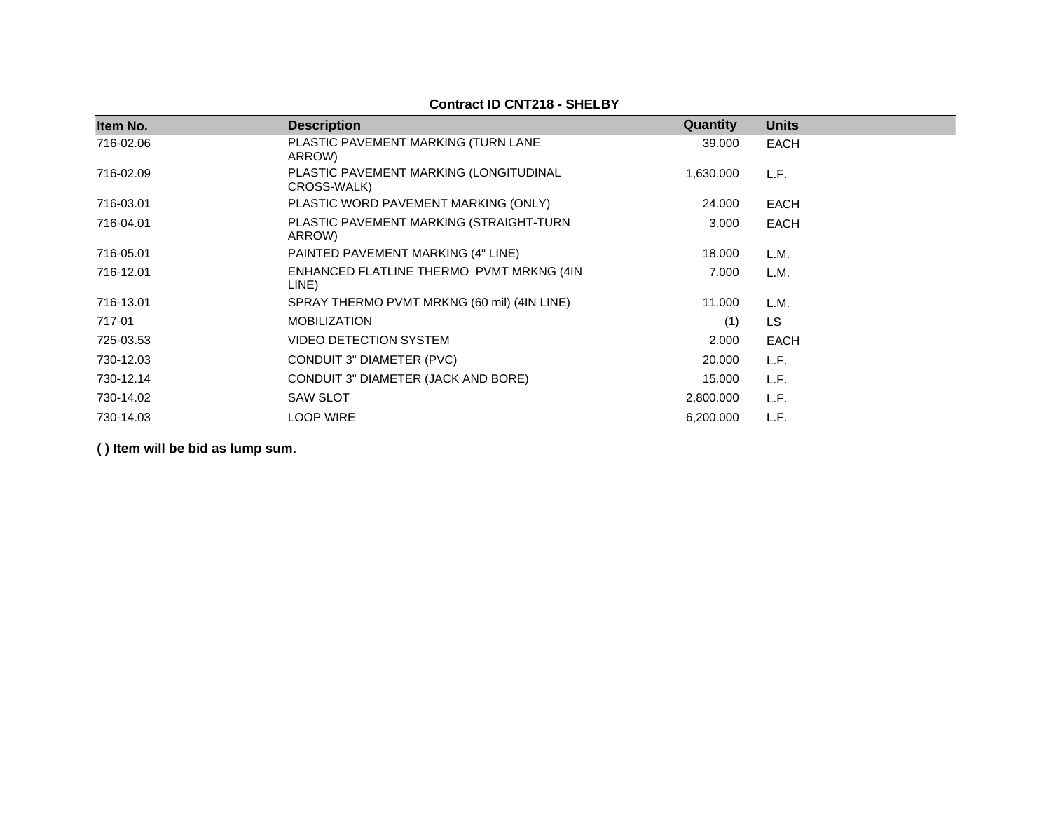## **Contract ID CNT218 - SHELBY**

| Item No.  | <b>Description</b>                                    | Quantity  | <b>Units</b> |  |
|-----------|-------------------------------------------------------|-----------|--------------|--|
| 716-02.06 | PLASTIC PAVEMENT MARKING (TURN LANE<br>ARROW)         | 39,000    | EACH         |  |
| 716-02.09 | PLASTIC PAVEMENT MARKING (LONGITUDINAL<br>CROSS-WALK) | 1,630.000 | L.F.         |  |
| 716-03.01 | PLASTIC WORD PAVEMENT MARKING (ONLY)                  | 24.000    | EACH         |  |
| 716-04.01 | PLASTIC PAVEMENT MARKING (STRAIGHT-TURN<br>ARROW)     | 3.000     | EACH         |  |
| 716-05.01 | PAINTED PAVEMENT MARKING (4" LINE)                    | 18.000    | L.M.         |  |
| 716-12.01 | ENHANCED FLATLINE THERMO PVMT MRKNG (4IN<br>LINE)     | 7.000     | L.M.         |  |
| 716-13.01 | SPRAY THERMO PVMT MRKNG (60 mil) (4IN LINE)           | 11.000    | L.M.         |  |
| 717-01    | <b>MOBILIZATION</b>                                   | (1)       | <b>LS</b>    |  |
| 725-03.53 | <b>VIDEO DETECTION SYSTEM</b>                         | 2.000     | <b>EACH</b>  |  |
| 730-12.03 | CONDUIT 3" DIAMETER (PVC)                             | 20.000    | L.F.         |  |
| 730-12.14 | CONDUIT 3" DIAMETER (JACK AND BORE)                   | 15.000    | L.F.         |  |
| 730-14.02 | <b>SAW SLOT</b>                                       | 2,800.000 | L.F.         |  |
| 730-14.03 | <b>LOOP WIRE</b>                                      | 6,200.000 | L.F.         |  |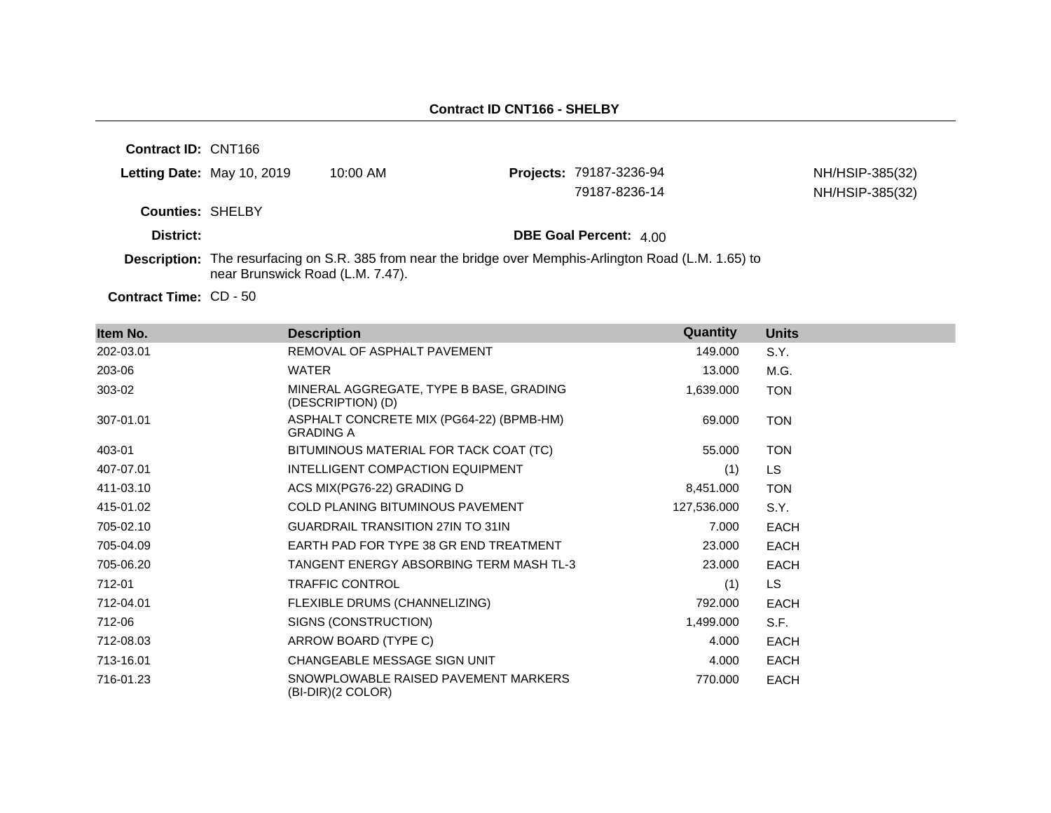| <b>Contract ID: CNT166</b> |                                  |            |                                                                                                          |                 |
|----------------------------|----------------------------------|------------|----------------------------------------------------------------------------------------------------------|-----------------|
|                            | Letting Date: May 10, 2019       | $10:00$ AM | <b>Projects: 79187-3236-94</b>                                                                           | NH/HSIP-385(32) |
|                            |                                  |            | 79187-8236-14                                                                                            | NH/HSIP-385(32) |
| <b>Counties: SHELBY</b>    |                                  |            |                                                                                                          |                 |
| District:                  |                                  |            | <b>DBE Goal Percent: 4.00</b>                                                                            |                 |
|                            | near Brunswick Road (L.M. 7.47). |            | Description: The resurfacing on S.R. 385 from near the bridge over Memphis-Arlington Road (L.M. 1.65) to |                 |

Contract Time: CD - 50

| Item No.  | <b>Description</b>                                           | Quantity    | <b>Units</b> |
|-----------|--------------------------------------------------------------|-------------|--------------|
| 202-03.01 | REMOVAL OF ASPHALT PAVEMENT                                  | 149.000     | S.Y.         |
| 203-06    | WATER                                                        | 13.000      | M.G.         |
| 303-02    | MINERAL AGGREGATE, TYPE B BASE, GRADING<br>(DESCRIPTION) (D) | 1,639.000   | <b>TON</b>   |
| 307-01.01 | ASPHALT CONCRETE MIX (PG64-22) (BPMB-HM)<br><b>GRADING A</b> | 69.000      | <b>TON</b>   |
| 403-01    | BITUMINOUS MATERIAL FOR TACK COAT (TC)                       | 55.000      | <b>TON</b>   |
| 407-07.01 | INTELLIGENT COMPACTION EQUIPMENT                             | (1)         | LS           |
| 411-03.10 | ACS MIX(PG76-22) GRADING D                                   | 8,451.000   | <b>TON</b>   |
| 415-01.02 | COLD PLANING BITUMINOUS PAVEMENT                             | 127,536.000 | S.Y.         |
| 705-02.10 | <b>GUARDRAIL TRANSITION 27IN TO 31IN</b>                     | 7.000       | <b>EACH</b>  |
| 705-04.09 | EARTH PAD FOR TYPE 38 GR END TREATMENT                       | 23.000      | <b>EACH</b>  |
| 705-06.20 | TANGENT ENERGY ABSORBING TERM MASH TL-3                      | 23.000      | <b>EACH</b>  |
| 712-01    | <b>TRAFFIC CONTROL</b>                                       | (1)         | LS.          |
| 712-04.01 | FLEXIBLE DRUMS (CHANNELIZING)                                | 792.000     | <b>EACH</b>  |
| 712-06    | SIGNS (CONSTRUCTION)                                         | 1,499.000   | S.F.         |
| 712-08.03 | ARROW BOARD (TYPE C)                                         | 4.000       | <b>EACH</b>  |
| 713-16.01 | CHANGEABLE MESSAGE SIGN UNIT                                 | 4.000       | <b>EACH</b>  |
| 716-01.23 | SNOWPLOWABLE RAISED PAVEMENT MARKERS<br>(BI-DIR)(2 COLOR)    | 770.000     | <b>EACH</b>  |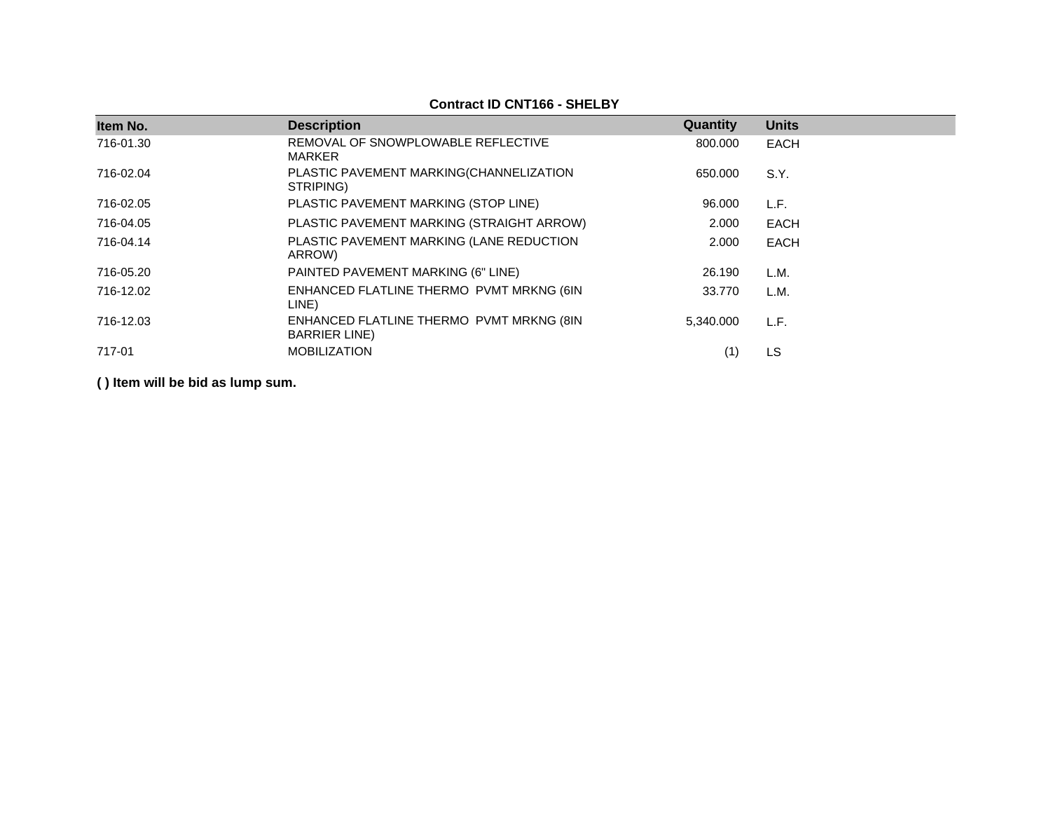| Item No.  | <b>Description</b>                                                | Quantity  | <b>Units</b> |
|-----------|-------------------------------------------------------------------|-----------|--------------|
| 716-01.30 | REMOVAL OF SNOWPLOWABLE REFLECTIVE<br>MARKER                      | 800.000   | <b>EACH</b>  |
| 716-02.04 | PLASTIC PAVEMENT MARKING(CHANNELIZATION<br>STRIPING)              | 650.000   | S.Y.         |
| 716-02.05 | PLASTIC PAVEMENT MARKING (STOP LINE)                              | 96.000    | L.F.         |
| 716-04.05 | PLASTIC PAVEMENT MARKING (STRAIGHT ARROW)                         | 2.000     | EACH         |
| 716-04.14 | PLASTIC PAVEMENT MARKING (LANE REDUCTION<br>ARROW)                | 2.000     | <b>EACH</b>  |
| 716-05.20 | PAINTED PAVEMENT MARKING (6" LINE)                                | 26.190    | L.M.         |
| 716-12.02 | ENHANCED FLATLINE THERMO PVMT MRKNG (6IN<br>LINE)                 | 33.770    | L.M.         |
| 716-12.03 | ENHANCED FLATLINE THERMO PVMT MRKNG (8IN<br><b>BARRIER LINE</b> ) | 5.340.000 | L.F.         |
| 717-01    | <b>MOBILIZATION</b>                                               | (1)       | <b>LS</b>    |

#### **Contract ID CNT166 - SHELBY**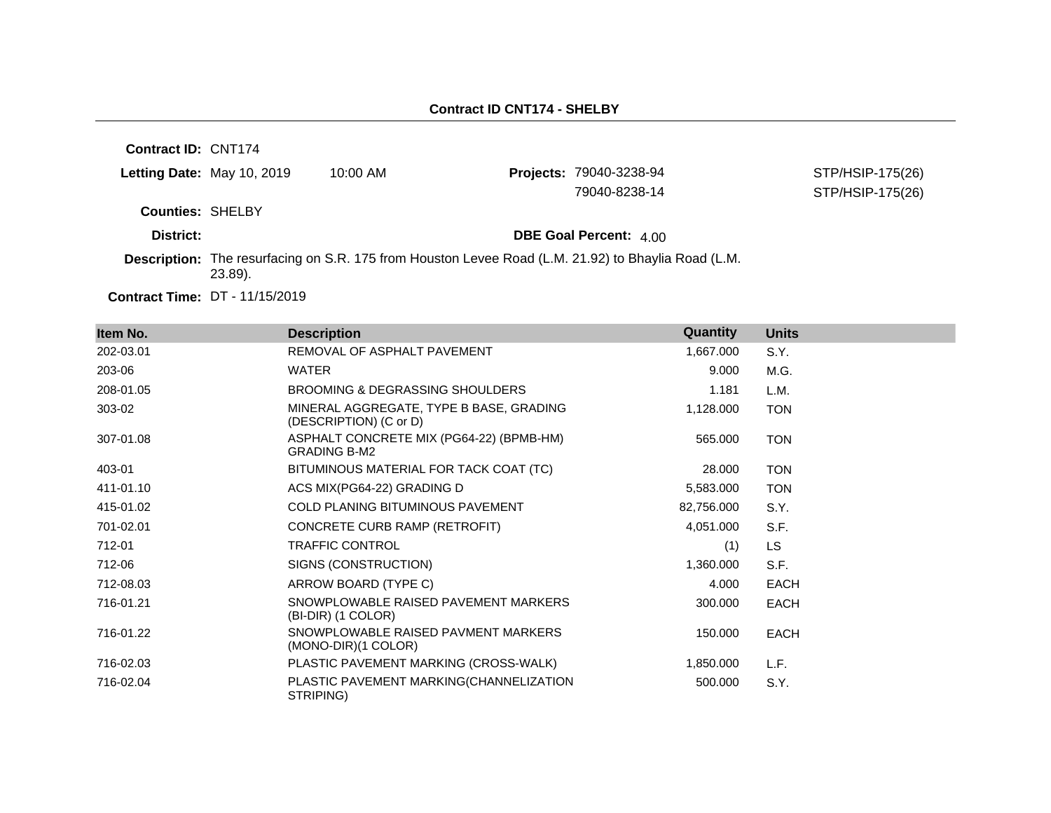| <b>Letting Date: May 10, 2019</b><br>$10:00$ AM |                                |                                                                                                     |
|-------------------------------------------------|--------------------------------|-----------------------------------------------------------------------------------------------------|
|                                                 | <b>Projects: 79040-3238-94</b> | STP/HSIP-175(26)                                                                                    |
|                                                 | 79040-8238-14                  | STP/HSIP-175(26)                                                                                    |
| <b>Counties: SHELBY</b>                         |                                |                                                                                                     |
|                                                 | <b>DBE Goal Percent: 4.00</b>  |                                                                                                     |
| $23.89$ ).                                      |                                |                                                                                                     |
|                                                 |                                | Description: The resurfacing on S.R. 175 from Houston Levee Road (L.M. 21.92) to Bhaylia Road (L.M. |

| Item No.  | <b>Description</b>                                                | Quantity   | <b>Units</b> |
|-----------|-------------------------------------------------------------------|------------|--------------|
| 202-03.01 | REMOVAL OF ASPHALT PAVEMENT                                       | 1,667.000  | S.Y.         |
| 203-06    | WATER                                                             | 9.000      | M.G.         |
| 208-01.05 | BROOMING & DEGRASSING SHOULDERS                                   | 1.181      | L.M.         |
| 303-02    | MINERAL AGGREGATE, TYPE B BASE, GRADING<br>(DESCRIPTION) (C or D) | 1,128.000  | <b>TON</b>   |
| 307-01.08 | ASPHALT CONCRETE MIX (PG64-22) (BPMB-HM)<br><b>GRADING B-M2</b>   | 565.000    | <b>TON</b>   |
| 403-01    | BITUMINOUS MATERIAL FOR TACK COAT (TC)                            | 28.000     | <b>TON</b>   |
| 411-01.10 | ACS MIX(PG64-22) GRADING D                                        | 5,583.000  | <b>TON</b>   |
| 415-01.02 | COLD PLANING BITUMINOUS PAVEMENT                                  | 82,756.000 | S.Y.         |
| 701-02.01 | CONCRETE CURB RAMP (RETROFIT)                                     | 4,051.000  | S.F.         |
| 712-01    | <b>TRAFFIC CONTROL</b>                                            | (1)        | LS.          |
| 712-06    | SIGNS (CONSTRUCTION)                                              | 1,360.000  | S.F.         |
| 712-08.03 | ARROW BOARD (TYPE C)                                              | 4.000      | <b>EACH</b>  |
| 716-01.21 | SNOWPLOWABLE RAISED PAVEMENT MARKERS<br>(BI-DIR) (1 COLOR)        | 300.000    | <b>EACH</b>  |
| 716-01.22 | SNOWPLOWABLE RAISED PAVMENT MARKERS<br>$(MONO-DIR)(1 COLOR)$      | 150.000    | <b>EACH</b>  |
| 716-02.03 | PLASTIC PAVEMENT MARKING (CROSS-WALK)                             | 1,850.000  | L.F.         |
| 716-02.04 | PLASTIC PAVEMENT MARKING(CHANNELIZATION<br>STRIPING)              | 500.000    | S.Y.         |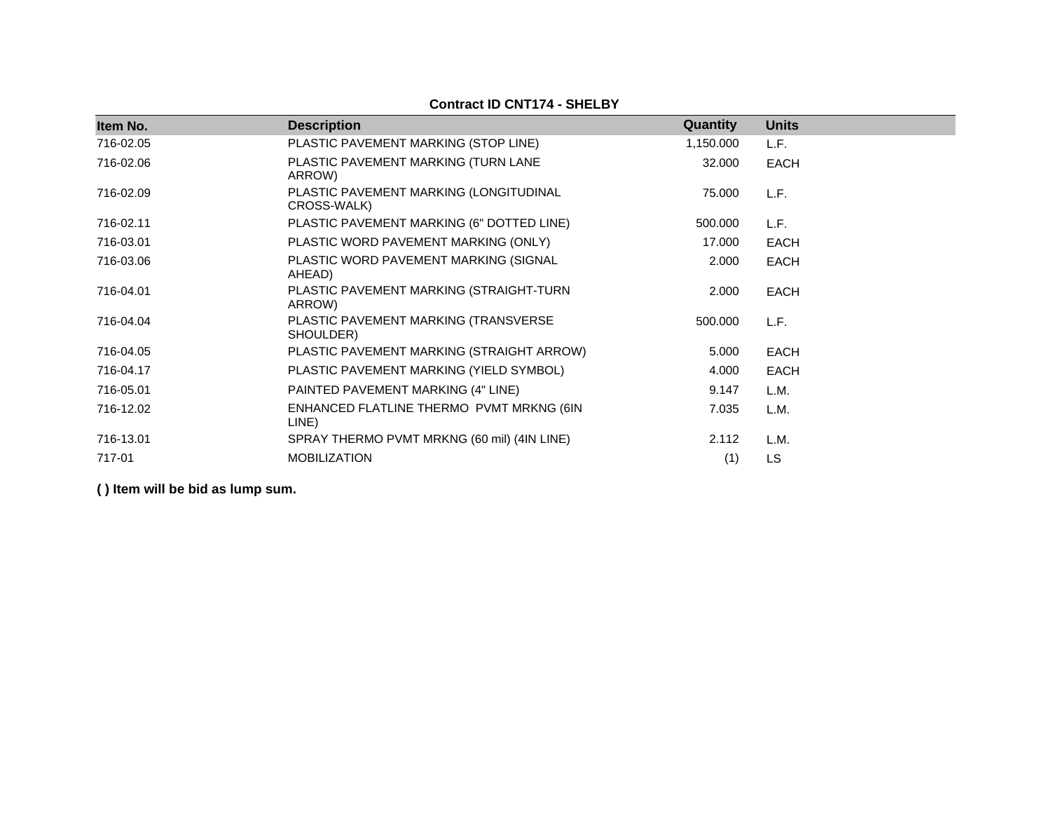| Item No.  | <b>Description</b>                                    | Quantity  | <b>Units</b> |
|-----------|-------------------------------------------------------|-----------|--------------|
| 716-02.05 | PLASTIC PAVEMENT MARKING (STOP LINE)                  | 1,150.000 | L.F.         |
| 716-02.06 | PLASTIC PAVEMENT MARKING (TURN LANE<br>ARROW)         | 32.000    | <b>EACH</b>  |
| 716-02.09 | PLASTIC PAVEMENT MARKING (LONGITUDINAL<br>CROSS-WALK) | 75.000    | L.F.         |
| 716-02.11 | PLASTIC PAVEMENT MARKING (6" DOTTED LINE)             | 500.000   | L.F.         |
| 716-03.01 | PLASTIC WORD PAVEMENT MARKING (ONLY)                  | 17.000    | EACH         |
| 716-03.06 | PLASTIC WORD PAVEMENT MARKING (SIGNAL<br>AHEAD)       | 2.000     | <b>EACH</b>  |
| 716-04.01 | PLASTIC PAVEMENT MARKING (STRAIGHT-TURN<br>ARROW)     | 2.000     | EACH         |
| 716-04.04 | PLASTIC PAVEMENT MARKING (TRANSVERSE<br>SHOULDER)     | 500.000   | L.F.         |
| 716-04.05 | PLASTIC PAVEMENT MARKING (STRAIGHT ARROW)             | 5.000     | EACH         |
| 716-04.17 | PLASTIC PAVEMENT MARKING (YIELD SYMBOL)               | 4.000     | <b>EACH</b>  |
| 716-05.01 | PAINTED PAVEMENT MARKING (4" LINE)                    | 9.147     | L.M.         |
| 716-12.02 | ENHANCED FLATLINE THERMO PVMT MRKNG (6IN<br>LINE)     | 7.035     | L.M.         |
| 716-13.01 | SPRAY THERMO PVMT MRKNG (60 mil) (4IN LINE)           | 2.112     | L.M.         |
| 717-01    | <b>MOBILIZATION</b>                                   | (1)       | <b>LS</b>    |

**Contract ID CNT174 - SHELBY**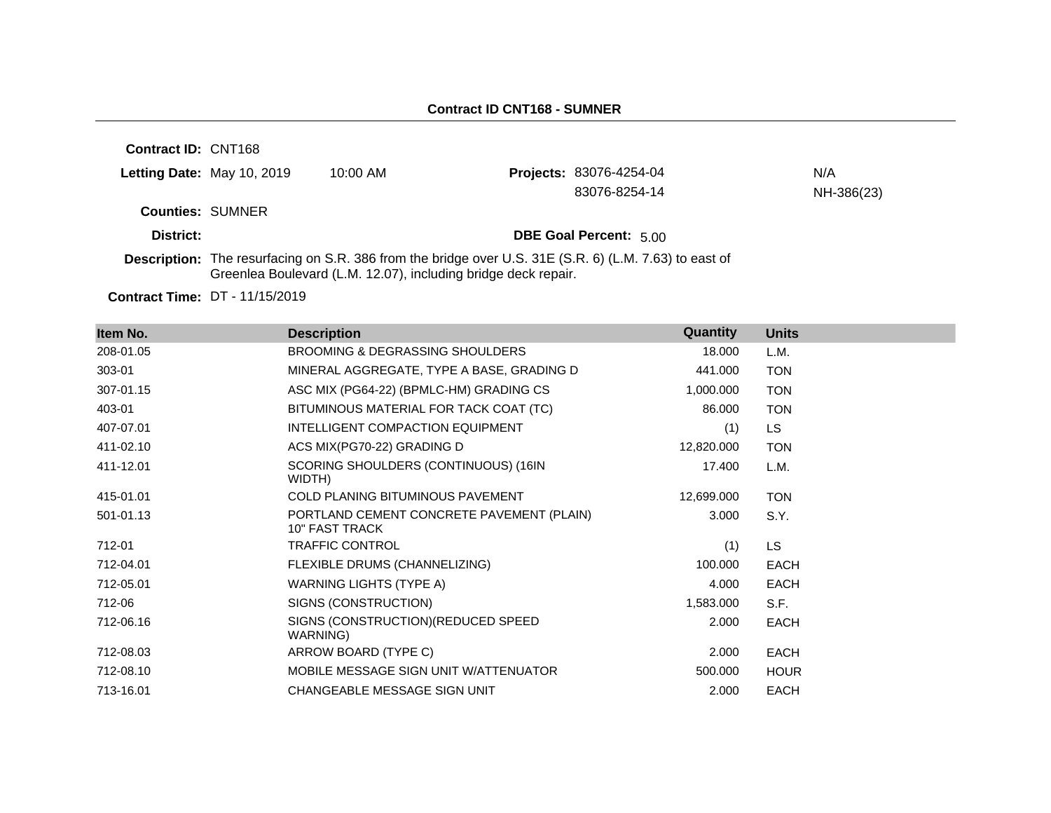| <b>Contract ID: CNT168</b> |                            |                                                                                                                                                                                 |                                |            |
|----------------------------|----------------------------|---------------------------------------------------------------------------------------------------------------------------------------------------------------------------------|--------------------------------|------------|
|                            | Letting Date: May 10, 2019 | $10:00$ AM                                                                                                                                                                      | <b>Projects: 83076-4254-04</b> | N/A        |
|                            |                            |                                                                                                                                                                                 | 83076-8254-14                  | NH-386(23) |
| <b>Counties: SUMNER</b>    |                            |                                                                                                                                                                                 |                                |            |
| District:                  |                            |                                                                                                                                                                                 | <b>DBE Goal Percent: 5.00</b>  |            |
|                            |                            | <b>Description:</b> The resurfacing on S.R. 386 from the bridge over U.S. 31E (S.R. 6) (L.M. 7.63) to east of<br>Greenlea Boulevard (L.M. 12.07), including bridge deck repair. |                                |            |

**Contract Time:** DT - 11/15/2019

| Item No.  | <b>Description</b>                                                 | Quantity   | <b>Units</b> |
|-----------|--------------------------------------------------------------------|------------|--------------|
| 208-01.05 | <b>BROOMING &amp; DEGRASSING SHOULDERS</b>                         | 18.000     | L.M.         |
| 303-01    | MINERAL AGGREGATE, TYPE A BASE, GRADING D                          | 441.000    | <b>TON</b>   |
| 307-01.15 | ASC MIX (PG64-22) (BPMLC-HM) GRADING CS                            | 1,000.000  | <b>TON</b>   |
| 403-01    | BITUMINOUS MATERIAL FOR TACK COAT (TC)                             | 86.000     | <b>TON</b>   |
| 407-07.01 | INTELLIGENT COMPACTION EQUIPMENT                                   | (1)        | LS.          |
| 411-02.10 | ACS MIX(PG70-22) GRADING D                                         | 12,820.000 | <b>TON</b>   |
| 411-12.01 | SCORING SHOULDERS (CONTINUOUS) (16IN<br>WIDTH)                     | 17.400     | L.M.         |
| 415-01.01 | <b>COLD PLANING BITUMINOUS PAVEMENT</b>                            | 12,699.000 | <b>TON</b>   |
| 501-01.13 | PORTLAND CEMENT CONCRETE PAVEMENT (PLAIN)<br><b>10" FAST TRACK</b> | 3.000      | S.Y.         |
| 712-01    | <b>TRAFFIC CONTROL</b>                                             | (1)        | LS.          |
| 712-04.01 | FLEXIBLE DRUMS (CHANNELIZING)                                      | 100.000    | EACH         |
| 712-05.01 | WARNING LIGHTS (TYPE A)                                            | 4.000      | <b>EACH</b>  |
| 712-06    | SIGNS (CONSTRUCTION)                                               | 1,583.000  | S.F.         |
| 712-06.16 | SIGNS (CONSTRUCTION) (REDUCED SPEED<br>WARNING)                    | 2.000      | <b>EACH</b>  |
| 712-08.03 | ARROW BOARD (TYPE C)                                               | 2.000      | EACH         |
| 712-08.10 | MOBILE MESSAGE SIGN UNIT W/ATTENUATOR                              | 500.000    | <b>HOUR</b>  |
| 713-16.01 | CHANGEABLE MESSAGE SIGN UNIT                                       | 2.000      | <b>EACH</b>  |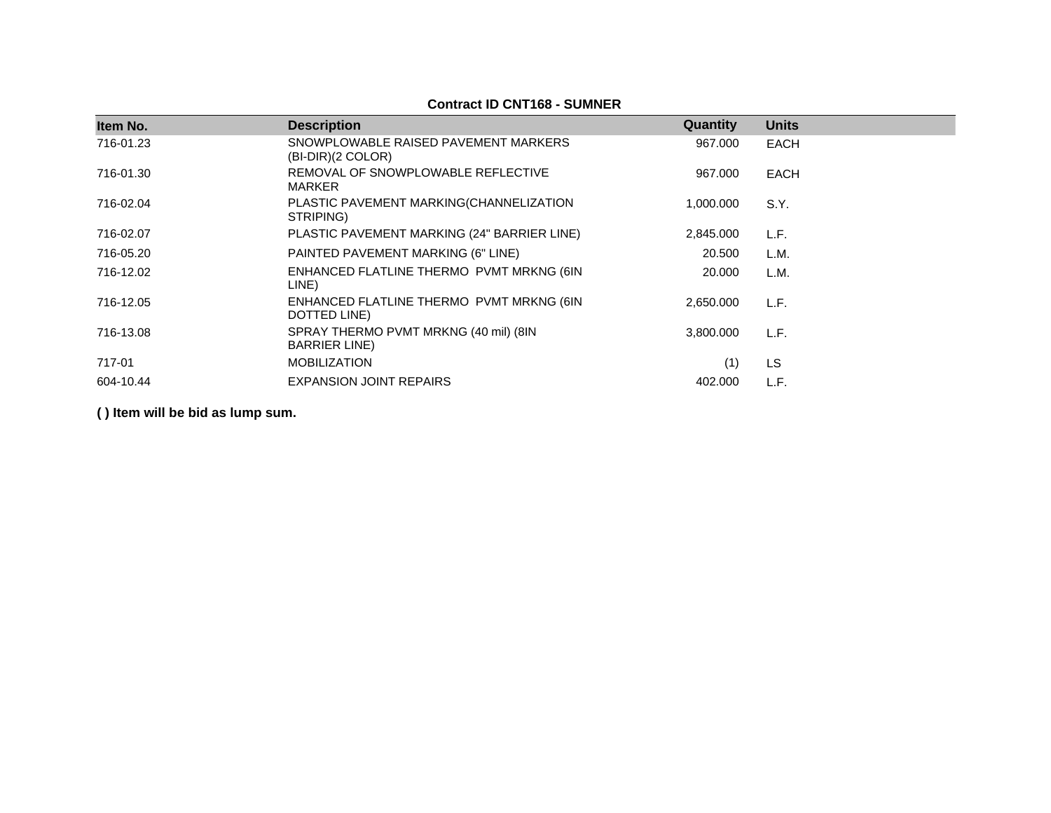### **Contract ID CNT168 - SUMNER**

| Item No.  | <b>Description</b>                                             | Quantity  | <b>Units</b> |
|-----------|----------------------------------------------------------------|-----------|--------------|
| 716-01.23 | SNOWPLOWABLE RAISED PAVEMENT MARKERS<br>$(BI-DIR)(2 COLOR)$    | 967.000   | <b>EACH</b>  |
| 716-01.30 | REMOVAL OF SNOWPLOWABLE REFLECTIVE<br><b>MARKER</b>            | 967.000   | <b>EACH</b>  |
| 716-02.04 | PLASTIC PAVEMENT MARKING(CHANNELIZATION<br>STRIPING)           | 1,000.000 | S.Y.         |
| 716-02.07 | PLASTIC PAVEMENT MARKING (24" BARRIER LINE)                    | 2,845.000 | L.F.         |
| 716-05.20 | PAINTED PAVEMENT MARKING (6" LINE)                             | 20,500    | L.M.         |
| 716-12.02 | ENHANCED FLATLINE THERMO PVMT MRKNG (6IN<br>LINE)              | 20,000    | L.M.         |
| 716-12.05 | ENHANCED FLATLINE THERMO PVMT MRKNG (6IN<br>DOTTED LINE)       | 2.650.000 | L.F.         |
| 716-13.08 | SPRAY THERMO PVMT MRKNG (40 mil) (8IN<br><b>BARRIER LINE</b> ) | 3,800.000 | L.F.         |
| 717-01    | <b>MOBILIZATION</b>                                            | (1)       | <b>LS</b>    |
| 604-10.44 | <b>EXPANSION JOINT REPAIRS</b>                                 | 402,000   | L.F.         |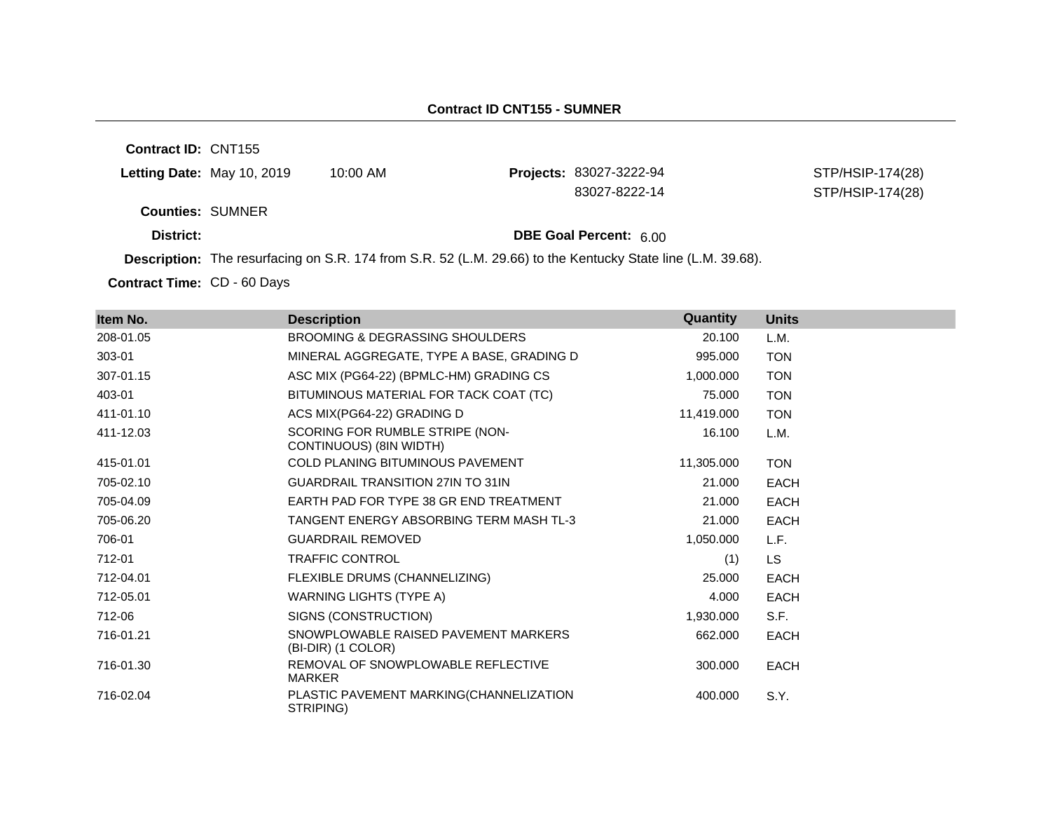### **Contract ID CNT155 - SUMNER**

**Contract ID:** CNT155

| Letting Date: May 10, 2019 | 10:00 AM | <b>Projects: 83027-3222-94</b> | STP/HSIP-174(28) |
|----------------------------|----------|--------------------------------|------------------|
|                            |          | 83027-8222-14                  | STP/HSIP-174(28) |
| <b>Counties: SUMNER</b>    |          |                                |                  |
| District:                  |          | <b>DBE Goal Percent: 600</b>   |                  |

**Description:** The resurfacing on S.R. 174 from S.R. 52 (L.M. 29.66) to the Kentucky State line (L.M. 39.68).

Contract Time: CD - 60 Days

| Item No.  | <b>Description</b>                                         | Quantity   | <b>Units</b> |
|-----------|------------------------------------------------------------|------------|--------------|
| 208-01.05 | <b>BROOMING &amp; DEGRASSING SHOULDERS</b>                 | 20.100     | L.M.         |
| 303-01    | MINERAL AGGREGATE, TYPE A BASE, GRADING D                  | 995.000    | <b>TON</b>   |
| 307-01.15 | ASC MIX (PG64-22) (BPMLC-HM) GRADING CS                    | 1,000.000  | <b>TON</b>   |
| 403-01    | BITUMINOUS MATERIAL FOR TACK COAT (TC)                     | 75.000     | <b>TON</b>   |
| 411-01.10 | ACS MIX(PG64-22) GRADING D                                 | 11,419.000 | <b>TON</b>   |
| 411-12.03 | SCORING FOR RUMBLE STRIPE (NON-<br>CONTINUOUS) (8IN WIDTH) | 16.100     | L.M.         |
| 415-01.01 | COLD PLANING BITUMINOUS PAVEMENT                           | 11,305.000 | <b>TON</b>   |
| 705-02.10 | <b>GUARDRAIL TRANSITION 27IN TO 31IN</b>                   | 21.000     | <b>EACH</b>  |
| 705-04.09 | EARTH PAD FOR TYPE 38 GR END TREATMENT                     | 21.000     | <b>EACH</b>  |
| 705-06.20 | TANGENT ENERGY ABSORBING TERM MASH TL-3                    | 21.000     | <b>EACH</b>  |
| 706-01    | <b>GUARDRAIL REMOVED</b>                                   | 1,050.000  | L.F.         |
| 712-01    | TRAFFIC CONTROL                                            | (1)        | <b>LS</b>    |
| 712-04.01 | FLEXIBLE DRUMS (CHANNELIZING)                              | 25,000     | <b>EACH</b>  |
| 712-05.01 | WARNING LIGHTS (TYPE A)                                    | 4.000      | <b>EACH</b>  |
| 712-06    | SIGNS (CONSTRUCTION)                                       | 1,930.000  | S.F.         |
| 716-01.21 | SNOWPLOWABLE RAISED PAVEMENT MARKERS<br>(BI-DIR) (1 COLOR) | 662.000    | <b>EACH</b>  |
| 716-01.30 | REMOVAL OF SNOWPLOWABLE REFLECTIVE<br>MARKER               | 300.000    | <b>EACH</b>  |
| 716-02.04 | PLASTIC PAVEMENT MARKING(CHANNELIZATION<br>STRIPING)       | 400.000    | S.Y.         |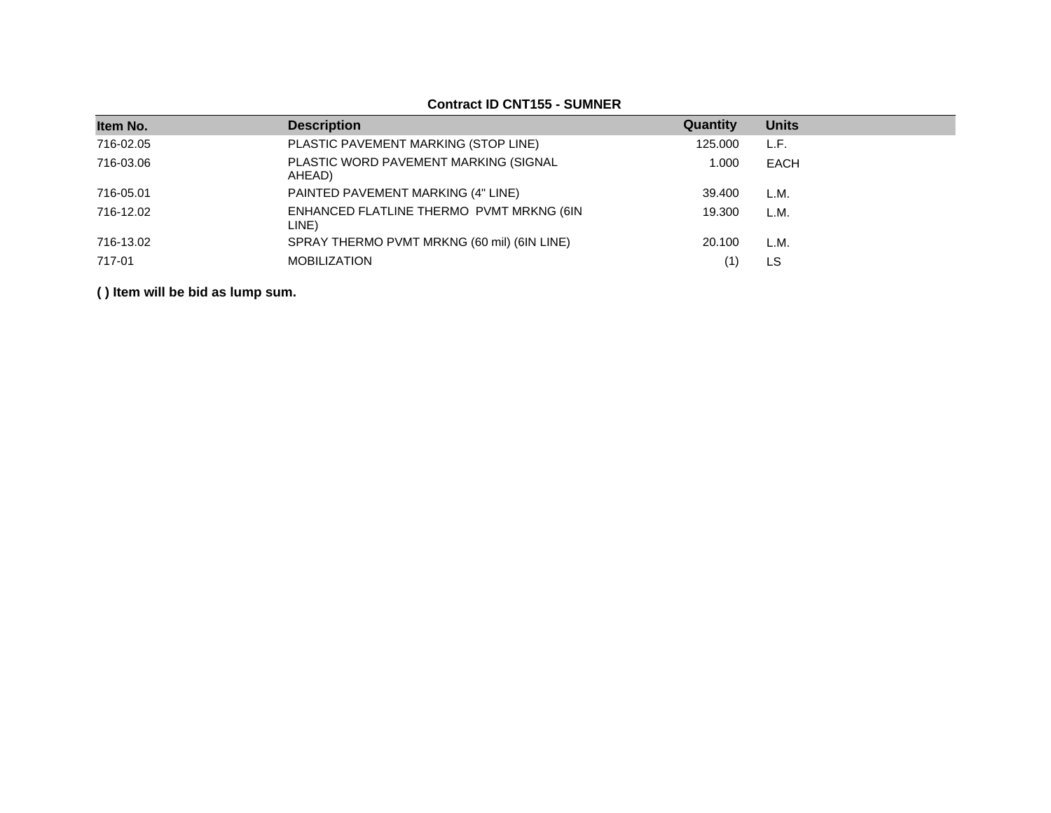| Item No.  | <b>Description</b>                                | Quantity | <b>Units</b> |
|-----------|---------------------------------------------------|----------|--------------|
| 716-02.05 | PLASTIC PAVEMENT MARKING (STOP LINE)              | 125.000  | L.F.         |
| 716-03.06 | PLASTIC WORD PAVEMENT MARKING (SIGNAL<br>AHEAD)   | 1.000    | EACH         |
| 716-05.01 | PAINTED PAVEMENT MARKING (4" LINE)                | 39.400   | L.M.         |
| 716-12.02 | ENHANCED FLATLINE THERMO PVMT MRKNG (6IN<br>LINE) | 19.300   | L.M.         |
| 716-13.02 | SPRAY THERMO PVMT MRKNG (60 mil) (6IN LINE)       | 20.100   | L.M.         |
| 717-01    | <b>MOBILIZATION</b>                               |          | LS           |

### **Contract ID CNT155 - SUMNER**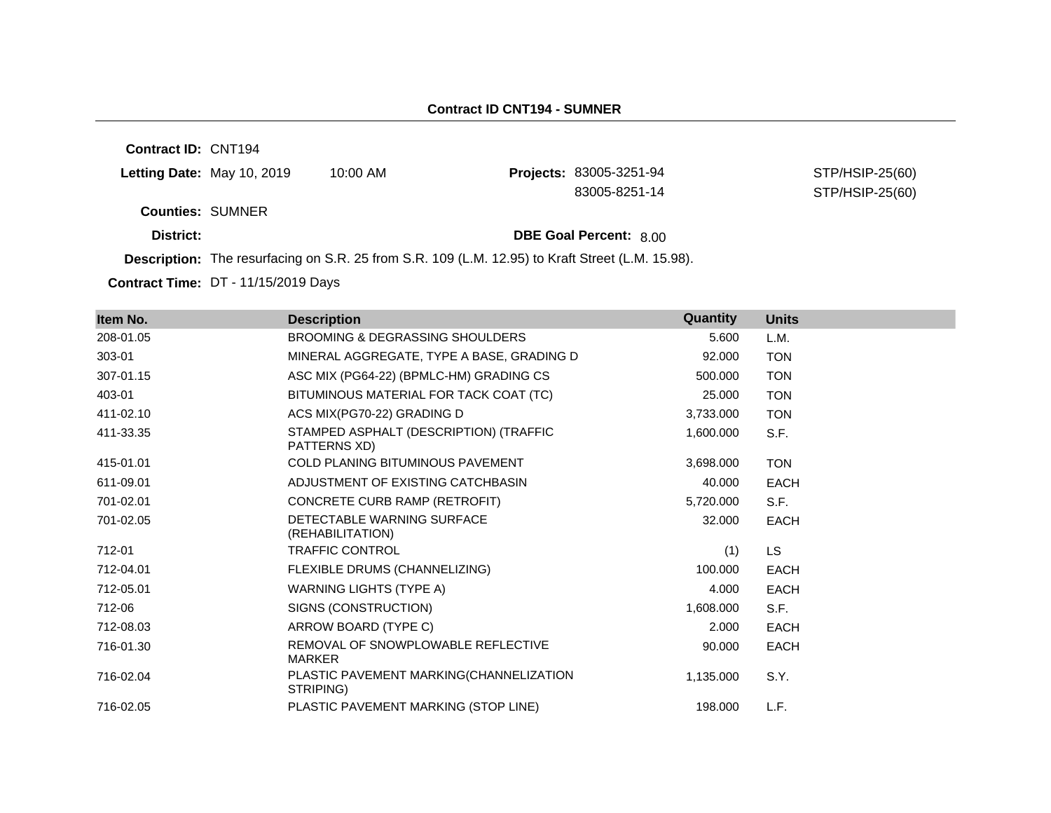### **Contract ID CNT194 - SUMNER**

**Contract ID:** CNT194

| Letting Date: May 10, 2019 | 10:00 AM | <b>Projects: 83005-3251-94</b> | STP/HSIP-25(60) |
|----------------------------|----------|--------------------------------|-----------------|
|                            |          | 83005-8251-14                  | STP/HSIP-25(60) |
| <b>Counties: SUMNER</b>    |          |                                |                 |
| District:                  |          | <b>DBE Goal Percent: 800</b>   |                 |

**Description:** The resurfacing on S.R. 25 from S.R. 109 (L.M. 12.95) to Kraft Street (L.M. 15.98).

**Contract Time:** DT - 11/15/2019 Days

| Item No.  | <b>Description</b>                                     | Quantity  | <b>Units</b> |
|-----------|--------------------------------------------------------|-----------|--------------|
| 208-01.05 | BROOMING & DEGRASSING SHOULDERS                        | 5.600     | L.M.         |
| 303-01    | MINERAL AGGREGATE, TYPE A BASE, GRADING D              | 92.000    | <b>TON</b>   |
| 307-01.15 | ASC MIX (PG64-22) (BPMLC-HM) GRADING CS                | 500.000   | <b>TON</b>   |
| 403-01    | BITUMINOUS MATERIAL FOR TACK COAT (TC)                 | 25,000    | <b>TON</b>   |
| 411-02.10 | ACS MIX(PG70-22) GRADING D                             | 3,733.000 | <b>TON</b>   |
| 411-33.35 | STAMPED ASPHALT (DESCRIPTION) (TRAFFIC<br>PATTERNS XD) | 1,600.000 | S.F.         |
| 415-01.01 | <b>COLD PLANING BITUMINOUS PAVEMENT</b>                | 3,698.000 | <b>TON</b>   |
| 611-09.01 | ADJUSTMENT OF EXISTING CATCHBASIN                      | 40.000    | <b>EACH</b>  |
| 701-02.01 | CONCRETE CURB RAMP (RETROFIT)                          | 5,720.000 | S.F.         |
| 701-02.05 | DETECTABLE WARNING SURFACE<br>(REHABILITATION)         | 32,000    | <b>EACH</b>  |
| 712-01    | <b>TRAFFIC CONTROL</b>                                 | (1)       | LS.          |
| 712-04.01 | FLEXIBLE DRUMS (CHANNELIZING)                          | 100.000   | <b>EACH</b>  |
| 712-05.01 | <b>WARNING LIGHTS (TYPE A)</b>                         | 4.000     | <b>EACH</b>  |
| 712-06    | SIGNS (CONSTRUCTION)                                   | 1,608.000 | S.F.         |
| 712-08.03 | ARROW BOARD (TYPE C)                                   | 2.000     | <b>EACH</b>  |
| 716-01.30 | REMOVAL OF SNOWPLOWABLE REFLECTIVE<br><b>MARKER</b>    | 90.000    | <b>EACH</b>  |
| 716-02.04 | PLASTIC PAVEMENT MARKING(CHANNELIZATION<br>STRIPING)   | 1,135.000 | S.Y.         |
| 716-02.05 | PLASTIC PAVEMENT MARKING (STOP LINE)                   | 198.000   | L.F.         |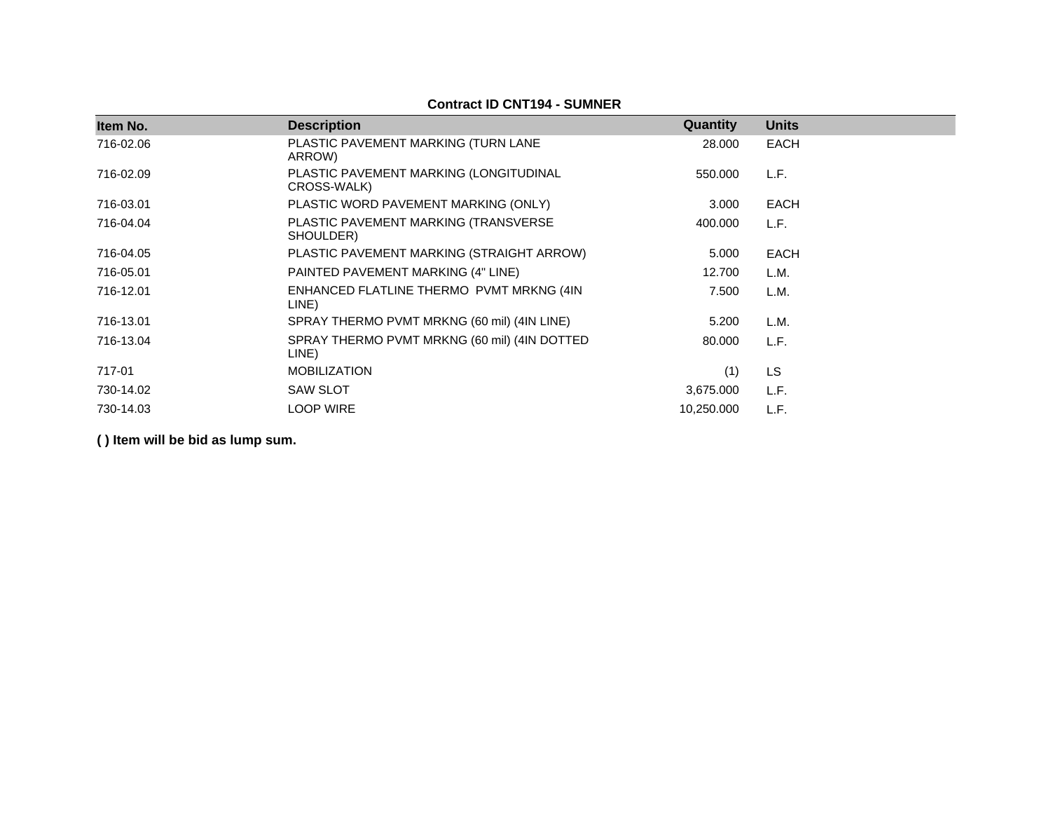## **Contract ID CNT194 - SUMNER**

| Item No.  | <b>Description</b>                                    | Quantity   | <b>Units</b> |
|-----------|-------------------------------------------------------|------------|--------------|
| 716-02.06 | PLASTIC PAVEMENT MARKING (TURN LANE<br>ARROW)         | 28.000     | <b>EACH</b>  |
| 716-02.09 | PLASTIC PAVEMENT MARKING (LONGITUDINAL<br>CROSS-WALK) | 550.000    | L.F.         |
| 716-03.01 | PLASTIC WORD PAVEMENT MARKING (ONLY)                  | 3.000      | <b>EACH</b>  |
| 716-04.04 | PLASTIC PAVEMENT MARKING (TRANSVERSE<br>SHOULDER)     | 400.000    | L.F.         |
| 716-04.05 | PLASTIC PAVEMENT MARKING (STRAIGHT ARROW)             | 5.000      | <b>EACH</b>  |
| 716-05.01 | PAINTED PAVEMENT MARKING (4" LINE)                    | 12.700     | L.M.         |
| 716-12.01 | ENHANCED FLATLINE THERMO PVMT MRKNG (4IN<br>LINE)     | 7.500      | L.M.         |
| 716-13.01 | SPRAY THERMO PVMT MRKNG (60 mil) (4IN LINE)           | 5.200      | L.M.         |
| 716-13.04 | SPRAY THERMO PVMT MRKNG (60 mil) (4IN DOTTED<br>LINE) | 80.000     | L.F.         |
| 717-01    | <b>MOBILIZATION</b>                                   | (1)        | LS.          |
| 730-14.02 | <b>SAW SLOT</b>                                       | 3,675.000  | L.F.         |
| 730-14.03 | <b>LOOP WIRE</b>                                      | 10,250.000 | L.F.         |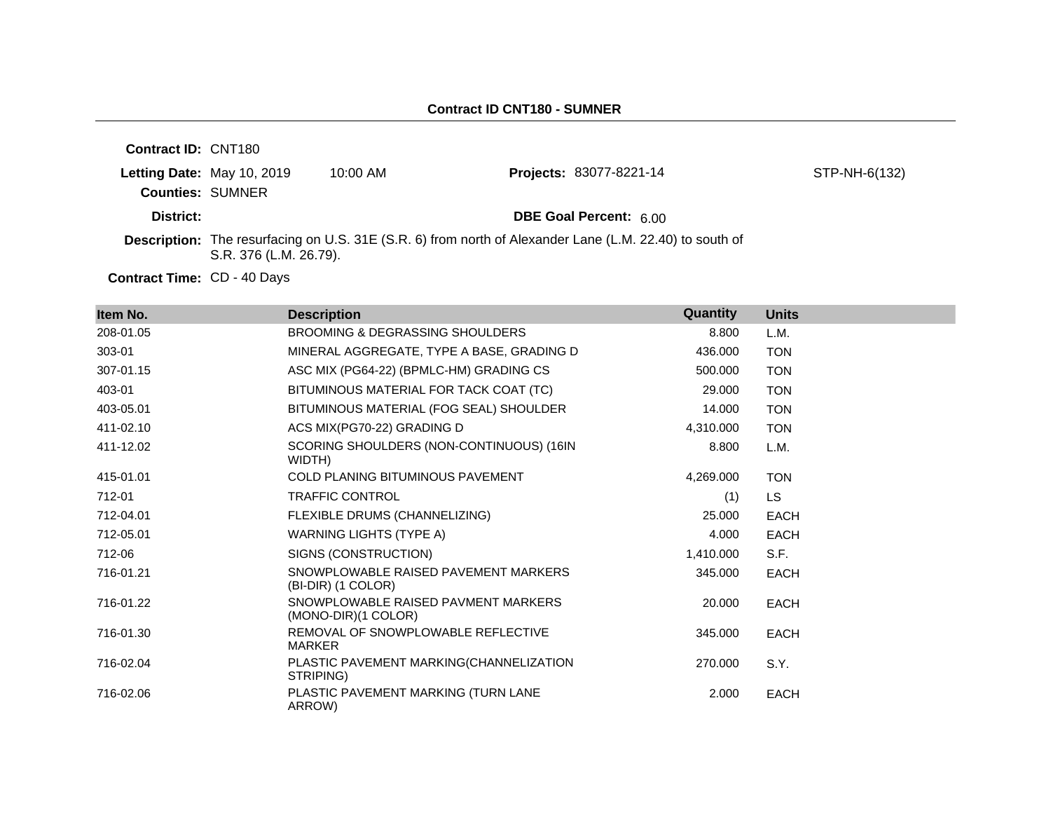| <b>Contract ID: CNT180</b> |                        |            |                                                                                                                |               |
|----------------------------|------------------------|------------|----------------------------------------------------------------------------------------------------------------|---------------|
| Letting Date: May 10, 2019 |                        | $10:00$ AM | Projects: 83077-8221-14                                                                                        | STP-NH-6(132) |
| <b>Counties: SUMNER</b>    |                        |            |                                                                                                                |               |
| District:                  |                        |            | <b>DBE Goal Percent: 6.00</b>                                                                                  |               |
|                            | S.R. 376 (L.M. 26.79). |            | <b>Description:</b> The resurfacing on U.S. 31E (S.R. 6) from north of Alexander Lane (L.M. 22.40) to south of |               |

Contract Time: CD - 40 Days

| Item No.  | <b>Description</b>                                         | Quantity  | <b>Units</b> |
|-----------|------------------------------------------------------------|-----------|--------------|
| 208-01.05 | <b>BROOMING &amp; DEGRASSING SHOULDERS</b>                 | 8.800     | L.M.         |
| 303-01    | MINERAL AGGREGATE, TYPE A BASE, GRADING D                  | 436.000   | <b>TON</b>   |
| 307-01.15 | ASC MIX (PG64-22) (BPMLC-HM) GRADING CS                    | 500.000   | <b>TON</b>   |
| 403-01    | BITUMINOUS MATERIAL FOR TACK COAT (TC)                     | 29,000    | <b>TON</b>   |
| 403-05.01 | BITUMINOUS MATERIAL (FOG SEAL) SHOULDER                    | 14.000    | <b>TON</b>   |
| 411-02.10 | ACS MIX(PG70-22) GRADING D                                 | 4,310.000 | <b>TON</b>   |
| 411-12.02 | SCORING SHOULDERS (NON-CONTINUOUS) (16IN<br>WIDTH)         | 8.800     | L.M.         |
| 415-01.01 | <b>COLD PLANING BITUMINOUS PAVEMENT</b>                    | 4,269.000 | <b>TON</b>   |
| 712-01    | <b>TRAFFIC CONTROL</b>                                     | (1)       | LS.          |
| 712-04.01 | FLEXIBLE DRUMS (CHANNELIZING)                              | 25,000    | <b>EACH</b>  |
| 712-05.01 | WARNING LIGHTS (TYPE A)                                    | 4.000     | EACH         |
| 712-06    | SIGNS (CONSTRUCTION)                                       | 1,410.000 | S.F.         |
| 716-01.21 | SNOWPLOWABLE RAISED PAVEMENT MARKERS<br>(BI-DIR) (1 COLOR) | 345.000   | <b>EACH</b>  |
| 716-01.22 | SNOWPLOWABLE RAISED PAVMENT MARKERS<br>(MONO-DIR)(1 COLOR) | 20.000    | EACH         |
| 716-01.30 | REMOVAL OF SNOWPLOWABLE REFLECTIVE<br><b>MARKER</b>        | 345,000   | EACH         |
| 716-02.04 | PLASTIC PAVEMENT MARKING(CHANNELIZATION<br>STRIPING)       | 270,000   | S.Y.         |
| 716-02.06 | PLASTIC PAVEMENT MARKING (TURN LANE<br>ARROW)              | 2.000     | <b>EACH</b>  |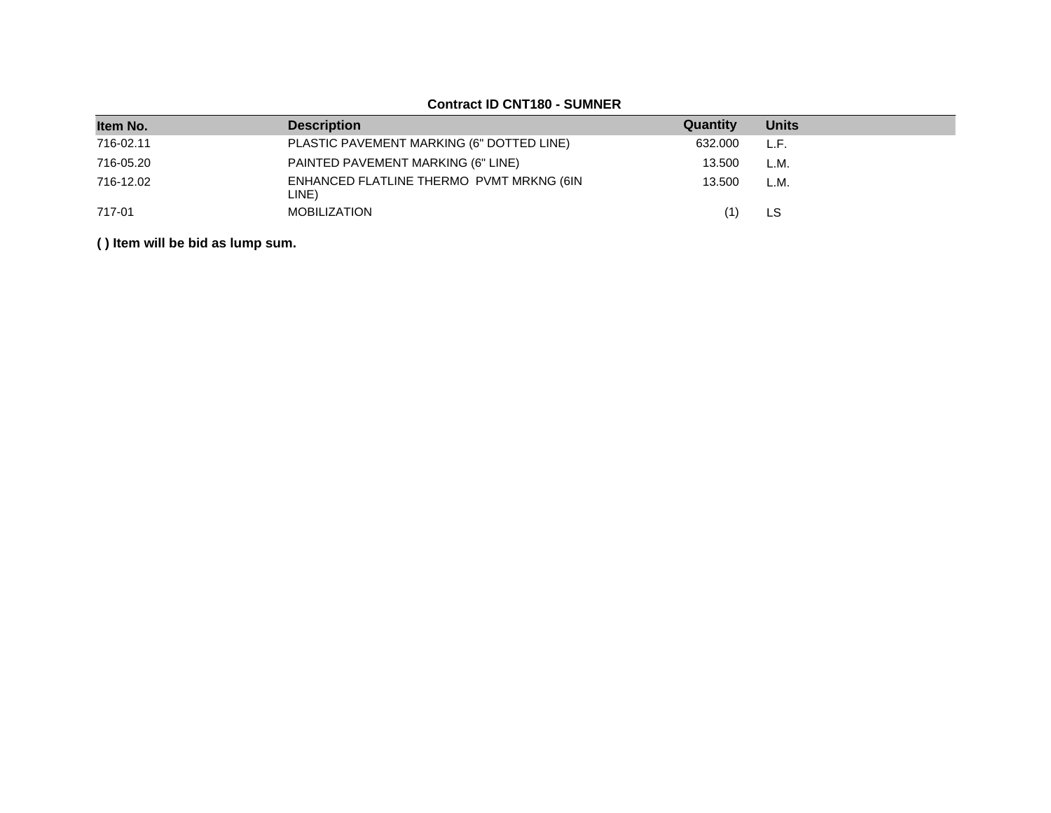| Item No.  | <b>Description</b>                                | Quantity | <b>Units</b> |
|-----------|---------------------------------------------------|----------|--------------|
| 716-02.11 | PLASTIC PAVEMENT MARKING (6" DOTTED LINE)         | 632,000  | L.F.         |
| 716-05.20 | PAINTED PAVEMENT MARKING (6" LINE)                | 13.500   | L.M.         |
| 716-12.02 | ENHANCED FLATLINE THERMO PVMT MRKNG (6IN<br>LINE) | 13.500   | L.M.         |
| 717-01    | <b>MOBILIZATION</b>                               |          | LS           |

## **Contract ID CNT180 - SUMNER**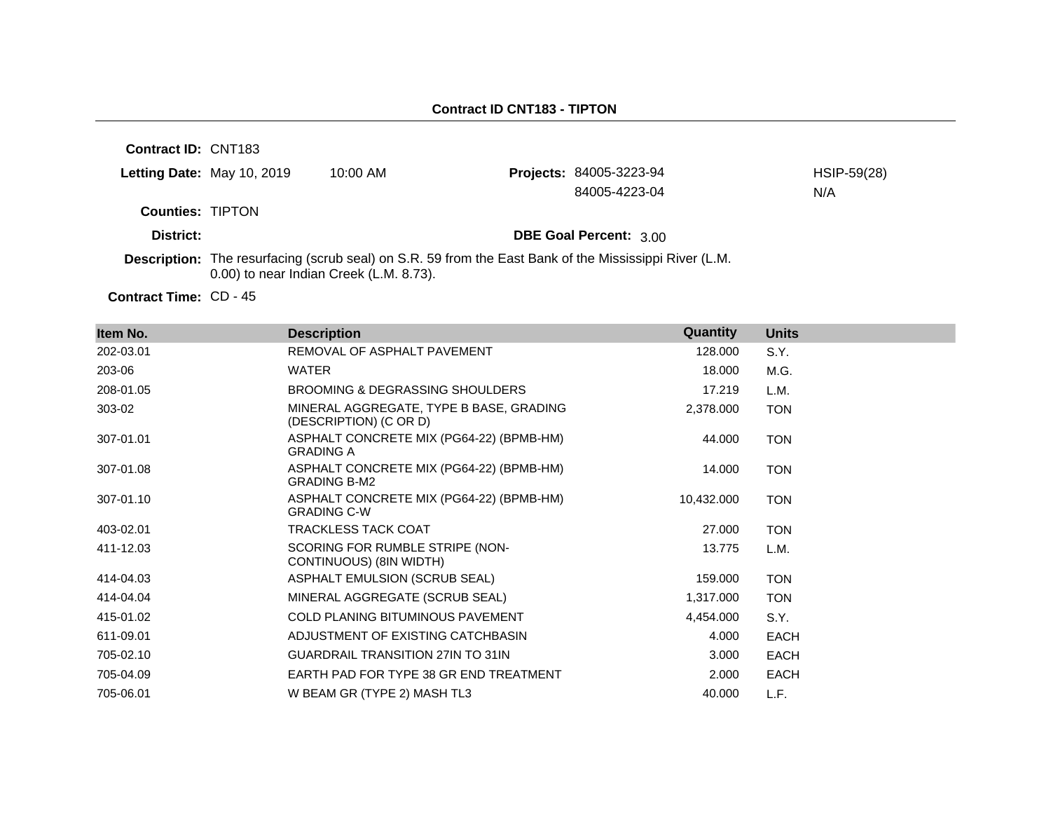| Contract ID: CNT183     |                            |                                                                                                                                                   |                                |             |
|-------------------------|----------------------------|---------------------------------------------------------------------------------------------------------------------------------------------------|--------------------------------|-------------|
|                         | Letting Date: May 10, 2019 | $10:00$ AM                                                                                                                                        | <b>Projects: 84005-3223-94</b> | HSIP-59(28) |
|                         |                            |                                                                                                                                                   | 84005-4223-04                  | N/A         |
| <b>Counties: TIPTON</b> |                            |                                                                                                                                                   |                                |             |
| District:               |                            |                                                                                                                                                   | <b>DBE Goal Percent: 3.00</b>  |             |
|                         |                            | Description: The resurfacing (scrub seal) on S.R. 59 from the East Bank of the Mississippi River (L.M.<br>0.00) to near Indian Creek (L.M. 8.73). |                                |             |
|                         |                            |                                                                                                                                                   |                                |             |

Contract Time: CD - 45

| Item No.  | <b>Description</b>                                                | Quantity   | <b>Units</b> |
|-----------|-------------------------------------------------------------------|------------|--------------|
| 202-03.01 | REMOVAL OF ASPHALT PAVEMENT                                       | 128.000    | S.Y.         |
| 203-06    | WATER                                                             | 18.000     | M.G.         |
| 208-01.05 | BROOMING & DEGRASSING SHOULDERS                                   | 17.219     | L.M.         |
| 303-02    | MINERAL AGGREGATE, TYPE B BASE, GRADING<br>(DESCRIPTION) (C OR D) | 2,378.000  | <b>TON</b>   |
| 307-01.01 | ASPHALT CONCRETE MIX (PG64-22) (BPMB-HM)<br><b>GRADING A</b>      | 44.000     | <b>TON</b>   |
| 307-01.08 | ASPHALT CONCRETE MIX (PG64-22) (BPMB-HM)<br><b>GRADING B-M2</b>   | 14.000     | <b>TON</b>   |
| 307-01.10 | ASPHALT CONCRETE MIX (PG64-22) (BPMB-HM)<br><b>GRADING C-W</b>    | 10,432.000 | <b>TON</b>   |
| 403-02.01 | <b>TRACKLESS TACK COAT</b>                                        | 27.000     | <b>TON</b>   |
| 411-12.03 | SCORING FOR RUMBLE STRIPE (NON-<br>CONTINUOUS) (8IN WIDTH)        | 13.775     | L.M.         |
| 414-04.03 | ASPHALT EMULSION (SCRUB SEAL)                                     | 159.000    | <b>TON</b>   |
| 414-04.04 | MINERAL AGGREGATE (SCRUB SEAL)                                    | 1,317.000  | <b>TON</b>   |
| 415-01.02 | <b>COLD PLANING BITUMINOUS PAVEMENT</b>                           | 4,454.000  | S.Y.         |
| 611-09.01 | ADJUSTMENT OF EXISTING CATCHBASIN                                 | 4.000      | <b>EACH</b>  |
| 705-02.10 | <b>GUARDRAIL TRANSITION 27IN TO 31IN</b>                          | 3.000      | <b>EACH</b>  |
| 705-04.09 | EARTH PAD FOR TYPE 38 GR END TREATMENT                            | 2.000      | <b>EACH</b>  |
| 705-06.01 | W BEAM GR (TYPE 2) MASH TL3                                       | 40.000     | L.F.         |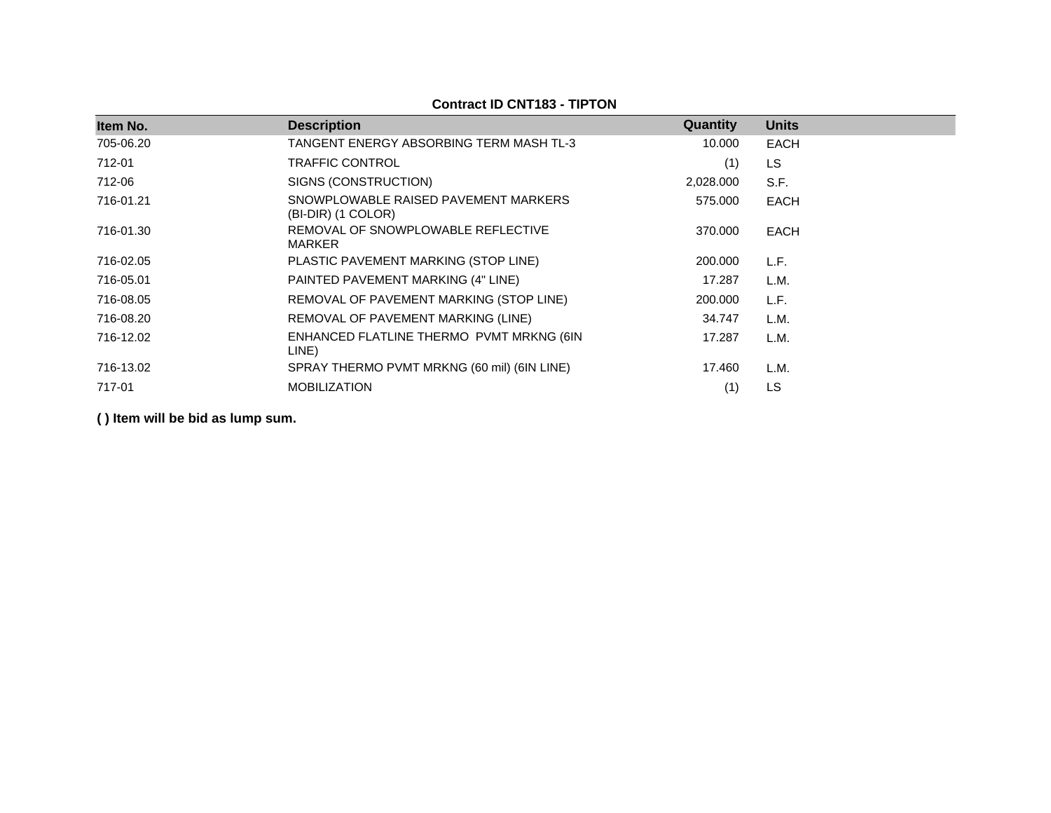| <b>Description</b>                                         | Quantity  | <b>Units</b> |
|------------------------------------------------------------|-----------|--------------|
| TANGENT ENERGY ABSORBING TERM MASH TL-3                    | 10.000    | <b>EACH</b>  |
| TRAFFIC CONTROL                                            | (1)       | <b>LS</b>    |
| SIGNS (CONSTRUCTION)                                       | 2,028.000 | S.F.         |
| SNOWPLOWABLE RAISED PAVEMENT MARKERS<br>(BI-DIR) (1 COLOR) | 575,000   | <b>EACH</b>  |
| REMOVAL OF SNOWPLOWABLE REFLECTIVE<br>MARKER               | 370,000   | <b>EACH</b>  |
| PLASTIC PAVEMENT MARKING (STOP LINE)                       | 200.000   | L.F.         |
| PAINTED PAVEMENT MARKING (4" LINE)                         | 17.287    | L.M.         |
| REMOVAL OF PAVEMENT MARKING (STOP LINE)                    | 200.000   | L.F.         |
| REMOVAL OF PAVEMENT MARKING (LINE)                         | 34.747    | L.M.         |
| ENHANCED FLATLINE THERMO PVMT MRKNG (6IN<br>LINE)          | 17.287    | L.M.         |
| SPRAY THERMO PVMT MRKNG (60 mil) (6IN LINE)                | 17.460    | L.M.         |
| <b>MOBILIZATION</b>                                        | (1)       | LS           |
|                                                            |           |              |

**Contract ID CNT183 - TIPTON**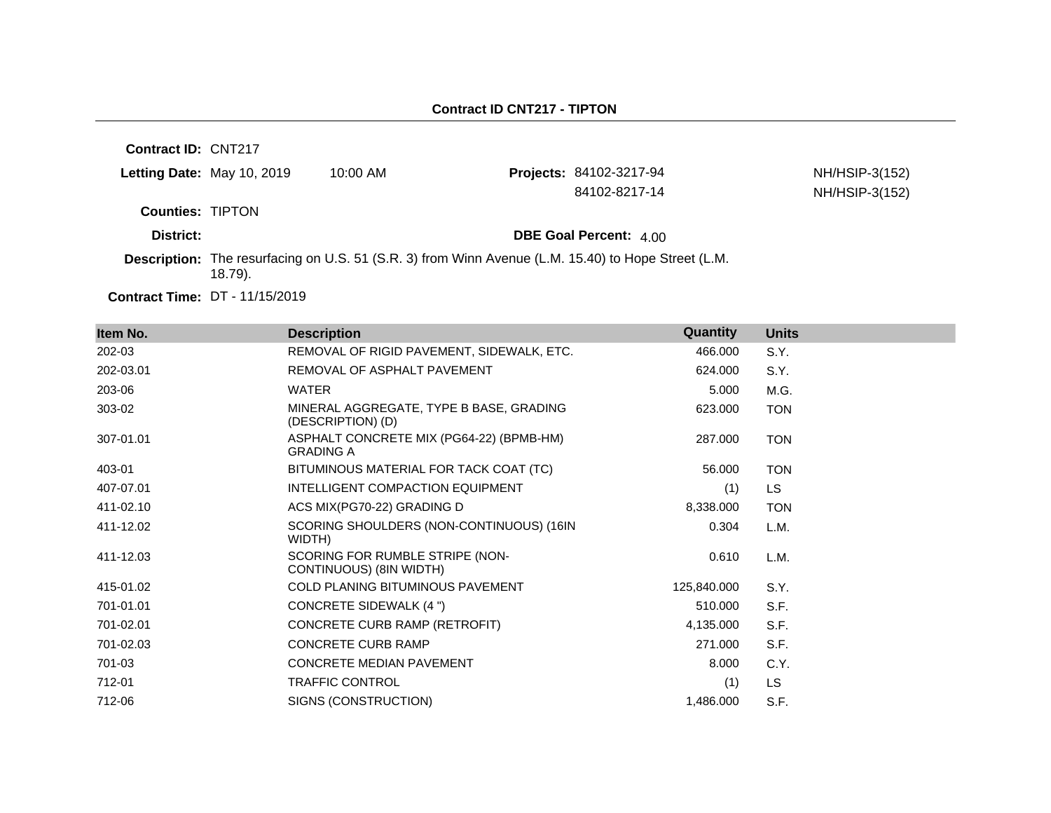| Contract ID: CNT217     |                                   |                                                                                                     |                               |                |
|-------------------------|-----------------------------------|-----------------------------------------------------------------------------------------------------|-------------------------------|----------------|
|                         | <b>Letting Date: May 10, 2019</b> | $10:00$ AM                                                                                          | Projects: 84102-3217-94       | NH/HSIP-3(152) |
|                         |                                   |                                                                                                     | 84102-8217-14                 | NH/HSIP-3(152) |
| <b>Counties: TIPTON</b> |                                   |                                                                                                     |                               |                |
| District:               |                                   |                                                                                                     | <b>DBE Goal Percent: 4.00</b> |                |
|                         | $18.79$ ).                        | Description: The resurfacing on U.S. 51 (S.R. 3) from Winn Avenue (L.M. 15.40) to Hope Street (L.M. |                               |                |
|                         |                                   |                                                                                                     |                               |                |

**Contract Time:** DT - 11/15/2019

| Item No.  | <b>Description</b>                                           | Quantity    | <b>Units</b> |
|-----------|--------------------------------------------------------------|-------------|--------------|
| 202-03    | REMOVAL OF RIGID PAVEMENT, SIDEWALK, ETC.                    | 466.000     | S.Y.         |
| 202-03.01 | REMOVAL OF ASPHALT PAVEMENT                                  | 624.000     | S.Y.         |
| 203-06    | <b>WATER</b>                                                 | 5.000       | M.G.         |
| 303-02    | MINERAL AGGREGATE, TYPE B BASE, GRADING<br>(DESCRIPTION) (D) | 623.000     | <b>TON</b>   |
| 307-01.01 | ASPHALT CONCRETE MIX (PG64-22) (BPMB-HM)<br><b>GRADING A</b> | 287.000     | <b>TON</b>   |
| 403-01    | BITUMINOUS MATERIAL FOR TACK COAT (TC)                       | 56,000      | <b>TON</b>   |
| 407-07.01 | INTELLIGENT COMPACTION EQUIPMENT                             | (1)         | LS.          |
| 411-02.10 | ACS MIX(PG70-22) GRADING D                                   | 8,338.000   | <b>TON</b>   |
| 411-12.02 | SCORING SHOULDERS (NON-CONTINUOUS) (16IN<br>WIDTH)           | 0.304       | L.M.         |
| 411-12.03 | SCORING FOR RUMBLE STRIPE (NON-<br>CONTINUOUS) (8IN WIDTH)   | 0.610       | L.M.         |
| 415-01.02 | <b>COLD PLANING BITUMINOUS PAVEMENT</b>                      | 125,840.000 | S.Y.         |
| 701-01.01 | CONCRETE SIDEWALK (4 ")                                      | 510.000     | S.F.         |
| 701-02.01 | CONCRETE CURB RAMP (RETROFIT)                                | 4,135.000   | S.F.         |
| 701-02.03 | <b>CONCRETE CURB RAMP</b>                                    | 271.000     | S.F.         |
| 701-03    | <b>CONCRETE MEDIAN PAVEMENT</b>                              | 8.000       | C.Y.         |
| 712-01    | <b>TRAFFIC CONTROL</b>                                       | (1)         | <b>LS</b>    |
| 712-06    | SIGNS (CONSTRUCTION)                                         | 1,486.000   | S.F.         |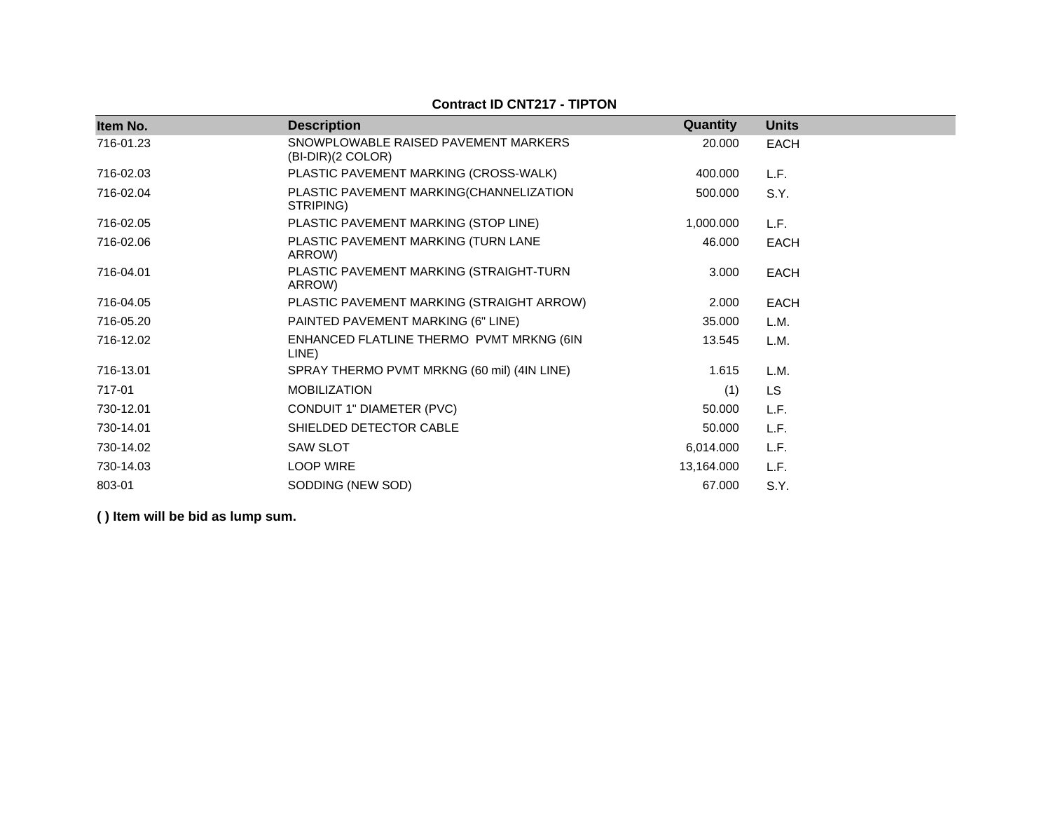| Item No.  | <b>Description</b>                                        | Quantity   | <b>Units</b> |
|-----------|-----------------------------------------------------------|------------|--------------|
| 716-01.23 | SNOWPLOWABLE RAISED PAVEMENT MARKERS<br>(BI-DIR)(2 COLOR) | 20.000     | <b>EACH</b>  |
| 716-02.03 | PLASTIC PAVEMENT MARKING (CROSS-WALK)                     | 400.000    | L.F.         |
| 716-02.04 | PLASTIC PAVEMENT MARKING(CHANNELIZATION<br>STRIPING)      | 500.000    | S.Y.         |
| 716-02.05 | PLASTIC PAVEMENT MARKING (STOP LINE)                      | 1,000.000  | L.F.         |
| 716-02.06 | PLASTIC PAVEMENT MARKING (TURN LANE<br>ARROW)             | 46.000     | <b>EACH</b>  |
| 716-04.01 | PLASTIC PAVEMENT MARKING (STRAIGHT-TURN<br>ARROW)         | 3.000      | <b>EACH</b>  |
| 716-04.05 | PLASTIC PAVEMENT MARKING (STRAIGHT ARROW)                 | 2.000      | <b>EACH</b>  |
| 716-05.20 | PAINTED PAVEMENT MARKING (6" LINE)                        | 35.000     | L.M.         |
| 716-12.02 | ENHANCED FLATLINE THERMO PVMT MRKNG (6IN<br>LINE)         | 13.545     | L.M.         |
| 716-13.01 | SPRAY THERMO PVMT MRKNG (60 mil) (4IN LINE)               | 1.615      | L.M.         |
| 717-01    | <b>MOBILIZATION</b>                                       | (1)        | <b>LS</b>    |
| 730-12.01 | CONDUIT 1" DIAMETER (PVC)                                 | 50.000     | L.F.         |
| 730-14.01 | SHIELDED DETECTOR CABLE                                   | 50.000     | L.F.         |
| 730-14.02 | <b>SAW SLOT</b>                                           | 6,014.000  | L.F.         |
| 730-14.03 | <b>LOOP WIRE</b>                                          | 13,164.000 | L.F.         |
| 803-01    | SODDING (NEW SOD)                                         | 67.000     | S.Y.         |

## **Contract ID CNT217 - TIPTON**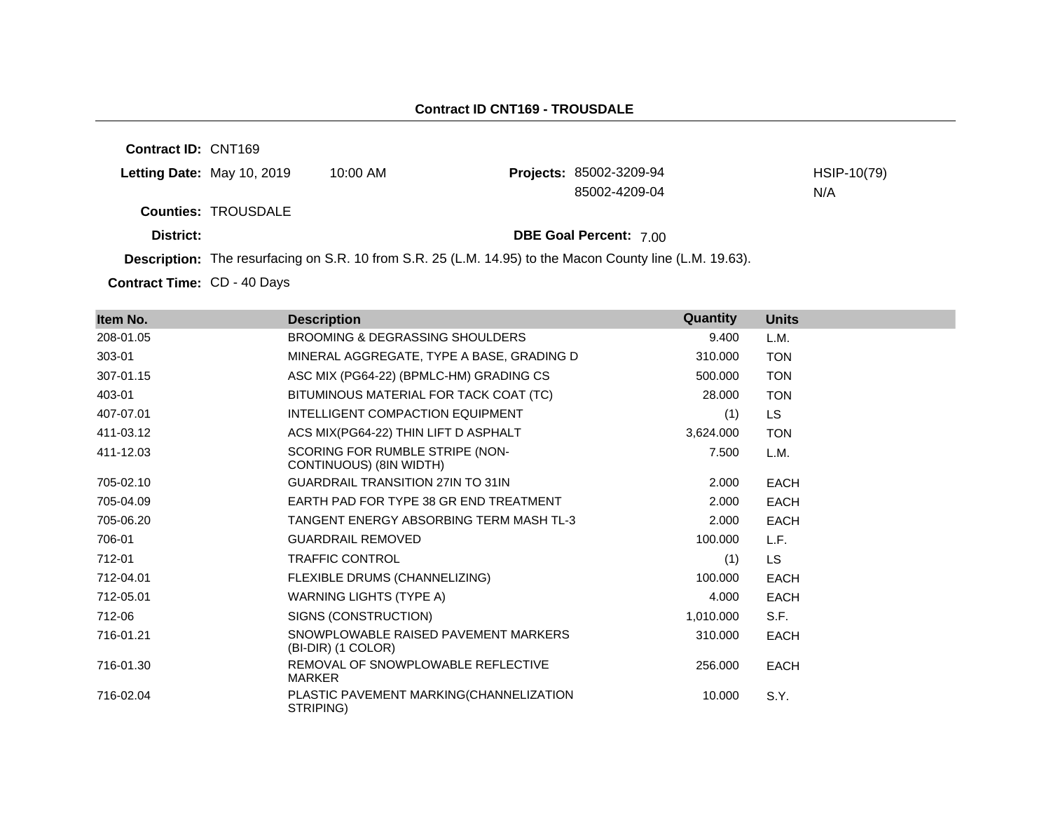**Contract ID:** CNT169 **Letting Date:** May 10, 2019 10:00 AM **Counties:** TROUSDALE **District: District: DBE Goal Percent:** 7.00 **Description:** The resurfacing on S.R. 10 from S.R. 25 (L.M. 14.95) to the Macon County line (L.M. 19.63). Projects: 85002-3209-94 HSIP-10(79) 85002-4209-04 N/A

Contract Time: CD - 40 Days

| Item No.  | <b>Description</b>                                         | Quantity  | <b>Units</b> |
|-----------|------------------------------------------------------------|-----------|--------------|
| 208-01.05 | <b>BROOMING &amp; DEGRASSING SHOULDERS</b>                 | 9.400     | L.M.         |
| 303-01    | MINERAL AGGREGATE, TYPE A BASE, GRADING D                  | 310.000   | <b>TON</b>   |
| 307-01.15 | ASC MIX (PG64-22) (BPMLC-HM) GRADING CS                    | 500.000   | <b>TON</b>   |
| 403-01    | BITUMINOUS MATERIAL FOR TACK COAT (TC)                     | 28,000    | <b>TON</b>   |
| 407-07.01 | INTELLIGENT COMPACTION EQUIPMENT                           | (1)       | LS.          |
| 411-03.12 | ACS MIX(PG64-22) THIN LIFT D ASPHALT                       | 3,624.000 | <b>TON</b>   |
| 411-12.03 | SCORING FOR RUMBLE STRIPE (NON-<br>CONTINUOUS) (8IN WIDTH) | 7.500     | L.M.         |
| 705-02.10 | <b>GUARDRAIL TRANSITION 27IN TO 31IN</b>                   | 2.000     | <b>EACH</b>  |
| 705-04.09 | EARTH PAD FOR TYPE 38 GR END TREATMENT                     | 2.000     | <b>EACH</b>  |
| 705-06.20 | TANGENT ENERGY ABSORBING TERM MASH TL-3                    | 2.000     | <b>EACH</b>  |
| 706-01    | <b>GUARDRAIL REMOVED</b>                                   | 100.000   | L.F.         |
| 712-01    | <b>TRAFFIC CONTROL</b>                                     | (1)       | <b>LS</b>    |
| 712-04.01 | FLEXIBLE DRUMS (CHANNELIZING)                              | 100.000   | <b>EACH</b>  |
| 712-05.01 | WARNING LIGHTS (TYPE A)                                    | 4.000     | <b>EACH</b>  |
| 712-06    | SIGNS (CONSTRUCTION)                                       | 1,010.000 | S.F.         |
| 716-01.21 | SNOWPLOWABLE RAISED PAVEMENT MARKERS<br>(BI-DIR) (1 COLOR) | 310.000   | <b>EACH</b>  |
| 716-01.30 | REMOVAL OF SNOWPLOWABLE REFLECTIVE<br><b>MARKER</b>        | 256,000   | <b>EACH</b>  |
| 716-02.04 | PLASTIC PAVEMENT MARKING(CHANNELIZATION<br>STRIPING)       | 10.000    | S.Y.         |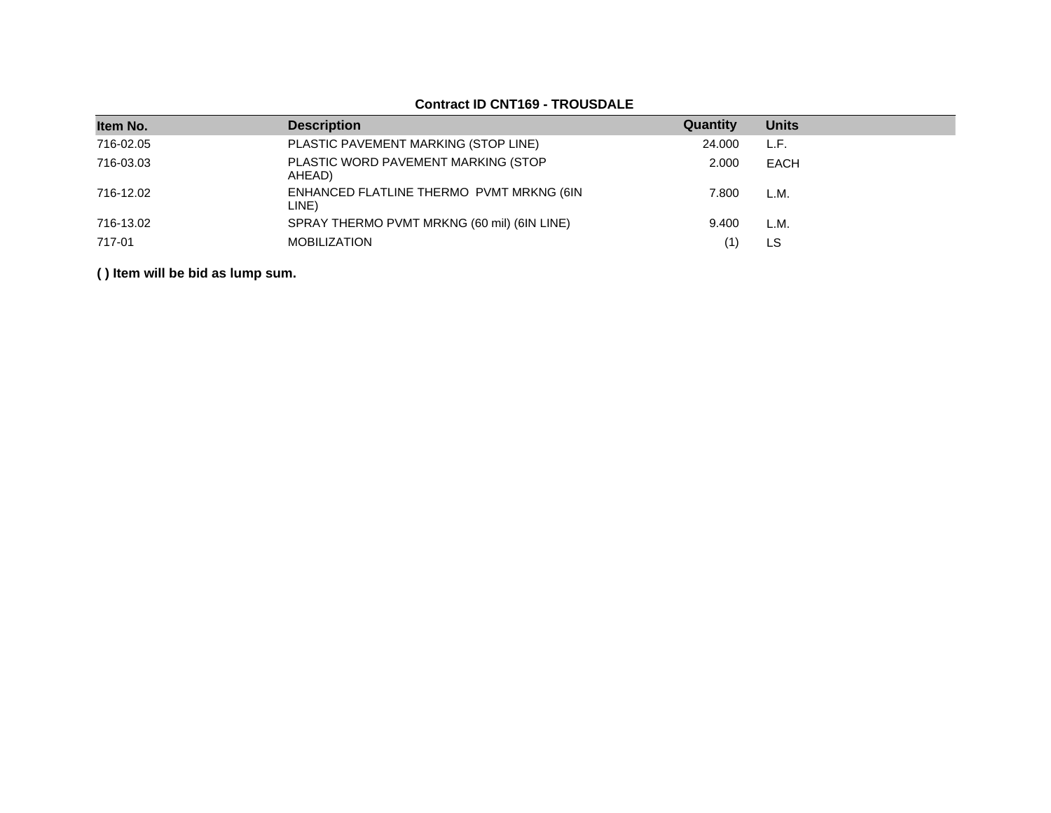|           | <u> OUINGUL ID UN I IUU TINUUDALL</u>             |          |              |  |  |  |  |
|-----------|---------------------------------------------------|----------|--------------|--|--|--|--|
| Item No.  | <b>Description</b>                                | Quantity | <b>Units</b> |  |  |  |  |
| 716-02.05 | PLASTIC PAVEMENT MARKING (STOP LINE)              | 24.000   | L.F.         |  |  |  |  |
| 716-03.03 | PLASTIC WORD PAVEMENT MARKING (STOP<br>AHEAD)     | 2.000    | EACH         |  |  |  |  |
| 716-12.02 | ENHANCED FLATLINE THERMO PVMT MRKNG (6IN<br>LINE) | 7.800    | L.M.         |  |  |  |  |
| 716-13.02 | SPRAY THERMO PVMT MRKNG (60 mil) (6IN LINE)       | 9.400    | L.M.         |  |  |  |  |
| 717-01    | <b>MOBILIZATION</b>                               |          | LS           |  |  |  |  |

## **Contract ID CNT169 - TROUSDALE**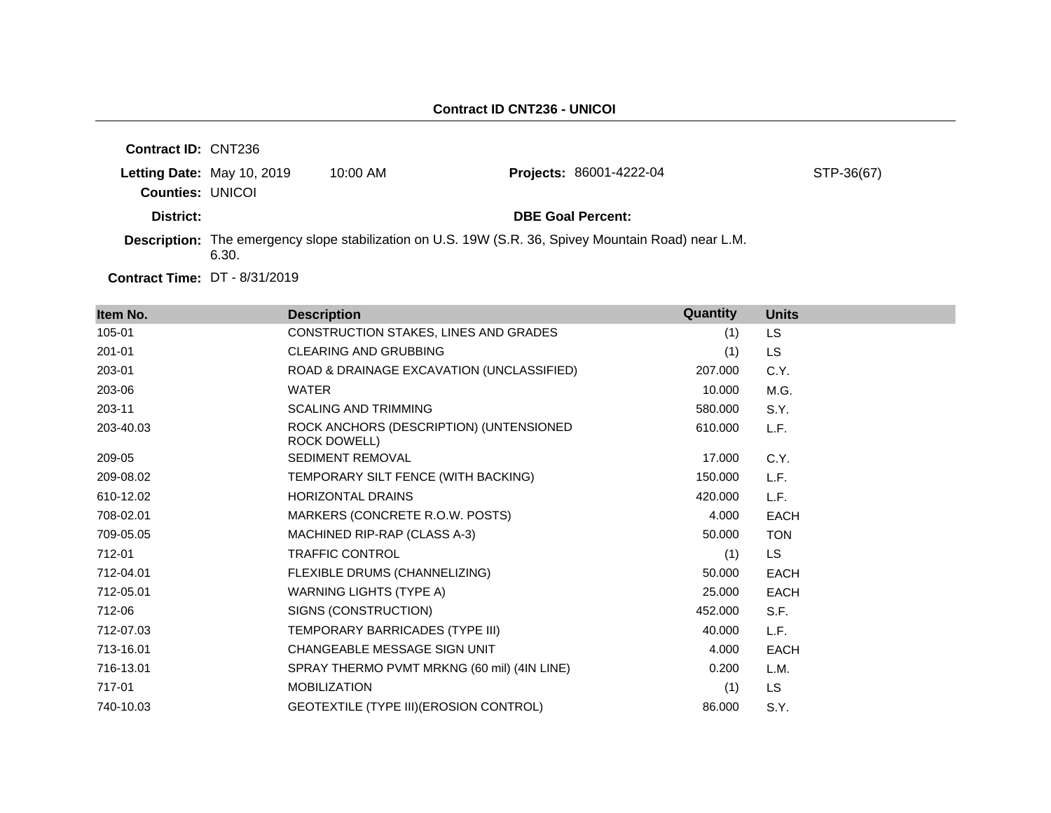| <b>Contract ID: CNT236</b>           |                            |            |                                                                                                      |            |
|--------------------------------------|----------------------------|------------|------------------------------------------------------------------------------------------------------|------------|
|                                      | Letting Date: May 10, 2019 | $10:00$ AM | <b>Projects: 86001-4222-04</b>                                                                       | STP-36(67) |
| <b>Counties: UNICOL</b>              |                            |            |                                                                                                      |            |
| District:                            |                            |            | <b>DBE Goal Percent:</b>                                                                             |            |
|                                      | 6.30.                      |            | Description: The emergency slope stabilization on U.S. 19W (S.R. 36, Spivey Mountain Road) near L.M. |            |
| <b>Contract Time: DT - 8/31/2019</b> |                            |            |                                                                                                      |            |

| Item No.  | <b>Description</b>                                      | Quantity | <b>Units</b> |
|-----------|---------------------------------------------------------|----------|--------------|
| 105-01    | CONSTRUCTION STAKES, LINES AND GRADES                   | (1)      | LS           |
| 201-01    | <b>CLEARING AND GRUBBING</b>                            | (1)      | <b>LS</b>    |
| 203-01    | ROAD & DRAINAGE EXCAVATION (UNCLASSIFIED)               | 207.000  | C.Y.         |
| 203-06    | <b>WATER</b>                                            | 10.000   | M.G.         |
| 203-11    | <b>SCALING AND TRIMMING</b>                             | 580.000  | S.Y.         |
| 203-40.03 | ROCK ANCHORS (DESCRIPTION) (UNTENSIONED<br>ROCK DOWELL) | 610.000  | L.F.         |
| 209-05    | <b>SEDIMENT REMOVAL</b>                                 | 17.000   | C.Y.         |
| 209-08.02 | TEMPORARY SILT FENCE (WITH BACKING)                     | 150.000  | L.F.         |
| 610-12.02 | <b>HORIZONTAL DRAINS</b>                                | 420.000  | L.F.         |
| 708-02.01 | MARKERS (CONCRETE R.O.W. POSTS)                         | 4.000    | <b>EACH</b>  |
| 709-05.05 | MACHINED RIP-RAP (CLASS A-3)                            | 50.000   | <b>TON</b>   |
| 712-01    | TRAFFIC CONTROL                                         | (1)      | LS.          |
| 712-04.01 | FLEXIBLE DRUMS (CHANNELIZING)                           | 50.000   | <b>EACH</b>  |
| 712-05.01 | <b>WARNING LIGHTS (TYPE A)</b>                          | 25.000   | <b>EACH</b>  |
| 712-06    | SIGNS (CONSTRUCTION)                                    | 452.000  | S.F.         |
| 712-07.03 | TEMPORARY BARRICADES (TYPE III)                         | 40.000   | L.F.         |
| 713-16.01 | <b>CHANGEABLE MESSAGE SIGN UNIT</b>                     | 4.000    | <b>EACH</b>  |
| 716-13.01 | SPRAY THERMO PVMT MRKNG (60 mil) (4IN LINE)             | 0.200    | L.M.         |
| 717-01    | <b>MOBILIZATION</b>                                     | (1)      | <b>LS</b>    |
| 740-10.03 | GEOTEXTILE (TYPE III) (EROSION CONTROL)                 | 86,000   | S.Y.         |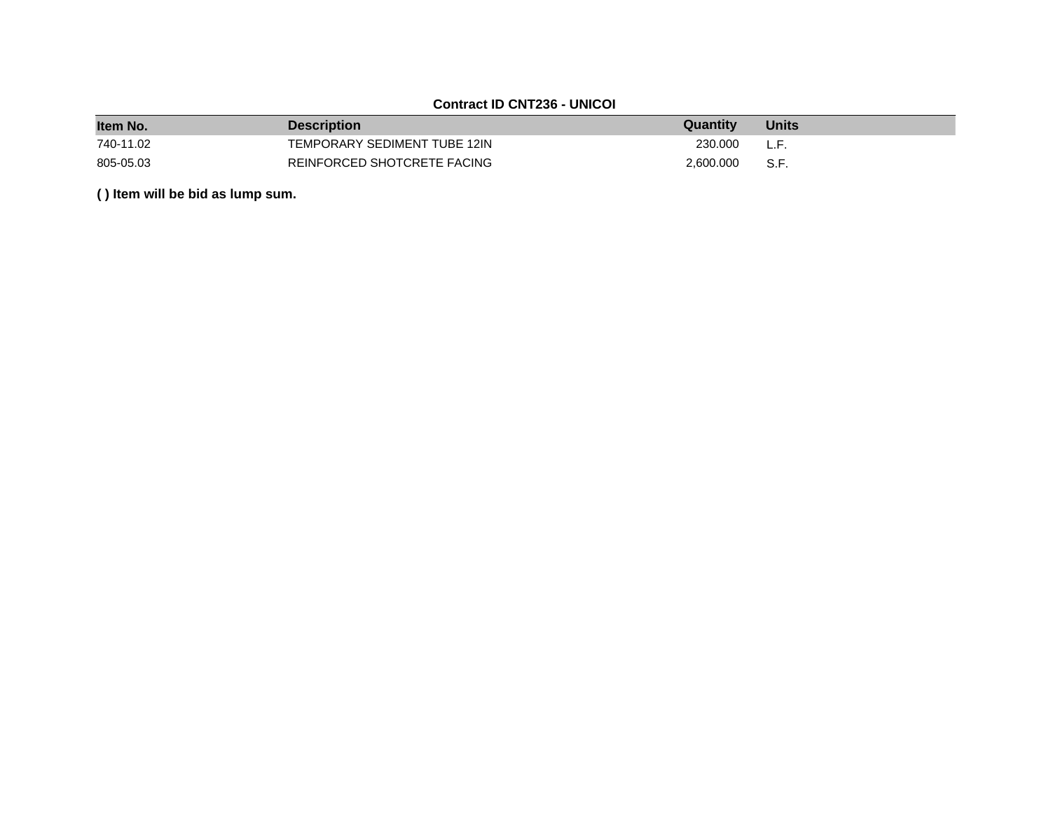## **Contract ID CNT236 - UNICOI**

| Item No.  | <b>Description</b>           | Quantity  | <b>Units</b> |
|-----------|------------------------------|-----------|--------------|
| 740-11.02 | TEMPORARY SEDIMENT TUBE 12IN | 230.000   | L.F.         |
| 805-05.03 | REINFORCED SHOTCRETE FACING  | 2.600.000 | S.F.         |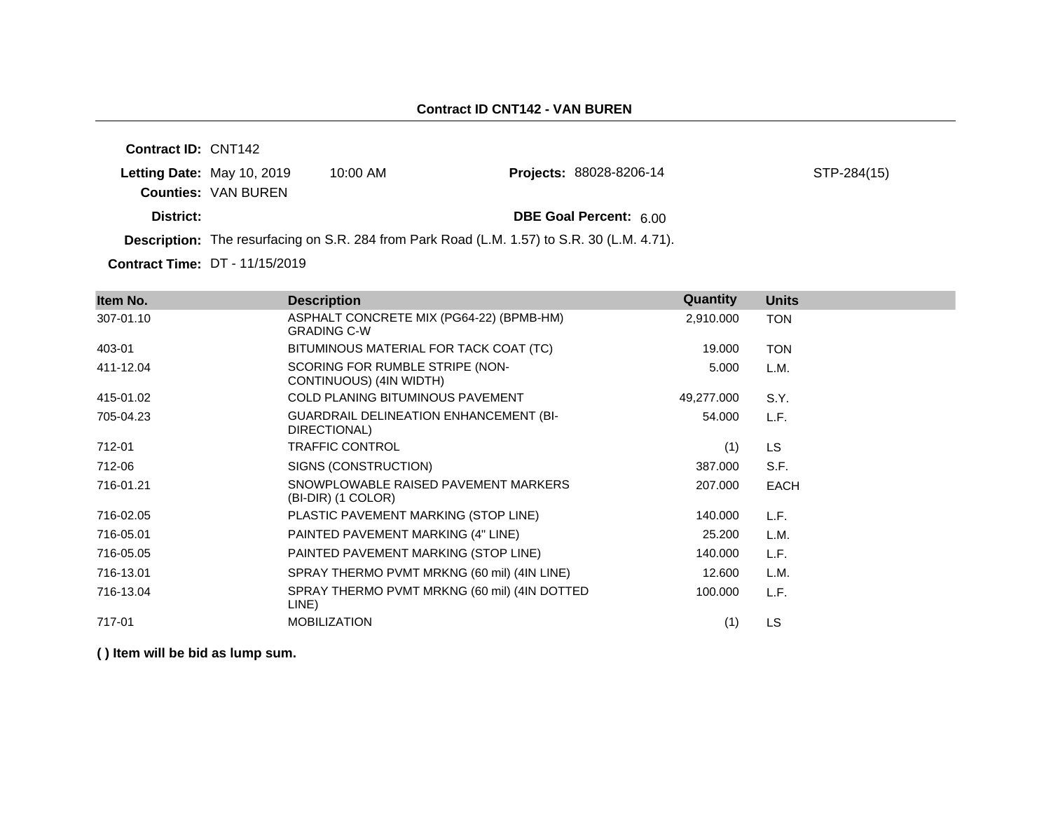| <b>Contract ID: CNT142</b> |                            |                                                                                                    |                                |             |
|----------------------------|----------------------------|----------------------------------------------------------------------------------------------------|--------------------------------|-------------|
| Letting Date: May 10, 2019 |                            | 10:00 AM                                                                                           | <b>Projects: 88028-8206-14</b> | STP-284(15) |
|                            | <b>Counties: VAN BUREN</b> |                                                                                                    |                                |             |
| District:                  |                            |                                                                                                    | <b>DBE Goal Percent: 6.00</b>  |             |
|                            |                            | <b>Description:</b> The resurfacing on S.R. 284 from Park Road (L.M. 1.57) to S.R. 30 (L.M. 4.71). |                                |             |
|                            |                            |                                                                                                    |                                |             |

**Contract Time:** DT - 11/15/2019

| Item No.  | <b>Description</b>                                             | Quantity   | <b>Units</b> |
|-----------|----------------------------------------------------------------|------------|--------------|
| 307-01.10 | ASPHALT CONCRETE MIX (PG64-22) (BPMB-HM)<br><b>GRADING C-W</b> | 2,910.000  | <b>TON</b>   |
| 403-01    | BITUMINOUS MATERIAL FOR TACK COAT (TC)                         | 19.000     | <b>TON</b>   |
| 411-12.04 | SCORING FOR RUMBLE STRIPE (NON-<br>CONTINUOUS) (4IN WIDTH)     | 5.000      | L.M.         |
| 415-01.02 | <b>COLD PLANING BITUMINOUS PAVEMENT</b>                        | 49,277.000 | S.Y.         |
| 705-04.23 | <b>GUARDRAIL DELINEATION ENHANCEMENT (BI-</b><br>DIRECTIONAL)  | 54.000     | L.F.         |
| 712-01    | <b>TRAFFIC CONTROL</b>                                         | (1)        | LS.          |
| 712-06    | SIGNS (CONSTRUCTION)                                           | 387.000    | S.F.         |
| 716-01.21 | SNOWPLOWABLE RAISED PAVEMENT MARKERS<br>(BI-DIR) (1 COLOR)     | 207.000    | <b>EACH</b>  |
| 716-02.05 | PLASTIC PAVEMENT MARKING (STOP LINE)                           | 140.000    | L.F.         |
| 716-05.01 | PAINTED PAVEMENT MARKING (4" LINE)                             | 25.200     | L.M.         |
| 716-05.05 | PAINTED PAVEMENT MARKING (STOP LINE)                           | 140.000    | L.F.         |
| 716-13.01 | SPRAY THERMO PVMT MRKNG (60 mil) (4IN LINE)                    | 12.600     | L.M.         |
| 716-13.04 | SPRAY THERMO PVMT MRKNG (60 mil) (4IN DOTTED<br>LINE)          | 100.000    | L.F.         |
| 717-01    | <b>MOBILIZATION</b>                                            | (1)        | LS           |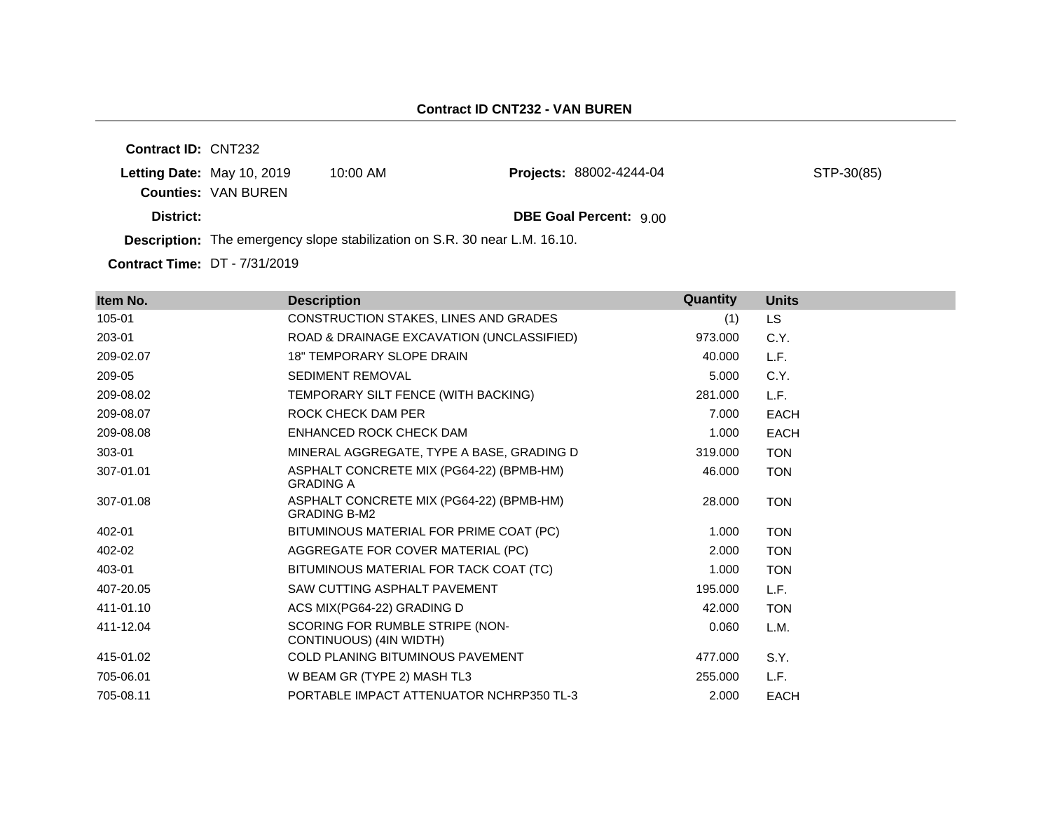**Contract ID:** CNT232 **Letting Date:** May 10, 2019 10:00 AM **Counties:** VAN BUREN **District: District: DBE Goal Percent:** 9.00 **Description:** The emergency slope stabilization on S.R. 30 near L.M. 16.10. Projects: 88002-4244-04 STP-30(85)

**Contract Time:** DT - 7/31/2019

| Item No.  | <b>Description</b>                                              | Quantity | <b>Units</b> |
|-----------|-----------------------------------------------------------------|----------|--------------|
| 105-01    | CONSTRUCTION STAKES, LINES AND GRADES                           | (1)      | LS.          |
| 203-01    | ROAD & DRAINAGE EXCAVATION (UNCLASSIFIED)                       | 973.000  | C.Y.         |
| 209-02.07 | <b>18" TEMPORARY SLOPE DRAIN</b>                                | 40.000   | L.F.         |
| 209-05    | <b>SEDIMENT REMOVAL</b>                                         | 5.000    | C.Y.         |
| 209-08.02 | TEMPORARY SILT FENCE (WITH BACKING)                             | 281.000  | L.F.         |
| 209-08.07 | ROCK CHECK DAM PER                                              | 7.000    | <b>EACH</b>  |
| 209-08.08 | ENHANCED ROCK CHECK DAM                                         | 1.000    | <b>EACH</b>  |
| 303-01    | MINERAL AGGREGATE, TYPE A BASE, GRADING D                       | 319.000  | <b>TON</b>   |
| 307-01.01 | ASPHALT CONCRETE MIX (PG64-22) (BPMB-HM)<br><b>GRADING A</b>    | 46.000   | <b>TON</b>   |
| 307-01.08 | ASPHALT CONCRETE MIX (PG64-22) (BPMB-HM)<br><b>GRADING B-M2</b> | 28,000   | <b>TON</b>   |
| 402-01    | BITUMINOUS MATERIAL FOR PRIME COAT (PC)                         | 1.000    | <b>TON</b>   |
| 402-02    | AGGREGATE FOR COVER MATERIAL (PC)                               | 2.000    | <b>TON</b>   |
| 403-01    | BITUMINOUS MATERIAL FOR TACK COAT (TC)                          | 1.000    | <b>TON</b>   |
| 407-20.05 | SAW CUTTING ASPHALT PAVEMENT                                    | 195.000  | L.F.         |
| 411-01.10 | ACS MIX(PG64-22) GRADING D                                      | 42,000   | <b>TON</b>   |
| 411-12.04 | SCORING FOR RUMBLE STRIPE (NON-<br>CONTINUOUS) (4IN WIDTH)      | 0.060    | L.M.         |
| 415-01.02 | <b>COLD PLANING BITUMINOUS PAVEMENT</b>                         | 477.000  | S.Y.         |
| 705-06.01 | W BEAM GR (TYPE 2) MASH TL3                                     | 255,000  | L.F.         |
| 705-08.11 | PORTABLE IMPACT ATTENUATOR NCHRP350 TL-3                        | 2.000    | <b>EACH</b>  |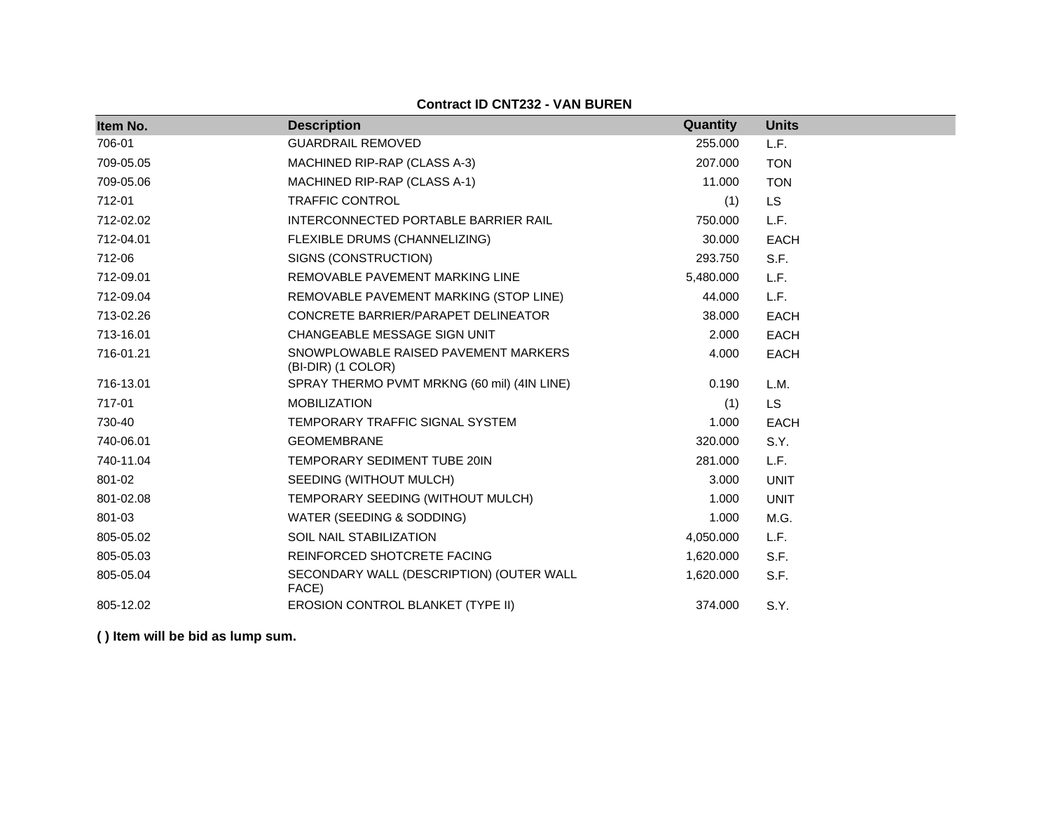### **Contract ID CNT232 - VAN BUREN**

| Item No.  | <b>Description</b>                                         | Quantity  | <b>Units</b> |
|-----------|------------------------------------------------------------|-----------|--------------|
| 706-01    | <b>GUARDRAIL REMOVED</b>                                   | 255.000   | L.F.         |
| 709-05.05 | MACHINED RIP-RAP (CLASS A-3)                               | 207.000   | <b>TON</b>   |
| 709-05.06 | MACHINED RIP-RAP (CLASS A-1)                               | 11.000    | <b>TON</b>   |
| 712-01    | <b>TRAFFIC CONTROL</b>                                     | (1)       | LS           |
| 712-02.02 | INTERCONNECTED PORTABLE BARRIER RAIL                       | 750.000   | L.F.         |
| 712-04.01 | FLEXIBLE DRUMS (CHANNELIZING)                              | 30.000    | <b>EACH</b>  |
| 712-06    | SIGNS (CONSTRUCTION)                                       | 293.750   | S.F.         |
| 712-09.01 | REMOVABLE PAVEMENT MARKING LINE                            | 5,480.000 | L.F.         |
| 712-09.04 | REMOVABLE PAVEMENT MARKING (STOP LINE)                     | 44.000    | L.F.         |
| 713-02.26 | CONCRETE BARRIER/PARAPET DELINEATOR                        | 38.000    | <b>EACH</b>  |
| 713-16.01 | CHANGEABLE MESSAGE SIGN UNIT                               | 2.000     | EACH         |
| 716-01.21 | SNOWPLOWABLE RAISED PAVEMENT MARKERS<br>(BI-DIR) (1 COLOR) | 4.000     | <b>EACH</b>  |
| 716-13.01 | SPRAY THERMO PVMT MRKNG (60 mil) (4IN LINE)                | 0.190     | L.M.         |
| 717-01    | <b>MOBILIZATION</b>                                        | (1)       | <b>LS</b>    |
| 730-40    | TEMPORARY TRAFFIC SIGNAL SYSTEM                            | 1.000     | <b>EACH</b>  |
| 740-06.01 | <b>GEOMEMBRANE</b>                                         | 320.000   | S.Y.         |
| 740-11.04 | TEMPORARY SEDIMENT TUBE 20IN                               | 281.000   | L.F.         |
| 801-02    | SEEDING (WITHOUT MULCH)                                    | 3.000     | <b>UNIT</b>  |
| 801-02.08 | TEMPORARY SEEDING (WITHOUT MULCH)                          | 1.000     | <b>UNIT</b>  |
| 801-03    | WATER (SEEDING & SODDING)                                  | 1.000     | M.G.         |
| 805-05.02 | <b>SOIL NAIL STABILIZATION</b>                             | 4,050.000 | L.F.         |
| 805-05.03 | REINFORCED SHOTCRETE FACING                                | 1,620.000 | S.F.         |
| 805-05.04 | SECONDARY WALL (DESCRIPTION) (OUTER WALL<br>FACE)          | 1,620.000 | S.F.         |
| 805-12.02 | EROSION CONTROL BLANKET (TYPE II)                          | 374.000   | S.Y.         |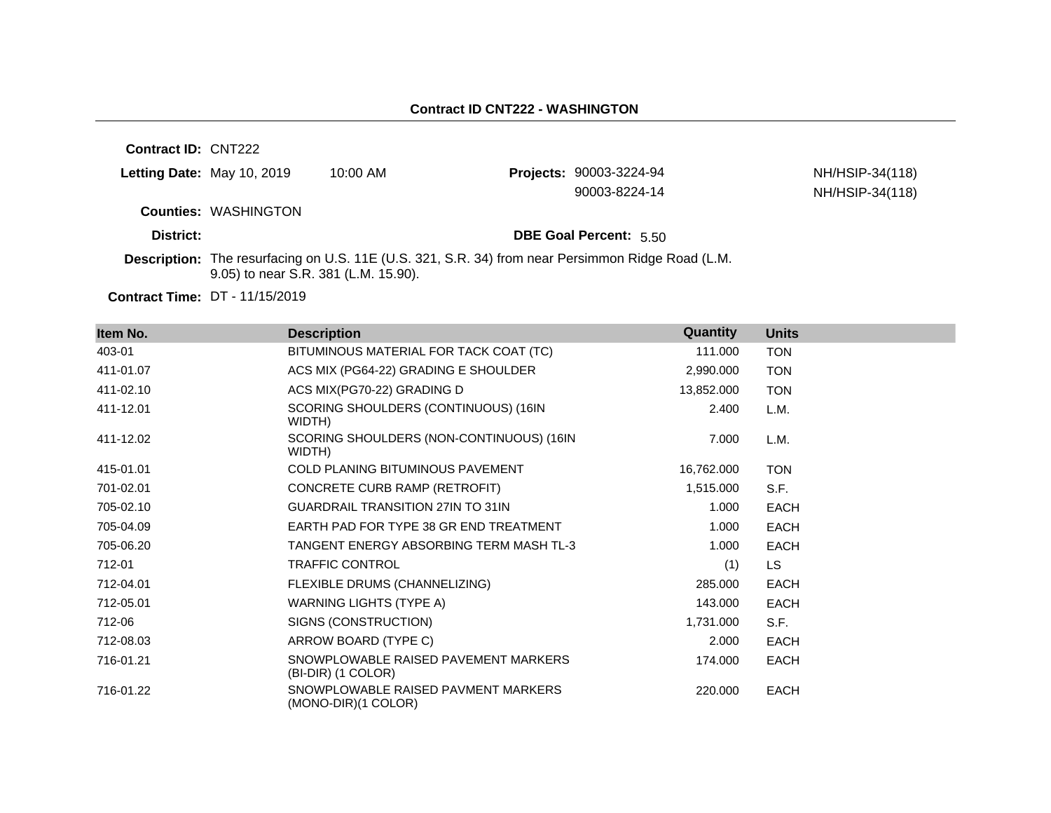**Contract ID:** CNT222

|           | Letting Date: May 10, 2019  | $10:00$ AM | <b>Projects: 90003-3224-94</b> | NH/HSIP-34(118) |
|-----------|-----------------------------|------------|--------------------------------|-----------------|
|           |                             |            | 90003-8224-14                  | NH/HSIP-34(118) |
|           | <b>Counties: WASHINGTON</b> |            |                                |                 |
| District: |                             |            | <b>DBE Goal Percent: 5.50</b>  |                 |

**Description:** The resurfacing on U.S. 11E (U.S. 321, S.R. 34) from near Persimmon Ridge Road (L.M. 9.05) to near S.R. 381 (L.M. 15.90).

**Contract Time:** DT - 11/15/2019

| Item No.  | <b>Description</b>                                         | Quantity   | <b>Units</b> |
|-----------|------------------------------------------------------------|------------|--------------|
| 403-01    | BITUMINOUS MATERIAL FOR TACK COAT (TC)                     | 111.000    | <b>TON</b>   |
| 411-01.07 | ACS MIX (PG64-22) GRADING E SHOULDER                       | 2,990.000  | <b>TON</b>   |
| 411-02.10 | ACS MIX(PG70-22) GRADING D                                 | 13,852.000 | <b>TON</b>   |
| 411-12.01 | SCORING SHOULDERS (CONTINUOUS) (16IN<br>WIDTH)             | 2.400      | L.M.         |
| 411-12.02 | SCORING SHOULDERS (NON-CONTINUOUS) (16IN<br>WIDTH)         | 7.000      | L.M.         |
| 415-01.01 | <b>COLD PLANING BITUMINOUS PAVEMENT</b>                    | 16,762.000 | <b>TON</b>   |
| 701-02.01 | CONCRETE CURB RAMP (RETROFIT)                              | 1,515.000  | S.F.         |
| 705-02.10 | <b>GUARDRAIL TRANSITION 27IN TO 31IN</b>                   | 1.000      | <b>EACH</b>  |
| 705-04.09 | EARTH PAD FOR TYPE 38 GR END TREATMENT                     | 1.000      | <b>EACH</b>  |
| 705-06.20 | TANGENT ENERGY ABSORBING TERM MASH TL-3                    | 1.000      | <b>EACH</b>  |
| 712-01    | <b>TRAFFIC CONTROL</b>                                     | (1)        | LS.          |
| 712-04.01 | FLEXIBLE DRUMS (CHANNELIZING)                              | 285.000    | <b>EACH</b>  |
| 712-05.01 | WARNING LIGHTS (TYPE A)                                    | 143.000    | <b>EACH</b>  |
| 712-06    | SIGNS (CONSTRUCTION)                                       | 1,731.000  | S.F.         |
| 712-08.03 | ARROW BOARD (TYPE C)                                       | 2.000      | <b>EACH</b>  |
| 716-01.21 | SNOWPLOWABLE RAISED PAVEMENT MARKERS<br>(BI-DIR) (1 COLOR) | 174.000    | <b>EACH</b>  |
| 716-01.22 | SNOWPLOWABLE RAISED PAVMENT MARKERS<br>(MONO-DIR)(1 COLOR) | 220.000    | EACH         |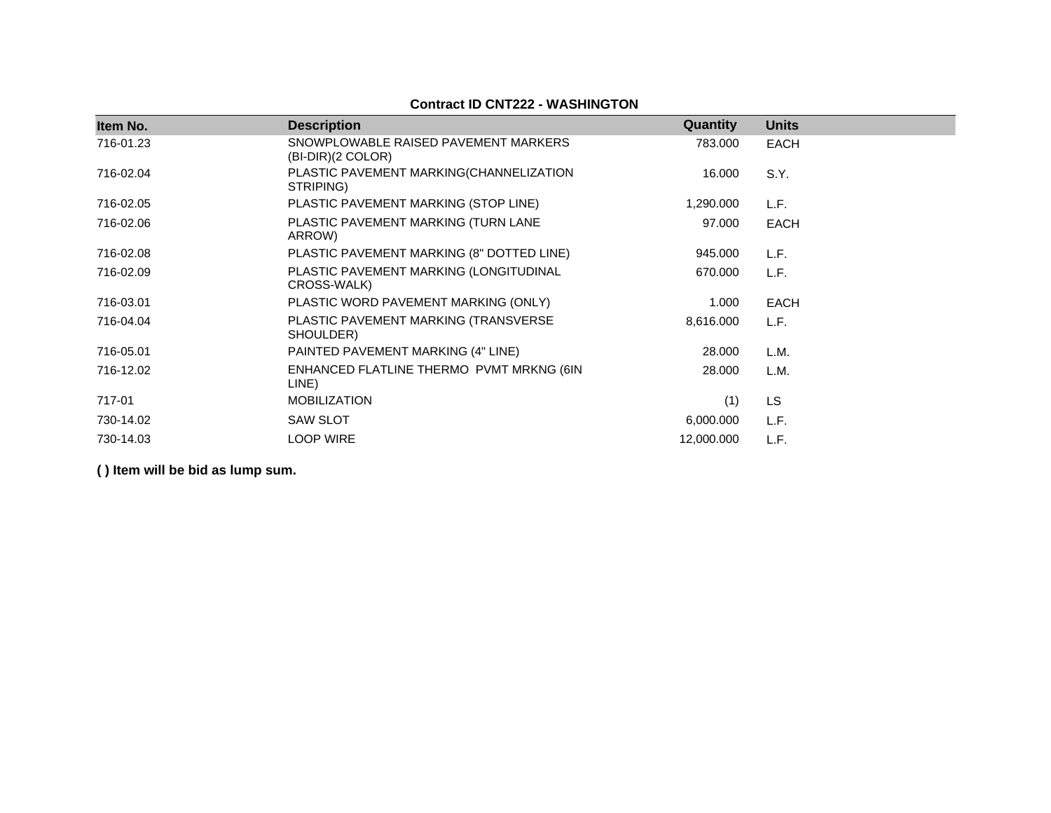## **Contract ID CNT222 - WASHINGTON**

| Item No.  | <b>Description</b>                                          | <b>Quantity</b> | <b>Units</b> |
|-----------|-------------------------------------------------------------|-----------------|--------------|
| 716-01.23 | SNOWPLOWABLE RAISED PAVEMENT MARKERS<br>$(BI-DIR)(2 COLOR)$ | 783.000         | <b>EACH</b>  |
| 716-02.04 | PLASTIC PAVEMENT MARKING(CHANNELIZATION<br>STRIPING)        | 16.000          | S.Y.         |
| 716-02.05 | PLASTIC PAVEMENT MARKING (STOP LINE)                        | 1,290.000       | L.F.         |
| 716-02.06 | PLASTIC PAVEMENT MARKING (TURN LANE<br>ARROW)               | 97.000          | EACH         |
| 716-02.08 | PLASTIC PAVEMENT MARKING (8" DOTTED LINE)                   | 945.000         | L.F.         |
| 716-02.09 | PLASTIC PAVEMENT MARKING (LONGITUDINAL<br>CROSS-WALK)       | 670.000         | L.F.         |
| 716-03.01 | PLASTIC WORD PAVEMENT MARKING (ONLY)                        | 1.000           | <b>EACH</b>  |
| 716-04.04 | PLASTIC PAVEMENT MARKING (TRANSVERSE<br>SHOULDER)           | 8,616.000       | L.F.         |
| 716-05.01 | PAINTED PAVEMENT MARKING (4" LINE)                          | 28.000          | L.M.         |
| 716-12.02 | ENHANCED FLATLINE THERMO PVMT MRKNG (6IN<br>LINE)           | 28.000          | L.M.         |
| 717-01    | <b>MOBILIZATION</b>                                         | (1)             | <b>LS</b>    |
| 730-14.02 | <b>SAW SLOT</b>                                             | 6,000.000       | L.F.         |
| 730-14.03 | <b>LOOP WIRE</b>                                            | 12,000.000      | L.F.         |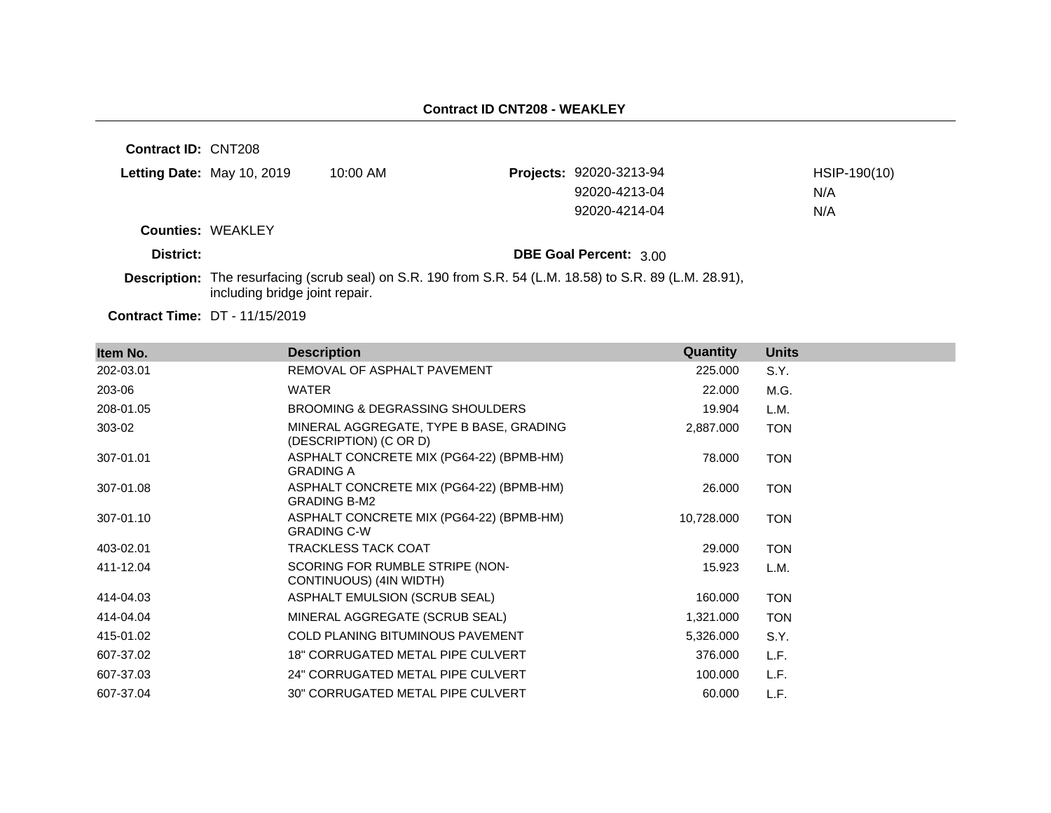**Contract ID:** CNT208 **Letting Date:** May 10, 2019 10:00 AM **Counties:** WEAKLEY **District: District: DBE Goal Percent:** 3.00 **Description:** The resurfacing (scrub seal) on S.R. 190 from S.R. 54 (L.M. 18.58) to S.R. 89 (L.M. 28.91), including bridge joint repair. **Projects:** 92020-3213-94 HSIP-190(10) 92020-4213-04 N/A 92020-4214-04 N/A

**Contract Time:** DT - 11/15/2019

| Item No.  | <b>Description</b>                                                | Quantity   | <b>Units</b> |
|-----------|-------------------------------------------------------------------|------------|--------------|
| 202-03.01 | REMOVAL OF ASPHALT PAVEMENT                                       | 225.000    | S.Y.         |
| 203-06    | <b>WATER</b>                                                      | 22.000     | M.G.         |
| 208-01.05 | <b>BROOMING &amp; DEGRASSING SHOULDERS</b>                        | 19.904     | L.M.         |
| 303-02    | MINERAL AGGREGATE, TYPE B BASE, GRADING<br>(DESCRIPTION) (C OR D) | 2,887.000  | <b>TON</b>   |
| 307-01.01 | ASPHALT CONCRETE MIX (PG64-22) (BPMB-HM)<br><b>GRADING A</b>      | 78.000     | <b>TON</b>   |
| 307-01.08 | ASPHALT CONCRETE MIX (PG64-22) (BPMB-HM)<br><b>GRADING B-M2</b>   | 26.000     | <b>TON</b>   |
| 307-01.10 | ASPHALT CONCRETE MIX (PG64-22) (BPMB-HM)<br><b>GRADING C-W</b>    | 10,728.000 | <b>TON</b>   |
| 403-02.01 | <b>TRACKLESS TACK COAT</b>                                        | 29.000     | <b>TON</b>   |
| 411-12.04 | SCORING FOR RUMBLE STRIPE (NON-<br>CONTINUOUS) (4IN WIDTH)        | 15.923     | L.M.         |
| 414-04.03 | ASPHALT EMULSION (SCRUB SEAL)                                     | 160.000    | <b>TON</b>   |
| 414-04.04 | MINERAL AGGREGATE (SCRUB SEAL)                                    | 1,321.000  | <b>TON</b>   |
| 415-01.02 | <b>COLD PLANING BITUMINOUS PAVEMENT</b>                           | 5,326.000  | S.Y.         |
| 607-37.02 | <b>18" CORRUGATED METAL PIPE CULVERT</b>                          | 376.000    | L.F.         |
| 607-37.03 | 24" CORRUGATED METAL PIPE CULVERT                                 | 100.000    | L.F.         |
| 607-37.04 | 30" CORRUGATED METAL PIPE CULVERT                                 | 60.000     | L.F.         |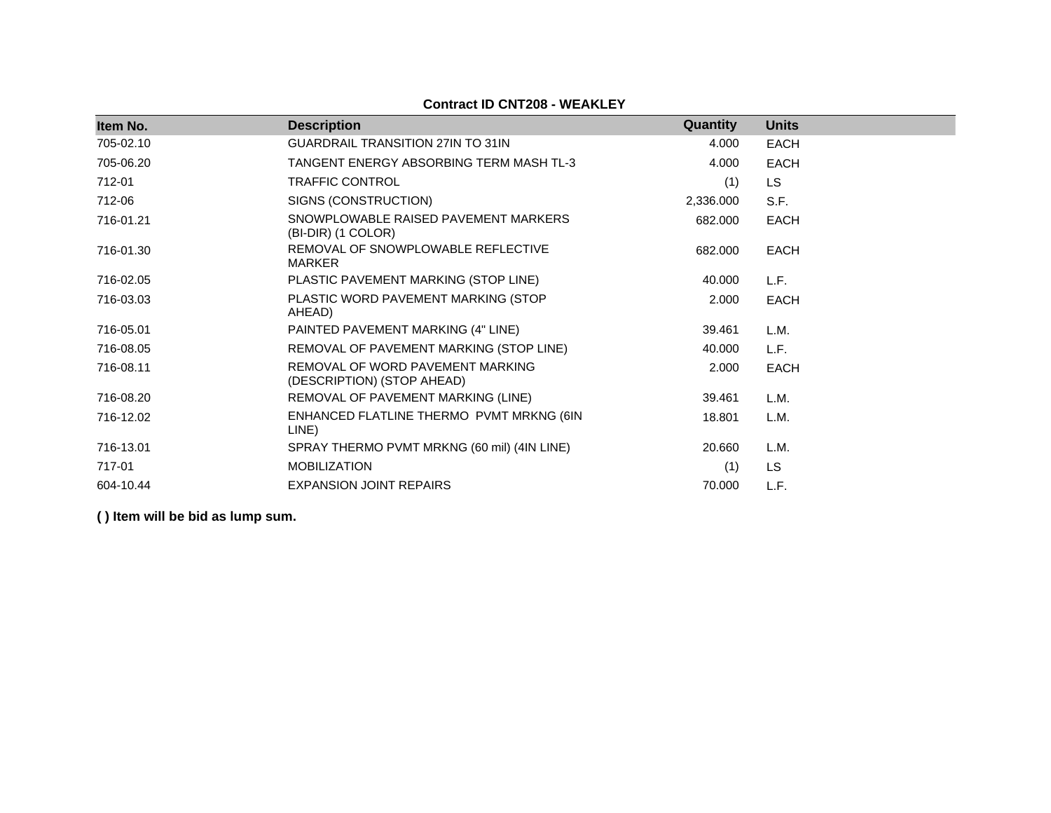| <b>Contract ID CNT208 - WEAKLEY</b> |  |  |
|-------------------------------------|--|--|
|-------------------------------------|--|--|

| Item No.  | <b>Description</b>                                             | <b>Quantity</b> | <b>Units</b> |
|-----------|----------------------------------------------------------------|-----------------|--------------|
| 705-02.10 | <b>GUARDRAIL TRANSITION 27IN TO 31IN</b>                       | 4.000           | <b>EACH</b>  |
| 705-06.20 | TANGENT ENERGY ABSORBING TERM MASH TL-3                        | 4.000           | <b>EACH</b>  |
| 712-01    | <b>TRAFFIC CONTROL</b>                                         | (1)             | <b>LS</b>    |
| 712-06    | SIGNS (CONSTRUCTION)                                           | 2,336.000       | S.F.         |
| 716-01.21 | SNOWPLOWABLE RAISED PAVEMENT MARKERS<br>(BI-DIR) (1 COLOR)     | 682.000         | <b>EACH</b>  |
| 716-01.30 | REMOVAL OF SNOWPLOWABLE REFLECTIVE<br>MARKER                   | 682,000         | <b>EACH</b>  |
| 716-02.05 | PLASTIC PAVEMENT MARKING (STOP LINE)                           | 40.000          | L.F.         |
| 716-03.03 | PLASTIC WORD PAVEMENT MARKING (STOP<br>AHEAD)                  | 2.000           | <b>EACH</b>  |
| 716-05.01 | PAINTED PAVEMENT MARKING (4" LINE)                             | 39.461          | L.M.         |
| 716-08.05 | REMOVAL OF PAVEMENT MARKING (STOP LINE)                        | 40.000          | L.F.         |
| 716-08.11 | REMOVAL OF WORD PAVEMENT MARKING<br>(DESCRIPTION) (STOP AHEAD) | 2.000           | <b>EACH</b>  |
| 716-08.20 | REMOVAL OF PAVEMENT MARKING (LINE)                             | 39.461          | L.M.         |
| 716-12.02 | ENHANCED FLATLINE THERMO PVMT MRKNG (6IN<br>LINE)              | 18.801          | L.M.         |
| 716-13.01 | SPRAY THERMO PVMT MRKNG (60 mil) (4IN LINE)                    | 20.660          | L.M.         |
| 717-01    | <b>MOBILIZATION</b>                                            | (1)             | <b>LS</b>    |
| 604-10.44 | <b>EXPANSION JOINT REPAIRS</b>                                 | 70.000          | L.F.         |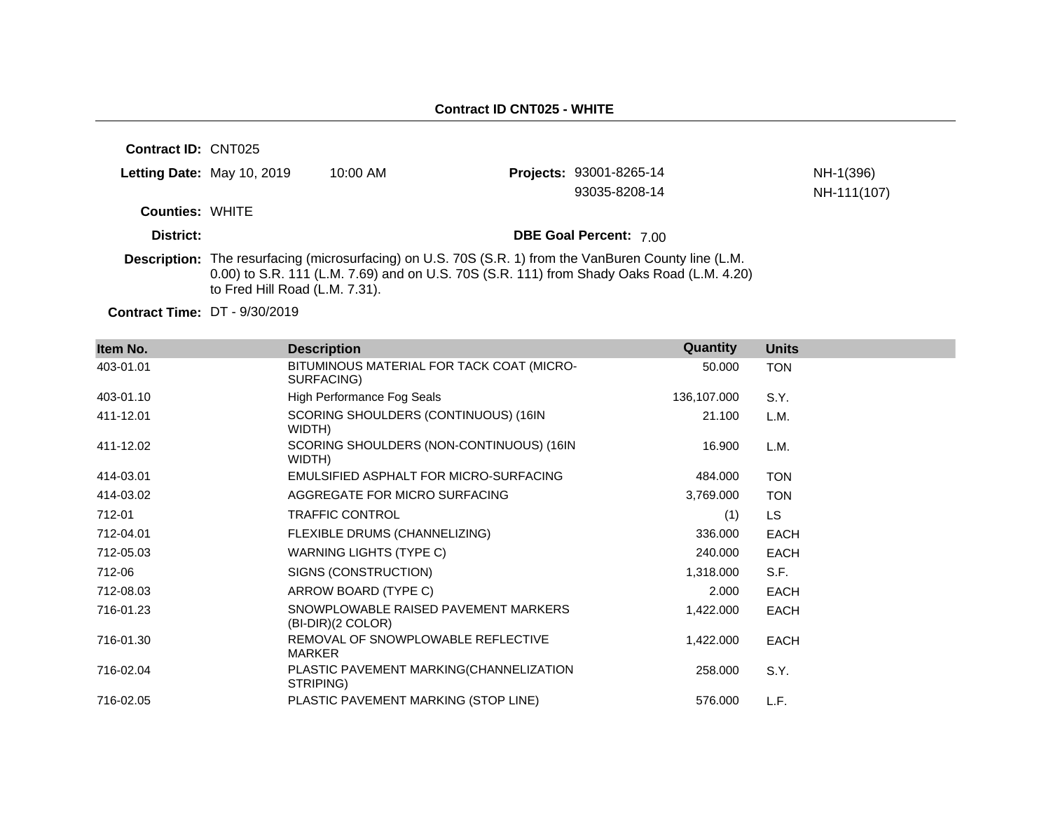| <b>Contract ID: CNT025</b> |                                |                                                                                                        |                                                                                           |             |
|----------------------------|--------------------------------|--------------------------------------------------------------------------------------------------------|-------------------------------------------------------------------------------------------|-------------|
|                            | Letting Date: May 10, 2019     | $10:00$ AM                                                                                             | Projects: 93001-8265-14                                                                   | NH-1(396)   |
|                            |                                |                                                                                                        | 93035-8208-14                                                                             | NH-111(107) |
| <b>Counties: WHITE</b>     |                                |                                                                                                        |                                                                                           |             |
| District:                  |                                |                                                                                                        | <b>DBE Goal Percent: 7.00</b>                                                             |             |
|                            | to Fred Hill Road (L.M. 7.31). | Description: The resurfacing (microsurfacing) on U.S. 70S (S.R. 1) from the VanBuren County line (L.M. | 0.00) to S.R. 111 (L.M. 7.69) and on U.S. 70S (S.R. 111) from Shady Oaks Road (L.M. 4.20) |             |

**Contract Time:** DT - 9/30/2019

| Item No.  | <b>Description</b>                                        | Quantity    | <b>Units</b> |
|-----------|-----------------------------------------------------------|-------------|--------------|
| 403-01.01 | BITUMINOUS MATERIAL FOR TACK COAT (MICRO-<br>SURFACING)   | 50.000      | <b>TON</b>   |
| 403-01.10 | High Performance Fog Seals                                | 136,107.000 | S.Y.         |
| 411-12.01 | SCORING SHOULDERS (CONTINUOUS) (16IN<br>WIDTH)            | 21.100      | L.M.         |
| 411-12.02 | SCORING SHOULDERS (NON-CONTINUOUS) (16IN<br>WIDTH)        | 16.900      | L.M.         |
| 414-03.01 | EMULSIFIED ASPHALT FOR MICRO-SURFACING                    | 484.000     | <b>TON</b>   |
| 414-03.02 | AGGREGATE FOR MICRO SURFACING                             | 3,769.000   | <b>TON</b>   |
| 712-01    | <b>TRAFFIC CONTROL</b>                                    | (1)         | LS.          |
| 712-04.01 | FLEXIBLE DRUMS (CHANNELIZING)                             | 336.000     | <b>EACH</b>  |
| 712-05.03 | WARNING LIGHTS (TYPE C)                                   | 240.000     | <b>EACH</b>  |
| 712-06    | SIGNS (CONSTRUCTION)                                      | 1,318.000   | S.F.         |
| 712-08.03 | ARROW BOARD (TYPE C)                                      | 2.000       | <b>EACH</b>  |
| 716-01.23 | SNOWPLOWABLE RAISED PAVEMENT MARKERS<br>(BI-DIR)(2 COLOR) | 1,422.000   | <b>EACH</b>  |
| 716-01.30 | REMOVAL OF SNOWPLOWABLE REFLECTIVE<br><b>MARKER</b>       | 1,422.000   | <b>EACH</b>  |
| 716-02.04 | PLASTIC PAVEMENT MARKING(CHANNELIZATION<br>STRIPING)      | 258.000     | S.Y.         |
| 716-02.05 | PLASTIC PAVEMENT MARKING (STOP LINE)                      | 576,000     | L.F.         |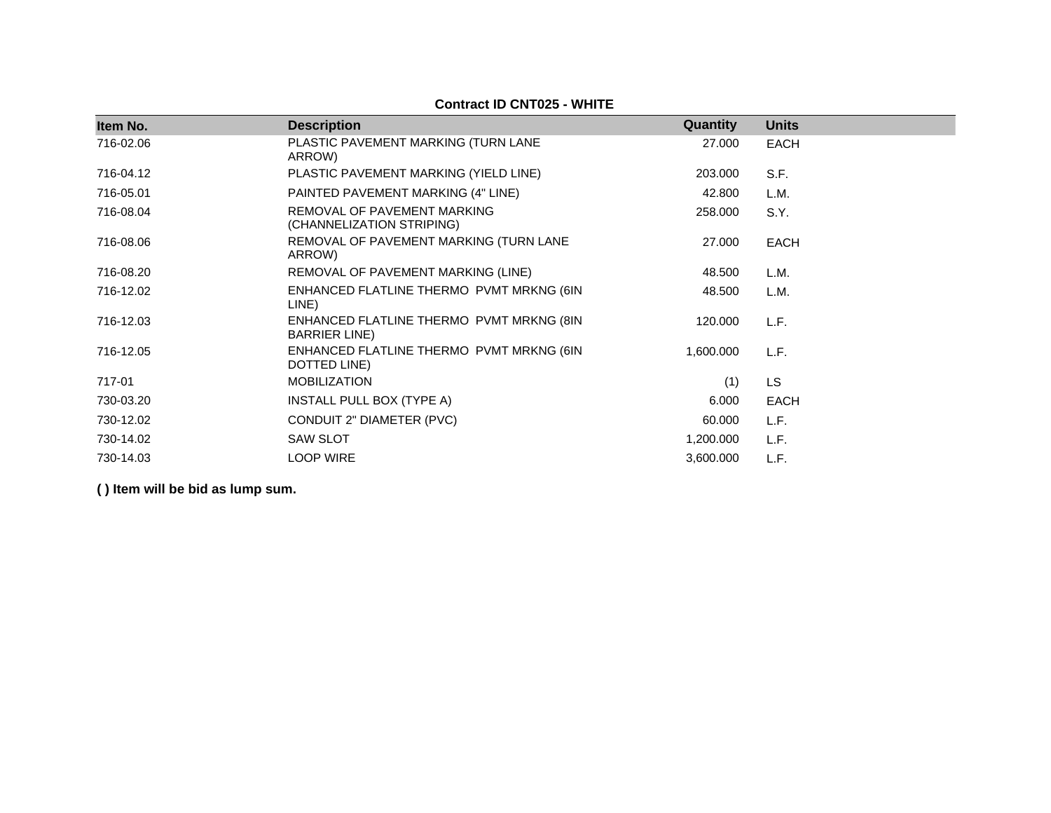| Item No.  | <b>Description</b>                                                | Quantity  | <b>Units</b> |
|-----------|-------------------------------------------------------------------|-----------|--------------|
| 716-02.06 | PLASTIC PAVEMENT MARKING (TURN LANE<br>ARROW)                     | 27.000    | <b>EACH</b>  |
| 716-04.12 | PLASTIC PAVEMENT MARKING (YIELD LINE)                             | 203.000   | S.F.         |
| 716-05.01 | PAINTED PAVEMENT MARKING (4" LINE)                                | 42.800    | L.M.         |
| 716-08.04 | REMOVAL OF PAVEMENT MARKING<br>(CHANNELIZATION STRIPING)          | 258.000   | S.Y.         |
| 716-08.06 | REMOVAL OF PAVEMENT MARKING (TURN LANE<br>ARROW)                  | 27.000    | EACH         |
| 716-08.20 | REMOVAL OF PAVEMENT MARKING (LINE)                                | 48.500    | L.M.         |
| 716-12.02 | ENHANCED FLATLINE THERMO PVMT MRKNG (6IN<br>LINE)                 | 48.500    | L.M.         |
| 716-12.03 | ENHANCED FLATLINE THERMO PVMT MRKNG (8IN<br><b>BARRIER LINE</b> ) | 120.000   | L.F.         |
| 716-12.05 | ENHANCED FLATLINE THERMO PVMT MRKNG (6IN<br>DOTTED LINE)          | 1,600.000 | L.F.         |
| 717-01    | <b>MOBILIZATION</b>                                               | (1)       | <b>LS</b>    |
| 730-03.20 | INSTALL PULL BOX (TYPE A)                                         | 6.000     | EACH         |
| 730-12.02 | CONDUIT 2" DIAMETER (PVC)                                         | 60.000    | L.F.         |
| 730-14.02 | <b>SAW SLOT</b>                                                   | 1,200.000 | L.F.         |
| 730-14.03 | <b>LOOP WIRE</b>                                                  | 3,600.000 | L.F.         |

**Contract ID CNT025 - WHITE**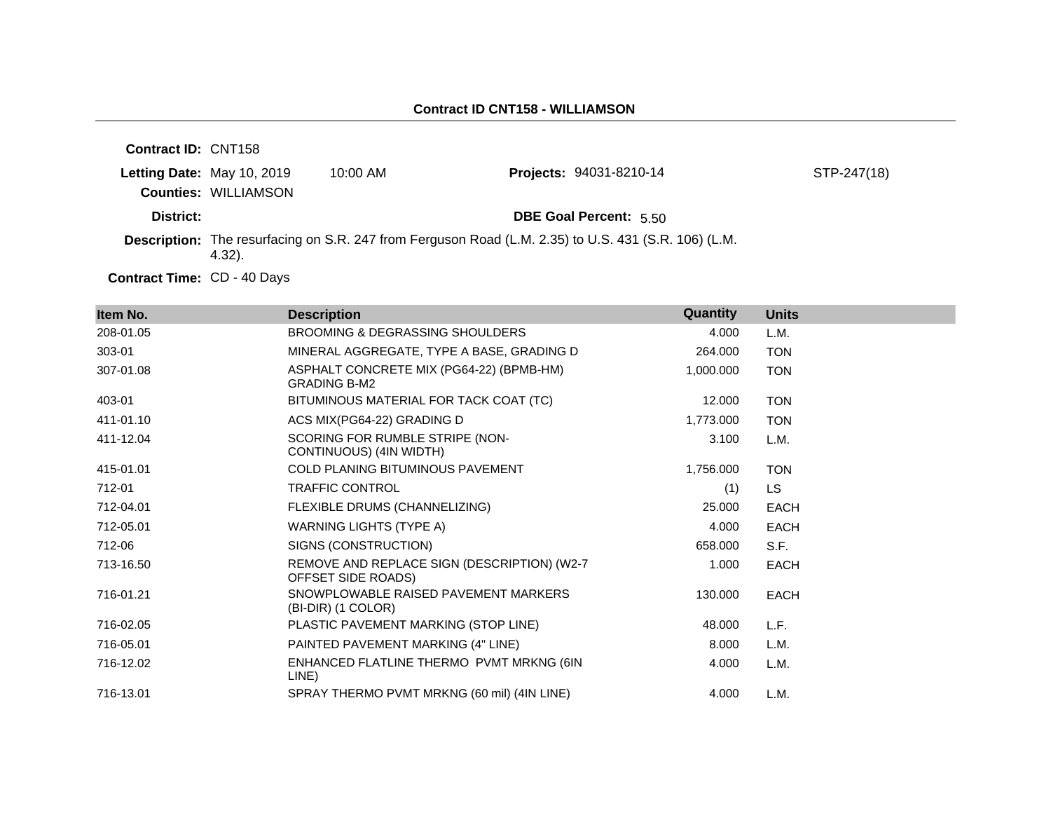| <b>Contract ID: CNT158</b> |                             |            |                                                                                                      |             |
|----------------------------|-----------------------------|------------|------------------------------------------------------------------------------------------------------|-------------|
|                            | Letting Date: May 10, 2019  | $10:00$ AM | <b>Projects: 94031-8210-14</b>                                                                       | STP-247(18) |
|                            | <b>Counties: WILLIAMSON</b> |            |                                                                                                      |             |
| District:                  |                             |            | <b>DBE Goal Percent: 5.50</b>                                                                        |             |
|                            | 4.32).                      |            | Description: The resurfacing on S.R. 247 from Ferguson Road (L.M. 2.35) to U.S. 431 (S.R. 106) (L.M. |             |

Contract Time: CD - 40 Days

| Item No.  | <b>Description</b>                                                | Quantity  | <b>Units</b> |
|-----------|-------------------------------------------------------------------|-----------|--------------|
| 208-01.05 | BROOMING & DEGRASSING SHOULDERS                                   | 4.000     | L.M.         |
| 303-01    | MINERAL AGGREGATE, TYPE A BASE, GRADING D                         | 264.000   | <b>TON</b>   |
| 307-01.08 | ASPHALT CONCRETE MIX (PG64-22) (BPMB-HM)<br><b>GRADING B-M2</b>   | 1,000.000 | <b>TON</b>   |
| 403-01    | BITUMINOUS MATERIAL FOR TACK COAT (TC)                            | 12.000    | <b>TON</b>   |
| 411-01.10 | ACS MIX(PG64-22) GRADING D                                        | 1,773.000 | <b>TON</b>   |
| 411-12.04 | SCORING FOR RUMBLE STRIPE (NON-<br>CONTINUOUS) (4IN WIDTH)        | 3.100     | L.M.         |
| 415-01.01 | COLD PLANING BITUMINOUS PAVEMENT                                  | 1,756.000 | <b>TON</b>   |
| 712-01    | <b>TRAFFIC CONTROL</b>                                            | (1)       | <b>LS</b>    |
| 712-04.01 | FLEXIBLE DRUMS (CHANNELIZING)                                     | 25.000    | <b>EACH</b>  |
| 712-05.01 | <b>WARNING LIGHTS (TYPE A)</b>                                    | 4.000     | <b>EACH</b>  |
| 712-06    | SIGNS (CONSTRUCTION)                                              | 658.000   | S.F.         |
| 713-16.50 | REMOVE AND REPLACE SIGN (DESCRIPTION) (W2-7<br>OFFSET SIDE ROADS) | 1.000     | <b>EACH</b>  |
| 716-01.21 | SNOWPLOWABLE RAISED PAVEMENT MARKERS<br>(BI-DIR) (1 COLOR)        | 130.000   | <b>EACH</b>  |
| 716-02.05 | PLASTIC PAVEMENT MARKING (STOP LINE)                              | 48.000    | L.F.         |
| 716-05.01 | PAINTED PAVEMENT MARKING (4" LINE)                                | 8.000     | L.M.         |
| 716-12.02 | ENHANCED FLATLINE THERMO PVMT MRKNG (6IN<br>LINE)                 | 4.000     | L.M.         |
| 716-13.01 | SPRAY THERMO PVMT MRKNG (60 mil) (4IN LINE)                       | 4.000     | L.M.         |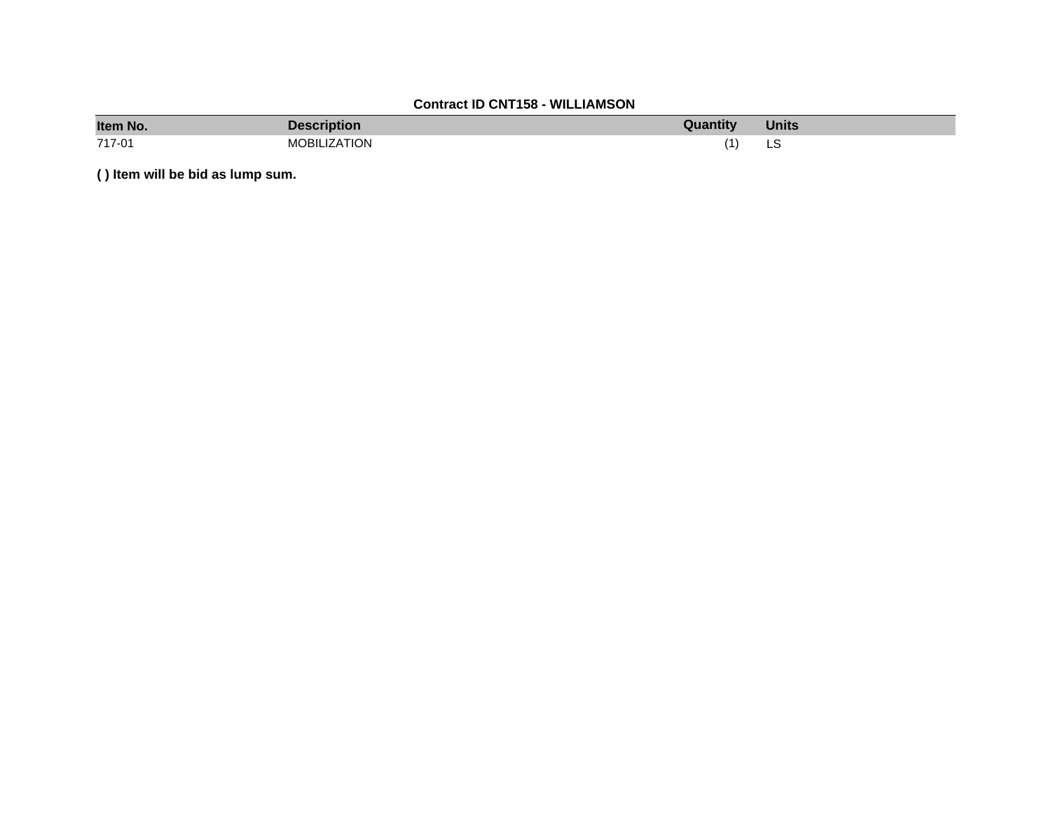# **Contract ID CNT158 - WILLIAMSON**

| Item No. | <b>Description</b>  | Quantity | <b>Units</b> |
|----------|---------------------|----------|--------------|
| 717-01   | <b>MOBILIZATION</b> |          | LS<br>$\sim$ |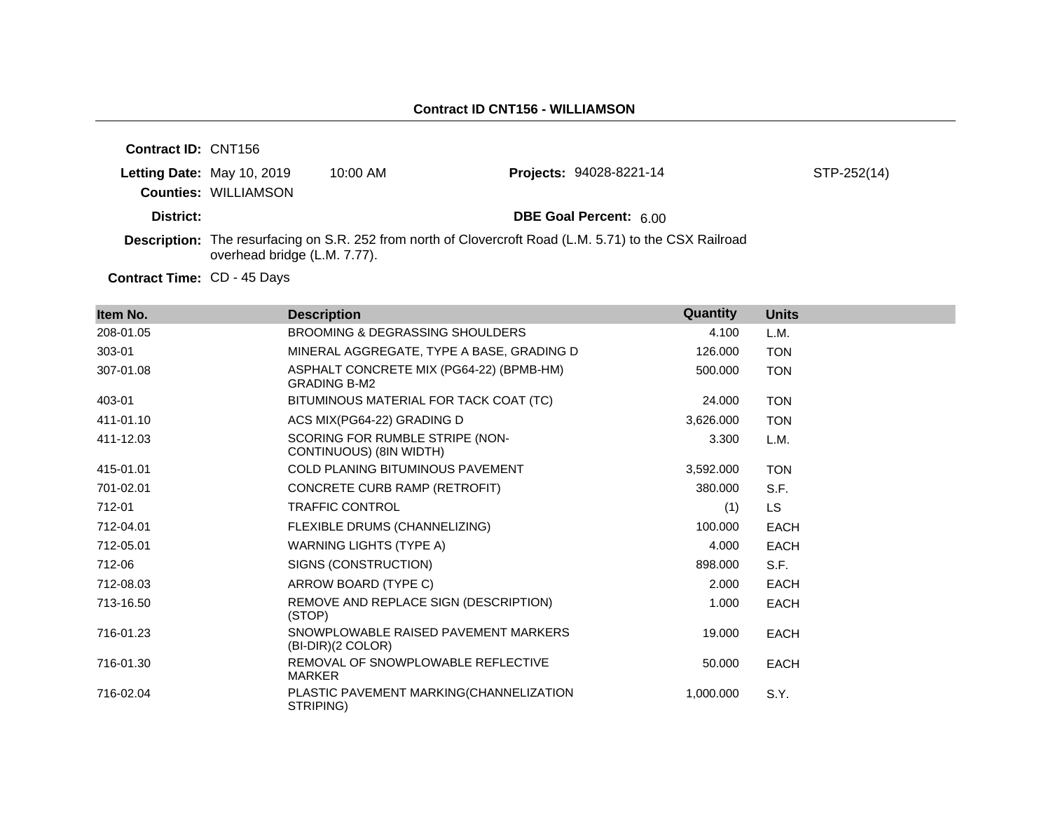| <b>Contract ID: CNT156</b> |                              |            |                                                                                                         |             |
|----------------------------|------------------------------|------------|---------------------------------------------------------------------------------------------------------|-------------|
|                            | Letting Date: May 10, 2019   | $10:00$ AM | <b>Projects: 94028-8221-14</b>                                                                          | STP-252(14) |
|                            | <b>Counties: WILLIAMSON</b>  |            |                                                                                                         |             |
| District:                  |                              |            | <b>DBE Goal Percent: 6.00</b>                                                                           |             |
|                            | overhead bridge (L.M. 7.77). |            | Description: The resurfacing on S.R. 252 from north of Clovercroft Road (L.M. 5.71) to the CSX Railroad |             |

Contract Time: CD - 45 Days

| Item No.  | <b>Description</b>                                              | Quantity  | <b>Units</b> |
|-----------|-----------------------------------------------------------------|-----------|--------------|
| 208-01.05 | <b>BROOMING &amp; DEGRASSING SHOULDERS</b>                      | 4.100     | L.M.         |
| 303-01    | MINERAL AGGREGATE, TYPE A BASE, GRADING D                       | 126,000   | <b>TON</b>   |
| 307-01.08 | ASPHALT CONCRETE MIX (PG64-22) (BPMB-HM)<br><b>GRADING B-M2</b> | 500.000   | <b>TON</b>   |
| 403-01    | BITUMINOUS MATERIAL FOR TACK COAT (TC)                          | 24.000    | <b>TON</b>   |
| 411-01.10 | ACS MIX(PG64-22) GRADING D                                      | 3,626.000 | <b>TON</b>   |
| 411-12.03 | SCORING FOR RUMBLE STRIPE (NON-<br>CONTINUOUS) (8IN WIDTH)      | 3.300     | L.M.         |
| 415-01.01 | <b>COLD PLANING BITUMINOUS PAVEMENT</b>                         | 3,592.000 | <b>TON</b>   |
| 701-02.01 | CONCRETE CURB RAMP (RETROFIT)                                   | 380,000   | S.F.         |
| 712-01    | <b>TRAFFIC CONTROL</b>                                          | (1)       | <b>LS</b>    |
| 712-04.01 | FLEXIBLE DRUMS (CHANNELIZING)                                   | 100.000   | <b>EACH</b>  |
| 712-05.01 | <b>WARNING LIGHTS (TYPE A)</b>                                  | 4.000     | <b>EACH</b>  |
| 712-06    | SIGNS (CONSTRUCTION)                                            | 898,000   | S.F.         |
| 712-08.03 | ARROW BOARD (TYPE C)                                            | 2.000     | EACH         |
| 713-16.50 | REMOVE AND REPLACE SIGN (DESCRIPTION)<br>(STOP)                 | 1.000     | <b>EACH</b>  |
| 716-01.23 | SNOWPLOWABLE RAISED PAVEMENT MARKERS<br>(BI-DIR)(2 COLOR)       | 19.000    | <b>EACH</b>  |
| 716-01.30 | REMOVAL OF SNOWPLOWABLE REFLECTIVE<br><b>MARKER</b>             | 50.000    | <b>EACH</b>  |
| 716-02.04 | PLASTIC PAVEMENT MARKING(CHANNELIZATION<br>STRIPING)            | 1,000.000 | S.Y.         |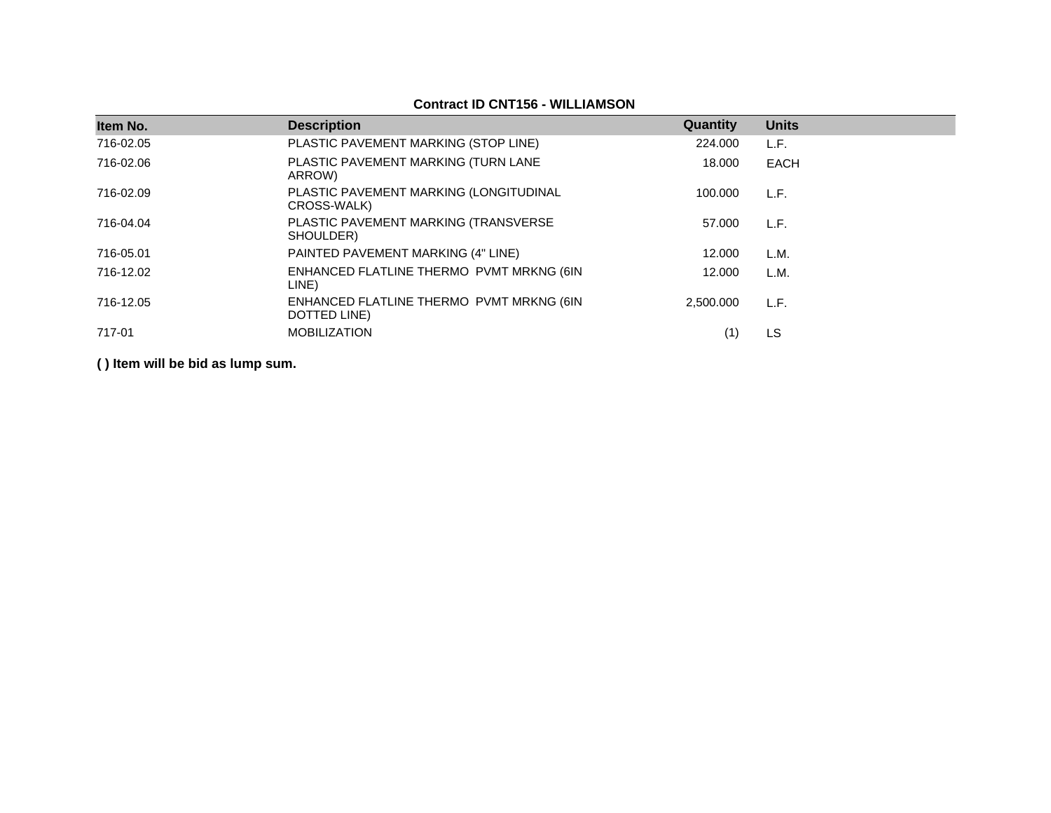# **Contract ID CNT156 - WILLIAMSON**

| Item No.  | <b>Description</b>                                       | Quantity  | <b>Units</b> |
|-----------|----------------------------------------------------------|-----------|--------------|
| 716-02.05 | PLASTIC PAVEMENT MARKING (STOP LINE)                     | 224.000   | L.F.         |
| 716-02.06 | PLASTIC PAVEMENT MARKING (TURN LANE<br>ARROW)            | 18.000    | <b>EACH</b>  |
| 716-02.09 | PLASTIC PAVEMENT MARKING (LONGITUDINAL<br>CROSS-WALK)    | 100.000   | L.F.         |
| 716-04.04 | PLASTIC PAVEMENT MARKING (TRANSVERSE<br>SHOULDER)        | 57.000    | L.F.         |
| 716-05.01 | PAINTED PAVEMENT MARKING (4" LINE)                       | 12.000    | L.M.         |
| 716-12.02 | ENHANCED FLATLINE THERMO PVMT MRKNG (6IN<br>LINE)        | 12.000    | L.M.         |
| 716-12.05 | ENHANCED FLATLINE THERMO PVMT MRKNG (6IN<br>DOTTED LINE) | 2.500.000 | L.F.         |
| 717-01    | <b>MOBILIZATION</b>                                      |           | LS           |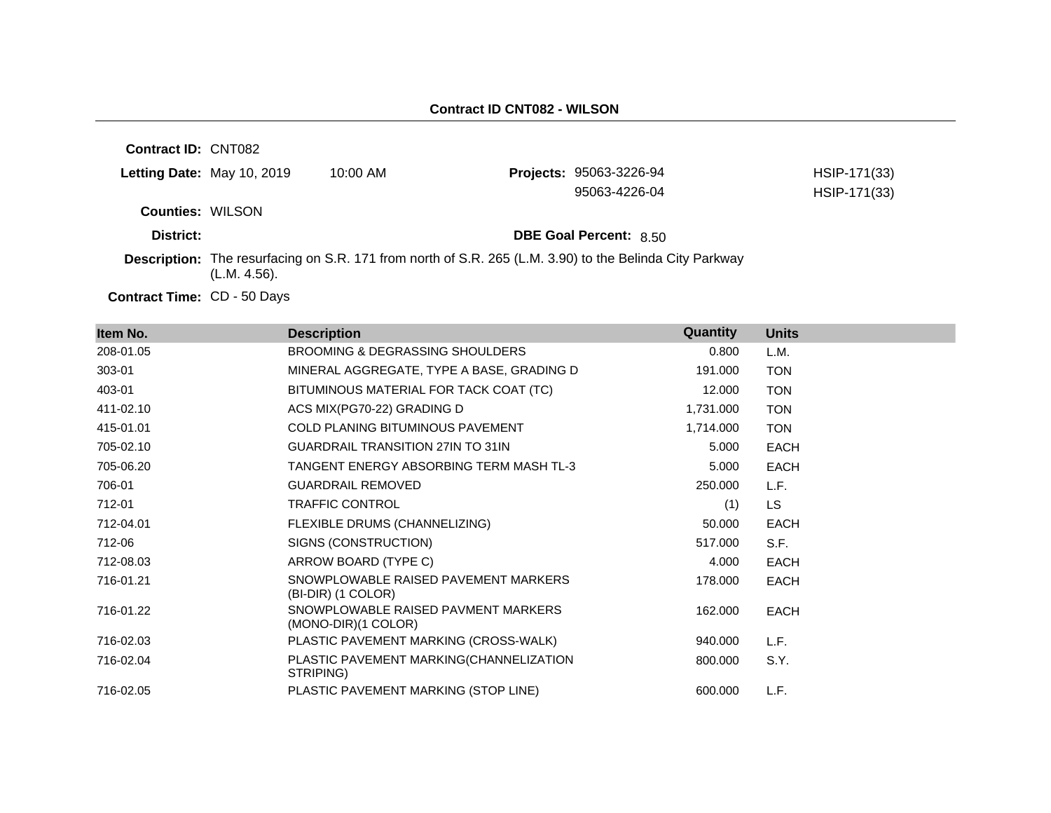| <b>Contract ID: CNT082</b> |              |                                                                                                                |                                |              |
|----------------------------|--------------|----------------------------------------------------------------------------------------------------------------|--------------------------------|--------------|
| Letting Date: May 10, 2019 |              | $10:00$ AM                                                                                                     | <b>Projects: 95063-3226-94</b> | HSIP-171(33) |
|                            |              |                                                                                                                | 95063-4226-04                  | HSIP-171(33) |
| <b>Counties: WILSON</b>    |              |                                                                                                                |                                |              |
| District:                  |              |                                                                                                                | <b>DBE Goal Percent: 8.50</b>  |              |
|                            | (L.M. 4.56). | <b>Description:</b> The resurfacing on S.R. 171 from north of S.R. 265 (L.M. 3.90) to the Belinda City Parkway |                                |              |

Contract Time: CD - 50 Days

| Item No.  | <b>Description</b>                                         | Quantity  | <b>Units</b> |
|-----------|------------------------------------------------------------|-----------|--------------|
| 208-01.05 | <b>BROOMING &amp; DEGRASSING SHOULDERS</b>                 | 0.800     | L.M.         |
| 303-01    | MINERAL AGGREGATE, TYPE A BASE, GRADING D                  | 191.000   | <b>TON</b>   |
| 403-01    | BITUMINOUS MATERIAL FOR TACK COAT (TC)                     | 12.000    | <b>TON</b>   |
| 411-02.10 | ACS MIX(PG70-22) GRADING D                                 | 1,731.000 | <b>TON</b>   |
| 415-01.01 | COLD PLANING BITUMINOUS PAVEMENT                           | 1,714.000 | <b>TON</b>   |
| 705-02.10 | <b>GUARDRAIL TRANSITION 27IN TO 31IN</b>                   | 5.000     | <b>EACH</b>  |
| 705-06.20 | TANGENT ENERGY ABSORBING TERM MASH TL-3                    | 5.000     | <b>EACH</b>  |
| 706-01    | <b>GUARDRAIL REMOVED</b>                                   | 250.000   | L.F.         |
| 712-01    | <b>TRAFFIC CONTROL</b>                                     | (1)       | LS.          |
| 712-04.01 | FLEXIBLE DRUMS (CHANNELIZING)                              | 50.000    | <b>EACH</b>  |
| 712-06    | SIGNS (CONSTRUCTION)                                       | 517.000   | S.F.         |
| 712-08.03 | ARROW BOARD (TYPE C)                                       | 4.000     | <b>EACH</b>  |
| 716-01.21 | SNOWPLOWABLE RAISED PAVEMENT MARKERS<br>(BI-DIR) (1 COLOR) | 178.000   | <b>EACH</b>  |
| 716-01.22 | SNOWPLOWABLE RAISED PAVMENT MARKERS<br>(MONO-DIR)(1 COLOR) | 162.000   | <b>EACH</b>  |
| 716-02.03 | PLASTIC PAVEMENT MARKING (CROSS-WALK)                      | 940.000   | L.F.         |
| 716-02.04 | PLASTIC PAVEMENT MARKING(CHANNELIZATION<br>STRIPING)       | 800.000   | S.Y.         |
| 716-02.05 | PLASTIC PAVEMENT MARKING (STOP LINE)                       | 600.000   | L.F.         |